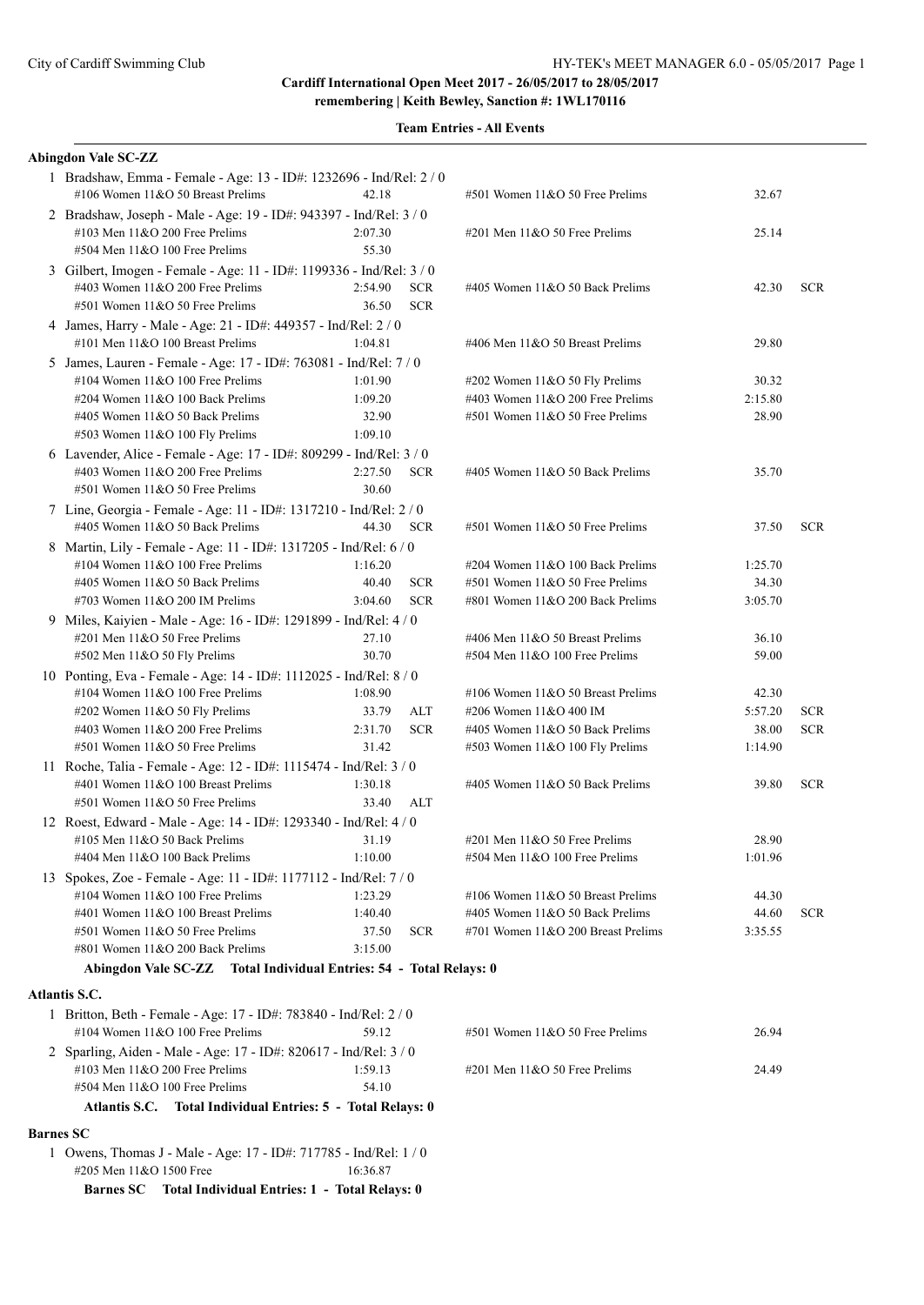| <b>Team Entries - All Events</b> |  |
|----------------------------------|--|
|                                  |  |

| <b>Abingdon Vale SC-ZZ</b>                                                                                                                  |                  |                          |                                    |         |            |
|---------------------------------------------------------------------------------------------------------------------------------------------|------------------|--------------------------|------------------------------------|---------|------------|
| 1 Bradshaw, Emma - Female - Age: 13 - ID#: 1232696 - Ind/Rel: 2 / 0<br>#106 Women 11&O 50 Breast Prelims                                    | 42.18            |                          | #501 Women 11&O 50 Free Prelims    | 32.67   |            |
| 2 Bradshaw, Joseph - Male - Age: 19 - ID#: 943397 - Ind/Rel: 3 / 0<br>#103 Men 11&O 200 Free Prelims<br>#504 Men 11&O 100 Free Prelims      | 2:07.30<br>55.30 |                          | #201 Men $11&050$ Free Prelims     | 25.14   |            |
| 3 Gilbert, Imogen - Female - Age: 11 - ID#: 1199336 - Ind/Rel: 3 / 0<br>#403 Women 11&O 200 Free Prelims<br>#501 Women 11&O 50 Free Prelims | 2:54.90<br>36.50 | <b>SCR</b><br><b>SCR</b> | #405 Women 11&O 50 Back Prelims    | 42.30   | <b>SCR</b> |
| 4 James, Harry - Male - Age: 21 - ID#: 449357 - Ind/Rel: 2 / 0<br>#101 Men 11&O 100 Breast Prelims                                          | 1:04.81          |                          | #406 Men 11&O 50 Breast Prelims    | 29.80   |            |
| 5 James, Lauren - Female - Age: 17 - ID#: 763081 - Ind/Rel: 7 / 0                                                                           |                  |                          |                                    |         |            |
| #104 Women 11&O 100 Free Prelims                                                                                                            | 1:01.90          |                          | $\#202$ Women 11&O 50 Fly Prelims  | 30.32   |            |
| #204 Women 11&O 100 Back Prelims                                                                                                            | 1:09.20          |                          | #403 Women 11&O 200 Free Prelims   | 2:15.80 |            |
| #405 Women 11&O 50 Back Prelims                                                                                                             | 32.90            |                          | #501 Women $11&050$ Free Prelims   | 28.90   |            |
| #503 Women 11&O 100 Fly Prelims                                                                                                             | 1:09.10          |                          |                                    |         |            |
| 6 Lavender, Alice - Female - Age: 17 - ID#: 809299 - Ind/Rel: 3 / 0                                                                         |                  |                          |                                    |         |            |
| #403 Women 11&O 200 Free Prelims                                                                                                            | 2:27.50          | <b>SCR</b>               | #405 Women 11&O 50 Back Prelims    | 35.70   |            |
| #501 Women 11&O 50 Free Prelims                                                                                                             | 30.60            |                          |                                    |         |            |
| 7 Line, Georgia - Female - Age: 11 - ID#: 1317210 - Ind/Rel: 2 / 0                                                                          |                  |                          |                                    |         |            |
| #405 Women 11&O 50 Back Prelims                                                                                                             | 44.30            | <b>SCR</b>               | #501 Women 11&O 50 Free Prelims    | 37.50   | <b>SCR</b> |
| 8 Martin, Lily - Female - Age: 11 - ID#: 1317205 - Ind/Rel: 6 / 0                                                                           |                  |                          |                                    |         |            |
| #104 Women 11&O 100 Free Prelims                                                                                                            | 1:16.20          |                          | #204 Women 11&O 100 Back Prelims   | 1:25.70 |            |
| #405 Women 11&O 50 Back Prelims                                                                                                             | 40.40            | <b>SCR</b>               | #501 Women 11&O 50 Free Prelims    | 34.30   |            |
| #703 Women 11&O 200 IM Prelims                                                                                                              | 3:04.60          | <b>SCR</b>               | #801 Women 11&O 200 Back Prelims   | 3:05.70 |            |
| 9 Miles, Kaiyien - Male - Age: 16 - ID#: 1291899 - Ind/Rel: 4 / 0                                                                           |                  |                          |                                    |         |            |
| #201 Men 11&O 50 Free Prelims                                                                                                               | 27.10            |                          | #406 Men 11&O 50 Breast Prelims    | 36.10   |            |
| #502 Men 11&O 50 Fly Prelims                                                                                                                | 30.70            |                          | #504 Men 11&O 100 Free Prelims     | 59.00   |            |
| 10 Ponting, Eva - Female - Age: 14 - ID#: 1112025 - Ind/Rel: 8 / 0                                                                          |                  |                          |                                    |         |            |
| #104 Women 11&O 100 Free Prelims                                                                                                            | 1:08.90          |                          | #106 Women 11&O 50 Breast Prelims  | 42.30   |            |
| #202 Women 11&O 50 Fly Prelims                                                                                                              | 33.79            | ALT                      | #206 Women 11&O 400 IM             | 5:57.20 | <b>SCR</b> |
| #403 Women 11&O 200 Free Prelims                                                                                                            | 2:31.70          | <b>SCR</b>               | #405 Women 11&O 50 Back Prelims    | 38.00   | <b>SCR</b> |
| #501 Women 11&O 50 Free Prelims                                                                                                             | 31.42            |                          | $\#503$ Women 11&O 100 Fly Prelims | 1:14.90 |            |
| 11 Roche, Talia - Female - Age: 12 - ID#: 1115474 - Ind/Rel: 3 / 0                                                                          |                  |                          |                                    |         |            |
| #401 Women 11&O 100 Breast Prelims                                                                                                          | 1:30.18          |                          | #405 Women 11&O 50 Back Prelims    | 39.80   | <b>SCR</b> |
| #501 Women 11&O 50 Free Prelims                                                                                                             | 33.40            | ALT                      |                                    |         |            |
| 12 Roest, Edward - Male - Age: 14 - ID#: 1293340 - Ind/Rel: 4 / 0                                                                           |                  |                          |                                    |         |            |
| #105 Men 11&O 50 Back Prelims                                                                                                               | 31.19            |                          | #201 Men 11&O 50 Free Prelims      | 28.90   |            |
| #404 Men 11&O 100 Back Prelims                                                                                                              | 1:10.00          |                          | #504 Men 11&O 100 Free Prelims     | 1:01.96 |            |
| 13 Spokes, Zoe - Female - Age: 11 - ID#: 1177112 - Ind/Rel: 7 / 0                                                                           |                  |                          |                                    |         |            |
| #104 Women 11&O 100 Free Prelims                                                                                                            | 1:23.29          |                          | #106 Women 11&O 50 Breast Prelims  | 44.30   |            |
| #401 Women 11&O 100 Breast Prelims                                                                                                          | 1:40.40          |                          | #405 Women 11&O 50 Back Prelims    | 44.60   | <b>SCR</b> |
| #501 Women 11&O 50 Free Prelims                                                                                                             | 37.50            | <b>SCR</b>               | #701 Women 11&O 200 Breast Prelims | 3:35.55 |            |
| #801 Women 11&O 200 Back Prelims                                                                                                            | 3:15.00          |                          |                                    |         |            |
| Abingdon Vale SC-ZZ Total Individual Entries: 54 - Total Relays: 0                                                                          |                  |                          |                                    |         |            |
| Atlantis S.C.                                                                                                                               |                  |                          |                                    |         |            |
|                                                                                                                                             |                  |                          |                                    |         |            |
| 1 Britton, Beth - Female - Age: 17 - ID#: 783840 - Ind/Rel: 2 / 0<br>#104 Women 11&O 100 Free Prelims                                       | 59.12            |                          | #501 Women 11&O 50 Free Prelims    | 26.94   |            |
| 2 Sparling, Aiden - Male - Age: 17 - ID#: 820617 - Ind/Rel: 3 / 0                                                                           |                  |                          |                                    |         |            |
| #103 Men 11&O 200 Free Prelims                                                                                                              | 1:59.13          |                          | $\#201$ Men $11&O$ 50 Free Prelims | 24.49   |            |
| #504 Men 11&O 100 Free Prelims                                                                                                              | 54.10            |                          |                                    |         |            |
| Atlantis S.C. Total Individual Entries: 5 - Total Relays: 0                                                                                 |                  |                          |                                    |         |            |
| <b>Barnes SC</b>                                                                                                                            |                  |                          |                                    |         |            |
| 1 Owens, Thomas J - Male - Age: 17 - ID#: 717785 - Ind/Rel: 1 / 0                                                                           |                  |                          |                                    |         |            |
| #205 Men 11&O 1500 Free                                                                                                                     | 16:36.87         |                          |                                    |         |            |
| Total Individual Entries: 1 - Total Relays: 0<br><b>Barnes SC</b>                                                                           |                  |                          |                                    |         |            |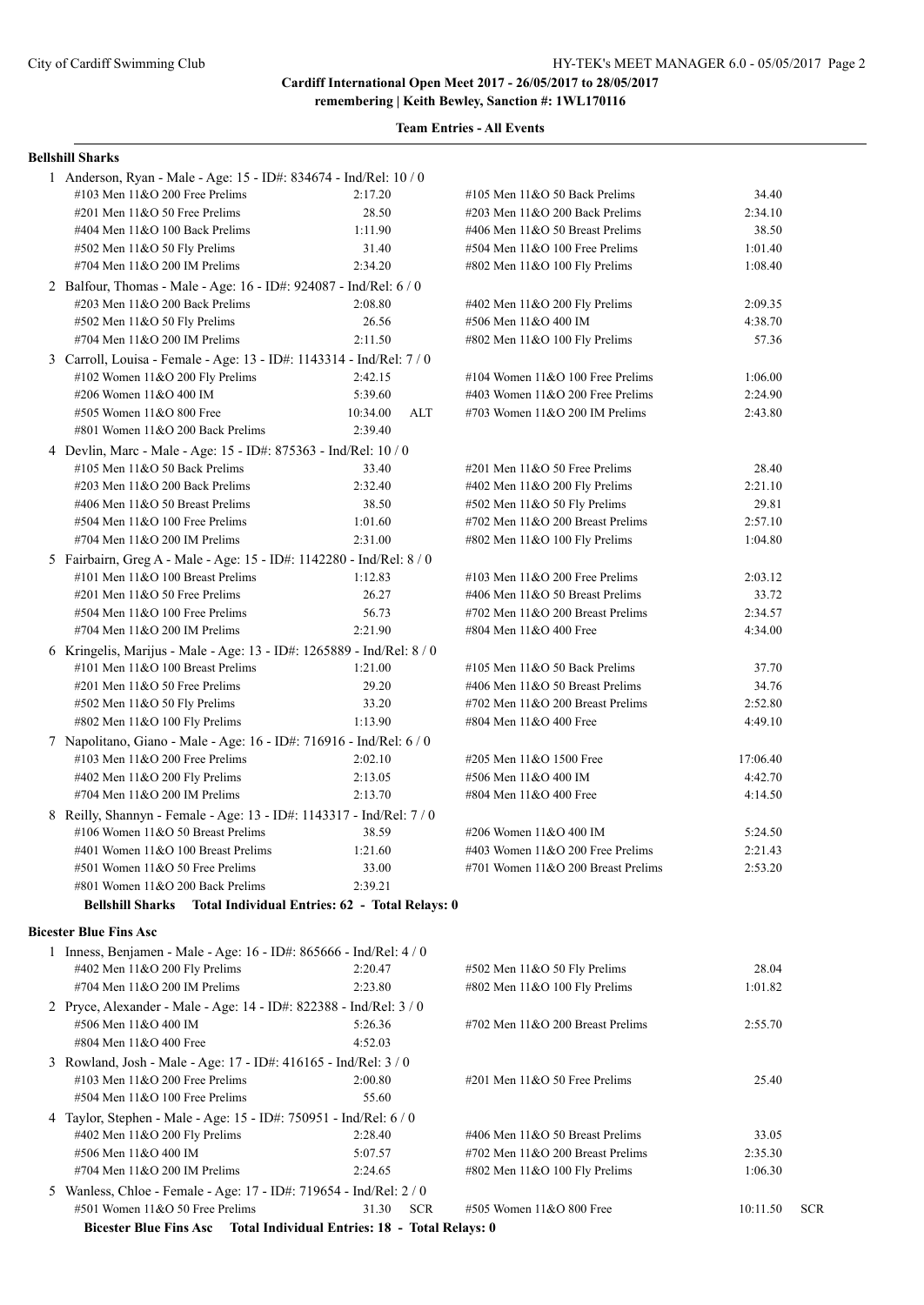#### **Team Entries - All Events**

#### **Bellshill Sharks**

| #402 Men 11&O 200 Fly Prelims<br>#704 Men 11&O 200 IM Prelims<br>2 Pryce, Alexander - Male - Age: 14 - ID#: 822388 - Ind/Rel: 3 / 0 | 2:20.47<br>2:23.80                             | #502 Men 11&O 50 Fly Prelims<br>#802 Men 11&O 100 Fly Prelims | 28.04<br>1:01.82 |  |
|-------------------------------------------------------------------------------------------------------------------------------------|------------------------------------------------|---------------------------------------------------------------|------------------|--|
|                                                                                                                                     |                                                |                                                               |                  |  |
|                                                                                                                                     |                                                |                                                               |                  |  |
|                                                                                                                                     |                                                |                                                               |                  |  |
|                                                                                                                                     |                                                |                                                               |                  |  |
| 1 Inness, Benjamen - Male - Age: 16 - ID#: 865666 - Ind/Rel: 4 / 0                                                                  |                                                |                                                               |                  |  |
|                                                                                                                                     |                                                |                                                               |                  |  |
| <b>Bicester Blue Fins Asc</b>                                                                                                       |                                                |                                                               |                  |  |
| <b>Bellshill Sharks</b>                                                                                                             | Total Individual Entries: 62 - Total Relays: 0 |                                                               |                  |  |
|                                                                                                                                     |                                                |                                                               |                  |  |
| #801 Women 11&O 200 Back Prelims                                                                                                    | 2:39.21                                        |                                                               |                  |  |
| #501 Women 11&O 50 Free Prelims                                                                                                     | 33.00                                          | #701 Women 11&O 200 Breast Prelims                            | 2:53.20          |  |
| #401 Women 11&O 100 Breast Prelims                                                                                                  | 1:21.60                                        | #403 Women $11&O$ 200 Free Prelims                            | 2:21.43          |  |
| #106 Women 11&O 50 Breast Prelims                                                                                                   | 38.59                                          | #206 Women 11&O 400 IM                                        | 5:24.50          |  |
| 8 Reilly, Shannyn - Female - Age: 13 - ID#: 1143317 - Ind/Rel: 7 / 0                                                                |                                                |                                                               |                  |  |
| #704 Men 11&O 200 IM Prelims                                                                                                        | 2:13.70                                        | #804 Men 11&O 400 Free                                        | 4:14.50          |  |
|                                                                                                                                     |                                                |                                                               |                  |  |
| #402 Men 11&O 200 Fly Prelims                                                                                                       | 2:13.05                                        | #506 Men 11&O 400 IM                                          | 4:42.70          |  |
| #103 Men $11&O$ 200 Free Prelims                                                                                                    | 2:02.10                                        | #205 Men 11&O 1500 Free                                       | 17:06.40         |  |
| 7 Napolitano, Giano - Male - Age: 16 - ID#: 716916 - Ind/Rel: 6 / 0                                                                 |                                                |                                                               |                  |  |
| #802 Men 11&O 100 Fly Prelims                                                                                                       | 1:13.90                                        | #804 Men 11&O 400 Free                                        | 4:49.10          |  |
| #502 Men 11&O 50 Fly Prelims                                                                                                        | 33.20                                          | #702 Men 11&O 200 Breast Prelims                              | 2:52.80          |  |
| $\#201$ Men $11&O$ 50 Free Prelims                                                                                                  | 29.20                                          | #406 Men 11&O 50 Breast Prelims                               | 34.76            |  |
| #101 Men 11&O 100 Breast Prelims                                                                                                    | 1:21.00                                        | #105 Men $11&O$ 50 Back Prelims                               | 37.70            |  |
|                                                                                                                                     |                                                |                                                               |                  |  |
| 6 Kringelis, Marijus - Male - Age: 13 - ID#: 1265889 - Ind/Rel: 8 / 0                                                               |                                                |                                                               |                  |  |
| #704 Men $11&O$ 200 IM Prelims                                                                                                      | 2:21.90                                        | #804 Men 11&O 400 Free                                        | 4:34.00          |  |
| #504 Men 11&O 100 Free Prelims                                                                                                      | 56.73                                          | #702 Men 11&O 200 Breast Prelims                              | 2:34.57          |  |
| #201 Men 11&O 50 Free Prelims                                                                                                       | 26.27                                          | #406 Men 11&O 50 Breast Prelims                               | 33.72            |  |
| #101 Men $11&0 100$ Breast Prelims                                                                                                  | 1:12.83                                        | #103 Men $11&O$ 200 Free Prelims                              | 2:03.12          |  |
| 5 Fairbairn, Greg A - Male - Age: 15 - ID#: 1142280 - Ind/Rel: 8 / 0                                                                |                                                |                                                               |                  |  |
| #704 Men 11&O 200 IM Prelims                                                                                                        | 2:31.00                                        | #802 Men 11&O 100 Fly Prelims                                 | 1:04.80          |  |
| #504 Men 11&O 100 Free Prelims                                                                                                      | 1:01.60                                        | #702 Men $11&O$ 200 Breast Prelims                            | 2:57.10          |  |
| #406 Men 11&O 50 Breast Prelims                                                                                                     | 38.50                                          | #502 Men 11&O 50 Fly Prelims                                  | 29.81            |  |
| #203 Men 11&O 200 Back Prelims                                                                                                      | 2:32.40                                        | #402 Men 11&O 200 Fly Prelims                                 | 2:21.10          |  |
| #105 Men 11&O 50 Back Prelims                                                                                                       | 33.40                                          | $\#201$ Men $11&O$ 50 Free Prelims                            | 28.40            |  |
| 4 Devlin, Marc - Male - Age: 15 - ID#: 875363 - Ind/Rel: 10 / 0                                                                     |                                                |                                                               |                  |  |
|                                                                                                                                     |                                                |                                                               |                  |  |
| #801 Women 11&O 200 Back Prelims                                                                                                    | 2:39.40                                        |                                                               |                  |  |
| #505 Women 11&O 800 Free                                                                                                            | 10:34.00<br>ALT                                | #703 Women $11&O$ 200 IM Prelims                              | 2:43.80          |  |
| #206 Women 11&O 400 IM                                                                                                              | 5:39.60                                        | #403 Women $11&O$ 200 Free Prelims                            | 2:24.90          |  |
| #102 Women 11&O 200 Fly Prelims                                                                                                     | 2:42.15                                        | #104 Women $11&O$ 100 Free Prelims                            | 1:06.00          |  |
| 3 Carroll, Louisa - Female - Age: 13 - ID#: 1143314 - Ind/Rel: 7 / 0                                                                |                                                |                                                               |                  |  |
| #704 Men 11&O 200 IM Prelims                                                                                                        | 2:11.50                                        | #802 Men 11&O 100 Fly Prelims                                 | 57.36            |  |
| #502 Men 11&O 50 Fly Prelims                                                                                                        | 26.56                                          | #506 Men 11&O 400 IM                                          | 4:38.70          |  |
| $\#203$ Men $11&O$ 200 Back Prelims                                                                                                 | 2:08.80                                        | #402 Men 11&O 200 Fly Prelims                                 | 2:09.35          |  |
| 2 Balfour, Thomas - Male - Age: 16 - ID#: 924087 - Ind/Rel: 6 / 0                                                                   |                                                |                                                               |                  |  |
|                                                                                                                                     |                                                |                                                               |                  |  |
| #704 Men 11&O 200 IM Prelims                                                                                                        | 2:34.20                                        | #802 Men 11&O 100 Fly Prelims                                 | 1:08.40          |  |
| #502 Men 11&O 50 Fly Prelims                                                                                                        | 31.40                                          | $#504$ Men $11&O$ 100 Free Prelims                            | 1:01.40          |  |
| #404 Men 11&O 100 Back Prelims                                                                                                      | 1:11.90                                        | #406 Men 11&O 50 Breast Prelims                               | 38.50            |  |
| #201 Men $11&O$ 50 Free Prelims                                                                                                     | 28.50                                          | #203 Men 11&O 200 Back Prelims                                | 2:34.10          |  |
| #103 Men 11&O 200 Free Prelims                                                                                                      | 2:17.20                                        | #105 Men $11&O$ 50 Back Prelims                               | 34.40            |  |
| 1 Anderson, Ryan - Male - Age: 15 - ID#: 834674 - Ind/Rel: 10 / 0                                                                   |                                                |                                                               |                  |  |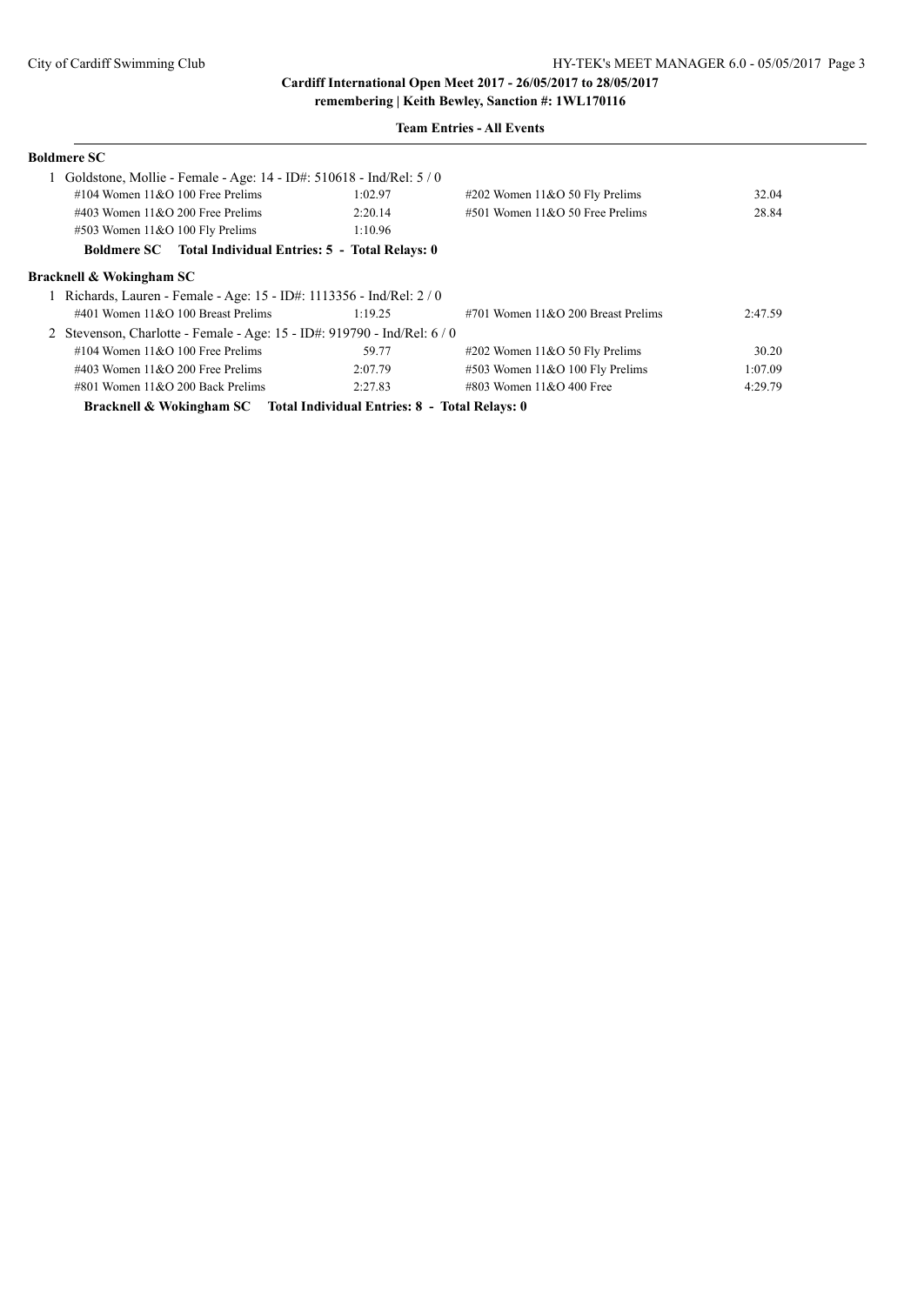#### **Team Entries - All Events**

| <b>Boldmere SC</b>                                                     |         |                                       |         |
|------------------------------------------------------------------------|---------|---------------------------------------|---------|
| Goldstone, Mollie - Female - Age: 14 - ID#: 510618 - Ind/Rel: 5/0      |         |                                       |         |
| #104 Women $11&O$ 100 Free Prelims                                     | 1:02.97 | $\#202$ Women 11&O 50 Fly Prelims     | 32.04   |
| #403 Women $11&O$ 200 Free Prelims                                     | 2:20.14 | $#501$ Women $11&O$ 50 Free Prelims   | 28.84   |
| $\#503$ Women 11&O 100 Fly Prelims                                     | 1:10.96 |                                       |         |
| <b>Boldmere SC</b> Total Individual Entries: 5 - Total Relays: 0       |         |                                       |         |
| Bracknell & Wokingham SC                                               |         |                                       |         |
| Richards, Lauren - Female - Age: 15 - ID#: 1113356 - Ind/Rel: 2/0      |         |                                       |         |
| #401 Women $11&O$ 100 Breast Prelims                                   | 1:19.25 | #701 Women $11\&O$ 200 Breast Prelims | 2:47.59 |
| 2 Stevenson, Charlotte - Female - Age: 15 - ID#: 919790 - Ind/Rel: 6/0 |         |                                       |         |
| #104 Women $11&O$ 100 Free Prelims                                     | 59.77   | $\#202$ Women 11&O 50 Fly Prelims     | 30.20   |
| #403 Women $11&O$ 200 Free Prelims                                     | 2:07.79 | $#503$ Women 11&O 100 Fly Prelims     | 1:07.09 |
| $\#801$ Women $11&O$ 200 Back Prelims                                  | 2:27.83 | $\#803$ Women 11&O 400 Free           | 4:29.79 |
| ותונים מינהוניים וברבים ממינים של המונים הב                            |         |                                       |         |

**Bracknell & Wokingham SC Total Individual Entries: 8 - Total Relays: 0**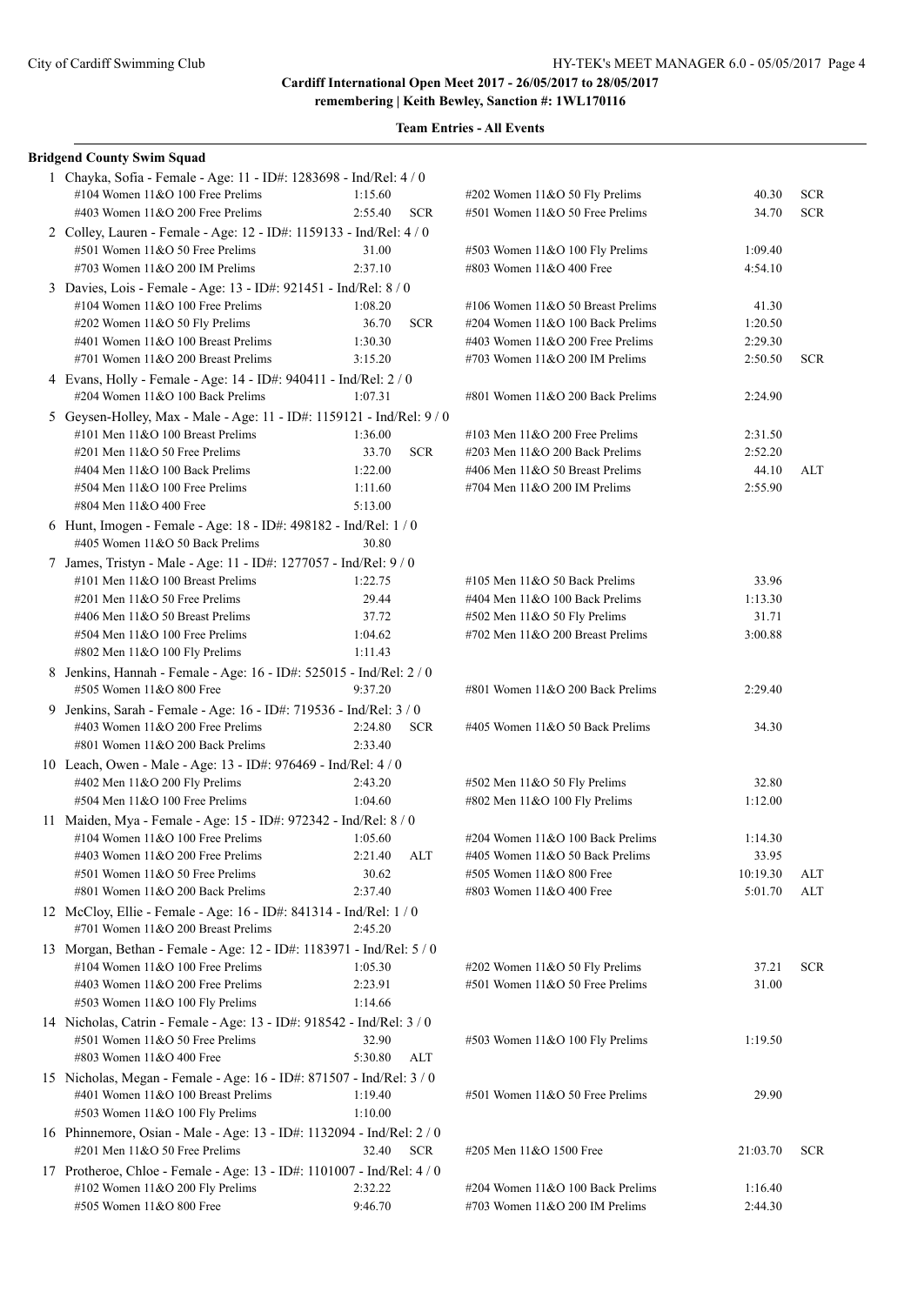| <b>Bridgend County Swim Squad</b>                                                                         |         |            |                                     |          |            |
|-----------------------------------------------------------------------------------------------------------|---------|------------|-------------------------------------|----------|------------|
| 1 Chayka, Sofia - Female - Age: 11 - ID#: 1283698 - Ind/Rel: 4 / 0                                        |         |            |                                     |          |            |
| #104 Women $11&O$ 100 Free Prelims                                                                        | 1:15.60 |            | #202 Women 11&O 50 Fly Prelims      | 40.30    | <b>SCR</b> |
| #403 Women $11&O$ 200 Free Prelims                                                                        | 2:55.40 | <b>SCR</b> | #501 Women 11&O 50 Free Prelims     | 34.70    | <b>SCR</b> |
| 2 Colley, Lauren - Female - Age: 12 - ID#: 1159133 - Ind/Rel: 4 / 0                                       |         |            |                                     |          |            |
| #501 Women 11&O 50 Free Prelims                                                                           | 31.00   |            | #503 Women 11&O 100 Fly Prelims     | 1:09.40  |            |
| #703 Women $11&O$ 200 IM Prelims                                                                          | 2:37.10 |            | #803 Women 11&O 400 Free            | 4:54.10  |            |
| 3 Davies, Lois - Female - Age: 13 - ID#: 921451 - Ind/Rel: 8 / 0                                          |         |            |                                     |          |            |
| #104 Women 11&O 100 Free Prelims                                                                          | 1:08.20 |            | #106 Women $11&O 50$ Breast Prelims | 41.30    |            |
| #202 Women 11&O 50 Fly Prelims                                                                            | 36.70   | <b>SCR</b> | #204 Women 11&O 100 Back Prelims    | 1:20.50  |            |
| #401 Women 11&O 100 Breast Prelims                                                                        | 1:30.30 |            | #403 Women 11&O 200 Free Prelims    | 2:29.30  |            |
| #701 Women $11&O$ 200 Breast Prelims                                                                      | 3:15.20 |            | #703 Women $11&O$ 200 IM Prelims    | 2:50.50  | <b>SCR</b> |
| 4 Evans, Holly - Female - Age: 14 - ID#: 940411 - Ind/Rel: 2 / 0                                          |         |            |                                     |          |            |
| #204 Women 11&O 100 Back Prelims                                                                          | 1:07.31 |            | #801 Women 11&O 200 Back Prelims    | 2:24.90  |            |
| 5 Geysen-Holley, Max - Male - Age: 11 - ID#: 1159121 - Ind/Rel: 9 / 0                                     |         |            |                                     |          |            |
| #101 Men 11&O 100 Breast Prelims                                                                          | 1:36.00 |            | #103 Men $11&O$ 200 Free Prelims    | 2:31.50  |            |
| $\#201$ Men $11&O$ 50 Free Prelims                                                                        | 33.70   | <b>SCR</b> | $\#203$ Men $11&O$ 200 Back Prelims | 2:52.20  |            |
| #404 Men $11&O 100$ Back Prelims                                                                          | 1:22.00 |            | #406 Men 11&O 50 Breast Prelims     | 44.10    | ALT        |
| #504 Men 11&O 100 Free Prelims                                                                            | 1:11.60 |            | #704 Men 11&O 200 IM Prelims        | 2:55.90  |            |
| #804 Men 11&O 400 Free                                                                                    | 5:13.00 |            |                                     |          |            |
| 6 Hunt, Imogen - Female - Age: 18 - ID#: 498182 - Ind/Rel: 1 / 0                                          |         |            |                                     |          |            |
| #405 Women 11&O 50 Back Prelims                                                                           | 30.80   |            |                                     |          |            |
| 7 James, Tristyn - Male - Age: 11 - ID#: 1277057 - Ind/Rel: 9 / 0                                         |         |            |                                     |          |            |
| #101 Men $11&O$ 100 Breast Prelims                                                                        | 1:22.75 |            | #105 Men $11&O$ 50 Back Prelims     | 33.96    |            |
| $\#201$ Men $11&O$ 50 Free Prelims                                                                        | 29.44   |            | #404 Men $11&O 100$ Back Prelims    | 1:13.30  |            |
| #406 Men 11&O 50 Breast Prelims                                                                           | 37.72   |            | #502 Men 11&O 50 Fly Prelims        | 31.71    |            |
| $#504$ Men $11&O$ 100 Free Prelims                                                                        | 1:04.62 |            | #702 Men 11&O 200 Breast Prelims    | 3:00.88  |            |
| #802 Men 11&O 100 Fly Prelims                                                                             | 1:11.43 |            |                                     |          |            |
| 8 Jenkins, Hannah - Female - Age: 16 - ID#: 525015 - Ind/Rel: 2 / 0                                       |         |            |                                     |          |            |
| #505 Women 11&O 800 Free                                                                                  | 9:37.20 |            | #801 Women 11&O 200 Back Prelims    | 2:29.40  |            |
| 9 Jenkins, Sarah - Female - Age: 16 - ID#: 719536 - Ind/Rel: 3 / 0                                        |         |            |                                     |          |            |
| #403 Women $11&O$ 200 Free Prelims                                                                        | 2:24.80 | <b>SCR</b> | #405 Women 11&O 50 Back Prelims     | 34.30    |            |
| #801 Women $11&O$ 200 Back Prelims                                                                        | 2:33.40 |            |                                     |          |            |
| 10 Leach, Owen - Male - Age: 13 - ID#: 976469 - Ind/Rel: 4 / 0                                            |         |            |                                     |          |            |
| #402 Men 11&O 200 Fly Prelims                                                                             | 2:43.20 |            | #502 Men 11&O 50 Fly Prelims        | 32.80    |            |
| #504 Men 11&O 100 Free Prelims                                                                            | 1:04.60 |            | #802 Men 11&O 100 Fly Prelims       | 1:12.00  |            |
| 11 Maiden, Mya - Female - Age: 15 - ID#: 972342 - Ind/Rel: 8 / 0                                          |         |            |                                     |          |            |
| #104 Women $11&O$ 100 Free Prelims                                                                        | 1:05.60 |            | #204 Women 11&O 100 Back Prelims    | 1:14.30  |            |
| #403 Women 11&O 200 Free Prelims                                                                          | 2:21.40 | <b>ALT</b> | #405 Women 11&O 50 Back Prelims     | 33.95    |            |
| #501 Women 11&O 50 Free Prelims                                                                           | 30.62   |            | #505 Women 11&O 800 Free            | 10:19.30 | ALT        |
| #801 Women 11&O 200 Back Prelims                                                                          | 2:37.40 |            | #803 Women $11&O$ 400 Free          | 5:01.70  | ALT        |
| 12 McCloy, Ellie - Female - Age: 16 - ID#: 841314 - Ind/Rel: 1 / 0                                        |         |            |                                     |          |            |
| #701 Women 11&O 200 Breast Prelims                                                                        | 2:45.20 |            |                                     |          |            |
| 13 Morgan, Bethan - Female - Age: 12 - ID#: 1183971 - Ind/Rel: 5 / 0                                      |         |            |                                     |          |            |
| #104 Women 11&O 100 Free Prelims                                                                          | 1:05.30 |            | #202 Women 11&O 50 Fly Prelims      | 37.21    | <b>SCR</b> |
| #403 Women 11&O 200 Free Prelims                                                                          | 2:23.91 |            | #501 Women 11&O 50 Free Prelims     | 31.00    |            |
| #503 Women 11&O 100 Fly Prelims                                                                           | 1:14.66 |            |                                     |          |            |
| 14 Nicholas, Catrin - Female - Age: 13 - ID#: 918542 - Ind/Rel: 3 / 0                                     |         |            |                                     |          |            |
| #501 Women 11&O 50 Free Prelims                                                                           | 32.90   |            | #503 Women 11&O 100 Fly Prelims     | 1:19.50  |            |
| #803 Women 11&O 400 Free                                                                                  | 5:30.80 | ALT        |                                     |          |            |
| 15 Nicholas, Megan - Female - Age: 16 - ID#: 871507 - Ind/Rel: 3 / 0                                      |         |            |                                     |          |            |
| #401 Women 11&O 100 Breast Prelims                                                                        | 1:19.40 |            | #501 Women 11&O 50 Free Prelims     | 29.90    |            |
| #503 Women 11&O 100 Fly Prelims                                                                           | 1:10.00 |            |                                     |          |            |
|                                                                                                           |         |            |                                     |          |            |
| 16 Phinnemore, Osian - Male - Age: 13 - ID#: 1132094 - Ind/Rel: 2 / 0<br>#201 Men 11&O 50 Free Prelims    | 32.40   | <b>SCR</b> | #205 Men 11&O 1500 Free             | 21:03.70 | <b>SCR</b> |
|                                                                                                           |         |            |                                     |          |            |
| 17 Protheroe, Chloe - Female - Age: 13 - ID#: 1101007 - Ind/Rel: 4 / 0<br>#102 Women 11&O 200 Fly Prelims | 2:32.22 |            | #204 Women 11&O 100 Back Prelims    | 1:16.40  |            |
| #505 Women 11&O 800 Free                                                                                  | 9:46.70 |            | #703 Women 11&O 200 IM Prelims      | 2:44.30  |            |
|                                                                                                           |         |            |                                     |          |            |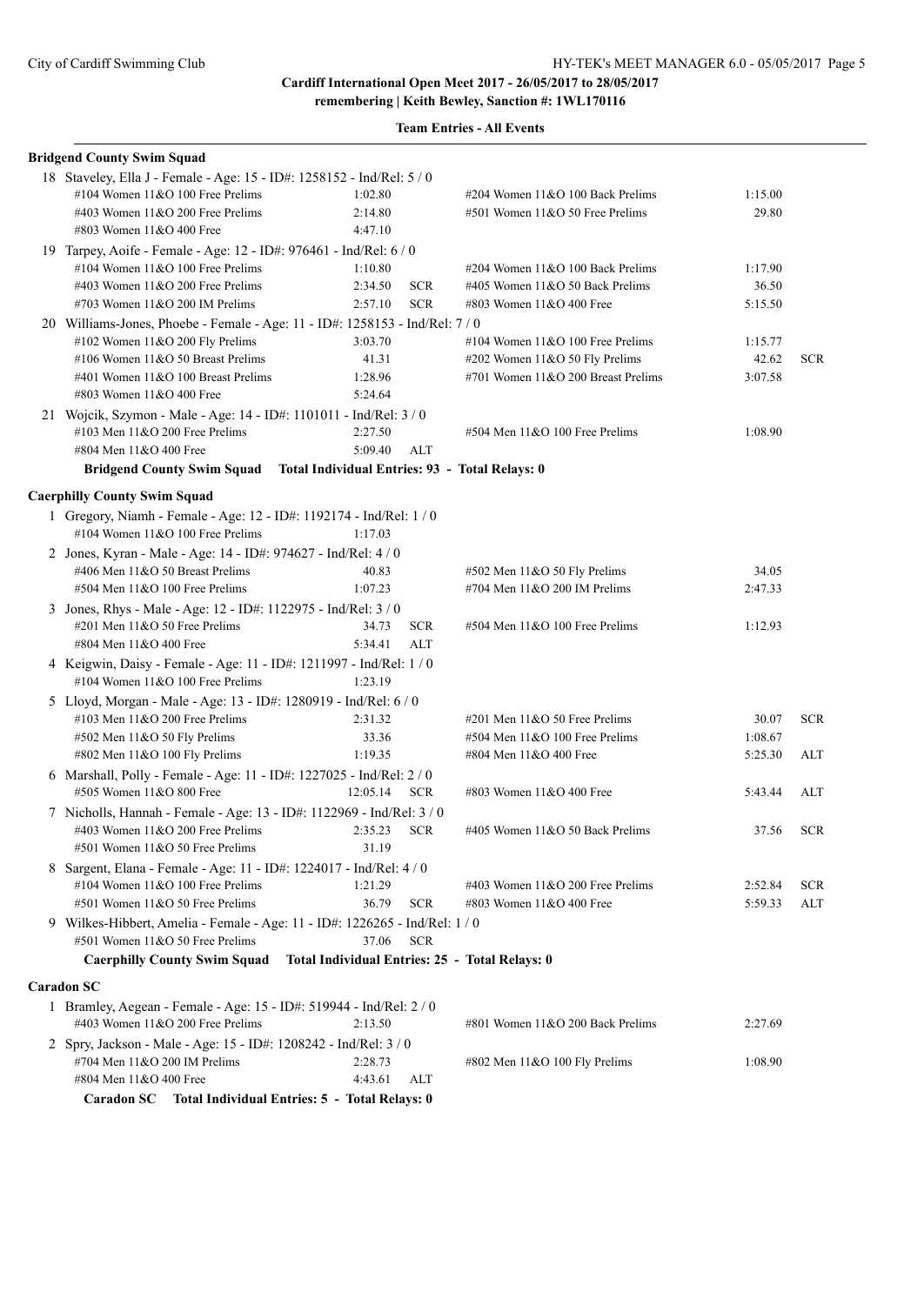**remembering | Keith Bewley, Sanction #: 1WL170116**

| <b>Bridgend County Swim Squad</b>                                                                       |                    |            |                                                |         |            |
|---------------------------------------------------------------------------------------------------------|--------------------|------------|------------------------------------------------|---------|------------|
| 18 Staveley, Ella J - Female - Age: 15 - ID#: 1258152 - Ind/Rel: 5 / 0                                  |                    |            |                                                |         |            |
| #104 Women 11&O 100 Free Prelims                                                                        | 1:02.80            |            | #204 Women 11&O 100 Back Prelims               | 1:15.00 |            |
| #403 Women $11&O$ 200 Free Prelims                                                                      | 2:14.80            |            | #501 Women 11&O 50 Free Prelims                | 29.80   |            |
| #803 Women 11&O 400 Free                                                                                | 4:47.10            |            |                                                |         |            |
| 19 Tarpey, Aoife - Female - Age: 12 - ID#: 976461 - Ind/Rel: 6 / 0                                      |                    |            |                                                |         |            |
| #104 Women 11&O 100 Free Prelims                                                                        | 1:10.80            |            | #204 Women 11&O 100 Back Prelims               | 1:17.90 |            |
| #403 Women 11&O 200 Free Prelims                                                                        | 2:34.50            | <b>SCR</b> | #405 Women 11&O 50 Back Prelims                | 36.50   |            |
| #703 Women $11&O$ 200 IM Prelims                                                                        | 2:57.10            | <b>SCR</b> | #803 Women 11&O 400 Free                       | 5:15.50 |            |
| 20 Williams-Jones, Phoebe - Female - Age: 11 - ID#: 1258153 - Ind/Rel: 7 / 0                            |                    |            |                                                |         |            |
| #102 Women $11&O$ 200 Fly Prelims                                                                       | 3:03.70            |            | #104 Women $11&O$ 100 Free Prelims             | 1:15.77 |            |
| #106 Women 11&O 50 Breast Prelims                                                                       | 41.31              |            | #202 Women 11&O 50 Fly Prelims                 | 42.62   | <b>SCR</b> |
| #401 Women 11&O 100 Breast Prelims                                                                      | 1:28.96            |            | #701 Women 11&O 200 Breast Prelims             | 3:07.58 |            |
| #803 Women 11&O 400 Free                                                                                | 5:24.64            |            |                                                |         |            |
| 21 Wojcik, Szymon - Male - Age: 14 - ID#: 1101011 - Ind/Rel: 3 / 0                                      |                    |            |                                                |         |            |
| #103 Men $11&O$ 200 Free Prelims                                                                        | 2:27.50            |            | #504 Men 11&O 100 Free Prelims                 | 1:08.90 |            |
| #804 Men 11&O 400 Free                                                                                  | 5:09.40            | ALT        |                                                |         |            |
| Bridgend County Swim Squad Total Individual Entries: 93 - Total Relays: 0                               |                    |            |                                                |         |            |
| <b>Caerphilly County Swim Squad</b>                                                                     |                    |            |                                                |         |            |
| 1 Gregory, Niamh - Female - Age: 12 - ID#: 1192174 - Ind/Rel: 1 / 0                                     |                    |            |                                                |         |            |
| #104 Women 11&O 100 Free Prelims                                                                        | 1:17.03            |            |                                                |         |            |
| 2 Jones, Kyran - Male - Age: 14 - ID#: 974627 - Ind/Rel: 4 / 0                                          |                    |            |                                                |         |            |
| #406 Men 11&O 50 Breast Prelims                                                                         | 40.83              |            | $\#502$ Men 11&O 50 Fly Prelims                | 34.05   |            |
| #504 Men 11&O 100 Free Prelims                                                                          | 1:07.23            |            | #704 Men 11&O 200 IM Prelims                   | 2:47.33 |            |
| 3 Jones, Rhys - Male - Age: 12 - ID#: 1122975 - Ind/Rel: 3 / 0                                          |                    |            |                                                |         |            |
| #201 Men 11&O 50 Free Prelims                                                                           | 34.73              | <b>SCR</b> | $#504$ Men $11&O$ 100 Free Prelims             | 1:12.93 |            |
| #804 Men 11&O 400 Free                                                                                  | 5:34.41            | ALT        |                                                |         |            |
| 4 Keigwin, Daisy - Female - Age: 11 - ID#: 1211997 - Ind/Rel: 1 / 0                                     |                    |            |                                                |         |            |
| #104 Women $11&O$ 100 Free Prelims                                                                      | 1:23.19            |            |                                                |         |            |
| 5 Lloyd, Morgan - Male - Age: 13 - ID#: 1280919 - Ind/Rel: 6 / 0                                        |                    |            |                                                |         |            |
| #103 Men $11&O$ 200 Free Prelims                                                                        | 2:31.32            |            | #201 Men 11&O 50 Free Prelims                  | 30.07   | $SCR$      |
| #502 Men 11&O 50 Fly Prelims                                                                            | 33.36              |            | $#504$ Men $11&O$ 100 Free Prelims             | 1:08.67 |            |
| #802 Men 11&O 100 Fly Prelims                                                                           | 1:19.35            |            | #804 Men 11&O 400 Free                         | 5:25.30 | ALT        |
| 6 Marshall, Polly - Female - Age: 11 - ID#: 1227025 - Ind/Rel: 2 / 0                                    |                    |            |                                                |         |            |
| #505 Women 11&O 800 Free                                                                                | 12:05.14           | <b>SCR</b> | #803 Women 11&O 400 Free                       | 5:43.44 | ALT        |
| 7 Nicholls, Hannah - Female - Age: 13 - ID#: 1122969 - Ind/Rel: 3 / 0                                   |                    |            |                                                |         |            |
| #403 Women 11&O 200 Free Prelims                                                                        | 2:35.23            | <b>SCR</b> | #405 Women 11&O 50 Back Prelims                | 37.56   | <b>SCR</b> |
| #501 Women 11&O 50 Free Prelims                                                                         | 31.19              |            |                                                |         |            |
| 8 Sargent, Elana - Female - Age: 11 - ID#: 1224017 - Ind/Rel: 4 / 0                                     |                    |            |                                                |         |            |
| #104 Women 11&O 100 Free Prelims                                                                        | 1:21.29            |            | #403 Women 11&O 200 Free Prelims               | 2:52.84 | <b>SCR</b> |
| #501 Women 11&O 50 Free Prelims                                                                         | 36.79              | <b>SCR</b> | #803 Women 11&O 400 Free                       | 5:59.33 | ALT        |
| 9 Wilkes-Hibbert, Amelia - Female - Age: 11 - ID#: 1226265 - Ind/Rel: 1 / 0                             |                    |            |                                                |         |            |
| #501 Women 11&O 50 Free Prelims                                                                         | 37.06              | <b>SCR</b> |                                                |         |            |
| <b>Caerphilly County Swim Squad</b>                                                                     |                    |            | Total Individual Entries: 25 - Total Relays: 0 |         |            |
|                                                                                                         |                    |            |                                                |         |            |
| <b>Caradon SC</b>                                                                                       |                    |            |                                                |         |            |
| 1 Bramley, Aegean - Female - Age: 15 - ID#: 519944 - Ind/Rel: 2 / 0<br>#403 Women 11&O 200 Free Prelims | 2:13.50            |            | #801 Women 11&O 200 Back Prelims               | 2:27.69 |            |
|                                                                                                         |                    |            |                                                |         |            |
| 2 Spry, Jackson - Male - Age: 15 - ID#: 1208242 - Ind/Rel: 3 / 0<br>#704 Men 11&O 200 IM Prelims        |                    |            |                                                |         |            |
| #804 Men 11&O 400 Free                                                                                  | 2:28.73<br>4:43.61 | ALT        | #802 Men 11&O 100 Fly Prelims                  | 1:08.90 |            |
| Caradon SC Total Individual Entries: 5 - Total Relays: 0                                                |                    |            |                                                |         |            |
|                                                                                                         |                    |            |                                                |         |            |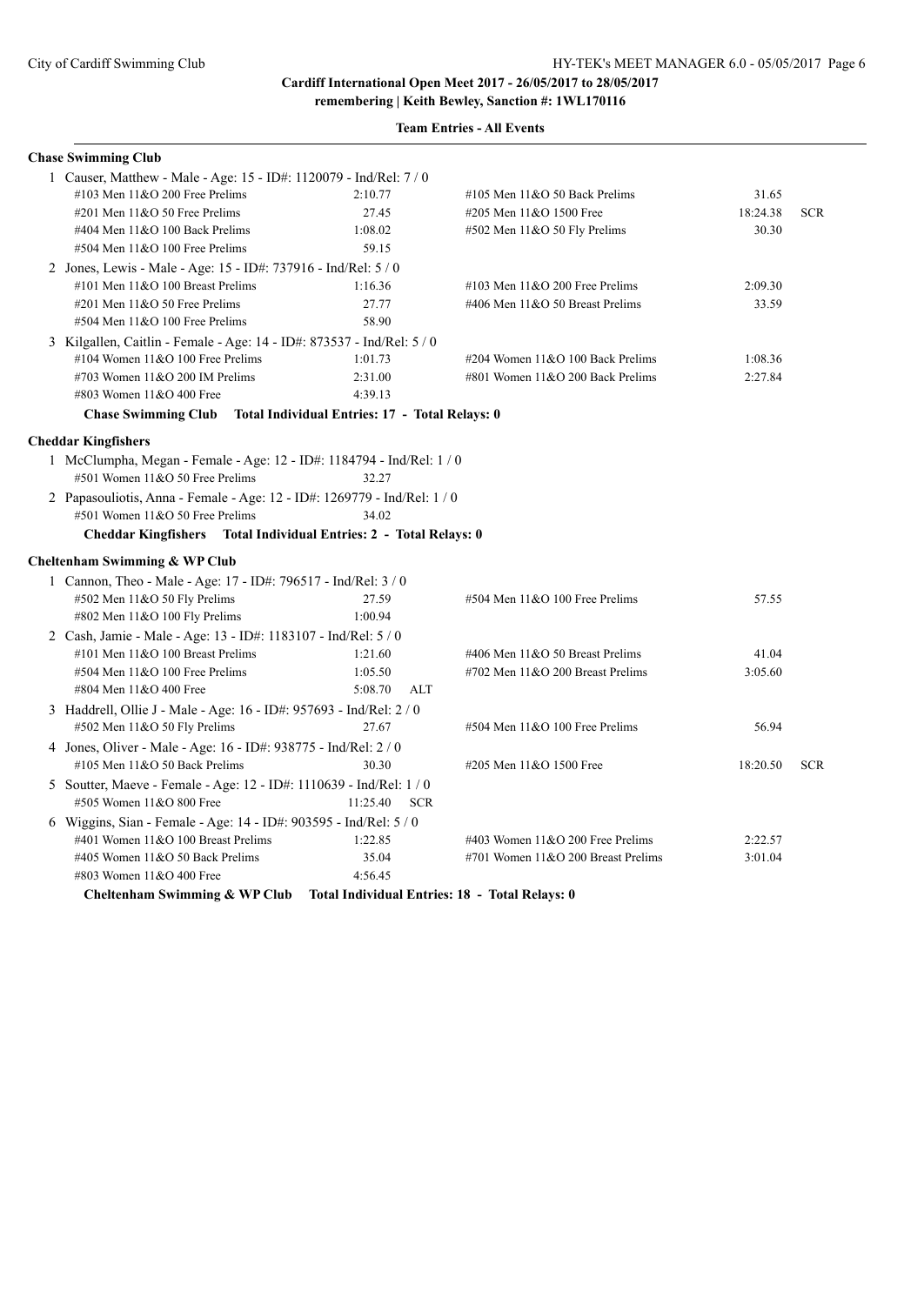**remembering | Keith Bewley, Sanction #: 1WL170116 Team Entries - All Events**

| <b>Chase Swimming Club</b>                                               |                                                |                                    |          |            |
|--------------------------------------------------------------------------|------------------------------------------------|------------------------------------|----------|------------|
| 1 Causer, Matthew - Male - Age: 15 - ID#: 1120079 - Ind/Rel: 7 / 0       |                                                |                                    |          |            |
| #103 Men $11&O$ 200 Free Prelims                                         | 2:10.77                                        | #105 Men $11&O$ 50 Back Prelims    | 31.65    |            |
| $\#201$ Men $11&O$ 50 Free Prelims                                       | 27.45                                          | #205 Men 11&O 1500 Free            | 18:24.38 | <b>SCR</b> |
| #404 Men 11&O 100 Back Prelims                                           | 1:08.02                                        | $#502$ Men 11&O 50 Fly Prelims     | 30.30    |            |
| #504 Men 11&O 100 Free Prelims                                           | 59.15                                          |                                    |          |            |
| 2 Jones, Lewis - Male - Age: 15 - ID#: 737916 - Ind/Rel: 5 / 0           |                                                |                                    |          |            |
| #101 Men $11&O$ 100 Breast Prelims                                       | 1:16.36                                        | #103 Men $11&O$ 200 Free Prelims   | 2:09.30  |            |
| #201 Men 11&O 50 Free Prelims                                            | 27.77                                          | #406 Men 11&O 50 Breast Prelims    | 33.59    |            |
| #504 Men 11&O 100 Free Prelims                                           | 58.90                                          |                                    |          |            |
| 3 Kilgallen, Caitlin - Female - Age: 14 - ID#: 873537 - Ind/Rel: 5 / 0   |                                                |                                    |          |            |
| #104 Women $11&O$ 100 Free Prelims                                       | 1:01.73                                        | #204 Women 11&O 100 Back Prelims   | 1:08.36  |            |
| #703 Women $11&O$ 200 IM Prelims                                         | 2:31.00                                        | #801 Women 11&O 200 Back Prelims   | 2:27.84  |            |
| #803 Women 11&O 400 Free                                                 | 4:39.13                                        |                                    |          |            |
| <b>Chase Swimming Club</b>                                               | Total Individual Entries: 17 - Total Relays: 0 |                                    |          |            |
| <b>Cheddar Kingfishers</b>                                               |                                                |                                    |          |            |
| 1 McClumpha, Megan - Female - Age: 12 - ID#: 1184794 - Ind/Rel: 1 / 0    |                                                |                                    |          |            |
| #501 Women 11&O 50 Free Prelims                                          | 32.27                                          |                                    |          |            |
| 2 Papasouliotis, Anna - Female - Age: 12 - ID#: 1269779 - Ind/Rel: 1 / 0 |                                                |                                    |          |            |
| #501 Women 11&O 50 Free Prelims                                          | 34.02                                          |                                    |          |            |
| Cheddar Kingfishers  Total Individual Entries: 2 - Total Relays: 0       |                                                |                                    |          |            |
|                                                                          |                                                |                                    |          |            |
| Cheltenham Swimming & WP Club                                            |                                                |                                    |          |            |
| 1 Cannon, Theo - Male - Age: 17 - ID#: 796517 - Ind/Rel: 3 / 0           |                                                |                                    |          |            |
| #502 Men 11&O 50 Fly Prelims                                             | 27.59                                          | $#504$ Men $11&O$ 100 Free Prelims | 57.55    |            |
| #802 Men $11&O$ 100 Fly Prelims                                          | 1:00.94                                        |                                    |          |            |
| 2 Cash, Jamie - Male - Age: 13 - ID#: 1183107 - Ind/Rel: 5 / 0           |                                                |                                    |          |            |
| #101 Men 11&O 100 Breast Prelims                                         | 1:21.60                                        | #406 Men 11&O 50 Breast Prelims    | 41.04    |            |
| #504 Men 11&O 100 Free Prelims                                           | 1:05.50                                        | #702 Men $11&O$ 200 Breast Prelims | 3:05.60  |            |
| #804 Men 11&O 400 Free                                                   | 5:08.70<br><b>ALT</b>                          |                                    |          |            |
| 3 Haddrell, Ollie J - Male - Age: 16 - ID#: 957693 - Ind/Rel: 2 / 0      |                                                |                                    |          |            |
| #502 Men 11&O 50 Fly Prelims                                             | 27.67                                          | #504 Men 11&O 100 Free Prelims     | 56.94    |            |
| 4 Jones, Oliver - Male - Age: 16 - ID#: 938775 - Ind/Rel: 2 / 0          |                                                |                                    |          |            |
| #105 Men 11&O 50 Back Prelims                                            | 30.30                                          | #205 Men 11&O 1500 Free            | 18:20.50 | <b>SCR</b> |
| 5 Soutter, Maeve - Female - Age: 12 - ID#: 1110639 - Ind/Rel: 1 / 0      |                                                |                                    |          |            |
| #505 Women 11&O 800 Free                                                 | 11:25.40<br><b>SCR</b>                         |                                    |          |            |
| 6 Wiggins, Sian - Female - Age: 14 - ID#: 903595 - Ind/Rel: 5 / 0        |                                                |                                    |          |            |
| #401 Women 11&O 100 Breast Prelims                                       | 1:22.85                                        | #403 Women $11&O$ 200 Free Prelims | 2:22.57  |            |
| #405 Women 11&O 50 Back Prelims                                          | 35.04                                          | #701 Women 11&O 200 Breast Prelims | 3:01.04  |            |
| #803 Women 11&O 400 Free                                                 | 4:56.45                                        |                                    |          |            |
|                                                                          |                                                |                                    |          |            |

**Cheltenham Swimming & WP Club Total Individual Entries: 18 - Total Relays: 0**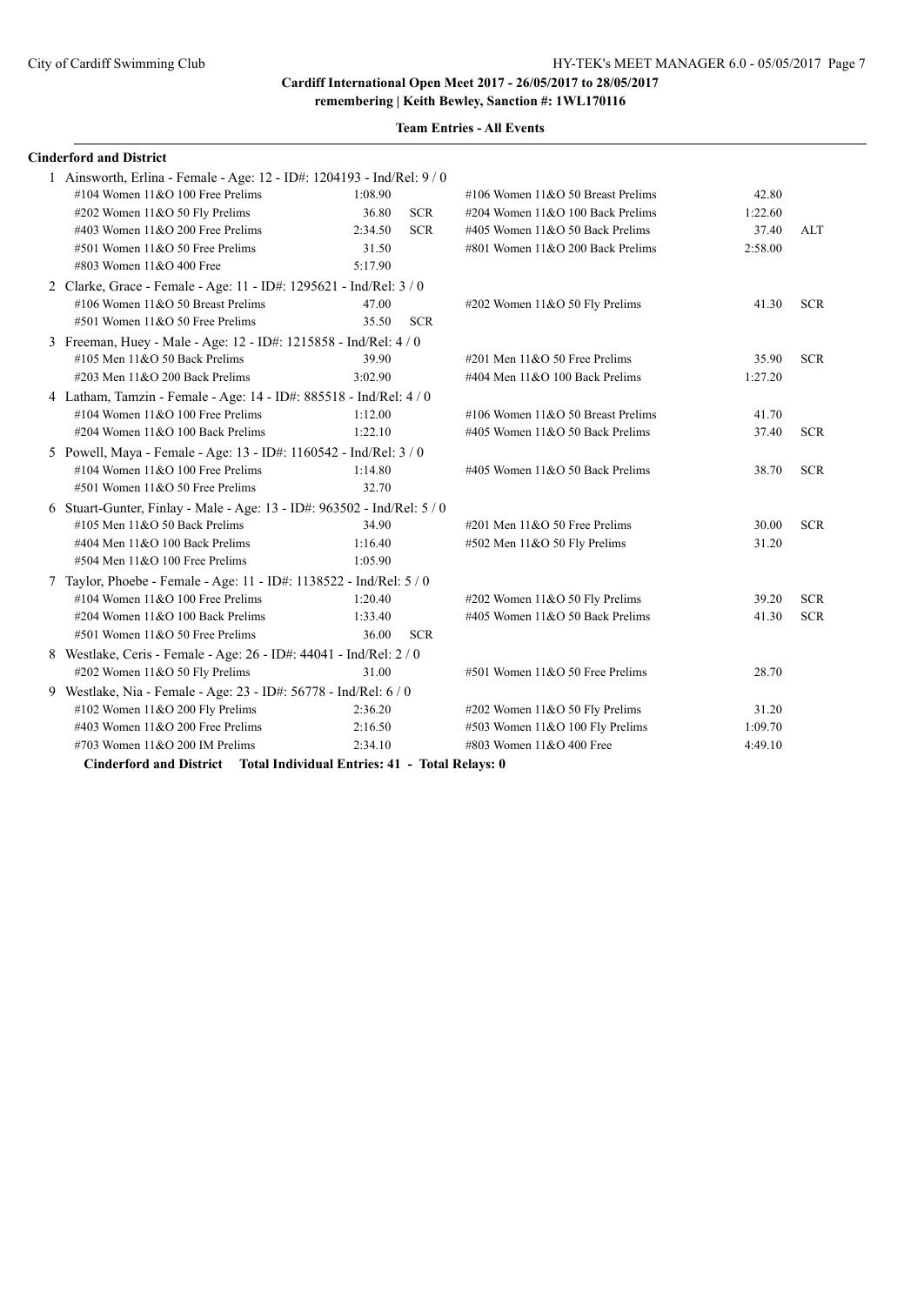**remembering | Keith Bewley, Sanction #: 1WL170116**

| <b>Team Entries - All Events</b> |  |  |
|----------------------------------|--|--|
|----------------------------------|--|--|

### **Cinderford and District**

| 1 Ainsworth, Erlina - Female - Age: 12 - ID#: 1204193 - Ind/Rel: 9 / 0  |         |            |                                     |         |            |
|-------------------------------------------------------------------------|---------|------------|-------------------------------------|---------|------------|
| #104 Women $11&O$ 100 Free Prelims                                      | 1:08.90 |            | #106 Women $11&O$ 50 Breast Prelims | 42.80   |            |
| #202 Women 11&O 50 Fly Prelims                                          | 36.80   | <b>SCR</b> | #204 Women 11&O 100 Back Prelims    | 1:22.60 |            |
| #403 Women $11&O$ 200 Free Prelims                                      | 2:34.50 | <b>SCR</b> | #405 Women 11&O 50 Back Prelims     | 37.40   | ALT        |
| #501 Women 11&O 50 Free Prelims                                         | 31.50   |            | #801 Women 11&O 200 Back Prelims    | 2:58.00 |            |
| #803 Women 11&O 400 Free                                                | 5:17.90 |            |                                     |         |            |
| 2 Clarke, Grace - Female - Age: 11 - ID#: 1295621 - Ind/Rel: 3 / 0      |         |            |                                     |         |            |
| #106 Women 11&O 50 Breast Prelims                                       | 47.00   |            | #202 Women 11&O 50 Fly Prelims      | 41.30   | <b>SCR</b> |
| #501 Women 11&O 50 Free Prelims                                         | 35.50   | <b>SCR</b> |                                     |         |            |
| 3 Freeman, Huey - Male - Age: 12 - ID#: 1215858 - Ind/Rel: 4 / 0        |         |            |                                     |         |            |
| $\#105$ Men $11&O$ 50 Back Prelims                                      | 39.90   |            | #201 Men $11&0$ 50 Free Prelims     | 35.90   | <b>SCR</b> |
| #203 Men 11&O 200 Back Prelims                                          | 3:02.90 |            | #404 Men 11&O 100 Back Prelims      | 1:27.20 |            |
| 4 Latham, Tamzin - Female - Age: 14 - ID#: 885518 - Ind/Rel: 4/0        |         |            |                                     |         |            |
| #104 Women $11&O$ 100 Free Prelims                                      | 1:12.00 |            | #106 Women 11&O 50 Breast Prelims   | 41.70   |            |
| #204 Women 11&O 100 Back Prelims                                        | 1:22.10 |            | #405 Women 11&O 50 Back Prelims     | 37.40   | <b>SCR</b> |
| 5 Powell, Maya - Female - Age: 13 - ID#: 1160542 - Ind/Rel: 3 / 0       |         |            |                                     |         |            |
| #104 Women $11&O$ 100 Free Prelims                                      | 1:14.80 |            | #405 Women 11&O 50 Back Prelims     | 38.70   | <b>SCR</b> |
| #501 Women 11&O 50 Free Prelims                                         | 32.70   |            |                                     |         |            |
| 6 Stuart-Gunter, Finlay - Male - Age: 13 - ID#: 963502 - Ind/Rel: 5 / 0 |         |            |                                     |         |            |
| #105 Men 11&O 50 Back Prelims                                           | 34.90   |            | #201 Men 11&O 50 Free Prelims       | 30.00   | <b>SCR</b> |
| #404 Men 11&O 100 Back Prelims                                          | 1:16.40 |            | #502 Men 11&O 50 Fly Prelims        | 31.20   |            |
| #504 Men 11&O 100 Free Prelims                                          | 1:05.90 |            |                                     |         |            |
| 7 Taylor, Phoebe - Female - Age: 11 - ID#: 1138522 - Ind/Rel: 5 / 0     |         |            |                                     |         |            |
| #104 Women $11&O$ 100 Free Prelims                                      | 1:20.40 |            | #202 Women 11&O 50 Fly Prelims      | 39.20   | <b>SCR</b> |
| #204 Women 11&O 100 Back Prelims                                        | 1:33.40 |            | #405 Women 11&O 50 Back Prelims     | 41.30   | <b>SCR</b> |
| $#501$ Women $11&O 50$ Free Prelims                                     | 36.00   | <b>SCR</b> |                                     |         |            |
| 8 Westlake, Ceris - Female - Age: 26 - ID#: 44041 - Ind/Rel: 2 / 0      |         |            |                                     |         |            |
| #202 Women 11&O 50 Fly Prelims                                          | 31.00   |            | #501 Women 11&O 50 Free Prelims     | 28.70   |            |
| 9 Westlake, Nia - Female - Age: 23 - ID#: 56778 - Ind/Rel: 6 / 0        |         |            |                                     |         |            |
| #102 Women 11&O 200 Fly Prelims                                         | 2:36.20 |            | #202 Women $11&O 50$ Fly Prelims    | 31.20   |            |
| #403 Women 11&O 200 Free Prelims                                        | 2:16.50 |            | #503 Women 11&O 100 Fly Prelims     | 1:09.70 |            |
| #703 Women 11&O 200 IM Prelims                                          | 2:34.10 |            | #803 Women 11&O 400 Free            | 4:49.10 |            |
| Cinderford and District Total Individual Entries: 41 - Total Relays: 0  |         |            |                                     |         |            |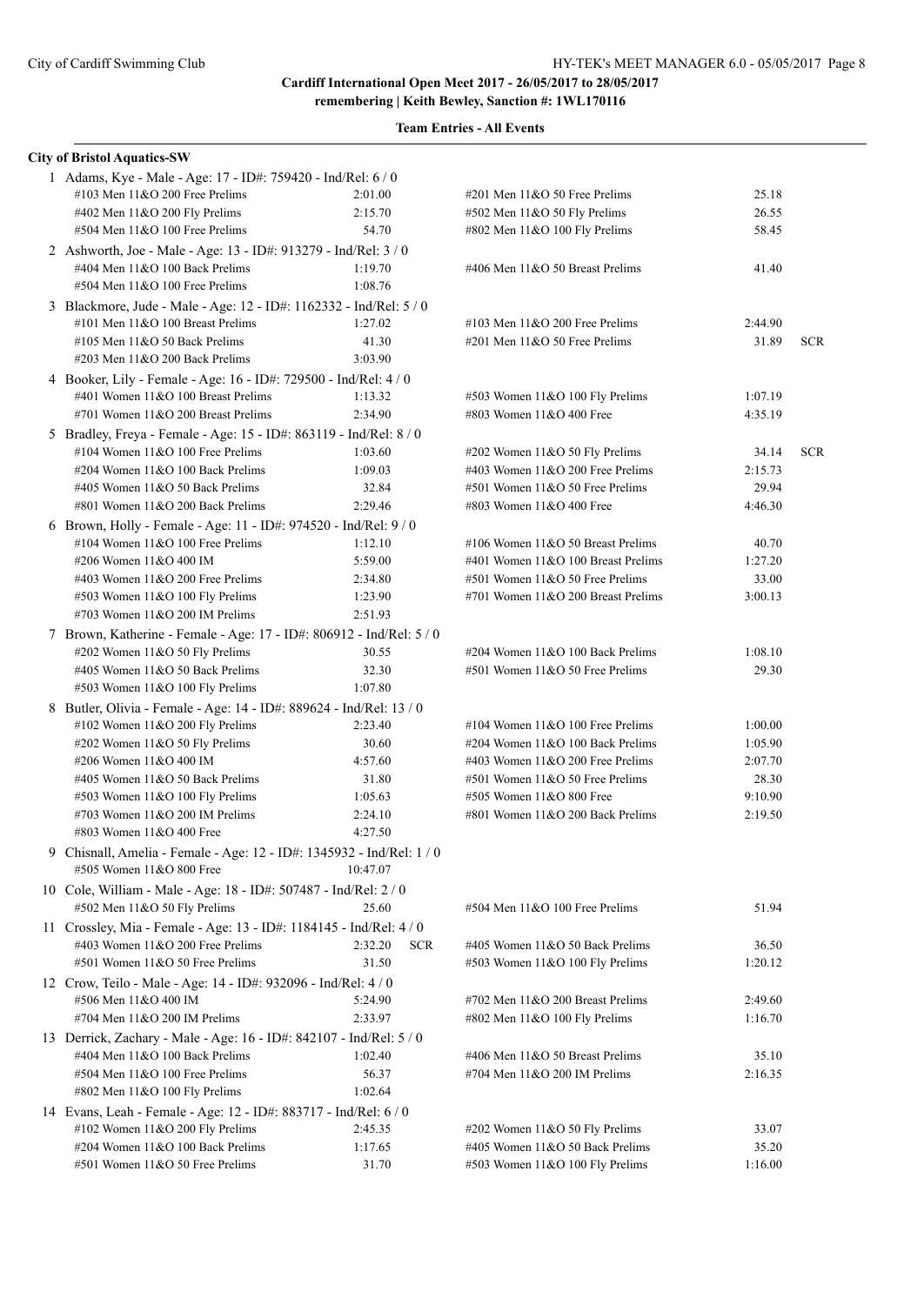| <b>City of Bristol Aquatics-SW</b>                                   |                       |                                      |         |            |
|----------------------------------------------------------------------|-----------------------|--------------------------------------|---------|------------|
| 1 Adams, Kye - Male - Age: 17 - ID#: 759420 - Ind/Rel: 6 / 0         |                       |                                      |         |            |
| #103 Men $11&O$ 200 Free Prelims                                     | 2:01.00               | #201 Men 11&O 50 Free Prelims        | 25.18   |            |
| #402 Men 11&O 200 Fly Prelims                                        | 2:15.70               | #502 Men 11&O 50 Fly Prelims         | 26.55   |            |
| #504 Men 11&O 100 Free Prelims                                       | 54.70                 | #802 Men 11&O 100 Fly Prelims        | 58.45   |            |
| 2 Ashworth, Joe - Male - Age: 13 - ID#: 913279 - Ind/Rel: 3 / 0      |                       |                                      |         |            |
| #404 Men 11&O 100 Back Prelims                                       | 1:19.70               | #406 Men 11&O 50 Breast Prelims      | 41.40   |            |
| #504 Men 11&O 100 Free Prelims                                       | 1:08.76               |                                      |         |            |
| 3 Blackmore, Jude - Male - Age: 12 - ID#: 1162332 - Ind/Rel: 5 / 0   |                       |                                      |         |            |
| #101 Men 11&O 100 Breast Prelims                                     | 1:27.02               | #103 Men $11&O$ 200 Free Prelims     | 2:44.90 |            |
| #105 Men 11&O 50 Back Prelims                                        | 41.30                 | #201 Men 11&O 50 Free Prelims        | 31.89   | <b>SCR</b> |
| #203 Men $11&O$ 200 Back Prelims                                     | 3:03.90               |                                      |         |            |
| 4 Booker, Lily - Female - Age: 16 - ID#: 729500 - Ind/Rel: 4 / 0     |                       |                                      |         |            |
| #401 Women 11&O 100 Breast Prelims                                   | 1:13.32               | #503 Women 11&O 100 Fly Prelims      | 1:07.19 |            |
| #701 Women 11&O 200 Breast Prelims                                   | 2:34.90               | #803 Women 11&O 400 Free             | 4:35.19 |            |
| 5 Bradley, Freya - Female - Age: 15 - ID#: 863119 - Ind/Rel: 8 / 0   |                       |                                      |         |            |
| #104 Women $11&O$ 100 Free Prelims                                   | 1:03.60               | #202 Women 11&O 50 Fly Prelims       | 34.14   | <b>SCR</b> |
| #204 Women 11&O 100 Back Prelims                                     | 1:09.03               | #403 Women 11&O 200 Free Prelims     | 2:15.73 |            |
| #405 Women 11&O 50 Back Prelims                                      | 32.84                 | #501 Women 11&O 50 Free Prelims      | 29.94   |            |
| #801 Women 11&O 200 Back Prelims                                     | 2:29.46               | #803 Women 11&O 400 Free             | 4:46.30 |            |
| 6 Brown, Holly - Female - Age: 11 - ID#: 974520 - Ind/Rel: 9 / 0     |                       |                                      |         |            |
| #104 Women 11&O 100 Free Prelims                                     | 1:12.10               | #106 Women $11&O$ 50 Breast Prelims  | 40.70   |            |
| #206 Women 11&O 400 IM                                               | 5:59.00               | #401 Women $11&O 100$ Breast Prelims | 1:27.20 |            |
| #403 Women $11&O$ 200 Free Prelims                                   | 2:34.80               | #501 Women 11&O 50 Free Prelims      | 33.00   |            |
| #503 Women 11&O 100 Fly Prelims                                      | 1:23.90               | #701 Women $11&O$ 200 Breast Prelims | 3:00.13 |            |
| #703 Women $11&O$ 200 IM Prelims                                     | 2:51.93               |                                      |         |            |
| 7 Brown, Katherine - Female - Age: 17 - ID#: 806912 - Ind/Rel: 5 / 0 |                       |                                      |         |            |
| #202 Women 11&O 50 Fly Prelims                                       | 30.55                 | #204 Women 11&O 100 Back Prelims     | 1:08.10 |            |
| #405 Women 11&O 50 Back Prelims                                      | 32.30                 | #501 Women 11&O 50 Free Prelims      | 29.30   |            |
| #503 Women 11&O 100 Fly Prelims                                      | 1:07.80               |                                      |         |            |
| 8 Butler, Olivia - Female - Age: 14 - ID#: 889624 - Ind/Rel: 13 / 0  |                       |                                      |         |            |
| #102 Women 11&O 200 Fly Prelims                                      | 2:23.40               | #104 Women $11&O$ 100 Free Prelims   | 1:00.00 |            |
| #202 Women 11&O 50 Fly Prelims                                       | 30.60                 | #204 Women 11&O 100 Back Prelims     | 1:05.90 |            |
| #206 Women 11&O 400 IM                                               | 4:57.60               | #403 Women $11&O$ 200 Free Prelims   | 2:07.70 |            |
| #405 Women 11&O 50 Back Prelims                                      | 31.80                 | #501 Women 11&O 50 Free Prelims      | 28.30   |            |
| #503 Women 11&O 100 Fly Prelims                                      | 1:05.63               | #505 Women 11&O 800 Free             | 9:10.90 |            |
| #703 Women $11&O$ 200 IM Prelims                                     | 2:24.10               | #801 Women 11&O 200 Back Prelims     | 2:19.50 |            |
| #803 Women 11&O 400 Free                                             | 4:27.50               |                                      |         |            |
| Chisnall, Amelia - Female - Age: 12 - ID#: 1345932 - Ind/Rel: 1 / 0  |                       |                                      |         |            |
| #505 Women 11&O 800 Free                                             | 10:47.07              |                                      |         |            |
| 10 Cole, William - Male - Age: 18 - ID#: 507487 - Ind/Rel: 2 / 0     |                       |                                      |         |            |
| #502 Men 11&O 50 Fly Prelims                                         | 25.60                 | #504 Men 11&O 100 Free Prelims       | 51.94   |            |
| 11 Crossley, Mia - Female - Age: 13 - ID#: 1184145 - Ind/Rel: 4 / 0  |                       |                                      |         |            |
| #403 Women 11&O 200 Free Prelims                                     | 2:32.20<br><b>SCR</b> | #405 Women 11&O 50 Back Prelims      | 36.50   |            |
| #501 Women 11&O 50 Free Prelims                                      | 31.50                 | #503 Women 11&O 100 Fly Prelims      | 1:20.12 |            |
| 12 Crow, Teilo - Male - Age: 14 - ID#: 932096 - Ind/Rel: 4 / 0       |                       |                                      |         |            |
| #506 Men 11&O 400 IM                                                 | 5:24.90               | #702 Men 11&O 200 Breast Prelims     | 2:49.60 |            |
| #704 Men $11&O$ 200 IM Prelims                                       | 2:33.97               | #802 Men 11&O 100 Fly Prelims        | 1:16.70 |            |
| 13 Derrick, Zachary - Male - Age: 16 - ID#: 842107 - Ind/Rel: 5 / 0  |                       |                                      |         |            |
| #404 Men $11&O 100$ Back Prelims                                     | 1:02.40               | #406 Men 11&O 50 Breast Prelims      | 35.10   |            |
| $#504$ Men $11&O$ 100 Free Prelims                                   | 56.37                 | #704 Men 11&O 200 IM Prelims         | 2:16.35 |            |
| #802 Men 11&O 100 Fly Prelims                                        | 1:02.64               |                                      |         |            |
| 14 Evans, Leah - Female - Age: 12 - ID#: 883717 - Ind/Rel: 6 / 0     |                       |                                      |         |            |
| #102 Women 11&O 200 Fly Prelims                                      | 2:45.35               | #202 Women 11&O 50 Fly Prelims       | 33.07   |            |
| #204 Women 11&O 100 Back Prelims                                     | 1:17.65               | #405 Women 11&O 50 Back Prelims      | 35.20   |            |
| #501 Women 11&O 50 Free Prelims                                      | 31.70                 | #503 Women 11&O 100 Fly Prelims      | 1:16.00 |            |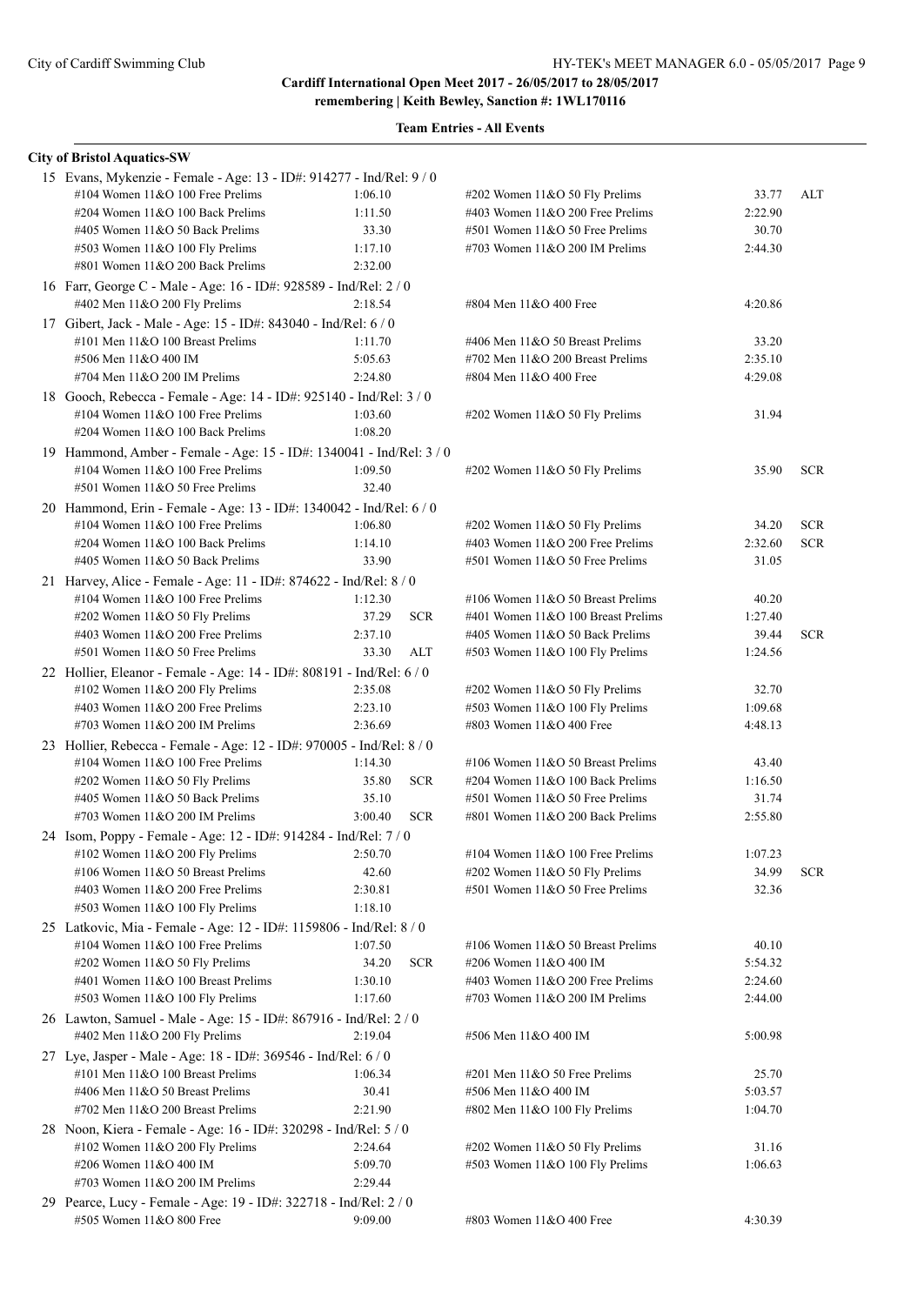| <b>City of Bristol Aquatics-SW</b>                                                                          |         |            |                                     |                  |            |
|-------------------------------------------------------------------------------------------------------------|---------|------------|-------------------------------------|------------------|------------|
| 15 Evans, Mykenzie - Female - Age: 13 - ID#: 914277 - Ind/Rel: 9 / 0                                        |         |            |                                     |                  |            |
| #104 Women $11&O$ 100 Free Prelims                                                                          | 1:06.10 |            | #202 Women 11&O 50 Fly Prelims      | 33.77            | ALT        |
| #204 Women 11&O 100 Back Prelims                                                                            | 1:11.50 |            | #403 Women $11&O$ 200 Free Prelims  | 2:22.90          |            |
| #405 Women 11&O 50 Back Prelims                                                                             | 33.30   |            | $#501$ Women $11&O 50$ Free Prelims | 30.70            |            |
| #503 Women 11&O 100 Fly Prelims                                                                             | 1:17.10 |            | #703 Women $11&O$ 200 IM Prelims    | 2:44.30          |            |
| #801 Women 11&O 200 Back Prelims                                                                            | 2:32.00 |            |                                     |                  |            |
| 16 Farr, George C - Male - Age: 16 - ID#: 928589 - Ind/Rel: 2 / 0                                           |         |            |                                     |                  |            |
| #402 Men 11&O 200 Fly Prelims                                                                               | 2:18.54 |            | #804 Men 11&O 400 Free              | 4:20.86          |            |
| 17 Gibert, Jack - Male - Age: 15 - ID#: 843040 - Ind/Rel: 6 / 0                                             |         |            |                                     |                  |            |
| #101 Men 11&O 100 Breast Prelims                                                                            | 1:11.70 |            | #406 Men 11&O 50 Breast Prelims     | 33.20            |            |
| #506 Men 11&O 400 IM                                                                                        | 5:05.63 |            | #702 Men $11&O$ 200 Breast Prelims  | 2:35.10          |            |
| #704 Men $11&O$ 200 IM Prelims                                                                              | 2:24.80 |            | #804 Men 11&O 400 Free              | 4:29.08          |            |
| 18 Gooch, Rebecca - Female - Age: 14 - ID#: 925140 - Ind/Rel: 3 / 0                                         |         |            |                                     |                  |            |
| #104 Women 11&O 100 Free Prelims                                                                            | 1:03.60 |            | #202 Women 11&O 50 Fly Prelims      | 31.94            |            |
| #204 Women 11&O 100 Back Prelims                                                                            | 1:08.20 |            |                                     |                  |            |
| 19 Hammond, Amber - Female - Age: 15 - ID#: 1340041 - Ind/Rel: 3 / 0                                        |         |            |                                     |                  |            |
| #104 Women 11&O 100 Free Prelims                                                                            | 1:09.50 |            | #202 Women 11&O 50 Fly Prelims      | 35.90            | <b>SCR</b> |
| #501 Women 11&O 50 Free Prelims                                                                             | 32.40   |            |                                     |                  |            |
| 20 Hammond, Erin - Female - Age: 13 - ID#: 1340042 - Ind/Rel: 6 / 0                                         |         |            |                                     |                  |            |
| #104 Women $11&O$ 100 Free Prelims                                                                          | 1:06.80 |            | #202 Women 11&O 50 Fly Prelims      | 34.20            | <b>SCR</b> |
| #204 Women 11&O 100 Back Prelims                                                                            | 1:14.10 |            | #403 Women 11&O 200 Free Prelims    | 2:32.60          | <b>SCR</b> |
| #405 Women $11&O$ 50 Back Prelims                                                                           | 33.90   |            | #501 Women 11&O 50 Free Prelims     | 31.05            |            |
| 21 Harvey, Alice - Female - Age: 11 - ID#: 874622 - Ind/Rel: 8 / 0                                          |         |            |                                     |                  |            |
| #104 Women $11&O 100$ Free Prelims                                                                          | 1:12.30 |            | #106 Women 11&O 50 Breast Prelims   | 40.20            |            |
| #202 Women 11&O 50 Fly Prelims                                                                              | 37.29   | <b>SCR</b> | #401 Women 11&O 100 Breast Prelims  | 1:27.40          |            |
| #403 Women 11&O 200 Free Prelims                                                                            | 2:37.10 |            | #405 Women 11&O 50 Back Prelims     | 39.44            | <b>SCR</b> |
| $#501$ Women $11&O 50$ Free Prelims                                                                         | 33.30   | ALT        | #503 Women 11&O 100 Fly Prelims     | 1:24.56          |            |
| 22 Hollier, Eleanor - Female - Age: 14 - ID#: 808191 - Ind/Rel: 6 / 0                                       |         |            |                                     |                  |            |
| #102 Women 11&O 200 Fly Prelims                                                                             | 2:35.08 |            | #202 Women 11&O 50 Fly Prelims      | 32.70            |            |
| #403 Women $11&O$ 200 Free Prelims                                                                          | 2:23.10 |            | #503 Women 11&O 100 Fly Prelims     | 1:09.68          |            |
| #703 Women $11&O$ 200 IM Prelims                                                                            | 2:36.69 |            | #803 Women 11&O 400 Free            | 4:48.13          |            |
|                                                                                                             |         |            |                                     |                  |            |
| 23 Hollier, Rebecca - Female - Age: 12 - ID#: 970005 - Ind/Rel: 8 / 0<br>#104 Women $11&O$ 100 Free Prelims | 1:14.30 |            | #106 Women 11&O 50 Breast Prelims   |                  |            |
| #202 Women 11&O 50 Fly Prelims                                                                              | 35.80   | <b>SCR</b> | #204 Women 11&O 100 Back Prelims    | 43.40<br>1:16.50 |            |
| #405 Women 11&O 50 Back Prelims                                                                             | 35.10   |            | #501 Women 11&O 50 Free Prelims     |                  |            |
| #703 Women $11&O$ 200 IM Prelims                                                                            | 3:00.40 | <b>SCR</b> | #801 Women 11&O 200 Back Prelims    | 31.74<br>2:55.80 |            |
|                                                                                                             |         |            |                                     |                  |            |
| 24 Isom, Poppy - Female - Age: 12 - ID#: 914284 - Ind/Rel: 7 / 0                                            |         |            |                                     |                  |            |
| #102 Women 11&O 200 Fly Prelims                                                                             | 2:50.70 |            | #104 Women 11&O 100 Free Prelims    | 1:07.23          |            |
| #106 Women $11&O 50$ Breast Prelims                                                                         | 42.60   |            | #202 Women 11&O 50 Fly Prelims      | 34.99            | <b>SCR</b> |
| #403 Women $11&O$ 200 Free Prelims                                                                          | 2:30.81 |            | #501 Women 11&O 50 Free Prelims     | 32.36            |            |
| #503 Women 11&O 100 Fly Prelims                                                                             | 1:18.10 |            |                                     |                  |            |
| 25 Latkovic, Mia - Female - Age: 12 - ID#: 1159806 - Ind/Rel: 8 / 0                                         |         |            |                                     |                  |            |
| #104 Women $11&O$ 100 Free Prelims                                                                          | 1:07.50 |            | #106 Women 11&O 50 Breast Prelims   | 40.10            |            |
| #202 Women 11&O 50 Fly Prelims                                                                              | 34.20   | <b>SCR</b> | #206 Women 11&O 400 IM              | 5:54.32          |            |
| #401 Women 11&O 100 Breast Prelims                                                                          | 1:30.10 |            | #403 Women 11&O 200 Free Prelims    | 2:24.60          |            |
| #503 Women 11&O 100 Fly Prelims                                                                             | 1:17.60 |            | #703 Women 11&O 200 IM Prelims      | 2:44.00          |            |
| 26 Lawton, Samuel - Male - Age: 15 - ID#: 867916 - Ind/Rel: 2 / 0                                           |         |            |                                     |                  |            |
| #402 Men 11&O 200 Fly Prelims                                                                               | 2:19.04 |            | #506 Men 11&O 400 IM                | 5:00.98          |            |
| 27 Lye, Jasper - Male - Age: 18 - ID#: 369546 - Ind/Rel: 6 / 0                                              |         |            |                                     |                  |            |
| #101 Men 11&O 100 Breast Prelims                                                                            | 1:06.34 |            | #201 Men 11&O 50 Free Prelims       | 25.70            |            |
| #406 Men 11&O 50 Breast Prelims                                                                             | 30.41   |            | #506 Men 11&O 400 IM                | 5:03.57          |            |
| #702 Men $11&O$ 200 Breast Prelims                                                                          | 2:21.90 |            | #802 Men 11&O 100 Fly Prelims       | 1:04.70          |            |
| 28 Noon, Kiera - Female - Age: 16 - ID#: 320298 - Ind/Rel: 5 / 0                                            |         |            |                                     |                  |            |
| #102 Women 11&O 200 Fly Prelims                                                                             | 2:24.64 |            | #202 Women 11&O 50 Fly Prelims      | 31.16            |            |
| #206 Women 11&O 400 IM                                                                                      | 5:09.70 |            | #503 Women 11&O 100 Fly Prelims     | 1:06.63          |            |
| #703 Women $11&O$ 200 IM Prelims                                                                            | 2:29.44 |            |                                     |                  |            |
| 29 Pearce, Lucy - Female - Age: 19 - ID#: 322718 - Ind/Rel: 2 / 0                                           |         |            |                                     |                  |            |
| #505 Women 11&O 800 Free                                                                                    | 9:09.00 |            | #803 Women 11&O 400 Free            | 4:30.39          |            |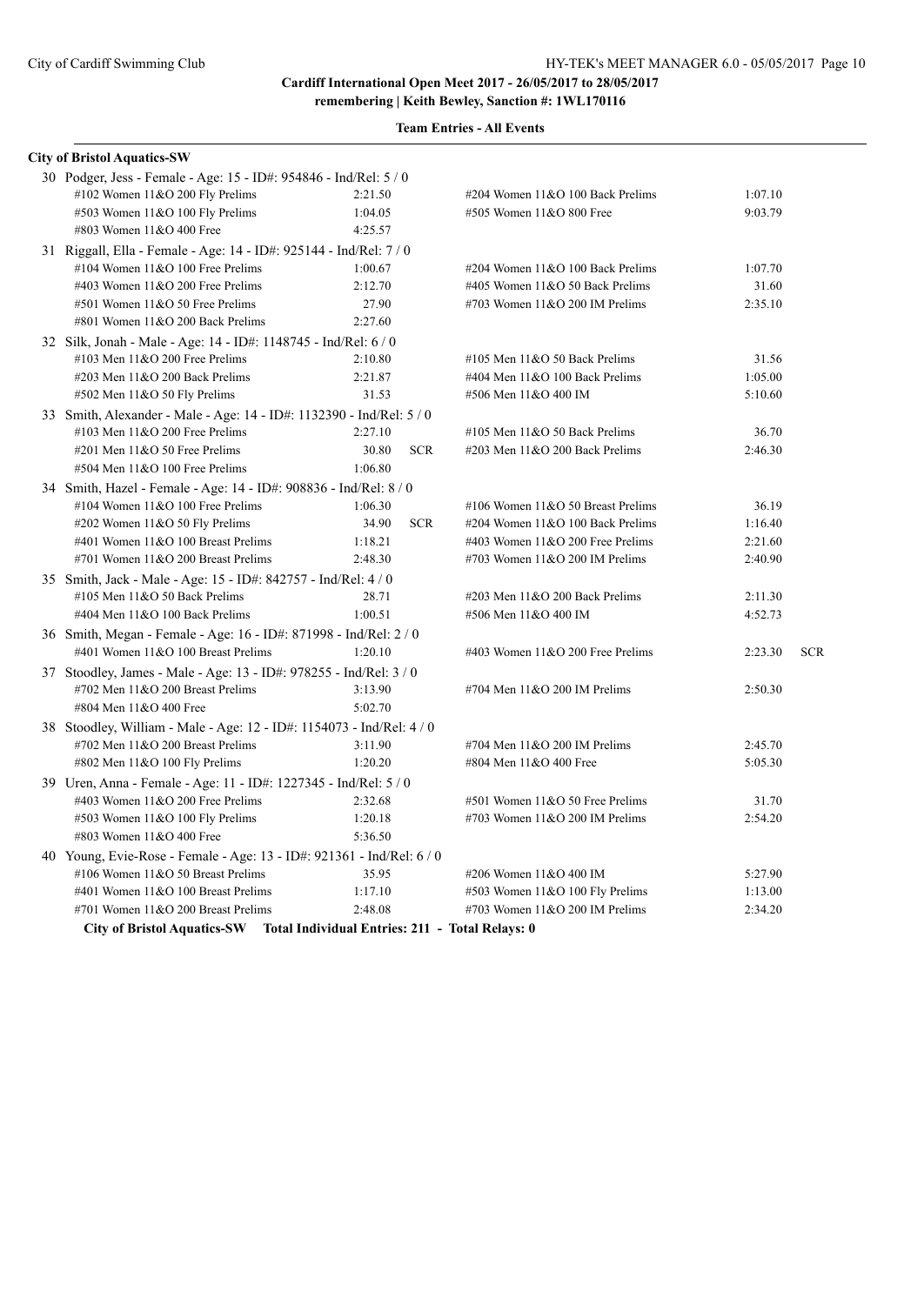|  | <b>Team Entries - All Events</b> |  |  |
|--|----------------------------------|--|--|
|--|----------------------------------|--|--|

| <b>City of Bristol Aquatics-SW</b>                                          |         |                                                |         |            |
|-----------------------------------------------------------------------------|---------|------------------------------------------------|---------|------------|
| 30 Podger, Jess - Female - Age: 15 - ID#: 954846 - Ind/Rel: 5 / 0           |         |                                                |         |            |
| #102 Women 11&O 200 Fly Prelims                                             | 2:21.50 | #204 Women 11&O 100 Back Prelims               | 1:07.10 |            |
| #503 Women 11&O 100 Fly Prelims                                             | 1:04.05 | #505 Women 11&O 800 Free                       | 9:03.79 |            |
| #803 Women 11&O 400 Free                                                    | 4:25.57 |                                                |         |            |
| 31 Riggall, Ella - Female - Age: 14 - ID#: 925144 - Ind/Rel: 7 / 0          |         |                                                |         |            |
| #104 Women $11&O 100$ Free Prelims                                          | 1:00.67 | #204 Women 11&O 100 Back Prelims               | 1:07.70 |            |
| #403 Women 11&O 200 Free Prelims                                            | 2:12.70 | #405 Women 11&O 50 Back Prelims                | 31.60   |            |
| #501 Women 11&O 50 Free Prelims                                             | 27.90   | #703 Women 11&O 200 IM Prelims                 | 2:35.10 |            |
| #801 Women 11&O 200 Back Prelims                                            | 2:27.60 |                                                |         |            |
| 32 Silk, Jonah - Male - Age: 14 - ID#: 1148745 - Ind/Rel: 6 / 0             |         |                                                |         |            |
| #103 Men 11&O 200 Free Prelims                                              | 2:10.80 | #105 Men $11&O$ 50 Back Prelims                | 31.56   |            |
| #203 Men 11&O 200 Back Prelims                                              | 2:21.87 | #404 Men 11&O 100 Back Prelims                 | 1:05.00 |            |
| #502 Men 11&O 50 Fly Prelims                                                | 31.53   | #506 Men 11&O 400 IM                           | 5:10.60 |            |
| 33 Smith, Alexander - Male - Age: 14 - ID#: 1132390 - Ind/Rel: 5 / 0        |         |                                                |         |            |
| #103 Men 11&O 200 Free Prelims                                              | 2:27.10 | #105 Men $11&O$ 50 Back Prelims                | 36.70   |            |
| #201 Men 11&O 50 Free Prelims                                               | 30.80   | <b>SCR</b><br>#203 Men 11&O 200 Back Prelims   | 2:46.30 |            |
| #504 Men 11&O 100 Free Prelims                                              | 1:06.80 |                                                |         |            |
| 34 Smith, Hazel - Female - Age: 14 - ID#: 908836 - Ind/Rel: 8 / 0           |         |                                                |         |            |
| #104 Women $11&O 100$ Free Prelims                                          | 1:06.30 | #106 Women 11&O 50 Breast Prelims              | 36.19   |            |
| #202 Women $11&050$ Fly Prelims                                             | 34.90   | <b>SCR</b><br>#204 Women 11&O 100 Back Prelims | 1:16.40 |            |
| #401 Women 11&O 100 Breast Prelims                                          | 1:18.21 | #403 Women $11&O$ 200 Free Prelims             | 2:21.60 |            |
| #701 Women 11&O 200 Breast Prelims                                          | 2:48.30 | #703 Women $11&O$ 200 IM Prelims               | 2:40.90 |            |
| 35 Smith, Jack - Male - Age: 15 - ID#: 842757 - Ind/Rel: 4 / 0              |         |                                                |         |            |
| #105 Men $11&O$ 50 Back Prelims                                             | 28.71   | #203 Men 11&O 200 Back Prelims                 | 2:11.30 |            |
| #404 Men 11&O 100 Back Prelims                                              | 1:00.51 | #506 Men 11&O 400 IM                           | 4:52.73 |            |
| 36 Smith, Megan - Female - Age: 16 - ID#: 871998 - Ind/Rel: 2 / 0           |         |                                                |         |            |
| #401 Women 11&O 100 Breast Prelims                                          | 1:20.10 | #403 Women $11&O$ 200 Free Prelims             | 2:23.30 | <b>SCR</b> |
| 37 Stoodley, James - Male - Age: 13 - ID#: 978255 - Ind/Rel: 3 / 0          |         |                                                |         |            |
| #702 Men $11&O$ 200 Breast Prelims                                          | 3:13.90 | #704 Men 11&O 200 IM Prelims                   | 2:50.30 |            |
| #804 Men 11&O 400 Free                                                      | 5:02.70 |                                                |         |            |
| 38 Stoodley, William - Male - Age: 12 - ID#: 1154073 - Ind/Rel: 4 / 0       |         |                                                |         |            |
| #702 Men 11&O 200 Breast Prelims                                            | 3:11.90 | #704 Men 11&O 200 IM Prelims                   | 2:45.70 |            |
| #802 Men 11&O 100 Fly Prelims                                               | 1:20.20 | #804 Men 11&O 400 Free                         | 5:05.30 |            |
| 39 Uren, Anna - Female - Age: 11 - ID#: 1227345 - Ind/Rel: 5 / 0            |         |                                                |         |            |
| #403 Women 11&O 200 Free Prelims                                            | 2:32.68 | #501 Women 11&O 50 Free Prelims                | 31.70   |            |
| #503 Women 11&O 100 Fly Prelims                                             | 1:20.18 | #703 Women $11&O$ 200 IM Prelims               | 2:54.20 |            |
| #803 Women 11&O 400 Free                                                    | 5:36.50 |                                                |         |            |
| 40 Young, Evie-Rose - Female - Age: 13 - ID#: 921361 - Ind/Rel: 6 / 0       |         |                                                |         |            |
| #106 Women 11&O 50 Breast Prelims                                           | 35.95   | #206 Women 11&O 400 IM                         | 5:27.90 |            |
| #401 Women 11&O 100 Breast Prelims                                          | 1:17.10 | #503 Women 11&O 100 Fly Prelims                | 1:13.00 |            |
| #701 Women 11&O 200 Breast Prelims                                          | 2:48.08 | #703 Women $11&O$ 200 IM Prelims               | 2:34.20 |            |
| City of Bristol Aquatics-SW Total Individual Entries: 211 - Total Relays: 0 |         |                                                |         |            |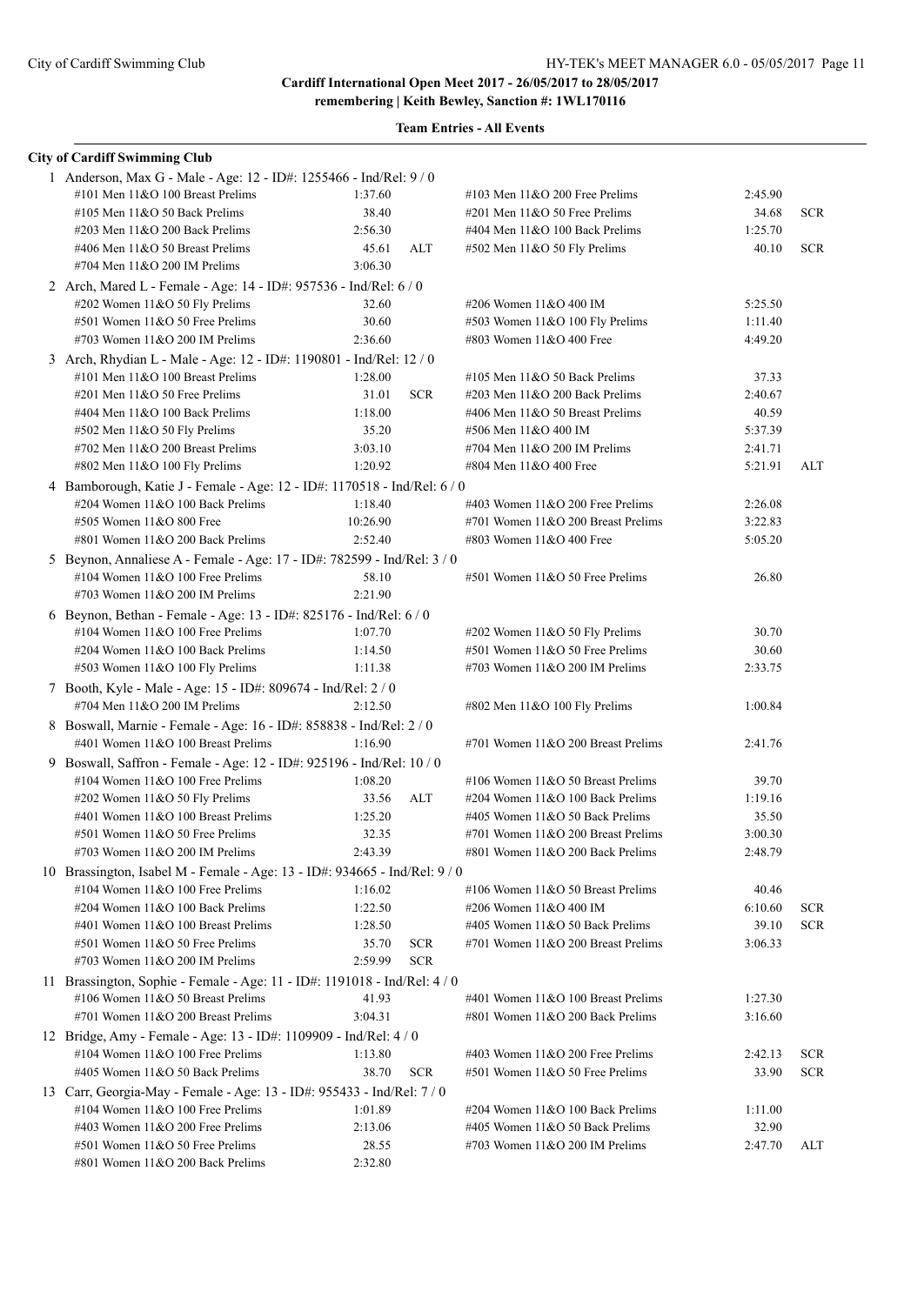| <b>City of Cardiff Swimming Club</b>                                                                        |          |            |                                                                            |                    |            |
|-------------------------------------------------------------------------------------------------------------|----------|------------|----------------------------------------------------------------------------|--------------------|------------|
| 1 Anderson, Max G - Male - Age: 12 - ID#: 1255466 - Ind/Rel: 9 / 0                                          |          |            |                                                                            |                    |            |
| #101 Men 11&O 100 Breast Prelims                                                                            | 1:37.60  |            | #103 Men $11&O$ 200 Free Prelims                                           | 2:45.90            |            |
| #105 Men $11&O$ 50 Back Prelims                                                                             | 38.40    |            | $\#201$ Men $11&O$ 50 Free Prelims                                         | 34.68              | <b>SCR</b> |
| #203 Men 11&O 200 Back Prelims                                                                              | 2:56.30  |            | #404 Men 11&O 100 Back Prelims                                             | 1:25.70            |            |
| #406 Men 11&O 50 Breast Prelims                                                                             | 45.61    | ALT        | #502 Men 11&O 50 Fly Prelims                                               | 40.10              | <b>SCR</b> |
| #704 Men $11&O$ 200 IM Prelims                                                                              | 3:06.30  |            |                                                                            |                    |            |
| 2 Arch, Mared L - Female - Age: 14 - ID#: 957536 - Ind/Rel: 6 / 0                                           |          |            |                                                                            |                    |            |
| #202 Women 11&O 50 Fly Prelims                                                                              | 32.60    |            | #206 Women 11&O 400 IM                                                     | 5:25.50            |            |
| #501 Women 11&O 50 Free Prelims                                                                             | 30.60    |            | #503 Women 11&O 100 Fly Prelims                                            | 1:11.40            |            |
| #703 Women $11&O$ 200 IM Prelims                                                                            | 2:36.60  |            | #803 Women 11&O 400 Free                                                   | 4:49.20            |            |
| 3 Arch, Rhydian L - Male - Age: 12 - ID#: 1190801 - Ind/Rel: 12 / 0                                         |          |            |                                                                            |                    |            |
| #101 Men 11&O 100 Breast Prelims                                                                            | 1:28.00  |            | #105 Men 11&O 50 Back Prelims                                              | 37.33              |            |
| $\#201$ Men $11&O$ 50 Free Prelims                                                                          | 31.01    | <b>SCR</b> | #203 Men 11&O 200 Back Prelims                                             | 2:40.67            |            |
| #404 Men 11&O 100 Back Prelims                                                                              | 1:18.00  |            | #406 Men 11&O 50 Breast Prelims                                            | 40.59              |            |
| $\#502$ Men 11&O 50 Fly Prelims                                                                             | 35.20    |            | #506 Men 11&O 400 IM                                                       | 5:37.39            |            |
| #702 Men 11&O 200 Breast Prelims                                                                            | 3:03.10  |            | $\#704$ Men $11&O$ 200 IM Prelims                                          | 2:41.71            |            |
| #802 Men 11&O 100 Fly Prelims                                                                               | 1:20.92  |            | #804 Men 11&O 400 Free                                                     | 5:21.91            | ALT        |
| 4 Bamborough, Katie J - Female - Age: 12 - ID#: 1170518 - Ind/Rel: 6 / 0                                    |          |            |                                                                            |                    |            |
| #204 Women 11&O 100 Back Prelims                                                                            | 1:18.40  |            | #403 Women $11&O$ 200 Free Prelims<br>#701 Women $11&O$ 200 Breast Prelims | 2:26.08<br>3:22.83 |            |
| #505 Women 11&O 800 Free<br>#801 Women 11&O 200 Back Prelims                                                | 10:26.90 |            | #803 Women 11&O 400 Free                                                   | 5:05.20            |            |
|                                                                                                             | 2:52.40  |            |                                                                            |                    |            |
| 5 Beynon, Annaliese A - Female - Age: 17 - ID#: 782599 - Ind/Rel: 3 / 0<br>#104 Women 11&O 100 Free Prelims | 58.10    |            | #501 Women 11&O 50 Free Prelims                                            | 26.80              |            |
| #703 Women 11&O 200 IM Prelims                                                                              | 2:21.90  |            |                                                                            |                    |            |
|                                                                                                             |          |            |                                                                            |                    |            |
| 6 Beynon, Bethan - Female - Age: 13 - ID#: 825176 - Ind/Rel: 6 / 0<br>#104 Women $11&O$ 100 Free Prelims    | 1:07.70  |            | #202 Women 11&O 50 Fly Prelims                                             | 30.70              |            |
| #204 Women 11&O 100 Back Prelims                                                                            | 1:14.50  |            | #501 Women 11&O 50 Free Prelims                                            | 30.60              |            |
| $\#503$ Women 11&O 100 Fly Prelims                                                                          | 1:11.38  |            | #703 Women $11&O$ 200 IM Prelims                                           | 2:33.75            |            |
| 7 Booth, Kyle - Male - Age: 15 - ID#: 809674 - Ind/Rel: 2 / 0                                               |          |            |                                                                            |                    |            |
| #704 Men 11&O 200 IM Prelims                                                                                | 2:12.50  |            | #802 Men 11&O 100 Fly Prelims                                              | 1:00.84            |            |
| 8 Boswall, Marnie - Female - Age: 16 - ID#: 858838 - Ind/Rel: 2 / 0                                         |          |            |                                                                            |                    |            |
| #401 Women 11&O 100 Breast Prelims                                                                          | 1:16.90  |            | #701 Women 11&O 200 Breast Prelims                                         | 2:41.76            |            |
| 9 Boswall, Saffron - Female - Age: 12 - ID#: 925196 - Ind/Rel: 10 / 0                                       |          |            |                                                                            |                    |            |
| #104 Women $11&O$ 100 Free Prelims                                                                          | 1:08.20  |            | #106 Women $11&O 50$ Breast Prelims                                        | 39.70              |            |
| $\#202$ Women 11&O 50 Fly Prelims                                                                           | 33.56    | ALT        | #204 Women 11&O 100 Back Prelims                                           | 1:19.16            |            |
| #401 Women 11&O 100 Breast Prelims                                                                          | 1:25.20  |            | #405 Women 11&O 50 Back Prelims                                            | 35.50              |            |
| $\#501$ Women $11&O 50$ Free Prelims                                                                        | 32.35    |            | #701 Women 11&O 200 Breast Prelims                                         | 3:00.30            |            |
| #703 Women 11&O 200 IM Prelims                                                                              | 2:43.39  |            | #801 Women 11&O 200 Back Prelims                                           | 2:48.79            |            |
| 10 Brassington, Isabel M - Female - Age: 13 - ID#: 934665 - Ind/Rel: 9 / 0                                  |          |            |                                                                            |                    |            |
| #104 Women 11&O 100 Free Prelims                                                                            | 1:16.02  |            | #106 Women 11&O 50 Breast Prelims                                          | 40.46              |            |
| #204 Women 11&O 100 Back Prelims                                                                            | 1:22.50  |            | #206 Women 11&O 400 IM                                                     | 6:10.60            | <b>SCR</b> |
| #401 Women 11&O 100 Breast Prelims                                                                          | 1:28.50  |            | #405 Women 11&O 50 Back Prelims                                            | 39.10              | <b>SCR</b> |
| #501 Women 11&O 50 Free Prelims                                                                             | 35.70    | <b>SCR</b> | #701 Women 11&O 200 Breast Prelims                                         | 3:06.33            |            |
| #703 Women $11&O$ 200 IM Prelims                                                                            | 2:59.99  | <b>SCR</b> |                                                                            |                    |            |
| 11 Brassington, Sophie - Female - Age: 11 - ID#: 1191018 - Ind/Rel: 4 / 0                                   |          |            |                                                                            |                    |            |
| #106 Women 11&O 50 Breast Prelims                                                                           | 41.93    |            | #401 Women 11&O 100 Breast Prelims                                         | 1:27.30            |            |
| #701 Women 11&O 200 Breast Prelims                                                                          | 3:04.31  |            | #801 Women 11&O 200 Back Prelims                                           | 3:16.60            |            |
| 12 Bridge, Amy - Female - Age: 13 - ID#: 1109909 - Ind/Rel: 4 / 0                                           |          |            |                                                                            |                    |            |
| #104 Women 11&O 100 Free Prelims                                                                            | 1:13.80  |            | #403 Women 11&O 200 Free Prelims                                           | 2:42.13            | <b>SCR</b> |
| #405 Women 11&O 50 Back Prelims                                                                             | 38.70    | <b>SCR</b> | #501 Women 11&O 50 Free Prelims                                            | 33.90              | <b>SCR</b> |
| 13 Carr, Georgia-May - Female - Age: 13 - ID#: 955433 - Ind/Rel: 7 / 0                                      |          |            |                                                                            |                    |            |
| #104 Women 11&O 100 Free Prelims                                                                            | 1:01.89  |            | #204 Women 11&O 100 Back Prelims                                           | 1:11.00            |            |
| #403 Women 11&O 200 Free Prelims                                                                            | 2:13.06  |            | #405 Women 11&O 50 Back Prelims                                            | 32.90              |            |
| #501 Women 11&O 50 Free Prelims                                                                             | 28.55    |            | #703 Women $11&O$ 200 IM Prelims                                           | 2:47.70            | ALT        |
| #801 Women 11&O 200 Back Prelims                                                                            | 2:32.80  |            |                                                                            |                    |            |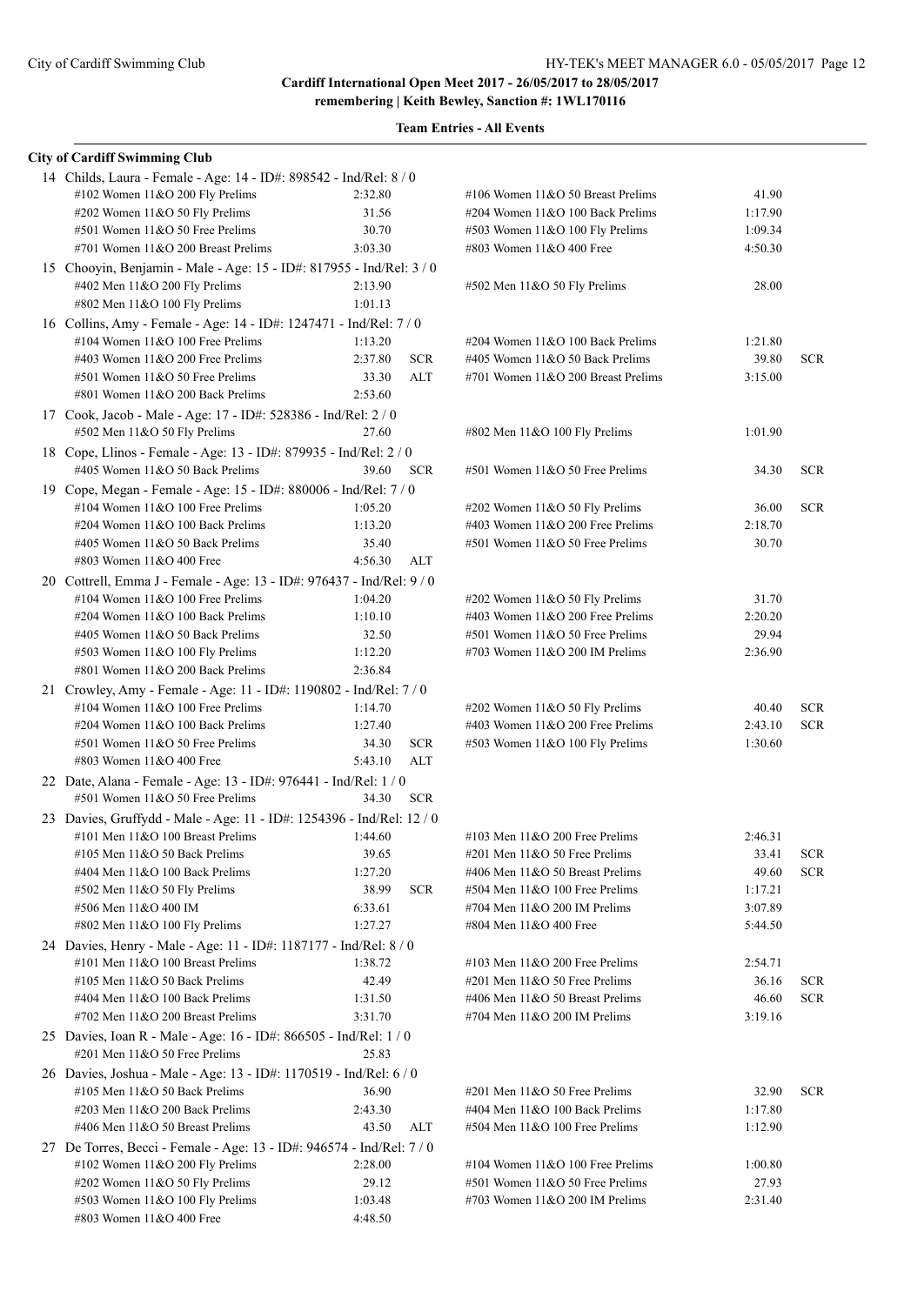**remembering | Keith Bewley, Sanction #: 1WL170116**

| <b>City of Cardiff Swimming Club</b>                                                                    |                       |                                                                 |         |            |
|---------------------------------------------------------------------------------------------------------|-----------------------|-----------------------------------------------------------------|---------|------------|
| 14 Childs, Laura - Female - Age: 14 - ID#: 898542 - Ind/Rel: 8 / 0                                      |                       |                                                                 |         |            |
| #102 Women 11&O 200 Fly Prelims                                                                         | 2:32.80               | #106 Women $11&O 50$ Breast Prelims                             | 41.90   |            |
| #202 Women 11&O 50 Fly Prelims                                                                          | 31.56                 | #204 Women 11&O 100 Back Prelims                                | 1:17.90 |            |
| #501 Women 11&O 50 Free Prelims                                                                         | 30.70                 | #503 Women 11&O 100 Fly Prelims                                 | 1:09.34 |            |
| #701 Women $11&O$ 200 Breast Prelims                                                                    | 3:03.30               | #803 Women 11&O 400 Free                                        | 4:50.30 |            |
| 15 Chooyin, Benjamin - Male - Age: 15 - ID#: 817955 - Ind/Rel: 3 / 0                                    |                       |                                                                 |         |            |
| #402 Men 11&O 200 Fly Prelims                                                                           | 2:13.90               | #502 Men 11&O 50 Fly Prelims                                    | 28.00   |            |
| #802 Men 11&O 100 Fly Prelims                                                                           | 1:01.13               |                                                                 |         |            |
| 16 Collins, Amy - Female - Age: 14 - ID#: 1247471 - Ind/Rel: 7 / 0                                      |                       |                                                                 |         |            |
| #104 Women $11&O$ 100 Free Prelims                                                                      | 1:13.20               | #204 Women 11&O 100 Back Prelims                                | 1:21.80 |            |
| #403 Women $11&O$ 200 Free Prelims                                                                      | 2:37.80<br><b>SCR</b> | #405 Women 11&O 50 Back Prelims                                 | 39.80   | <b>SCR</b> |
| #501 Women 11&O 50 Free Prelims                                                                         | ALT<br>33.30          | #701 Women 11&O 200 Breast Prelims                              | 3:15.00 |            |
| #801 Women 11&O 200 Back Prelims                                                                        | 2:53.60               |                                                                 |         |            |
| 17 Cook, Jacob - Male - Age: 17 - ID#: 528386 - Ind/Rel: 2 / 0                                          |                       |                                                                 |         |            |
| #502 Men 11&O 50 Fly Prelims                                                                            | 27.60                 | #802 Men 11&O 100 Fly Prelims                                   | 1:01.90 |            |
|                                                                                                         |                       |                                                                 |         |            |
| 18 Cope, Llinos - Female - Age: 13 - ID#: 879935 - Ind/Rel: 2 / 0                                       |                       |                                                                 |         |            |
| #405 Women 11&O 50 Back Prelims                                                                         | 39.60<br><b>SCR</b>   | #501 Women 11&O 50 Free Prelims                                 | 34.30   | <b>SCR</b> |
| 19 Cope, Megan - Female - Age: 15 - ID#: 880006 - Ind/Rel: 7 / 0                                        |                       |                                                                 |         |            |
| #104 Women 11&O 100 Free Prelims                                                                        | 1:05.20               | #202 Women 11&O 50 Fly Prelims                                  | 36.00   | <b>SCR</b> |
| #204 Women 11&O 100 Back Prelims                                                                        | 1:13.20               | #403 Women $11&O$ 200 Free Prelims                              | 2:18.70 |            |
| #405 Women 11&O 50 Back Prelims                                                                         | 35.40                 | #501 Women 11&O 50 Free Prelims                                 | 30.70   |            |
| #803 Women 11&O 400 Free                                                                                | 4:56.30<br>ALT        |                                                                 |         |            |
| 20 Cottrell, Emma J - Female - Age: 13 - ID#: 976437 - Ind/Rel: 9 / 0                                   |                       |                                                                 |         |            |
| #104 Women 11&O 100 Free Prelims                                                                        | 1:04.20               | #202 Women 11&O 50 Fly Prelims                                  | 31.70   |            |
| #204 Women 11&O 100 Back Prelims                                                                        | 1:10.10               | #403 Women $11&O$ 200 Free Prelims                              | 2:20.20 |            |
| #405 Women 11&O 50 Back Prelims                                                                         | 32.50                 | #501 Women 11&O 50 Free Prelims                                 | 29.94   |            |
| #503 Women 11&O 100 Fly Prelims                                                                         | 1:12.20               | #703 Women $11&O$ 200 IM Prelims                                | 2:36.90 |            |
| #801 Women 11&O 200 Back Prelims                                                                        | 2:36.84               |                                                                 |         |            |
| 21 Crowley, Amy - Female - Age: 11 - ID#: 1190802 - Ind/Rel: 7 / 0                                      |                       |                                                                 |         |            |
| #104 Women $11&O$ 100 Free Prelims                                                                      | 1:14.70               | #202 Women 11&O 50 Fly Prelims                                  | 40.40   | <b>SCR</b> |
| #204 Women 11&O 100 Back Prelims                                                                        | 1:27.40               | #403 Women 11&O 200 Free Prelims                                | 2:43.10 | <b>SCR</b> |
| #501 Women 11&O 50 Free Prelims                                                                         | 34.30<br><b>SCR</b>   | #503 Women 11&O 100 Fly Prelims                                 | 1:30.60 |            |
| #803 Women 11&O 400 Free                                                                                | ALT<br>5:43.10        |                                                                 |         |            |
| 22 Date, Alana - Female - Age: 13 - ID#: 976441 - Ind/Rel: 1 / 0                                        |                       |                                                                 |         |            |
| #501 Women 11&O 50 Free Prelims                                                                         | <b>SCR</b><br>34.30   |                                                                 |         |            |
| 23 Davies, Gruffydd - Male - Age: 11 - ID#: 1254396 - Ind/Rel: 12 / 0                                   |                       |                                                                 |         |            |
| #101 Men 11&O 100 Breast Prelims                                                                        | 1:44.60               | $\#103$ Men $11\&O$ 200 Free Prelims                            | 2:46.31 |            |
| #105 Men 11&O 50 Back Prelims                                                                           | 39.65                 | #201 Men 11&O 50 Free Prelims                                   | 33.41   | <b>SCR</b> |
| #404 Men 11&O 100 Back Prelims                                                                          | 1:27.20               | #406 Men 11&O 50 Breast Prelims                                 | 49.60   | <b>SCR</b> |
| $#502$ Men $11&O 50$ Fly Prelims                                                                        | 38.99<br><b>SCR</b>   | #504 Men 11&O 100 Free Prelims                                  | 1:17.21 |            |
| #506 Men 11&O 400 IM                                                                                    | 6:33.61               | #704 Men 11&O 200 IM Prelims                                    | 3:07.89 |            |
| #802 Men 11&O 100 Fly Prelims                                                                           | 1:27.27               | #804 Men 11&O 400 Free                                          | 5:44.50 |            |
| 24 Davies, Henry - Male - Age: 11 - ID#: 1187177 - Ind/Rel: 8 / 0                                       |                       |                                                                 |         |            |
| #101 Men $11&O$ 100 Breast Prelims                                                                      | 1:38.72               | #103 Men $11&O$ 200 Free Prelims                                | 2:54.71 |            |
| #105 Men 11&O 50 Back Prelims                                                                           | 42.49                 | #201 Men 11&O 50 Free Prelims                                   | 36.16   | <b>SCR</b> |
|                                                                                                         |                       |                                                                 | 46.60   |            |
| #404 Men 11&O 100 Back Prelims                                                                          | 1:31.50               | #406 Men 11&O 50 Breast Prelims<br>#704 Men 11&O 200 IM Prelims |         | <b>SCR</b> |
| #702 Men 11&O 200 Breast Prelims                                                                        | 3:31.70               |                                                                 | 3:19.16 |            |
| 25 Davies, Ioan R - Male - Age: 16 - ID#: 866505 - Ind/Rel: 1 / 0<br>$\#201$ Men $11&O$ 50 Free Prelims | 25.83                 |                                                                 |         |            |
| 26 Davies, Joshua - Male - Age: 13 - ID#: 1170519 - Ind/Rel: 6 / 0                                      |                       |                                                                 |         |            |
| #105 Men 11&O 50 Back Prelims                                                                           | 36.90                 | #201 Men 11&O 50 Free Prelims                                   | 32.90   | <b>SCR</b> |
| #203 Men 11&O 200 Back Prelims                                                                          | 2:43.30               | #404 Men 11&O 100 Back Prelims                                  | 1:17.80 |            |
| #406 Men 11&O 50 Breast Prelims                                                                         | 43.50<br>ALT          | #504 Men 11&O 100 Free Prelims                                  | 1:12.90 |            |
| 27 De Torres, Becci - Female - Age: 13 - ID#: 946574 - Ind/Rel: 7 / 0                                   |                       |                                                                 |         |            |
| #102 Women 11&O 200 Fly Prelims                                                                         | 2:28.00               | #104 Women 11&O 100 Free Prelims                                | 1:00.80 |            |
| #202 Women 11&O 50 Fly Prelims                                                                          | 29.12                 | #501 Women 11&O 50 Free Prelims                                 | 27.93   |            |
| #503 Women 11&O 100 Fly Prelims                                                                         | 1:03.48               | #703 Women $11&O$ 200 IM Prelims                                | 2:31.40 |            |
| #803 Women 11&O 400 Free                                                                                | 4:48.50               |                                                                 |         |            |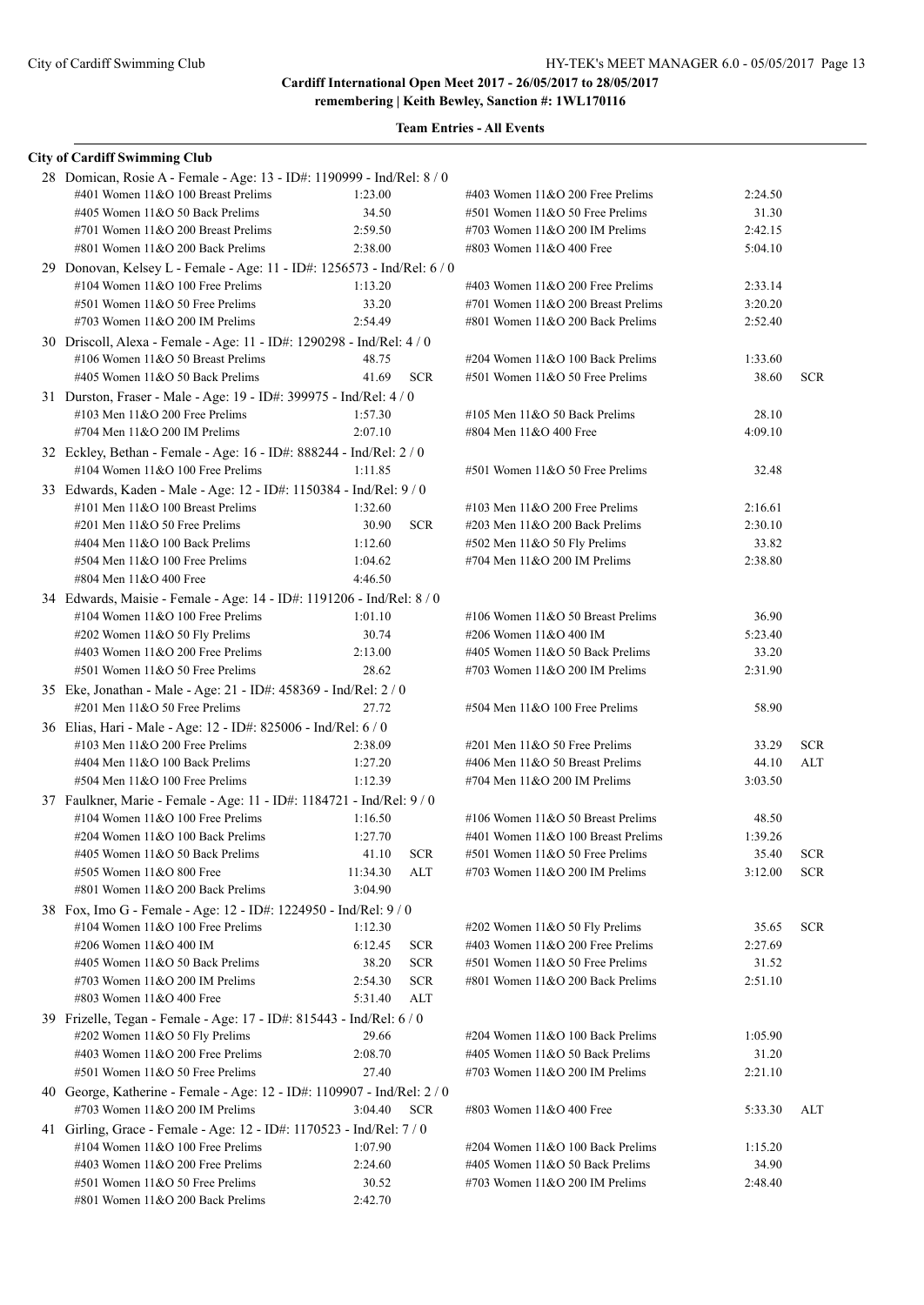| <b>City of Cardiff Swimming Club</b>                                                                      |                    |                          |                                                                      |                    |            |
|-----------------------------------------------------------------------------------------------------------|--------------------|--------------------------|----------------------------------------------------------------------|--------------------|------------|
| 28 Domican, Rosie A - Female - Age: 13 - ID#: 1190999 - Ind/Rel: 8 / 0                                    |                    |                          |                                                                      |                    |            |
| #401 Women 11&O 100 Breast Prelims                                                                        | 1:23.00            |                          | #403 Women $11&O$ 200 Free Prelims                                   | 2:24.50            |            |
| #405 Women 11&O 50 Back Prelims                                                                           | 34.50              |                          | #501 Women 11&O 50 Free Prelims                                      | 31.30              |            |
| #701 Women 11&O 200 Breast Prelims                                                                        | 2:59.50            |                          | #703 Women $11&O$ 200 IM Prelims                                     | 2:42.15            |            |
| #801 Women 11&O 200 Back Prelims                                                                          | 2:38.00            |                          | #803 Women 11&O 400 Free                                             | 5:04.10            |            |
| 29 Donovan, Kelsey L - Female - Age: 11 - ID#: 1256573 - Ind/Rel: 6 / 0                                   |                    |                          |                                                                      |                    |            |
| #104 Women $11&O$ 100 Free Prelims                                                                        | 1:13.20            |                          | #403 Women 11&O 200 Free Prelims                                     | 2:33.14            |            |
| #501 Women 11&O 50 Free Prelims                                                                           | 33.20              |                          | #701 Women 11&O 200 Breast Prelims                                   | 3:20.20            |            |
| #703 Women 11&O 200 IM Prelims                                                                            | 2:54.49            |                          | #801 Women 11&O 200 Back Prelims                                     | 2:52.40            |            |
| 30 Driscoll, Alexa - Female - Age: 11 - ID#: 1290298 - Ind/Rel: 4 / 0                                     |                    |                          |                                                                      |                    |            |
| #106 Women 11&O 50 Breast Prelims                                                                         | 48.75              |                          | #204 Women 11&O 100 Back Prelims                                     | 1:33.60            |            |
| #405 Women 11&O 50 Back Prelims                                                                           | 41.69              | <b>SCR</b>               | #501 Women 11&O 50 Free Prelims                                      | 38.60              | <b>SCR</b> |
| 31 Durston, Fraser - Male - Age: 19 - ID#: 399975 - Ind/Rel: 4 / 0                                        |                    |                          |                                                                      |                    |            |
| #103 Men $11&O$ 200 Free Prelims<br>#704 Men 11&O 200 IM Prelims                                          | 1:57.30<br>2:07.10 |                          | #105 Men 11&O 50 Back Prelims<br>#804 Men 11&O 400 Free              | 28.10<br>4:09.10   |            |
|                                                                                                           |                    |                          |                                                                      |                    |            |
| 32 Eckley, Bethan - Female - Age: 16 - ID#: 888244 - Ind/Rel: 2 / 0<br>#104 Women $11&O$ 100 Free Prelims | 1:11.85            |                          | #501 Women 11&O 50 Free Prelims                                      | 32.48              |            |
|                                                                                                           |                    |                          |                                                                      |                    |            |
| 33 Edwards, Kaden - Male - Age: 12 - ID#: 1150384 - Ind/Rel: 9 / 0                                        |                    |                          |                                                                      |                    |            |
| #101 Men $11&0 100$ Breast Prelims<br>#201 Men 11&O 50 Free Prelims                                       | 1:32.60<br>30.90   | <b>SCR</b>               | #103 Men $11&O$ 200 Free Prelims<br>#203 Men $11&O$ 200 Back Prelims | 2:16.61<br>2:30.10 |            |
| #404 Men 11&O 100 Back Prelims                                                                            | 1:12.60            |                          | #502 Men 11&O 50 Fly Prelims                                         | 33.82              |            |
| #504 Men 11&O 100 Free Prelims                                                                            | 1:04.62            |                          | #704 Men 11&O 200 IM Prelims                                         | 2:38.80            |            |
| #804 Men 11&O 400 Free                                                                                    | 4:46.50            |                          |                                                                      |                    |            |
| 34 Edwards, Maisie - Female - Age: 14 - ID#: 1191206 - Ind/Rel: 8 / 0                                     |                    |                          |                                                                      |                    |            |
| #104 Women $11&O$ 100 Free Prelims                                                                        | 1:01.10            |                          | #106 Women $11&O 50$ Breast Prelims                                  | 36.90              |            |
| #202 Women 11&O 50 Fly Prelims                                                                            | 30.74              |                          | #206 Women 11&O 400 IM                                               | 5:23.40            |            |
| #403 Women 11&O 200 Free Prelims                                                                          | 2:13.00            |                          | #405 Women 11&O 50 Back Prelims                                      | 33.20              |            |
| #501 Women 11&O 50 Free Prelims                                                                           | 28.62              |                          | #703 Women $11&O$ 200 IM Prelims                                     | 2:31.90            |            |
| 35 Eke, Jonathan - Male - Age: 21 - ID#: 458369 - Ind/Rel: 2 / 0                                          |                    |                          |                                                                      |                    |            |
| #201 Men 11&O 50 Free Prelims                                                                             | 27.72              |                          | #504 Men 11&O 100 Free Prelims                                       | 58.90              |            |
| 36 Elias, Hari - Male - Age: 12 - ID#: 825006 - Ind/Rel: 6 / 0                                            |                    |                          |                                                                      |                    |            |
| #103 Men $11&O$ 200 Free Prelims                                                                          | 2:38.09            |                          | #201 Men 11&O 50 Free Prelims                                        | 33.29              | <b>SCR</b> |
| #404 Men 11&O 100 Back Prelims                                                                            | 1:27.20            |                          | #406 Men 11&O 50 Breast Prelims                                      | 44.10              | <b>ALT</b> |
| #504 Men 11&O 100 Free Prelims                                                                            | 1:12.39            |                          | #704 Men 11&O 200 IM Prelims                                         | 3:03.50            |            |
| 37 Faulkner, Marie - Female - Age: 11 - ID#: 1184721 - Ind/Rel: 9 / 0                                     |                    |                          |                                                                      |                    |            |
| #104 Women $11&O$ 100 Free Prelims                                                                        | 1:16.50            |                          | #106 Women 11&O 50 Breast Prelims                                    | 48.50              |            |
| #204 Women 11&O 100 Back Prelims                                                                          | 1:27.70            |                          | #401 Women 11&O 100 Breast Prelims                                   | 1:39.26            |            |
| #405 Women 11&O 50 Back Prelims                                                                           | 41.10              | <b>SCR</b>               | #501 Women 11&O 50 Free Prelims                                      | 35.40              | <b>SCR</b> |
| #505 Women 11&O 800 Free                                                                                  | 11:34.30           | ALT                      | #703 Women $11&O$ 200 IM Prelims                                     | 3:12.00            | <b>SCR</b> |
| #801 Women 11&O 200 Back Prelims                                                                          | 3:04.90            |                          |                                                                      |                    |            |
| 38 Fox, Imo G - Female - Age: 12 - ID#: 1224950 - Ind/Rel: 9 / 0                                          |                    |                          |                                                                      |                    |            |
| #104 Women $11&O$ 100 Free Prelims<br>#206 Women 11&O 400 IM                                              | 1:12.30            |                          | #202 Women 11&O 50 Fly Prelims                                       | 35.65              | <b>SCR</b> |
| #405 Women 11&O 50 Back Prelims                                                                           | 6:12.45<br>38.20   | <b>SCR</b><br><b>SCR</b> | #403 Women 11&O 200 Free Prelims<br>#501 Women 11&O 50 Free Prelims  | 2:27.69<br>31.52   |            |
| #703 Women $11&O$ 200 IM Prelims                                                                          | 2:54.30            | <b>SCR</b>               | #801 Women 11&O 200 Back Prelims                                     | 2:51.10            |            |
| #803 Women 11&O 400 Free                                                                                  | 5:31.40            | ALT                      |                                                                      |                    |            |
| 39 Frizelle, Tegan - Female - Age: 17 - ID#: 815443 - Ind/Rel: 6 / 0                                      |                    |                          |                                                                      |                    |            |
| #202 Women 11&O 50 Fly Prelims                                                                            | 29.66              |                          | #204 Women 11&O 100 Back Prelims                                     | 1:05.90            |            |
| #403 Women 11&O 200 Free Prelims                                                                          | 2:08.70            |                          | #405 Women 11&O 50 Back Prelims                                      | 31.20              |            |
| #501 Women 11&O 50 Free Prelims                                                                           | 27.40              |                          | #703 Women 11&O 200 IM Prelims                                       | 2:21.10            |            |
| 40 George, Katherine - Female - Age: 12 - ID#: 1109907 - Ind/Rel: 2 / 0                                   |                    |                          |                                                                      |                    |            |
| #703 Women 11&O 200 IM Prelims                                                                            | 3:04.40            | <b>SCR</b>               | #803 Women 11&O 400 Free                                             | 5:33.30            | ALT        |
| 41 Girling, Grace - Female - Age: 12 - ID#: 1170523 - Ind/Rel: 7 / 0                                      |                    |                          |                                                                      |                    |            |
| #104 Women $11&O$ 100 Free Prelims                                                                        | 1:07.90            |                          | #204 Women 11&O 100 Back Prelims                                     | 1:15.20            |            |
| #403 Women 11&O 200 Free Prelims                                                                          | 2:24.60            |                          | #405 Women 11&O 50 Back Prelims                                      | 34.90              |            |
| #501 Women 11&O 50 Free Prelims                                                                           | 30.52              |                          | #703 Women $11&O$ 200 IM Prelims                                     | 2:48.40            |            |
| #801 Women 11&O 200 Back Prelims                                                                          | 2:42.70            |                          |                                                                      |                    |            |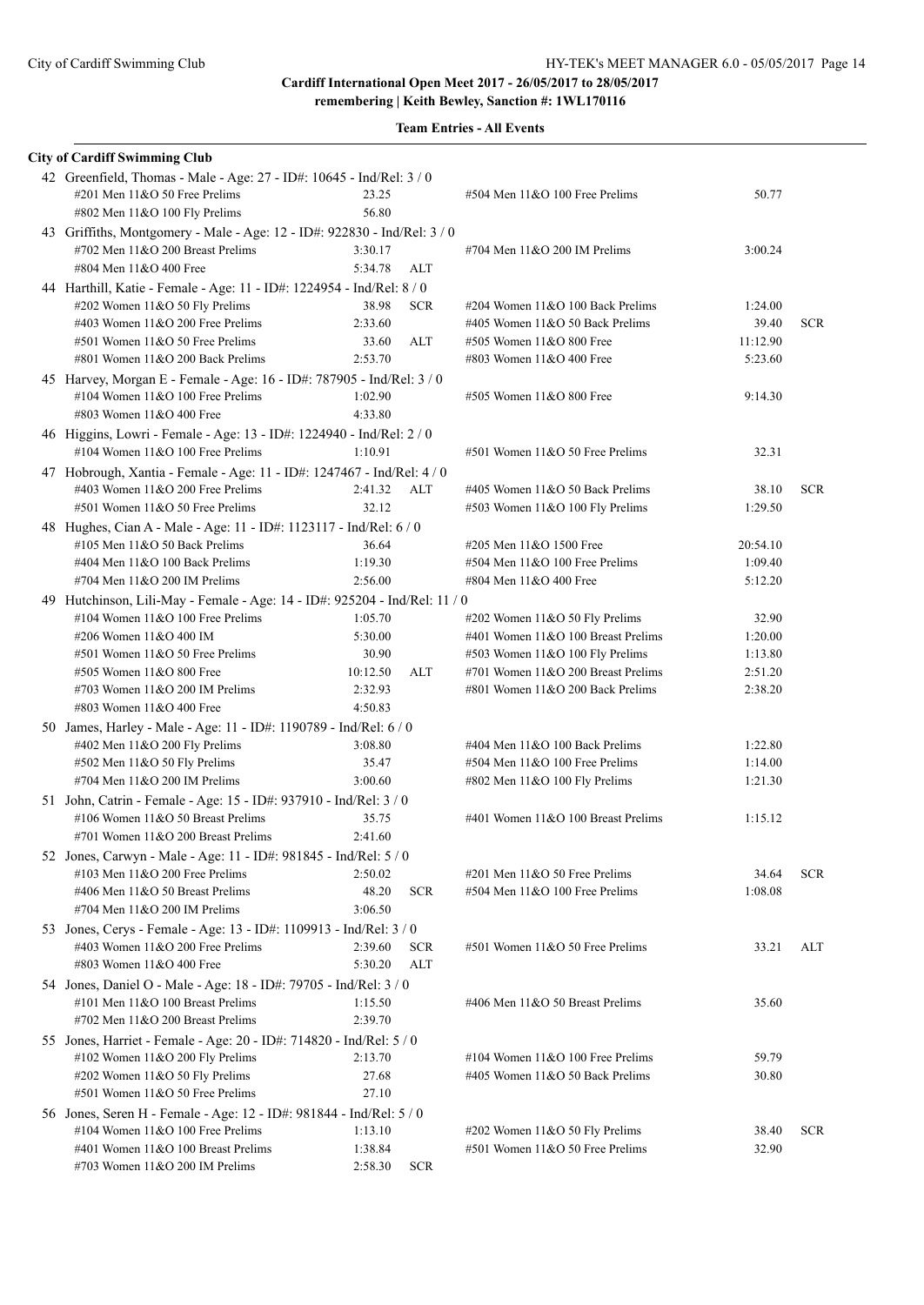| <b>City of Cardiff Swimming Club</b>                                                                  |                    |            |                                                                       |                    |            |
|-------------------------------------------------------------------------------------------------------|--------------------|------------|-----------------------------------------------------------------------|--------------------|------------|
| 42 Greenfield, Thomas - Male - Age: 27 - ID#: 10645 - Ind/Rel: 3 / 0<br>#201 Men 11&O 50 Free Prelims | 23.25              |            | #504 Men 11&O 100 Free Prelims                                        | 50.77              |            |
| #802 Men $11&O$ 100 Fly Prelims                                                                       | 56.80              |            |                                                                       |                    |            |
| 43 Griffiths, Montgomery - Male - Age: 12 - ID#: 922830 - Ind/Rel: 3 / 0                              |                    |            |                                                                       |                    |            |
| #702 Men 11&O 200 Breast Prelims                                                                      | 3:30.17            |            | #704 Men $11&O$ 200 IM Prelims                                        | 3:00.24            |            |
| #804 Men 11&O 400 Free                                                                                | 5:34.78            | ALT        |                                                                       |                    |            |
| 44 Harthill, Katie - Female - Age: 11 - ID#: 1224954 - Ind/Rel: 8 / 0                                 |                    |            |                                                                       |                    |            |
| #202 Women 11&O 50 Fly Prelims                                                                        | 38.98              | <b>SCR</b> | #204 Women 11&O 100 Back Prelims                                      | 1:24.00            |            |
| #403 Women 11&O 200 Free Prelims                                                                      | 2:33.60            |            | #405 Women 11&O 50 Back Prelims                                       | 39.40              | <b>SCR</b> |
| #501 Women 11&O 50 Free Prelims                                                                       | 33.60              | ALT        | #505 Women 11&O 800 Free                                              | 11:12.90           |            |
| #801 Women 11&O 200 Back Prelims                                                                      | 2:53.70            |            | #803 Women 11&O 400 Free                                              | 5:23.60            |            |
| 45 Harvey, Morgan E - Female - Age: 16 - ID#: 787905 - Ind/Rel: 3 / 0                                 |                    |            |                                                                       |                    |            |
| #104 Women $11&O$ 100 Free Prelims                                                                    | 1:02.90            |            | #505 Women 11&O 800 Free                                              | 9:14.30            |            |
| #803 Women 11&O 400 Free                                                                              | 4:33.80            |            |                                                                       |                    |            |
| 46 Higgins, Lowri - Female - Age: 13 - ID#: 1224940 - Ind/Rel: 2 / 0                                  |                    |            |                                                                       |                    |            |
| #104 Women 11&O 100 Free Prelims                                                                      | 1:10.91            |            | $#501$ Women $11&O 50$ Free Prelims                                   | 32.31              |            |
| 47 Hobrough, Xantia - Female - Age: 11 - ID#: 1247467 - Ind/Rel: 4 / 0                                |                    |            |                                                                       |                    |            |
| #403 Women 11&O 200 Free Prelims                                                                      | 2:41.32            | ALT        | #405 Women 11&O 50 Back Prelims                                       | 38.10              | <b>SCR</b> |
| #501 Women 11&O 50 Free Prelims                                                                       | 32.12              |            | #503 Women 11&O 100 Fly Prelims                                       | 1:29.50            |            |
| 48 Hughes, Cian A - Male - Age: 11 - ID#: 1123117 - Ind/Rel: 6 / 0                                    |                    |            |                                                                       |                    |            |
| #105 Men 11&O 50 Back Prelims                                                                         | 36.64              |            | #205 Men 11&O 1500 Free                                               | 20:54.10           |            |
| #404 Men 11&O 100 Back Prelims                                                                        | 1:19.30            |            | #504 Men 11&O 100 Free Prelims                                        | 1:09.40            |            |
| #704 Men 11&O 200 IM Prelims                                                                          | 2:56.00            |            | #804 Men 11&O 400 Free                                                | 5:12.20            |            |
| 49 Hutchinson, Lili-May - Female - Age: 14 - ID#: 925204 - Ind/Rel: 11 / 0                            |                    |            |                                                                       |                    |            |
| #104 Women $11&O$ 100 Free Prelims<br>#206 Women 11&O 400 IM                                          | 1:05.70<br>5:30.00 |            | #202 Women 11&O 50 Fly Prelims                                        | 32.90              |            |
| #501 Women 11&O 50 Free Prelims                                                                       | 30.90              |            | #401 Women 11&O 100 Breast Prelims<br>#503 Women 11&O 100 Fly Prelims | 1:20.00<br>1:13.80 |            |
| #505 Women 11&O 800 Free                                                                              | 10:12.50           | ALT        | #701 Women 11&O 200 Breast Prelims                                    | 2:51.20            |            |
| #703 Women 11&O 200 IM Prelims                                                                        | 2:32.93            |            | #801 Women 11&O 200 Back Prelims                                      | 2:38.20            |            |
| #803 Women 11&O 400 Free                                                                              | 4:50.83            |            |                                                                       |                    |            |
| 50 James, Harley - Male - Age: 11 - ID#: 1190789 - Ind/Rel: 6 / 0                                     |                    |            |                                                                       |                    |            |
| #402 Men 11&O 200 Fly Prelims                                                                         | 3:08.80            |            | #404 Men 11&O 100 Back Prelims                                        | 1:22.80            |            |
| $#502$ Men $11&O 50$ Fly Prelims                                                                      | 35.47              |            | #504 Men 11&O 100 Free Prelims                                        | 1:14.00            |            |
| #704 Men 11&O 200 IM Prelims                                                                          | 3:00.60            |            | #802 Men 11&O 100 Fly Prelims                                         | 1:21.30            |            |
| 51 John, Catrin - Female - Age: 15 - ID#: 937910 - Ind/Rel: 3 / 0                                     |                    |            |                                                                       |                    |            |
| #106 Women 11&O 50 Breast Prelims                                                                     | 35.75              |            | #401 Women 11&O 100 Breast Prelims                                    | 1:15.12            |            |
| #701 Women 11&O 200 Breast Prelims                                                                    | 2:41.60            |            |                                                                       |                    |            |
| 52 Jones, Carwyn - Male - Age: 11 - ID#: 981845 - Ind/Rel: 5 / 0                                      |                    |            |                                                                       |                    |            |
| #103 Men 11&O 200 Free Prelims                                                                        | 2:50.02            |            | #201 Men 11&O 50 Free Prelims                                         | 34.64              | <b>SCR</b> |
| #406 Men 11&O 50 Breast Prelims                                                                       | 48.20              | <b>SCR</b> | #504 Men 11&O 100 Free Prelims                                        | 1:08.08            |            |
| #704 Men 11&O 200 IM Prelims                                                                          | 3:06.50            |            |                                                                       |                    |            |
| 53 Jones, Cerys - Female - Age: 13 - ID#: 1109913 - Ind/Rel: 3 / 0                                    |                    |            |                                                                       |                    |            |
| #403 Women 11&O 200 Free Prelims                                                                      | 2:39.60            | <b>SCR</b> | #501 Women 11&O 50 Free Prelims                                       | 33.21              | ALT        |
| #803 Women 11&O 400 Free                                                                              | 5:30.20            | <b>ALT</b> |                                                                       |                    |            |
| 54 Jones, Daniel O - Male - Age: 18 - ID#: 79705 - Ind/Rel: 3 / 0                                     |                    |            |                                                                       |                    |            |
| #101 Men 11&O 100 Breast Prelims                                                                      | 1:15.50            |            | #406 Men 11&O 50 Breast Prelims                                       | 35.60              |            |
| #702 Men 11&O 200 Breast Prelims                                                                      | 2:39.70            |            |                                                                       |                    |            |
| 55 Jones, Harriet - Female - Age: 20 - ID#: 714820 - Ind/Rel: 5 / 0                                   |                    |            |                                                                       |                    |            |
| #102 Women 11&O 200 Fly Prelims                                                                       | 2:13.70            |            | #104 Women 11&O 100 Free Prelims                                      | 59.79              |            |
| #202 Women 11&O 50 Fly Prelims                                                                        | 27.68              |            | #405 Women 11&O 50 Back Prelims                                       | 30.80              |            |
| #501 Women 11&O 50 Free Prelims                                                                       | 27.10              |            |                                                                       |                    |            |
| 56 Jones, Seren H - Female - Age: 12 - ID#: 981844 - Ind/Rel: 5 / 0                                   |                    |            |                                                                       |                    |            |
| #104 Women 11&O 100 Free Prelims                                                                      | 1:13.10            |            | #202 Women 11&O 50 Fly Prelims                                        | 38.40              | <b>SCR</b> |
| #401 Women 11&O 100 Breast Prelims                                                                    | 1:38.84            |            | #501 Women 11&O 50 Free Prelims                                       | 32.90              |            |
| #703 Women $11&O$ 200 IM Prelims                                                                      | 2:58.30            | <b>SCR</b> |                                                                       |                    |            |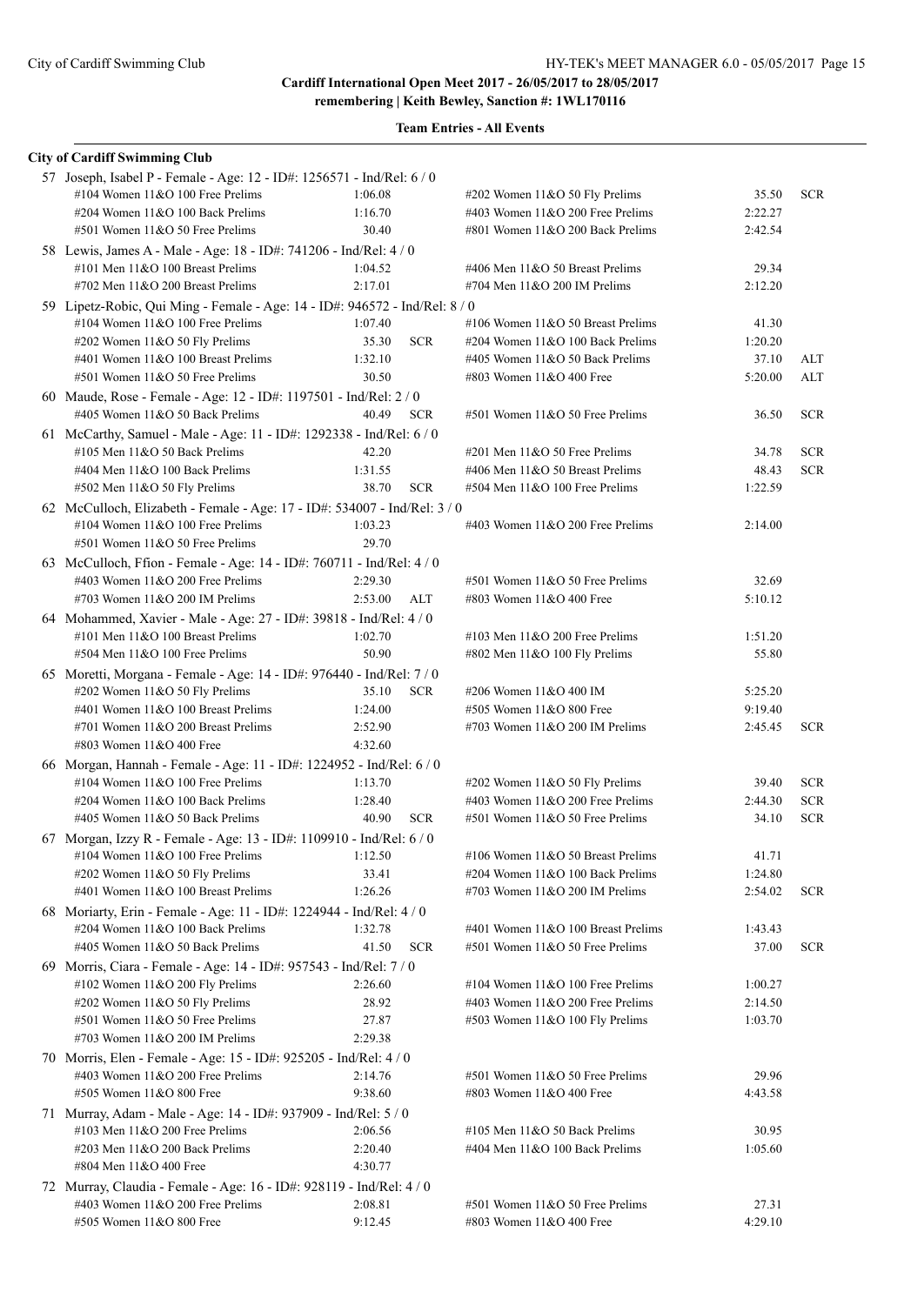| <b>City of Cardiff Swimming Club</b>                                                                       |                    |            |                                                                    |         |            |
|------------------------------------------------------------------------------------------------------------|--------------------|------------|--------------------------------------------------------------------|---------|------------|
| 57 Joseph, Isabel P - Female - Age: 12 - ID#: 1256571 - Ind/Rel: 6 / 0                                     |                    |            |                                                                    |         |            |
| #104 Women $11&O$ 100 Free Prelims                                                                         | 1:06.08            |            | $\#202$ Women 11&O 50 Fly Prelims                                  | 35.50   | <b>SCR</b> |
| #204 Women 11&O 100 Back Prelims                                                                           | 1:16.70            |            | #403 Women 11&O 200 Free Prelims                                   | 2:22.27 |            |
| #501 Women 11&O 50 Free Prelims                                                                            | 30.40              |            | #801 Women 11&O 200 Back Prelims                                   | 2:42.54 |            |
| 58 Lewis, James A - Male - Age: 18 - ID#: 741206 - Ind/Rel: 4 / 0                                          |                    |            |                                                                    |         |            |
| #101 Men $11&0 100$ Breast Prelims                                                                         | 1:04.52            |            | #406 Men 11&O 50 Breast Prelims                                    | 29.34   |            |
| #702 Men 11&O 200 Breast Prelims                                                                           | 2:17.01            |            | #704 Men 11&O 200 IM Prelims                                       | 2:12.20 |            |
| 59 Lipetz-Robic, Qui Ming - Female - Age: 14 - ID#: 946572 - Ind/Rel: 8 / 0                                |                    |            |                                                                    |         |            |
| #104 Women 11&O 100 Free Prelims                                                                           | 1:07.40            |            | #106 Women 11&O 50 Breast Prelims                                  | 41.30   |            |
| #202 Women 11&O 50 Fly Prelims                                                                             | 35.30              | <b>SCR</b> | #204 Women 11&O 100 Back Prelims                                   | 1:20.20 |            |
| #401 Women 11&O 100 Breast Prelims                                                                         | 1:32.10            |            | #405 Women 11&O 50 Back Prelims                                    | 37.10   | ALT        |
| #501 Women 11&O 50 Free Prelims                                                                            | 30.50              |            | #803 Women 11&O 400 Free                                           | 5:20.00 | <b>ALT</b> |
| 60 Maude, Rose - Female - Age: 12 - ID#: 1197501 - Ind/Rel: 2 / 0                                          |                    |            |                                                                    |         |            |
| #405 Women 11&O 50 Back Prelims                                                                            | 40.49              | <b>SCR</b> | #501 Women 11&O 50 Free Prelims                                    | 36.50   | <b>SCR</b> |
| 61 McCarthy, Samuel - Male - Age: 11 - ID#: 1292338 - Ind/Rel: 6 / 0                                       |                    |            |                                                                    |         |            |
| #105 Men 11&O 50 Back Prelims                                                                              | 42.20              |            | $\#201$ Men $11&O$ 50 Free Prelims                                 | 34.78   | <b>SCR</b> |
| #404 Men 11&O 100 Back Prelims                                                                             | 1:31.55            |            | #406 Men 11&O 50 Breast Prelims                                    | 48.43   | <b>SCR</b> |
| #502 Men 11&O 50 Fly Prelims                                                                               | 38.70              | <b>SCR</b> | #504 Men 11&O 100 Free Prelims                                     | 1:22.59 |            |
| 62 McCulloch, Elizabeth - Female - Age: 17 - ID#: 534007 - Ind/Rel: 3 / 0                                  |                    |            |                                                                    |         |            |
| #104 Women $11&O$ 100 Free Prelims                                                                         | 1:03.23            |            | #403 Women 11&O 200 Free Prelims                                   | 2:14.00 |            |
| #501 Women 11&O 50 Free Prelims                                                                            | 29.70              |            |                                                                    |         |            |
| 63 McCulloch, Ffion - Female - Age: 14 - ID#: 760711 - Ind/Rel: 4 / 0                                      |                    |            |                                                                    |         |            |
| #403 Women $11&O$ 200 Free Prelims                                                                         | 2:29.30            |            | #501 Women 11&O 50 Free Prelims                                    | 32.69   |            |
| #703 Women $11&O$ 200 IM Prelims                                                                           | 2:53.00            | ALT        | #803 Women 11&O 400 Free                                           | 5:10.12 |            |
| 64 Mohammed, Xavier - Male - Age: 27 - ID#: 39818 - Ind/Rel: 4 / 0                                         |                    |            |                                                                    |         |            |
| #101 Men 11&O 100 Breast Prelims                                                                           | 1:02.70            |            | #103 Men $11&O$ 200 Free Prelims                                   | 1:51.20 |            |
| #504 Men 11&O 100 Free Prelims                                                                             | 50.90              |            | #802 Men 11&O 100 Fly Prelims                                      | 55.80   |            |
| 65 Moretti, Morgana - Female - Age: 14 - ID#: 976440 - Ind/Rel: 7 / 0                                      |                    |            |                                                                    |         |            |
| #202 Women 11&O 50 Fly Prelims                                                                             | 35.10              | <b>SCR</b> | #206 Women 11&O 400 IM                                             | 5:25.20 |            |
| #401 Women 11&O 100 Breast Prelims<br>#701 Women 11&O 200 Breast Prelims                                   | 1:24.00            |            | #505 Women 11&O 800 Free                                           | 9:19.40 |            |
| #803 Women 11&O 400 Free                                                                                   | 2:52.90<br>4:32.60 |            | #703 Women $11&O$ 200 IM Prelims                                   | 2:45.45 | <b>SCR</b> |
|                                                                                                            |                    |            |                                                                    |         |            |
| 66 Morgan, Hannah - Female - Age: 11 - ID#: 1224952 - Ind/Rel: 6 / 0<br>#104 Women $11&O$ 100 Free Prelims | 1:13.70            |            |                                                                    | 39.40   | <b>SCR</b> |
| #204 Women 11&O 100 Back Prelims                                                                           | 1:28.40            |            | #202 Women 11&O 50 Fly Prelims<br>#403 Women 11&O 200 Free Prelims | 2:44.30 | <b>SCR</b> |
| #405 Women 11&O 50 Back Prelims                                                                            | 40.90              | <b>SCR</b> | #501 Women 11&O 50 Free Prelims                                    | 34.10   | <b>SCR</b> |
|                                                                                                            |                    |            |                                                                    |         |            |
| 67 Morgan, Izzy R - Female - Age: 13 - ID#: 1109910 - Ind/Rel: 6 / 0<br>#104 Women 11&O 100 Free Prelims   | 1:12.50            |            | #106 Women 11&O 50 Breast Prelims                                  | 41.71   |            |
| #202 Women 11&O 50 Fly Prelims                                                                             | 33.41              |            | #204 Women 11&O 100 Back Prelims                                   | 1:24.80 |            |
| #401 Women 11&O 100 Breast Prelims                                                                         | 1:26.26            |            | #703 Women 11&O 200 IM Prelims                                     | 2:54.02 | <b>SCR</b> |
| 68 Moriarty, Erin - Female - Age: 11 - ID#: 1224944 - Ind/Rel: 4 / 0                                       |                    |            |                                                                    |         |            |
| #204 Women 11&O 100 Back Prelims                                                                           | 1:32.78            |            | #401 Women 11&O 100 Breast Prelims                                 | 1:43.43 |            |
| #405 Women 11&O 50 Back Prelims                                                                            | 41.50              | <b>SCR</b> | #501 Women 11&O 50 Free Prelims                                    | 37.00   | <b>SCR</b> |
| 69 Morris, Ciara - Female - Age: 14 - ID#: 957543 - Ind/Rel: 7 / 0                                         |                    |            |                                                                    |         |            |
| #102 Women 11&O 200 Fly Prelims                                                                            | 2:26.60            |            | #104 Women 11&O 100 Free Prelims                                   | 1:00.27 |            |
| #202 Women 11&O 50 Fly Prelims                                                                             | 28.92              |            | #403 Women 11&O 200 Free Prelims                                   | 2:14.50 |            |
| #501 Women 11&O 50 Free Prelims                                                                            | 27.87              |            | #503 Women 11&O 100 Fly Prelims                                    | 1:03.70 |            |
| #703 Women 11&O 200 IM Prelims                                                                             | 2:29.38            |            |                                                                    |         |            |
| 70 Morris, Elen - Female - Age: 15 - ID#: 925205 - Ind/Rel: 4 / 0                                          |                    |            |                                                                    |         |            |
| #403 Women 11&O 200 Free Prelims                                                                           | 2:14.76            |            | #501 Women 11&O 50 Free Prelims                                    | 29.96   |            |
| #505 Women 11&O 800 Free                                                                                   | 9:38.60            |            | #803 Women 11&O 400 Free                                           | 4:43.58 |            |
| 71 Murray, Adam - Male - Age: 14 - ID#: 937909 - Ind/Rel: 5 / 0                                            |                    |            |                                                                    |         |            |
| #103 Men 11&O 200 Free Prelims                                                                             | 2:06.56            |            | #105 Men 11&O 50 Back Prelims                                      | 30.95   |            |
| #203 Men 11&O 200 Back Prelims                                                                             | 2:20.40            |            | #404 Men 11&O 100 Back Prelims                                     | 1:05.60 |            |
| #804 Men 11&O 400 Free                                                                                     | 4:30.77            |            |                                                                    |         |            |
| 72 Murray, Claudia - Female - Age: 16 - ID#: 928119 - Ind/Rel: 4 / 0                                       |                    |            |                                                                    |         |            |
| #403 Women 11&O 200 Free Prelims                                                                           | 2:08.81            |            | #501 Women 11&O 50 Free Prelims                                    | 27.31   |            |
| #505 Women 11&O 800 Free                                                                                   | 9:12.45            |            | #803 Women 11&O 400 Free                                           | 4:29.10 |            |
|                                                                                                            |                    |            |                                                                    |         |            |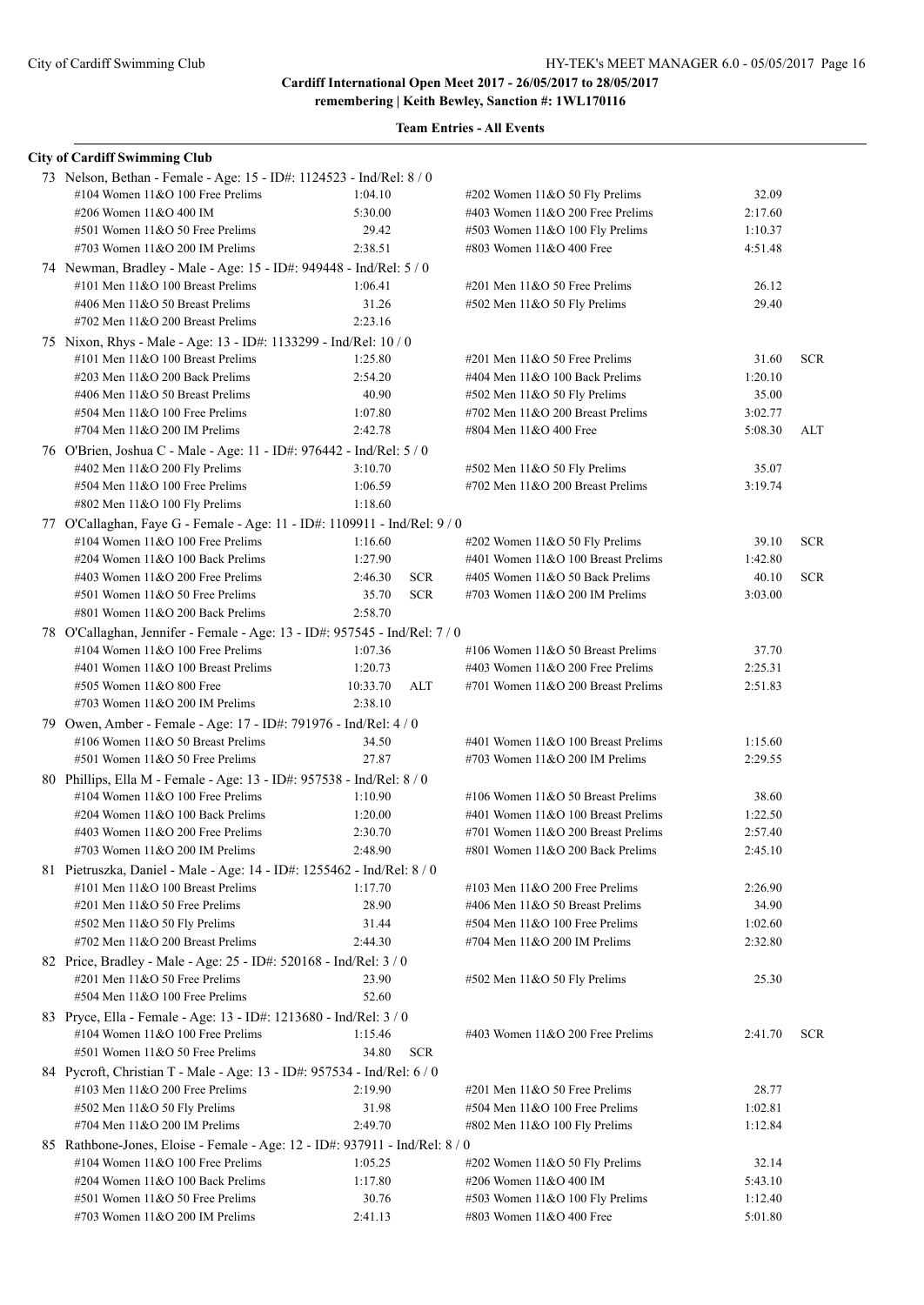| <b>City of Cardiff Swimming Club</b>                                        |                       |                                     |         |            |
|-----------------------------------------------------------------------------|-----------------------|-------------------------------------|---------|------------|
| 73 Nelson, Bethan - Female - Age: 15 - ID#: 1124523 - Ind/Rel: 8 / 0        |                       |                                     |         |            |
| #104 Women 11&O 100 Free Prelims                                            | 1:04.10               | #202 Women $11&050$ Fly Prelims     | 32.09   |            |
| #206 Women 11&O 400 IM                                                      | 5:30.00               | #403 Women $11&O$ 200 Free Prelims  | 2:17.60 |            |
| #501 Women 11&O 50 Free Prelims                                             | 29.42                 | #503 Women 11&O 100 Fly Prelims     | 1:10.37 |            |
| #703 Women 11&O 200 IM Prelims                                              | 2:38.51               | #803 Women 11&O 400 Free            | 4:51.48 |            |
| 74 Newman, Bradley - Male - Age: 15 - ID#: 949448 - Ind/Rel: 5 / 0          |                       |                                     |         |            |
| #101 Men 11&O 100 Breast Prelims                                            | 1:06.41               | #201 Men $11&050$ Free Prelims      | 26.12   |            |
| #406 Men 11&O 50 Breast Prelims                                             | 31.26                 | #502 Men 11&O 50 Fly Prelims        | 29.40   |            |
| #702 Men 11&O 200 Breast Prelims                                            | 2:23.16               |                                     |         |            |
| 75 Nixon, Rhys - Male - Age: 13 - ID#: 1133299 - Ind/Rel: 10 / 0            |                       |                                     |         |            |
| #101 Men 11&O 100 Breast Prelims                                            | 1:25.80               | $\#201$ Men $11&O$ 50 Free Prelims  | 31.60   | <b>SCR</b> |
| #203 Men 11&O 200 Back Prelims                                              | 2:54.20               | #404 Men 11&O 100 Back Prelims      | 1:20.10 |            |
| #406 Men 11&O 50 Breast Prelims                                             | 40.90                 | $\#502$ Men 11&O 50 Fly Prelims     | 35.00   |            |
| #504 Men 11&O 100 Free Prelims                                              | 1:07.80               | #702 Men 11&O 200 Breast Prelims    | 3:02.77 |            |
| #704 Men 11&O 200 IM Prelims                                                | 2:42.78               | #804 Men 11&O 400 Free              | 5:08.30 | ALT        |
| 76 O'Brien, Joshua C - Male - Age: 11 - ID#: 976442 - Ind/Rel: 5 / 0        |                       |                                     |         |            |
| #402 Men 11&O 200 Fly Prelims                                               | 3:10.70               | #502 Men 11&O 50 Fly Prelims        | 35.07   |            |
| #504 Men 11&O 100 Free Prelims                                              | 1:06.59               | #702 Men 11&O 200 Breast Prelims    | 3:19.74 |            |
| #802 Men 11&O 100 Fly Prelims                                               | 1:18.60               |                                     |         |            |
| 77 O'Callaghan, Faye G - Female - Age: 11 - ID#: 1109911 - Ind/Rel: 9 / 0   |                       |                                     |         |            |
| #104 Women 11&O 100 Free Prelims                                            | 1:16.60               | #202 Women 11&O 50 Fly Prelims      | 39.10   | <b>SCR</b> |
| #204 Women 11&O 100 Back Prelims                                            | 1:27.90               | #401 Women 11&O 100 Breast Prelims  | 1:42.80 |            |
| #403 Women 11&O 200 Free Prelims                                            | 2:46.30<br><b>SCR</b> | #405 Women 11&O 50 Back Prelims     | 40.10   | <b>SCR</b> |
| #501 Women 11&O 50 Free Prelims                                             | <b>SCR</b><br>35.70   | #703 Women 11&O 200 IM Prelims      | 3:03.00 |            |
| #801 Women 11&O 200 Back Prelims                                            | 2:58.70               |                                     |         |            |
| 78 O'Callaghan, Jennifer - Female - Age: 13 - ID#: 957545 - Ind/Rel: 7 / 0  |                       |                                     |         |            |
| #104 Women 11&O 100 Free Prelims                                            | 1:07.36               | #106 Women $11&O 50$ Breast Prelims | 37.70   |            |
| #401 Women 11&O 100 Breast Prelims                                          | 1:20.73               | #403 Women $11&O$ 200 Free Prelims  | 2:25.31 |            |
| #505 Women 11&O 800 Free                                                    | 10:33.70<br>ALT       | #701 Women 11&O 200 Breast Prelims  | 2:51.83 |            |
| #703 Women 11&O 200 IM Prelims                                              | 2:38.10               |                                     |         |            |
| 79 Owen, Amber - Female - Age: 17 - ID#: 791976 - Ind/Rel: 4 / 0            |                       |                                     |         |            |
| #106 Women 11&O 50 Breast Prelims                                           | 34.50                 | #401 Women 11&O 100 Breast Prelims  | 1:15.60 |            |
| $#501$ Women $11&O 50$ Free Prelims                                         | 27.87                 | #703 Women $11&O$ 200 IM Prelims    | 2:29.55 |            |
| 80 Phillips, Ella M - Female - Age: 13 - ID#: 957538 - Ind/Rel: 8 / 0       |                       |                                     |         |            |
| #104 Women 11&O 100 Free Prelims                                            | 1:10.90               | #106 Women $11&O 50$ Breast Prelims | 38.60   |            |
| #204 Women 11&O 100 Back Prelims                                            | 1:20.00               | #401 Women 11&O 100 Breast Prelims  | 1:22.50 |            |
| #403 Women 11&O 200 Free Prelims                                            | 2:30.70               | #701 Women 11&O 200 Breast Prelims  | 2:57.40 |            |
| #703 Women 11&O 200 IM Prelims                                              | 2:48.90               | #801 Women 11&O 200 Back Prelims    | 2:45.10 |            |
| 81 Pietruszka, Daniel - Male - Age: 14 - ID#: 1255462 - Ind/Rel: 8 / 0      |                       |                                     |         |            |
| #101 Men 11&O 100 Breast Prelims                                            | 1:17.70               | #103 Men $11&O$ 200 Free Prelims    | 2:26.90 |            |
| #201 Men 11&O 50 Free Prelims                                               | 28.90                 | #406 Men 11&O 50 Breast Prelims     | 34.90   |            |
| #502 Men 11&O 50 Fly Prelims                                                | 31.44                 | #504 Men 11&O 100 Free Prelims      | 1:02.60 |            |
| #702 Men 11&O 200 Breast Prelims                                            | 2:44.30               | #704 Men 11&O 200 IM Prelims        | 2:32.80 |            |
| 82 Price, Bradley - Male - Age: 25 - ID#: 520168 - Ind/Rel: 3 / 0           |                       |                                     |         |            |
| #201 Men 11&O 50 Free Prelims                                               | 23.90                 | #502 Men 11&O 50 Fly Prelims        | 25.30   |            |
| #504 Men 11&O 100 Free Prelims                                              | 52.60                 |                                     |         |            |
| 83 Pryce, Ella - Female - Age: 13 - ID#: 1213680 - Ind/Rel: 3 / 0           |                       |                                     |         |            |
| #104 Women 11&O 100 Free Prelims                                            | 1:15.46               | #403 Women $11&O$ 200 Free Prelims  | 2:41.70 | <b>SCR</b> |
| #501 Women 11&O 50 Free Prelims                                             | 34.80<br><b>SCR</b>   |                                     |         |            |
| 84 Pycroft, Christian T - Male - Age: 13 - ID#: 957534 - Ind/Rel: 6 / 0     |                       |                                     |         |            |
| #103 Men 11&O 200 Free Prelims                                              | 2:19.90               | $\#201$ Men $11&O$ 50 Free Prelims  | 28.77   |            |
| #502 Men 11&O 50 Fly Prelims                                                | 31.98                 | #504 Men 11&O 100 Free Prelims      | 1:02.81 |            |
| #704 Men 11&O 200 IM Prelims                                                | 2:49.70               | #802 Men 11&O 100 Fly Prelims       | 1:12.84 |            |
| 85 Rathbone-Jones, Eloise - Female - Age: 12 - ID#: 937911 - Ind/Rel: 8 / 0 |                       |                                     |         |            |
| #104 Women 11&O 100 Free Prelims                                            | 1:05.25               | #202 Women 11&O 50 Fly Prelims      | 32.14   |            |
| #204 Women 11&O 100 Back Prelims                                            | 1:17.80               | #206 Women 11&O 400 IM              | 5:43.10 |            |
| #501 Women 11&O 50 Free Prelims                                             | 30.76                 | #503 Women 11&O 100 Fly Prelims     | 1:12.40 |            |
| #703 Women 11&O 200 IM Prelims                                              | 2:41.13               | #803 Women 11&O 400 Free            | 5:01.80 |            |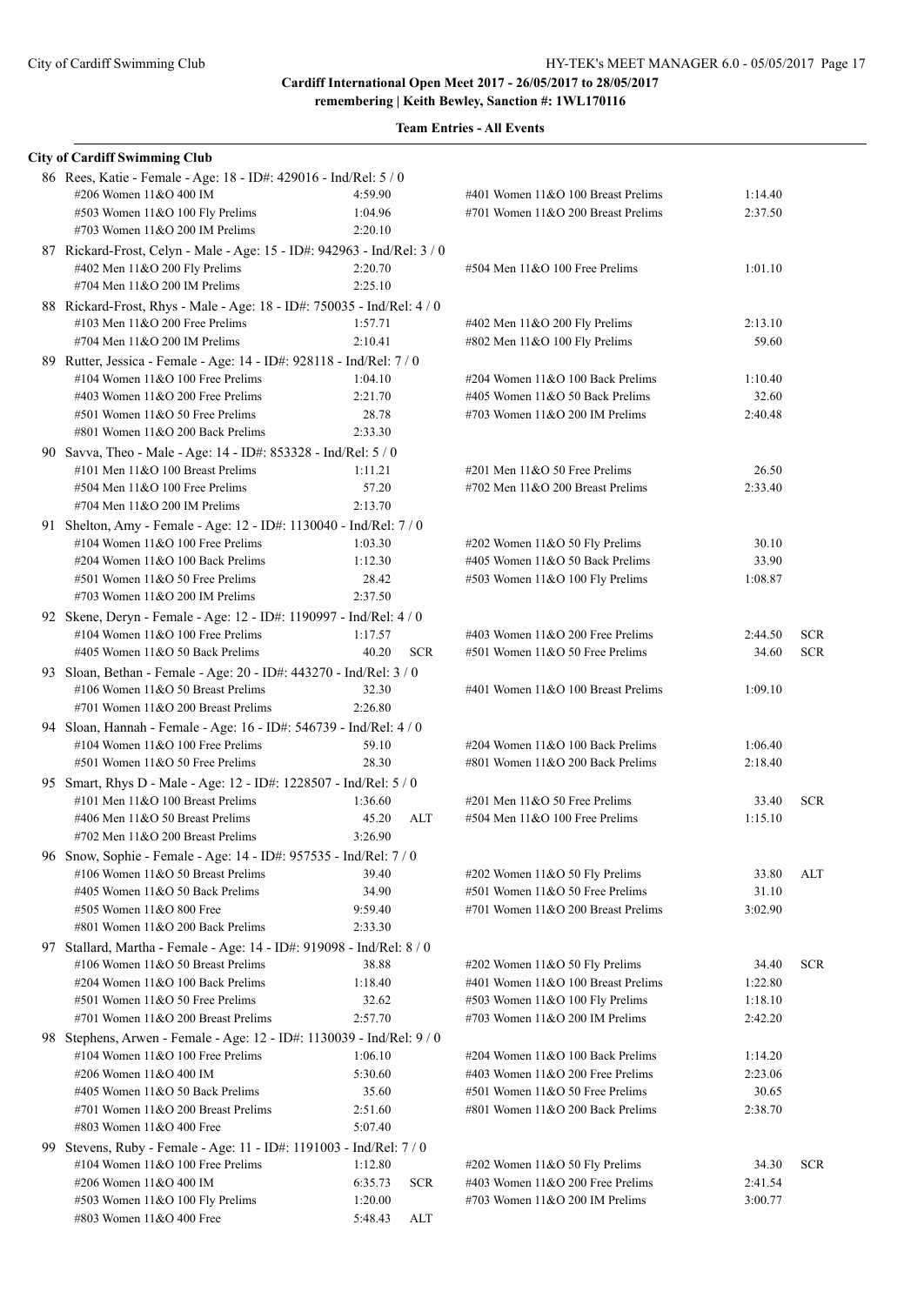| <b>City of Cardiff Swimming Club</b>                                                                   |         |            |                                                                   |                |            |
|--------------------------------------------------------------------------------------------------------|---------|------------|-------------------------------------------------------------------|----------------|------------|
| 86 Rees, Katie - Female - Age: 18 - ID#: 429016 - Ind/Rel: 5 / 0                                       |         |            |                                                                   |                |            |
| #206 Women 11&O 400 IM                                                                                 | 4:59.90 |            | #401 Women 11&O 100 Breast Prelims                                | 1:14.40        |            |
| #503 Women 11&O 100 Fly Prelims                                                                        | 1:04.96 |            | #701 Women 11&O 200 Breast Prelims                                | 2:37.50        |            |
| #703 Women 11&O 200 IM Prelims                                                                         | 2:20.10 |            |                                                                   |                |            |
| 87 Rickard-Frost, Celyn - Male - Age: 15 - ID#: 942963 - Ind/Rel: 3 / 0                                |         |            |                                                                   |                |            |
| #402 Men 11&O 200 Fly Prelims                                                                          | 2:20.70 |            | #504 Men 11&O 100 Free Prelims                                    | 1:01.10        |            |
| #704 Men 11&O 200 IM Prelims                                                                           | 2:25.10 |            |                                                                   |                |            |
| 88 Rickard-Frost, Rhys - Male - Age: 18 - ID#: 750035 - Ind/Rel: 4 / 0                                 |         |            |                                                                   |                |            |
| #103 Men $11&O$ 200 Free Prelims                                                                       | 1:57.71 |            | #402 Men 11&O 200 Fly Prelims                                     | 2:13.10        |            |
| #704 Men 11&O 200 IM Prelims                                                                           | 2:10.41 |            | #802 Men 11&O 100 Fly Prelims                                     | 59.60          |            |
| 89 Rutter, Jessica - Female - Age: 14 - ID#: 928118 - Ind/Rel: 7 / 0                                   |         |            |                                                                   |                |            |
| #104 Women $11&O$ 100 Free Prelims                                                                     | 1:04.10 |            | #204 Women 11&O 100 Back Prelims                                  | 1:10.40        |            |
| #403 Women 11&O 200 Free Prelims                                                                       | 2:21.70 |            | #405 Women 11&O 50 Back Prelims                                   | 32.60          |            |
| #501 Women 11&O 50 Free Prelims                                                                        | 28.78   |            | #703 Women 11&O 200 IM Prelims                                    | 2:40.48        |            |
| #801 Women 11&O 200 Back Prelims                                                                       | 2:33.30 |            |                                                                   |                |            |
| 90 Savva, Theo - Male - Age: 14 - ID#: 853328 - Ind/Rel: 5 / 0                                         |         |            |                                                                   |                |            |
| #101 Men $11&O$ 100 Breast Prelims                                                                     | 1:11.21 |            | $\#201$ Men $11&O$ 50 Free Prelims                                | 26.50          |            |
| #504 Men 11&O 100 Free Prelims                                                                         | 57.20   |            | #702 Men $11&O$ 200 Breast Prelims                                | 2:33.40        |            |
| #704 Men 11&O 200 IM Prelims                                                                           | 2:13.70 |            |                                                                   |                |            |
| 91 Shelton, Amy - Female - Age: 12 - ID#: 1130040 - Ind/Rel: 7 / 0                                     |         |            |                                                                   |                |            |
| #104 Women $11&O$ 100 Free Prelims                                                                     | 1:03.30 |            | #202 Women 11&O 50 Fly Prelims                                    | 30.10          |            |
| #204 Women 11&O 100 Back Prelims                                                                       | 1:12.30 |            | #405 Women 11&O 50 Back Prelims                                   | 33.90          |            |
| #501 Women 11&O 50 Free Prelims                                                                        | 28.42   |            | #503 Women 11&O 100 Fly Prelims                                   | 1:08.87        |            |
| #703 Women 11&O 200 IM Prelims                                                                         | 2:37.50 |            |                                                                   |                |            |
| 92 Skene, Deryn - Female - Age: 12 - ID#: 1190997 - Ind/Rel: 4 / 0                                     |         |            |                                                                   |                |            |
| #104 Women $11&O$ 100 Free Prelims                                                                     | 1:17.57 |            | #403 Women 11&O 200 Free Prelims                                  | 2:44.50        | <b>SCR</b> |
| #405 Women 11&O 50 Back Prelims                                                                        | 40.20   | <b>SCR</b> | #501 Women 11&O 50 Free Prelims                                   | 34.60          | <b>SCR</b> |
| 93 Sloan, Bethan - Female - Age: 20 - ID#: 443270 - Ind/Rel: 3 / 0                                     |         |            |                                                                   |                |            |
| #106 Women 11&O 50 Breast Prelims                                                                      | 32.30   |            | #401 Women 11&O 100 Breast Prelims                                | 1:09.10        |            |
| #701 Women 11&O 200 Breast Prelims                                                                     | 2:26.80 |            |                                                                   |                |            |
| 94 Sloan, Hannah - Female - Age: 16 - ID#: 546739 - Ind/Rel: 4 / 0                                     |         |            |                                                                   |                |            |
| #104 Women 11&O 100 Free Prelims                                                                       | 59.10   |            | #204 Women 11&O 100 Back Prelims                                  | 1:06.40        |            |
| $#501$ Women $11&O$ 50 Free Prelims                                                                    | 28.30   |            | #801 Women 11&O 200 Back Prelims                                  | 2:18.40        |            |
| 95 Smart, Rhys D - Male - Age: 12 - ID#: 1228507 - Ind/Rel: 5 / 0                                      |         |            |                                                                   |                |            |
| #101 Men $11&O$ 100 Breast Prelims                                                                     | 1:36.60 |            | $\#201$ Men $11&O$ 50 Free Prelims                                | 33.40          | <b>SCR</b> |
| #406 Men 11&O 50 Breast Prelims<br>#702 Men 11&O 200 Breast Prelims                                    | 45.20   | ALT        | #504 Men 11&O 100 Free Prelims                                    | 1:15.10        |            |
|                                                                                                        | 3:26.90 |            |                                                                   |                |            |
| 96 Snow, Sophie - Female - Age: 14 - ID#: 957535 - Ind/Rel: 7 / 0<br>#106 Women 11&O 50 Breast Prelims | 39.40   |            |                                                                   |                |            |
| #405 Women 11&O 50 Back Prelims                                                                        | 34.90   |            | #202 Women 11&O 50 Fly Prelims<br>#501 Women 11&O 50 Free Prelims | 33.80<br>31.10 | ALT        |
| #505 Women 11&O 800 Free                                                                               | 9:59.40 |            | #701 Women 11&O 200 Breast Prelims                                | 3:02.90        |            |
| #801 Women 11&O 200 Back Prelims                                                                       | 2:33.30 |            |                                                                   |                |            |
| 97 Stallard, Martha - Female - Age: 14 - ID#: 919098 - Ind/Rel: 8 / 0                                  |         |            |                                                                   |                |            |
| #106 Women 11&O 50 Breast Prelims                                                                      | 38.88   |            | #202 Women 11&O 50 Fly Prelims                                    | 34.40          | <b>SCR</b> |
| #204 Women 11&O 100 Back Prelims                                                                       | 1:18.40 |            | #401 Women 11&O 100 Breast Prelims                                | 1:22.80        |            |
| #501 Women 11&O 50 Free Prelims                                                                        | 32.62   |            | #503 Women 11&O 100 Fly Prelims                                   | 1:18.10        |            |
| #701 Women 11&O 200 Breast Prelims                                                                     | 2:57.70 |            | #703 Women 11&O 200 IM Prelims                                    | 2:42.20        |            |
| 98 Stephens, Arwen - Female - Age: 12 - ID#: 1130039 - Ind/Rel: 9 / 0                                  |         |            |                                                                   |                |            |
| #104 Women 11&O 100 Free Prelims                                                                       | 1:06.10 |            | #204 Women 11&O 100 Back Prelims                                  | 1:14.20        |            |
| #206 Women 11&O 400 IM                                                                                 | 5:30.60 |            | #403 Women 11&O 200 Free Prelims                                  | 2:23.06        |            |
| #405 Women 11&O 50 Back Prelims                                                                        | 35.60   |            | #501 Women 11&O 50 Free Prelims                                   | 30.65          |            |
| #701 Women 11&O 200 Breast Prelims                                                                     | 2:51.60 |            | #801 Women $11&O$ 200 Back Prelims                                | 2:38.70        |            |
| #803 Women 11&O 400 Free                                                                               | 5:07.40 |            |                                                                   |                |            |
| 99 Stevens, Ruby - Female - Age: 11 - ID#: 1191003 - Ind/Rel: 7 / 0                                    |         |            |                                                                   |                |            |
| #104 Women 11&O 100 Free Prelims                                                                       | 1:12.80 |            | #202 Women 11&O 50 Fly Prelims                                    | 34.30          | <b>SCR</b> |
| #206 Women 11&O 400 IM                                                                                 | 6:35.73 | <b>SCR</b> | #403 Women 11&O 200 Free Prelims                                  | 2:41.54        |            |
| #503 Women 11&O 100 Fly Prelims                                                                        | 1:20.00 |            | #703 Women $11&O$ 200 IM Prelims                                  | 3:00.77        |            |
| #803 Women 11&O 400 Free                                                                               | 5:48.43 | ALT        |                                                                   |                |            |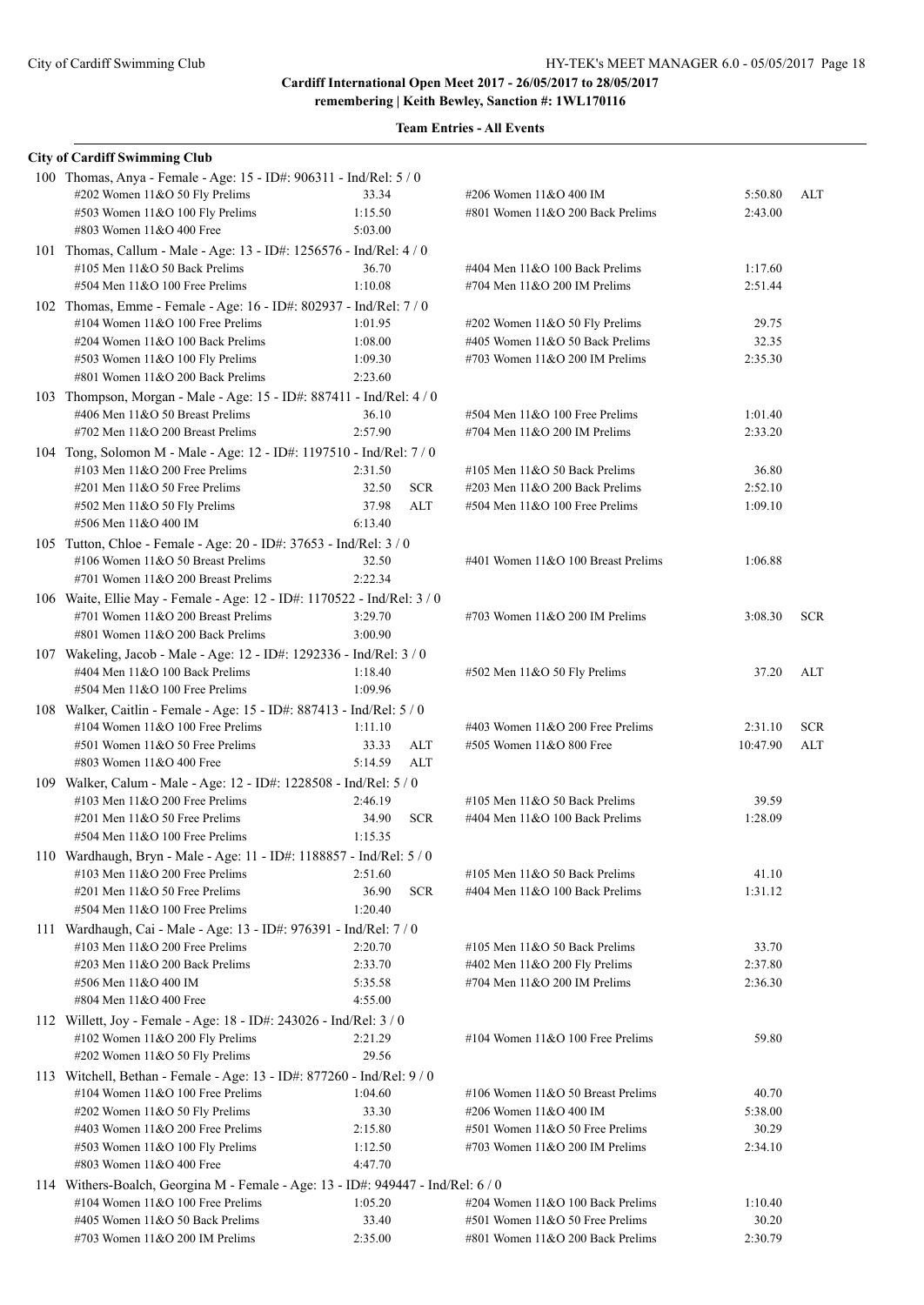| <b>City of Cardiff Swimming Club</b>                                                                                   |                    |            |                                    |          |            |
|------------------------------------------------------------------------------------------------------------------------|--------------------|------------|------------------------------------|----------|------------|
| 100 Thomas, Anya - Female - Age: 15 - ID#: 906311 - Ind/Rel: 5 / 0<br>#202 Women 11&O 50 Fly Prelims                   | 33.34              |            | #206 Women 11&O 400 IM             | 5:50.80  | ALT        |
| #503 Women 11&O 100 Fly Prelims                                                                                        | 1:15.50            |            | #801 Women 11&O 200 Back Prelims   | 2:43.00  |            |
| #803 Women 11&O 400 Free                                                                                               | 5:03.00            |            |                                    |          |            |
| 101 Thomas, Callum - Male - Age: 13 - ID#: 1256576 - Ind/Rel: 4 / 0                                                    |                    |            |                                    |          |            |
| #105 Men 11&O 50 Back Prelims                                                                                          | 36.70              |            | #404 Men 11&O 100 Back Prelims     | 1:17.60  |            |
| #504 Men 11&O 100 Free Prelims                                                                                         | 1:10.08            |            | #704 Men 11&O 200 IM Prelims       | 2:51.44  |            |
| 102 Thomas, Emme - Female - Age: 16 - ID#: 802937 - Ind/Rel: 7 / 0                                                     |                    |            |                                    |          |            |
| #104 Women $11&O$ 100 Free Prelims                                                                                     | 1:01.95            |            | #202 Women 11&O 50 Fly Prelims     | 29.75    |            |
| #204 Women 11&O 100 Back Prelims                                                                                       | 1:08.00            |            | #405 Women 11&O 50 Back Prelims    | 32.35    |            |
| #503 Women 11&O 100 Fly Prelims<br>#801 Women 11&O 200 Back Prelims                                                    | 1:09.30<br>2:23.60 |            | #703 Women $11&O$ 200 IM Prelims   | 2:35.30  |            |
| 103 Thompson, Morgan - Male - Age: 15 - ID#: 887411 - Ind/Rel: 4 / 0                                                   |                    |            |                                    |          |            |
| #406 Men 11&O 50 Breast Prelims                                                                                        | 36.10              |            | #504 Men 11&O 100 Free Prelims     | 1:01.40  |            |
| $\#702$ Men 11&O 200 Breast Prelims                                                                                    | 2:57.90            |            | #704 Men 11&O 200 IM Prelims       | 2:33.20  |            |
| 104 Tong, Solomon M - Male - Age: 12 - ID#: 1197510 - Ind/Rel: 7 / 0                                                   |                    |            |                                    |          |            |
| #103 Men $11&O$ 200 Free Prelims                                                                                       | 2:31.50            |            | #105 Men $11&O$ 50 Back Prelims    | 36.80    |            |
| $\#201$ Men $11&O$ 50 Free Prelims                                                                                     | 32.50              | <b>SCR</b> | #203 Men 11&O 200 Back Prelims     | 2:52.10  |            |
| #502 Men 11&O 50 Fly Prelims                                                                                           | 37.98              | ALT        | $#504$ Men $11&O 100$ Free Prelims | 1:09.10  |            |
| #506 Men 11&O 400 IM                                                                                                   | 6:13.40            |            |                                    |          |            |
| 105 Tutton, Chloe - Female - Age: 20 - ID#: 37653 - Ind/Rel: 3 / 0                                                     |                    |            |                                    |          |            |
| #106 Women 11&O 50 Breast Prelims                                                                                      | 32.50              |            | #401 Women 11&O 100 Breast Prelims | 1:06.88  |            |
| #701 Women $11&O$ 200 Breast Prelims                                                                                   | 2:22.34            |            |                                    |          |            |
| 106 Waite, Ellie May - Female - Age: 12 - ID#: 1170522 - Ind/Rel: 3 / 0                                                |                    |            |                                    |          |            |
| #701 Women 11&O 200 Breast Prelims                                                                                     | 3:29.70            |            | #703 Women $11&O$ 200 IM Prelims   | 3:08.30  | <b>SCR</b> |
| #801 Women 11&O 200 Back Prelims                                                                                       | 3:00.90            |            |                                    |          |            |
| 107 Wakeling, Jacob - Male - Age: 12 - ID#: 1292336 - Ind/Rel: 3 / 0                                                   |                    |            |                                    |          |            |
| #404 Men 11&O 100 Back Prelims<br>$#504$ Men $11&O$ 100 Free Prelims                                                   | 1:18.40<br>1:09.96 |            | #502 Men 11&O 50 Fly Prelims       | 37.20    | ALT        |
| 108 Walker, Caitlin - Female - Age: 15 - ID#: 887413 - Ind/Rel: 5 / 0                                                  |                    |            |                                    |          |            |
| #104 Women $11&O$ 100 Free Prelims                                                                                     | 1:11.10            |            | #403 Women $11&O$ 200 Free Prelims | 2:31.10  | <b>SCR</b> |
| $#501$ Women $11&O 50$ Free Prelims                                                                                    | 33.33              | ALT        | #505 Women 11&O 800 Free           | 10:47.90 | ALT        |
| #803 Women 11&O 400 Free                                                                                               | 5:14.59            | ALT        |                                    |          |            |
| 109 Walker, Calum - Male - Age: 12 - ID#: 1228508 - Ind/Rel: 5 / 0                                                     |                    |            |                                    |          |            |
| #103 Men $11&O$ 200 Free Prelims                                                                                       | 2:46.19            |            | #105 Men $11&O$ 50 Back Prelims    | 39.59    |            |
| #201 Men 11&O 50 Free Prelims                                                                                          | 34.90              | <b>SCR</b> | #404 Men 11&O 100 Back Prelims     | 1:28.09  |            |
| #504 Men 11&O 100 Free Prelims                                                                                         | 1:15.35            |            |                                    |          |            |
| 110 Wardhaugh, Bryn - Male - Age: 11 - ID#: 1188857 - Ind/Rel: 5 / 0                                                   |                    |            |                                    |          |            |
| #103 Men 11&O 200 Free Prelims                                                                                         | 2:51.60            |            | #105 Men 11&O 50 Back Prelims      | 41.10    |            |
| $\#201$ Men $11&O$ 50 Free Prelims<br>$#504$ Men $11&O$ 100 Free Prelims                                               | 36.90              | <b>SCR</b> | #404 Men 11&O 100 Back Prelims     | 1:31.12  |            |
|                                                                                                                        | 1:20.40            |            |                                    |          |            |
| 111 Wardhaugh, Cai - Male - Age: 13 - ID#: 976391 - Ind/Rel: 7 / 0<br>#103 Men $11&O$ 200 Free Prelims                 | 2:20.70            |            | #105 Men $11&O$ 50 Back Prelims    | 33.70    |            |
| $\#203$ Men $11&O$ 200 Back Prelims                                                                                    | 2:33.70            |            | #402 Men 11&O 200 Fly Prelims      | 2:37.80  |            |
| #506 Men 11&O 400 IM                                                                                                   | 5:35.58            |            | #704 Men 11&O 200 IM Prelims       | 2:36.30  |            |
| #804 Men 11&O 400 Free                                                                                                 | 4:55.00            |            |                                    |          |            |
| 112 Willett, Joy - Female - Age: 18 - ID#: 243026 - Ind/Rel: 3 / 0                                                     |                    |            |                                    |          |            |
| #102 Women 11&O 200 Fly Prelims                                                                                        | 2:21.29            |            | #104 Women $11&O$ 100 Free Prelims | 59.80    |            |
| #202 Women 11&O 50 Fly Prelims                                                                                         | 29.56              |            |                                    |          |            |
| 113 Witchell, Bethan - Female - Age: 13 - ID#: 877260 - Ind/Rel: 9 / 0                                                 |                    |            |                                    |          |            |
| #104 Women $11&O$ 100 Free Prelims                                                                                     | 1:04.60            |            | #106 Women 11&O 50 Breast Prelims  | 40.70    |            |
| #202 Women 11&O 50 Fly Prelims                                                                                         | 33.30              |            | #206 Women 11&O 400 IM             | 5:38.00  |            |
| #403 Women $11&O$ 200 Free Prelims                                                                                     | 2:15.80            |            | #501 Women 11&O 50 Free Prelims    | 30.29    |            |
| #503 Women 11&O 100 Fly Prelims                                                                                        | 1:12.50            |            | #703 Women 11&O 200 IM Prelims     | 2:34.10  |            |
| #803 Women 11&O 400 Free                                                                                               | 4:47.70            |            |                                    |          |            |
| 114 Withers-Boalch, Georgina M - Female - Age: 13 - ID#: 949447 - Ind/Rel: 6 / 0<br>#104 Women $11&O$ 100 Free Prelims | 1:05.20            |            | #204 Women 11&O 100 Back Prelims   | 1:10.40  |            |
| #405 Women 11&O 50 Back Prelims                                                                                        | 33.40              |            | #501 Women 11&O 50 Free Prelims    | 30.20    |            |
| #703 Women $11&O$ 200 IM Prelims                                                                                       | 2:35.00            |            | #801 Women 11&O 200 Back Prelims   | 2:30.79  |            |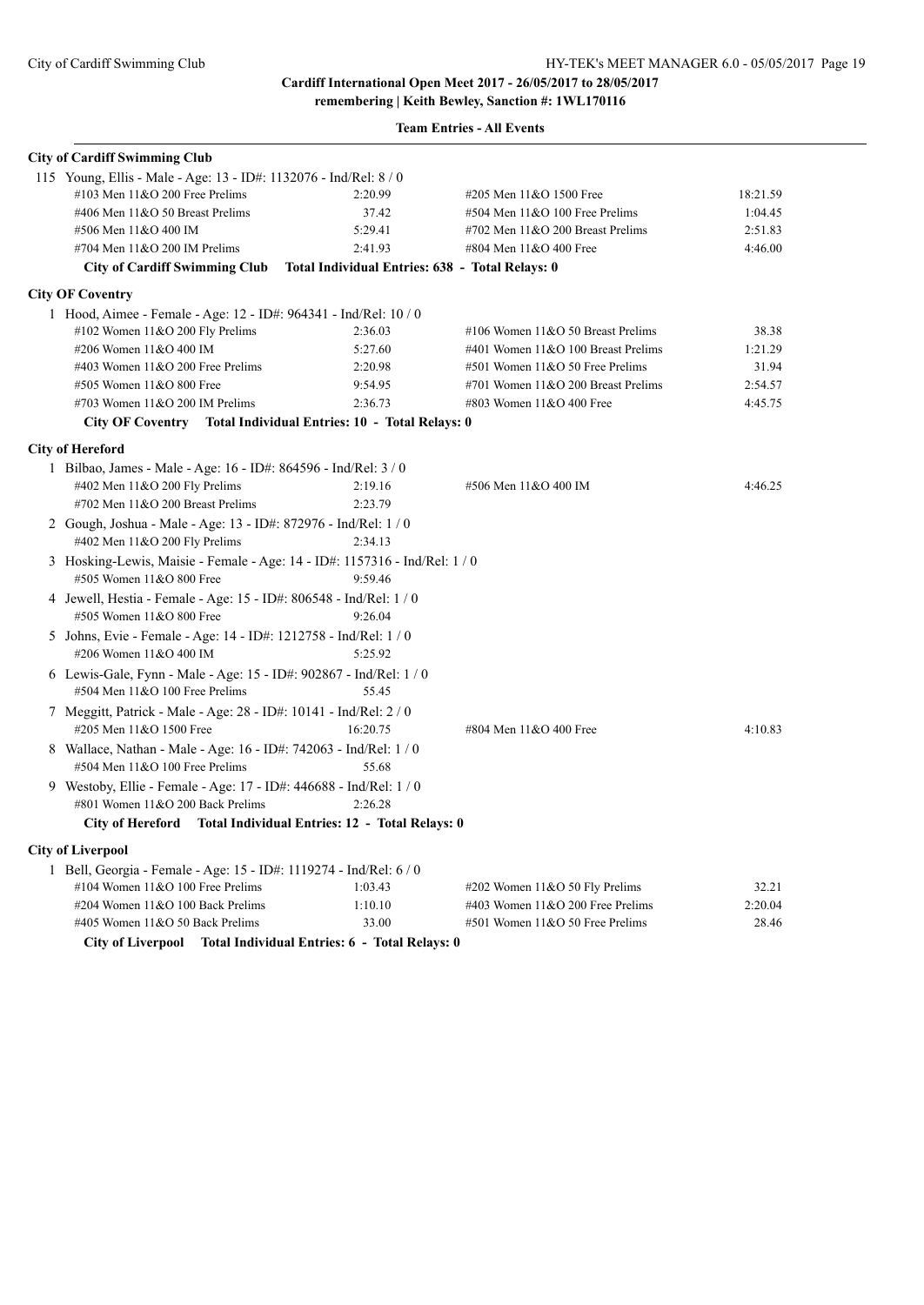| <b>City of Cardiff Swimming Club</b>                                                                 |                                                 |                                    |          |
|------------------------------------------------------------------------------------------------------|-------------------------------------------------|------------------------------------|----------|
| 115 Young, Ellis - Male - Age: 13 - ID#: 1132076 - Ind/Rel: 8 / 0                                    |                                                 |                                    |          |
| #103 Men $11&O$ 200 Free Prelims                                                                     | 2:20.99                                         | #205 Men 11&O 1500 Free            | 18:21.59 |
| #406 Men 11&O 50 Breast Prelims                                                                      | 37.42                                           | #504 Men 11&O 100 Free Prelims     | 1:04.45  |
| #506 Men 11&O 400 IM                                                                                 | 5:29.41                                         | #702 Men 11&O 200 Breast Prelims   | 2:51.83  |
| #704 Men 11&O 200 IM Prelims                                                                         | 2:41.93                                         | #804 Men 11&O 400 Free             | 4:46.00  |
| <b>City of Cardiff Swimming Club</b>                                                                 | Total Individual Entries: 638 - Total Relays: 0 |                                    |          |
| <b>City OF Coventry</b>                                                                              |                                                 |                                    |          |
| 1 Hood, Aimee - Female - Age: 12 - ID#: 964341 - Ind/Rel: 10 / 0                                     |                                                 |                                    |          |
| #102 Women 11&O 200 Fly Prelims                                                                      | 2:36.03                                         | #106 Women 11&O 50 Breast Prelims  | 38.38    |
| #206 Women 11&O 400 IM                                                                               | 5:27.60                                         | #401 Women 11&O 100 Breast Prelims | 1:21.29  |
| #403 Women 11&O 200 Free Prelims                                                                     | 2:20.98                                         | #501 Women 11&O 50 Free Prelims    | 31.94    |
| #505 Women 11&O 800 Free                                                                             | 9:54.95                                         | #701 Women 11&O 200 Breast Prelims | 2:54.57  |
| #703 Women $11&O$ 200 IM Prelims                                                                     | 2:36.73                                         | #803 Women 11&O 400 Free           | 4:45.75  |
| City OF Coventry Total Individual Entries: 10 - Total Relays: 0                                      |                                                 |                                    |          |
| <b>City of Hereford</b>                                                                              |                                                 |                                    |          |
| 1 Bilbao, James - Male - Age: 16 - ID#: 864596 - Ind/Rel: 3/0                                        |                                                 |                                    |          |
| #402 Men $11&O$ 200 Fly Prelims                                                                      | 2:19.16                                         | #506 Men 11&O 400 IM               | 4:46.25  |
| #702 Men 11&O 200 Breast Prelims                                                                     | 2:23.79                                         |                                    |          |
| 2 Gough, Joshua - Male - Age: 13 - ID#: 872976 - Ind/Rel: 1/0                                        |                                                 |                                    |          |
| #402 Men 11&O 200 Fly Prelims                                                                        | 2:34.13                                         |                                    |          |
| 3 Hosking-Lewis, Maisie - Female - Age: 14 - ID#: 1157316 - Ind/Rel: 1 / 0                           |                                                 |                                    |          |
| #505 Women 11&O 800 Free                                                                             | 9:59.46                                         |                                    |          |
| 4 Jewell, Hestia - Female - Age: 15 - ID#: 806548 - Ind/Rel: 1 / 0                                   |                                                 |                                    |          |
| #505 Women 11&O 800 Free                                                                             | 9:26.04                                         |                                    |          |
| 5 Johns, Evie - Female - Age: 14 - ID#: 1212758 - Ind/Rel: 1/0<br>#206 Women 11&O 400 IM             | 5:25.92                                         |                                    |          |
|                                                                                                      |                                                 |                                    |          |
| 6 Lewis-Gale, Fynn - Male - Age: 15 - ID#: 902867 - Ind/Rel: 1/0<br>#504 Men 11&O 100 Free Prelims   | 55.45                                           |                                    |          |
| 7 Meggitt, Patrick - Male - Age: 28 - ID#: 10141 - Ind/Rel: 2 / 0                                    |                                                 |                                    |          |
| #205 Men 11&O 1500 Free                                                                              | 16:20.75                                        | #804 Men 11&O 400 Free             | 4:10.83  |
| 8 Wallace, Nathan - Male - Age: 16 - ID#: 742063 - Ind/Rel: 1/0                                      |                                                 |                                    |          |
| #504 Men 11&O 100 Free Prelims                                                                       | 55.68                                           |                                    |          |
| 9 Westoby, Ellie - Female - Age: 17 - ID#: 446688 - Ind/Rel: 1/0<br>#801 Women 11&O 200 Back Prelims | 2:26.28                                         |                                    |          |
| City of Hereford Total Individual Entries: 12 - Total Relays: 0                                      |                                                 |                                    |          |
| <b>City of Liverpool</b>                                                                             |                                                 |                                    |          |
| 1 Bell, Georgia - Female - Age: 15 - ID#: 1119274 - Ind/Rel: 6 / 0                                   |                                                 |                                    |          |
| #104 Women $11&O$ 100 Free Prelims                                                                   | 1:03.43                                         | #202 Women $11&O 50$ Fly Prelims   | 32.21    |
| #204 Women 11&O 100 Back Prelims                                                                     | 1:10.10                                         | #403 Women 11&O 200 Free Prelims   | 2:20.04  |
| #405 Women 11&O 50 Back Prelims                                                                      | 33.00                                           | #501 Women 11&O 50 Free Prelims    | 28.46    |
| <b>City of Liverpool</b>                                                                             | Total Individual Entries: 6 - Total Relays: 0   |                                    |          |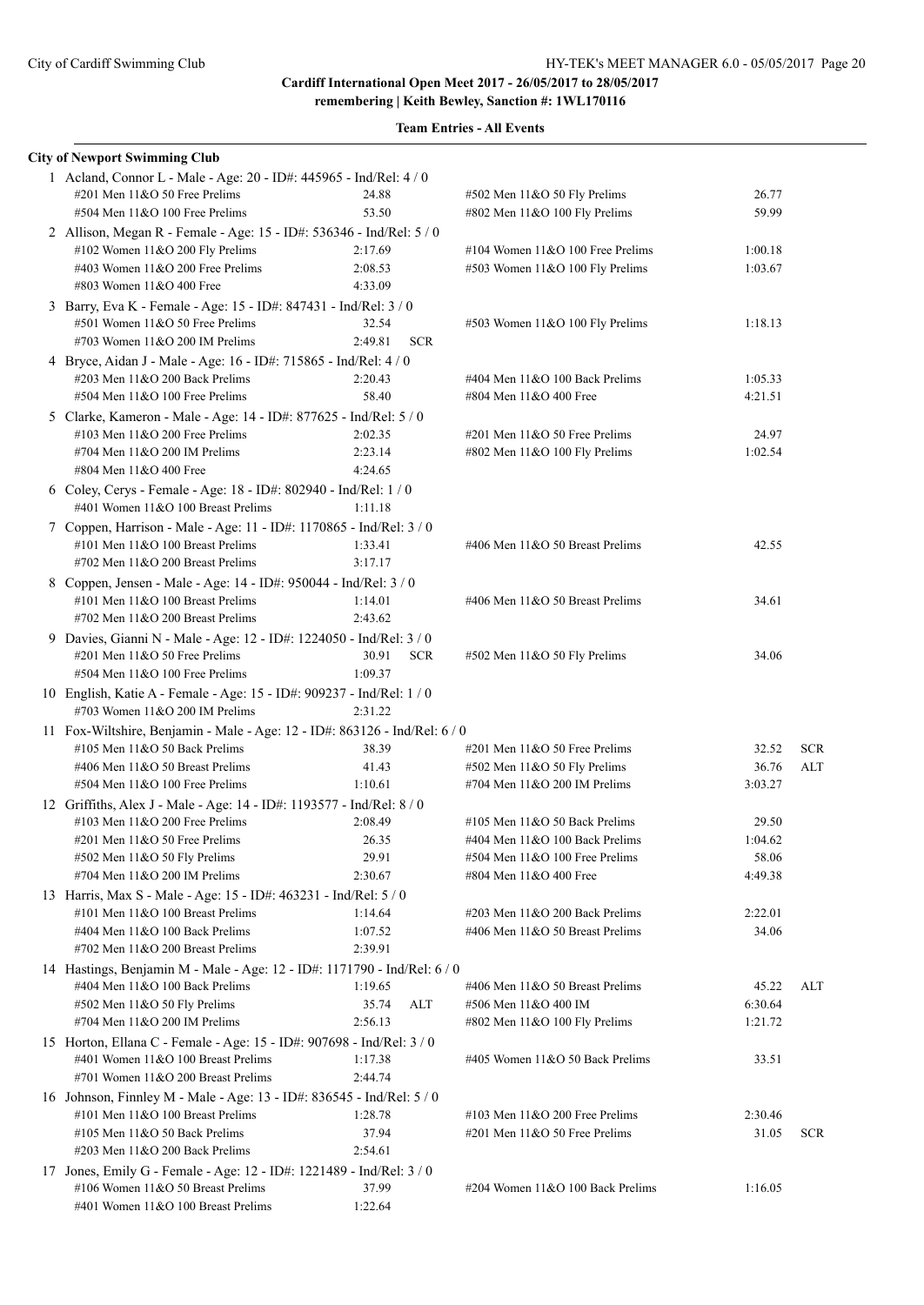**remembering | Keith Bewley, Sanction #: 1WL170116**

| <b>City of Newport Swimming Club</b>                                                                       |                    |            |                                    |         |            |
|------------------------------------------------------------------------------------------------------------|--------------------|------------|------------------------------------|---------|------------|
| 1 Acland, Connor L - Male - Age: 20 - ID#: 445965 - Ind/Rel: 4 / 0                                         |                    |            |                                    |         |            |
| #201 Men 11&O 50 Free Prelims                                                                              | 24.88              |            | #502 Men 11&O 50 Fly Prelims       | 26.77   |            |
| $#504$ Men $11&O$ 100 Free Prelims                                                                         | 53.50              |            | #802 Men 11&O 100 Fly Prelims      | 59.99   |            |
| 2 Allison, Megan R - Female - Age: 15 - ID#: 536346 - Ind/Rel: 5 / 0                                       |                    |            |                                    |         |            |
| #102 Women 11&O 200 Fly Prelims                                                                            | 2:17.69            |            | #104 Women $11&O$ 100 Free Prelims | 1:00.18 |            |
| #403 Women 11&O 200 Free Prelims                                                                           | 2:08.53            |            | #503 Women 11&O 100 Fly Prelims    | 1:03.67 |            |
| #803 Women 11&O 400 Free                                                                                   | 4:33.09            |            |                                    |         |            |
| 3 Barry, Eva K - Female - Age: 15 - ID#: 847431 - Ind/Rel: 3 / 0                                           |                    |            |                                    |         |            |
| #501 Women 11&O 50 Free Prelims                                                                            | 32.54              |            | #503 Women 11&O 100 Fly Prelims    | 1:18.13 |            |
| #703 Women 11&O 200 IM Prelims                                                                             | 2:49.81            | <b>SCR</b> |                                    |         |            |
| 4 Bryce, Aidan J - Male - Age: 16 - ID#: 715865 - Ind/Rel: 4 / 0                                           |                    |            |                                    |         |            |
| #203 Men 11&O 200 Back Prelims                                                                             | 2:20.43            |            | #404 Men 11&O 100 Back Prelims     | 1:05.33 |            |
| $#504$ Men $11&O$ 100 Free Prelims                                                                         | 58.40              |            | #804 Men 11&O 400 Free             | 4:21.51 |            |
| 5 Clarke, Kameron - Male - Age: 14 - ID#: 877625 - Ind/Rel: 5 / 0                                          |                    |            |                                    |         |            |
| #103 Men 11&O 200 Free Prelims                                                                             | 2:02.35            |            | #201 Men 11&O 50 Free Prelims      | 24.97   |            |
| #704 Men $11&O$ 200 IM Prelims<br>#804 Men 11&O 400 Free                                                   | 2:23.14<br>4:24.65 |            | #802 Men 11&O 100 Fly Prelims      | 1:02.54 |            |
|                                                                                                            |                    |            |                                    |         |            |
| 6 Coley, Cerys - Female - Age: 18 - ID#: 802940 - Ind/Rel: 1 / 0<br>#401 Women 11&O 100 Breast Prelims     | 1:11.18            |            |                                    |         |            |
|                                                                                                            |                    |            |                                    |         |            |
| 7 Coppen, Harrison - Male - Age: 11 - ID#: 1170865 - Ind/Rel: 3 / 0<br>#101 Men 11&O 100 Breast Prelims    | 1:33.41            |            | #406 Men 11&O 50 Breast Prelims    | 42.55   |            |
| #702 Men 11&O 200 Breast Prelims                                                                           | 3:17.17            |            |                                    |         |            |
| 8 Coppen, Jensen - Male - Age: 14 - ID#: 950044 - Ind/Rel: 3 / 0                                           |                    |            |                                    |         |            |
| #101 Men 11&O 100 Breast Prelims                                                                           | 1:14.01            |            | #406 Men 11&O 50 Breast Prelims    | 34.61   |            |
| #702 Men 11&O 200 Breast Prelims                                                                           | 2:43.62            |            |                                    |         |            |
| 9 Davies, Gianni N - Male - Age: 12 - ID#: 1224050 - Ind/Rel: 3 / 0                                        |                    |            |                                    |         |            |
| #201 Men 11&O 50 Free Prelims                                                                              | 30.91              | <b>SCR</b> | #502 Men 11&O 50 Fly Prelims       | 34.06   |            |
| #504 Men 11&O 100 Free Prelims                                                                             | 1:09.37            |            |                                    |         |            |
| 10 English, Katie A - Female - Age: 15 - ID#: 909237 - Ind/Rel: 1/0                                        |                    |            |                                    |         |            |
| #703 Women $11&O$ 200 IM Prelims                                                                           | 2:31.22            |            |                                    |         |            |
| 11 Fox-Wiltshire, Benjamin - Male - Age: 12 - ID#: 863126 - Ind/Rel: 6 / 0                                 |                    |            |                                    |         |            |
| #105 Men $11&O$ 50 Back Prelims                                                                            | 38.39              |            | $\#201$ Men $11&O$ 50 Free Prelims | 32.52   | <b>SCR</b> |
| #406 Men 11&O 50 Breast Prelims                                                                            | 41.43              |            | #502 Men 11&O 50 Fly Prelims       | 36.76   | ALT        |
| #504 Men 11&O 100 Free Prelims                                                                             | 1:10.61            |            | #704 Men 11&O 200 IM Prelims       | 3:03.27 |            |
| 12 Griffiths, Alex J - Male - Age: 14 - ID#: 1193577 - Ind/Rel: 8 / 0                                      |                    |            |                                    |         |            |
| #103 Men 11&O 200 Free Prelims                                                                             | 2:08.49            |            | #105 Men 11&O 50 Back Prelims      | 29.50   |            |
| #201 Men 11&O 50 Free Prelims                                                                              | 26.35              |            | #404 Men 11&O 100 Back Prelims     | 1:04.62 |            |
| #502 Men 11&O 50 Fly Prelims                                                                               | 29.91              |            | #504 Men 11&O 100 Free Prelims     | 58.06   |            |
| #704 Men 11&O 200 IM Prelims                                                                               | 2:30.67            |            | #804 Men 11&O 400 Free             | 4:49.38 |            |
| 13 Harris, Max S - Male - Age: 15 - ID#: 463231 - Ind/Rel: 5 / 0                                           |                    |            |                                    |         |            |
| #101 Men $11&0 100$ Breast Prelims                                                                         | 1:14.64            |            | #203 Men 11&O 200 Back Prelims     | 2:22.01 |            |
| #404 Men 11&O 100 Back Prelims<br>#702 Men 11&O 200 Breast Prelims                                         | 1:07.52<br>2:39.91 |            | #406 Men 11&O 50 Breast Prelims    | 34.06   |            |
|                                                                                                            |                    |            |                                    |         |            |
| 14 Hastings, Benjamin M - Male - Age: 12 - ID#: 1171790 - Ind/Rel: 6 / 0<br>#404 Men 11&O 100 Back Prelims | 1:19.65            |            | #406 Men 11&O 50 Breast Prelims    | 45.22   | ALT        |
| #502 Men 11&O 50 Fly Prelims                                                                               | 35.74              | <b>ALT</b> | #506 Men 11&O 400 IM               | 6:30.64 |            |
| #704 Men 11&O 200 IM Prelims                                                                               | 2:56.13            |            | #802 Men 11&O 100 Fly Prelims      | 1:21.72 |            |
| 15 Horton, Ellana C - Female - Age: 15 - ID#: 907698 - Ind/Rel: 3 / 0                                      |                    |            |                                    |         |            |
| #401 Women 11&O 100 Breast Prelims                                                                         | 1:17.38            |            | #405 Women 11&O 50 Back Prelims    | 33.51   |            |
| #701 Women 11&O 200 Breast Prelims                                                                         | 2:44.74            |            |                                    |         |            |
| 16 Johnson, Finnley M - Male - Age: 13 - ID#: 836545 - Ind/Rel: 5 / 0                                      |                    |            |                                    |         |            |
| #101 Men 11&O 100 Breast Prelims                                                                           | 1:28.78            |            | #103 Men 11&O 200 Free Prelims     | 2:30.46 |            |
| #105 Men 11&O 50 Back Prelims                                                                              | 37.94              |            | #201 Men 11&O 50 Free Prelims      | 31.05   | <b>SCR</b> |
| $\#203$ Men $11&O$ 200 Back Prelims                                                                        | 2:54.61            |            |                                    |         |            |
| 17 Jones, Emily G - Female - Age: 12 - ID#: 1221489 - Ind/Rel: 3 / 0                                       |                    |            |                                    |         |            |
| #106 Women 11&O 50 Breast Prelims                                                                          | 37.99              |            | #204 Women 11&O 100 Back Prelims   | 1:16.05 |            |
| #401 Women 11&O 100 Breast Prelims                                                                         | 1:22.64            |            |                                    |         |            |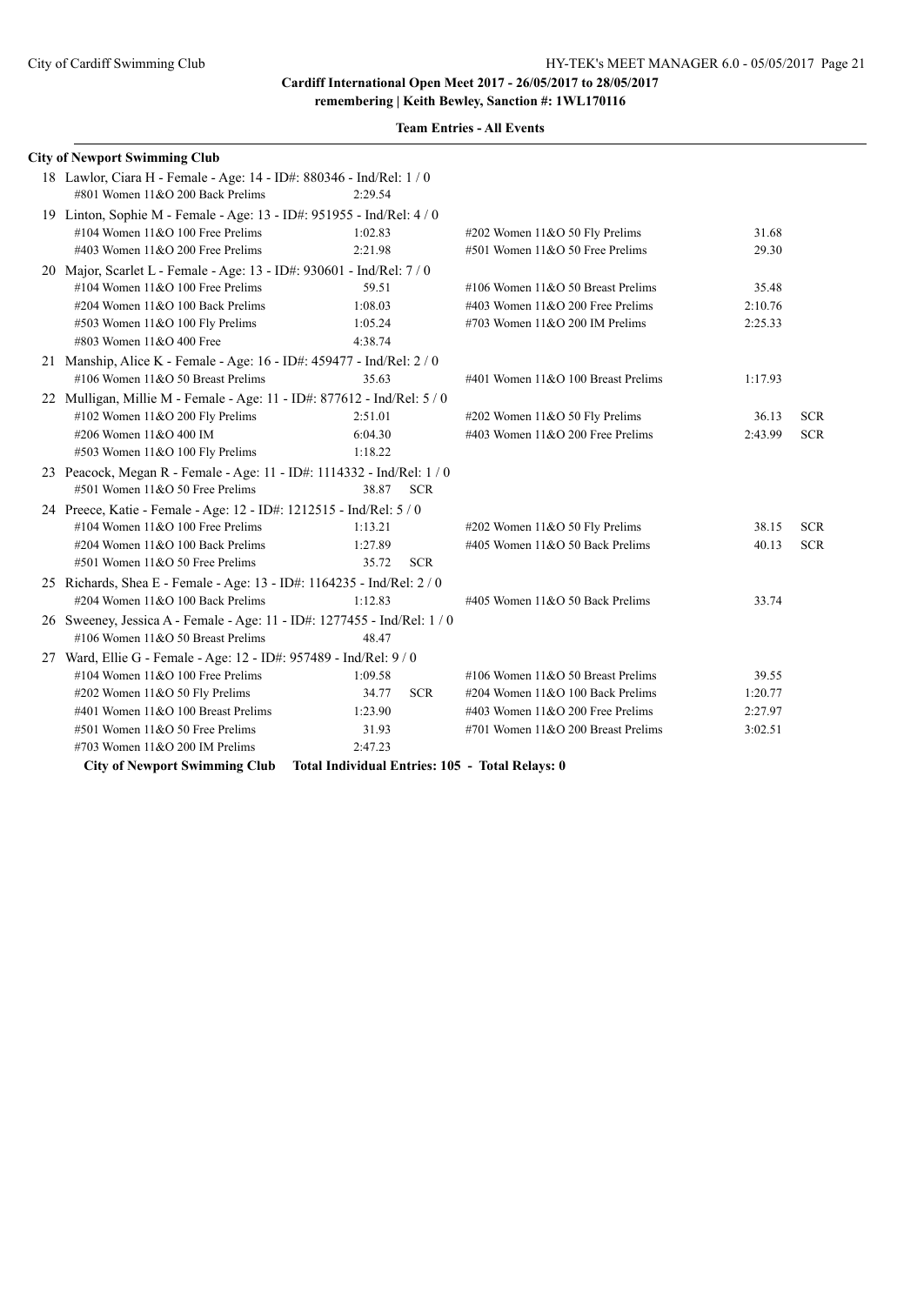| <b>City of Newport Swimming Club</b>                                     |                                                 |                                     |         |            |
|--------------------------------------------------------------------------|-------------------------------------------------|-------------------------------------|---------|------------|
| 18 Lawlor, Ciara H - Female - Age: 14 - ID#: 880346 - Ind/Rel: 1/0       |                                                 |                                     |         |            |
| #801 Women 11&O 200 Back Prelims                                         | 2:29.54                                         |                                     |         |            |
| 19 Linton, Sophie M - Female - Age: 13 - ID#: 951955 - Ind/Rel: 4/0      |                                                 |                                     |         |            |
| #104 Women 11&O 100 Free Prelims                                         | 1:02.83                                         | #202 Women 11&O 50 Fly Prelims      | 31.68   |            |
| #403 Women $11&O$ 200 Free Prelims                                       | 2:21.98                                         | #501 Women 11&O 50 Free Prelims     | 29.30   |            |
| 20 Major, Scarlet L - Female - Age: 13 - ID#: 930601 - Ind/Rel: 7 / 0    |                                                 |                                     |         |            |
| #104 Women $11&O$ 100 Free Prelims                                       | 59.51                                           | #106 Women $11&O 50$ Breast Prelims | 35.48   |            |
| #204 Women 11&O 100 Back Prelims                                         | 1:08.03                                         | #403 Women $11&O$ 200 Free Prelims  | 2:10.76 |            |
| #503 Women 11&O 100 Fly Prelims                                          | 1:05.24                                         | #703 Women $11&O$ 200 IM Prelims    | 2:25.33 |            |
| #803 Women 11&O 400 Free                                                 | 4:38.74                                         |                                     |         |            |
| 21 Manship, Alice K - Female - Age: 16 - ID#: 459477 - Ind/Rel: 2 / 0    |                                                 |                                     |         |            |
| #106 Women 11&O 50 Breast Prelims                                        | 35.63                                           | #401 Women 11&O 100 Breast Prelims  | 1:17.93 |            |
| 22 Mulligan, Millie M - Female - Age: 11 - ID#: 877612 - Ind/Rel: 5 / 0  |                                                 |                                     |         |            |
| #102 Women $11&O$ 200 Fly Prelims                                        | 2:51.01                                         | #202 Women 11&O 50 Fly Prelims      | 36.13   | <b>SCR</b> |
| #206 Women 11&O 400 IM                                                   | 6:04.30                                         | #403 Women $11&O$ 200 Free Prelims  | 2:43.99 | <b>SCR</b> |
| #503 Women 11&O 100 Fly Prelims                                          | 1:18.22                                         |                                     |         |            |
| 23 Peacock, Megan R - Female - Age: 11 - ID#: 1114332 - Ind/Rel: 1 / 0   |                                                 |                                     |         |            |
| #501 Women 11&O 50 Free Prelims                                          | <b>SCR</b><br>38.87                             |                                     |         |            |
| 24 Preece, Katie - Female - Age: 12 - ID#: 1212515 - Ind/Rel: 5/0        |                                                 |                                     |         |            |
| #104 Women $11&O$ 100 Free Prelims                                       | 1:13.21                                         | #202 Women 11&O 50 Fly Prelims      | 38.15   | <b>SCR</b> |
| #204 Women 11&O 100 Back Prelims                                         | 1:27.89                                         | #405 Women 11&O 50 Back Prelims     | 40.13   | <b>SCR</b> |
| #501 Women 11&O 50 Free Prelims                                          | 35.72<br><b>SCR</b>                             |                                     |         |            |
| 25 Richards, Shea E - Female - Age: 13 - ID#: 1164235 - Ind/Rel: 2 / 0   |                                                 |                                     |         |            |
| #204 Women 11&O 100 Back Prelims                                         | 1:12.83                                         | #405 Women 11&O 50 Back Prelims     | 33.74   |            |
| 26 Sweeney, Jessica A - Female - Age: 11 - ID#: 1277455 - Ind/Rel: 1 / 0 |                                                 |                                     |         |            |
| #106 Women $11&O$ 50 Breast Prelims                                      | 48.47                                           |                                     |         |            |
| 27 Ward, Ellie G - Female - Age: 12 - ID#: 957489 - Ind/Rel: 9 / 0       |                                                 |                                     |         |            |
| #104 Women $11&O 100$ Free Prelims                                       | 1:09.58                                         | #106 Women $11&O 50$ Breast Prelims | 39.55   |            |
| #202 Women 11&O 50 Fly Prelims                                           | 34.77<br><b>SCR</b>                             | #204 Women 11&O 100 Back Prelims    | 1:20.77 |            |
| #401 Women 11&O 100 Breast Prelims                                       | 1:23.90                                         | #403 Women $11&O$ 200 Free Prelims  | 2:27.97 |            |
| #501 Women 11&O 50 Free Prelims                                          | 31.93                                           | #701 Women 11&O 200 Breast Prelims  | 3:02.51 |            |
| #703 Women $11&O$ 200 IM Prelims                                         | 2:47.23                                         |                                     |         |            |
| <b>City of Newport Swimming Club</b>                                     | Total Individual Entries: 105 - Total Relays: 0 |                                     |         |            |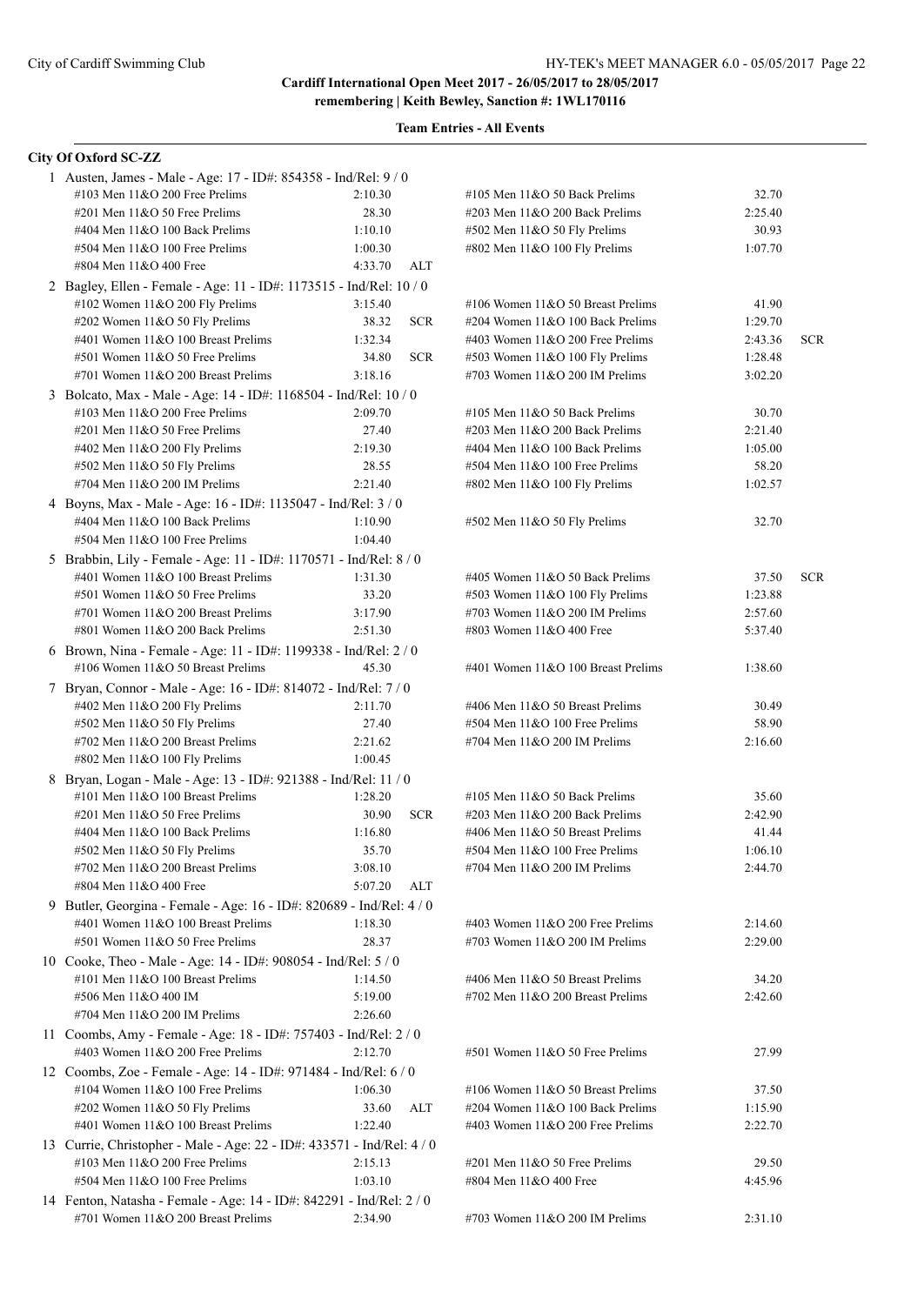| City Of Oxford SC-ZZ                                                   |                     |                                    |         |            |
|------------------------------------------------------------------------|---------------------|------------------------------------|---------|------------|
| 1 Austen, James - Male - Age: 17 - ID#: 854358 - Ind/Rel: 9 / 0        |                     |                                    |         |            |
| #103 Men $11&O$ 200 Free Prelims                                       | 2:10.30             | #105 Men 11&O 50 Back Prelims      | 32.70   |            |
| $\#201$ Men $11&O$ 50 Free Prelims                                     | 28.30               | #203 Men 11&O 200 Back Prelims     | 2:25.40 |            |
| #404 Men 11&O 100 Back Prelims                                         | 1:10.10             | #502 Men 11&O 50 Fly Prelims       | 30.93   |            |
| #504 Men 11&O 100 Free Prelims                                         | 1:00.30             | #802 Men 11&O 100 Fly Prelims      | 1:07.70 |            |
| #804 Men 11&O 400 Free                                                 | 4:33.70<br>ALT      |                                    |         |            |
| 2 Bagley, Ellen - Female - Age: 11 - ID#: 1173515 - Ind/Rel: 10 / 0    |                     |                                    |         |            |
| #102 Women 11&O 200 Fly Prelims                                        | 3:15.40             | #106 Women 11&O 50 Breast Prelims  | 41.90   |            |
| #202 Women 11&O 50 Fly Prelims                                         | 38.32<br><b>SCR</b> | #204 Women 11&O 100 Back Prelims   | 1:29.70 |            |
| #401 Women 11&O 100 Breast Prelims                                     | 1:32.34             | #403 Women 11&O 200 Free Prelims   | 2:43.36 | <b>SCR</b> |
| #501 Women 11&O 50 Free Prelims                                        | <b>SCR</b><br>34.80 | #503 Women 11&O 100 Fly Prelims    | 1:28.48 |            |
| #701 Women 11&O 200 Breast Prelims                                     | 3:18.16             | #703 Women 11&O 200 IM Prelims     | 3:02.20 |            |
| 3 Bolcato, Max - Male - Age: 14 - ID#: 1168504 - Ind/Rel: 10 / 0       |                     |                                    |         |            |
| #103 Men $11&O$ 200 Free Prelims                                       | 2:09.70             | #105 Men 11&O 50 Back Prelims      | 30.70   |            |
| #201 Men 11&O 50 Free Prelims                                          | 27.40               | #203 Men 11&O 200 Back Prelims     | 2:21.40 |            |
| #402 Men 11&O 200 Fly Prelims                                          | 2:19.30             | #404 Men 11&O 100 Back Prelims     | 1:05.00 |            |
| #502 Men 11&O 50 Fly Prelims                                           | 28.55               | #504 Men 11&O 100 Free Prelims     | 58.20   |            |
| #704 Men 11&O 200 IM Prelims                                           | 2:21.40             | #802 Men 11&O 100 Fly Prelims      | 1:02.57 |            |
| 4 Boyns, Max - Male - Age: 16 - ID#: 1135047 - Ind/Rel: 3 / 0          |                     |                                    |         |            |
| #404 Men 11&O 100 Back Prelims                                         | 1:10.90             | #502 Men 11&O 50 Fly Prelims       | 32.70   |            |
| #504 Men 11&O 100 Free Prelims                                         | 1:04.40             |                                    |         |            |
|                                                                        |                     |                                    |         |            |
| 5 Brabbin, Lily - Female - Age: 11 - ID#: 1170571 - Ind/Rel: 8 / 0     |                     |                                    |         |            |
| #401 Women 11&O 100 Breast Prelims                                     | 1:31.30             | #405 Women 11&O 50 Back Prelims    | 37.50   | <b>SCR</b> |
| #501 Women 11&O 50 Free Prelims                                        | 33.20               | #503 Women 11&O 100 Fly Prelims    | 1:23.88 |            |
| #701 Women $11&O$ 200 Breast Prelims                                   | 3:17.90             | #703 Women 11&O 200 IM Prelims     | 2:57.60 |            |
| #801 Women 11&O 200 Back Prelims                                       | 2:51.30             | #803 Women 11&O 400 Free           | 5:37.40 |            |
| 6 Brown, Nina - Female - Age: 11 - ID#: 1199338 - Ind/Rel: 2 / 0       |                     |                                    |         |            |
| #106 Women $11&O 50$ Breast Prelims                                    | 45.30               | #401 Women 11&O 100 Breast Prelims | 1:38.60 |            |
| 7 Bryan, Connor - Male - Age: 16 - ID#: 814072 - Ind/Rel: 7 / 0        |                     |                                    |         |            |
| #402 Men 11&O 200 Fly Prelims                                          | 2:11.70             | #406 Men 11&O 50 Breast Prelims    | 30.49   |            |
| #502 Men 11&O 50 Fly Prelims                                           | 27.40               | #504 Men 11&O 100 Free Prelims     | 58.90   |            |
| #702 Men $11&O$ 200 Breast Prelims                                     | 2:21.62             | #704 Men 11&O 200 IM Prelims       | 2:16.60 |            |
| #802 Men 11&O 100 Fly Prelims                                          | 1:00.45             |                                    |         |            |
| 8 Bryan, Logan - Male - Age: 13 - ID#: 921388 - Ind/Rel: 11 / 0        |                     |                                    |         |            |
| #101 Men 11&O 100 Breast Prelims                                       | 1:28.20             | #105 Men $11&O$ 50 Back Prelims    | 35.60   |            |
| #201 Men 11&O 50 Free Prelims                                          | 30.90<br><b>SCR</b> | #203 Men 11&O 200 Back Prelims     | 2:42.90 |            |
| #404 Men 11&O 100 Back Prelims                                         | 1:16.80             | #406 Men 11&O 50 Breast Prelims    | 41.44   |            |
| #502 Men 11&O 50 Fly Prelims                                           | 35.70               | #504 Men 11&O 100 Free Prelims     | 1:06.10 |            |
| #702 Men 11&O 200 Breast Prelims                                       | 3:08.10             | #704 Men 11&O 200 IM Prelims       | 2:44.70 |            |
| #804 Men 11&O 400 Free                                                 | 5:07.20<br>ALT      |                                    |         |            |
| 9 Butler, Georgina - Female - Age: 16 - ID#: 820689 - Ind/Rel: 4 / 0   |                     |                                    |         |            |
| #401 Women 11&O 100 Breast Prelims                                     | 1:18.30             | #403 Women 11&O 200 Free Prelims   | 2:14.60 |            |
| #501 Women 11&O 50 Free Prelims                                        | 28.37               | #703 Women 11&O 200 IM Prelims     | 2:29.00 |            |
| 10 Cooke, Theo - Male - Age: 14 - ID#: 908054 - Ind/Rel: 5 / 0         |                     |                                    |         |            |
| #101 Men 11&O 100 Breast Prelims                                       | 1:14.50             | #406 Men 11&O 50 Breast Prelims    |         |            |
|                                                                        |                     |                                    | 34.20   |            |
| #506 Men 11&O 400 IM<br>#704 Men 11&O 200 IM Prelims                   | 5:19.00             | #702 Men 11&O 200 Breast Prelims   | 2:42.60 |            |
|                                                                        | 2:26.60             |                                    |         |            |
| 11 Coombs, Amy - Female - Age: 18 - ID#: 757403 - Ind/Rel: 2 / 0       |                     |                                    |         |            |
| #403 Women $11&O$ 200 Free Prelims                                     | 2:12.70             | #501 Women 11&O 50 Free Prelims    | 27.99   |            |
| 12 Coombs, Zoe - Female - Age: 14 - ID#: 971484 - Ind/Rel: 6 / 0       |                     |                                    |         |            |
| #104 Women $11&O$ 100 Free Prelims                                     | 1:06.30             | #106 Women 11&O 50 Breast Prelims  | 37.50   |            |
| #202 Women 11&O 50 Fly Prelims                                         | <b>ALT</b><br>33.60 | #204 Women 11&O 100 Back Prelims   | 1:15.90 |            |
| #401 Women 11&O 100 Breast Prelims                                     | 1:22.40             | #403 Women 11&O 200 Free Prelims   | 2:22.70 |            |
| 13 Currie, Christopher - Male - Age: 22 - ID#: 433571 - Ind/Rel: 4 / 0 |                     |                                    |         |            |
| #103 Men $11&O$ 200 Free Prelims                                       | 2:15.13             | #201 Men 11&O 50 Free Prelims      | 29.50   |            |
| #504 Men 11&O 100 Free Prelims                                         | 1:03.10             | #804 Men 11&O 400 Free             | 4:45.96 |            |
| 14 Fenton, Natasha - Female - Age: 14 - ID#: 842291 - Ind/Rel: 2 / 0   |                     |                                    |         |            |
| #701 Women 11&O 200 Breast Prelims                                     | 2:34.90             | #703 Women 11&O 200 IM Prelims     | 2:31.10 |            |
|                                                                        |                     |                                    |         |            |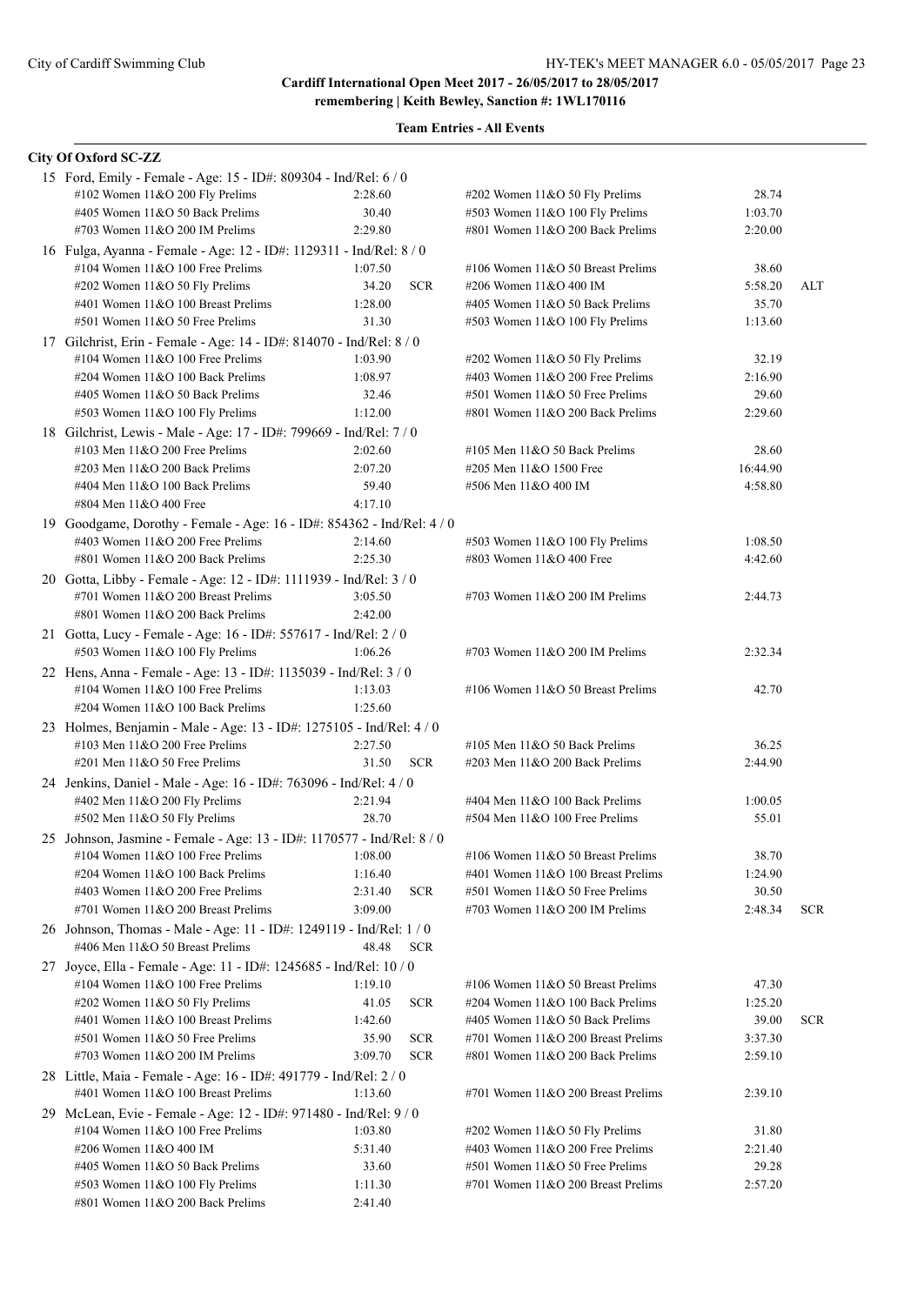| City Of Oxford SC-ZZ                                                                                       |                  |            |                                                                       |                  |            |
|------------------------------------------------------------------------------------------------------------|------------------|------------|-----------------------------------------------------------------------|------------------|------------|
| 15 Ford, Emily - Female - Age: 15 - ID#: 809304 - Ind/Rel: 6 / 0                                           |                  |            |                                                                       |                  |            |
| #102 Women 11&O 200 Fly Prelims                                                                            | 2:28.60          |            | #202 Women 11&O 50 Fly Prelims                                        | 28.74            |            |
| #405 Women 11&O 50 Back Prelims                                                                            | 30.40            |            | #503 Women 11&O 100 Fly Prelims                                       | 1:03.70          |            |
| #703 Women $11&O$ 200 IM Prelims                                                                           | 2:29.80          |            | #801 Women 11&O 200 Back Prelims                                      | 2:20.00          |            |
| 16 Fulga, Ayanna - Female - Age: 12 - ID#: 1129311 - Ind/Rel: 8 / 0                                        |                  |            |                                                                       |                  |            |
| #104 Women $11&O 100$ Free Prelims                                                                         | 1:07.50          |            | #106 Women 11&O 50 Breast Prelims                                     | 38.60            |            |
| #202 Women 11&O 50 Fly Prelims                                                                             | 34.20            | <b>SCR</b> | #206 Women 11&O 400 IM                                                | 5:58.20          | ALT        |
| #401 Women 11&O 100 Breast Prelims                                                                         | 1:28.00          |            | #405 Women 11&O 50 Back Prelims                                       | 35.70            |            |
| #501 Women 11&O 50 Free Prelims                                                                            | 31.30            |            | #503 Women 11&O 100 Fly Prelims                                       | 1:13.60          |            |
| 17 Gilchrist, Erin - Female - Age: 14 - ID#: 814070 - Ind/Rel: 8 / 0                                       |                  |            |                                                                       |                  |            |
| #104 Women 11&O 100 Free Prelims                                                                           | 1:03.90          |            | #202 Women 11&O 50 Fly Prelims                                        | 32.19            |            |
| #204 Women 11&O 100 Back Prelims                                                                           | 1:08.97          |            | #403 Women 11&O 200 Free Prelims                                      | 2:16.90          |            |
| #405 Women 11&O 50 Back Prelims                                                                            | 32.46            |            | #501 Women 11&O 50 Free Prelims                                       | 29.60            |            |
| #503 Women 11&O 100 Fly Prelims                                                                            | 1:12.00          |            | #801 Women 11&O 200 Back Prelims                                      | 2:29.60          |            |
| 18 Gilchrist, Lewis - Male - Age: 17 - ID#: 799669 - Ind/Rel: 7 / 0                                        |                  |            |                                                                       |                  |            |
| #103 Men $11&O$ 200 Free Prelims                                                                           | 2:02.60          |            | #105 Men 11&O 50 Back Prelims                                         | 28.60            |            |
| #203 Men 11&O 200 Back Prelims                                                                             | 2:07.20          |            | #205 Men 11&O 1500 Free                                               | 16:44.90         |            |
| #404 Men 11&O 100 Back Prelims                                                                             | 59.40            |            | #506 Men 11&O 400 IM                                                  | 4:58.80          |            |
| #804 Men 11&O 400 Free                                                                                     | 4:17.10          |            |                                                                       |                  |            |
| 19 Goodgame, Dorothy - Female - Age: 16 - ID#: 854362 - Ind/Rel: 4 / 0                                     |                  |            |                                                                       |                  |            |
| #403 Women 11&O 200 Free Prelims                                                                           | 2:14.60          |            | #503 Women 11&O 100 Fly Prelims                                       | 1:08.50          |            |
| #801 Women $11&O$ 200 Back Prelims                                                                         | 2:25.30          |            | #803 Women 11&O 400 Free                                              | 4:42.60          |            |
|                                                                                                            |                  |            |                                                                       |                  |            |
| 20 Gotta, Libby - Female - Age: 12 - ID#: 1111939 - Ind/Rel: 3 / 0<br>#701 Women $11&O$ 200 Breast Prelims | 3:05.50          |            | #703 Women $11&O$ 200 IM Prelims                                      | 2:44.73          |            |
|                                                                                                            |                  |            |                                                                       |                  |            |
| #801 Women 11&O 200 Back Prelims                                                                           | 2:42.00          |            |                                                                       |                  |            |
| 21 Gotta, Lucy - Female - Age: 16 - ID#: 557617 - Ind/Rel: 2 / 0                                           |                  |            |                                                                       |                  |            |
| #503 Women 11&O 100 Fly Prelims                                                                            | 1:06.26          |            | #703 Women $11&O$ 200 IM Prelims                                      | 2:32.34          |            |
| 22 Hens, Anna - Female - Age: 13 - ID#: 1135039 - Ind/Rel: 3 / 0                                           |                  |            |                                                                       |                  |            |
| #104 Women $11&O 100$ Free Prelims                                                                         | 1:13.03          |            | #106 Women $11&O 50$ Breast Prelims                                   | 42.70            |            |
| #204 Women 11&O 100 Back Prelims                                                                           | 1:25.60          |            |                                                                       |                  |            |
| 23 Holmes, Benjamin - Male - Age: 13 - ID#: 1275105 - Ind/Rel: 4 / 0                                       |                  |            |                                                                       |                  |            |
| #103 Men $11&O$ 200 Free Prelims                                                                           | 2:27.50          |            | #105 Men 11&O 50 Back Prelims                                         | 36.25            |            |
| #201 Men 11&O 50 Free Prelims                                                                              | 31.50            | <b>SCR</b> | #203 Men 11&O 200 Back Prelims                                        | 2:44.90          |            |
| 24 Jenkins, Daniel - Male - Age: 16 - ID#: 763096 - Ind/Rel: 4 / 0                                         |                  |            |                                                                       |                  |            |
| #402 Men 11&O 200 Fly Prelims                                                                              | 2:21.94          |            | #404 Men 11&O 100 Back Prelims                                        | 1:00.05          |            |
| #502 Men 11&O 50 Fly Prelims                                                                               | 28.70            |            | #504 Men 11&O 100 Free Prelims                                        | 55.01            |            |
| 25 Johnson, Jasmine - Female - Age: 13 - ID#: 1170577 - Ind/Rel: 8 / 0                                     |                  |            |                                                                       |                  |            |
| #104 Women 11&O 100 Free Prelims                                                                           | 1:08.00          |            | #106 Women 11&O 50 Breast Prelims                                     | 38.70            |            |
| #204 Women 11&O 100 Back Prelims                                                                           | 1:16.40          |            | #401 Women 11&O 100 Breast Prelims                                    | 1:24.90          |            |
| #403 Women 11&O 200 Free Prelims                                                                           | 2:31.40          | <b>SCR</b> | #501 Women 11&O 50 Free Prelims                                       | 30.50            |            |
| #701 Women 11&O 200 Breast Prelims                                                                         | 3:09.00          |            | #703 Women 11&O 200 IM Prelims                                        | 2:48.34          | <b>SCR</b> |
| 26 Johnson, Thomas - Male - Age: 11 - ID#: 1249119 - Ind/Rel: 1 / 0                                        |                  |            |                                                                       |                  |            |
| #406 Men 11&O 50 Breast Prelims                                                                            | 48.48            | <b>SCR</b> |                                                                       |                  |            |
| 27 Joyce, Ella - Female - Age: 11 - ID#: 1245685 - Ind/Rel: 10 / 0                                         |                  |            |                                                                       |                  |            |
| #104 Women $11&O$ 100 Free Prelims                                                                         | 1:19.10          |            | #106 Women 11&O 50 Breast Prelims                                     | 47.30            |            |
| #202 Women 11&O 50 Fly Prelims                                                                             | 41.05            | <b>SCR</b> | #204 Women 11&O 100 Back Prelims                                      | 1:25.20          |            |
| #401 Women 11&O 100 Breast Prelims                                                                         | 1:42.60          |            | #405 Women 11&O 50 Back Prelims                                       | 39.00            | SCR.       |
| #501 Women 11&O 50 Free Prelims                                                                            | 35.90            | <b>SCR</b> | #701 Women 11&O 200 Breast Prelims                                    | 3:37.30          |            |
| #703 Women $11&O$ 200 IM Prelims                                                                           | 3:09.70          | <b>SCR</b> | #801 Women 11&O 200 Back Prelims                                      | 2:59.10          |            |
| 28 Little, Maia - Female - Age: 16 - ID#: 491779 - Ind/Rel: 2 / 0                                          |                  |            |                                                                       |                  |            |
| #401 Women 11&O 100 Breast Prelims                                                                         | 1:13.60          |            | #701 Women 11&O 200 Breast Prelims                                    | 2:39.10          |            |
|                                                                                                            |                  |            |                                                                       |                  |            |
| 29 McLean, Evie - Female - Age: 12 - ID#: 971480 - Ind/Rel: 9 / 0<br>#104 Women 11&O 100 Free Prelims      | 1:03.80          |            |                                                                       | 31.80            |            |
|                                                                                                            |                  |            | #202 Women 11&O 50 Fly Prelims<br>#403 Women $11&O$ 200 Free Prelims  |                  |            |
| #206 Women 11&O 400 IM                                                                                     | 5:31.40          |            |                                                                       | 2:21.40          |            |
| #405 Women 11&O 50 Back Prelims<br>#503 Women 11&O 100 Fly Prelims                                         | 33.60<br>1:11.30 |            | #501 Women 11&O 50 Free Prelims<br>#701 Women 11&O 200 Breast Prelims | 29.28<br>2:57.20 |            |
| #801 Women 11&O 200 Back Prelims                                                                           | 2:41.40          |            |                                                                       |                  |            |
|                                                                                                            |                  |            |                                                                       |                  |            |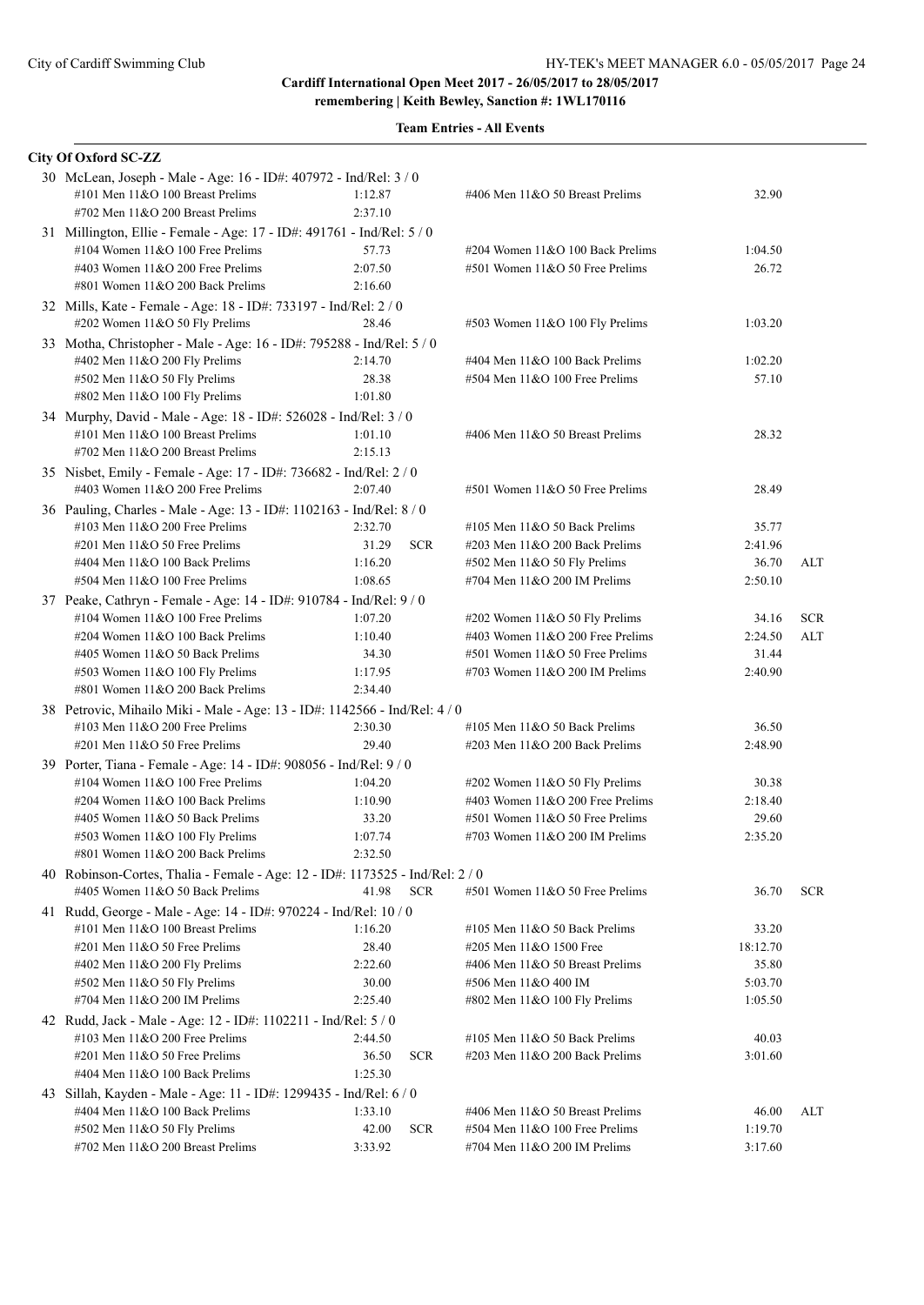| City Of Oxford SC-ZZ                                                                                 |                  |            |                                                            |                   |            |
|------------------------------------------------------------------------------------------------------|------------------|------------|------------------------------------------------------------|-------------------|------------|
| 30 McLean, Joseph - Male - Age: 16 - ID#: 407972 - Ind/Rel: 3 / 0                                    |                  |            |                                                            |                   |            |
| #101 Men 11&O 100 Breast Prelims                                                                     | 1:12.87          |            | #406 Men 11&O 50 Breast Prelims                            | 32.90             |            |
| #702 Men 11&O 200 Breast Prelims                                                                     | 2:37.10          |            |                                                            |                   |            |
| 31 Millington, Ellie - Female - Age: 17 - ID#: 491761 - Ind/Rel: 5 / 0                               |                  |            |                                                            |                   |            |
| #104 Women $11&O 100$ Free Prelims                                                                   | 57.73            |            | #204 Women 11&O 100 Back Prelims                           | 1:04.50           |            |
| #403 Women $11&O$ 200 Free Prelims                                                                   | 2:07.50          |            | #501 Women 11&O 50 Free Prelims                            | 26.72             |            |
| #801 Women 11&O 200 Back Prelims                                                                     | 2:16.60          |            |                                                            |                   |            |
| 32 Mills, Kate - Female - Age: 18 - ID#: 733197 - Ind/Rel: 2 / 0                                     |                  |            |                                                            |                   |            |
| #202 Women 11&O 50 Fly Prelims                                                                       | 28.46            |            | #503 Women 11&O 100 Fly Prelims                            | 1:03.20           |            |
| 33 Motha, Christopher - Male - Age: 16 - ID#: 795288 - Ind/Rel: 5 / 0                                |                  |            |                                                            |                   |            |
| #402 Men 11&O 200 Fly Prelims                                                                        | 2:14.70          |            | #404 Men 11&O 100 Back Prelims                             | 1:02.20           |            |
| #502 Men 11&O 50 Fly Prelims                                                                         | 28.38            |            | $#504$ Men $11&O 100$ Free Prelims                         | 57.10             |            |
| #802 Men 11&O 100 Fly Prelims                                                                        | 1:01.80          |            |                                                            |                   |            |
| 34 Murphy, David - Male - Age: 18 - ID#: 526028 - Ind/Rel: 3 / 0                                     |                  |            |                                                            |                   |            |
| #101 Men 11&O 100 Breast Prelims                                                                     | 1:01.10          |            | #406 Men 11&O 50 Breast Prelims                            | 28.32             |            |
| #702 Men 11&O 200 Breast Prelims                                                                     | 2:15.13          |            |                                                            |                   |            |
| 35 Nisbet, Emily - Female - Age: 17 - ID#: 736682 - Ind/Rel: 2 / 0                                   |                  |            |                                                            |                   |            |
| #403 Women $11&O$ 200 Free Prelims                                                                   | 2:07.40          |            | $#501$ Women $11&O 50$ Free Prelims                        | 28.49             |            |
| 36 Pauling, Charles - Male - Age: 13 - ID#: 1102163 - Ind/Rel: 8 / 0                                 |                  |            |                                                            |                   |            |
| #103 Men $11&O$ 200 Free Prelims                                                                     | 2:32.70          |            | #105 Men $11&O$ 50 Back Prelims                            | 35.77             |            |
| #201 Men 11&O 50 Free Prelims                                                                        | 31.29            | <b>SCR</b> | $\#203$ Men $11\&O$ 200 Back Prelims                       | 2:41.96           |            |
| #404 Men 11&O 100 Back Prelims                                                                       | 1:16.20          |            | $#502$ Men 11&O 50 Fly Prelims                             | 36.70             | ALT        |
| #504 Men 11&O 100 Free Prelims                                                                       | 1:08.65          |            | #704 Men 11&O 200 IM Prelims                               | 2:50.10           |            |
| 37 Peake, Cathryn - Female - Age: 14 - ID#: 910784 - Ind/Rel: 9 / 0                                  |                  |            |                                                            |                   |            |
| #104 Women 11&O 100 Free Prelims                                                                     | 1:07.20          |            | #202 Women 11&O 50 Fly Prelims                             | 34.16             | <b>SCR</b> |
| #204 Women $11&O 100$ Back Prelims                                                                   | 1:10.40          |            | #403 Women $11&O$ 200 Free Prelims                         | 2:24.50           | ALT        |
| #405 Women 11&O 50 Back Prelims                                                                      | 34.30            |            | #501 Women 11&O 50 Free Prelims                            | 31.44             |            |
| #503 Women 11&O 100 Fly Prelims                                                                      | 1:17.95          |            | #703 Women $11&O$ 200 IM Prelims                           | 2:40.90           |            |
| #801 Women $11&O$ 200 Back Prelims                                                                   | 2:34.40          |            |                                                            |                   |            |
| 38 Petrovic, Mihailo Miki - Male - Age: 13 - ID#: 1142566 - Ind/Rel: 4 / 0                           |                  |            |                                                            |                   |            |
| #103 Men $11&O$ 200 Free Prelims                                                                     | 2:30.30          |            | #105 Men $11&O$ 50 Back Prelims                            | 36.50             |            |
| $\#201$ Men $11&O$ 50 Free Prelims                                                                   | 29.40            |            | $\#203$ Men $11&O$ 200 Back Prelims                        | 2:48.90           |            |
| 39 Porter, Tiana - Female - Age: 14 - ID#: 908056 - Ind/Rel: 9 / 0                                   |                  |            |                                                            |                   |            |
| #104 Women $11&O$ 100 Free Prelims                                                                   | 1:04.20          |            | #202 Women 11&O 50 Fly Prelims                             | 30.38             |            |
| #204 Women 11&O 100 Back Prelims                                                                     | 1:10.90          |            | #403 Women $11&O$ 200 Free Prelims                         | 2:18.40           |            |
| #405 Women 11&O 50 Back Prelims                                                                      | 33.20            |            | $#501$ Women $11&O 50$ Free Prelims                        | 29.60             |            |
| #503 Women 11&O 100 Fly Prelims                                                                      | 1:07.74          |            | #703 Women $11&O$ 200 IM Prelims                           | 2:35.20           |            |
| #801 Women 11&O 200 Back Prelims                                                                     | 2:32.50          |            |                                                            |                   |            |
| 40 Robinson-Cortes, Thalia - Female - Age: 12 - ID#: 1173525 - Ind/Rel: 2 / 0                        |                  |            |                                                            |                   |            |
| #405 Women 11&O 50 Back Prelims                                                                      | 41.98            | <b>SCR</b> | $#501$ Women $11&O$ 50 Free Prelims                        | 36.70             | <b>SCR</b> |
|                                                                                                      |                  |            |                                                            |                   |            |
| 41 Rudd, George - Male - Age: 14 - ID#: 970224 - Ind/Rel: 10 / 0<br>#101 Men 11&O 100 Breast Prelims | 1:16.20          |            |                                                            |                   |            |
| #201 Men $11&0$ 50 Free Prelims                                                                      |                  |            | #105 Men $11&O$ 50 Back Prelims                            | 33.20             |            |
| #402 Men 11&O 200 Fly Prelims                                                                        | 28.40<br>2:22.60 |            | #205 Men 11&O 1500 Free<br>#406 Men 11&O 50 Breast Prelims | 18:12.70<br>35.80 |            |
| #502 Men 11&O 50 Fly Prelims                                                                         | 30.00            |            | #506 Men 11&O 400 IM                                       | 5:03.70           |            |
| #704 Men 11&O 200 IM Prelims                                                                         | 2:25.40          |            | $\#802$ Men 11&O 100 Fly Prelims                           | 1:05.50           |            |
|                                                                                                      |                  |            |                                                            |                   |            |
| 42 Rudd, Jack - Male - Age: 12 - ID#: 1102211 - Ind/Rel: 5 / 0                                       |                  |            |                                                            |                   |            |
| #103 Men $11&O$ 200 Free Prelims                                                                     | 2:44.50          |            | #105 Men $11&O$ 50 Back Prelims                            | 40.03             |            |
| #201 Men 11&O 50 Free Prelims                                                                        | 36.50            | <b>SCR</b> | #203 Men 11&O 200 Back Prelims                             | 3:01.60           |            |
| #404 Men 11&O 100 Back Prelims                                                                       | 1:25.30          |            |                                                            |                   |            |
| 43 Sillah, Kayden - Male - Age: 11 - ID#: 1299435 - Ind/Rel: 6 / 0                                   |                  |            |                                                            |                   |            |
| #404 Men 11&O 100 Back Prelims                                                                       | 1:33.10          |            | #406 Men 11&O 50 Breast Prelims                            | 46.00             | ALT        |
| #502 Men 11&O 50 Fly Prelims                                                                         | 42.00            | <b>SCR</b> | #504 Men 11&O 100 Free Prelims                             | 1:19.70           |            |
| #702 Men 11&O 200 Breast Prelims                                                                     | 3:33.92          |            | #704 Men 11&O 200 IM Prelims                               | 3:17.60           |            |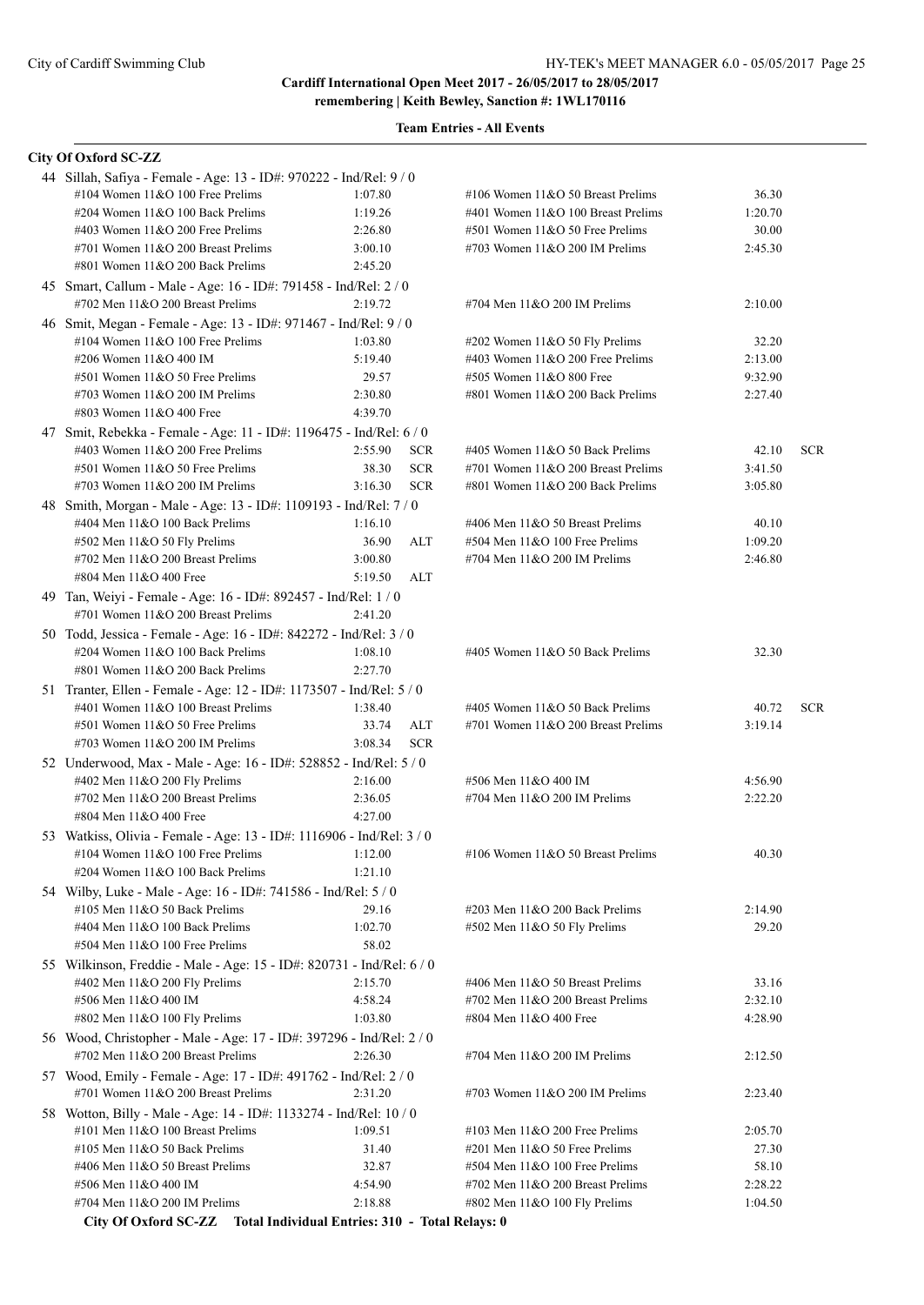**remembering | Keith Bewley, Sanction #: 1WL170116**

### **Team Entries - All Events**

# **City Of Oxford SC-ZZ**

| 44 Sillah, Safiya - Female - Age: 13 - ID#: 970222 - Ind/Rel: 9 / 0   |         |            |                                      |         |            |
|-----------------------------------------------------------------------|---------|------------|--------------------------------------|---------|------------|
| #104 Women $11&O 100$ Free Prelims                                    | 1:07.80 |            | #106 Women $11&O$ 50 Breast Prelims  | 36.30   |            |
| #204 Women 11&O 100 Back Prelims                                      | 1:19.26 |            | #401 Women 11&O 100 Breast Prelims   | 1:20.70 |            |
| #403 Women $11&O$ 200 Free Prelims                                    | 2:26.80 |            | $#501$ Women $11&O 50$ Free Prelims  | 30.00   |            |
| #701 Women 11&O 200 Breast Prelims                                    | 3:00.10 |            | #703 Women $11&O$ 200 IM Prelims     | 2:45.30 |            |
| #801 Women $11&O$ 200 Back Prelims                                    | 2:45.20 |            |                                      |         |            |
| 45 Smart, Callum - Male - Age: 16 - ID#: 791458 - Ind/Rel: 2 / 0      |         |            |                                      |         |            |
| #702 Men 11&O 200 Breast Prelims                                      | 2:19.72 |            | #704 Men $11&O$ 200 IM Prelims       | 2:10.00 |            |
| 46 Smit, Megan - Female - Age: 13 - ID#: 971467 - Ind/Rel: 9 / 0      |         |            |                                      |         |            |
| #104 Women 11&O 100 Free Prelims                                      | 1:03.80 |            | #202 Women 11&O 50 Fly Prelims       | 32.20   |            |
| #206 Women 11&O 400 IM                                                | 5:19.40 |            | #403 Women $11&O$ 200 Free Prelims   | 2:13.00 |            |
| #501 Women 11&O 50 Free Prelims                                       | 29.57   |            | #505 Women 11&O 800 Free             | 9:32.90 |            |
| #703 Women $11&O$ 200 IM Prelims                                      | 2:30.80 |            | #801 Women 11&O 200 Back Prelims     | 2:27.40 |            |
| #803 Women 11&O 400 Free                                              | 4:39.70 |            |                                      |         |            |
|                                                                       |         |            |                                      |         |            |
| 47 Smit, Rebekka - Female - Age: 11 - ID#: 1196475 - Ind/Rel: 6 / 0   |         |            |                                      |         |            |
| #403 Women 11&O 200 Free Prelims                                      | 2:55.90 | <b>SCR</b> | #405 Women 11&O 50 Back Prelims      | 42.10   | <b>SCR</b> |
| #501 Women 11&O 50 Free Prelims                                       | 38.30   | <b>SCR</b> | #701 Women 11&O 200 Breast Prelims   | 3:41.50 |            |
| #703 Women $11&O$ 200 IM Prelims                                      | 3:16.30 | <b>SCR</b> | #801 Women 11&O 200 Back Prelims     | 3:05.80 |            |
| 48 Smith, Morgan - Male - Age: 13 - ID#: 1109193 - Ind/Rel: 7 / 0     |         |            |                                      |         |            |
| #404 Men 11&O 100 Back Prelims                                        | 1:16.10 |            | #406 Men 11&O 50 Breast Prelims      | 40.10   |            |
| #502 Men 11&O 50 Fly Prelims                                          | 36.90   | ALT        | $#504$ Men $11&O$ 100 Free Prelims   | 1:09.20 |            |
| #702 Men 11&O 200 Breast Prelims                                      | 3:00.80 |            | #704 Men 11&O 200 IM Prelims         | 2:46.80 |            |
| #804 Men 11&O 400 Free                                                | 5:19.50 | ALT        |                                      |         |            |
| 49 Tan, Weiyi - Female - Age: 16 - ID#: 892457 - Ind/Rel: 1 / 0       |         |            |                                      |         |            |
| #701 Women 11&O 200 Breast Prelims                                    | 2:41.20 |            |                                      |         |            |
| 50 Todd, Jessica - Female - Age: 16 - ID#: 842272 - Ind/Rel: 3 / 0    |         |            |                                      |         |            |
| #204 Women 11&O 100 Back Prelims                                      | 1:08.10 |            | #405 Women 11&O 50 Back Prelims      | 32.30   |            |
| #801 Women 11&O 200 Back Prelims                                      | 2:27.70 |            |                                      |         |            |
| 51 Tranter, Ellen - Female - Age: 12 - ID#: 1173507 - Ind/Rel: 5 / 0  |         |            |                                      |         |            |
| #401 Women 11&O 100 Breast Prelims                                    | 1:38.40 |            | #405 Women 11&O 50 Back Prelims      | 40.72   | <b>SCR</b> |
| $#501$ Women $11&O 50$ Free Prelims                                   | 33.74   | ALT        | #701 Women $11&O$ 200 Breast Prelims | 3:19.14 |            |
| #703 Women $11&O$ 200 IM Prelims                                      | 3:08.34 | <b>SCR</b> |                                      |         |            |
| 52 Underwood, Max - Male - Age: 16 - ID#: 528852 - Ind/Rel: 5 / 0     |         |            |                                      |         |            |
| #402 Men 11&O 200 Fly Prelims                                         | 2:16.00 |            | #506 Men 11&O 400 IM                 | 4:56.90 |            |
| #702 Men $11&O$ 200 Breast Prelims                                    | 2:36.05 |            | #704 Men 11&O 200 IM Prelims         | 2:22.20 |            |
| #804 Men 11&O 400 Free                                                | 4:27.00 |            |                                      |         |            |
| 53 Watkiss, Olivia - Female - Age: 13 - ID#: 1116906 - Ind/Rel: 3 / 0 |         |            |                                      |         |            |
| #104 Women $11&O 100$ Free Prelims                                    | 1:12.00 |            | #106 Women $11&O$ 50 Breast Prelims  | 40.30   |            |
| #204 Women 11&O 100 Back Prelims                                      | 1:21.10 |            |                                      |         |            |
| 54 Wilby, Luke - Male - Age: 16 - ID#: 741586 - Ind/Rel: 5 / 0        |         |            |                                      |         |            |
| #105 Men $11&O$ 50 Back Prelims                                       | 29.16   |            | $\#203$ Men $11&O$ 200 Back Prelims  | 2:14.90 |            |
| #404 Men 11&O 100 Back Prelims                                        | 1:02.70 |            | $#502$ Men $11&O 50$ Fly Prelims     | 29.20   |            |
| #504 Men 11&O 100 Free Prelims                                        | 58.02   |            |                                      |         |            |
|                                                                       |         |            |                                      |         |            |
| 55 Wilkinson, Freddie - Male - Age: 15 - ID#: 820731 - Ind/Rel: 6 / 0 |         |            |                                      |         |            |
| #402 Men 11&O 200 Fly Prelims                                         | 2:15.70 |            | #406 Men 11&O 50 Breast Prelims      | 33.16   |            |
| #506 Men 11&O 400 IM                                                  | 4:58.24 |            | #702 Men $11&O$ 200 Breast Prelims   | 2:32.10 |            |
| #802 Men 11&O 100 Fly Prelims                                         | 1:03.80 |            | #804 Men 11&O 400 Free               | 4:28.90 |            |
| 56 Wood, Christopher - Male - Age: 17 - ID#: 397296 - Ind/Rel: 2 / 0  |         |            |                                      |         |            |
| #702 Men $11&O$ 200 Breast Prelims                                    | 2:26.30 |            | #704 Men $11&O$ 200 IM Prelims       | 2:12.50 |            |
| 57 Wood, Emily - Female - Age: 17 - ID#: 491762 - Ind/Rel: 2 / 0      |         |            |                                      |         |            |
| #701 Women 11&O 200 Breast Prelims                                    | 2:31.20 |            | #703 Women $11&O$ 200 IM Prelims     | 2:23.40 |            |
| 58 Wotton, Billy - Male - Age: 14 - ID#: 1133274 - Ind/Rel: 10 / 0    |         |            |                                      |         |            |
| #101 Men $11&0 100$ Breast Prelims                                    | 1:09.51 |            | #103 Men $11&O$ 200 Free Prelims     | 2:05.70 |            |
| #105 Men $11&O$ 50 Back Prelims                                       | 31.40   |            | #201 Men $11&050$ Free Prelims       | 27.30   |            |
| $\#406$ Men $11\&O$ 50 Breast Prelims                                 | 32.87   |            | $#504$ Men $11&O 100$ Free Prelims   | 58.10   |            |
| #506 Men 11&O 400 IM                                                  | 4:54.90 |            | #702 Men 11&O 200 Breast Prelims     | 2:28.22 |            |
| #704 Men 11&O 200 IM Prelims                                          | 2:18.88 |            | #802 Men 11&O 100 Fly Prelims        | 1:04.50 |            |
| City Of Oxford SC-ZZ Total Individual Entries: 310 - Total Relays: 0  |         |            |                                      |         |            |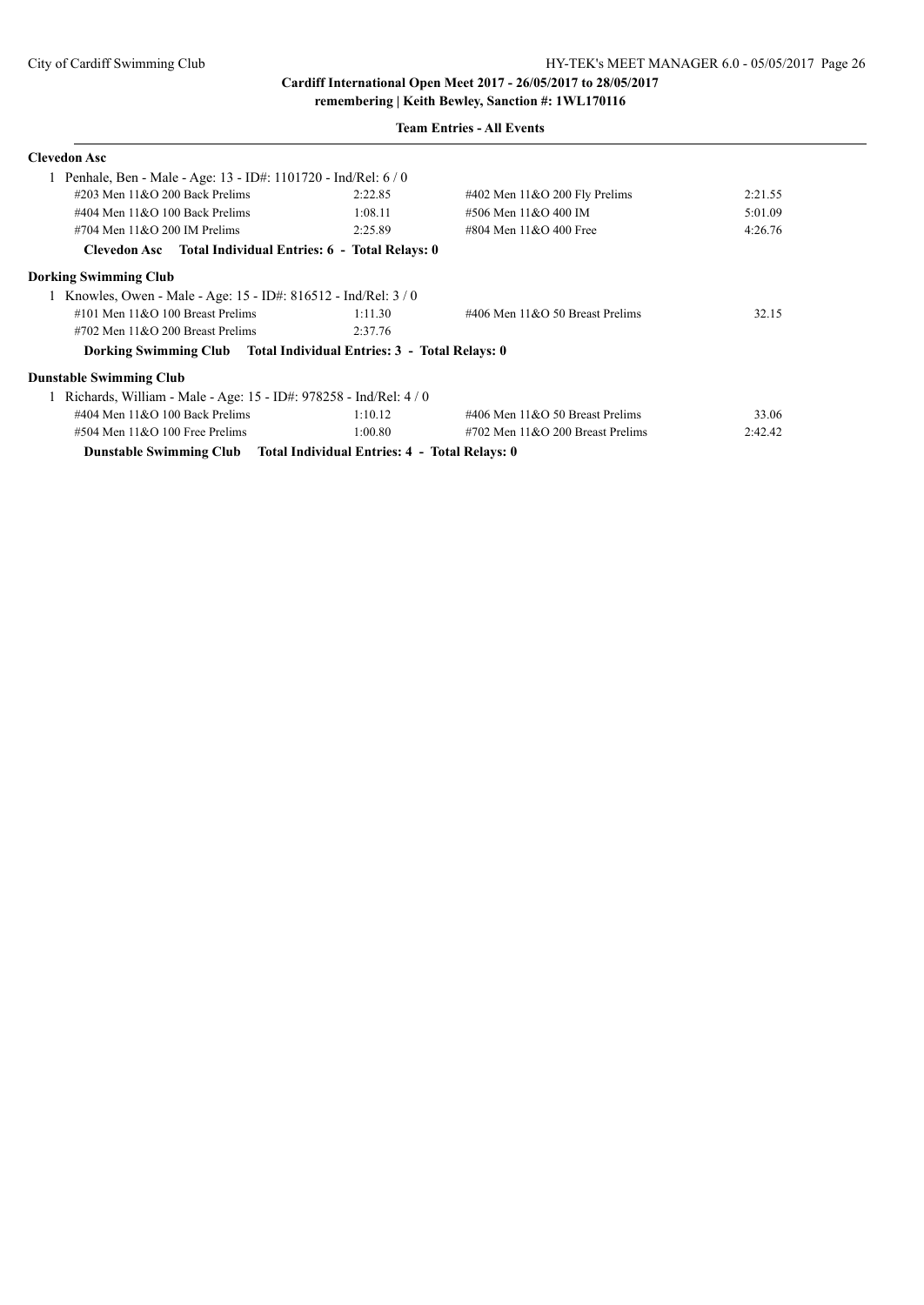| <b>Clevedon Asc</b>                                                   |         |                                        |         |
|-----------------------------------------------------------------------|---------|----------------------------------------|---------|
| Penhale, Ben - Male - Age: 13 - ID#: 1101720 - Ind/Rel: 6 / 0         |         |                                        |         |
| $\#203$ Men $11\&O$ 200 Back Prelims                                  | 2:22.85 | $\#402$ Men $11&O$ 200 Fly Prelims     | 2:21.55 |
| #404 Men $11&O$ 100 Back Prelims                                      | 1:08.11 | #506 Men 11&O 400 IM                   | 5:01.09 |
| $\#704$ Men $11\&O$ 200 IM Prelims                                    | 2:25.89 | #804 Men $11&O$ 400 Free               | 4:26.76 |
| Clevedon Asc Total Individual Entries: 6 - Total Relays: 0            |         |                                        |         |
| <b>Dorking Swimming Club</b>                                          |         |                                        |         |
| Knowles, Owen - Male - Age: 15 - ID#: 816512 - Ind/Rel: 3/0           |         |                                        |         |
| #101 Men $11&O$ 100 Breast Prelims                                    | 1:11.30 | #406 Men $11&O$ 50 Breast Prelims      | 32.15   |
| #702 Men $11\&O$ 200 Breast Prelims                                   | 2:37.76 |                                        |         |
| Dorking Swimming Club Total Individual Entries: 3 - Total Relays: 0   |         |                                        |         |
| <b>Dunstable Swimming Club</b>                                        |         |                                        |         |
| Richards, William - Male - Age: 15 - ID#: 978258 - Ind/Rel: 4/0       |         |                                        |         |
| #404 Men $11&O$ 100 Back Prelims                                      | 1:10.12 | #406 Men $11&O$ 50 Breast Prelims      | 33.06   |
| $\#504$ Men $11&O$ 100 Free Prelims                                   | 1:00.80 | $\#702$ Men $11\&O$ 200 Breast Prelims | 2:42.42 |
| Dunstable Swimming Club Total Individual Entries: 4 - Total Relays: 0 |         |                                        |         |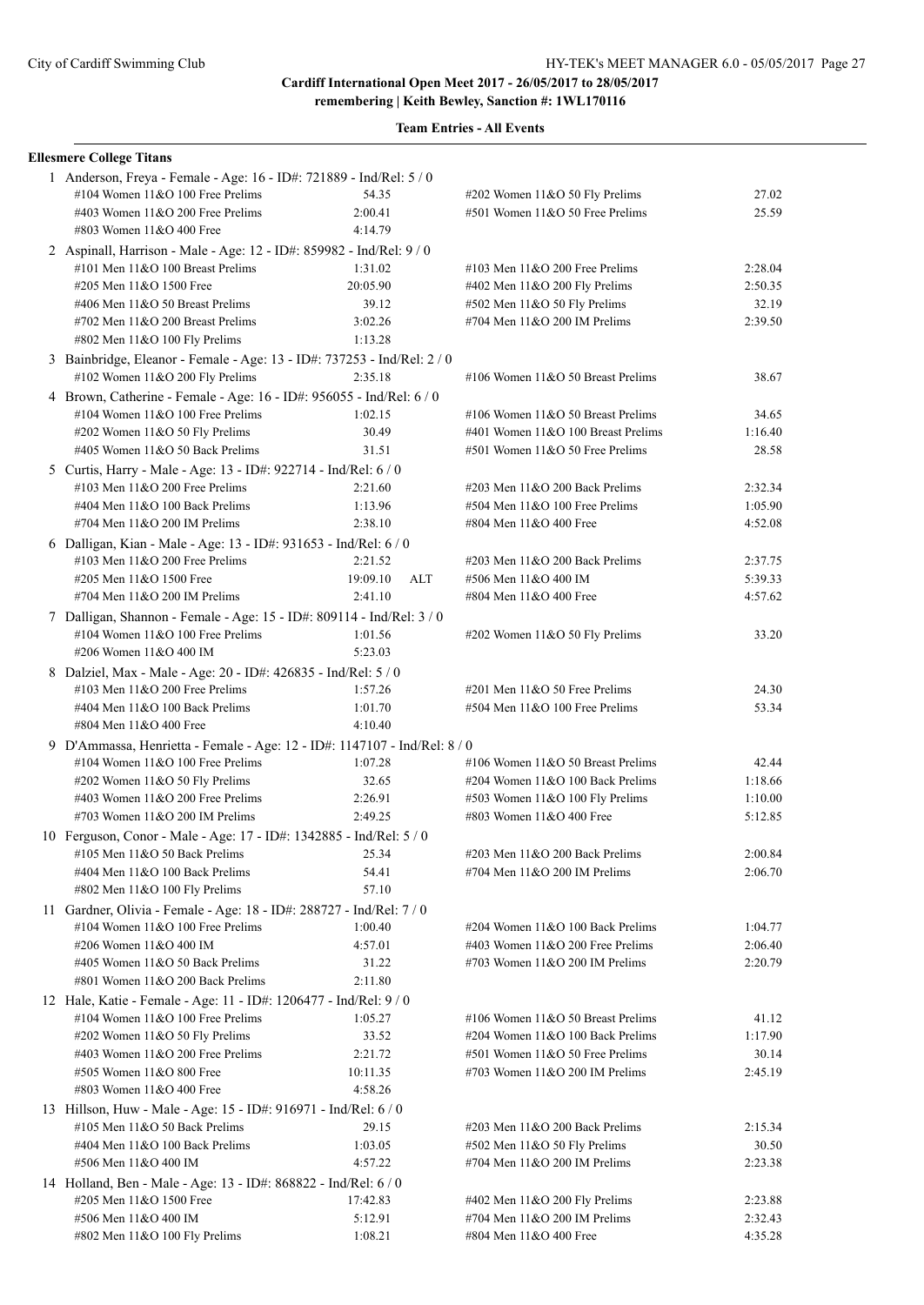**remembering | Keith Bewley, Sanction #: 1WL170116**

| <b>Ellesmere College Titans</b>                                                                            |                 |                                     |         |
|------------------------------------------------------------------------------------------------------------|-----------------|-------------------------------------|---------|
| 1 Anderson, Freya - Female - Age: 16 - ID#: 721889 - Ind/Rel: 5 / 0<br>#104 Women $11&O 100$ Free Prelims  | 54.35           | #202 Women 11&O 50 Fly Prelims      | 27.02   |
| #403 Women 11&O 200 Free Prelims                                                                           | 2:00.41         | #501 Women 11&O 50 Free Prelims     | 25.59   |
| #803 Women 11&O 400 Free                                                                                   | 4:14.79         |                                     |         |
| 2 Aspinall, Harrison - Male - Age: 12 - ID#: 859982 - Ind/Rel: 9 / 0                                       |                 |                                     |         |
| #101 Men 11&O 100 Breast Prelims                                                                           | 1:31.02         | #103 Men $11&O$ 200 Free Prelims    | 2:28.04 |
| #205 Men 11&O 1500 Free                                                                                    | 20:05.90        | #402 Men 11&O 200 Fly Prelims       | 2:50.35 |
| #406 Men 11&O 50 Breast Prelims                                                                            | 39.12           | #502 Men 11&O 50 Fly Prelims        | 32.19   |
| #702 Men $11&O$ 200 Breast Prelims                                                                         | 3:02.26         | #704 Men 11&O 200 IM Prelims        | 2:39.50 |
| #802 Men 11&O 100 Fly Prelims                                                                              | 1:13.28         |                                     |         |
| 3 Bainbridge, Eleanor - Female - Age: 13 - ID#: 737253 - Ind/Rel: 2 / 0<br>#102 Women 11&O 200 Fly Prelims | 2:35.18         | #106 Women $11&O 50$ Breast Prelims | 38.67   |
| 4 Brown, Catherine - Female - Age: 16 - ID#: 956055 - Ind/Rel: 6 / 0                                       |                 |                                     |         |
| #104 Women $11&O$ 100 Free Prelims                                                                         | 1:02.15         | #106 Women $11&O 50$ Breast Prelims | 34.65   |
| #202 Women 11&O 50 Fly Prelims                                                                             | 30.49           | #401 Women 11&O 100 Breast Prelims  | 1:16.40 |
| #405 Women 11&O 50 Back Prelims                                                                            | 31.51           | #501 Women 11&O 50 Free Prelims     | 28.58   |
| 5 Curtis, Harry - Male - Age: 13 - ID#: 922714 - Ind/Rel: 6 / 0                                            |                 |                                     |         |
| #103 Men $11&O$ 200 Free Prelims                                                                           | 2:21.60         | #203 Men 11&O 200 Back Prelims      | 2:32.34 |
| #404 Men 11&O 100 Back Prelims                                                                             | 1:13.96         | #504 Men 11&O 100 Free Prelims      | 1:05.90 |
| #704 Men 11&O 200 IM Prelims                                                                               | 2:38.10         | #804 Men 11&O 400 Free              | 4:52.08 |
| 6 Dalligan, Kian - Male - Age: 13 - ID#: 931653 - Ind/Rel: 6 / 0                                           |                 |                                     |         |
| #103 Men $11&O$ 200 Free Prelims                                                                           | 2:21.52         | #203 Men 11&O 200 Back Prelims      | 2:37.75 |
| #205 Men 11&O 1500 Free                                                                                    | ALT<br>19:09.10 | #506 Men 11&O 400 IM                | 5:39.33 |
| #704 Men 11&O 200 IM Prelims                                                                               | 2:41.10         | #804 Men 11&O 400 Free              | 4:57.62 |
| 7 Dalligan, Shannon - Female - Age: 15 - ID#: 809114 - Ind/Rel: 3 / 0                                      |                 |                                     |         |
| #104 Women $11&O$ 100 Free Prelims                                                                         | 1:01.56         | #202 Women 11&O 50 Fly Prelims      | 33.20   |
| #206 Women 11&O 400 IM                                                                                     | 5:23.03         |                                     |         |
| 8 Dalziel, Max - Male - Age: 20 - ID#: 426835 - Ind/Rel: 5 / 0                                             |                 |                                     |         |
| #103 Men $11&O$ 200 Free Prelims                                                                           | 1:57.26         | $\#201$ Men $11&O$ 50 Free Prelims  | 24.30   |
| #404 Men 11&O 100 Back Prelims                                                                             | 1:01.70         | #504 Men 11&O 100 Free Prelims      | 53.34   |
| #804 Men 11&O 400 Free                                                                                     | 4:10.40         |                                     |         |
| 9 D'Ammassa, Henrietta - Female - Age: 12 - ID#: 1147107 - Ind/Rel: 8 / 0                                  |                 |                                     |         |
| #104 Women $11&O$ 100 Free Prelims                                                                         | 1:07.28         | #106 Women $11&O 50$ Breast Prelims | 42.44   |
| #202 Women 11&O 50 Fly Prelims                                                                             | 32.65           | #204 Women 11&O 100 Back Prelims    | 1:18.66 |
| #403 Women 11&O 200 Free Prelims                                                                           | 2:26.91         | #503 Women 11&O 100 Fly Prelims     | 1:10.00 |
| #703 Women 11&O 200 IM Prelims                                                                             | 2:49.25         | #803 Women 11&O 400 Free            | 5:12.85 |
| 10 Ferguson, Conor - Male - Age: 17 - ID#: 1342885 - Ind/Rel: 5 / 0                                        |                 |                                     |         |
| #105 Men 11&O 50 Back Prelims                                                                              | 25.34           | #203 Men 11&O 200 Back Prelims      | 2:00.84 |
| #404 Men 11&O 100 Back Prelims                                                                             | 54.41           | #704 Men $11&O$ 200 IM Prelims      | 2:06.70 |
| #802 Men 11&O 100 Fly Prelims                                                                              | 57.10           |                                     |         |
| 11 Gardner, Olivia - Female - Age: 18 - ID#: 288727 - Ind/Rel: 7 / 0                                       |                 |                                     |         |
| #104 Women 11&O 100 Free Prelims                                                                           | 1:00.40         | #204 Women 11&O 100 Back Prelims    | 1:04.77 |
| #206 Women 11&O 400 IM                                                                                     | 4:57.01         | #403 Women 11&O 200 Free Prelims    | 2:06.40 |
| #405 Women 11&O 50 Back Prelims                                                                            | 31.22           | #703 Women $11&O$ 200 IM Prelims    | 2:20.79 |
| #801 Women 11&O 200 Back Prelims                                                                           | 2:11.80         |                                     |         |
| 12 Hale, Katie - Female - Age: 11 - ID#: 1206477 - Ind/Rel: 9 / 0                                          |                 |                                     |         |
| #104 Women $11&O$ 100 Free Prelims                                                                         | 1:05.27         | #106 Women 11&O 50 Breast Prelims   | 41.12   |
| #202 Women 11&O 50 Fly Prelims                                                                             | 33.52           | #204 Women 11&O 100 Back Prelims    | 1:17.90 |
| #403 Women 11&O 200 Free Prelims                                                                           | 2:21.72         | #501 Women 11&O 50 Free Prelims     | 30.14   |
| #505 Women 11&O 800 Free                                                                                   | 10:11.35        | #703 Women $11&O$ 200 IM Prelims    | 2:45.19 |
| #803 Women 11&O 400 Free                                                                                   | 4:58.26         |                                     |         |
| 13 Hillson, Huw - Male - Age: 15 - ID#: 916971 - Ind/Rel: 6 / 0                                            |                 |                                     |         |
| #105 Men 11&O 50 Back Prelims                                                                              | 29.15           | #203 Men 11&O 200 Back Prelims      | 2:15.34 |
| #404 Men 11&O 100 Back Prelims                                                                             | 1:03.05         | #502 Men 11&O 50 Fly Prelims        | 30.50   |
| #506 Men 11&O 400 IM                                                                                       | 4:57.22         | #704 Men 11&O 200 IM Prelims        | 2:23.38 |
| 14 Holland, Ben - Male - Age: 13 - ID#: 868822 - Ind/Rel: 6 / 0                                            |                 |                                     |         |
| #205 Men 11&O 1500 Free                                                                                    | 17:42.83        | #402 Men 11&O 200 Fly Prelims       | 2:23.88 |
| #506 Men 11&O 400 IM                                                                                       | 5:12.91         | #704 Men 11&O 200 IM Prelims        | 2:32.43 |
| #802 Men 11&O 100 Fly Prelims                                                                              | 1:08.21         | #804 Men 11&O 400 Free              | 4:35.28 |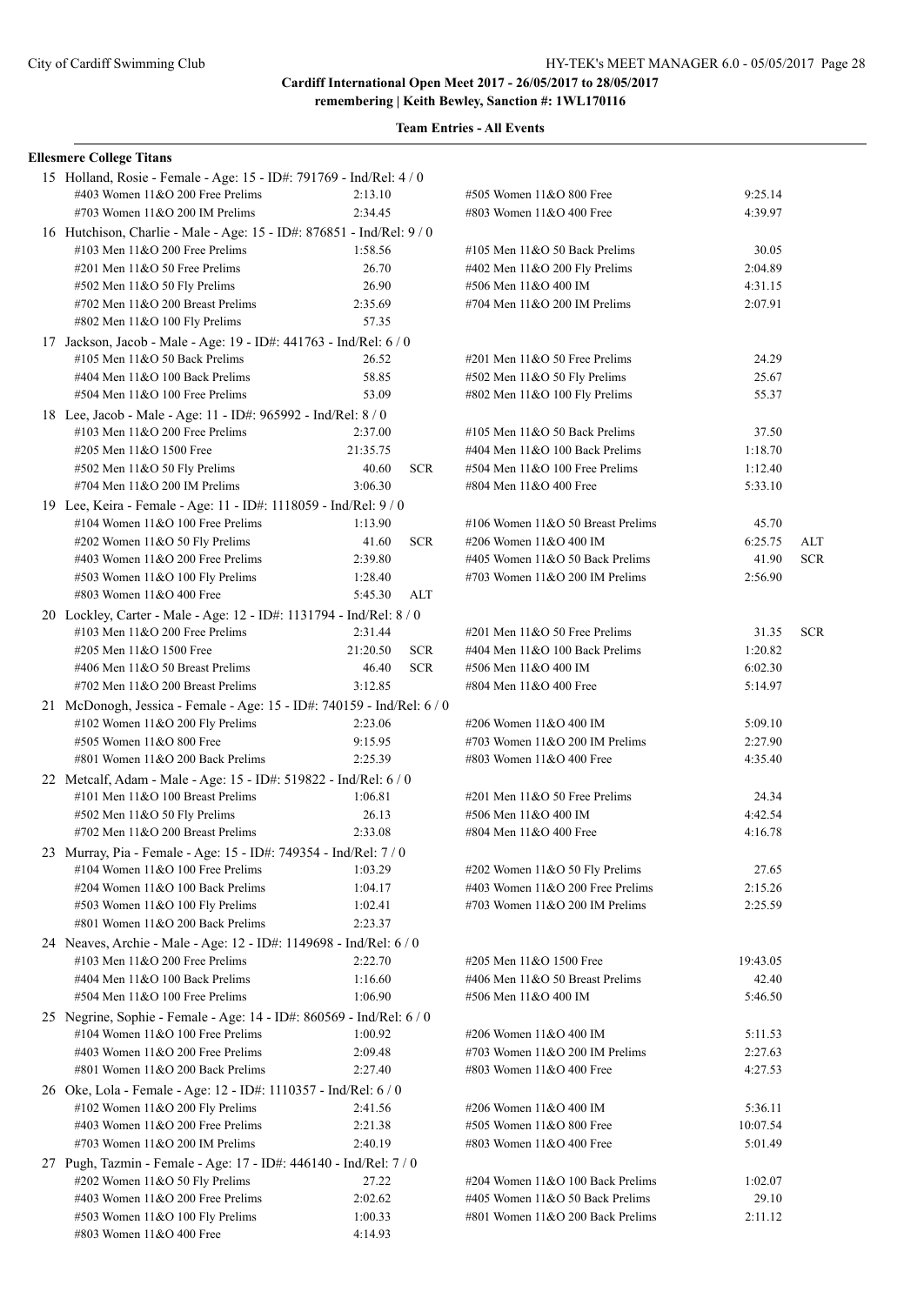| <b>Ellesmere College Titans</b>                                        |                        |                                    |          |            |
|------------------------------------------------------------------------|------------------------|------------------------------------|----------|------------|
| 15 Holland, Rosie - Female - Age: 15 - ID#: 791769 - Ind/Rel: 4 / 0    |                        |                                    |          |            |
| #403 Women 11&O 200 Free Prelims                                       | 2:13.10                | #505 Women 11&O 800 Free           | 9:25.14  |            |
| #703 Women $11&O$ 200 IM Prelims                                       | 2:34.45                | #803 Women 11&O 400 Free           | 4:39.97  |            |
| 16 Hutchison, Charlie - Male - Age: 15 - ID#: 876851 - Ind/Rel: 9 / 0  |                        |                                    |          |            |
| #103 Men $11&O$ 200 Free Prelims                                       | 1:58.56                | #105 Men 11&O 50 Back Prelims      | 30.05    |            |
| $\#201$ Men $11&O$ 50 Free Prelims                                     | 26.70                  | #402 Men 11&O 200 Fly Prelims      | 2:04.89  |            |
| #502 Men 11&O 50 Fly Prelims                                           | 26.90                  | #506 Men 11&O 400 IM               | 4:31.15  |            |
| #702 Men 11&O 200 Breast Prelims                                       | 2:35.69                | #704 Men 11&O 200 IM Prelims       | 2:07.91  |            |
| #802 Men 11&O 100 Fly Prelims                                          | 57.35                  |                                    |          |            |
| 17 Jackson, Jacob - Male - Age: 19 - ID#: 441763 - Ind/Rel: 6 / 0      |                        |                                    |          |            |
| $\#105$ Men $11&O$ 50 Back Prelims                                     | 26.52                  | #201 Men 11&O 50 Free Prelims      | 24.29    |            |
| #404 Men 11&O 100 Back Prelims                                         | 58.85                  | #502 Men 11&O 50 Fly Prelims       | 25.67    |            |
| #504 Men 11&O 100 Free Prelims                                         | 53.09                  | #802 Men 11&O 100 Fly Prelims      | 55.37    |            |
| 18 Lee, Jacob - Male - Age: 11 - ID#: 965992 - Ind/Rel: 8 / 0          |                        |                                    |          |            |
| #103 Men $11&O$ 200 Free Prelims                                       | 2:37.00                | #105 Men $11&O$ 50 Back Prelims    | 37.50    |            |
| #205 Men 11&O 1500 Free                                                | 21:35.75               | #404 Men 11&O 100 Back Prelims     | 1:18.70  |            |
| #502 Men 11&O 50 Fly Prelims                                           | 40.60<br><b>SCR</b>    | $#504$ Men $11&O$ 100 Free Prelims | 1:12.40  |            |
| #704 Men $11&O$ 200 IM Prelims                                         | 3:06.30                | #804 Men 11&O 400 Free             | 5:33.10  |            |
| 19 Lee, Keira - Female - Age: 11 - ID#: 1118059 - Ind/Rel: 9/0         |                        |                                    |          |            |
| #104 Women $11&O 100$ Free Prelims                                     | 1:13.90                | #106 Women 11&O 50 Breast Prelims  | 45.70    |            |
| #202 Women 11&O 50 Fly Prelims                                         | 41.60<br><b>SCR</b>    | #206 Women 11&O 400 IM             | 6:25.75  | ALT        |
| #403 Women $11&O$ 200 Free Prelims                                     | 2:39.80                | #405 Women 11&O 50 Back Prelims    | 41.90    | <b>SCR</b> |
| #503 Women 11&O 100 Fly Prelims                                        | 1:28.40                | #703 Women 11&O 200 IM Prelims     | 2:56.90  |            |
| #803 Women $11&O$ 400 Free                                             | <b>ALT</b><br>5:45.30  |                                    |          |            |
| 20 Lockley, Carter - Male - Age: 12 - ID#: 1131794 - Ind/Rel: 8 / 0    |                        |                                    |          |            |
| #103 Men $11&O$ 200 Free Prelims                                       | 2:31.44                | $\#201$ Men $11&O$ 50 Free Prelims | 31.35    | <b>SCR</b> |
| #205 Men 11&O 1500 Free                                                | 21:20.50<br><b>SCR</b> | #404 Men 11&O 100 Back Prelims     | 1:20.82  |            |
| #406 Men 11&O 50 Breast Prelims                                        | <b>SCR</b><br>46.40    | #506 Men 11&O 400 IM               | 6:02.30  |            |
| #702 Men 11&O 200 Breast Prelims                                       | 3:12.85                | #804 Men 11&O 400 Free             | 5:14.97  |            |
| 21 McDonogh, Jessica - Female - Age: 15 - ID#: 740159 - Ind/Rel: 6 / 0 |                        |                                    |          |            |
| #102 Women $11&O$ 200 Fly Prelims                                      | 2:23.06                | #206 Women 11&O 400 IM             | 5:09.10  |            |
| #505 Women 11&O 800 Free                                               | 9:15.95                | #703 Women $11&O$ 200 IM Prelims   | 2:27.90  |            |
| #801 Women $11&O$ 200 Back Prelims                                     | 2:25.39                | #803 Women 11&O 400 Free           | 4:35.40  |            |
| 22 Metcalf, Adam - Male - Age: 15 - ID#: 519822 - Ind/Rel: 6 / 0       |                        |                                    |          |            |
| #101 Men 11&O 100 Breast Prelims                                       | 1:06.81                | #201 Men 11&O 50 Free Prelims      | 24.34    |            |
| #502 Men 11&O 50 Fly Prelims                                           | 26.13                  | #506 Men 11&O 400 IM               | 4:42.54  |            |
| #702 Men $11&O$ 200 Breast Prelims                                     | 2:33.08                | #804 Men 11&O 400 Free             | 4:16.78  |            |
| 23 Murray, Pia - Female - Age: 15 - ID#: 749354 - Ind/Rel: 7 / 0       |                        |                                    |          |            |
| #104 Women 11&O 100 Free Prelims                                       | 1:03.29                | $\#202$ Women 11&O 50 Fly Prelims  | 27.65    |            |
| #204 Women $11&O 100$ Back Prelims                                     | 1:04.17                | #403 Women 11&O 200 Free Prelims   | 2:15.26  |            |
| #503 Women 11&O 100 Fly Prelims                                        | 1:02.41                | #703 Women 11&O 200 IM Prelims     | 2:25.59  |            |
| #801 Women 11&O 200 Back Prelims                                       | 2:23.37                |                                    |          |            |
| 24 Neaves, Archie - Male - Age: 12 - ID#: 1149698 - Ind/Rel: 6 / 0     |                        |                                    |          |            |
| #103 Men $11&O$ 200 Free Prelims                                       | 2:22.70                | #205 Men 11&O 1500 Free            | 19:43.05 |            |
| #404 Men 11&O 100 Back Prelims                                         | 1:16.60                | #406 Men 11&O 50 Breast Prelims    | 42.40    |            |
| #504 Men 11&O 100 Free Prelims                                         | 1:06.90                | #506 Men 11&O 400 IM               | 5:46.50  |            |
| 25 Negrine, Sophie - Female - Age: 14 - ID#: 860569 - Ind/Rel: 6 / 0   |                        |                                    |          |            |
| #104 Women $11&O 100$ Free Prelims                                     | 1:00.92                | #206 Women 11&O 400 IM             | 5:11.53  |            |
| #403 Women 11&O 200 Free Prelims                                       | 2:09.48                | #703 Women 11&O 200 IM Prelims     | 2:27.63  |            |
| #801 Women $11&O$ 200 Back Prelims                                     | 2:27.40                | #803 Women 11&O 400 Free           | 4:27.53  |            |
| 26 Oke, Lola - Female - Age: 12 - ID#: 1110357 - Ind/Rel: 6 / 0        |                        |                                    |          |            |
| #102 Women $11&O$ 200 Fly Prelims                                      | 2:41.56                | #206 Women 11&O 400 IM             | 5:36.11  |            |
| #403 Women 11&O 200 Free Prelims                                       | 2:21.38                | #505 Women 11&O 800 Free           | 10:07.54 |            |
| #703 Women $11&O$ 200 IM Prelims                                       | 2:40.19                | #803 Women 11&O 400 Free           | 5:01.49  |            |
| 27 Pugh, Tazmin - Female - Age: 17 - ID#: 446140 - Ind/Rel: 7 / 0      |                        |                                    |          |            |
| #202 Women 11&O 50 Fly Prelims                                         | 27.22                  | #204 Women 11&O 100 Back Prelims   | 1:02.07  |            |
| #403 Women $11&O$ 200 Free Prelims                                     | 2:02.62                | #405 Women 11&O 50 Back Prelims    | 29.10    |            |
| #503 Women 11&O 100 Fly Prelims                                        | 1:00.33                | #801 Women 11&O 200 Back Prelims   | 2:11.12  |            |
| #803 Women 11&O 400 Free                                               | 4:14.93                |                                    |          |            |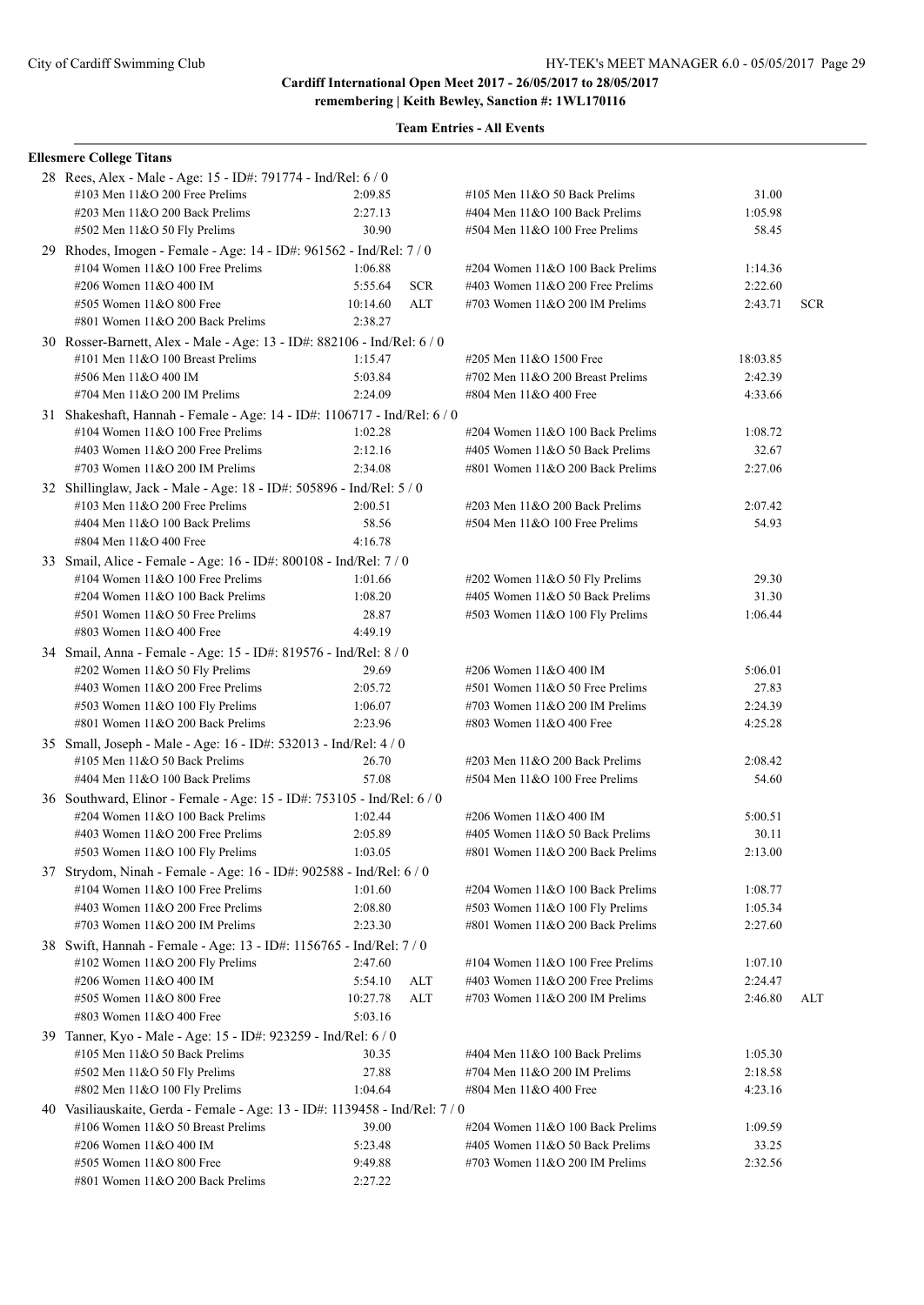| <b>Ellesmere College Titans</b>                                             |          |            |                                    |          |            |
|-----------------------------------------------------------------------------|----------|------------|------------------------------------|----------|------------|
| 28 Rees, Alex - Male - Age: 15 - ID#: 791774 - Ind/Rel: 6 / 0               |          |            |                                    |          |            |
| #103 Men 11&O 200 Free Prelims                                              | 2:09.85  |            | #105 Men $11&O$ 50 Back Prelims    | 31.00    |            |
| #203 Men 11&O 200 Back Prelims                                              | 2:27.13  |            | #404 Men 11&O 100 Back Prelims     | 1:05.98  |            |
| #502 Men 11&O 50 Fly Prelims                                                | 30.90    |            | $#504$ Men $11&O$ 100 Free Prelims | 58.45    |            |
| 29 Rhodes, Imogen - Female - Age: 14 - ID#: 961562 - Ind/Rel: 7/0           |          |            |                                    |          |            |
| #104 Women 11&O 100 Free Prelims                                            | 1:06.88  |            | #204 Women 11&O 100 Back Prelims   | 1:14.36  |            |
| #206 Women 11&O 400 IM                                                      | 5:55.64  | <b>SCR</b> | #403 Women 11&O 200 Free Prelims   | 2:22.60  |            |
| #505 Women $11&O 800$ Free                                                  | 10:14.60 | ALT        | #703 Women 11&O 200 IM Prelims     | 2:43.71  | <b>SCR</b> |
| #801 Women 11&O 200 Back Prelims                                            | 2:38.27  |            |                                    |          |            |
| 30 Rosser-Barnett, Alex - Male - Age: 13 - ID#: 882106 - Ind/Rel: 6 / 0     |          |            |                                    |          |            |
| #101 Men 11&O 100 Breast Prelims                                            | 1:15.47  |            | #205 Men 11&O 1500 Free            | 18:03.85 |            |
| #506 Men 11&O 400 IM                                                        | 5:03.84  |            | #702 Men 11&O 200 Breast Prelims   | 2:42.39  |            |
| #704 Men $11&O$ 200 IM Prelims                                              | 2:24.09  |            | #804 Men 11&O 400 Free             | 4:33.66  |            |
| 31 Shakeshaft, Hannah - Female - Age: 14 - ID#: 1106717 - Ind/Rel: 6 / 0    |          |            |                                    |          |            |
| #104 Women $11&O 100$ Free Prelims                                          | 1:02.28  |            | #204 Women 11&O 100 Back Prelims   | 1:08.72  |            |
| #403 Women $11&O$ 200 Free Prelims                                          | 2:12.16  |            | #405 Women 11&O 50 Back Prelims    | 32.67    |            |
| #703 Women $11&O$ 200 IM Prelims                                            | 2:34.08  |            | #801 Women 11&O 200 Back Prelims   | 2:27.06  |            |
| 32 Shillinglaw, Jack - Male - Age: 18 - ID#: 505896 - Ind/Rel: 5 / 0        |          |            |                                    |          |            |
| #103 Men $11&O$ 200 Free Prelims                                            | 2:00.51  |            | #203 Men 11&O 200 Back Prelims     | 2:07.42  |            |
| #404 Men 11&O 100 Back Prelims                                              | 58.56    |            | $#504$ Men $11&O$ 100 Free Prelims | 54.93    |            |
| #804 Men 11&O 400 Free                                                      | 4:16.78  |            |                                    |          |            |
| 33 Smail, Alice - Female - Age: 16 - ID#: 800108 - Ind/Rel: 7 / 0           |          |            |                                    |          |            |
| #104 Women $11&O 100$ Free Prelims                                          | 1:01.66  |            | #202 Women 11&O 50 Fly Prelims     | 29.30    |            |
| #204 Women 11&O 100 Back Prelims                                            | 1:08.20  |            | #405 Women 11&O 50 Back Prelims    | 31.30    |            |
| #501 Women 11&O 50 Free Prelims                                             | 28.87    |            | #503 Women 11&O 100 Fly Prelims    | 1:06.44  |            |
| #803 Women 11&O 400 Free                                                    | 4:49.19  |            |                                    |          |            |
| 34 Smail, Anna - Female - Age: 15 - ID#: 819576 - Ind/Rel: 8 / 0            |          |            |                                    |          |            |
| #202 Women 11&O 50 Fly Prelims                                              | 29.69    |            | #206 Women 11&O 400 IM             | 5:06.01  |            |
| #403 Women $11&O$ 200 Free Prelims                                          | 2:05.72  |            | #501 Women 11&O 50 Free Prelims    | 27.83    |            |
| #503 Women 11&O 100 Fly Prelims                                             | 1:06.07  |            | #703 Women 11&O 200 IM Prelims     | 2:24.39  |            |
| #801 Women $11&O$ 200 Back Prelims                                          | 2:23.96  |            | #803 Women 11&O 400 Free           | 4:25.28  |            |
| 35 Small, Joseph - Male - Age: 16 - ID#: 532013 - Ind/Rel: 4 / 0            |          |            |                                    |          |            |
| $\#105$ Men $11&O$ 50 Back Prelims                                          | 26.70    |            | #203 Men 11&O 200 Back Prelims     | 2:08.42  |            |
| #404 Men 11&O 100 Back Prelims                                              | 57.08    |            | $#504$ Men $11&O$ 100 Free Prelims | 54.60    |            |
| 36 Southward, Elinor - Female - Age: 15 - ID#: 753105 - Ind/Rel: 6 / 0      |          |            |                                    |          |            |
| #204 Women 11&O 100 Back Prelims                                            | 1:02.44  |            | #206 Women 11&O 400 IM             | 5:00.51  |            |
| #403 Women $11&O$ 200 Free Prelims                                          | 2:05.89  |            | #405 Women 11&O 50 Back Prelims    | 30.11    |            |
| #503 Women 11&O 100 Fly Prelims                                             | 1:03.05  |            | #801 Women 11&O 200 Back Prelims   | 2:13.00  |            |
| 37 Strydom, Ninah - Female - Age: 16 - ID#: 902588 - Ind/Rel: 6 / 0         |          |            |                                    |          |            |
| #104 Women 11&O 100 Free Prelims                                            | 1:01.60  |            | #204 Women 11&O 100 Back Prelims   | 1:08.77  |            |
| #403 Women 11&O 200 Free Prelims                                            | 2:08.80  |            | #503 Women 11&O 100 Fly Prelims    | 1:05.34  |            |
| #703 Women $11&O$ 200 IM Prelims                                            | 2:23.30  |            | #801 Women 11&O 200 Back Prelims   | 2:27.60  |            |
| 38 Swift, Hannah - Female - Age: 13 - ID#: 1156765 - Ind/Rel: 7 / 0         |          |            |                                    |          |            |
| #102 Women 11&O 200 Fly Prelims                                             | 2:47.60  |            | #104 Women $11&O 100$ Free Prelims | 1:07.10  |            |
| #206 Women 11&O 400 IM                                                      | 5:54.10  | <b>ALT</b> | #403 Women $11&O$ 200 Free Prelims | 2:24.47  |            |
| #505 Women 11&O 800 Free                                                    | 10:27.78 | ALT        | #703 Women $11&O$ 200 IM Prelims   | 2:46.80  | ALT        |
| #803 Women 11&O 400 Free                                                    | 5:03.16  |            |                                    |          |            |
| 39 Tanner, Kyo - Male - Age: 15 - ID#: 923259 - Ind/Rel: 6 / 0              |          |            |                                    |          |            |
| #105 Men $11&O$ 50 Back Prelims                                             | 30.35    |            | #404 Men 11&O 100 Back Prelims     | 1:05.30  |            |
| #502 Men 11&O 50 Fly Prelims                                                | 27.88    |            | #704 Men 11&O 200 IM Prelims       | 2:18.58  |            |
| #802 Men 11&O 100 Fly Prelims                                               | 1:04.64  |            | #804 Men 11&O 400 Free             | 4:23.16  |            |
| 40 Vasiliauskaite, Gerda - Female - Age: 13 - ID#: 1139458 - Ind/Rel: 7 / 0 |          |            |                                    |          |            |
| #106 Women 11&O 50 Breast Prelims                                           | 39.00    |            | #204 Women 11&O 100 Back Prelims   | 1:09.59  |            |
| #206 Women 11&O 400 IM                                                      | 5:23.48  |            | #405 Women 11&O 50 Back Prelims    | 33.25    |            |
| #505 Women 11&O 800 Free                                                    | 9:49.88  |            | #703 Women $11&O$ 200 IM Prelims   | 2:32.56  |            |
| #801 Women 11&O 200 Back Prelims                                            | 2:27.22  |            |                                    |          |            |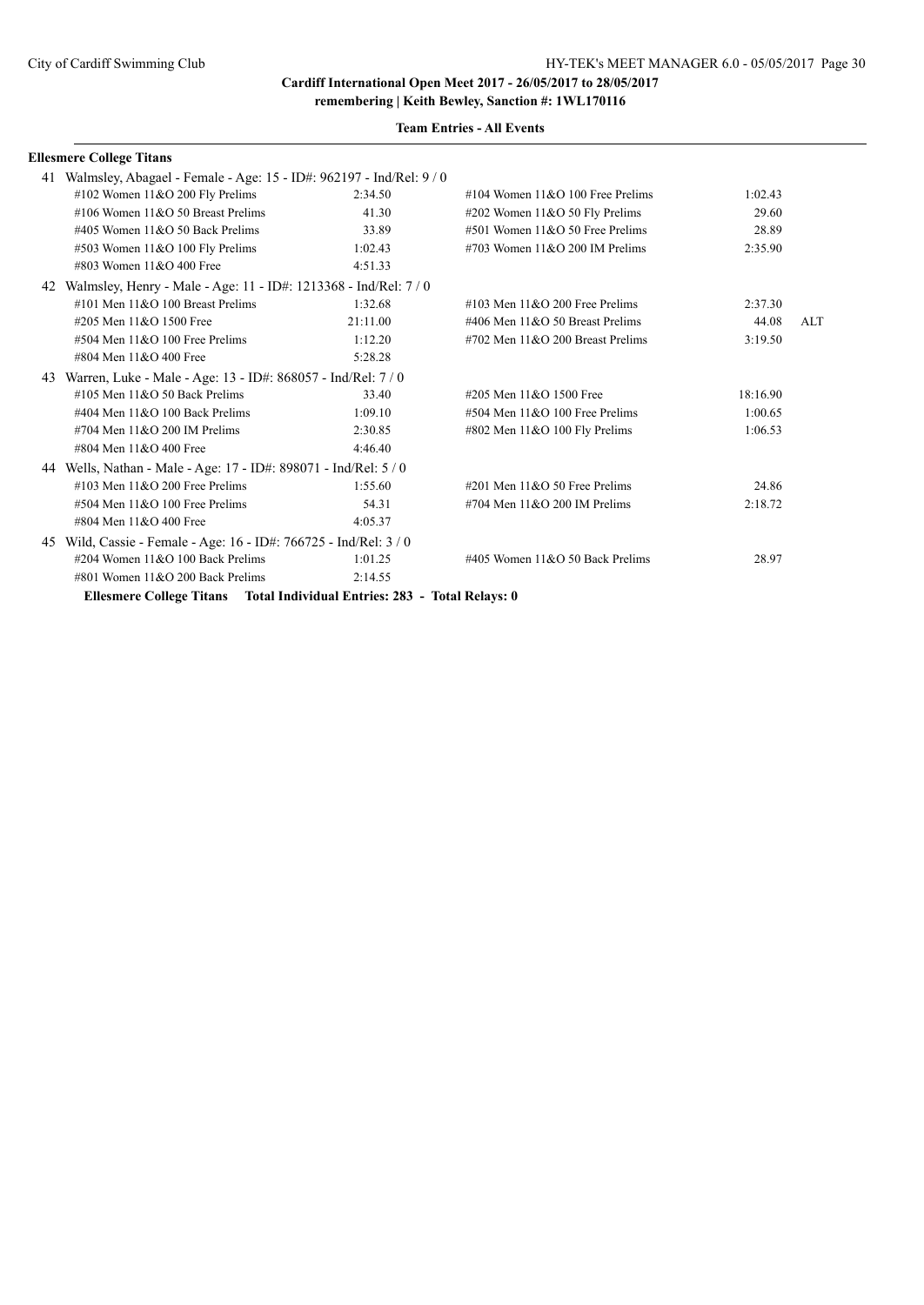**Team Entries - All Events**

#### **Ellesmere College Titans**

|    | 41 Walmsley, Abagael - Female - Age: 15 - ID#: 962197 - Ind/Rel: 9 / 0   |          |                                      |          |     |
|----|--------------------------------------------------------------------------|----------|--------------------------------------|----------|-----|
|    | #102 Women $11&O$ 200 Fly Prelims                                        | 2:34.50  | #104 Women $11&O$ 100 Free Prelims   | 1:02.43  |     |
|    | #106 Women $11&O$ 50 Breast Prelims                                      | 41.30    | #202 Women $11&O 50$ Fly Prelims     | 29.60    |     |
|    | #405 Women $11&O$ 50 Back Prelims                                        | 33.89    | #501 Women $11&O$ 50 Free Prelims    | 28.89    |     |
|    | #503 Women 11&O 100 Fly Prelims                                          | 1:02.43  | #703 Women $11&O$ 200 IM Prelims     | 2:35.90  |     |
|    | #803 Women $11\&O$ 400 Free                                              | 4:51.33  |                                      |          |     |
| 42 | Walmsley, Henry - Male - Age: 11 - ID#: 1213368 - Ind/Rel: 7/0           |          |                                      |          |     |
|    | $\#101$ Men $11\&O$ 100 Breast Prelims                                   | 1:32.68  | $\#103$ Men $11\&O$ 200 Free Prelims | 2:37.30  |     |
|    | #205 Men 11&O 1500 Free                                                  | 21:11.00 | #406 Men $11&O$ 50 Breast Prelims    | 44.08    | ALT |
|    | $#504$ Men $11&O$ 100 Free Prelims                                       | 1:12.20  | $#702$ Men $11&O$ 200 Breast Prelims | 3:19.50  |     |
|    | #804 Men 11&O 400 Free                                                   | 5:28.28  |                                      |          |     |
|    | 43 Warren, Luke - Male - Age: 13 - ID#: 868057 - Ind/Rel: 7/0            |          |                                      |          |     |
|    | #105 Men $11&O$ 50 Back Prelims                                          | 33.40    | #205 Men 11&O 1500 Free              | 18:16.90 |     |
|    | #404 Men 11&O 100 Back Prelims                                           | 1:09.10  | $#504$ Men $11&O$ 100 Free Prelims   | 1:00.65  |     |
|    | $\#704$ Men $11\&O$ 200 IM Prelims                                       | 2:30.85  | #802 Men 11&O 100 Fly Prelims        | 1:06.53  |     |
|    | #804 Men 11&O 400 Free                                                   | 4:46.40  |                                      |          |     |
|    | 44 Wells, Nathan - Male - Age: 17 - ID#: 898071 - Ind/Rel: 5 / 0         |          |                                      |          |     |
|    | $\#103$ Men $11\&O$ 200 Free Prelims                                     | 1:55.60  | #201 Men $11&O$ 50 Free Prelims      | 24.86    |     |
|    | $#504$ Men $11&O$ 100 Free Prelims                                       | 54.31    | $\#704$ Men $11\&O$ 200 IM Prelims   | 2:18.72  |     |
|    | #804 Men 11&O 400 Free                                                   | 4:05.37  |                                      |          |     |
|    | 45 Wild, Cassie - Female - Age: 16 - ID#: 766725 - Ind/Rel: 3/0          |          |                                      |          |     |
|    | #204 Women 11&O 100 Back Prelims                                         | 1:01.25  | #405 Women $11&O$ 50 Back Prelims    | 28.97    |     |
|    | $\#801$ Women $11&O$ 200 Back Prelims                                    | 2:14.55  |                                      |          |     |
|    | Ellesmere College Titans Total Individual Entries: 283 - Total Relays: 0 |          |                                      |          |     |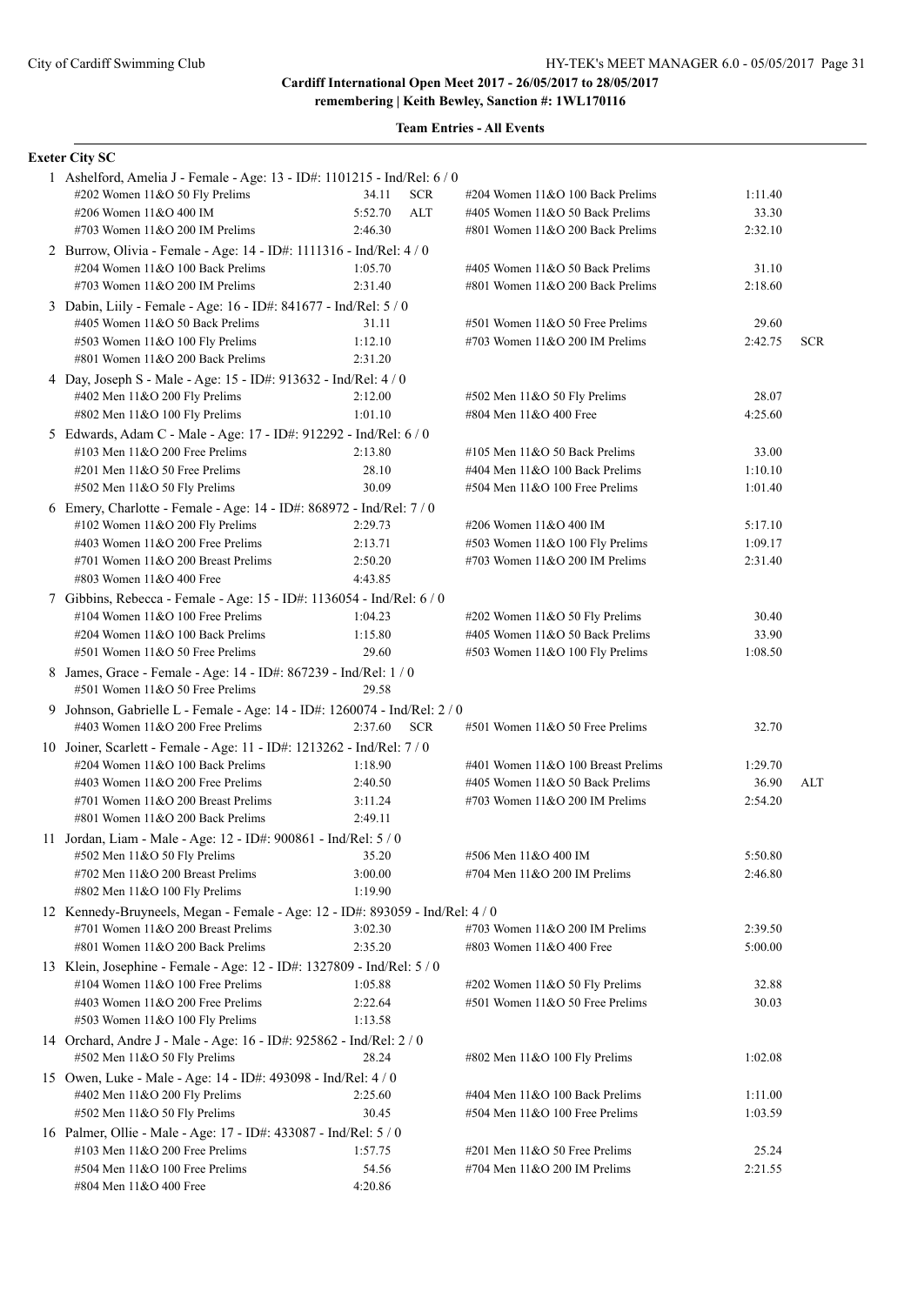**Team Entries - All Events**

#### **Exeter City SC**

| 1 Ashelford, Amelia J - Female - Age: 13 - ID#: 1101215 - Ind/Rel: 6 / 0      |         |            |                                     |         |            |
|-------------------------------------------------------------------------------|---------|------------|-------------------------------------|---------|------------|
| #202 Women 11&O 50 Fly Prelims                                                | 34.11   | <b>SCR</b> | #204 Women 11&O 100 Back Prelims    | 1:11.40 |            |
| #206 Women 11&O 400 IM                                                        | 5:52.70 | ALT        | #405 Women 11&O 50 Back Prelims     | 33.30   |            |
| #703 Women $11&O$ 200 IM Prelims                                              | 2:46.30 |            | #801 Women 11&O 200 Back Prelims    | 2:32.10 |            |
| 2 Burrow, Olivia - Female - Age: 14 - ID#: 1111316 - Ind/Rel: 4 / 0           |         |            |                                     |         |            |
| #204 Women 11&O 100 Back Prelims                                              | 1:05.70 |            | #405 Women 11&O 50 Back Prelims     | 31.10   |            |
| #703 Women $11&O$ 200 IM Prelims                                              | 2:31.40 |            | #801 Women 11&O 200 Back Prelims    | 2:18.60 |            |
| 3 Dabin, Liily - Female - Age: 16 - ID#: 841677 - Ind/Rel: 5 / 0              |         |            |                                     |         |            |
| #405 Women 11&O 50 Back Prelims                                               | 31.11   |            | #501 Women 11&O 50 Free Prelims     | 29.60   |            |
| #503 Women 11&O 100 Fly Prelims                                               | 1:12.10 |            | #703 Women $11&O$ 200 IM Prelims    | 2:42.75 | <b>SCR</b> |
| #801 Women 11&O 200 Back Prelims                                              | 2:31.20 |            |                                     |         |            |
| 4 Day, Joseph S - Male - Age: 15 - ID#: 913632 - Ind/Rel: 4 / 0               |         |            |                                     |         |            |
| #402 Men 11&O 200 Fly Prelims                                                 | 2:12.00 |            | #502 Men 11&O 50 Fly Prelims        | 28.07   |            |
| #802 Men 11&O 100 Fly Prelims                                                 | 1:01.10 |            | #804 Men 11&O 400 Free              | 4:25.60 |            |
| 5 Edwards, Adam C - Male - Age: 17 - ID#: 912292 - Ind/Rel: 6 / 0             |         |            |                                     |         |            |
| #103 Men $11&O$ 200 Free Prelims                                              | 2:13.80 |            | #105 Men $11&O$ 50 Back Prelims     | 33.00   |            |
| #201 Men 11&O 50 Free Prelims                                                 | 28.10   |            | #404 Men 11&O 100 Back Prelims      | 1:10.10 |            |
| #502 Men 11&O 50 Fly Prelims                                                  | 30.09   |            | #504 Men 11&O 100 Free Prelims      | 1:01.40 |            |
| 6 Emery, Charlotte - Female - Age: 14 - ID#: 868972 - Ind/Rel: 7 / 0          |         |            |                                     |         |            |
| #102 Women 11&O 200 Fly Prelims                                               | 2:29.73 |            | #206 Women 11&O 400 IM              | 5:17.10 |            |
| #403 Women $11&O$ 200 Free Prelims                                            | 2:13.71 |            | #503 Women 11&O 100 Fly Prelims     | 1:09.17 |            |
| #701 Women 11&O 200 Breast Prelims                                            | 2:50.20 |            | #703 Women $11&O$ 200 IM Prelims    | 2:31.40 |            |
| #803 Women 11&O 400 Free                                                      | 4:43.85 |            |                                     |         |            |
| 7 Gibbins, Rebecca - Female - Age: 15 - ID#: 1136054 - Ind/Rel: 6 / 0         |         |            |                                     |         |            |
| #104 Women $11&O$ 100 Free Prelims                                            | 1:04.23 |            | $\#202$ Women 11&O 50 Fly Prelims   | 30.40   |            |
| #204 Women 11&O 100 Back Prelims                                              | 1:15.80 |            | #405 Women 11&O 50 Back Prelims     | 33.90   |            |
| #501 Women 11&O 50 Free Prelims                                               | 29.60   |            | #503 Women 11&O 100 Fly Prelims     | 1:08.50 |            |
| 8 James, Grace - Female - Age: 14 - ID#: 867239 - Ind/Rel: 1 / 0              |         |            |                                     |         |            |
| #501 Women 11&O 50 Free Prelims                                               | 29.58   |            |                                     |         |            |
| 9 Johnson, Gabrielle L - Female - Age: 14 - ID#: 1260074 - Ind/Rel: 2 / 0     |         |            |                                     |         |            |
| #403 Women 11&O 200 Free Prelims                                              | 2:37.60 | <b>SCR</b> | $#501$ Women $11&O 50$ Free Prelims | 32.70   |            |
| 10 Joiner, Scarlett - Female - Age: 11 - ID#: 1213262 - Ind/Rel: 7/0          |         |            |                                     |         |            |
| #204 Women 11&O 100 Back Prelims                                              | 1:18.90 |            | #401 Women 11&O 100 Breast Prelims  | 1:29.70 |            |
| #403 Women $11&O$ 200 Free Prelims                                            | 2:40.50 |            | #405 Women 11&O 50 Back Prelims     | 36.90   | ALT        |
| #701 Women 11&O 200 Breast Prelims                                            | 3:11.24 |            | #703 Women $11&O$ 200 IM Prelims    | 2:54.20 |            |
| #801 Women $11&O$ 200 Back Prelims                                            | 2:49.11 |            |                                     |         |            |
| 11 Jordan, Liam - Male - Age: 12 - ID#: 900861 - Ind/Rel: 5 / 0               |         |            |                                     |         |            |
| #502 Men 11&O 50 Fly Prelims                                                  | 35.20   |            | #506 Men 11&O 400 IM                | 5:50.80 |            |
| #702 Men 11&O 200 Breast Prelims                                              | 3:00.00 |            | #704 Men $11&O$ 200 IM Prelims      | 2:46.80 |            |
| #802 Men 11&O 100 Fly Prelims                                                 | 1:19.90 |            |                                     |         |            |
| 12 Kennedy-Bruyneels, Megan - Female - Age: 12 - ID#: 893059 - Ind/Rel: 4 / 0 |         |            |                                     |         |            |
| #701 Women 11&O 200 Breast Prelims                                            | 3:02.30 |            | #703 Women 11&O 200 IM Prelims      | 2:39.50 |            |
| #801 Women 11&O 200 Back Prelims                                              | 2:35.20 |            | #803 Women 11&O 400 Free            | 5:00.00 |            |
| 13 Klein, Josephine - Female - Age: 12 - ID#: 1327809 - Ind/Rel: 5 / 0        |         |            |                                     |         |            |
| #104 Women 11&O 100 Free Prelims                                              | 1:05.88 |            | #202 Women 11&O 50 Fly Prelims      | 32.88   |            |
| #403 Women 11&O 200 Free Prelims                                              | 2:22.64 |            | #501 Women 11&O 50 Free Prelims     | 30.03   |            |
| #503 Women 11&O 100 Fly Prelims                                               | 1:13.58 |            |                                     |         |            |
| 14 Orchard, Andre J - Male - Age: 16 - ID#: 925862 - Ind/Rel: 2 / 0           |         |            |                                     |         |            |
| #502 Men 11&O 50 Fly Prelims                                                  | 28.24   |            | #802 Men 11&O 100 Fly Prelims       | 1:02.08 |            |
| 15 Owen, Luke - Male - Age: 14 - ID#: 493098 - Ind/Rel: 4 / 0                 |         |            |                                     |         |            |
| #402 Men 11&O 200 Fly Prelims                                                 | 2:25.60 |            | #404 Men 11&O 100 Back Prelims      | 1:11.00 |            |
| #502 Men 11&O 50 Fly Prelims                                                  | 30.45   |            | $#504$ Men $11&O$ 100 Free Prelims  | 1:03.59 |            |
| 16 Palmer, Ollie - Male - Age: 17 - ID#: 433087 - Ind/Rel: 5 / 0              |         |            |                                     |         |            |
| #103 Men 11&O 200 Free Prelims                                                | 1:57.75 |            | #201 Men 11&O 50 Free Prelims       | 25.24   |            |
| #504 Men 11&O 100 Free Prelims                                                | 54.56   |            | #704 Men $11&O$ 200 IM Prelims      | 2:21.55 |            |
| #804 Men 11&O 400 Free                                                        | 4:20.86 |            |                                     |         |            |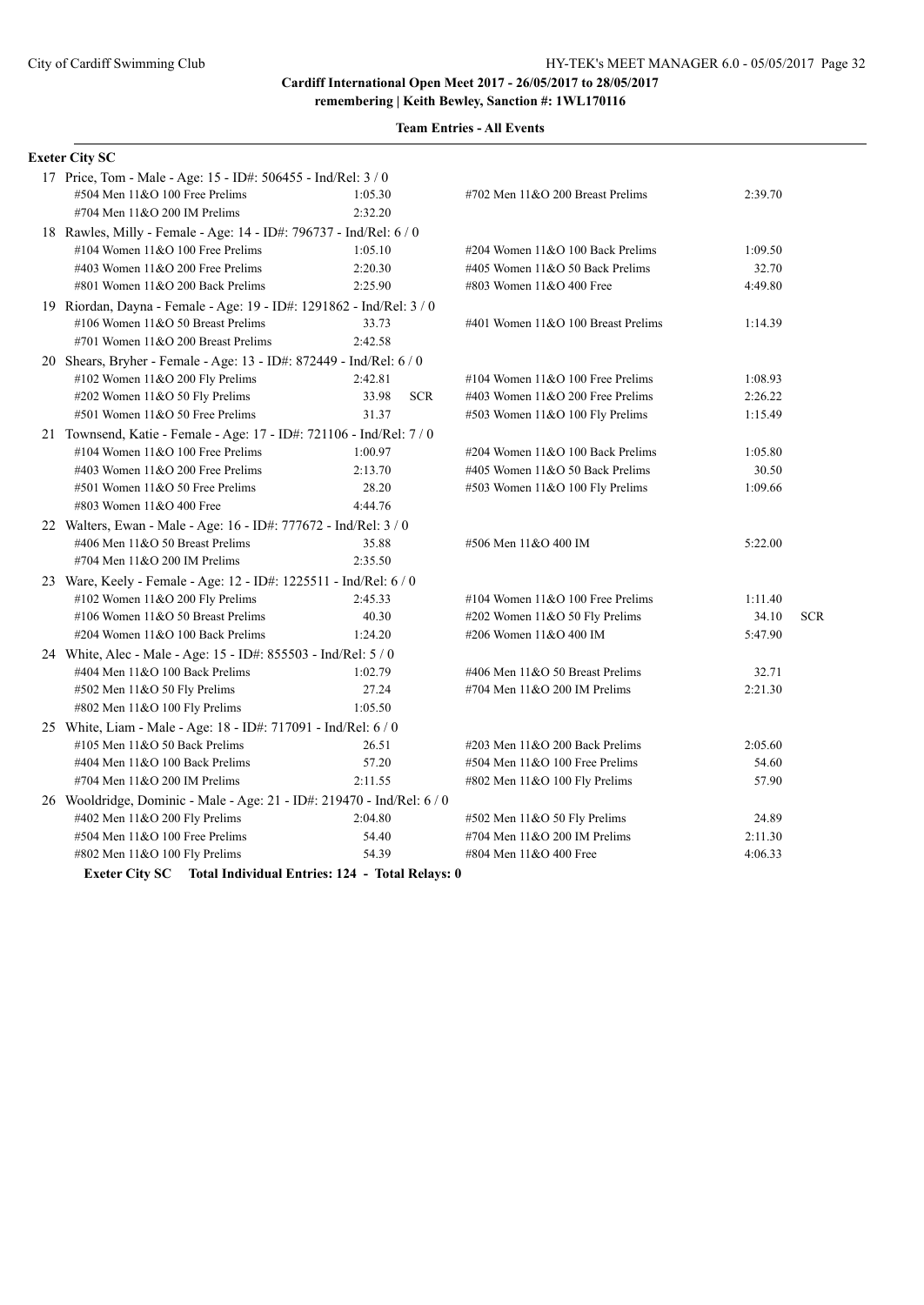| <b>Exeter City SC</b>                                                  |                     |                                    |         |            |
|------------------------------------------------------------------------|---------------------|------------------------------------|---------|------------|
| 17 Price, Tom - Male - Age: 15 - ID#: 506455 - Ind/Rel: 3 / 0          |                     |                                    |         |            |
| #504 Men 11&O 100 Free Prelims                                         | 1:05.30             | #702 Men 11&O 200 Breast Prelims   | 2:39.70 |            |
| #704 Men 11&O 200 IM Prelims                                           | 2:32.20             |                                    |         |            |
| 18 Rawles, Milly - Female - Age: 14 - ID#: 796737 - Ind/Rel: 6 / 0     |                     |                                    |         |            |
| #104 Women $11&O 100$ Free Prelims                                     | 1:05.10             | #204 Women 11&O 100 Back Prelims   | 1:09.50 |            |
| #403 Women 11&O 200 Free Prelims                                       | 2:20.30             | #405 Women 11&O 50 Back Prelims    | 32.70   |            |
| $\#801$ Women $11&O$ 200 Back Prelims                                  | 2:25.90             | #803 Women 11&O 400 Free           | 4:49.80 |            |
| 19 Riordan, Dayna - Female - Age: 19 - ID#: 1291862 - Ind/Rel: 3 / 0   |                     |                                    |         |            |
| #106 Women $11&O$ 50 Breast Prelims                                    | 33.73               | #401 Women 11&O 100 Breast Prelims | 1:14.39 |            |
| #701 Women 11&O 200 Breast Prelims                                     | 2:42.58             |                                    |         |            |
| 20 Shears, Bryher - Female - Age: 13 - ID#: 872449 - Ind/Rel: 6 / 0    |                     |                                    |         |            |
| #102 Women 11&O 200 Fly Prelims                                        | 2:42.81             | #104 Women $11&O 100$ Free Prelims | 1:08.93 |            |
| #202 Women 11&O 50 Fly Prelims                                         | 33.98<br><b>SCR</b> | #403 Women 11&O 200 Free Prelims   | 2:26.22 |            |
| #501 Women 11&O 50 Free Prelims                                        | 31.37               | #503 Women 11&O 100 Fly Prelims    | 1:15.49 |            |
| 21 Townsend, Katie - Female - Age: 17 - ID#: 721106 - Ind/Rel: 7 / 0   |                     |                                    |         |            |
| #104 Women $11&O 100$ Free Prelims                                     | 1:00.97             | #204 Women 11&O 100 Back Prelims   | 1:05.80 |            |
| #403 Women $11&O$ 200 Free Prelims                                     | 2:13.70             | #405 Women 11&O 50 Back Prelims    | 30.50   |            |
| #501 Women 11&O 50 Free Prelims                                        | 28.20               | #503 Women 11&O 100 Fly Prelims    | 1:09.66 |            |
| #803 Women 11&O 400 Free                                               | 4:44.76             |                                    |         |            |
| 22 Walters, Ewan - Male - Age: 16 - ID#: 777672 - Ind/Rel: 3 / 0       |                     |                                    |         |            |
| #406 Men 11&O 50 Breast Prelims                                        | 35.88               | #506 Men 11&O 400 IM               | 5:22.00 |            |
| #704 Men 11&O 200 IM Prelims                                           | 2:35.50             |                                    |         |            |
| 23 Ware, Keely - Female - Age: 12 - ID#: 1225511 - Ind/Rel: 6 / 0      |                     |                                    |         |            |
| #102 Women 11&O 200 Fly Prelims                                        | 2:45.33             | #104 Women $11&O 100$ Free Prelims | 1:11.40 |            |
| #106 Women $11&O$ 50 Breast Prelims                                    | 40.30               | #202 Women 11&O 50 Fly Prelims     | 34.10   | <b>SCR</b> |
| #204 Women 11&O 100 Back Prelims                                       | 1:24.20             | #206 Women 11&O 400 IM             | 5:47.90 |            |
| 24 White, Alec - Male - Age: 15 - ID#: 855503 - Ind/Rel: 5 / 0         |                     |                                    |         |            |
| #404 Men 11&O 100 Back Prelims                                         | 1:02.79             | #406 Men 11&O 50 Breast Prelims    | 32.71   |            |
| #502 Men 11&O 50 Fly Prelims                                           | 27.24               | #704 Men 11&O 200 IM Prelims       | 2:21.30 |            |
| $\#802$ Men 11&O 100 Fly Prelims                                       | 1:05.50             |                                    |         |            |
| 25 White, Liam - Male - Age: 18 - ID#: 717091 - Ind/Rel: 6 / 0         |                     |                                    |         |            |
| #105 Men 11&O 50 Back Prelims                                          | 26.51               | #203 Men 11&O 200 Back Prelims     | 2:05.60 |            |
| #404 Men 11&O 100 Back Prelims                                         | 57.20               | #504 Men 11&O 100 Free Prelims     | 54.60   |            |
| #704 Men 11&O 200 IM Prelims                                           | 2:11.55             | #802 Men 11&O 100 Fly Prelims      | 57.90   |            |
| 26 Wooldridge, Dominic - Male - Age: 21 - ID#: 219470 - Ind/Rel: 6 / 0 |                     |                                    |         |            |
| #402 Men 11&O 200 Fly Prelims                                          | 2:04.80             | #502 Men 11&O 50 Fly Prelims       | 24.89   |            |
| #504 Men 11&O 100 Free Prelims                                         | 54.40               | #704 Men 11&O 200 IM Prelims       | 2:11.30 |            |
| #802 Men $11&O$ 100 Fly Prelims                                        | 54.39               | #804 Men 11&O 400 Free             | 4:06.33 |            |
| <b>Exeter City SC</b> Total Individual Entries: 124 - Total Relays: 0  |                     |                                    |         |            |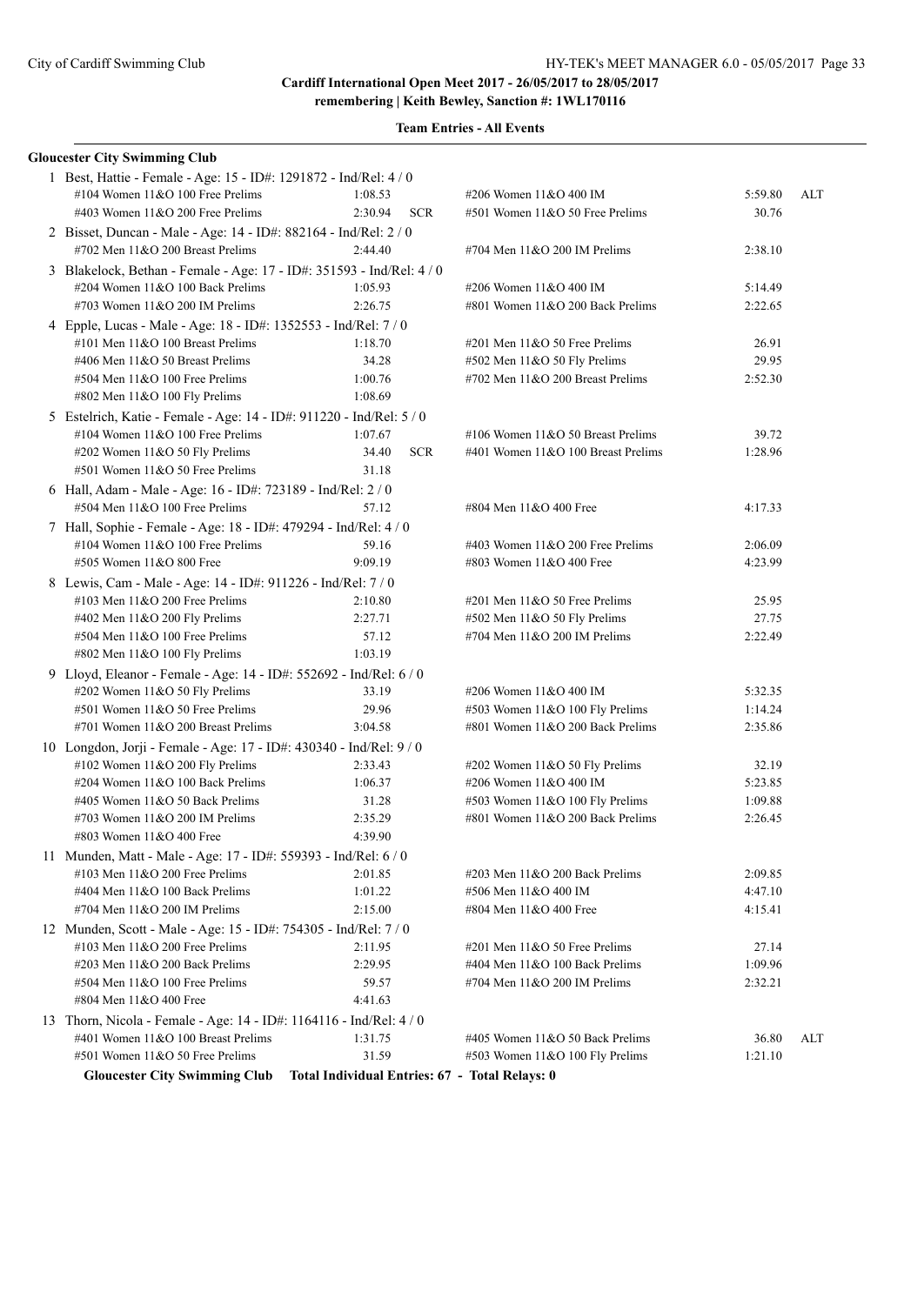**remembering | Keith Bewley, Sanction #: 1WL170116**

| <b>Gloucester City Swimming Club</b>                                 |                                                |                                                          |                    |     |  |
|----------------------------------------------------------------------|------------------------------------------------|----------------------------------------------------------|--------------------|-----|--|
| 1 Best, Hattie - Female - Age: 15 - ID#: 1291872 - Ind/Rel: 4 / 0    |                                                |                                                          |                    |     |  |
| #104 Women 11&O 100 Free Prelims                                     | 1:08.53                                        | #206 Women 11&O 400 IM                                   | 5:59.80            | ALT |  |
| #403 Women 11&O 200 Free Prelims                                     | 2:30.94<br><b>SCR</b>                          | $#501$ Women $11&O 50$ Free Prelims                      | 30.76              |     |  |
| 2 Bisset, Duncan - Male - Age: 14 - ID#: 882164 - Ind/Rel: 2 / 0     |                                                |                                                          |                    |     |  |
| #702 Men 11&O 200 Breast Prelims                                     | 2:44.40                                        | #704 Men 11&O 200 IM Prelims                             | 2:38.10            |     |  |
| 3 Blakelock, Bethan - Female - Age: 17 - ID#: 351593 - Ind/Rel: 4/0  |                                                |                                                          |                    |     |  |
| #204 Women 11&O 100 Back Prelims                                     | 1:05.93                                        | #206 Women 11&O 400 IM                                   | 5:14.49            |     |  |
| #703 Women 11&O 200 IM Prelims                                       | 2:26.75                                        | #801 Women $11&O$ 200 Back Prelims                       | 2:22.65            |     |  |
| 4 Epple, Lucas - Male - Age: 18 - ID#: 1352553 - Ind/Rel: 7 / 0      |                                                |                                                          |                    |     |  |
| #101 Men 11&O 100 Breast Prelims                                     | 1:18.70                                        | #201 Men $11&050$ Free Prelims                           | 26.91              |     |  |
| #406 Men 11&O 50 Breast Prelims                                      | 34.28                                          | #502 Men 11&O 50 Fly Prelims                             | 29.95              |     |  |
| #504 Men 11&O 100 Free Prelims                                       | 1:00.76                                        | #702 Men 11&O 200 Breast Prelims                         | 2:52.30            |     |  |
| #802 Men 11&O 100 Fly Prelims                                        | 1:08.69                                        |                                                          |                    |     |  |
| 5 Estelrich, Katie - Female - Age: 14 - ID#: 911220 - Ind/Rel: 5 / 0 |                                                |                                                          |                    |     |  |
| #104 Women 11&O 100 Free Prelims                                     | 1:07.67                                        | #106 Women 11&O 50 Breast Prelims                        | 39.72              |     |  |
| #202 Women 11&O 50 Fly Prelims                                       | 34.40<br><b>SCR</b>                            | #401 Women 11&O 100 Breast Prelims                       | 1:28.96            |     |  |
| #501 Women 11&O 50 Free Prelims                                      | 31.18                                          |                                                          |                    |     |  |
| 6 Hall, Adam - Male - Age: 16 - ID#: 723189 - Ind/Rel: 2 / 0         |                                                |                                                          |                    |     |  |
| #504 Men 11&O 100 Free Prelims                                       | 57.12                                          | #804 Men 11&O 400 Free                                   | 4:17.33            |     |  |
| 7 Hall, Sophie - Female - Age: 18 - ID#: 479294 - Ind/Rel: 4 / 0     |                                                |                                                          |                    |     |  |
| #104 Women 11&O 100 Free Prelims                                     | 59.16                                          | #403 Women $11&O$ 200 Free Prelims                       | 2:06.09            |     |  |
| #505 Women 11&O 800 Free                                             | 9:09.19                                        | #803 Women 11&O 400 Free                                 | 4:23.99            |     |  |
| 8 Lewis, Cam - Male - Age: 14 - ID#: 911226 - Ind/Rel: 7 / 0         |                                                |                                                          |                    |     |  |
| #103 Men 11&O 200 Free Prelims                                       | 2:10.80                                        | #201 Men $11&050$ Free Prelims                           | 25.95              |     |  |
| #402 Men $11&O$ 200 Fly Prelims                                      | 2:27.71                                        | #502 Men 11&O 50 Fly Prelims                             | 27.75              |     |  |
| #504 Men 11&O 100 Free Prelims                                       | 57.12                                          | #704 Men 11&O 200 IM Prelims                             | 2:22.49            |     |  |
| #802 Men 11&O 100 Fly Prelims                                        | 1:03.19                                        |                                                          |                    |     |  |
| 9 Lloyd, Eleanor - Female - Age: 14 - ID#: 552692 - Ind/Rel: 6 / 0   |                                                |                                                          |                    |     |  |
| #202 Women $11&O 50$ Fly Prelims                                     | 33.19                                          | #206 Women 11&O 400 IM                                   | 5:32.35            |     |  |
| #501 Women 11&O 50 Free Prelims                                      | 29.96                                          | #503 Women 11&O 100 Fly Prelims                          | 1:14.24            |     |  |
| #701 Women 11&O 200 Breast Prelims                                   | 3:04.58                                        | #801 Women 11&O 200 Back Prelims                         | 2:35.86            |     |  |
| 10 Longdon, Jorji - Female - Age: 17 - ID#: 430340 - Ind/Rel: 9 / 0  | 2:33.43                                        |                                                          |                    |     |  |
| #102 Women 11&O 200 Fly Prelims<br>#204 Women 11&O 100 Back Prelims  | 1:06.37                                        | #202 Women 11&O 50 Fly Prelims<br>#206 Women 11&O 400 IM | 32.19              |     |  |
| #405 Women 11&O 50 Back Prelims                                      | 31.28                                          | #503 Women 11&O 100 Fly Prelims                          | 5:23.85<br>1:09.88 |     |  |
| #703 Women 11&O 200 IM Prelims                                       | 2:35.29                                        | #801 Women 11&O 200 Back Prelims                         | 2:26.45            |     |  |
| #803 Women 11&O 400 Free                                             | 4:39.90                                        |                                                          |                    |     |  |
| 11 Munden, Matt - Male - Age: 17 - ID#: 559393 - Ind/Rel: 6 / 0      |                                                |                                                          |                    |     |  |
| #103 Men 11&O 200 Free Prelims                                       | 2:01.85                                        | #203 Men 11&O 200 Back Prelims                           | 2:09.85            |     |  |
| #404 Men 11&O 100 Back Prelims                                       | 1:01.22                                        | #506 Men 11&O 400 IM                                     | 4:47.10            |     |  |
| #704 Men 11&O 200 IM Prelims                                         | 2:15.00                                        | #804 Men 11&O 400 Free                                   | 4:15.41            |     |  |
| 12 Munden, Scott - Male - Age: 15 - ID#: 754305 - Ind/Rel: 7/0       |                                                |                                                          |                    |     |  |
| #103 Men 11&O 200 Free Prelims                                       | 2:11.95                                        | #201 Men 11&O 50 Free Prelims                            | 27.14              |     |  |
| #203 Men 11&O 200 Back Prelims                                       | 2:29.95                                        | #404 Men 11&O 100 Back Prelims                           | 1:09.96            |     |  |
| #504 Men 11&O 100 Free Prelims                                       | 59.57                                          | #704 Men $11&O$ 200 IM Prelims                           | 2:32.21            |     |  |
| #804 Men 11&O 400 Free                                               | 4:41.63                                        |                                                          |                    |     |  |
| 13 Thorn, Nicola - Female - Age: 14 - ID#: 1164116 - Ind/Rel: 4 / 0  |                                                |                                                          |                    |     |  |
| #401 Women 11&O 100 Breast Prelims                                   | 1:31.75                                        | #405 Women 11&O 50 Back Prelims                          | 36.80              | ALT |  |
| #501 Women 11&O 50 Free Prelims                                      | 31.59                                          | #503 Women 11&O 100 Fly Prelims                          | 1:21.10            |     |  |
| <b>Gloucester City Swimming Club</b>                                 | Total Individual Entries: 67 - Total Relays: 0 |                                                          |                    |     |  |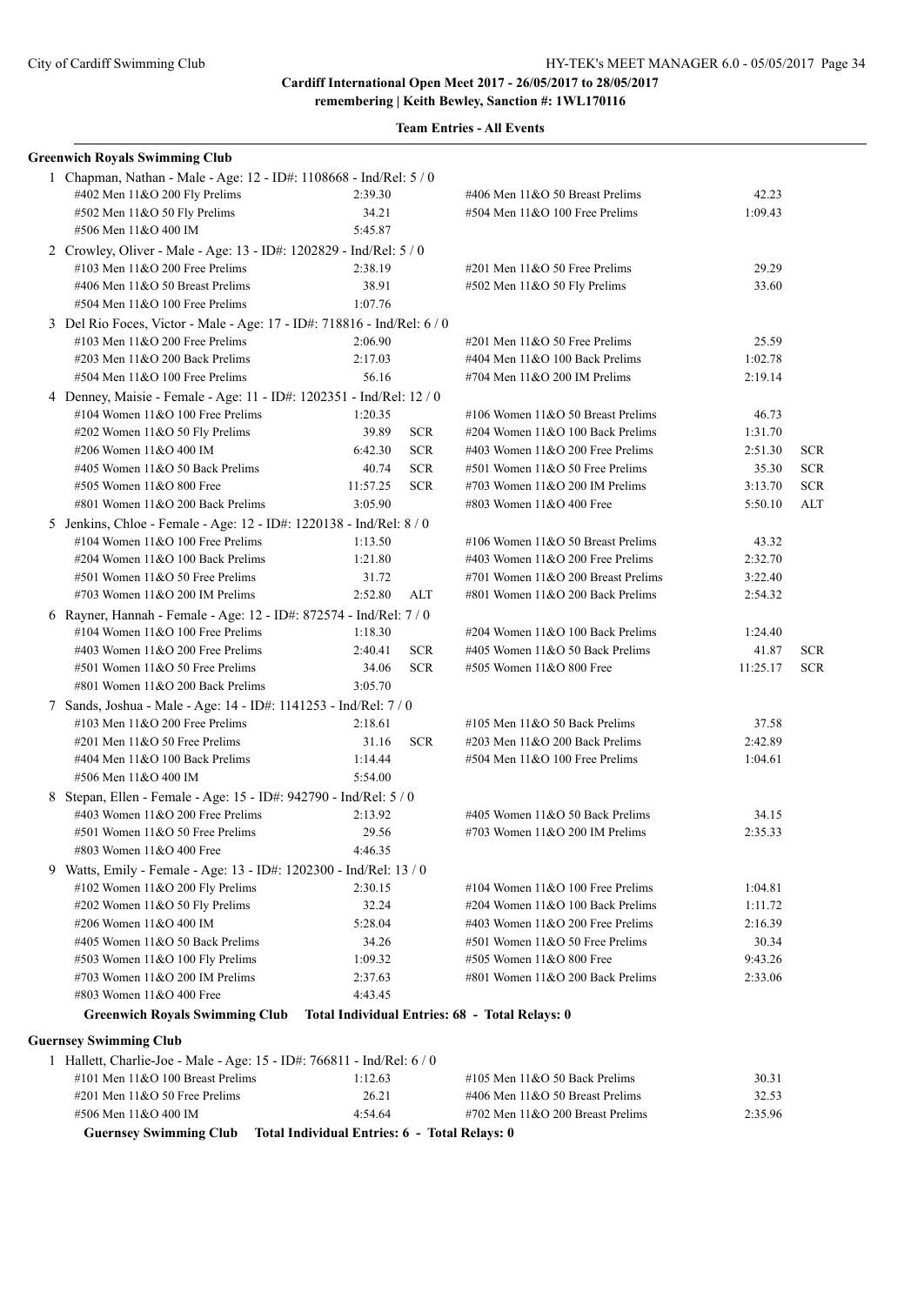**remembering | Keith Bewley, Sanction #: 1WL170116**

|  | <b>Greenwich Royals Swimming Club</b>                                   |                                               |            |                                                |          |            |  |
|--|-------------------------------------------------------------------------|-----------------------------------------------|------------|------------------------------------------------|----------|------------|--|
|  | 1 Chapman, Nathan - Male - Age: 12 - ID#: 1108668 - Ind/Rel: 5 / 0      |                                               |            |                                                |          |            |  |
|  | #402 Men 11&O 200 Fly Prelims                                           | 2:39.30                                       |            | #406 Men 11&O 50 Breast Prelims                | 42.23    |            |  |
|  | #502 Men 11&O 50 Fly Prelims                                            | 34.21                                         |            | #504 Men 11&O 100 Free Prelims                 | 1:09.43  |            |  |
|  | #506 Men 11&O 400 IM                                                    | 5:45.87                                       |            |                                                |          |            |  |
|  | 2 Crowley, Oliver - Male - Age: 13 - ID#: 1202829 - Ind/Rel: 5 / 0      |                                               |            |                                                |          |            |  |
|  | #103 Men 11&O 200 Free Prelims                                          | 2:38.19                                       |            | $\#201$ Men $11&O$ 50 Free Prelims             | 29.29    |            |  |
|  | #406 Men 11&O 50 Breast Prelims                                         | 38.91                                         |            | #502 Men 11&O 50 Fly Prelims                   | 33.60    |            |  |
|  | #504 Men 11&O 100 Free Prelims                                          | 1:07.76                                       |            |                                                |          |            |  |
|  | 3 Del Rio Foces, Victor - Male - Age: 17 - ID#: 718816 - Ind/Rel: 6 / 0 |                                               |            |                                                |          |            |  |
|  | #103 Men $11&O$ 200 Free Prelims                                        | 2:06.90                                       |            | $\#201$ Men $11&O$ 50 Free Prelims             | 25.59    |            |  |
|  | #203 Men $11&O$ 200 Back Prelims                                        | 2:17.03                                       |            | #404 Men $11&O 100$ Back Prelims               | 1:02.78  |            |  |
|  | #504 Men 11&O 100 Free Prelims                                          | 56.16                                         |            | #704 Men 11&O 200 IM Prelims                   | 2:19.14  |            |  |
|  | 4 Denney, Maisie - Female - Age: 11 - ID#: 1202351 - Ind/Rel: 12 / 0    |                                               |            |                                                |          |            |  |
|  | #104 Women $11&O$ 100 Free Prelims                                      | 1:20.35                                       |            | #106 Women $11&O 50$ Breast Prelims            | 46.73    |            |  |
|  | #202 Women 11&O 50 Fly Prelims                                          | 39.89                                         | <b>SCR</b> | #204 Women 11&O 100 Back Prelims               | 1:31.70  |            |  |
|  | #206 Women 11&O 400 IM                                                  | 6:42.30                                       | <b>SCR</b> | #403 Women $11&O$ 200 Free Prelims             | 2:51.30  | <b>SCR</b> |  |
|  | #405 Women 11&O 50 Back Prelims                                         | 40.74                                         | <b>SCR</b> | #501 Women 11&O 50 Free Prelims                | 35.30    | <b>SCR</b> |  |
|  | #505 Women 11&O 800 Free                                                | 11:57.25                                      | $SCR$      | #703 Women 11&O 200 IM Prelims                 | 3:13.70  | <b>SCR</b> |  |
|  | #801 Women 11&O 200 Back Prelims                                        | 3:05.90                                       |            | #803 Women 11&O 400 Free                       | 5:50.10  | ALT        |  |
|  | 5 Jenkins, Chloe - Female - Age: 12 - ID#: 1220138 - Ind/Rel: 8 / 0     |                                               |            |                                                |          |            |  |
|  | #104 Women 11&O 100 Free Prelims                                        | 1:13.50                                       |            | #106 Women 11&O 50 Breast Prelims              | 43.32    |            |  |
|  | $\#204$ Women $11&O$ 100 Back Prelims                                   | 1:21.80                                       |            | #403 Women $11&O$ 200 Free Prelims             | 2:32.70  |            |  |
|  | #501 Women 11&O 50 Free Prelims                                         | 31.72                                         |            | #701 Women 11&O 200 Breast Prelims             | 3:22.40  |            |  |
|  | #703 Women $11&O$ 200 IM Prelims                                        | 2:52.80                                       | ALT        | #801 Women 11&O 200 Back Prelims               | 2:54.32  |            |  |
|  | 6 Rayner, Hannah - Female - Age: 12 - ID#: 872574 - Ind/Rel: 7 / 0      |                                               |            |                                                |          |            |  |
|  | #104 Women 11&O 100 Free Prelims                                        | 1:18.30                                       |            | #204 Women 11&O 100 Back Prelims               | 1:24.40  |            |  |
|  | #403 Women 11&O 200 Free Prelims                                        | 2:40.41                                       | <b>SCR</b> | #405 Women $11&O$ 50 Back Prelims              | 41.87    | <b>SCR</b> |  |
|  | #501 Women 11&O 50 Free Prelims                                         | 34.06                                         | <b>SCR</b> | #505 Women 11&O 800 Free                       | 11:25.17 | <b>SCR</b> |  |
|  | #801 Women 11&O 200 Back Prelims                                        | 3:05.70                                       |            |                                                |          |            |  |
|  | 7 Sands, Joshua - Male - Age: 14 - ID#: 1141253 - Ind/Rel: 7 / 0        |                                               |            |                                                |          |            |  |
|  | #103 Men $11&O$ 200 Free Prelims                                        | 2:18.61                                       |            | #105 Men $11&O$ 50 Back Prelims                | 37.58    |            |  |
|  | #201 Men 11&O 50 Free Prelims                                           | 31.16                                         | <b>SCR</b> | #203 Men 11&O 200 Back Prelims                 | 2:42.89  |            |  |
|  | #404 Men $11&O$ 100 Back Prelims                                        | 1:14.44                                       |            | #504 Men 11&O 100 Free Prelims                 | 1:04.61  |            |  |
|  | #506 Men 11&O 400 IM                                                    | 5:54.00                                       |            |                                                |          |            |  |
|  | 8 Stepan, Ellen - Female - Age: 15 - ID#: 942790 - Ind/Rel: 5 / 0       |                                               |            |                                                |          |            |  |
|  | #403 Women 11&O 200 Free Prelims                                        | 2:13.92                                       |            | #405 Women 11&O 50 Back Prelims                | 34.15    |            |  |
|  | #501 Women 11&O 50 Free Prelims                                         | 29.56                                         |            | #703 Women $11&O$ 200 IM Prelims               | 2:35.33  |            |  |
|  | #803 Women 11&O 400 Free                                                | 4:46.35                                       |            |                                                |          |            |  |
|  | 9 Watts, Emily - Female - Age: 13 - ID#: 1202300 - Ind/Rel: 13 / 0      |                                               |            |                                                |          |            |  |
|  | #102 Women 11&O 200 Fly Prelims                                         | 2:30.15                                       |            | #104 Women $11&O 100$ Free Prelims             | 1:04.81  |            |  |
|  | #202 Women 11&O 50 Fly Prelims                                          | 32.24                                         |            | #204 Women 11&O 100 Back Prelims               | 1:11.72  |            |  |
|  | #206 Women 11&O 400 IM                                                  | 5:28.04                                       |            | #403 Women $11&O$ 200 Free Prelims             | 2:16.39  |            |  |
|  | #405 Women 11&O 50 Back Prelims                                         | 34.26                                         |            | #501 Women 11&O 50 Free Prelims                | 30.34    |            |  |
|  | #503 Women 11&O 100 Fly Prelims                                         | 1:09.32                                       |            | #505 Women 11&O 800 Free                       | 9:43.26  |            |  |
|  | #703 Women 11&O 200 IM Prelims                                          | 2:37.63                                       |            | #801 Women 11&O 200 Back Prelims               | 2:33.06  |            |  |
|  | #803 Women 11&O 400 Free                                                | 4:43.45                                       |            |                                                |          |            |  |
|  | <b>Greenwich Royals Swimming Club</b>                                   |                                               |            | Total Individual Entries: 68 - Total Relays: 0 |          |            |  |
|  | <b>Guernsey Swimming Club</b>                                           |                                               |            |                                                |          |            |  |
|  | 1 Hallett, Charlie-Joe - Male - Age: 15 - ID#: 766811 - Ind/Rel: 6 / 0  |                                               |            |                                                |          |            |  |
|  | #101 Men 11&O 100 Breast Prelims                                        | 1:12.63                                       |            | #105 Men 11&O 50 Back Prelims                  | 30.31    |            |  |
|  | $\#201$ Men $11&O$ 50 Free Prelims                                      | 26.21                                         |            | #406 Men 11&O 50 Breast Prelims                | 32.53    |            |  |
|  | #506 Men 11&O 400 IM                                                    | 4:54.64                                       |            | #702 Men $11&O$ 200 Breast Prelims             | 2:35.96  |            |  |
|  | <b>Guernsey Swimming Club</b>                                           | Total Individual Entries: 6 - Total Relays: 0 |            |                                                |          |            |  |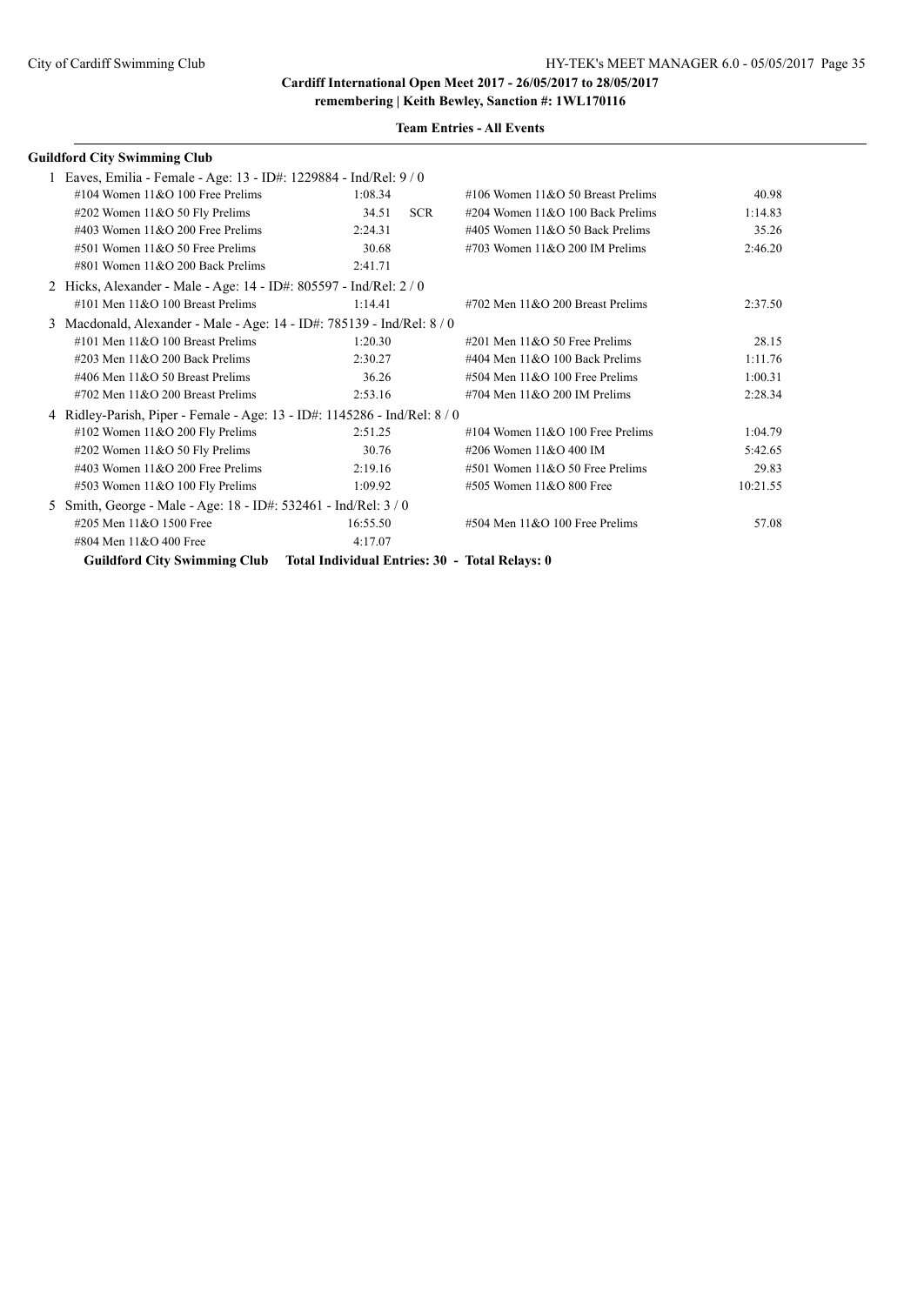**remembering | Keith Bewley, Sanction #: 1WL170116**

|                                                                         | <b>Guildford City Swimming Club</b>                                         |          |                                                  |          |  |
|-------------------------------------------------------------------------|-----------------------------------------------------------------------------|----------|--------------------------------------------------|----------|--|
|                                                                         | 1 Eaves, Emilia - Female - Age: 13 - ID#: 1229884 - Ind/Rel: 9/0            |          |                                                  |          |  |
|                                                                         | #104 Women $11&O$ 100 Free Prelims                                          | 1:08.34  | #106 Women $11&O$ 50 Breast Prelims              | 40.98    |  |
|                                                                         | #202 Women $11&O$ 50 Fly Prelims                                            | 34.51    | <b>SCR</b><br>#204 Women $11&O$ 100 Back Prelims | 1:14.83  |  |
|                                                                         | #403 Women $11&O$ 200 Free Prelims                                          | 2:24.31  | #405 Women $11&O$ 50 Back Prelims                | 35.26    |  |
|                                                                         | #501 Women 11&O 50 Free Prelims                                             | 30.68    | #703 Women $11&O$ 200 IM Prelims                 | 2:46.20  |  |
|                                                                         | #801 Women $11&O$ 200 Back Prelims                                          | 2:41.71  |                                                  |          |  |
|                                                                         | Hicks, Alexander - Male - Age: 14 - ID#: 805597 - Ind/Rel: 2 / 0            |          |                                                  |          |  |
|                                                                         | $\#101$ Men $11\&O$ 100 Breast Prelims                                      | 1:14.41  | $\#702$ Men $11\&O$ 200 Breast Prelims           | 2:37.50  |  |
| 3                                                                       | Macdonald, Alexander - Male - Age: 14 - ID#: 785139 - Ind/Rel: 8 / 0        |          |                                                  |          |  |
|                                                                         | #101 Men $11&O$ 100 Breast Prelims                                          | 1:20.30  | #201 Men $11&050$ Free Prelims                   | 28.15    |  |
|                                                                         | #203 Men $11\&O$ 200 Back Prelims                                           | 2:30.27  | #404 Men $11\&O$ 100 Back Prelims                | 1:11.76  |  |
|                                                                         | #406 Men 11&O 50 Breast Prelims                                             | 36.26    | $#504$ Men $11&O$ 100 Free Prelims               | 1:00.31  |  |
|                                                                         | $\#702$ Men $11\&O$ 200 Breast Prelims                                      | 2:53.16  | #704 Men $11&O$ 200 IM Prelims                   | 2:28.34  |  |
| 4 Ridley-Parish, Piper - Female - Age: 13 - ID#: 1145286 - Ind/Rel: 8/0 |                                                                             |          |                                                  |          |  |
|                                                                         | #102 Women 11&O 200 Fly Prelims                                             | 2:51.25  | #104 Women $11&O$ 100 Free Prelims               | 1:04.79  |  |
|                                                                         | #202 Women $11&O$ 50 Fly Prelims                                            | 30.76    | #206 Women 11&O 400 IM                           | 5:42.65  |  |
|                                                                         | #403 Women $11&O$ 200 Free Prelims                                          | 2:19.16  | $#501$ Women $11&O$ 50 Free Prelims              | 29.83    |  |
|                                                                         | #503 Women 11&O 100 Fly Prelims                                             | 1:09.92  | #505 Women 11&O 800 Free                         | 10:21.55 |  |
| 5                                                                       | Smith, George - Male - Age: 18 - ID#: 532461 - Ind/Rel: 3/0                 |          |                                                  |          |  |
|                                                                         | #205 Men 11&O 1500 Free                                                     | 16:55.50 | $#504$ Men $11&O$ 100 Free Prelims               | 57.08    |  |
|                                                                         | #804 Men 11&O 400 Free                                                      | 4:17.07  |                                                  |          |  |
|                                                                         | Guildford City Swimming Club Total Individual Entries: 30 - Total Relays: 0 |          |                                                  |          |  |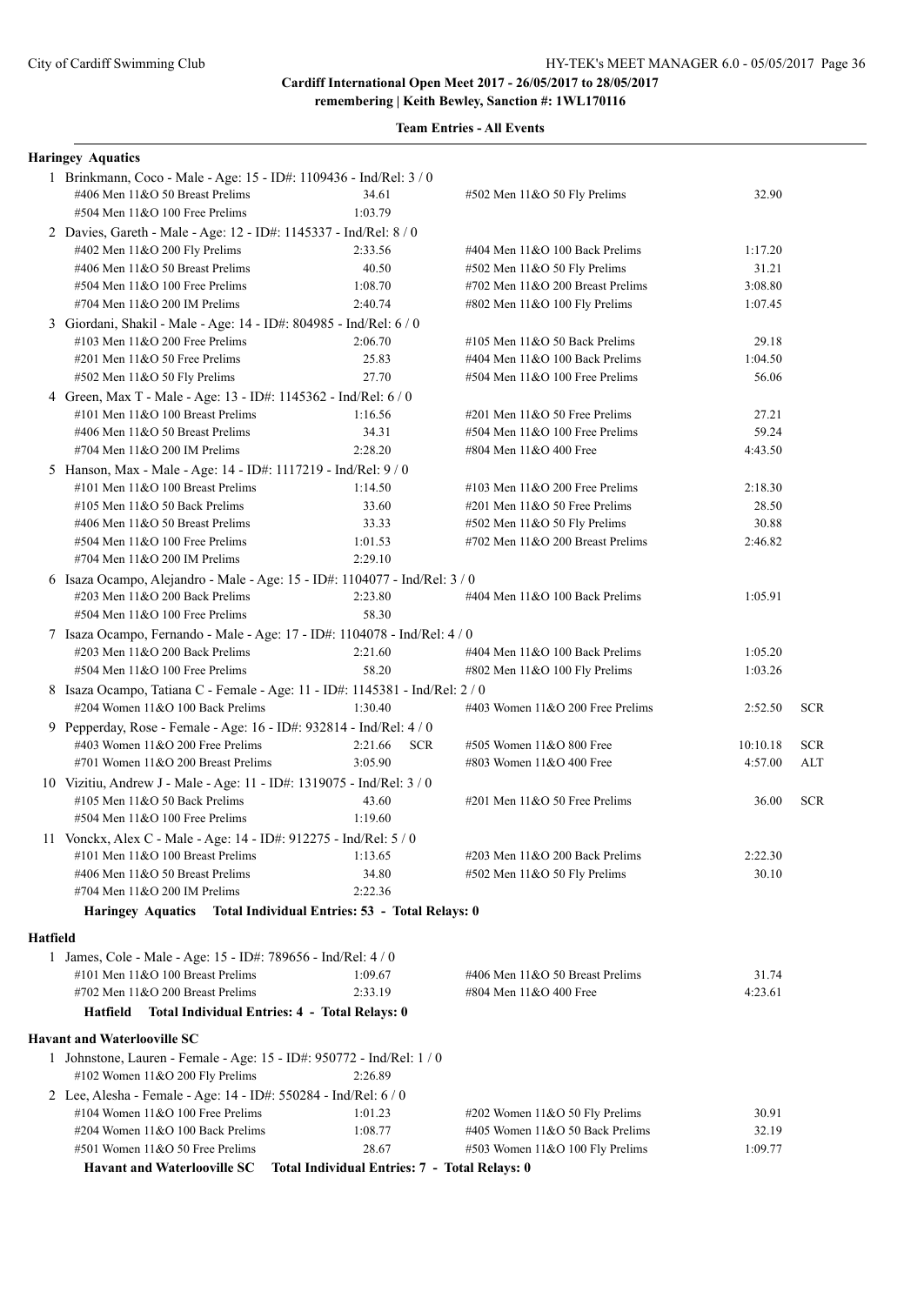**remembering | Keith Bewley, Sanction #: 1WL170116**

|          | <b>Haringey Aquatics</b>                                                                                                                |                                               |                                     |          |            |  |
|----------|-----------------------------------------------------------------------------------------------------------------------------------------|-----------------------------------------------|-------------------------------------|----------|------------|--|
|          | 1 Brinkmann, Coco - Male - Age: 15 - ID#: 1109436 - Ind/Rel: 3 / 0<br>#406 Men 11&O 50 Breast Prelims<br>#504 Men 11&O 100 Free Prelims | 34.61<br>1:03.79                              | #502 Men 11&O 50 Fly Prelims        | 32.90    |            |  |
|          |                                                                                                                                         |                                               |                                     |          |            |  |
|          | 2 Davies, Gareth - Male - Age: 12 - ID#: 1145337 - Ind/Rel: 8 / 0<br>#402 Men 11&O 200 Fly Prelims                                      | 2:33.56                                       | #404 Men $11&O$ 100 Back Prelims    | 1:17.20  |            |  |
|          | #406 Men 11&O 50 Breast Prelims                                                                                                         | 40.50                                         | #502 Men 11&O 50 Fly Prelims        | 31.21    |            |  |
|          | #504 Men 11&O 100 Free Prelims                                                                                                          | 1:08.70                                       | #702 Men 11&O 200 Breast Prelims    | 3:08.80  |            |  |
|          | $\#704$ Men $11\&O$ 200 IM Prelims                                                                                                      | 2:40.74                                       | #802 Men 11&O 100 Fly Prelims       | 1:07.45  |            |  |
|          | 3 Giordani, Shakil - Male - Age: 14 - ID#: 804985 - Ind/Rel: 6 / 0                                                                      |                                               |                                     |          |            |  |
|          | #103 Men $11&O$ 200 Free Prelims                                                                                                        | 2:06.70                                       | #105 Men 11&O 50 Back Prelims       | 29.18    |            |  |
|          | $\#201$ Men $11&O$ 50 Free Prelims                                                                                                      | 25.83                                         | #404 Men 11&O 100 Back Prelims      | 1:04.50  |            |  |
|          | #502 Men 11&O 50 Fly Prelims                                                                                                            | 27.70                                         | #504 Men 11&O 100 Free Prelims      | 56.06    |            |  |
|          | 4 Green, Max T - Male - Age: 13 - ID#: 1145362 - Ind/Rel: 6 / 0                                                                         |                                               |                                     |          |            |  |
|          | #101 Men 11&O 100 Breast Prelims                                                                                                        | 1:16.56                                       | $\#201$ Men $11&O$ 50 Free Prelims  | 27.21    |            |  |
|          | #406 Men 11&O 50 Breast Prelims                                                                                                         | 34.31                                         | #504 Men 11&O 100 Free Prelims      | 59.24    |            |  |
|          | #704 Men $11&O$ 200 IM Prelims                                                                                                          | 2:28.20                                       | #804 Men 11&O 400 Free              | 4:43.50  |            |  |
|          | 5 Hanson, Max - Male - Age: 14 - ID#: 1117219 - Ind/Rel: 9 / 0                                                                          |                                               |                                     |          |            |  |
|          | #101 Men 11&O 100 Breast Prelims                                                                                                        | 1:14.50                                       | #103 Men $11&O$ 200 Free Prelims    | 2:18.30  |            |  |
|          | #105 Men $11&O$ 50 Back Prelims                                                                                                         | 33.60                                         | $\#201$ Men $11&O$ 50 Free Prelims  | 28.50    |            |  |
|          | #406 Men 11&O 50 Breast Prelims                                                                                                         | 33.33                                         | #502 Men 11&O 50 Fly Prelims        | 30.88    |            |  |
|          | #504 Men 11&O 100 Free Prelims                                                                                                          | 1:01.53                                       | #702 Men 11&O 200 Breast Prelims    | 2:46.82  |            |  |
|          | $\#704$ Men $11&O$ 200 IM Prelims                                                                                                       | 2:29.10                                       |                                     |          |            |  |
|          | 6 Isaza Ocampo, Alejandro - Male - Age: 15 - ID#: 1104077 - Ind/Rel: 3 / 0                                                              |                                               |                                     |          |            |  |
|          | #203 Men 11&O 200 Back Prelims                                                                                                          | 2:23.80                                       | $\#404$ Men $11&O$ 100 Back Prelims | 1:05.91  |            |  |
|          | #504 Men 11&O 100 Free Prelims                                                                                                          | 58.30                                         |                                     |          |            |  |
|          | 7 Isaza Ocampo, Fernando - Male - Age: 17 - ID#: 1104078 - Ind/Rel: 4 / 0                                                               |                                               |                                     |          |            |  |
|          | $\#203$ Men $11&O$ 200 Back Prelims                                                                                                     | 2:21.60                                       | #404 Men 11&O 100 Back Prelims      | 1:05.20  |            |  |
|          | #504 Men 11&O 100 Free Prelims                                                                                                          | 58.20                                         | #802 Men 11&O 100 Fly Prelims       | 1:03.26  |            |  |
|          | 8 Isaza Ocampo, Tatiana C - Female - Age: 11 - ID#: 1145381 - Ind/Rel: 2 / 0                                                            |                                               |                                     |          |            |  |
|          | #204 Women $11&O 100$ Back Prelims                                                                                                      | 1:30.40                                       | #403 Women $11&O$ 200 Free Prelims  | 2:52.50  | <b>SCR</b> |  |
|          | 9 Pepperday, Rose - Female - Age: 16 - ID#: 932814 - Ind/Rel: 4 / 0                                                                     |                                               |                                     |          |            |  |
|          | #403 Women $11&O$ 200 Free Prelims                                                                                                      | <b>SCR</b><br>2:21.66                         | #505 Women 11&O 800 Free            | 10:10.18 | <b>SCR</b> |  |
|          | #701 Women 11&O 200 Breast Prelims                                                                                                      | 3:05.90                                       | #803 Women 11&O 400 Free            | 4:57.00  | ALT        |  |
|          | 10 Vizitiu, Andrew J - Male - Age: 11 - ID#: 1319075 - Ind/Rel: 3 / 0                                                                   |                                               |                                     |          |            |  |
|          | #105 Men $11&O$ 50 Back Prelims                                                                                                         | 43.60                                         | #201 Men 11&O 50 Free Prelims       | 36.00    | <b>SCR</b> |  |
|          | $#504$ Men $11&O$ 100 Free Prelims                                                                                                      | 1:19.60                                       |                                     |          |            |  |
|          | 11 Vonckx, Alex C - Male - Age: 14 - ID#: 912275 - Ind/Rel: 5 / 0                                                                       |                                               |                                     |          |            |  |
|          | #101 Men 11&O 100 Breast Prelims                                                                                                        | 1:13.65                                       | #203 Men $11&O$ 200 Back Prelims    | 2:22.30  |            |  |
|          | #406 Men 11&O 50 Breast Prelims                                                                                                         | 34.80                                         | #502 Men 11&O 50 Fly Prelims        | 30.10    |            |  |
|          | #704 Men $11&O$ 200 IM Prelims                                                                                                          | 2:22.36                                       |                                     |          |            |  |
|          | Haringey Aquatics Total Individual Entries: 53 - Total Relays: 0                                                                        |                                               |                                     |          |            |  |
| Hatfield |                                                                                                                                         |                                               |                                     |          |            |  |
|          | 1 James, Cole - Male - Age: 15 - ID#: 789656 - Ind/Rel: 4 / 0                                                                           |                                               |                                     |          |            |  |
|          | #101 Men $11&O$ 100 Breast Prelims                                                                                                      | 1:09.67                                       | #406 Men 11&O 50 Breast Prelims     | 31.74    |            |  |
|          | #702 Men 11&O 200 Breast Prelims                                                                                                        | 2:33.19                                       | #804 Men 11&O 400 Free              | 4:23.61  |            |  |
|          | Hatfield Total Individual Entries: 4 - Total Relays: 0                                                                                  |                                               |                                     |          |            |  |
|          | <b>Havant and Waterlooville SC</b>                                                                                                      |                                               |                                     |          |            |  |
|          | 1 Johnstone, Lauren - Female - Age: 15 - ID#: 950772 - Ind/Rel: 1 / 0                                                                   |                                               |                                     |          |            |  |
|          | #102 Women 11&O 200 Fly Prelims                                                                                                         | 2:26.89                                       |                                     |          |            |  |
|          | 2 Lee, Alesha - Female - Age: 14 - ID#: 550284 - Ind/Rel: 6 / 0                                                                         |                                               |                                     |          |            |  |
|          | #104 Women 11&O 100 Free Prelims                                                                                                        | 1:01.23                                       | $\#202$ Women 11&O 50 Fly Prelims   | 30.91    |            |  |
|          | #204 Women 11&O 100 Back Prelims                                                                                                        | 1:08.77                                       | #405 Women 11&O 50 Back Prelims     | 32.19    |            |  |
|          | #501 Women 11&O 50 Free Prelims                                                                                                         | 28.67                                         | #503 Women 11&O 100 Fly Prelims     | 1:09.77  |            |  |
|          | <b>Havant and Waterlooville SC</b>                                                                                                      | Total Individual Entries: 7 - Total Relays: 0 |                                     |          |            |  |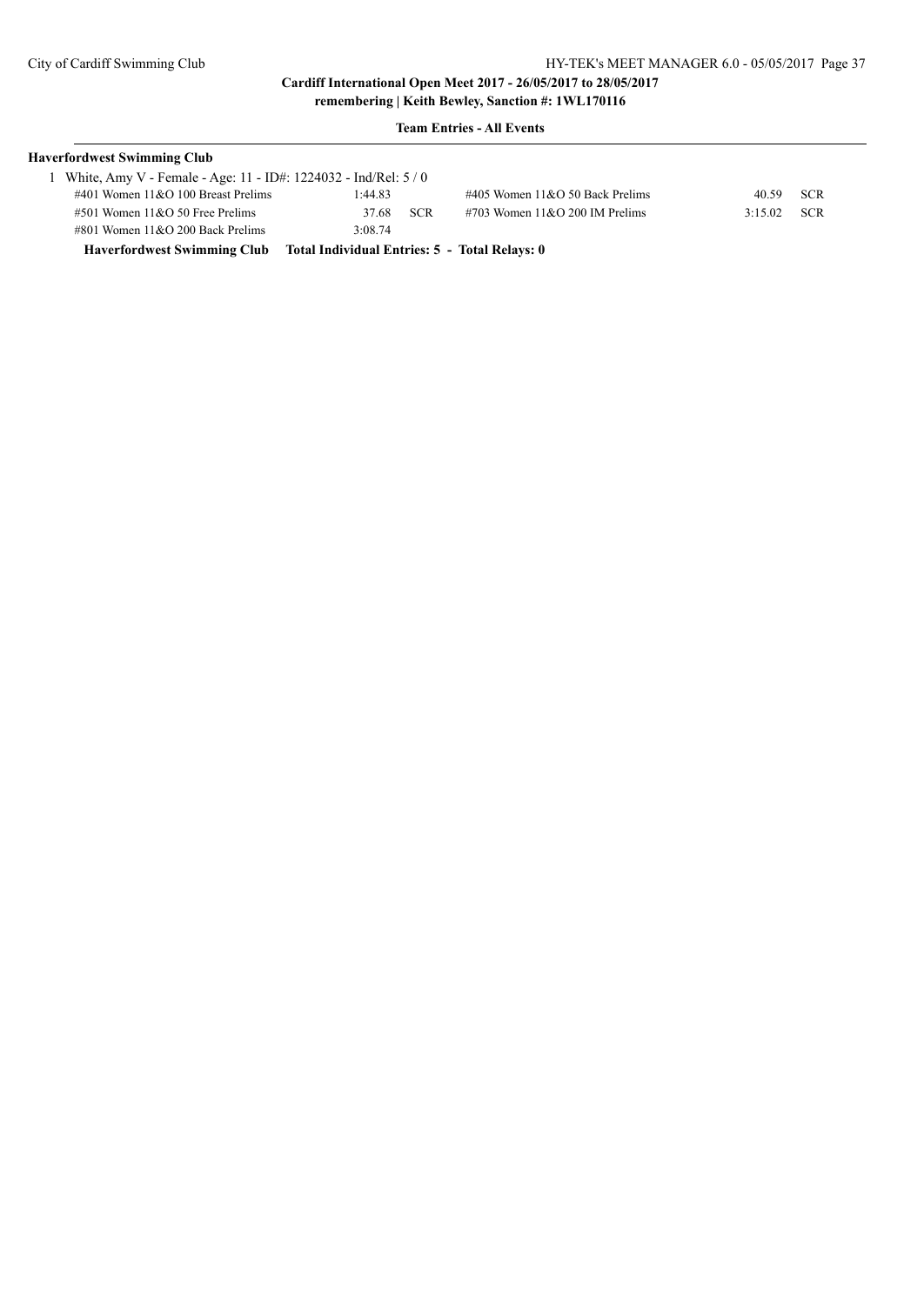| <b>Haverfordwest Swimming Club</b>                                        |         |            |                                    |        |            |
|---------------------------------------------------------------------------|---------|------------|------------------------------------|--------|------------|
| White, Amy V - Female - Age: 11 - ID#: 1224032 - Ind/Rel: 5 / 0           |         |            |                                    |        |            |
| $\#401$ Women $11&O$ 100 Breast Prelims                                   | 1:44.83 |            | $\#405$ Women 11&O 50 Back Prelims | 40.59  | <b>SCR</b> |
| $\#501$ Women $11&O$ 50 Free Prelims                                      | 37.68   | <b>SCR</b> | $\#703$ Women 11&O 200 IM Prelims  | 3.1502 | – SCR      |
| $\#801$ Women $11&O$ 200 Back Prelims                                     | 3:08.74 |            |                                    |        |            |
| Haverfordwest Swimming Club Total Individual Entries: 5 - Total Relays: 0 |         |            |                                    |        |            |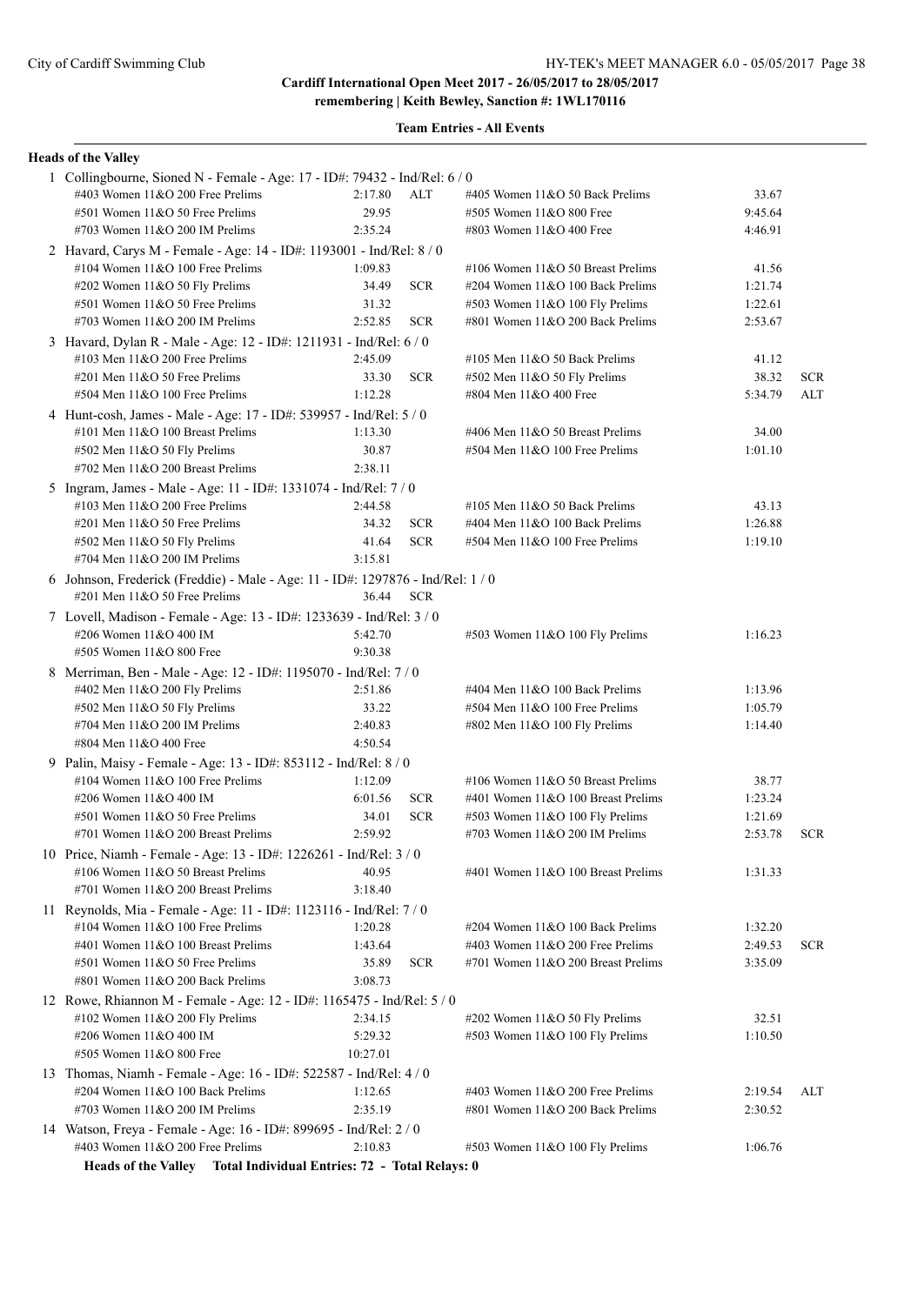**Team Entries - All Events**

#### **Heads of the Valley**

| 1 Collingbourne, Sioned N - Female - Age: 17 - ID#: 79432 - Ind/Rel: 6 / 0      |          |            |                                     |         |            |
|---------------------------------------------------------------------------------|----------|------------|-------------------------------------|---------|------------|
| #403 Women 11&O 200 Free Prelims                                                | 2:17.80  | <b>ALT</b> | #405 Women 11&O 50 Back Prelims     | 33.67   |            |
| #501 Women 11&O 50 Free Prelims                                                 | 29.95    |            | #505 Women 11&O 800 Free            | 9:45.64 |            |
| #703 Women $11&O$ 200 IM Prelims                                                | 2:35.24  |            | #803 Women 11&O 400 Free            | 4:46.91 |            |
| 2 Havard, Carys M - Female - Age: 14 - ID#: 1193001 - Ind/Rel: 8 / 0            |          |            |                                     |         |            |
| #104 Women $11&O 100$ Free Prelims                                              | 1:09.83  |            | #106 Women 11&O 50 Breast Prelims   | 41.56   |            |
| #202 Women $11&O 50$ Fly Prelims                                                | 34.49    | <b>SCR</b> | #204 Women 11&O 100 Back Prelims    | 1:21.74 |            |
| #501 Women 11&O 50 Free Prelims                                                 | 31.32    |            | #503 Women 11&O 100 Fly Prelims     | 1:22.61 |            |
| #703 Women $11&O$ 200 IM Prelims                                                | 2:52.85  | <b>SCR</b> | #801 Women 11&O 200 Back Prelims    | 2:53.67 |            |
| 3 Havard, Dylan R - Male - Age: 12 - ID#: 1211931 - Ind/Rel: 6 / 0              |          |            |                                     |         |            |
| $\#103$ Men $11\&O$ 200 Free Prelims                                            | 2:45.09  |            | #105 Men $11&O$ 50 Back Prelims     | 41.12   |            |
| #201 Men 11&O 50 Free Prelims                                                   | 33.30    | <b>SCR</b> | #502 Men 11&O 50 Fly Prelims        | 38.32   | <b>SCR</b> |
| #504 Men 11&O 100 Free Prelims                                                  | 1:12.28  |            | #804 Men 11&O 400 Free              | 5:34.79 | ALT        |
| 4 Hunt-cosh, James - Male - Age: 17 - ID#: 539957 - Ind/Rel: 5 / 0              |          |            |                                     |         |            |
| #101 Men 11&O 100 Breast Prelims                                                | 1:13.30  |            | #406 Men 11&O 50 Breast Prelims     | 34.00   |            |
| #502 Men 11&O 50 Fly Prelims                                                    | 30.87    |            | #504 Men 11&O 100 Free Prelims      | 1:01.10 |            |
| #702 Men $11&O$ 200 Breast Prelims                                              | 2:38.11  |            |                                     |         |            |
| 5 Ingram, James - Male - Age: 11 - ID#: 1331074 - Ind/Rel: 7 / 0                |          |            |                                     |         |            |
| $\#103$ Men $11&O$ 200 Free Prelims                                             | 2:44.58  |            | #105 Men $11&O$ 50 Back Prelims     | 43.13   |            |
| $\#201$ Men $11&O$ 50 Free Prelims                                              | 34.32    | <b>SCR</b> | #404 Men 11&O 100 Back Prelims      | 1:26.88 |            |
| #502 Men 11&O 50 Fly Prelims                                                    | 41.64    | <b>SCR</b> | #504 Men 11&O 100 Free Prelims      | 1:19.10 |            |
| #704 Men $11&O$ 200 IM Prelims                                                  | 3:15.81  |            |                                     |         |            |
| 6 Johnson, Frederick (Freddie) - Male - Age: 11 - ID#: 1297876 - Ind/Rel: 1 / 0 |          |            |                                     |         |            |
| $\#201$ Men $11&O$ 50 Free Prelims                                              | 36.44    | <b>SCR</b> |                                     |         |            |
| 7 Lovell, Madison - Female - Age: 13 - ID#: 1233639 - Ind/Rel: 3 / 0            |          |            |                                     |         |            |
| #206 Women 11&O 400 IM                                                          | 5:42.70  |            | #503 Women 11&O 100 Fly Prelims     | 1:16.23 |            |
| #505 Women 11&O 800 Free                                                        | 9:30.38  |            |                                     |         |            |
| 8 Merriman, Ben - Male - Age: 12 - ID#: 1195070 - Ind/Rel: 7 / 0                |          |            |                                     |         |            |
| #402 Men 11&O 200 Fly Prelims                                                   | 2:51.86  |            | #404 Men $11&O 100$ Back Prelims    | 1:13.96 |            |
| #502 Men 11&O 50 Fly Prelims                                                    | 33.22    |            | $#504$ Men $11&O$ 100 Free Prelims  | 1:05.79 |            |
| #704 Men 11&O 200 IM Prelims                                                    | 2:40.83  |            | #802 Men 11&O 100 Fly Prelims       | 1:14.40 |            |
| #804 Men 11&O 400 Free                                                          | 4:50.54  |            |                                     |         |            |
| 9 Palin, Maisy - Female - Age: 13 - ID#: 853112 - Ind/Rel: 8 / 0                |          |            |                                     |         |            |
| #104 Women $11&O$ 100 Free Prelims                                              | 1:12.09  |            | #106 Women $11&O$ 50 Breast Prelims | 38.77   |            |
| #206 Women 11&O 400 IM                                                          | 6:01.56  | <b>SCR</b> | #401 Women 11&O 100 Breast Prelims  | 1:23.24 |            |
| #501 Women 11&O 50 Free Prelims                                                 | 34.01    | <b>SCR</b> | #503 Women 11&O 100 Fly Prelims     | 1:21.69 |            |
| #701 Women $11&O$ 200 Breast Prelims                                            | 2:59.92  |            | #703 Women $11&O$ 200 IM Prelims    | 2:53.78 | <b>SCR</b> |
| 10 Price, Niamh - Female - Age: 13 - ID#: 1226261 - Ind/Rel: 3 / 0              |          |            |                                     |         |            |
| #106 Women 11&O 50 Breast Prelims                                               | 40.95    |            | #401 Women 11&O 100 Breast Prelims  | 1:31.33 |            |
| #701 Women 11&O 200 Breast Prelims                                              | 3:18.40  |            |                                     |         |            |
| 11 Reynolds, Mia - Female - Age: 11 - ID#: 1123116 - Ind/Rel: 7 / 0             |          |            |                                     |         |            |
| #104 Women $11&O$ 100 Free Prelims                                              | 1:20.28  |            | #204 Women 11&O 100 Back Prelims    | 1:32.20 |            |
| #401 Women 11&O 100 Breast Prelims                                              | 1:43.64  |            | #403 Women $11&O$ 200 Free Prelims  | 2:49.53 | <b>SCR</b> |
| #501 Women 11&O 50 Free Prelims                                                 | 35.89    | <b>SCR</b> | #701 Women 11&O 200 Breast Prelims  | 3:35.09 |            |
| #801 Women 11&O 200 Back Prelims                                                | 3:08.73  |            |                                     |         |            |
| 12 Rowe, Rhiannon M - Female - Age: 12 - ID#: 1165475 - Ind/Rel: 5 / 0          |          |            |                                     |         |            |
| #102 Women 11&O 200 Fly Prelims                                                 | 2:34.15  |            | #202 Women 11&O 50 Fly Prelims      | 32.51   |            |
| #206 Women 11&O 400 IM                                                          | 5:29.32  |            | #503 Women 11&O 100 Fly Prelims     | 1:10.50 |            |
| #505 Women 11&O 800 Free                                                        | 10:27.01 |            |                                     |         |            |
| 13 Thomas, Niamh - Female - Age: 16 - ID#: 522587 - Ind/Rel: 4 / 0              |          |            |                                     |         |            |
| #204 Women 11&O 100 Back Prelims                                                | 1:12.65  |            | #403 Women 11&O 200 Free Prelims    | 2:19.54 | ALT        |
| #703 Women $11&O$ 200 IM Prelims                                                | 2:35.19  |            | #801 Women 11&O 200 Back Prelims    | 2:30.52 |            |
| 14 Watson, Freya - Female - Age: 16 - ID#: 899695 - Ind/Rel: 2 / 0              |          |            |                                     |         |            |
| #403 Women 11&O 200 Free Prelims                                                | 2:10.83  |            | #503 Women 11&O 100 Fly Prelims     | 1:06.76 |            |
|                                                                                 |          |            |                                     |         |            |

**Heads of the Valley Total Individual Entries: 72 - Total Relays: 0**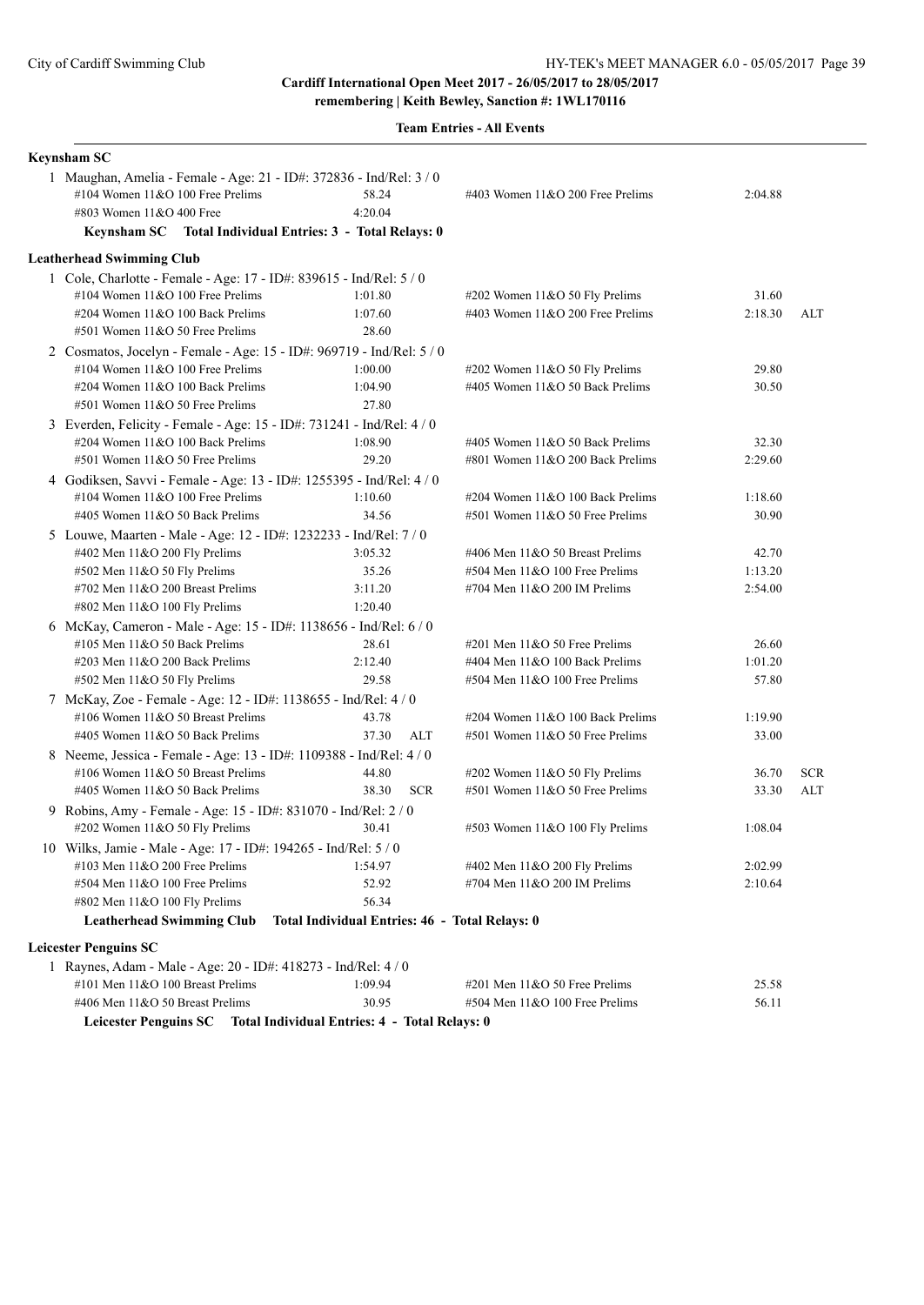**Team Entries - All Events**

| <b>Keynsham SC</b>                                                                                                                                                                               |                                                |                                                                 |                  |            |
|--------------------------------------------------------------------------------------------------------------------------------------------------------------------------------------------------|------------------------------------------------|-----------------------------------------------------------------|------------------|------------|
| 1 Maughan, Amelia - Female - Age: 21 - ID#: 372836 - Ind/Rel: 3 / 0<br>#104 Women 11&O 100 Free Prelims<br>#803 Women 11&O 400 Free<br>Keynsham SC Total Individual Entries: 3 - Total Relays: 0 | 58.24<br>4:20.04                               | #403 Women 11&O 200 Free Prelims                                | 2:04.88          |            |
| <b>Leatherhead Swimming Club</b>                                                                                                                                                                 |                                                |                                                                 |                  |            |
| 1 Cole, Charlotte - Female - Age: 17 - ID#: 839615 - Ind/Rel: 5 / 0                                                                                                                              |                                                |                                                                 |                  |            |
| #104 Women $11&O 100$ Free Prelims                                                                                                                                                               | 1:01.80                                        | $\#202$ Women 11&O 50 Fly Prelims                               | 31.60            |            |
| #204 Women 11&O 100 Back Prelims                                                                                                                                                                 | 1:07.60                                        | #403 Women 11&O 200 Free Prelims                                | 2:18.30          | ALT        |
| #501 Women 11&O 50 Free Prelims                                                                                                                                                                  | 28.60                                          |                                                                 |                  |            |
| 2 Cosmatos, Jocelyn - Female - Age: 15 - ID#: 969719 - Ind/Rel: 5 / 0                                                                                                                            |                                                |                                                                 |                  |            |
| #104 Women $11&O$ 100 Free Prelims                                                                                                                                                               | 1:00.00                                        | #202 Women 11&O 50 Fly Prelims                                  | 29.80            |            |
| #204 Women 11&O 100 Back Prelims                                                                                                                                                                 | 1:04.90                                        | #405 Women 11&O 50 Back Prelims                                 | 30.50            |            |
| #501 Women 11&O 50 Free Prelims                                                                                                                                                                  | 27.80                                          |                                                                 |                  |            |
| 3 Everden, Felicity - Female - Age: 15 - ID#: 731241 - Ind/Rel: 4 / 0                                                                                                                            |                                                |                                                                 |                  |            |
| #204 Women 11&O 100 Back Prelims                                                                                                                                                                 | 1:08.90                                        | #405 Women 11&O 50 Back Prelims                                 | 32.30            |            |
| #501 Women 11&O 50 Free Prelims                                                                                                                                                                  | 29.20                                          | #801 Women 11&O 200 Back Prelims                                | 2:29.60          |            |
| 4 Godiksen, Savvi - Female - Age: 13 - ID#: 1255395 - Ind/Rel: 4 / 0                                                                                                                             |                                                |                                                                 |                  |            |
| #104 Women $11&O 100$ Free Prelims                                                                                                                                                               | 1:10.60                                        | #204 Women 11&O 100 Back Prelims                                | 1:18.60          |            |
| #405 Women 11&O 50 Back Prelims                                                                                                                                                                  | 34.56                                          | #501 Women 11&O 50 Free Prelims                                 | 30.90            |            |
| 5 Louwe, Maarten - Male - Age: 12 - ID#: 1232233 - Ind/Rel: 7 / 0                                                                                                                                |                                                |                                                                 |                  |            |
| #402 Men 11&O 200 Fly Prelims                                                                                                                                                                    | 3:05.32                                        | #406 Men 11&O 50 Breast Prelims                                 | 42.70            |            |
| #502 Men 11&O 50 Fly Prelims                                                                                                                                                                     | 35.26                                          | #504 Men 11&O 100 Free Prelims                                  | 1:13.20          |            |
| #702 Men 11&O 200 Breast Prelims                                                                                                                                                                 | 3:11.20                                        | #704 Men 11&O 200 IM Prelims                                    | 2:54.00          |            |
| #802 Men 11&O 100 Fly Prelims                                                                                                                                                                    | 1:20.40                                        |                                                                 |                  |            |
| 6 McKay, Cameron - Male - Age: 15 - ID#: 1138656 - Ind/Rel: 6 / 0                                                                                                                                |                                                |                                                                 |                  |            |
| #105 Men 11&O 50 Back Prelims                                                                                                                                                                    | 28.61<br>2:12.40                               | #201 Men 11&O 50 Free Prelims<br>#404 Men 11&O 100 Back Prelims | 26.60<br>1:01.20 |            |
| #203 Men $11&O$ 200 Back Prelims                                                                                                                                                                 | 29.58                                          | #504 Men 11&O 100 Free Prelims                                  | 57.80            |            |
| $#502$ Men 11&O 50 Fly Prelims                                                                                                                                                                   |                                                |                                                                 |                  |            |
| 7 McKay, Zoe - Female - Age: 12 - ID#: 1138655 - Ind/Rel: 4 / 0<br>#106 Women 11&O 50 Breast Prelims                                                                                             | 43.78                                          | #204 Women 11&O 100 Back Prelims                                | 1:19.90          |            |
| #405 Women 11&O 50 Back Prelims                                                                                                                                                                  | 37.30<br><b>ALT</b>                            | #501 Women 11&O 50 Free Prelims                                 | 33.00            |            |
| 8 Neeme, Jessica - Female - Age: 13 - ID#: 1109388 - Ind/Rel: 4 / 0                                                                                                                              |                                                |                                                                 |                  |            |
| #106 Women 11&O 50 Breast Prelims                                                                                                                                                                | 44.80                                          | #202 Women 11&O 50 Fly Prelims                                  | 36.70            | <b>SCR</b> |
| #405 Women 11&O 50 Back Prelims                                                                                                                                                                  | 38.30<br><b>SCR</b>                            | #501 Women 11&O 50 Free Prelims                                 | 33.30            | <b>ALT</b> |
| 9 Robins, Amy - Female - Age: 15 - ID#: 831070 - Ind/Rel: 2 / 0                                                                                                                                  |                                                |                                                                 |                  |            |
| #202 Women 11&O 50 Fly Prelims                                                                                                                                                                   | 30.41                                          | #503 Women 11&O 100 Fly Prelims                                 | 1:08.04          |            |
| 10 Wilks, Jamie - Male - Age: 17 - ID#: 194265 - Ind/Rel: 5 / 0                                                                                                                                  |                                                |                                                                 |                  |            |
| #103 Men $11&O$ 200 Free Prelims                                                                                                                                                                 | 1:54.97                                        | #402 Men 11&O 200 Fly Prelims                                   | 2:02.99          |            |
| #504 Men 11&O 100 Free Prelims                                                                                                                                                                   | 52.92                                          | #704 Men 11&O 200 IM Prelims                                    | 2:10.64          |            |
| #802 Men 11&O 100 Fly Prelims                                                                                                                                                                    | 56.34                                          |                                                                 |                  |            |
| <b>Leatherhead Swimming Club</b>                                                                                                                                                                 | Total Individual Entries: 46 - Total Relays: 0 |                                                                 |                  |            |
| <b>Leicester Penguins SC</b>                                                                                                                                                                     |                                                |                                                                 |                  |            |
| 1 Raynes, Adam - Male - Age: 20 - ID#: 418273 - Ind/Rel: 4 / 0                                                                                                                                   |                                                |                                                                 |                  |            |
| #101 Men 11&O 100 Breast Prelims                                                                                                                                                                 | 1:09.94                                        | #201 Men 11&O 50 Free Prelims                                   | 25.58            |            |
| #406 Men 11&O 50 Breast Prelims                                                                                                                                                                  | 30.95                                          | #504 Men 11&O 100 Free Prelims                                  | 56.11            |            |
|                                                                                                                                                                                                  |                                                |                                                                 |                  |            |

**Leicester Penguins SC Total Individual Entries: 4 - Total Relays: 0**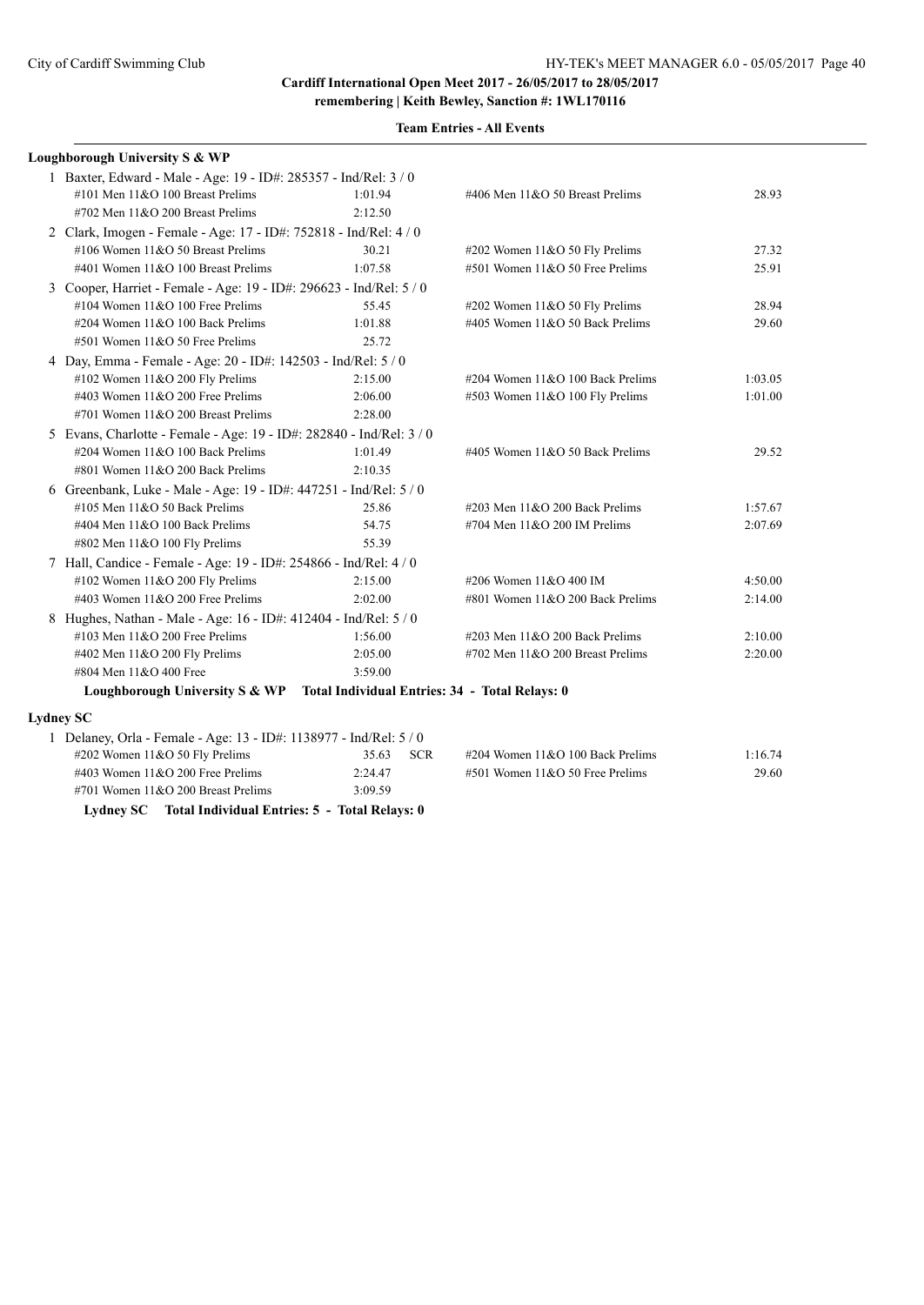| Loughborough University S & WP                                                |                     |                                  |         |  |  |  |  |  |
|-------------------------------------------------------------------------------|---------------------|----------------------------------|---------|--|--|--|--|--|
| 1 Baxter, Edward - Male - Age: 19 - ID#: 285357 - Ind/Rel: 3 / 0              |                     |                                  |         |  |  |  |  |  |
| #101 Men 11&O 100 Breast Prelims                                              | 1:01.94             | #406 Men 11&O 50 Breast Prelims  | 28.93   |  |  |  |  |  |
| #702 Men 11&O 200 Breast Prelims                                              | 2:12.50             |                                  |         |  |  |  |  |  |
| 2 Clark, Imogen - Female - Age: 17 - ID#: 752818 - Ind/Rel: 4 / 0             |                     |                                  |         |  |  |  |  |  |
| #106 Women 11&O 50 Breast Prelims                                             | 30.21               | #202 Women 11&O 50 Fly Prelims   | 27.32   |  |  |  |  |  |
| #401 Women 11&O 100 Breast Prelims                                            | 1:07.58             | #501 Women 11&O 50 Free Prelims  | 25.91   |  |  |  |  |  |
| 3 Cooper, Harriet - Female - Age: 19 - ID#: 296623 - Ind/Rel: 5 / 0           |                     |                                  |         |  |  |  |  |  |
| #104 Women 11&O 100 Free Prelims                                              | 55.45               | #202 Women 11&O 50 Fly Prelims   | 28.94   |  |  |  |  |  |
| #204 Women 11&O 100 Back Prelims                                              | 1:01.88             | #405 Women 11&O 50 Back Prelims  | 29.60   |  |  |  |  |  |
| #501 Women 11&O 50 Free Prelims                                               | 25.72               |                                  |         |  |  |  |  |  |
| 4 Day, Emma - Female - Age: 20 - ID#: 142503 - Ind/Rel: 5 / 0                 |                     |                                  |         |  |  |  |  |  |
| #102 Women 11&O 200 Fly Prelims                                               | 2:15.00             | #204 Women 11&O 100 Back Prelims | 1:03.05 |  |  |  |  |  |
| #403 Women $11&O$ 200 Free Prelims                                            | 2:06.00             | #503 Women 11&O 100 Fly Prelims  | 1:01.00 |  |  |  |  |  |
| #701 Women $11&O$ 200 Breast Prelims                                          | 2:28.00             |                                  |         |  |  |  |  |  |
| 5 Evans, Charlotte - Female - Age: 19 - ID#: 282840 - Ind/Rel: 3 / 0          |                     |                                  |         |  |  |  |  |  |
| #204 Women 11&O 100 Back Prelims                                              | 1:01.49             | #405 Women 11&O 50 Back Prelims  | 29.52   |  |  |  |  |  |
| #801 Women 11&O 200 Back Prelims                                              | 2:10.35             |                                  |         |  |  |  |  |  |
| 6 Greenbank, Luke - Male - Age: 19 - ID#: 447251 - Ind/Rel: 5 / 0             |                     |                                  |         |  |  |  |  |  |
| #105 Men 11&O 50 Back Prelims                                                 | 25.86               | #203 Men 11&O 200 Back Prelims   | 1:57.67 |  |  |  |  |  |
| #404 Men 11&O 100 Back Prelims                                                | 54.75               | #704 Men 11&O 200 IM Prelims     | 2:07.69 |  |  |  |  |  |
| #802 Men 11&O 100 Fly Prelims                                                 | 55.39               |                                  |         |  |  |  |  |  |
| 7 Hall, Candice - Female - Age: 19 - ID#: 254866 - Ind/Rel: 4 / 0             |                     |                                  |         |  |  |  |  |  |
| #102 Women 11&O 200 Fly Prelims                                               | 2:15.00             | #206 Women 11&O 400 IM           | 4:50.00 |  |  |  |  |  |
| #403 Women $11&O$ 200 Free Prelims                                            | 2:02.00             | #801 Women 11&O 200 Back Prelims | 2:14.00 |  |  |  |  |  |
| 8 Hughes, Nathan - Male - Age: 16 - ID#: 412404 - Ind/Rel: 5 / 0              |                     |                                  |         |  |  |  |  |  |
| #103 Men $11&O$ 200 Free Prelims                                              | 1:56.00             | #203 Men 11&O 200 Back Prelims   | 2:10.00 |  |  |  |  |  |
| #402 Men 11&O 200 Fly Prelims                                                 | 2:05.00             | #702 Men 11&O 200 Breast Prelims | 2:20.00 |  |  |  |  |  |
| #804 Men 11&O 400 Free                                                        | 3:59.00             |                                  |         |  |  |  |  |  |
| Loughborough University S & WP Total Individual Entries: 34 - Total Relays: 0 |                     |                                  |         |  |  |  |  |  |
| <b>Lydney SC</b>                                                              |                     |                                  |         |  |  |  |  |  |
| 1 Delaney, Orla - Female - Age: 13 - ID#: 1138977 - Ind/Rel: 5 / 0            |                     |                                  |         |  |  |  |  |  |
| #202 Women 11&O 50 Fly Prelims                                                | <b>SCR</b><br>35.63 | #204 Women 11&O 100 Back Prelims | 1:16.74 |  |  |  |  |  |
| #403 Women 11&O 200 Free Prelims                                              | 2:24.47             | #501 Women 11&O 50 Free Prelims  | 29.60   |  |  |  |  |  |

#701 Women 11&O 200 Breast Prelims 3:09.59 **Lydney SC Total Individual Entries: 5 - Total Relays: 0**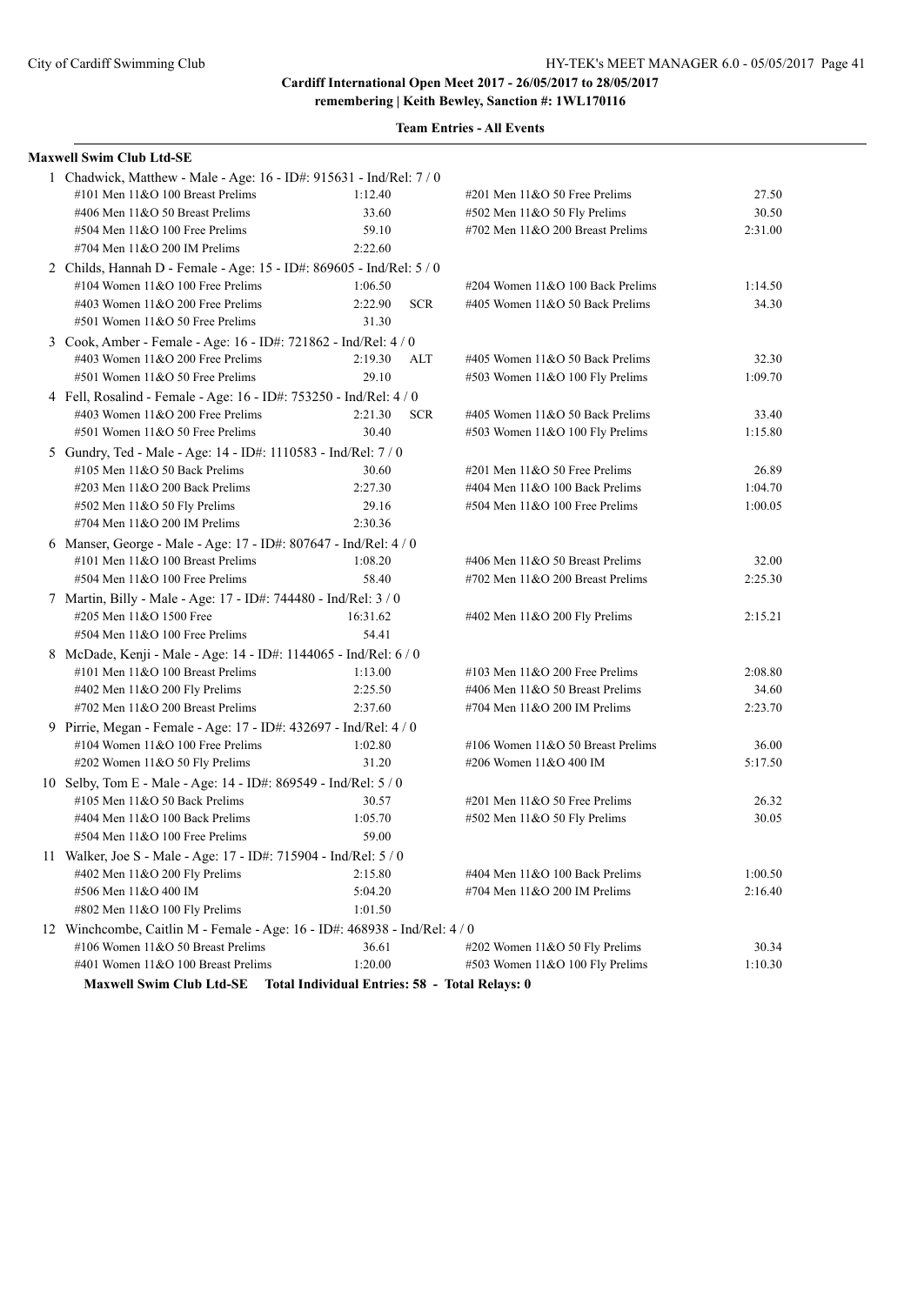**remembering | Keith Bewley, Sanction #: 1WL170116**

| <b>Maxwell Swim Club Ltd-SE</b>                                            |                                                |                                    |         |
|----------------------------------------------------------------------------|------------------------------------------------|------------------------------------|---------|
| 1 Chadwick, Matthew - Male - Age: 16 - ID#: 915631 - Ind/Rel: 7 / 0        |                                                |                                    |         |
| #101 Men 11&O 100 Breast Prelims                                           | 1:12.40                                        | #201 Men 11&O 50 Free Prelims      | 27.50   |
| #406 Men 11&O 50 Breast Prelims                                            | 33.60                                          | #502 Men 11&O 50 Fly Prelims       | 30.50   |
| #504 Men 11&O 100 Free Prelims                                             | 59.10                                          | #702 Men 11&O 200 Breast Prelims   | 2:31.00 |
| #704 Men 11&O 200 IM Prelims                                               | 2:22.60                                        |                                    |         |
| 2 Childs, Hannah D - Female - Age: 15 - ID#: 869605 - Ind/Rel: 5 / 0       |                                                |                                    |         |
| #104 Women 11&O 100 Free Prelims                                           | 1:06.50                                        | #204 Women 11&O 100 Back Prelims   | 1:14.50 |
| #403 Women 11&O 200 Free Prelims                                           | 2:22.90<br><b>SCR</b>                          | #405 Women $11&O$ 50 Back Prelims  | 34.30   |
| #501 Women 11&O 50 Free Prelims                                            | 31.30                                          |                                    |         |
| 3 Cook, Amber - Female - Age: 16 - ID#: 721862 - Ind/Rel: 4 / 0            |                                                |                                    |         |
| #403 Women $11&O$ 200 Free Prelims                                         | 2:19.30<br>ALT                                 | #405 Women $11&O$ 50 Back Prelims  | 32.30   |
| #501 Women 11&O 50 Free Prelims                                            | 29.10                                          | #503 Women 11&O 100 Fly Prelims    | 1:09.70 |
| 4 Fell, Rosalind - Female - Age: 16 - ID#: 753250 - Ind/Rel: 4 / 0         |                                                |                                    |         |
| #403 Women 11&O 200 Free Prelims                                           | 2:21.30<br><b>SCR</b>                          | #405 Women $11&O$ 50 Back Prelims  | 33.40   |
| #501 Women 11&O 50 Free Prelims                                            | 30.40                                          | #503 Women 11&O 100 Fly Prelims    | 1:15.80 |
| 5 Gundry, Ted - Male - Age: 14 - ID#: 1110583 - Ind/Rel: 7 / 0             |                                                |                                    |         |
| #105 Men 11&O 50 Back Prelims                                              | 30.60                                          | #201 Men $11&050$ Free Prelims     | 26.89   |
| #203 Men 11&O 200 Back Prelims                                             | 2:27.30                                        | #404 Men 11&O 100 Back Prelims     | 1:04.70 |
| #502 Men 11&O 50 Fly Prelims                                               | 29.16                                          | $#504$ Men $11&O$ 100 Free Prelims | 1:00.05 |
| #704 Men 11&O 200 IM Prelims                                               | 2:30.36                                        |                                    |         |
| 6 Manser, George - Male - Age: 17 - ID#: 807647 - Ind/Rel: 4 / 0           |                                                |                                    |         |
| #101 Men $11&O$ 100 Breast Prelims                                         | 1:08.20                                        | #406 Men 11&O 50 Breast Prelims    | 32.00   |
| #504 Men 11&O 100 Free Prelims                                             | 58.40                                          | #702 Men 11&O 200 Breast Prelims   | 2:25.30 |
| 7 Martin, Billy - Male - Age: 17 - ID#: 744480 - Ind/Rel: 3 / 0            |                                                |                                    |         |
| #205 Men 11&O 1500 Free                                                    | 16:31.62                                       | #402 Men 11&O 200 Fly Prelims      | 2:15.21 |
| #504 Men 11&O 100 Free Prelims                                             | 54.41                                          |                                    |         |
| 8 McDade, Kenji - Male - Age: 14 - ID#: 1144065 - Ind/Rel: 6 / 0           |                                                |                                    |         |
| #101 Men $11&O$ 100 Breast Prelims                                         | 1:13.00                                        | #103 Men $11&O$ 200 Free Prelims   | 2:08.80 |
| #402 Men 11&O 200 Fly Prelims                                              | 2:25.50                                        | #406 Men 11&O 50 Breast Prelims    | 34.60   |
| #702 Men 11&O 200 Breast Prelims                                           | 2:37.60                                        | #704 Men 11&O 200 IM Prelims       | 2:23.70 |
| 9 Pirrie, Megan - Female - Age: 17 - ID#: 432697 - Ind/Rel: 4 / 0          |                                                |                                    |         |
| #104 Women $11&O$ 100 Free Prelims                                         | 1:02.80                                        | #106 Women 11&O 50 Breast Prelims  | 36.00   |
| #202 Women 11&O 50 Fly Prelims                                             | 31.20                                          | #206 Women 11&O 400 IM             | 5:17.50 |
| 10 Selby, Tom E - Male - Age: 14 - ID#: 869549 - Ind/Rel: 5 / 0            |                                                |                                    |         |
| #105 Men $11&O$ 50 Back Prelims                                            | 30.57                                          | #201 Men $11&050$ Free Prelims     | 26.32   |
| #404 Men 11&O 100 Back Prelims                                             | 1:05.70                                        | #502 Men 11&O 50 Fly Prelims       | 30.05   |
| #504 Men 11&O 100 Free Prelims                                             | 59.00                                          |                                    |         |
| 11 Walker, Joe S - Male - Age: 17 - ID#: 715904 - Ind/Rel: 5 / 0           |                                                |                                    |         |
| #402 Men 11&O 200 Fly Prelims                                              | 2:15.80                                        | #404 Men 11&O 100 Back Prelims     | 1:00.50 |
| #506 Men 11&O 400 IM                                                       | 5:04.20                                        | #704 Men 11&O 200 IM Prelims       | 2:16.40 |
| #802 Men 11&O 100 Fly Prelims                                              | 1:01.50                                        |                                    |         |
| 12 Winchcombe, Caitlin M - Female - Age: 16 - ID#: 468938 - Ind/Rel: 4 / 0 |                                                |                                    |         |
| #106 Women 11&O 50 Breast Prelims                                          | 36.61                                          | #202 Women 11&O 50 Fly Prelims     | 30.34   |
| #401 Women 11&O 100 Breast Prelims                                         | 1:20.00                                        | #503 Women 11&O 100 Fly Prelims    | 1:10.30 |
| <b>Maxwell Swim Club Ltd-SE</b>                                            | Total Individual Entries: 58 - Total Relays: 0 |                                    |         |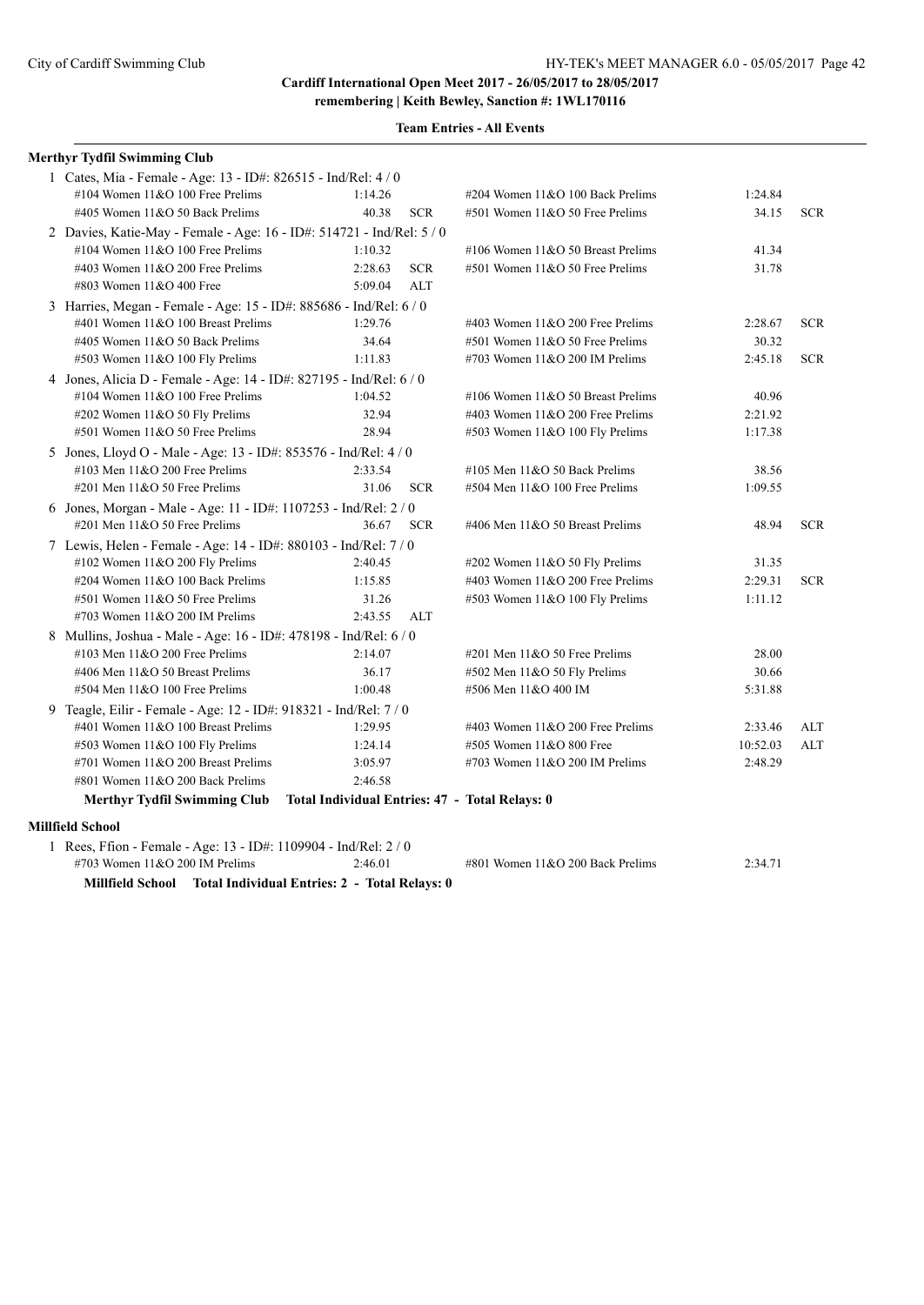| <b>Merthyr Tydfil Swimming Club</b>                                         |         |            |                                     |          |            |  |  |  |  |
|-----------------------------------------------------------------------------|---------|------------|-------------------------------------|----------|------------|--|--|--|--|
| 1 Cates, Mia - Female - Age: 13 - ID#: 826515 - Ind/Rel: 4/0                |         |            |                                     |          |            |  |  |  |  |
| #104 Women 11&O 100 Free Prelims                                            | 1:14.26 |            | #204 Women 11&O 100 Back Prelims    | 1:24.84  |            |  |  |  |  |
| #405 Women 11&O 50 Back Prelims                                             | 40.38   | <b>SCR</b> | #501 Women 11&O 50 Free Prelims     | 34.15    | <b>SCR</b> |  |  |  |  |
| 2 Davies, Katie-May - Female - Age: 16 - ID#: 514721 - Ind/Rel: 5 / 0       |         |            |                                     |          |            |  |  |  |  |
| #104 Women 11&O 100 Free Prelims                                            | 1:10.32 |            | #106 Women 11&O 50 Breast Prelims   | 41.34    |            |  |  |  |  |
| #403 Women $11&O$ 200 Free Prelims                                          | 2:28.63 | <b>SCR</b> | #501 Women 11&O 50 Free Prelims     | 31.78    |            |  |  |  |  |
| #803 Women 11&O 400 Free                                                    | 5:09.04 | <b>ALT</b> |                                     |          |            |  |  |  |  |
| 3 Harries, Megan - Female - Age: 15 - ID#: 885686 - Ind/Rel: 6 / 0          |         |            |                                     |          |            |  |  |  |  |
| #401 Women 11&O 100 Breast Prelims                                          | 1:29.76 |            | #403 Women $11&O$ 200 Free Prelims  | 2:28.67  | <b>SCR</b> |  |  |  |  |
| #405 Women 11&O 50 Back Prelims                                             | 34.64   |            | #501 Women 11&O 50 Free Prelims     | 30.32    |            |  |  |  |  |
| #503 Women 11&O 100 Fly Prelims                                             | 1:11.83 |            | #703 Women $11&O$ 200 IM Prelims    | 2:45.18  | <b>SCR</b> |  |  |  |  |
| 4 Jones, Alicia D - Female - Age: 14 - ID#: 827195 - Ind/Rel: 6 / 0         |         |            |                                     |          |            |  |  |  |  |
| #104 Women 11&O 100 Free Prelims                                            | 1:04.52 |            | #106 Women $11&O 50$ Breast Prelims | 40.96    |            |  |  |  |  |
| #202 Women 11&O 50 Fly Prelims                                              | 32.94   |            | #403 Women $11&O$ 200 Free Prelims  | 2:21.92  |            |  |  |  |  |
| #501 Women 11&O 50 Free Prelims                                             | 28.94   |            | #503 Women 11&O 100 Fly Prelims     | 1:17.38  |            |  |  |  |  |
| 5 Jones, Lloyd O - Male - Age: 13 - ID#: 853576 - Ind/Rel: 4 / 0            |         |            |                                     |          |            |  |  |  |  |
| #103 Men 11&O 200 Free Prelims                                              | 2:33.54 |            | #105 Men $11&O$ 50 Back Prelims     | 38.56    |            |  |  |  |  |
| #201 Men 11&O 50 Free Prelims                                               | 31.06   | <b>SCR</b> | #504 Men 11&O 100 Free Prelims      | 1:09.55  |            |  |  |  |  |
| 6 Jones, Morgan - Male - Age: 11 - ID#: 1107253 - Ind/Rel: 2 / 0            |         |            |                                     |          |            |  |  |  |  |
| #201 Men 11&O 50 Free Prelims                                               | 36.67   | <b>SCR</b> | #406 Men 11&O 50 Breast Prelims     | 48.94    | <b>SCR</b> |  |  |  |  |
| 7 Lewis, Helen - Female - Age: 14 - ID#: 880103 - Ind/Rel: 7 / 0            |         |            |                                     |          |            |  |  |  |  |
| #102 Women 11&O 200 Fly Prelims                                             | 2:40.45 |            | #202 Women $11&050$ Fly Prelims     | 31.35    |            |  |  |  |  |
| #204 Women 11&O 100 Back Prelims                                            | 1:15.85 |            | #403 Women $11&O$ 200 Free Prelims  | 2:29.31  | <b>SCR</b> |  |  |  |  |
| #501 Women 11&O 50 Free Prelims                                             | 31.26   |            | #503 Women 11&O 100 Fly Prelims     | 1:11.12  |            |  |  |  |  |
| #703 Women $11&O$ 200 IM Prelims                                            | 2:43.55 | ALT        |                                     |          |            |  |  |  |  |
| 8 Mullins, Joshua - Male - Age: 16 - ID#: 478198 - Ind/Rel: 6 / 0           |         |            |                                     |          |            |  |  |  |  |
| #103 Men 11&O 200 Free Prelims                                              | 2:14.07 |            | $\#201$ Men $11&O$ 50 Free Prelims  | 28.00    |            |  |  |  |  |
| #406 Men 11&O 50 Breast Prelims                                             | 36.17   |            | #502 Men 11&O 50 Fly Prelims        | 30.66    |            |  |  |  |  |
| #504 Men 11&O 100 Free Prelims                                              | 1:00.48 |            | #506 Men 11&O 400 IM                | 5:31.88  |            |  |  |  |  |
| 9 Teagle, Eilir - Female - Age: 12 - ID#: 918321 - Ind/Rel: 7 / 0           |         |            |                                     |          |            |  |  |  |  |
| #401 Women 11&O 100 Breast Prelims                                          | 1:29.95 |            | #403 Women $11&O$ 200 Free Prelims  | 2:33.46  | ALT        |  |  |  |  |
| #503 Women $11&O 100$ Fly Prelims                                           | 1:24.14 |            | #505 Women 11&O 800 Free            | 10:52.03 | ALT        |  |  |  |  |
| #701 Women 11&O 200 Breast Prelims                                          | 3:05.97 |            | #703 Women $11&O$ 200 IM Prelims    | 2:48.29  |            |  |  |  |  |
| #801 Women $11&O$ 200 Back Prelims                                          | 2:46.58 |            |                                     |          |            |  |  |  |  |
| Merthyr Tydfil Swimming Club Total Individual Entries: 47 - Total Relays: 0 |         |            |                                     |          |            |  |  |  |  |
| <b>Millfield School</b>                                                     |         |            |                                     |          |            |  |  |  |  |
| 1 Rees, Ffion - Female - Age: 13 - ID#: 1109904 - Ind/Rel: 2 / 0            |         |            |                                     |          |            |  |  |  |  |
| #703 Women 11&O 200 IM Prelims                                              | 2:46.01 |            | #801 Women 11&O 200 Back Prelims    | 2:34.71  |            |  |  |  |  |
| Millfield School Total Individual Entries: 2 - Total Relays: 0              |         |            |                                     |          |            |  |  |  |  |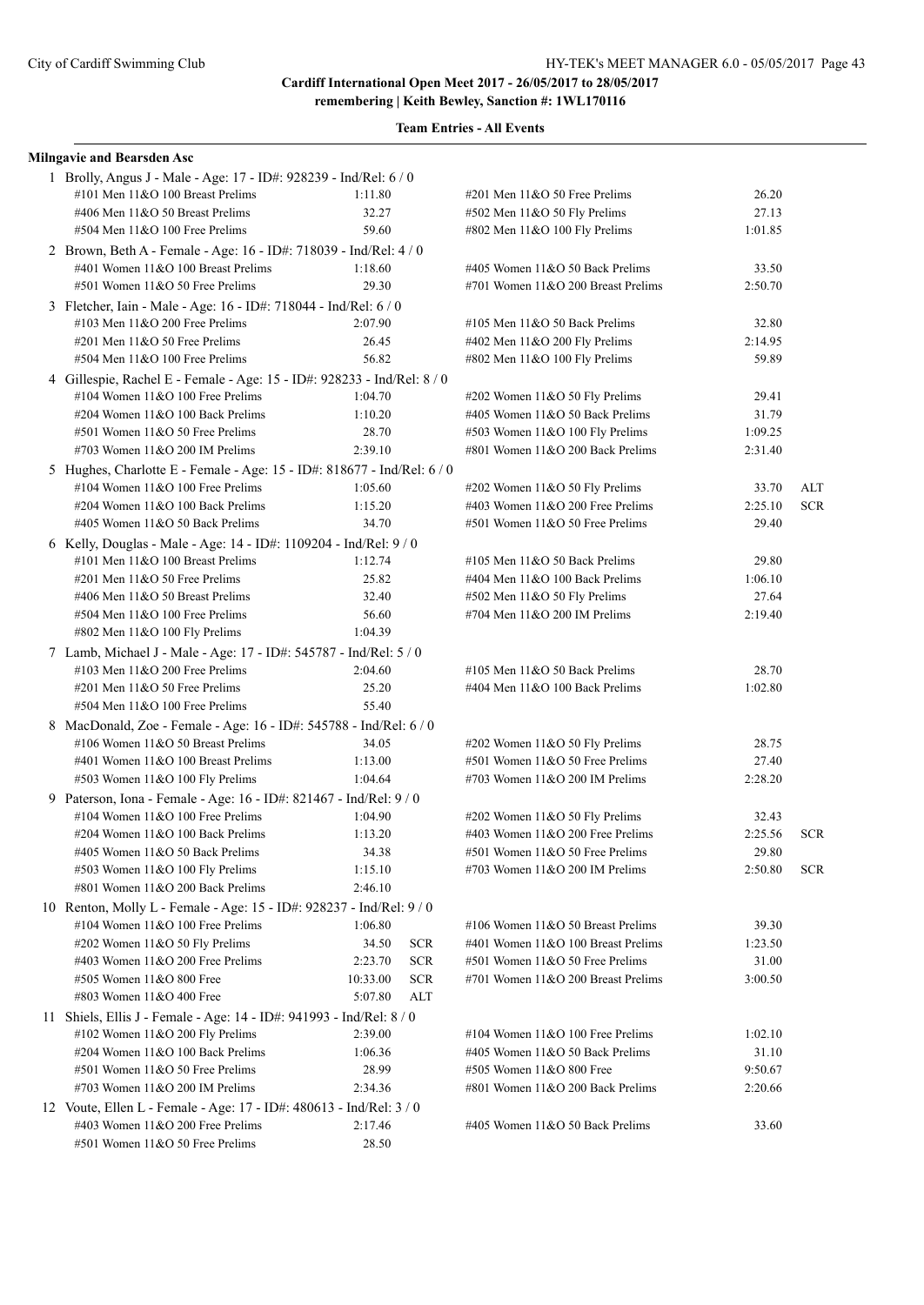| <b>Milngavie and Bearsden Asc</b>                                       |          |            |                                    |         |            |
|-------------------------------------------------------------------------|----------|------------|------------------------------------|---------|------------|
| 1 Brolly, Angus J - Male - Age: 17 - ID#: 928239 - Ind/Rel: 6 / 0       |          |            |                                    |         |            |
| #101 Men 11&O 100 Breast Prelims                                        | 1:11.80  |            | #201 Men 11&O 50 Free Prelims      | 26.20   |            |
| #406 Men 11&O 50 Breast Prelims                                         | 32.27    |            | #502 Men 11&O 50 Fly Prelims       | 27.13   |            |
| #504 Men 11&O 100 Free Prelims                                          | 59.60    |            | #802 Men 11&O 100 Fly Prelims      | 1:01.85 |            |
| 2 Brown, Beth A - Female - Age: 16 - ID#: 718039 - Ind/Rel: 4 / 0       |          |            |                                    |         |            |
| #401 Women 11&O 100 Breast Prelims                                      | 1:18.60  |            | #405 Women 11&O 50 Back Prelims    | 33.50   |            |
| #501 Women 11&O 50 Free Prelims                                         | 29.30    |            | #701 Women 11&O 200 Breast Prelims | 2:50.70 |            |
| 3 Fletcher, Iain - Male - Age: 16 - ID#: 718044 - Ind/Rel: 6 / 0        |          |            |                                    |         |            |
| #103 Men $11&O$ 200 Free Prelims                                        | 2:07.90  |            | #105 Men $11&O$ 50 Back Prelims    | 32.80   |            |
| #201 Men 11&O 50 Free Prelims                                           | 26.45    |            | #402 Men 11&O 200 Fly Prelims      | 2:14.95 |            |
| #504 Men 11&O 100 Free Prelims                                          | 56.82    |            | #802 Men 11&O 100 Fly Prelims      | 59.89   |            |
| 4 Gillespie, Rachel E - Female - Age: 15 - ID#: 928233 - Ind/Rel: 8 / 0 |          |            |                                    |         |            |
| #104 Women $11&O 100$ Free Prelims                                      | 1:04.70  |            | #202 Women 11&O 50 Fly Prelims     | 29.41   |            |
| #204 Women 11&O 100 Back Prelims                                        | 1:10.20  |            | #405 Women 11&O 50 Back Prelims    | 31.79   |            |
| #501 Women 11&O 50 Free Prelims                                         | 28.70    |            | #503 Women 11&O 100 Fly Prelims    | 1:09.25 |            |
| #703 Women 11&O 200 IM Prelims                                          | 2:39.10  |            | #801 Women 11&O 200 Back Prelims   | 2:31.40 |            |
| 5 Hughes, Charlotte E - Female - Age: 15 - ID#: 818677 - Ind/Rel: 6 / 0 |          |            |                                    |         |            |
| #104 Women 11&O 100 Free Prelims                                        | 1:05.60  |            | #202 Women 11&O 50 Fly Prelims     | 33.70   | ALT        |
| #204 Women 11&O 100 Back Prelims                                        | 1:15.20  |            | #403 Women $11&O$ 200 Free Prelims | 2:25.10 | <b>SCR</b> |
| #405 Women 11&O 50 Back Prelims                                         | 34.70    |            | #501 Women 11&O 50 Free Prelims    | 29.40   |            |
| 6 Kelly, Douglas - Male - Age: 14 - ID#: 1109204 - Ind/Rel: 9 / 0       |          |            |                                    |         |            |
| #101 Men 11&O 100 Breast Prelims                                        | 1:12.74  |            | #105 Men $11&O$ 50 Back Prelims    | 29.80   |            |
| $\#201$ Men $11&O$ 50 Free Prelims                                      | 25.82    |            | #404 Men 11&O 100 Back Prelims     | 1:06.10 |            |
| #406 Men 11&O 50 Breast Prelims                                         | 32.40    |            | #502 Men 11&O 50 Fly Prelims       | 27.64   |            |
| #504 Men 11&O 100 Free Prelims                                          | 56.60    |            | #704 Men 11&O 200 IM Prelims       | 2:19.40 |            |
| #802 Men 11&O 100 Fly Prelims                                           | 1:04.39  |            |                                    |         |            |
| 7 Lamb, Michael J - Male - Age: 17 - ID#: 545787 - Ind/Rel: 5 / 0       |          |            |                                    |         |            |
| #103 Men $11&O$ 200 Free Prelims                                        | 2:04.60  |            | #105 Men $11&O$ 50 Back Prelims    | 28.70   |            |
| $\#201$ Men $11&O$ 50 Free Prelims                                      | 25.20    |            | #404 Men 11&O 100 Back Prelims     | 1:02.80 |            |
| #504 Men 11&O 100 Free Prelims                                          | 55.40    |            |                                    |         |            |
| 8 MacDonald, Zoe - Female - Age: 16 - ID#: 545788 - Ind/Rel: 6 / 0      |          |            |                                    |         |            |
| #106 Women 11&O 50 Breast Prelims                                       | 34.05    |            | #202 Women 11&O 50 Fly Prelims     | 28.75   |            |
| #401 Women 11&O 100 Breast Prelims                                      | 1:13.00  |            | #501 Women 11&O 50 Free Prelims    | 27.40   |            |
| #503 Women 11&O 100 Fly Prelims                                         | 1:04.64  |            | #703 Women $11&O$ 200 IM Prelims   | 2:28.20 |            |
| 9 Paterson, Iona - Female - Age: 16 - ID#: 821467 - Ind/Rel: 9 / 0      |          |            |                                    |         |            |
| #104 Women $11&O 100$ Free Prelims                                      | 1:04.90  |            | #202 Women 11&O 50 Fly Prelims     | 32.43   |            |
| #204 Women 11&O 100 Back Prelims                                        | 1:13.20  |            | #403 Women 11&O 200 Free Prelims   | 2:25.56 | <b>SCR</b> |
| #405 Women 11&O 50 Back Prelims                                         | 34.38    |            | #501 Women 11&O 50 Free Prelims    | 29.80   |            |
| #503 Women 11&O 100 Fly Prelims                                         | 1:15.10  |            | #703 Women $11&O$ 200 IM Prelims   | 2:50.80 | <b>SCR</b> |
| #801 Women 11&O 200 Back Prelims                                        | 2:46.10  |            |                                    |         |            |
| 10 Renton, Molly L - Female - Age: 15 - ID#: 928237 - Ind/Rel: 9 / 0    |          |            |                                    |         |            |
| #104 Women 11&O 100 Free Prelims                                        | 1:06.80  |            | #106 Women 11&O 50 Breast Prelims  | 39.30   |            |
| #202 Women 11&O 50 Fly Prelims                                          | 34.50    | <b>SCR</b> | #401 Women 11&O 100 Breast Prelims | 1:23.50 |            |
| #403 Women 11&O 200 Free Prelims                                        | 2:23.70  | <b>SCR</b> | #501 Women 11&O 50 Free Prelims    | 31.00   |            |
| #505 Women 11&O 800 Free                                                | 10:33.00 | <b>SCR</b> | #701 Women 11&O 200 Breast Prelims | 3:00.50 |            |
| #803 Women 11&O 400 Free                                                | 5:07.80  | <b>ALT</b> |                                    |         |            |
| 11 Shiels, Ellis J - Female - Age: 14 - ID#: 941993 - Ind/Rel: 8 / 0    |          |            |                                    |         |            |
| #102 Women 11&O 200 Fly Prelims                                         | 2:39.00  |            | #104 Women 11&O 100 Free Prelims   | 1:02.10 |            |
| #204 Women 11&O 100 Back Prelims                                        | 1:06.36  |            | #405 Women 11&O 50 Back Prelims    | 31.10   |            |
| #501 Women 11&O 50 Free Prelims                                         | 28.99    |            | #505 Women 11&O 800 Free           | 9:50.67 |            |
| #703 Women $11&O$ 200 IM Prelims                                        | 2:34.36  |            | #801 Women 11&O 200 Back Prelims   | 2:20.66 |            |
| 12 Voute, Ellen L - Female - Age: 17 - ID#: 480613 - Ind/Rel: 3 / 0     |          |            |                                    |         |            |
| #403 Women 11&O 200 Free Prelims                                        | 2:17.46  |            | #405 Women 11&O 50 Back Prelims    | 33.60   |            |
| #501 Women 11&O 50 Free Prelims                                         | 28.50    |            |                                    |         |            |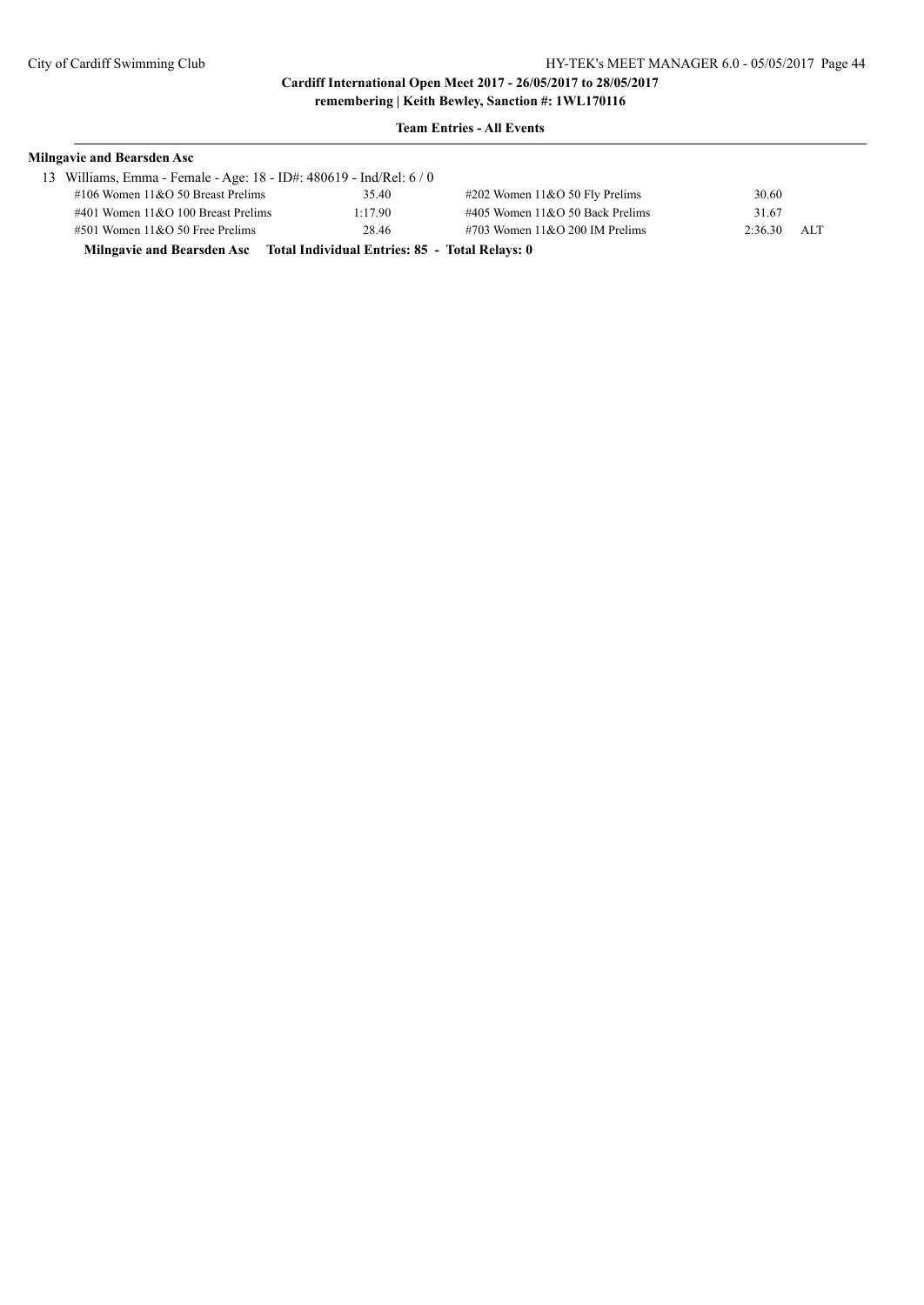| <b>Milngavie and Bearsden Asc</b>                                         |         |                                    |         |     |  |  |  |
|---------------------------------------------------------------------------|---------|------------------------------------|---------|-----|--|--|--|
| 13 Williams, Emma - Female - Age: 18 - ID#: 480619 - Ind/Rel: 6/0         |         |                                    |         |     |  |  |  |
| $\#106$ Women $11\&O$ 50 Breast Prelims                                   | 35.40   | $\#202$ Women 11&O 50 Fly Prelims  | 30.60   |     |  |  |  |
| $\#401$ Women $11&O$ 100 Breast Prelims                                   | 1:17.90 | $\#405$ Women 11&O 50 Back Prelims | 31.67   |     |  |  |  |
| $\#501$ Women $11&O$ 50 Free Prelims                                      | 28.46   | $\#703$ Women 11&O 200 IM Prelims  | 2:36.30 | ALT |  |  |  |
| Milngavie and Bearsden Asc Total Individual Entries: 85 - Total Relays: 0 |         |                                    |         |     |  |  |  |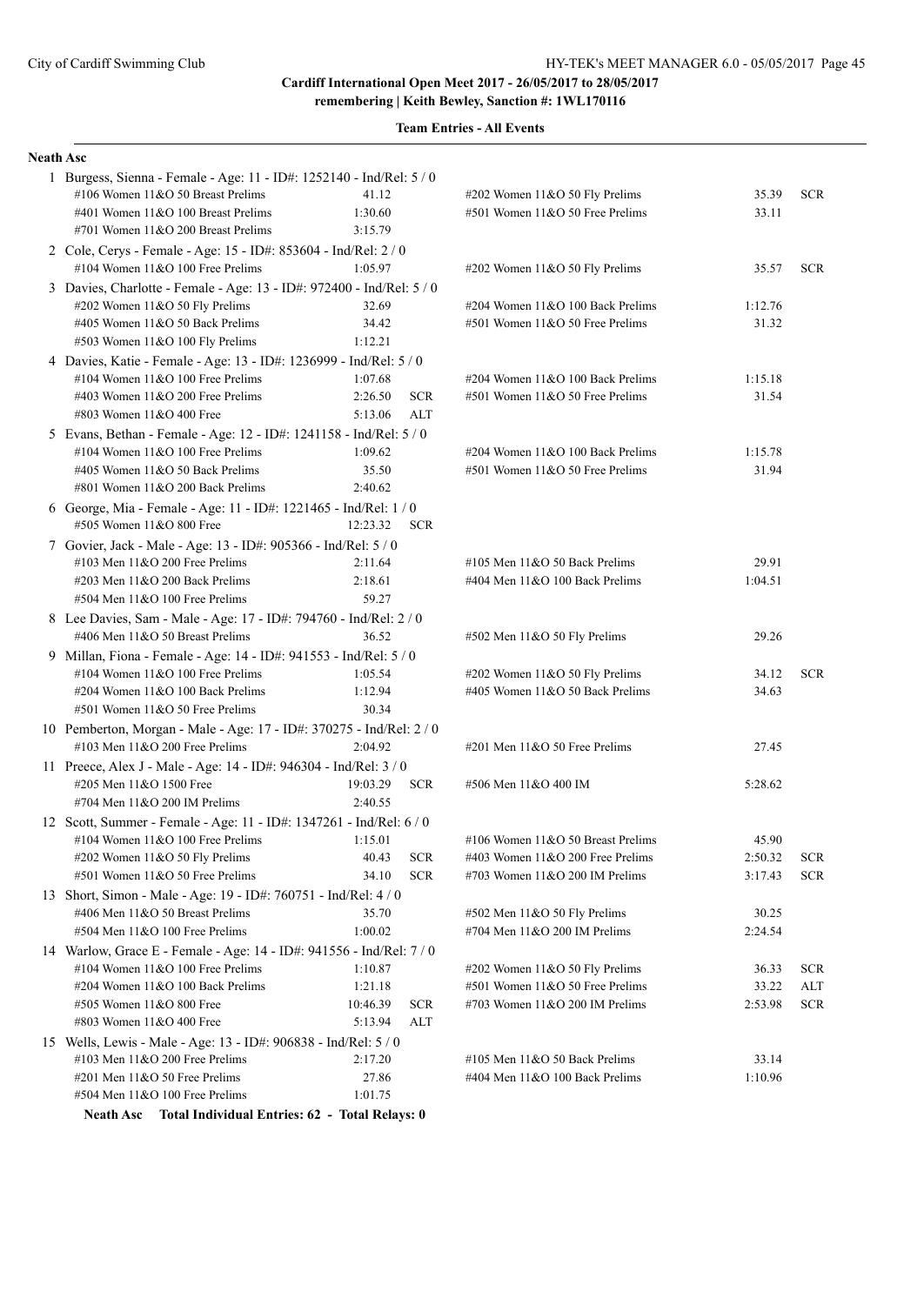**remembering | Keith Bewley, Sanction #: 1WL170116**

| <b>Team Entries - All Events</b> |
|----------------------------------|
|----------------------------------|

| <b>Neath Asc</b> |                                                                                                                 |                     |            |                                     |                    |            |
|------------------|-----------------------------------------------------------------------------------------------------------------|---------------------|------------|-------------------------------------|--------------------|------------|
|                  | 1 Burgess, Sienna - Female - Age: 11 - ID#: 1252140 - Ind/Rel: 5 / 0                                            |                     |            |                                     |                    |            |
|                  | #106 Women 11&O 50 Breast Prelims                                                                               | 41.12               |            | #202 Women 11&O 50 Fly Prelims      | 35.39              | <b>SCR</b> |
|                  | #401 Women 11&O 100 Breast Prelims                                                                              | 1:30.60             |            | #501 Women 11&O 50 Free Prelims     | 33.11              |            |
|                  | #701 Women 11&O 200 Breast Prelims                                                                              | 3:15.79             |            |                                     |                    |            |
|                  | 2 Cole, Cerys - Female - Age: 15 - ID#: 853604 - Ind/Rel: 2 / 0                                                 |                     |            |                                     |                    |            |
|                  | #104 Women $11&O 100$ Free Prelims                                                                              | 1:05.97             |            | #202 Women 11&O 50 Fly Prelims      | 35.57              | <b>SCR</b> |
|                  | 3 Davies, Charlotte - Female - Age: 13 - ID#: 972400 - Ind/Rel: 5 / 0                                           |                     |            |                                     |                    |            |
|                  | #202 Women 11&O 50 Fly Prelims                                                                                  | 32.69               |            | #204 Women 11&O 100 Back Prelims    | 1:12.76            |            |
|                  | #405 Women 11&O 50 Back Prelims                                                                                 | 34.42               |            | $#501$ Women $11&O$ 50 Free Prelims | 31.32              |            |
|                  | #503 Women 11&O 100 Fly Prelims                                                                                 | 1:12.21             |            |                                     |                    |            |
|                  | 4 Davies, Katie - Female - Age: 13 - ID#: 1236999 - Ind/Rel: 5 / 0                                              |                     |            |                                     |                    |            |
|                  | #104 Women $11&O 100$ Free Prelims                                                                              | 1:07.68             |            | #204 Women 11&O 100 Back Prelims    | 1:15.18            |            |
|                  | #403 Women 11&O 200 Free Prelims                                                                                | 2:26.50             | <b>SCR</b> | #501 Women 11&O 50 Free Prelims     | 31.54              |            |
|                  | #803 Women 11&O 400 Free                                                                                        | 5:13.06             | ALT        |                                     |                    |            |
|                  | 5 Evans, Bethan - Female - Age: 12 - ID#: 1241158 - Ind/Rel: 5 / 0                                              |                     |            |                                     |                    |            |
|                  | #104 Women 11&O 100 Free Prelims                                                                                | 1:09.62             |            | #204 Women 11&O 100 Back Prelims    | 1:15.78            |            |
|                  | #405 Women 11&O 50 Back Prelims                                                                                 | 35.50               |            | $#501$ Women $11&O 50$ Free Prelims | 31.94              |            |
|                  | #801 Women 11&O 200 Back Prelims                                                                                | 2:40.62             |            |                                     |                    |            |
|                  | 6 George, Mia - Female - Age: 11 - ID#: 1221465 - Ind/Rel: 1/0                                                  |                     |            |                                     |                    |            |
|                  | #505 Women 11&O 800 Free                                                                                        | 12:23.32            | <b>SCR</b> |                                     |                    |            |
|                  | 7 Govier, Jack - Male - Age: 13 - ID#: 905366 - Ind/Rel: 5 / 0                                                  |                     |            |                                     |                    |            |
|                  | $\#103$ Men $11\&O$ 200 Free Prelims                                                                            | 2:11.64             |            | #105 Men $11&O$ 50 Back Prelims     | 29.91              |            |
|                  | #203 Men 11&O 200 Back Prelims                                                                                  | 2:18.61             |            | #404 Men $11&O 100$ Back Prelims    | 1:04.51            |            |
|                  | #504 Men 11&O 100 Free Prelims                                                                                  | 59.27               |            |                                     |                    |            |
|                  | 8 Lee Davies, Sam - Male - Age: 17 - ID#: 794760 - Ind/Rel: 2 / 0                                               |                     |            |                                     |                    |            |
|                  | #406 Men 11&O 50 Breast Prelims                                                                                 | 36.52               |            | #502 Men 11&O 50 Fly Prelims        | 29.26              |            |
|                  | 9 Millan, Fiona - Female - Age: 14 - ID#: 941553 - Ind/Rel: 5 / 0                                               |                     |            |                                     |                    |            |
|                  | #104 Women 11&O 100 Free Prelims                                                                                | 1:05.54             |            | #202 Women 11&O 50 Fly Prelims      | 34.12              | <b>SCR</b> |
|                  | #204 Women 11&O 100 Back Prelims<br>#501 Women 11&O 50 Free Prelims                                             | 1:12.94<br>30.34    |            | #405 Women 11&O 50 Back Prelims     | 34.63              |            |
|                  |                                                                                                                 |                     |            |                                     |                    |            |
|                  | 10 Pemberton, Morgan - Male - Age: 17 - ID#: 370275 - Ind/Rel: 2 / 0<br>$\#103$ Men $11&O$ 200 Free Prelims     | 2:04.92             |            | #201 Men $11&050$ Free Prelims      | 27.45              |            |
|                  |                                                                                                                 |                     |            |                                     |                    |            |
|                  | 11 Preece, Alex J - Male - Age: 14 - ID#: 946304 - Ind/Rel: 3 / 0<br>#205 Men 11&O 1500 Free                    |                     |            | #506 Men 11&O 400 IM                | 5:28.62            |            |
|                  | #704 Men $11&O$ 200 IM Prelims                                                                                  | 19:03.29<br>2:40.55 | <b>SCR</b> |                                     |                    |            |
|                  |                                                                                                                 |                     |            |                                     |                    |            |
|                  | 12 Scott, Summer - Female - Age: 11 - ID#: 1347261 - Ind/Rel: 6 / 0<br>#104 Women 11&O 100 Free Prelims 1:15.01 |                     |            | #106 Women 11&O 50 Breast Prelims   | 45.90              |            |
|                  | #202 Women 11&O 50 Fly Prelims                                                                                  | 40.43               | <b>SCR</b> | #403 Women 11&O 200 Free Prelims    |                    | <b>SCR</b> |
|                  | #501 Women 11&O 50 Free Prelims                                                                                 | 34.10               | <b>SCR</b> | #703 Women 11&O 200 IM Prelims      | 2:50.32<br>3:17.43 | <b>SCR</b> |
|                  |                                                                                                                 |                     |            |                                     |                    |            |
|                  | 13 Short, Simon - Male - Age: 19 - ID#: 760751 - Ind/Rel: 4 / 0<br>#406 Men 11&O 50 Breast Prelims              | 35.70               |            | #502 Men 11&O 50 Fly Prelims        | 30.25              |            |
|                  | #504 Men 11&O 100 Free Prelims                                                                                  | 1:00.02             |            | #704 Men 11&O 200 IM Prelims        | 2:24.54            |            |
|                  |                                                                                                                 |                     |            |                                     |                    |            |
|                  | 14 Warlow, Grace E - Female - Age: 14 - ID#: 941556 - Ind/Rel: 7 / 0<br>#104 Women 11&O 100 Free Prelims        | 1:10.87             |            | #202 Women 11&O 50 Fly Prelims      | 36.33              | <b>SCR</b> |
|                  | #204 Women 11&O 100 Back Prelims                                                                                | 1:21.18             |            | #501 Women 11&O 50 Free Prelims     | 33.22              | ALT        |
|                  | #505 Women 11&O 800 Free                                                                                        | 10:46.39            | <b>SCR</b> | #703 Women 11&O 200 IM Prelims      | 2:53.98            | <b>SCR</b> |
|                  | #803 Women 11&O 400 Free                                                                                        | 5:13.94             | ALT        |                                     |                    |            |
|                  | 15 Wells, Lewis - Male - Age: 13 - ID#: 906838 - Ind/Rel: 5 / 0                                                 |                     |            |                                     |                    |            |
|                  | #103 Men $11&O$ 200 Free Prelims                                                                                | 2:17.20             |            | #105 Men 11&O 50 Back Prelims       | 33.14              |            |
|                  | #201 Men 11&O 50 Free Prelims                                                                                   | 27.86               |            | #404 Men $11&O 100$ Back Prelims    | 1:10.96            |            |
|                  | #504 Men 11&O 100 Free Prelims                                                                                  | 1:01.75             |            |                                     |                    |            |

**Neath Asc Total Individual Entries: 62 - Total Relays: 0**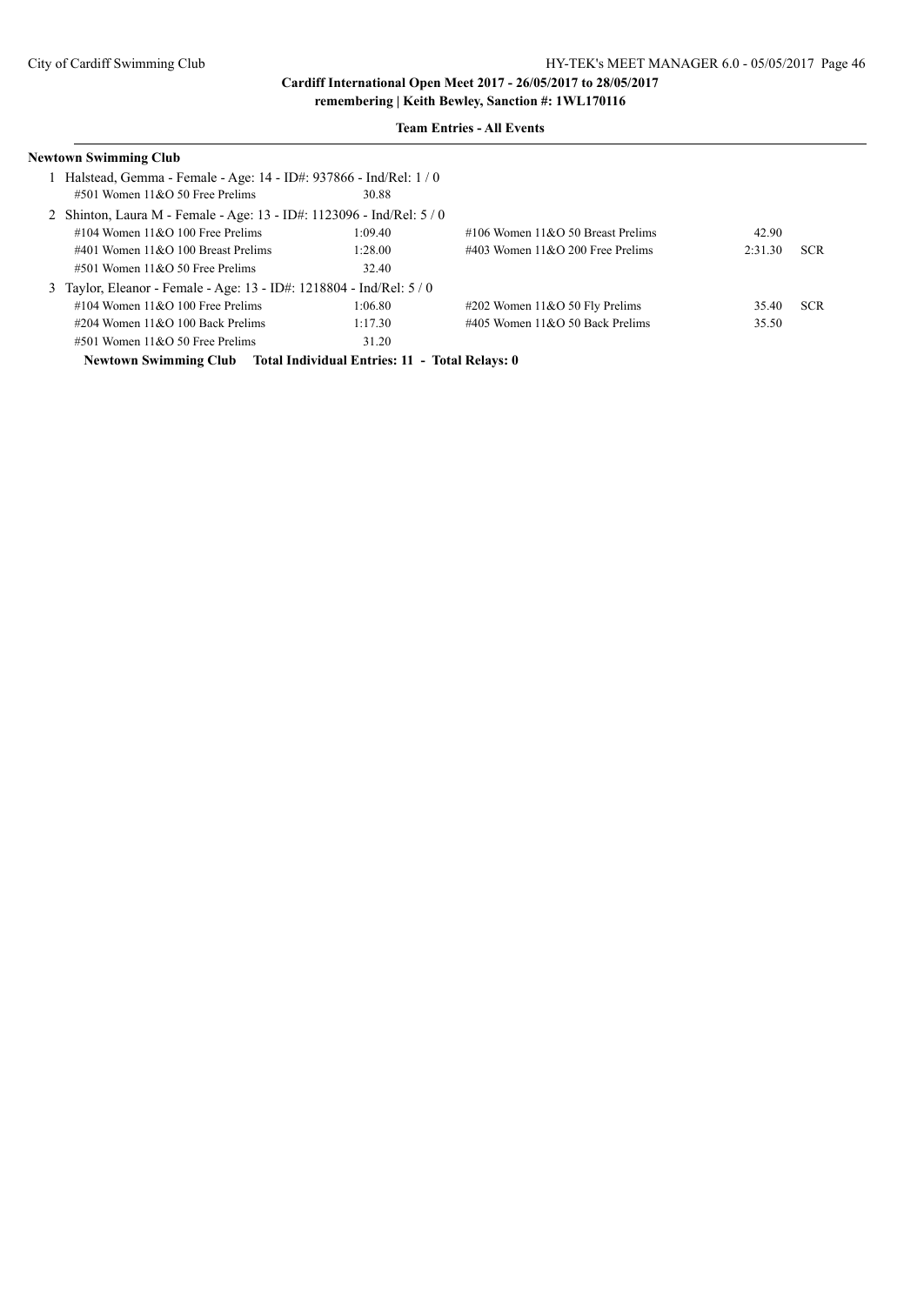#### **Team Entries - All Events**

| Newtown Swimming Club                                                 |         |                                     |         |            |
|-----------------------------------------------------------------------|---------|-------------------------------------|---------|------------|
| Halstead, Gemma - Female - Age: 14 - ID#: 937866 - Ind/Rel: 1/0       |         |                                     |         |            |
| $\#501$ Women $11\&O$ 50 Free Prelims                                 | 30.88   |                                     |         |            |
| 2 Shinton, Laura M - Female - Age: 13 - ID#: 1123096 - Ind/Rel: 5 / 0 |         |                                     |         |            |
| #104 Women $11&O$ 100 Free Prelims                                    | 1:09.40 | #106 Women $11&O$ 50 Breast Prelims | 42.90   |            |
| #401 Women $11&O$ 100 Breast Prelims                                  | 1:28.00 | $\#403$ Women 11&O 200 Free Prelims | 2:31.30 | <b>SCR</b> |
| $\#501$ Women $11\&O$ 50 Free Prelims                                 | 32.40   |                                     |         |            |
| 3 Taylor, Eleanor - Female - Age: 13 - ID#: 1218804 - Ind/Rel: 5 / 0  |         |                                     |         |            |
| #104 Women $11&O$ 100 Free Prelims                                    | 1:06.80 | $\#202$ Women 11&O 50 Fly Prelims   | 35.40   | <b>SCR</b> |
| $\#204$ Women 11&O 100 Back Prelims                                   | 1:17.30 | $\#405$ Women 11&O 50 Back Prelims  | 35.50   |            |
| $\#501$ Women $11\&O$ 50 Free Prelims                                 | 31.20   |                                     |         |            |
|                                                                       |         |                                     |         |            |

**Newtown Swimming Club Total Individual Entries: 11 - Total Relays: 0**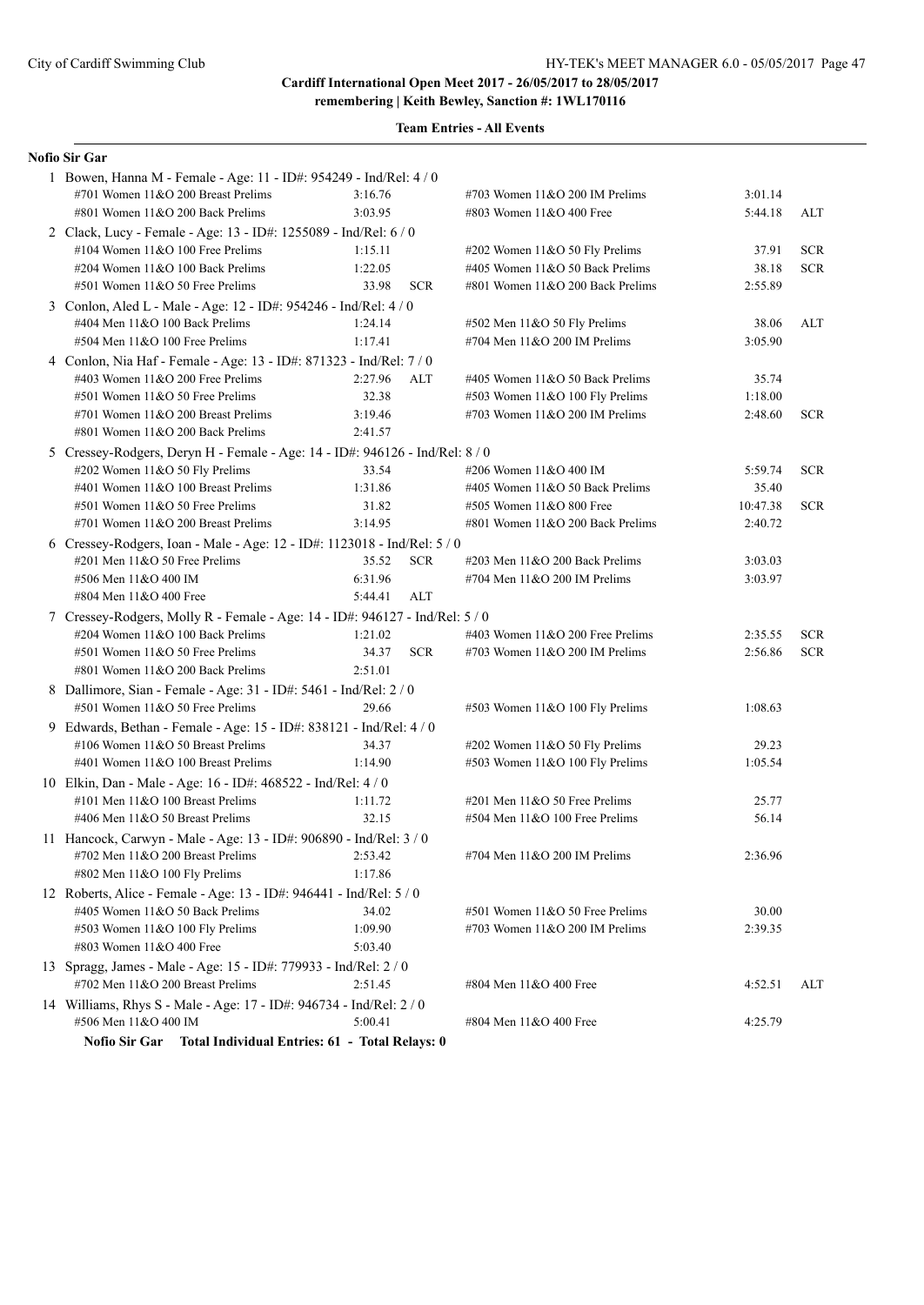**Team Entries - All Events**

### **Nofio Sir Gar**

| 1 Bowen, Hanna M - Female - Age: 11 - ID#: 954249 - Ind/Rel: 4 / 0           |         |            |                                  |          |            |
|------------------------------------------------------------------------------|---------|------------|----------------------------------|----------|------------|
| #701 Women 11&O 200 Breast Prelims                                           | 3:16.76 |            | #703 Women 11&O 200 IM Prelims   | 3:01.14  |            |
| #801 Women 11&O 200 Back Prelims                                             | 3:03.95 |            | #803 Women 11&O 400 Free         | 5:44.18  | ALT        |
| 2 Clack, Lucy - Female - Age: 13 - ID#: 1255089 - Ind/Rel: 6 / 0             |         |            |                                  |          |            |
| #104 Women 11&O 100 Free Prelims                                             | 1:15.11 |            | #202 Women 11&O 50 Fly Prelims   | 37.91    | <b>SCR</b> |
| #204 Women 11&O 100 Back Prelims                                             | 1:22.05 |            | #405 Women 11&O 50 Back Prelims  | 38.18    | <b>SCR</b> |
| #501 Women 11&O 50 Free Prelims                                              | 33.98   | <b>SCR</b> | #801 Women 11&O 200 Back Prelims | 2:55.89  |            |
| 3 Conlon, Aled L - Male - Age: 12 - ID#: 954246 - Ind/Rel: 4 / 0             |         |            |                                  |          |            |
| #404 Men 11&O 100 Back Prelims                                               | 1:24.14 |            | #502 Men 11&O 50 Fly Prelims     | 38.06    | ALT        |
| #504 Men 11&O 100 Free Prelims                                               | 1:17.41 |            | #704 Men 11&O 200 IM Prelims     | 3:05.90  |            |
| 4 Conlon, Nia Haf - Female - Age: 13 - ID#: 871323 - Ind/Rel: 7/0            |         |            |                                  |          |            |
| #403 Women 11&O 200 Free Prelims                                             | 2:27.96 | ALT        | #405 Women 11&O 50 Back Prelims  | 35.74    |            |
| #501 Women 11&O 50 Free Prelims                                              | 32.38   |            | #503 Women 11&O 100 Fly Prelims  | 1:18.00  |            |
| #701 Women 11&O 200 Breast Prelims                                           | 3:19.46 |            | #703 Women 11&O 200 IM Prelims   | 2:48.60  | <b>SCR</b> |
| #801 Women 11&O 200 Back Prelims                                             | 2:41.57 |            |                                  |          |            |
| 5 Cressey-Rodgers, Deryn H - Female - Age: 14 - ID#: 946126 - Ind/Rel: 8 / 0 |         |            |                                  |          |            |
| #202 Women 11&O 50 Fly Prelims                                               | 33.54   |            | #206 Women 11&O 400 IM           | 5:59.74  | <b>SCR</b> |
| #401 Women 11&O 100 Breast Prelims                                           | 1:31.86 |            | #405 Women 11&O 50 Back Prelims  | 35.40    |            |
| #501 Women 11&O 50 Free Prelims                                              | 31.82   |            | #505 Women 11&O 800 Free         | 10:47.38 | <b>SCR</b> |
| #701 Women 11&O 200 Breast Prelims                                           | 3:14.95 |            | #801 Women 11&O 200 Back Prelims | 2:40.72  |            |
| 6 Cressey-Rodgers, Ioan - Male - Age: 12 - ID#: 1123018 - Ind/Rel: 5 / 0     |         |            |                                  |          |            |
| #201 Men 11&O 50 Free Prelims                                                | 35.52   | <b>SCR</b> | #203 Men 11&O 200 Back Prelims   | 3:03.03  |            |
| #506 Men 11&O 400 IM                                                         | 6:31.96 |            | #704 Men 11&O 200 IM Prelims     | 3:03.97  |            |
| #804 Men 11&O 400 Free                                                       | 5:44.41 | <b>ALT</b> |                                  |          |            |
| 7 Cressey-Rodgers, Molly R - Female - Age: 14 - ID#: 946127 - Ind/Rel: 5 / 0 |         |            |                                  |          |            |
| #204 Women 11&O 100 Back Prelims                                             | 1:21.02 |            | #403 Women 11&O 200 Free Prelims | 2:35.55  | <b>SCR</b> |
| #501 Women 11&O 50 Free Prelims                                              | 34.37   | <b>SCR</b> | #703 Women $11&O$ 200 IM Prelims | 2:56.86  | <b>SCR</b> |
| #801 Women 11&O 200 Back Prelims                                             | 2:51.01 |            |                                  |          |            |
| 8 Dallimore, Sian - Female - Age: 31 - ID#: 5461 - Ind/Rel: 2 / 0            |         |            |                                  |          |            |
| #501 Women 11&O 50 Free Prelims                                              | 29.66   |            | #503 Women 11&O 100 Fly Prelims  | 1:08.63  |            |
| 9 Edwards, Bethan - Female - Age: 15 - ID#: 838121 - Ind/Rel: 4 / 0          |         |            |                                  |          |            |
| #106 Women 11&O 50 Breast Prelims                                            | 34.37   |            | #202 Women 11&O 50 Fly Prelims   | 29.23    |            |
| #401 Women 11&O 100 Breast Prelims                                           | 1:14.90 |            | #503 Women 11&O 100 Fly Prelims  | 1:05.54  |            |
| 10 Elkin, Dan - Male - Age: 16 - ID#: 468522 - Ind/Rel: 4 / 0                |         |            |                                  |          |            |
| #101 Men 11&O 100 Breast Prelims                                             | 1:11.72 |            | #201 Men 11&O 50 Free Prelims    | 25.77    |            |
| #406 Men 11&O 50 Breast Prelims                                              | 32.15   |            | #504 Men 11&O 100 Free Prelims   | 56.14    |            |
| 11 Hancock, Carwyn - Male - Age: 13 - ID#: 906890 - Ind/Rel: 3 / 0           |         |            |                                  |          |            |
| $\#702$ Men $11\&O$ 200 Breast Prelims                                       | 2:53.42 |            | #704 Men 11&O 200 IM Prelims     | 2:36.96  |            |
| #802 Men 11&O 100 Fly Prelims                                                | 1:17.86 |            |                                  |          |            |
| 12 Roberts, Alice - Female - Age: 13 - ID#: 946441 - Ind/Rel: 5 / 0          |         |            |                                  |          |            |
| #405 Women 11&O 50 Back Prelims                                              | 34.02   |            | #501 Women 11&O 50 Free Prelims  | 30.00    |            |
| #503 Women 11&O 100 Fly Prelims                                              | 1:09.90 |            | #703 Women 11&O 200 IM Prelims   | 2:39.35  |            |
| #803 Women 11&O 400 Free                                                     | 5:03.40 |            |                                  |          |            |
| 13 Spragg, James - Male - Age: 15 - ID#: 779933 - Ind/Rel: 2 / 0             |         |            |                                  |          |            |
| #702 Men 11&O 200 Breast Prelims                                             | 2:51.45 |            | #804 Men 11&O 400 Free           | 4:52.51  | ALT        |
| 14 Williams, Rhys S - Male - Age: 17 - ID#: 946734 - Ind/Rel: 2 / 0          |         |            |                                  |          |            |
| #506 Men 11&O 400 IM                                                         | 5:00.41 |            | #804 Men 11&O 400 Free           | 4:25.79  |            |
| <b>Nofio Sir Gar</b><br>Total Individual Entries: 61 - Total Relays: 0       |         |            |                                  |          |            |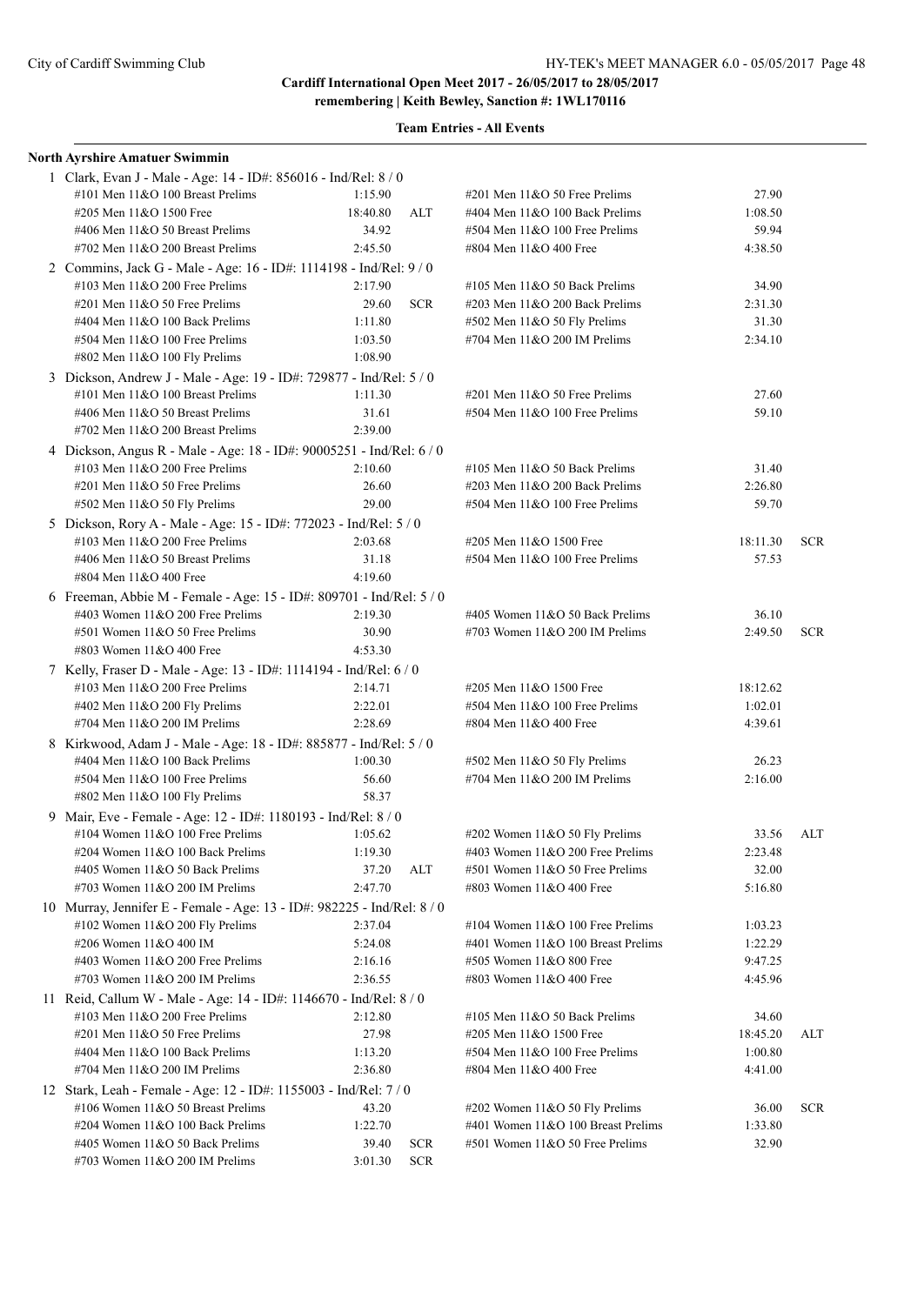| North Ayrshire Amatuer Swimmin                                          |          |            |                                     |          |            |
|-------------------------------------------------------------------------|----------|------------|-------------------------------------|----------|------------|
| 1 Clark, Evan J - Male - Age: 14 - ID#: 856016 - Ind/Rel: 8 / 0         |          |            |                                     |          |            |
| #101 Men 11&O 100 Breast Prelims                                        | 1:15.90  |            | $\#201$ Men $11&O$ 50 Free Prelims  | 27.90    |            |
| #205 Men 11&O 1500 Free                                                 | 18:40.80 | ALT        | #404 Men 11&O 100 Back Prelims      | 1:08.50  |            |
| #406 Men 11&O 50 Breast Prelims                                         | 34.92    |            | #504 Men 11&O 100 Free Prelims      | 59.94    |            |
| #702 Men $11&O$ 200 Breast Prelims                                      | 2:45.50  |            | #804 Men 11&O 400 Free              | 4:38.50  |            |
| 2 Commins, Jack G - Male - Age: 16 - ID#: 1114198 - Ind/Rel: 9/0        |          |            |                                     |          |            |
| #103 Men $11&O$ 200 Free Prelims                                        | 2:17.90  |            | #105 Men $11&O$ 50 Back Prelims     | 34.90    |            |
| $\#201$ Men $11&O$ 50 Free Prelims                                      | 29.60    | <b>SCR</b> | $\#203$ Men $11&O$ 200 Back Prelims | 2:31.30  |            |
| #404 Men 11&O 100 Back Prelims                                          | 1:11.80  |            | #502 Men 11&O 50 Fly Prelims        | 31.30    |            |
| #504 Men 11&O 100 Free Prelims                                          | 1:03.50  |            | #704 Men 11&O 200 IM Prelims        | 2:34.10  |            |
| #802 Men 11&O 100 Fly Prelims                                           | 1:08.90  |            |                                     |          |            |
| 3 Dickson, Andrew J - Male - Age: 19 - ID#: 729877 - Ind/Rel: 5 / 0     |          |            |                                     |          |            |
| #101 Men $11&O$ 100 Breast Prelims                                      | 1:11.30  |            | $\#201$ Men $11&O$ 50 Free Prelims  | 27.60    |            |
| #406 Men 11&O 50 Breast Prelims                                         | 31.61    |            | #504 Men 11&O 100 Free Prelims      | 59.10    |            |
| #702 Men 11&O 200 Breast Prelims                                        | 2:39.00  |            |                                     |          |            |
| 4 Dickson, Angus R - Male - Age: 18 - ID#: 90005251 - Ind/Rel: 6 / 0    |          |            |                                     |          |            |
| #103 Men 11&O 200 Free Prelims                                          | 2:10.60  |            | #105 Men $11&O$ 50 Back Prelims     | 31.40    |            |
| #201 Men 11&O 50 Free Prelims                                           | 26.60    |            | #203 Men 11&O 200 Back Prelims      | 2:26.80  |            |
| #502 Men 11&O 50 Fly Prelims                                            | 29.00    |            | #504 Men 11&O 100 Free Prelims      | 59.70    |            |
| 5 Dickson, Rory A - Male - Age: 15 - ID#: 772023 - Ind/Rel: 5 / 0       |          |            |                                     |          |            |
| #103 Men 11&O 200 Free Prelims                                          | 2:03.68  |            | #205 Men 11&O 1500 Free             | 18:11.30 | <b>SCR</b> |
| #406 Men 11&O 50 Breast Prelims                                         | 31.18    |            | #504 Men 11&O 100 Free Prelims      | 57.53    |            |
| #804 Men 11&O 400 Free                                                  | 4:19.60  |            |                                     |          |            |
| 6 Freeman, Abbie M - Female - Age: 15 - ID#: 809701 - Ind/Rel: 5 / 0    |          |            |                                     |          |            |
| #403 Women 11&O 200 Free Prelims                                        | 2:19.30  |            | #405 Women 11&O 50 Back Prelims     | 36.10    |            |
| #501 Women 11&O 50 Free Prelims                                         | 30.90    |            | #703 Women $11&O$ 200 IM Prelims    | 2:49.50  | <b>SCR</b> |
| #803 Women 11&O 400 Free                                                | 4:53.30  |            |                                     |          |            |
| 7 Kelly, Fraser D - Male - Age: 13 - ID#: 1114194 - Ind/Rel: 6 / 0      |          |            |                                     |          |            |
| #103 Men $11&O$ 200 Free Prelims                                        | 2:14.71  |            | #205 Men 11&O 1500 Free             | 18:12.62 |            |
| #402 Men 11&O 200 Fly Prelims                                           | 2:22.01  |            | #504 Men 11&O 100 Free Prelims      | 1:02.01  |            |
| #704 Men 11&O 200 IM Prelims                                            | 2:28.69  |            | #804 Men 11&O 400 Free              | 4:39.61  |            |
| 8 Kirkwood, Adam J - Male - Age: 18 - ID#: 885877 - Ind/Rel: 5 / 0      |          |            |                                     |          |            |
| #404 Men 11&O 100 Back Prelims                                          | 1:00.30  |            | #502 Men 11&O 50 Fly Prelims        | 26.23    |            |
| $#504$ Men $11&O$ 100 Free Prelims                                      | 56.60    |            | #704 Men $11&O$ 200 IM Prelims      | 2:16.00  |            |
| #802 Men 11&O 100 Fly Prelims                                           | 58.37    |            |                                     |          |            |
| 9 Mair, Eve - Female - Age: 12 - ID#: 1180193 - Ind/Rel: 8 / 0          |          |            |                                     |          |            |
| #104 Women $11&O$ 100 Free Prelims                                      | 1:05.62  |            | #202 Women 11&O 50 Fly Prelims      | 33.56    | ALT        |
| #204 Women 11&O 100 Back Prelims                                        | 1:19.30  |            | #403 Women 11&O 200 Free Prelims    | 2:23.48  |            |
| #405 Women 11&O 50 Back Prelims                                         | 37.20    | <b>ALT</b> | #501 Women 11&O 50 Free Prelims     | 32.00    |            |
| #703 Women $11&O$ 200 IM Prelims                                        | 2:47.70  |            | #803 Women 11&O 400 Free            | 5:16.80  |            |
| 10 Murray, Jennifer E - Female - Age: 13 - ID#: 982225 - Ind/Rel: 8 / 0 |          |            |                                     |          |            |
| #102 Women 11&O 200 Fly Prelims                                         | 2:37.04  |            | #104 Women $11&O 100$ Free Prelims  | 1:03.23  |            |
| #206 Women 11&O 400 IM                                                  | 5:24.08  |            | #401 Women 11&O 100 Breast Prelims  | 1:22.29  |            |
| #403 Women 11&O 200 Free Prelims                                        | 2:16.16  |            | #505 Women 11&O 800 Free            | 9:47.25  |            |
| #703 Women $11&O$ 200 IM Prelims                                        | 2:36.55  |            | #803 Women 11&O 400 Free            | 4:45.96  |            |
| 11 Reid, Callum W - Male - Age: 14 - ID#: 1146670 - Ind/Rel: 8 / 0      |          |            |                                     |          |            |
| #103 Men $11&O$ 200 Free Prelims                                        | 2:12.80  |            | #105 Men 11&O 50 Back Prelims       | 34.60    |            |
| #201 Men 11&O 50 Free Prelims                                           | 27.98    |            | #205 Men 11&O 1500 Free             | 18:45.20 | ALT        |
| #404 Men 11&O 100 Back Prelims                                          | 1:13.20  |            | #504 Men 11&O 100 Free Prelims      | 1:00.80  |            |
| #704 Men $11&O$ 200 IM Prelims                                          | 2:36.80  |            | #804 Men 11&O 400 Free              | 4:41.00  |            |
| 12 Stark, Leah - Female - Age: 12 - ID#: 1155003 - Ind/Rel: 7 / 0       |          |            |                                     |          |            |
| #106 Women 11&O 50 Breast Prelims                                       | 43.20    |            | #202 Women 11&O 50 Fly Prelims      | 36.00    | <b>SCR</b> |
| #204 Women 11&O 100 Back Prelims                                        | 1:22.70  |            | #401 Women 11&O 100 Breast Prelims  | 1:33.80  |            |
| #405 Women 11&O 50 Back Prelims                                         | 39.40    | <b>SCR</b> | #501 Women 11&O 50 Free Prelims     | 32.90    |            |
| #703 Women 11&O 200 IM Prelims                                          | 3:01.30  | <b>SCR</b> |                                     |          |            |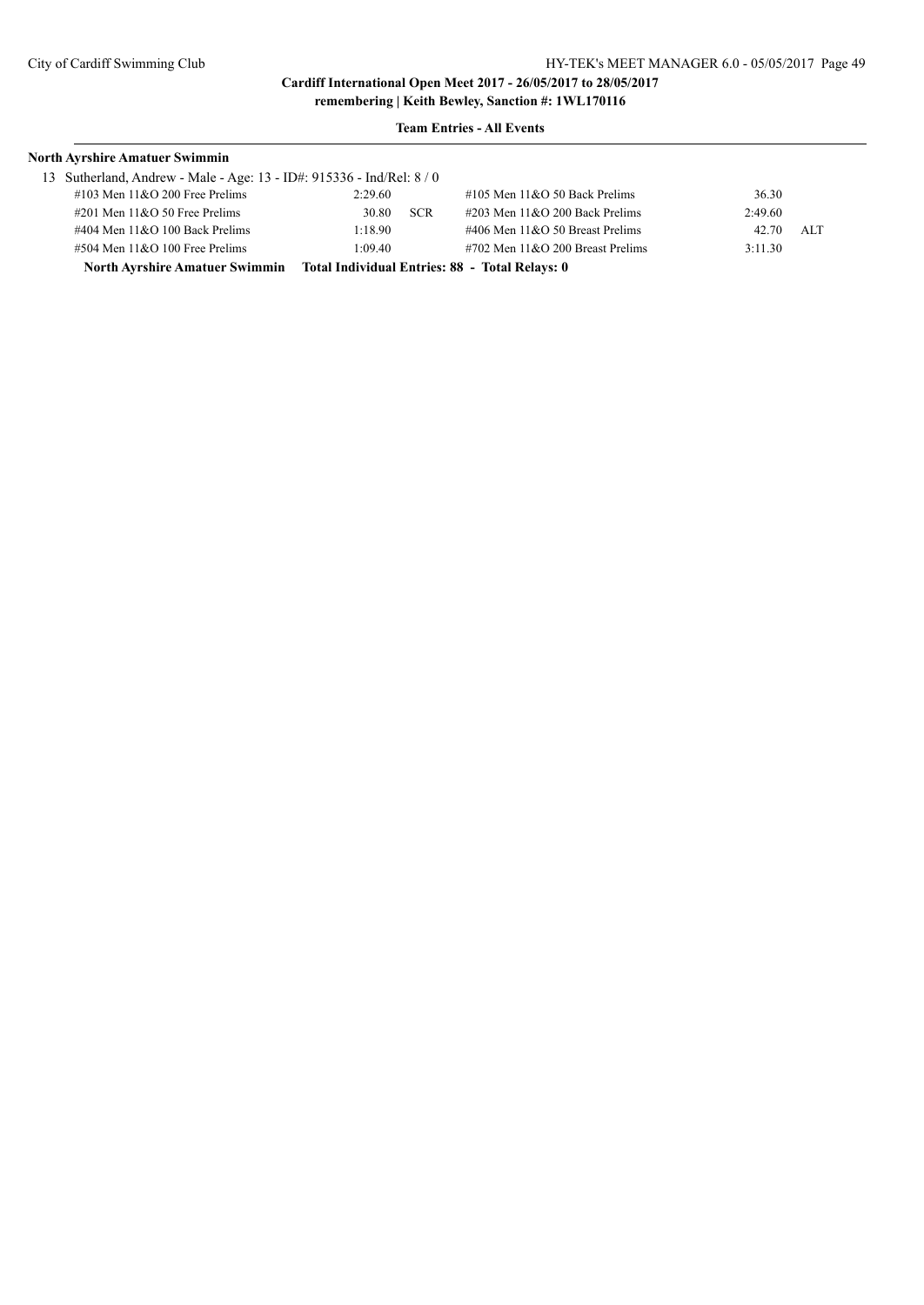| <b>North Ayrshire Amatuer Swimmin</b>                               |         |            |                                                |         |     |
|---------------------------------------------------------------------|---------|------------|------------------------------------------------|---------|-----|
| 13 Sutherland, Andrew - Male - Age: 13 - ID#: 915336 - Ind/Rel: 8/0 |         |            |                                                |         |     |
| $\#103$ Men $11&O$ 200 Free Prelims                                 | 2:29.60 |            | $\#105$ Men $11\&O 50$ Back Prelims            | 36.30   |     |
| $\#201$ Men $11&O$ 50 Free Prelims                                  | 30.80   | <b>SCR</b> | $\#203$ Men $11\&O$ 200 Back Prelims           | 2:49.60 |     |
| $\#404$ Men $11&O$ 100 Back Prelims                                 | 1:18.90 |            | $\#406$ Men $11&O$ 50 Breast Prelims           | 42.70   | ALT |
| $#504$ Men $11&O$ 100 Free Prelims                                  | 1:09.40 |            | $\#702$ Men $11&O$ 200 Breast Prelims          | 3:11.30 |     |
| <b>North Ayrshire Amatuer Swimmin</b>                               |         |            | Total Individual Entries: 88 - Total Relays: 0 |         |     |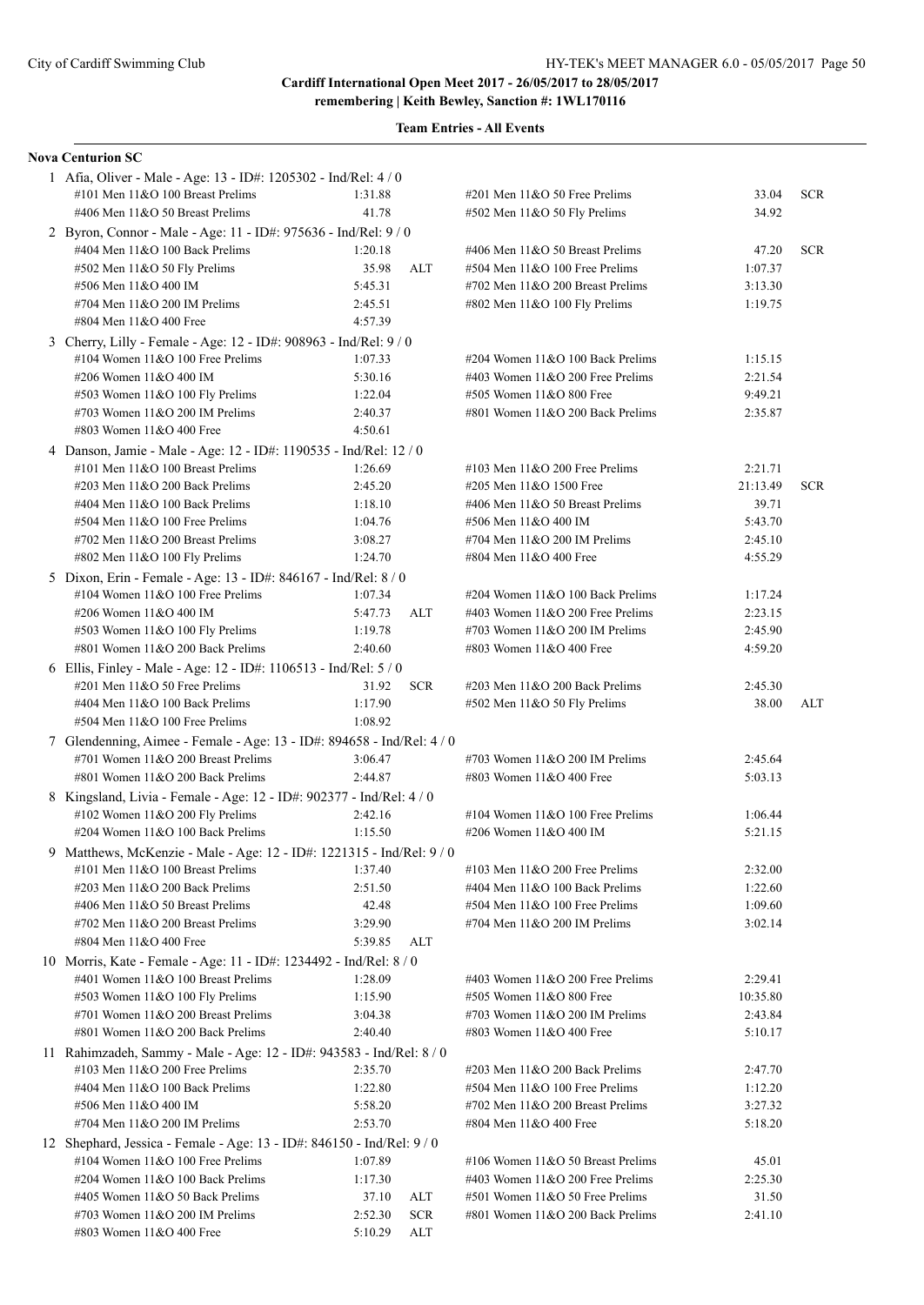**remembering | Keith Bewley, Sanction #: 1WL170116**

|    | <b>Nova Centurion SC</b>                                               |         |            |                                    |          |            |
|----|------------------------------------------------------------------------|---------|------------|------------------------------------|----------|------------|
|    | 1 Afia, Oliver - Male - Age: 13 - ID#: 1205302 - Ind/Rel: 4 / 0        |         |            |                                    |          |            |
|    | #101 Men 11&O 100 Breast Prelims                                       | 1:31.88 |            | #201 Men 11&O 50 Free Prelims      | 33.04    | <b>SCR</b> |
|    | #406 Men 11&O 50 Breast Prelims                                        | 41.78   |            | #502 Men 11&O 50 Fly Prelims       | 34.92    |            |
|    | 2 Byron, Connor - Male - Age: 11 - ID#: 975636 - Ind/Rel: 9 / 0        |         |            |                                    |          |            |
|    | #404 Men 11&O 100 Back Prelims                                         | 1:20.18 |            | #406 Men 11&O 50 Breast Prelims    | 47.20    | <b>SCR</b> |
|    | #502 Men 11&O 50 Fly Prelims                                           | 35.98   | ALT        | #504 Men 11&O 100 Free Prelims     | 1:07.37  |            |
|    | #506 Men 11&O 400 IM                                                   | 5:45.31 |            | #702 Men 11&O 200 Breast Prelims   | 3:13.30  |            |
|    | #704 Men 11&O 200 IM Prelims                                           | 2:45.51 |            | #802 Men 11&O 100 Fly Prelims      | 1:19.75  |            |
|    | #804 Men 11&O 400 Free                                                 | 4:57.39 |            |                                    |          |            |
|    | 3 Cherry, Lilly - Female - Age: 12 - ID#: 908963 - Ind/Rel: 9 / 0      |         |            |                                    |          |            |
|    | #104 Women 11&O 100 Free Prelims                                       | 1:07.33 |            | #204 Women 11&O 100 Back Prelims   | 1:15.15  |            |
|    | #206 Women 11&O 400 IM                                                 | 5:30.16 |            | #403 Women 11&O 200 Free Prelims   | 2:21.54  |            |
|    | #503 Women 11&O 100 Fly Prelims                                        | 1:22.04 |            | #505 Women 11&O 800 Free           | 9:49.21  |            |
|    | #703 Women 11&O 200 IM Prelims                                         | 2:40.37 |            | #801 Women 11&O 200 Back Prelims   | 2:35.87  |            |
|    | #803 Women 11&O 400 Free                                               | 4:50.61 |            |                                    |          |            |
|    | 4 Danson, Jamie - Male - Age: 12 - ID#: 1190535 - Ind/Rel: 12 / 0      |         |            |                                    |          |            |
|    | #101 Men 11&O 100 Breast Prelims                                       | 1:26.69 |            | #103 Men $11&O$ 200 Free Prelims   | 2:21.71  |            |
|    | #203 Men 11&O 200 Back Prelims                                         | 2:45.20 |            | #205 Men 11&O 1500 Free            | 21:13.49 | <b>SCR</b> |
|    | #404 Men 11&O 100 Back Prelims                                         | 1:18.10 |            | #406 Men 11&O 50 Breast Prelims    | 39.71    |            |
|    | #504 Men 11&O 100 Free Prelims                                         | 1:04.76 |            | #506 Men 11&O 400 IM               | 5:43.70  |            |
|    | #702 Men 11&O 200 Breast Prelims                                       | 3:08.27 |            | #704 Men 11&O 200 IM Prelims       | 2:45.10  |            |
|    | #802 Men 11&O 100 Fly Prelims                                          | 1:24.70 |            | #804 Men 11&O 400 Free             | 4:55.29  |            |
|    |                                                                        |         |            |                                    |          |            |
|    | 5 Dixon, Erin - Female - Age: 13 - ID#: 846167 - Ind/Rel: 8 / 0        |         |            |                                    |          |            |
|    | #104 Women 11&O 100 Free Prelims                                       | 1:07.34 |            | #204 Women 11&O 100 Back Prelims   | 1:17.24  |            |
|    | #206 Women 11&O 400 IM                                                 | 5:47.73 | ALT        | #403 Women $11&O$ 200 Free Prelims | 2:23.15  |            |
|    | #503 Women 11&O 100 Fly Prelims                                        | 1:19.78 |            | #703 Women 11&O 200 IM Prelims     | 2:45.90  |            |
|    | #801 Women 11&O 200 Back Prelims                                       | 2:40.60 |            | #803 Women 11&O 400 Free           | 4:59.20  |            |
|    | 6 Ellis, Finley - Male - Age: 12 - ID#: 1106513 - Ind/Rel: 5 / 0       |         |            |                                    |          |            |
|    | #201 Men 11&O 50 Free Prelims                                          | 31.92   | <b>SCR</b> | #203 Men 11&O 200 Back Prelims     | 2:45.30  |            |
|    | #404 Men 11&O 100 Back Prelims                                         | 1:17.90 |            | #502 Men 11&O 50 Fly Prelims       | 38.00    | ALT        |
|    | #504 Men 11&O 100 Free Prelims                                         | 1:08.92 |            |                                    |          |            |
|    | 7 Glendenning, Aimee - Female - Age: 13 - ID#: 894658 - Ind/Rel: 4 / 0 |         |            |                                    |          |            |
|    | #701 Women 11&O 200 Breast Prelims                                     | 3:06.47 |            | #703 Women 11&O 200 IM Prelims     | 2:45.64  |            |
|    | #801 Women 11&O 200 Back Prelims                                       | 2:44.87 |            | #803 Women 11&O 400 Free           | 5:03.13  |            |
|    | 8 Kingsland, Livia - Female - Age: 12 - ID#: 902377 - Ind/Rel: 4 / 0   |         |            |                                    |          |            |
|    | #102 Women $11&O$ 200 Fly Prelims                                      | 2:42.16 |            | #104 Women 11&O 100 Free Prelims   | 1:06.44  |            |
|    | #204 Women 11&O 100 Back Prelims                                       | 1:15.50 |            | #206 Women 11&O 400 IM             | 5:21.15  |            |
| 9. | Matthews, McKenzie - Male - Age: 12 - ID#: 1221315 - Ind/Rel: 9 / 0    |         |            |                                    |          |            |
|    | #101 Men 11&O 100 Breast Prelims                                       | 1:37.40 |            | #103 Men 11&O 200 Free Prelims     | 2:32.00  |            |
|    | #203 Men 11&O 200 Back Prelims                                         | 2:51.50 |            | #404 Men 11&O 100 Back Prelims     | 1:22.60  |            |
|    | #406 Men 11&O 50 Breast Prelims                                        | 42.48   |            | #504 Men 11&O 100 Free Prelims     | 1:09.60  |            |
|    | #702 Men 11&O 200 Breast Prelims                                       | 3:29.90 |            | #704 Men 11&O 200 IM Prelims       | 3:02.14  |            |
|    | #804 Men 11&O 400 Free                                                 | 5:39.85 | ALT        |                                    |          |            |
|    | 10 Morris, Kate - Female - Age: 11 - ID#: 1234492 - Ind/Rel: 8 / 0     |         |            |                                    |          |            |
|    | #401 Women 11&O 100 Breast Prelims                                     | 1:28.09 |            | #403 Women 11&O 200 Free Prelims   | 2:29.41  |            |
|    | #503 Women 11&O 100 Fly Prelims                                        | 1:15.90 |            | #505 Women 11&O 800 Free           | 10:35.80 |            |
|    | #701 Women 11&O 200 Breast Prelims                                     | 3:04.38 |            | #703 Women 11&O 200 IM Prelims     | 2:43.84  |            |
|    | #801 Women 11&O 200 Back Prelims                                       | 2:40.40 |            | #803 Women 11&O 400 Free           | 5:10.17  |            |
|    | 11 Rahimzadeh, Sammy - Male - Age: 12 - ID#: 943583 - Ind/Rel: 8 / 0   |         |            |                                    |          |            |
|    | #103 Men 11&O 200 Free Prelims                                         | 2:35.70 |            | #203 Men 11&O 200 Back Prelims     | 2:47.70  |            |
|    | #404 Men 11&O 100 Back Prelims                                         | 1:22.80 |            | #504 Men 11&O 100 Free Prelims     | 1:12.20  |            |
|    | #506 Men 11&O 400 IM                                                   | 5:58.20 |            | #702 Men 11&O 200 Breast Prelims   | 3:27.32  |            |
|    | #704 Men 11&O 200 IM Prelims                                           | 2:53.70 |            | #804 Men 11&O 400 Free             | 5:18.20  |            |
|    | 12 Shephard, Jessica - Female - Age: 13 - ID#: 846150 - Ind/Rel: 9/0   |         |            |                                    |          |            |
|    | #104 Women 11&O 100 Free Prelims                                       | 1:07.89 |            | #106 Women 11&O 50 Breast Prelims  | 45.01    |            |
|    | #204 Women 11&O 100 Back Prelims                                       | 1:17.30 |            | #403 Women 11&O 200 Free Prelims   | 2:25.30  |            |
|    | #405 Women 11&O 50 Back Prelims                                        | 37.10   | ALT        | #501 Women 11&O 50 Free Prelims    | 31.50    |            |
|    | #703 Women 11&O 200 IM Prelims                                         | 2:52.30 | <b>SCR</b> | #801 Women 11&O 200 Back Prelims   | 2:41.10  |            |
|    | #803 Women 11&O 400 Free                                               | 5:10.29 | ALT        |                                    |          |            |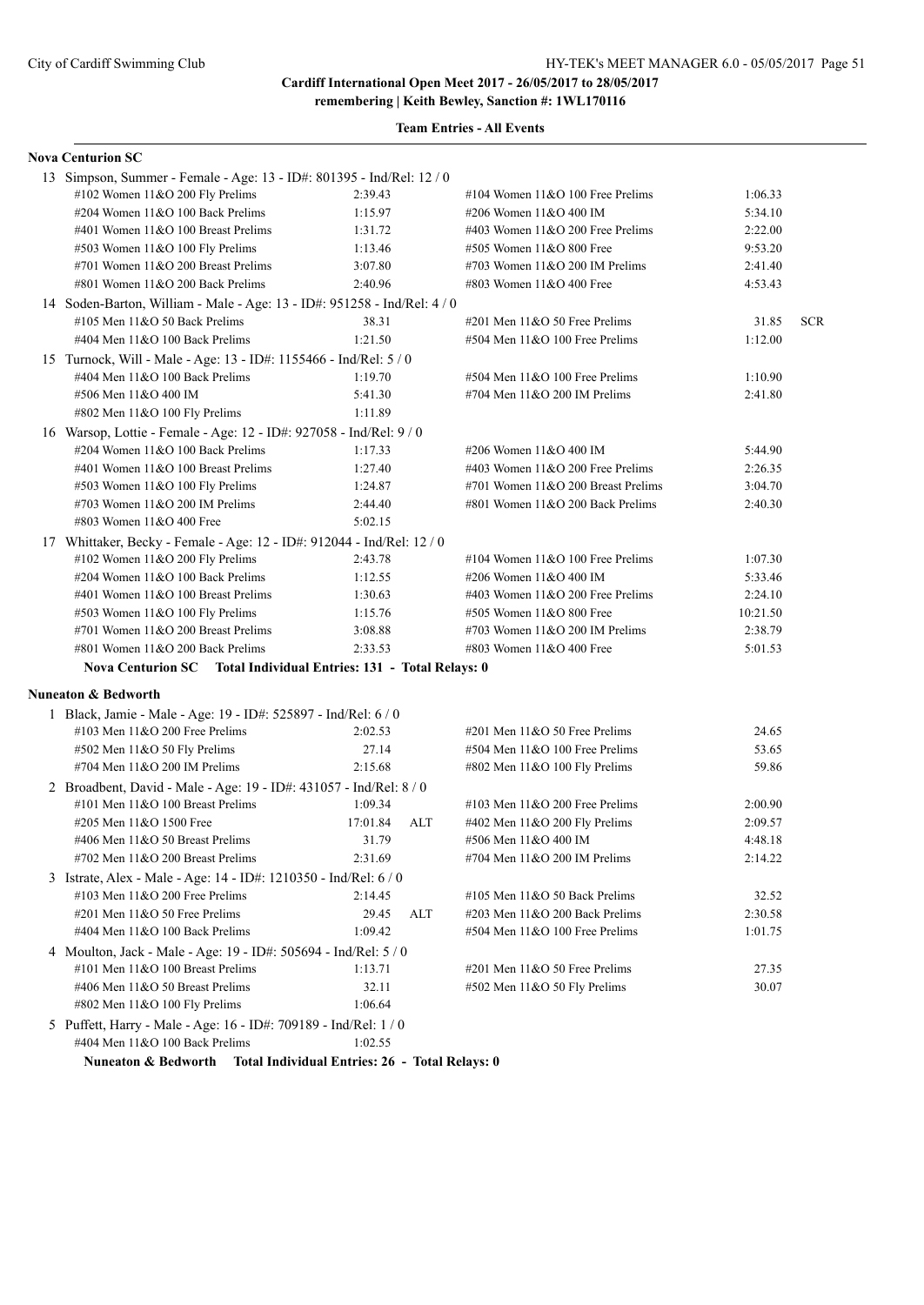**remembering | Keith Bewley, Sanction #: 1WL170116**

| <b>Nova Centurion SC</b>                                                 |                                                |                                    |          |            |
|--------------------------------------------------------------------------|------------------------------------------------|------------------------------------|----------|------------|
| 13 Simpson, Summer - Female - Age: 13 - ID#: 801395 - Ind/Rel: 12 / 0    |                                                |                                    |          |            |
| #102 Women 11&O 200 Fly Prelims                                          | 2:39.43                                        | #104 Women $11&O 100$ Free Prelims | 1:06.33  |            |
| #204 Women 11&O 100 Back Prelims                                         | 1:15.97                                        | #206 Women 11&O 400 IM             | 5:34.10  |            |
| #401 Women 11&O 100 Breast Prelims                                       | 1:31.72                                        | #403 Women $11&O$ 200 Free Prelims | 2:22.00  |            |
| #503 Women 11&O 100 Fly Prelims                                          | 1:13.46                                        | #505 Women 11&O 800 Free           | 9:53.20  |            |
| #701 Women $11&O$ 200 Breast Prelims                                     | 3:07.80                                        | #703 Women $11&O$ 200 IM Prelims   | 2:41.40  |            |
| #801 Women $11&O$ 200 Back Prelims                                       | 2:40.96                                        | #803 Women 11&O 400 Free           | 4:53.43  |            |
| 14 Soden-Barton, William - Male - Age: 13 - ID#: 951258 - Ind/Rel: 4 / 0 |                                                |                                    |          |            |
| #105 Men $11&050$ Back Prelims                                           | 38.31                                          | $\#201$ Men $11&O$ 50 Free Prelims | 31.85    | <b>SCR</b> |
| #404 Men 11&O 100 Back Prelims                                           | 1:21.50                                        | #504 Men 11&O 100 Free Prelims     | 1:12.00  |            |
| 15 Turnock, Will - Male - Age: 13 - ID#: 1155466 - Ind/Rel: 5 / 0        |                                                |                                    |          |            |
| #404 Men 11&O 100 Back Prelims                                           | 1:19.70                                        | #504 Men 11&O 100 Free Prelims     | 1:10.90  |            |
| #506 Men 11&O 400 IM                                                     | 5:41.30                                        | #704 Men 11&O 200 IM Prelims       | 2:41.80  |            |
| #802 Men 11&O 100 Fly Prelims                                            | 1:11.89                                        |                                    |          |            |
| 16 Warsop, Lottie - Female - Age: 12 - ID#: 927058 - Ind/Rel: 9 / 0      |                                                |                                    |          |            |
| #204 Women 11&O 100 Back Prelims                                         | 1:17.33                                        | #206 Women 11&O 400 IM             | 5:44.90  |            |
| #401 Women 11&O 100 Breast Prelims                                       | 1:27.40                                        | #403 Women $11&O$ 200 Free Prelims | 2:26.35  |            |
| #503 Women 11&O 100 Fly Prelims                                          | 1:24.87                                        | #701 Women 11&O 200 Breast Prelims | 3:04.70  |            |
| #703 Women $11&O$ 200 IM Prelims                                         | 2:44.40                                        | #801 Women 11&O 200 Back Prelims   | 2:40.30  |            |
| #803 Women 11&O 400 Free                                                 | 5:02.15                                        |                                    |          |            |
| 17 Whittaker, Becky - Female - Age: 12 - ID#: 912044 - Ind/Rel: 12 / 0   |                                                |                                    |          |            |
| #102 Women $11&O$ 200 Fly Prelims                                        | 2:43.78                                        | #104 Women $11&O$ 100 Free Prelims | 1:07.30  |            |
| #204 Women 11&O 100 Back Prelims                                         | 1:12.55                                        | #206 Women 11&O 400 IM             | 5:33.46  |            |
| #401 Women 11&O 100 Breast Prelims                                       | 1:30.63                                        | #403 Women $11&O$ 200 Free Prelims | 2:24.10  |            |
| #503 Women 11&O 100 Fly Prelims                                          | 1:15.76                                        | #505 Women 11&O 800 Free           | 10:21.50 |            |
| #701 Women 11&O 200 Breast Prelims                                       | 3:08.88                                        | #703 Women $11&O$ 200 IM Prelims   | 2:38.79  |            |
| #801 Women 11&O 200 Back Prelims                                         | 2:33.53                                        | #803 Women 11&O 400 Free           | 5:01.53  |            |
| Nova Centurion SC Total Individual Entries: 131 - Total Relays: 0        |                                                |                                    |          |            |
| <b>Nuneaton &amp; Bedworth</b>                                           |                                                |                                    |          |            |
| 1 Black, Jamie - Male - Age: 19 - ID#: 525897 - Ind/Rel: 6 / 0           |                                                |                                    |          |            |
| #103 Men $11&O$ 200 Free Prelims                                         | 2:02.53                                        | $\#201$ Men $11&O$ 50 Free Prelims | 24.65    |            |
| #502 Men 11&O 50 Fly Prelims                                             | 27.14                                          | #504 Men 11&O 100 Free Prelims     | 53.65    |            |
| #704 Men 11&O 200 IM Prelims                                             | 2:15.68                                        | #802 Men 11&O 100 Fly Prelims      | 59.86    |            |
| 2 Broadbent, David - Male - Age: 19 - ID#: 431057 - Ind/Rel: 8 / 0       |                                                |                                    |          |            |
| #101 Men 11&O 100 Breast Prelims                                         | 1:09.34                                        | #103 Men $11&O$ 200 Free Prelims   | 2:00.90  |            |
| #205 Men 11&O 1500 Free                                                  | 17:01.84<br>ALT                                | #402 Men 11&O 200 Fly Prelims      | 2:09.57  |            |
| #406 Men 11&O 50 Breast Prelims                                          | 31.79                                          | #506 Men 11&O 400 IM               | 4:48.18  |            |
| #702 Men 11&O 200 Breast Prelims                                         | 2:31.69                                        | #704 Men 11&O 200 IM Prelims       | 2:14.22  |            |
| 3 Istrate, Alex - Male - Age: 14 - ID#: 1210350 - Ind/Rel: 6 / 0         |                                                |                                    |          |            |
| #103 Men 11&O 200 Free Prelims                                           | 2:14.45                                        | #105 Men 11&O 50 Back Prelims      | 32.52    |            |
| #201 Men 11&O 50 Free Prelims                                            | 29.45<br>ALT                                   | #203 Men 11&O 200 Back Prelims     | 2:30.58  |            |
| #404 Men 11&O 100 Back Prelims                                           | 1:09.42                                        | #504 Men 11&O 100 Free Prelims     | 1:01.75  |            |
| 4 Moulton, Jack - Male - Age: 19 - ID#: 505694 - Ind/Rel: 5 / 0          |                                                |                                    |          |            |
| #101 Men 11&O 100 Breast Prelims                                         | 1:13.71                                        | #201 Men $11&050$ Free Prelims     | 27.35    |            |
| #406 Men 11&O 50 Breast Prelims                                          | 32.11                                          | #502 Men 11&O 50 Fly Prelims       | 30.07    |            |
| #802 Men 11&O 100 Fly Prelims                                            | 1:06.64                                        |                                    |          |            |
| 5 Puffett, Harry - Male - Age: 16 - ID#: 709189 - Ind/Rel: 1 / 0         |                                                |                                    |          |            |
| #404 Men 11&O 100 Back Prelims                                           | 1:02.55                                        |                                    |          |            |
| Nuneaton & Bedworth                                                      | Total Individual Entries: 26 - Total Relays: 0 |                                    |          |            |
|                                                                          |                                                |                                    |          |            |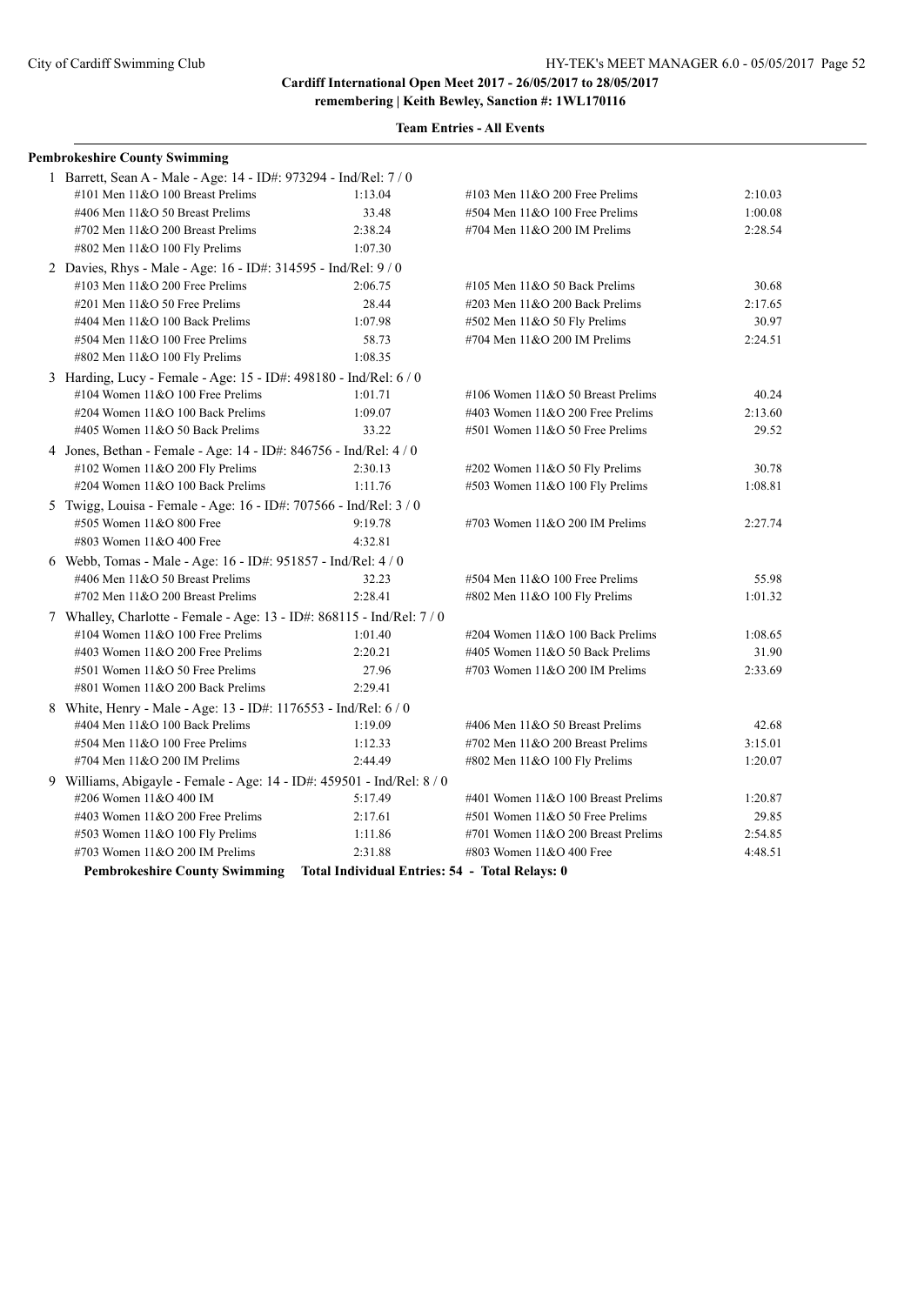| <b>Team Entries - All Events</b> |  |  |
|----------------------------------|--|--|
|----------------------------------|--|--|

| <b>Pembrokeshire County Swimming</b>                                                                                                                    |         |                                    |         |
|---------------------------------------------------------------------------------------------------------------------------------------------------------|---------|------------------------------------|---------|
| 1 Barrett, Sean A - Male - Age: 14 - ID#: 973294 - Ind/Rel: 7 / 0                                                                                       |         |                                    |         |
| #101 Men 11&O 100 Breast Prelims                                                                                                                        | 1:13.04 | #103 Men $11&O$ 200 Free Prelims   | 2:10.03 |
| #406 Men 11&O 50 Breast Prelims                                                                                                                         | 33.48   | #504 Men 11&O 100 Free Prelims     | 1:00.08 |
| #702 Men 11&O 200 Breast Prelims                                                                                                                        | 2:38.24 | #704 Men 11&O 200 IM Prelims       | 2:28.54 |
| #802 Men 11&O 100 Fly Prelims                                                                                                                           | 1:07.30 |                                    |         |
| 2 Davies, Rhys - Male - Age: 16 - ID#: 314595 - Ind/Rel: 9 / 0                                                                                          |         |                                    |         |
| #103 Men 11&O 200 Free Prelims                                                                                                                          | 2:06.75 | #105 Men $11&O$ 50 Back Prelims    | 30.68   |
| #201 Men 11&O 50 Free Prelims                                                                                                                           | 28.44   | #203 Men 11&O 200 Back Prelims     | 2:17.65 |
| #404 Men 11&O 100 Back Prelims                                                                                                                          | 1:07.98 | $#502$ Men 11&O 50 Fly Prelims     | 30.97   |
| #504 Men 11&O 100 Free Prelims                                                                                                                          | 58.73   | #704 Men 11&O 200 IM Prelims       | 2:24.51 |
| #802 Men 11&O 100 Fly Prelims                                                                                                                           | 1:08.35 |                                    |         |
| 3 Harding, Lucy - Female - Age: 15 - ID#: 498180 - Ind/Rel: 6 / 0                                                                                       |         |                                    |         |
| #104 Women $11&O 100$ Free Prelims                                                                                                                      | 1:01.71 | #106 Women 11&O 50 Breast Prelims  | 40.24   |
| #204 Women 11&O 100 Back Prelims                                                                                                                        | 1:09.07 | #403 Women 11&O 200 Free Prelims   | 2:13.60 |
| #405 Women 11&O 50 Back Prelims                                                                                                                         | 33.22   | #501 Women 11&O 50 Free Prelims    | 29.52   |
| 4 Jones, Bethan - Female - Age: 14 - ID#: 846756 - Ind/Rel: 4/0                                                                                         |         |                                    |         |
| #102 Women $11&O$ 200 Fly Prelims                                                                                                                       | 2:30.13 | #202 Women 11&O 50 Fly Prelims     | 30.78   |
| #204 Women 11&O 100 Back Prelims                                                                                                                        | 1:11.76 | #503 Women 11&O 100 Fly Prelims    | 1:08.81 |
| 5 Twigg, Louisa - Female - Age: 16 - ID#: 707566 - Ind/Rel: 3 / 0                                                                                       |         |                                    |         |
| #505 Women 11&O 800 Free                                                                                                                                | 9:19.78 | #703 Women 11&O 200 IM Prelims     | 2:27.74 |
| #803 Women 11&O 400 Free                                                                                                                                | 4:32.81 |                                    |         |
| 6 Webb, Tomas - Male - Age: 16 - ID#: 951857 - Ind/Rel: 4 / 0                                                                                           |         |                                    |         |
| #406 Men 11&O 50 Breast Prelims                                                                                                                         | 32.23   | #504 Men 11&O 100 Free Prelims     | 55.98   |
| #702 Men 11&O 200 Breast Prelims                                                                                                                        | 2:28.41 | #802 Men 11&O 100 Fly Prelims      | 1:01.32 |
| 7 Whalley, Charlotte - Female - Age: 13 - ID#: 868115 - Ind/Rel: 7 / 0                                                                                  |         |                                    |         |
| #104 Women $11&O$ 100 Free Prelims                                                                                                                      | 1:01.40 | #204 Women 11&O 100 Back Prelims   | 1:08.65 |
| #403 Women 11&O 200 Free Prelims                                                                                                                        | 2:20.21 | #405 Women 11&O 50 Back Prelims    | 31.90   |
| #501 Women 11&O 50 Free Prelims                                                                                                                         | 27.96   | #703 Women 11&O 200 IM Prelims     | 2:33.69 |
| #801 Women 11&O 200 Back Prelims                                                                                                                        | 2:29.41 |                                    |         |
| 8 White, Henry - Male - Age: 13 - ID#: 1176553 - Ind/Rel: 6 / 0                                                                                         |         |                                    |         |
| #404 Men 11&O 100 Back Prelims                                                                                                                          | 1:19.09 | #406 Men 11&O 50 Breast Prelims    | 42.68   |
| #504 Men 11&O 100 Free Prelims                                                                                                                          | 1:12.33 | #702 Men 11&O 200 Breast Prelims   | 3:15.01 |
| #704 Men 11&O 200 IM Prelims                                                                                                                            | 2:44.49 | #802 Men $11&O$ 100 Fly Prelims    | 1:20.07 |
| 9 Williams, Abigayle - Female - Age: 14 - ID#: 459501 - Ind/Rel: 8 / 0                                                                                  |         |                                    |         |
| #206 Women 11&O 400 IM                                                                                                                                  | 5:17.49 | #401 Women 11&O 100 Breast Prelims | 1:20.87 |
| #403 Women 11&O 200 Free Prelims                                                                                                                        | 2:17.61 | #501 Women 11&O 50 Free Prelims    | 29.85   |
| #503 Women 11&O 100 Fly Prelims                                                                                                                         | 1:11.86 | #701 Women 11&O 200 Breast Prelims | 2:54.85 |
| #703 Women 11&O 200 IM Prelims                                                                                                                          | 2:31.88 | #803 Women 11&O 400 Free           | 4:48.51 |
| $\mathbf{D}$ if $\mathbf{D}$ is a set of $\mathbf{D}$ and $\mathbf{D}$ is the set of $\mathbf{D}$ is the set of $\mathbf{D}$ is the set of $\mathbf{D}$ |         |                                    |         |

**Pembrokeshire County Swimming Total Individual Entries: 54 - Total Relays: 0**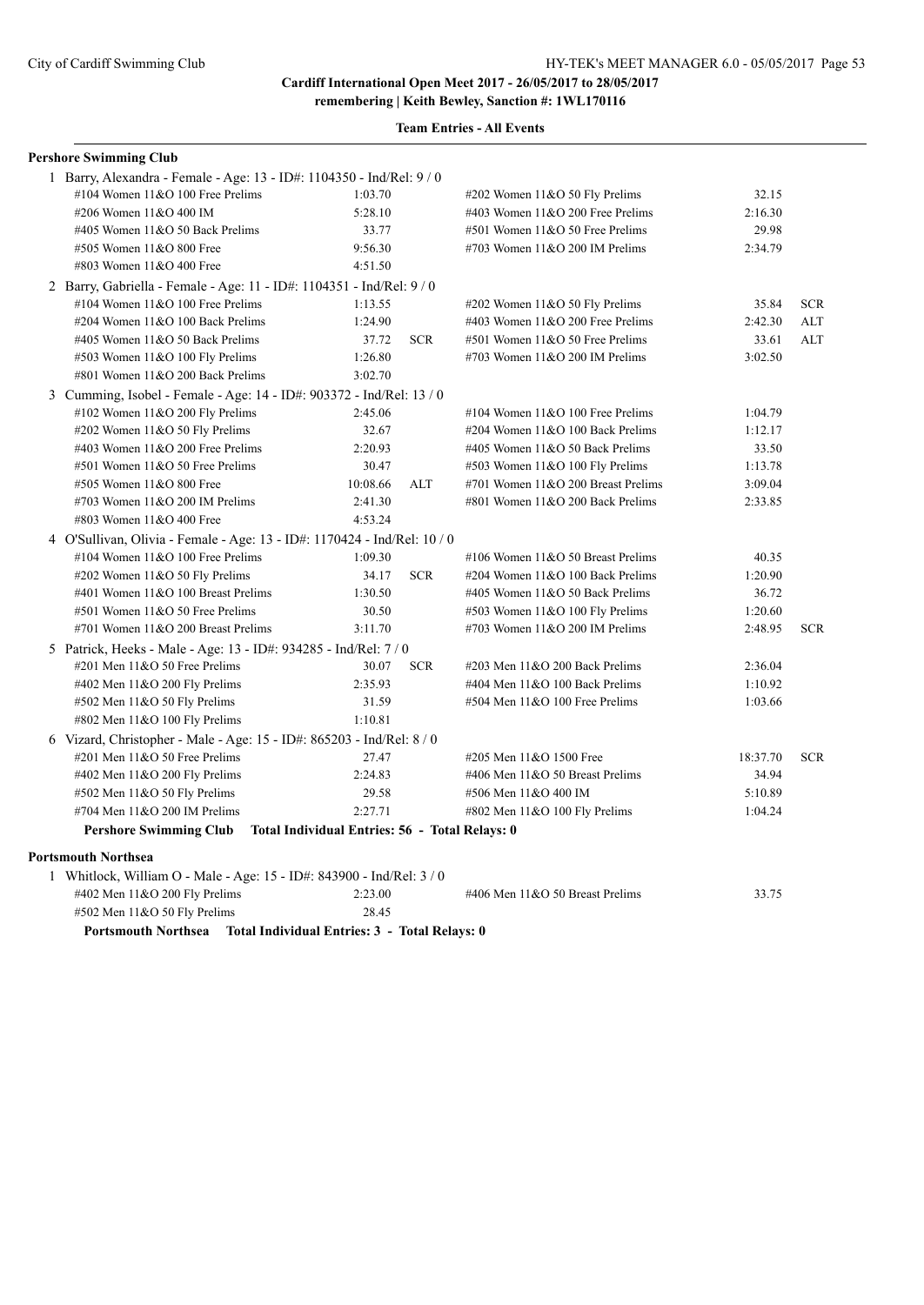| <b>Pershore Swimming Club</b>                                          |                                                |            |                                    |          |            |
|------------------------------------------------------------------------|------------------------------------------------|------------|------------------------------------|----------|------------|
| 1 Barry, Alexandra - Female - Age: 13 - ID#: 1104350 - Ind/Rel: 9 / 0  |                                                |            |                                    |          |            |
| #104 Women 11&O 100 Free Prelims                                       | 1:03.70                                        |            | #202 Women 11&O 50 Fly Prelims     | 32.15    |            |
| #206 Women 11&O 400 IM                                                 | 5:28.10                                        |            | #403 Women 11&O 200 Free Prelims   | 2:16.30  |            |
| #405 Women 11&O 50 Back Prelims                                        | 33.77                                          |            | #501 Women 11&O 50 Free Prelims    | 29.98    |            |
| #505 Women 11&O 800 Free                                               | 9:56.30                                        |            | #703 Women 11&O 200 IM Prelims     | 2:34.79  |            |
| #803 Women 11&O 400 Free                                               | 4:51.50                                        |            |                                    |          |            |
| 2 Barry, Gabriella - Female - Age: 11 - ID#: 1104351 - Ind/Rel: 9 / 0  |                                                |            |                                    |          |            |
| #104 Women $11&O$ 100 Free Prelims                                     | 1:13.55                                        |            | #202 Women 11&O 50 Fly Prelims     | 35.84    | <b>SCR</b> |
| #204 Women 11&O 100 Back Prelims                                       | 1:24.90                                        |            | #403 Women 11&O 200 Free Prelims   | 2:42.30  | <b>ALT</b> |
| #405 Women 11&O 50 Back Prelims                                        | 37.72                                          | <b>SCR</b> | #501 Women 11&O 50 Free Prelims    | 33.61    | ALT        |
| #503 Women 11&O 100 Fly Prelims                                        | 1:26.80                                        |            | #703 Women 11&O 200 IM Prelims     | 3:02.50  |            |
| #801 Women 11&O 200 Back Prelims                                       | 3:02.70                                        |            |                                    |          |            |
| 3 Cumming, Isobel - Female - Age: 14 - ID#: 903372 - Ind/Rel: 13 / 0   |                                                |            |                                    |          |            |
| #102 Women 11&O 200 Fly Prelims                                        | 2:45.06                                        |            | #104 Women $11&O 100$ Free Prelims | 1:04.79  |            |
| #202 Women $11&050$ Fly Prelims                                        | 32.67                                          |            | #204 Women 11&O 100 Back Prelims   | 1:12.17  |            |
| #403 Women 11&O 200 Free Prelims                                       | 2:20.93                                        |            | #405 Women $11&O$ 50 Back Prelims  | 33.50    |            |
| #501 Women 11&O 50 Free Prelims                                        | 30.47                                          |            | #503 Women 11&O 100 Fly Prelims    | 1:13.78  |            |
| #505 Women 11&O 800 Free                                               | 10:08.66                                       | ALT        | #701 Women 11&O 200 Breast Prelims | 3:09.04  |            |
| #703 Women $11&O$ 200 IM Prelims                                       | 2:41.30                                        |            | #801 Women 11&O 200 Back Prelims   | 2:33.85  |            |
| #803 Women 11&O 400 Free                                               | 4:53.24                                        |            |                                    |          |            |
| 4 O'Sullivan, Olivia - Female - Age: 13 - ID#: 1170424 - Ind/Rel: 10/0 |                                                |            |                                    |          |            |
| #104 Women 11&O 100 Free Prelims                                       | 1:09.30                                        |            | #106 Women 11&O 50 Breast Prelims  | 40.35    |            |
| #202 Women 11&O 50 Fly Prelims                                         | 34.17                                          | <b>SCR</b> | #204 Women 11&O 100 Back Prelims   | 1:20.90  |            |
| #401 Women 11&O 100 Breast Prelims                                     | 1:30.50                                        |            | #405 Women 11&O 50 Back Prelims    | 36.72    |            |
| #501 Women 11&O 50 Free Prelims                                        | 30.50                                          |            | #503 Women 11&O 100 Fly Prelims    | 1:20.60  |            |
| #701 Women 11&O 200 Breast Prelims                                     | 3:11.70                                        |            | #703 Women 11&O 200 IM Prelims     | 2:48.95  | <b>SCR</b> |
| 5 Patrick, Heeks - Male - Age: 13 - ID#: 934285 - Ind/Rel: 7/0         |                                                |            |                                    |          |            |
| #201 Men 11&O 50 Free Prelims                                          | 30.07                                          | <b>SCR</b> | #203 Men 11&O 200 Back Prelims     | 2:36.04  |            |
| #402 Men $11&O$ 200 Fly Prelims                                        | 2:35.93                                        |            | #404 Men 11&O 100 Back Prelims     | 1:10.92  |            |
| $#502$ Men 11&O 50 Fly Prelims                                         | 31.59                                          |            | #504 Men 11&O 100 Free Prelims     | 1:03.66  |            |
| #802 Men 11&O 100 Fly Prelims                                          | 1:10.81                                        |            |                                    |          |            |
| 6 Vizard, Christopher - Male - Age: 15 - ID#: 865203 - Ind/Rel: 8 / 0  |                                                |            |                                    |          |            |
| #201 Men 11&O 50 Free Prelims                                          | 27.47                                          |            | #205 Men 11&O 1500 Free            | 18:37.70 | <b>SCR</b> |
| #402 Men 11&O 200 Fly Prelims                                          | 2:24.83                                        |            | #406 Men 11&O 50 Breast Prelims    | 34.94    |            |
| #502 Men 11&O 50 Fly Prelims                                           | 29.58                                          |            | #506 Men 11&O 400 IM               | 5:10.89  |            |
| #704 Men 11&O 200 IM Prelims                                           | 2:27.71                                        |            | #802 Men 11&O 100 Fly Prelims      | 1:04.24  |            |
| <b>Pershore Swimming Club</b>                                          | Total Individual Entries: 56 - Total Relays: 0 |            |                                    |          |            |
| <b>Portsmouth Northsea</b>                                             |                                                |            |                                    |          |            |
| 1 Whitlock, William O - Male - Age: 15 - ID#: 843900 - Ind/Rel: 3 / 0  |                                                |            |                                    |          |            |
| #402 Men 11&O 200 Fly Prelims                                          | 2:23.00                                        |            | #406 Men 11&O 50 Breast Prelims    | 33.75    |            |
| #502 Men 11&O 50 Fly Prelims                                           | 28.45                                          |            |                                    |          |            |
| Portsmouth Northsea Total Individual Entries: 3 - Total Relays: 0      |                                                |            |                                    |          |            |
|                                                                        |                                                |            |                                    |          |            |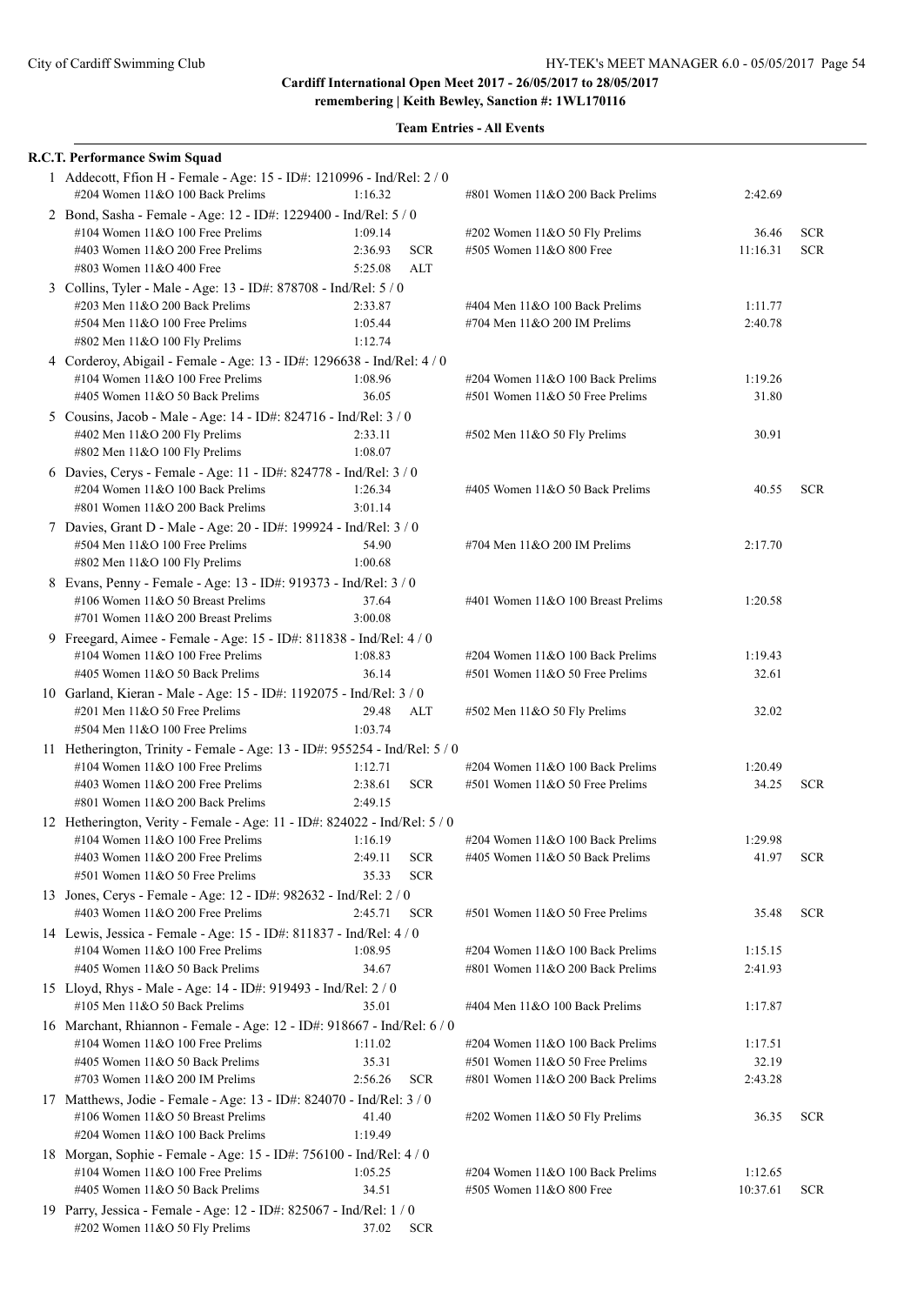| <b>R.C.T. Performance Swim Squad</b>                                                                                                                                                       |                                                         |                                                                                                         |                             |                          |
|--------------------------------------------------------------------------------------------------------------------------------------------------------------------------------------------|---------------------------------------------------------|---------------------------------------------------------------------------------------------------------|-----------------------------|--------------------------|
| 1 Addecott, Ffion H - Female - Age: 15 - ID#: 1210996 - Ind/Rel: 2 / 0<br>#204 Women 11&O 100 Back Prelims                                                                                 | 1:16.32                                                 | #801 Women 11&O 200 Back Prelims                                                                        | 2:42.69                     |                          |
| 2 Bond, Sasha - Female - Age: 12 - ID#: 1229400 - Ind/Rel: 5 / 0<br>#104 Women $11&O 100$ Free Prelims<br>#403 Women $11&O$ 200 Free Prelims<br>#803 Women 11&O 400 Free                   | 1:09.14<br>2:36.93<br><b>SCR</b><br>5:25.08<br>ALT      | #202 Women 11&O 50 Fly Prelims<br>#505 Women 11&O 800 Free                                              | 36.46<br>11:16.31           | <b>SCR</b><br><b>SCR</b> |
| 3 Collins, Tyler - Male - Age: 13 - ID#: 878708 - Ind/Rel: 5 / 0<br>#203 Men $11&O$ 200 Back Prelims<br>#504 Men 11&O 100 Free Prelims<br>#802 Men 11&O 100 Fly Prelims                    | 2:33.87<br>1:05.44<br>1:12.74                           | #404 Men 11&O 100 Back Prelims<br>#704 Men $11&O$ 200 IM Prelims                                        | 1:11.77<br>2:40.78          |                          |
| 4 Corderoy, Abigail - Female - Age: 13 - ID#: 1296638 - Ind/Rel: 4 / 0<br>#104 Women $11&O 100$ Free Prelims<br>#405 Women 11&O 50 Back Prelims                                            | 1:08.96<br>36.05                                        | #204 Women 11&O 100 Back Prelims<br>#501 Women 11&O 50 Free Prelims                                     | 1:19.26<br>31.80            |                          |
| 5 Cousins, Jacob - Male - Age: 14 - ID#: 824716 - Ind/Rel: 3 / 0<br>#402 Men 11&O 200 Fly Prelims<br>#802 Men 11&O 100 Fly Prelims                                                         | 2:33.11<br>1:08.07                                      | #502 Men 11&O 50 Fly Prelims                                                                            | 30.91                       |                          |
| 6 Davies, Cerys - Female - Age: 11 - ID#: 824778 - Ind/Rel: 3 / 0<br>#204 Women 11&O 100 Back Prelims<br>#801 Women 11&O 200 Back Prelims                                                  | 1:26.34<br>3:01.14                                      | #405 Women $11&O$ 50 Back Prelims                                                                       | 40.55                       | <b>SCR</b>               |
| 7 Davies, Grant D - Male - Age: 20 - ID#: 199924 - Ind/Rel: 3 / 0<br>#504 Men 11&O 100 Free Prelims<br>#802 Men 11&O 100 Fly Prelims                                                       | 54.90<br>1:00.68                                        | #704 Men $11&O$ 200 IM Prelims                                                                          | 2:17.70                     |                          |
| 8 Evans, Penny - Female - Age: 13 - ID#: 919373 - Ind/Rel: 3 / 0<br>#106 Women 11&O 50 Breast Prelims<br>#701 Women 11&O 200 Breast Prelims                                                | 37.64<br>3:00.08                                        | #401 Women 11&O 100 Breast Prelims                                                                      | 1:20.58                     |                          |
| 9 Freegard, Aimee - Female - Age: 15 - ID#: 811838 - Ind/Rel: 4 / 0<br>#104 Women $11&O$ 100 Free Prelims<br>#405 Women 11&O 50 Back Prelims                                               | 1:08.83<br>36.14                                        | #204 Women 11&O 100 Back Prelims<br>#501 Women 11&O 50 Free Prelims                                     | 1:19.43<br>32.61            |                          |
| 10 Garland, Kieran - Male - Age: 15 - ID#: 1192075 - Ind/Rel: 3 / 0<br>$\#201$ Men $11&O$ 50 Free Prelims<br>#504 Men 11&O 100 Free Prelims                                                | 29.48<br>ALT<br>1:03.74                                 | #502 Men 11&O 50 Fly Prelims                                                                            | 32.02                       |                          |
| 11 Hetherington, Trinity - Female - Age: 13 - ID#: 955254 - Ind/Rel: 5 / 0<br>#104 Women $11&O$ 100 Free Prelims<br>#403 Women 11&O 200 Free Prelims<br>#801 Women $11&O$ 200 Back Prelims | 1:12.71<br>2:38.61<br><b>SCR</b><br>2:49.15             | #204 Women $11&O 100$ Back Prelims<br>#501 Women 11&O 50 Free Prelims                                   | 1:20.49<br>34.25            | <b>SCR</b>               |
| 12 Hetherington, Verity - Female - Age: 11 - ID#: 824022 - Ind/Rel: 5 / 0<br>#104 Women $11&O$ 100 Free Prelims<br>#403 Women 11&O 200 Free Prelims<br>#501 Women 11&O 50 Free Prelims     | 1:16.19<br>2:49.11<br><b>SCR</b><br>35.33<br><b>SCR</b> | #204 Women 11&O 100 Back Prelims<br>#405 Women 11&O 50 Back Prelims                                     | 1:29.98<br>41.97            | <b>SCR</b>               |
| 13 Jones, Cerys - Female - Age: 12 - ID#: 982632 - Ind/Rel: 2 / 0<br>#403 Women 11&O 200 Free Prelims                                                                                      | 2:45.71<br><b>SCR</b>                                   | #501 Women 11&O 50 Free Prelims                                                                         | 35.48                       | <b>SCR</b>               |
| 14 Lewis, Jessica - Female - Age: 15 - ID#: 811837 - Ind/Rel: 4 / 0<br>#104 Women 11&O 100 Free Prelims<br>#405 Women 11&O 50 Back Prelims                                                 | 1:08.95<br>34.67                                        | #204 Women 11&O 100 Back Prelims<br>#801 Women 11&O 200 Back Prelims                                    | 1:15.15<br>2:41.93          |                          |
| 15 Lloyd, Rhys - Male - Age: 14 - ID#: 919493 - Ind/Rel: 2 / 0<br>#105 Men 11&O 50 Back Prelims                                                                                            | 35.01                                                   | #404 Men 11&O 100 Back Prelims                                                                          | 1:17.87                     |                          |
| 16 Marchant, Rhiannon - Female - Age: 12 - ID#: 918667 - Ind/Rel: 6 / 0<br>#104 Women 11&O 100 Free Prelims<br>#405 Women 11&O 50 Back Prelims<br>#703 Women 11&O 200 IM Prelims           | 1:11.02<br>35.31<br>2:56.26<br><b>SCR</b>               | #204 Women 11&O 100 Back Prelims<br>#501 Women 11&O 50 Free Prelims<br>#801 Women 11&O 200 Back Prelims | 1:17.51<br>32.19<br>2:43.28 |                          |
| 17 Matthews, Jodie - Female - Age: 13 - ID#: 824070 - Ind/Rel: 3 / 0<br>#106 Women 11&O 50 Breast Prelims<br>#204 Women 11&O 100 Back Prelims                                              | 41.40<br>1:19.49                                        | #202 Women 11&O 50 Fly Prelims                                                                          | 36.35                       | <b>SCR</b>               |
| 18 Morgan, Sophie - Female - Age: 15 - ID#: 756100 - Ind/Rel: 4 / 0<br>#104 Women 11&O 100 Free Prelims<br>#405 Women 11&O 50 Back Prelims                                                 | 1:05.25<br>34.51                                        | #204 Women 11&O 100 Back Prelims<br>#505 Women 11&O 800 Free                                            | 1:12.65<br>10:37.61         | <b>SCR</b>               |
| 19 Parry, Jessica - Female - Age: 12 - ID#: 825067 - Ind/Rel: 1 / 0<br>#202 Women 11&O 50 Fly Prelims                                                                                      | 37.02<br><b>SCR</b>                                     |                                                                                                         |                             |                          |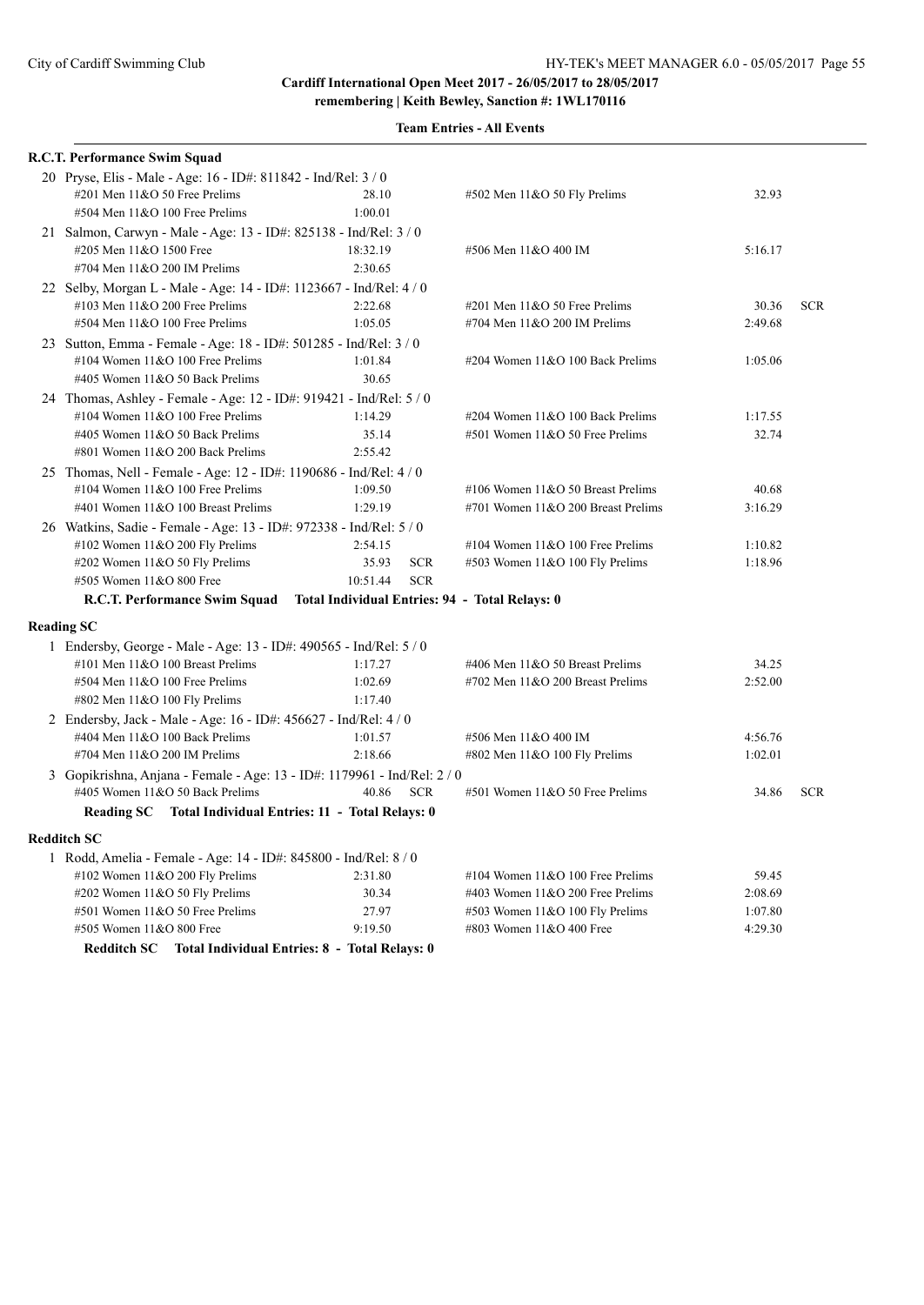| R.C.T. Performance Swim Squad                                                                          |                        |                                                |         |            |
|--------------------------------------------------------------------------------------------------------|------------------------|------------------------------------------------|---------|------------|
| 20 Pryse, Elis - Male - Age: 16 - ID#: 811842 - Ind/Rel: 3 / 0                                         |                        |                                                |         |            |
| #201 Men 11&O 50 Free Prelims                                                                          | 28.10                  | $#502$ Men $11&O 50$ Fly Prelims               | 32.93   |            |
| #504 Men 11&O 100 Free Prelims                                                                         | 1:00.01                |                                                |         |            |
| 21 Salmon, Carwyn - Male - Age: 13 - ID#: 825138 - Ind/Rel: 3 / 0                                      |                        |                                                |         |            |
| #205 Men 11&O 1500 Free                                                                                | 18:32.19               | #506 Men 11&O 400 IM                           | 5:16.17 |            |
| #704 Men 11&O 200 IM Prelims                                                                           | 2:30.65                |                                                |         |            |
| 22 Selby, Morgan L - Male - Age: 14 - ID#: 1123667 - Ind/Rel: 4 / 0                                    |                        |                                                |         |            |
| #103 Men 11&O 200 Free Prelims                                                                         | 2:22.68                | $\#201$ Men $11&O$ 50 Free Prelims             | 30.36   | <b>SCR</b> |
| #504 Men 11&O 100 Free Prelims                                                                         | 1:05.05                | #704 Men 11&O 200 IM Prelims                   | 2:49.68 |            |
| 23 Sutton, Emma - Female - Age: 18 - ID#: 501285 - Ind/Rel: 3 / 0                                      |                        |                                                |         |            |
| #104 Women 11&O 100 Free Prelims                                                                       | 1:01.84                | #204 Women 11&O 100 Back Prelims               | 1:05.06 |            |
| #405 Women 11&O 50 Back Prelims                                                                        | 30.65                  |                                                |         |            |
| 24 Thomas, Ashley - Female - Age: 12 - ID#: 919421 - Ind/Rel: 5 / 0                                    |                        |                                                |         |            |
| #104 Women $11&O$ 100 Free Prelims                                                                     | 1:14.29                | #204 Women 11&O 100 Back Prelims               | 1:17.55 |            |
| #405 Women 11&O 50 Back Prelims                                                                        | 35.14                  | #501 Women 11&O 50 Free Prelims                | 32.74   |            |
| #801 Women 11&O 200 Back Prelims                                                                       | 2:55.42                |                                                |         |            |
| 25 Thomas, Nell - Female - Age: 12 - ID#: 1190686 - Ind/Rel: 4 / 0                                     |                        |                                                |         |            |
| #104 Women $11&O$ 100 Free Prelims                                                                     | 1:09.50                | #106 Women 11&O 50 Breast Prelims              | 40.68   |            |
| #401 Women 11&O 100 Breast Prelims                                                                     | 1:29.19                | #701 Women $11&O$ 200 Breast Prelims           | 3:16.29 |            |
| 26 Watkins, Sadie - Female - Age: 13 - ID#: 972338 - Ind/Rel: 5 / 0                                    |                        |                                                |         |            |
| #102 Women $11&O$ 200 Fly Prelims                                                                      | 2:54.15                | #104 Women $11&O 100$ Free Prelims             | 1:10.82 |            |
| #202 Women 11&O 50 Fly Prelims                                                                         | 35.93<br><b>SCR</b>    | #503 Women 11&O 100 Fly Prelims                | 1:18.96 |            |
| #505 Women 11&O 800 Free                                                                               | 10:51.44<br><b>SCR</b> |                                                |         |            |
| R.C.T. Performance Swim Squad                                                                          |                        | Total Individual Entries: 94 - Total Relays: 0 |         |            |
|                                                                                                        |                        |                                                |         |            |
| <b>Reading SC</b>                                                                                      |                        |                                                |         |            |
| 1 Endersby, George - Male - Age: 13 - ID#: 490565 - Ind/Rel: 5 / 0<br>#101 Men 11&O 100 Breast Prelims |                        |                                                |         |            |
|                                                                                                        | 1:17.27                | #406 Men 11&O 50 Breast Prelims                | 34.25   |            |
| #504 Men 11&O 100 Free Prelims                                                                         | 1:02.69<br>1:17.40     | #702 Men 11&O 200 Breast Prelims               | 2:52.00 |            |
| #802 Men 11&O 100 Fly Prelims                                                                          |                        |                                                |         |            |
| 2 Endersby, Jack - Male - Age: 16 - ID#: 456627 - Ind/Rel: 4 / 0                                       |                        |                                                |         |            |
| #404 Men 11&O 100 Back Prelims                                                                         | 1:01.57                | #506 Men 11&O 400 IM                           | 4:56.76 |            |
| #704 Men 11&O 200 IM Prelims                                                                           | 2:18.66                | #802 Men $11&O 100$ Fly Prelims                | 1:02.01 |            |
| 3 Gopikrishna, Anjana - Female - Age: 13 - ID#: 1179961 - Ind/Rel: 2 / 0                               |                        |                                                |         |            |
| #405 Women 11&O 50 Back Prelims                                                                        | 40.86<br><b>SCR</b>    | #501 Women 11&O 50 Free Prelims                | 34.86   | <b>SCR</b> |
| Reading SC Total Individual Entries: 11 - Total Relays: 0                                              |                        |                                                |         |            |
| Redditch SC                                                                                            |                        |                                                |         |            |
| 1 Rodd, Amelia - Female - Age: 14 - ID#: 845800 - Ind/Rel: 8 / 0                                       |                        |                                                |         |            |
| #102 Women 11&O 200 Fly Prelims                                                                        | 2:31.80                | #104 Women $11&O$ 100 Free Prelims             | 59.45   |            |
| #202 Women 11&O 50 Fly Prelims                                                                         | 30.34                  | #403 Women 11&O 200 Free Prelims               | 2:08.69 |            |
| #501 Women 11&O 50 Free Prelims                                                                        | 27.97                  | #503 Women 11&O 100 Fly Prelims                | 1:07.80 |            |
| #505 Women 11&O 800 Free                                                                               | 9:19.50                | #803 Women 11&O 400 Free                       | 4:29.30 |            |
| Redditch SC Total Individual Entries: 8 - Total Relays: 0                                              |                        |                                                |         |            |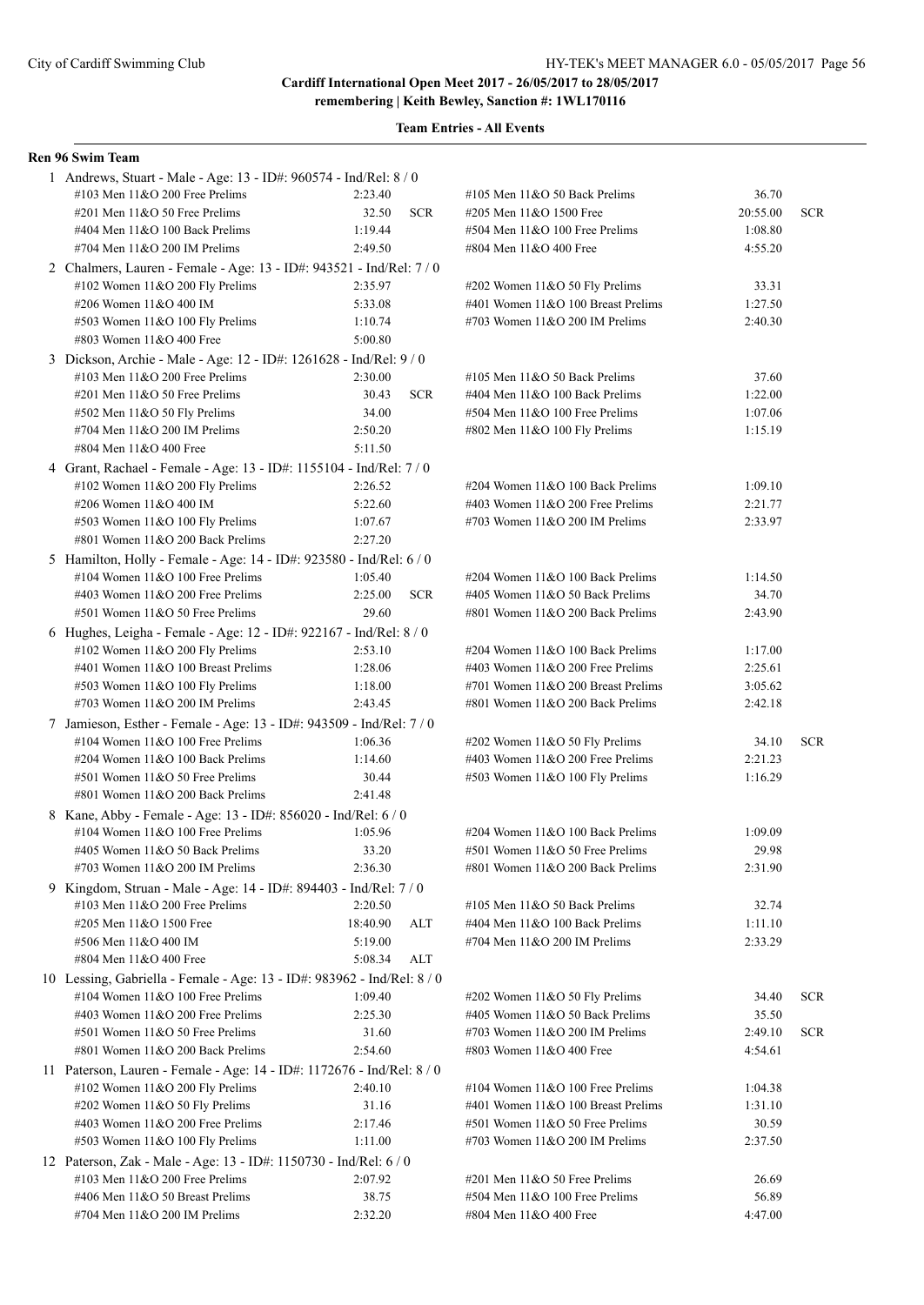**Team Entries - All Events**

#### **Ren 96 Swim Team**

| 1 Andrews, Stuart - Male - Age: 13 - ID#: 960574 - Ind/Rel: 8 / 0                                       |                    |            |                                                                     |          |            |
|---------------------------------------------------------------------------------------------------------|--------------------|------------|---------------------------------------------------------------------|----------|------------|
| #103 Men $11&O$ 200 Free Prelims                                                                        | 2:23.40            |            | #105 Men 11&O 50 Back Prelims                                       | 36.70    |            |
| #201 Men $11&0$ 50 Free Prelims                                                                         | 32.50              | <b>SCR</b> | #205 Men 11&O 1500 Free                                             | 20:55.00 | <b>SCR</b> |
| #404 Men 11&O 100 Back Prelims                                                                          | 1:19.44            |            | $#504$ Men $11&O$ 100 Free Prelims                                  | 1:08.80  |            |
| #704 Men 11&O 200 IM Prelims                                                                            | 2:49.50            |            | #804 Men 11&O 400 Free                                              | 4:55.20  |            |
| 2 Chalmers, Lauren - Female - Age: 13 - ID#: 943521 - Ind/Rel: 7/0                                      |                    |            |                                                                     |          |            |
| #102 Women 11&O 200 Fly Prelims                                                                         | 2:35.97            |            | #202 Women 11&O 50 Fly Prelims                                      | 33.31    |            |
| #206 Women 11&O 400 IM                                                                                  | 5:33.08            |            | #401 Women 11&O 100 Breast Prelims                                  | 1:27.50  |            |
| #503 Women 11&O 100 Fly Prelims                                                                         | 1:10.74            |            | #703 Women $11&O$ 200 IM Prelims                                    | 2:40.30  |            |
| #803 Women 11&O 400 Free                                                                                | 5:00.80            |            |                                                                     |          |            |
| 3 Dickson, Archie - Male - Age: 12 - ID#: 1261628 - Ind/Rel: 9 / 0                                      |                    |            |                                                                     |          |            |
| #103 Men 11&O 200 Free Prelims                                                                          | 2:30.00            |            | #105 Men $11&O$ 50 Back Prelims                                     | 37.60    |            |
| #201 Men 11&O 50 Free Prelims                                                                           | 30.43              | <b>SCR</b> | #404 Men 11&O 100 Back Prelims                                      | 1:22.00  |            |
| #502 Men 11&O 50 Fly Prelims                                                                            | 34.00              |            | #504 Men 11&O 100 Free Prelims                                      | 1:07.06  |            |
| #704 Men 11&O 200 IM Prelims                                                                            | 2:50.20            |            | #802 Men 11&O 100 Fly Prelims                                       | 1:15.19  |            |
| #804 Men 11&O 400 Free                                                                                  | 5:11.50            |            |                                                                     |          |            |
| 4 Grant, Rachael - Female - Age: 13 - ID#: 1155104 - Ind/Rel: 7 / 0                                     |                    |            |                                                                     |          |            |
| #102 Women 11&O 200 Fly Prelims                                                                         | 2:26.52            |            | #204 Women 11&O 100 Back Prelims                                    | 1:09.10  |            |
| #206 Women 11&O 400 IM                                                                                  | 5:22.60            |            | #403 Women $11&O$ 200 Free Prelims                                  | 2:21.77  |            |
| #503 Women 11&O 100 Fly Prelims                                                                         | 1:07.67            |            | #703 Women $11&O$ 200 IM Prelims                                    | 2:33.97  |            |
| #801 Women 11&O 200 Back Prelims                                                                        | 2:27.20            |            |                                                                     |          |            |
|                                                                                                         |                    |            |                                                                     |          |            |
| 5 Hamilton, Holly - Female - Age: 14 - ID#: 923580 - Ind/Rel: 6 / 0<br>#104 Women 11&O 100 Free Prelims |                    |            | #204 Women 11&O 100 Back Prelims                                    | 1:14.50  |            |
| #403 Women 11&O 200 Free Prelims                                                                        | 1:05.40<br>2:25.00 | <b>SCR</b> |                                                                     |          |            |
|                                                                                                         |                    |            | #405 Women 11&O 50 Back Prelims<br>#801 Women 11&O 200 Back Prelims | 34.70    |            |
| #501 Women 11&O 50 Free Prelims                                                                         | 29.60              |            |                                                                     | 2:43.90  |            |
| 6 Hughes, Leigha - Female - Age: 12 - ID#: 922167 - Ind/Rel: 8 / 0                                      |                    |            |                                                                     |          |            |
| #102 Women 11&O 200 Fly Prelims                                                                         | 2:53.10            |            | #204 Women 11&O 100 Back Prelims                                    | 1:17.00  |            |
| #401 Women 11&O 100 Breast Prelims                                                                      | 1:28.06            |            | #403 Women $11&O$ 200 Free Prelims                                  | 2:25.61  |            |
| #503 Women 11&O 100 Fly Prelims                                                                         | 1:18.00            |            | #701 Women 11&O 200 Breast Prelims                                  | 3:05.62  |            |
| #703 Women 11&O 200 IM Prelims                                                                          | 2:43.45            |            | #801 Women 11&O 200 Back Prelims                                    | 2:42.18  |            |
| 7 Jamieson, Esther - Female - Age: 13 - ID#: 943509 - Ind/Rel: 7 / 0                                    |                    |            |                                                                     |          |            |
| #104 Women $11&O$ 100 Free Prelims                                                                      | 1:06.36            |            | #202 Women 11&O 50 Fly Prelims                                      | 34.10    | <b>SCR</b> |
| #204 Women $11&O 100$ Back Prelims                                                                      | 1:14.60            |            | #403 Women $11&O$ 200 Free Prelims                                  | 2:21.23  |            |
| #501 Women 11&O 50 Free Prelims                                                                         | 30.44              |            | #503 Women 11&O 100 Fly Prelims                                     | 1:16.29  |            |
| #801 Women 11&O 200 Back Prelims                                                                        | 2:41.48            |            |                                                                     |          |            |
| 8 Kane, Abby - Female - Age: 13 - ID#: 856020 - Ind/Rel: 6 / 0                                          |                    |            |                                                                     |          |            |
| #104 Women $11&O$ 100 Free Prelims                                                                      | 1:05.96            |            | #204 Women 11&O 100 Back Prelims                                    | 1:09.09  |            |
| #405 Women 11&O 50 Back Prelims                                                                         | 33.20              |            | #501 Women 11&O 50 Free Prelims                                     | 29.98    |            |
| #703 Women 11&O 200 IM Prelims                                                                          | 2:36.30            |            | #801 Women 11&O 200 Back Prelims                                    | 2:31.90  |            |
| 9 Kingdom, Struan - Male - Age: 14 - ID#: 894403 - Ind/Rel: 7 / 0                                       |                    |            |                                                                     |          |            |
| #103 Men $11&O$ 200 Free Prelims                                                                        | 2:20.50            |            | #105 Men 11&O 50 Back Prelims                                       | 32.74    |            |
| #205 Men 11&O 1500 Free                                                                                 | 18:40.90           | ALT        | #404 Men 11&O 100 Back Prelims                                      | 1:11.10  |            |
| #506 Men 11&O 400 IM                                                                                    | 5:19.00            |            | #704 Men 11&O 200 IM Prelims                                        | 2:33.29  |            |
| #804 Men 11&O 400 Free                                                                                  | 5:08.34            | ALT        |                                                                     |          |            |
| 10 Lessing, Gabriella - Female - Age: 13 - ID#: 983962 - Ind/Rel: 8 / 0                                 |                    |            |                                                                     |          |            |
| #104 Women $11&O$ 100 Free Prelims                                                                      | 1:09.40            |            | #202 Women 11&O 50 Fly Prelims                                      | 34.40    | <b>SCR</b> |
| #403 Women 11&O 200 Free Prelims                                                                        | 2:25.30            |            | #405 Women 11&O 50 Back Prelims                                     | 35.50    |            |
| #501 Women 11&O 50 Free Prelims                                                                         | 31.60              |            | #703 Women 11&O 200 IM Prelims                                      | 2:49.10  | <b>SCR</b> |
| #801 Women 11&O 200 Back Prelims                                                                        | 2:54.60            |            | #803 Women 11&O 400 Free                                            | 4:54.61  |            |
| 11 Paterson, Lauren - Female - Age: 14 - ID#: 1172676 - Ind/Rel: 8 / 0                                  |                    |            |                                                                     |          |            |
| #102 Women 11&O 200 Fly Prelims                                                                         | 2:40.10            |            | #104 Women 11&O 100 Free Prelims                                    | 1:04.38  |            |
| #202 Women 11&O 50 Fly Prelims                                                                          | 31.16              |            | #401 Women 11&O 100 Breast Prelims                                  | 1:31.10  |            |
| #403 Women 11&O 200 Free Prelims                                                                        | 2:17.46            |            | #501 Women 11&O 50 Free Prelims                                     | 30.59    |            |
| #503 Women 11&O 100 Fly Prelims                                                                         | 1:11.00            |            | #703 Women 11&O 200 IM Prelims                                      | 2:37.50  |            |
| 12 Paterson, Zak - Male - Age: 13 - ID#: 1150730 - Ind/Rel: 6 / 0                                       |                    |            |                                                                     |          |            |
| #103 Men $11&O$ 200 Free Prelims                                                                        | 2:07.92            |            | #201 Men 11&O 50 Free Prelims                                       | 26.69    |            |
| #406 Men 11&O 50 Breast Prelims                                                                         | 38.75              |            | #504 Men 11&O 100 Free Prelims                                      | 56.89    |            |
| #704 Men 11&O 200 IM Prelims                                                                            | 2:32.20            |            | #804 Men 11&O 400 Free                                              | 4:47.00  |            |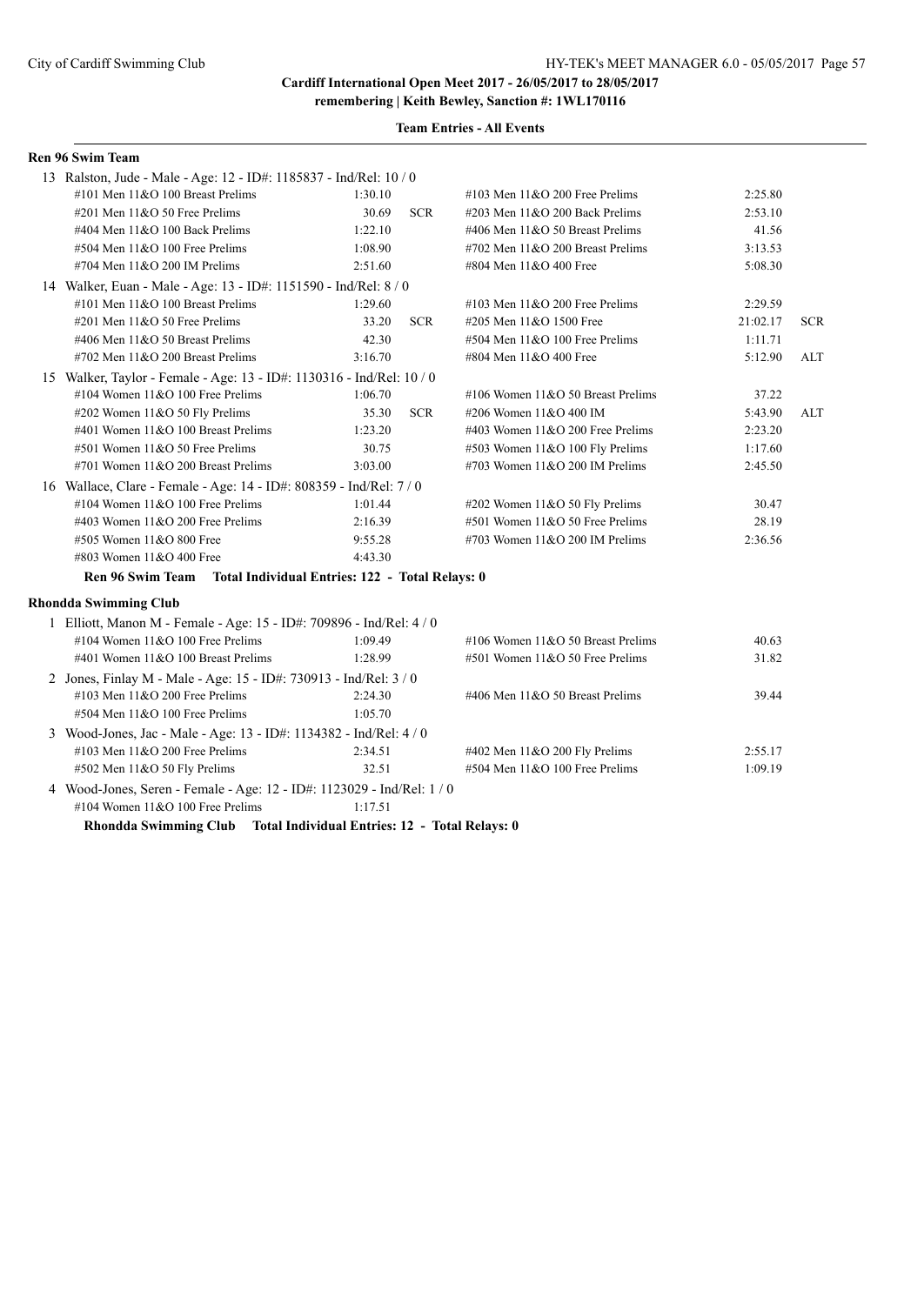# **Team Entries - All Events**

| Ren 96 Swim Team                                                       |         |            |                                     |          |            |
|------------------------------------------------------------------------|---------|------------|-------------------------------------|----------|------------|
| 13 Ralston, Jude - Male - Age: 12 - ID#: 1185837 - Ind/Rel: 10 / 0     |         |            |                                     |          |            |
| #101 Men 11&O 100 Breast Prelims                                       | 1:30.10 |            | #103 Men 11&O 200 Free Prelims      | 2:25.80  |            |
| $\#201$ Men $11&O$ 50 Free Prelims                                     | 30.69   | <b>SCR</b> | #203 Men 11&O 200 Back Prelims      | 2:53.10  |            |
| #404 Men 11&O 100 Back Prelims                                         | 1:22.10 |            | #406 Men 11&O 50 Breast Prelims     | 41.56    |            |
| #504 Men 11&O 100 Free Prelims                                         | 1:08.90 |            | #702 Men 11&O 200 Breast Prelims    | 3:13.53  |            |
| #704 Men 11&O 200 IM Prelims                                           | 2:51.60 |            | #804 Men 11&O 400 Free              | 5:08.30  |            |
| 14 Walker, Euan - Male - Age: 13 - ID#: 1151590 - Ind/Rel: 8 / 0       |         |            |                                     |          |            |
| $\#101$ Men $11&O$ 100 Breast Prelims                                  | 1:29.60 |            | #103 Men $11&O$ 200 Free Prelims    | 2:29.59  |            |
| #201 Men 11&O 50 Free Prelims                                          | 33.20   | <b>SCR</b> | #205 Men 11&O 1500 Free             | 21:02.17 | <b>SCR</b> |
| #406 Men 11&O 50 Breast Prelims                                        | 42.30   |            | #504 Men 11&O 100 Free Prelims      | 1:11.71  |            |
| #702 Men 11&O 200 Breast Prelims                                       | 3:16.70 |            | #804 Men 11&O 400 Free              | 5:12.90  | ALT        |
| 15 Walker, Taylor - Female - Age: 13 - ID#: 1130316 - Ind/Rel: 10 / 0  |         |            |                                     |          |            |
| #104 Women $11&O$ 100 Free Prelims                                     | 1:06.70 |            | #106 Women $11&O 50$ Breast Prelims | 37.22    |            |
| #202 Women 11&O 50 Fly Prelims                                         | 35.30   | <b>SCR</b> | #206 Women 11&O 400 IM              | 5:43.90  | <b>ALT</b> |
| #401 Women 11&O 100 Breast Prelims                                     | 1:23.20 |            | #403 Women 11&O 200 Free Prelims    | 2:23.20  |            |
| #501 Women 11&O 50 Free Prelims                                        | 30.75   |            | #503 Women 11&O 100 Fly Prelims     | 1:17.60  |            |
| #701 Women 11&O 200 Breast Prelims                                     | 3:03.00 |            | #703 Women 11&O 200 IM Prelims      | 2:45.50  |            |
| 16 Wallace, Clare - Female - Age: 14 - ID#: 808359 - Ind/Rel: 7 / 0    |         |            |                                     |          |            |
| #104 Women $11&O$ 100 Free Prelims                                     | 1:01.44 |            | #202 Women 11&O 50 Fly Prelims      | 30.47    |            |
| #403 Women 11&O 200 Free Prelims                                       | 2:16.39 |            | #501 Women 11&O 50 Free Prelims     | 28.19    |            |
| #505 Women 11&O 800 Free                                               | 9:55.28 |            | #703 Women 11&O 200 IM Prelims      | 2:36.56  |            |
| #803 Women 11&O 400 Free                                               | 4:43.30 |            |                                     |          |            |
| Ren 96 Swim Team Total Individual Entries: 122 - Total Relays: 0       |         |            |                                     |          |            |
| <b>Rhondda Swimming Club</b>                                           |         |            |                                     |          |            |
| 1 Elliott, Manon M - Female - Age: 15 - ID#: 709896 - Ind/Rel: 4 / 0   |         |            |                                     |          |            |
| #104 Women $11&O$ 100 Free Prelims                                     | 1:09.49 |            | #106 Women $11&O$ 50 Breast Prelims | 40.63    |            |
| #401 Women 11&O 100 Breast Prelims                                     | 1:28.99 |            | #501 Women 11&O 50 Free Prelims     | 31.82    |            |
| 2 Jones, Finlay M - Male - Age: 15 - ID#: 730913 - Ind/Rel: 3 / 0      |         |            |                                     |          |            |
| #103 Men 11&O 200 Free Prelims                                         | 2:24.30 |            | #406 Men 11&O 50 Breast Prelims     | 39.44    |            |
| #504 Men 11&O 100 Free Prelims                                         | 1:05.70 |            |                                     |          |            |
| 3 Wood-Jones, Jac - Male - Age: 13 - ID#: 1134382 - Ind/Rel: 4 / 0     |         |            |                                     |          |            |
| #103 Men 11&O 200 Free Prelims                                         | 2:34.51 |            | #402 Men 11&O 200 Fly Prelims       | 2:55.17  |            |
| #502 Men 11&O 50 Fly Prelims                                           | 32.51   |            | #504 Men 11&O 100 Free Prelims      | 1:09.19  |            |
| 4 Wood-Jones, Seren - Female - Age: 12 - ID#: 1123029 - Ind/Rel: 1 / 0 |         |            |                                     |          |            |
| #104 Women 11&O 100 Free Prelims                                       | 1:17.51 |            |                                     |          |            |
|                                                                        |         |            |                                     |          |            |

**Rhondda Swimming Club Total Individual Entries: 12 - Total Relays: 0**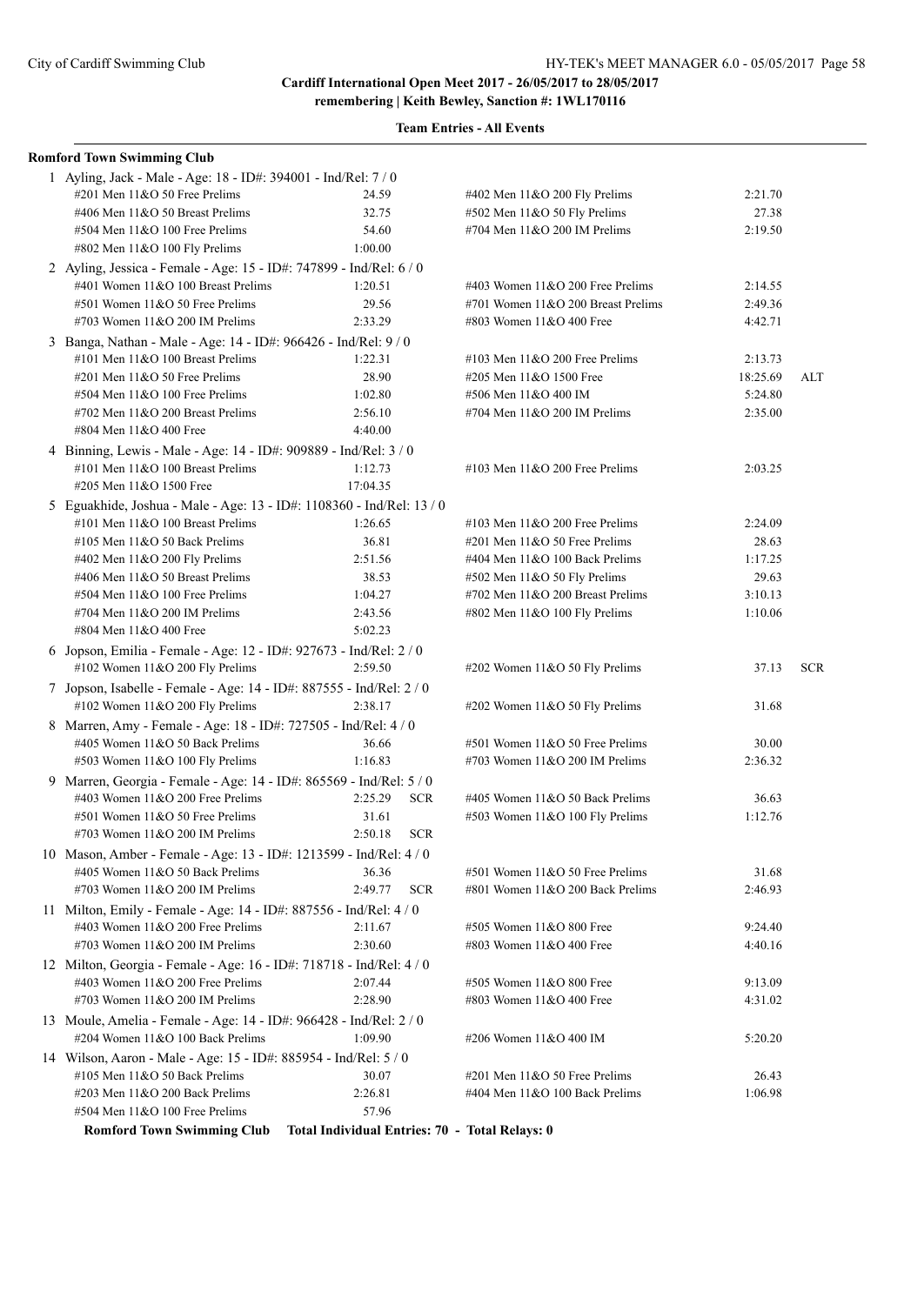| <b>Romford Town Swimming Club</b>                                                                       |                                                |                                    |          |            |
|---------------------------------------------------------------------------------------------------------|------------------------------------------------|------------------------------------|----------|------------|
| 1 Ayling, Jack - Male - Age: 18 - ID#: 394001 - Ind/Rel: 7 / 0                                          |                                                |                                    |          |            |
| #201 Men 11&O 50 Free Prelims                                                                           | 24.59                                          | #402 Men 11&O 200 Fly Prelims      | 2:21.70  |            |
| #406 Men 11&O 50 Breast Prelims                                                                         | 32.75                                          | #502 Men 11&O 50 Fly Prelims       | 27.38    |            |
| #504 Men 11&O 100 Free Prelims                                                                          | 54.60                                          | #704 Men 11&O 200 IM Prelims       | 2:19.50  |            |
| #802 Men 11&O 100 Fly Prelims                                                                           | 1:00.00                                        |                                    |          |            |
| 2 Ayling, Jessica - Female - Age: 15 - ID#: 747899 - Ind/Rel: 6 / 0                                     |                                                |                                    |          |            |
| #401 Women 11&O 100 Breast Prelims                                                                      | 1:20.51                                        | #403 Women $11&O$ 200 Free Prelims | 2:14.55  |            |
| #501 Women 11&O 50 Free Prelims                                                                         | 29.56                                          | #701 Women 11&O 200 Breast Prelims | 2:49.36  |            |
| #703 Women 11&O 200 IM Prelims                                                                          | 2:33.29                                        | #803 Women 11&O 400 Free           | 4:42.71  |            |
| 3 Banga, Nathan - Male - Age: 14 - ID#: 966426 - Ind/Rel: 9 / 0                                         |                                                |                                    |          |            |
| #101 Men 11&O 100 Breast Prelims                                                                        | 1:22.31                                        | #103 Men $11&O$ 200 Free Prelims   | 2:13.73  |            |
| #201 Men 11&O 50 Free Prelims                                                                           | 28.90                                          | #205 Men 11&O 1500 Free            | 18:25.69 | ALT        |
| #504 Men 11&O 100 Free Prelims                                                                          | 1:02.80                                        | #506 Men 11&O 400 IM               | 5:24.80  |            |
| #702 Men 11&O 200 Breast Prelims                                                                        | 2:56.10                                        | #704 Men 11&O 200 IM Prelims       | 2:35.00  |            |
| #804 Men 11&O 400 Free                                                                                  | 4:40.00                                        |                                    |          |            |
| 4 Binning, Lewis - Male - Age: 14 - ID#: 909889 - Ind/Rel: 3 / 0                                        |                                                |                                    |          |            |
| #101 Men 11&O 100 Breast Prelims                                                                        | 1:12.73                                        | #103 Men $11&O$ 200 Free Prelims   | 2:03.25  |            |
| #205 Men 11&O 1500 Free                                                                                 | 17:04.35                                       |                                    |          |            |
| 5 Eguakhide, Joshua - Male - Age: 13 - ID#: 1108360 - Ind/Rel: 13 / 0                                   |                                                |                                    |          |            |
| #101 Men 11&O 100 Breast Prelims                                                                        | 1:26.65                                        | #103 Men $11&O$ 200 Free Prelims   | 2:24.09  |            |
| #105 Men 11&O 50 Back Prelims                                                                           | 36.81                                          | $\#201$ Men $11&O$ 50 Free Prelims | 28.63    |            |
| #402 Men 11&O 200 Fly Prelims                                                                           | 2:51.56                                        | #404 Men 11&O 100 Back Prelims     | 1:17.25  |            |
| #406 Men 11&O 50 Breast Prelims                                                                         | 38.53                                          | #502 Men 11&O 50 Fly Prelims       | 29.63    |            |
| #504 Men 11&O 100 Free Prelims                                                                          | 1:04.27                                        | #702 Men $11&O$ 200 Breast Prelims | 3:10.13  |            |
| #704 Men 11&O 200 IM Prelims<br>#804 Men 11&O 400 Free                                                  | 2:43.56<br>5:02.23                             | #802 Men 11&O 100 Fly Prelims      | 1:10.06  |            |
|                                                                                                         |                                                |                                    |          |            |
| 6 Jopson, Emilia - Female - Age: 12 - ID#: 927673 - Ind/Rel: 2 / 0<br>#102 Women 11&O 200 Fly Prelims   | 2:59.50                                        | #202 Women 11&O 50 Fly Prelims     | 37.13    | <b>SCR</b> |
|                                                                                                         |                                                |                                    |          |            |
| 7 Jopson, Isabelle - Female - Age: 14 - ID#: 887555 - Ind/Rel: 2 / 0<br>#102 Women 11&O 200 Fly Prelims | 2:38.17                                        | #202 Women 11&O 50 Fly Prelims     | 31.68    |            |
| 8 Marren, Amy - Female - Age: 18 - ID#: 727505 - Ind/Rel: 4 / 0                                         |                                                |                                    |          |            |
| #405 Women 11&O 50 Back Prelims                                                                         | 36.66                                          | #501 Women 11&O 50 Free Prelims    | 30.00    |            |
| #503 Women 11&O 100 Fly Prelims                                                                         | 1:16.83                                        | #703 Women 11&O 200 IM Prelims     | 2:36.32  |            |
| 9 Marren, Georgia - Female - Age: 14 - ID#: 865569 - Ind/Rel: 5 / 0                                     |                                                |                                    |          |            |
| #403 Women 11&O 200 Free Prelims                                                                        | 2:25.29<br><b>SCR</b>                          | #405 Women 11&O 50 Back Prelims    | 36.63    |            |
| #501 Women 11&O 50 Free Prelims                                                                         | 31.61                                          | #503 Women 11&O 100 Fly Prelims    | 1:12.76  |            |
| #703 Women $11&O$ 200 IM Prelims                                                                        | 2:50.18<br><b>SCR</b>                          |                                    |          |            |
| 10 Mason, Amber - Female - Age: 13 - ID#: 1213599 - Ind/Rel: 4 / 0                                      |                                                |                                    |          |            |
| #405 Women 11&O 50 Back Prelims                                                                         | 36.36                                          | #501 Women 11&O 50 Free Prelims    | 31.68    |            |
| #703 Women $11&O$ 200 IM Prelims                                                                        | 2:49.77<br><b>SCR</b>                          | #801 Women 11&O 200 Back Prelims   | 2:46.93  |            |
| 11 Milton, Emily - Female - Age: 14 - ID#: 887556 - Ind/Rel: 4 / 0                                      |                                                |                                    |          |            |
| #403 Women 11&O 200 Free Prelims                                                                        | 2:11.67                                        | #505 Women 11&O 800 Free           | 9:24.40  |            |
| #703 Women 11&O 200 IM Prelims                                                                          | 2:30.60                                        | #803 Women 11&O 400 Free           | 4:40.16  |            |
| 12 Milton, Georgia - Female - Age: 16 - ID#: 718718 - Ind/Rel: 4 / 0                                    |                                                |                                    |          |            |
| #403 Women 11&O 200 Free Prelims                                                                        | 2:07.44                                        | #505 Women 11&O 800 Free           | 9:13.09  |            |
| #703 Women 11&O 200 IM Prelims                                                                          | 2:28.90                                        | #803 Women 11&O 400 Free           | 4:31.02  |            |
| 13 Moule, Amelia - Female - Age: 14 - ID#: 966428 - Ind/Rel: 2 / 0                                      |                                                |                                    |          |            |
| #204 Women 11&O 100 Back Prelims                                                                        | 1:09.90                                        | #206 Women 11&O 400 IM             | 5:20.20  |            |
| 14 Wilson, Aaron - Male - Age: 15 - ID#: 885954 - Ind/Rel: 5 / 0                                        |                                                |                                    |          |            |
| #105 Men 11&O 50 Back Prelims                                                                           | 30.07                                          | #201 Men 11&O 50 Free Prelims      | 26.43    |            |
| #203 Men 11&O 200 Back Prelims                                                                          | 2:26.81                                        | #404 Men 11&O 100 Back Prelims     | 1:06.98  |            |
| #504 Men 11&O 100 Free Prelims                                                                          | 57.96                                          |                                    |          |            |
| <b>Romford Town Swimming Club</b>                                                                       | Total Individual Entries: 70 - Total Relays: 0 |                                    |          |            |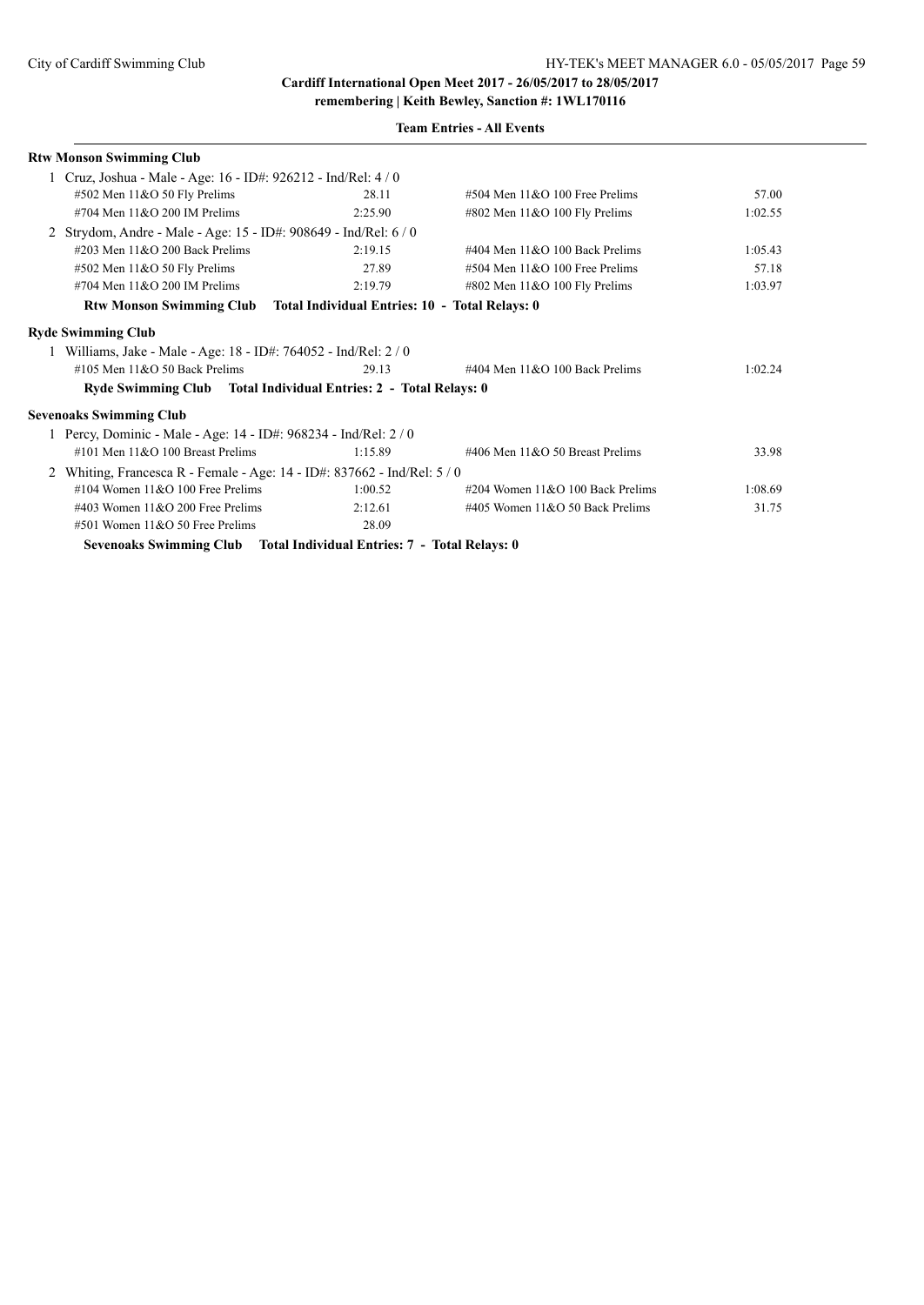| Rtw Monson Swimming Club                                                 |         |                                      |         |
|--------------------------------------------------------------------------|---------|--------------------------------------|---------|
| Cruz, Joshua - Male - Age: 16 - ID#: 926212 - Ind/Rel: 4 / 0             |         |                                      |         |
| #502 Men 11&O 50 Fly Prelims                                             | 28.11   | $\#504$ Men $11&O$ 100 Free Prelims  | 57.00   |
| #704 Men 11&O 200 IM Prelims                                             | 2:25.90 | #802 Men 11&O 100 Fly Prelims        | 1:02.55 |
| Strydom, Andre - Male - Age: 15 - ID#: 908649 - Ind/Rel: 6 / 0           |         |                                      |         |
| #203 Men $11&O$ 200 Back Prelims                                         | 2:19.15 | #404 Men $11&O$ 100 Back Prelims     | 1:05.43 |
| $#502$ Men $11&O 50$ Fly Prelims                                         | 27.89   | $\#504$ Men $11\&O$ 100 Free Prelims | 57.18   |
| #704 Men $11&O$ 200 IM Prelims                                           | 2:19.79 | $\#802$ Men $11&O$ 100 Fly Prelims   | 1:03.97 |
| Rtw Monson Swimming Club Total Individual Entries: 10 - Total Relays: 0  |         |                                      |         |
| <b>Ryde Swimming Club</b>                                                |         |                                      |         |
| Williams, Jake - Male - Age: 18 - ID#: 764052 - Ind/Rel: 2/0             |         |                                      |         |
| #105 Men $11&O$ 50 Back Prelims                                          | 29.13   | #404 Men $11&O$ 100 Back Prelims     | 1:02.24 |
| Ryde Swimming Club Total Individual Entries: 2 - Total Relays: 0         |         |                                      |         |
| <b>Sevenoaks Swimming Club</b>                                           |         |                                      |         |
| 1 Percy, Dominic - Male - Age: 14 - ID#: 968234 - Ind/Rel: 2 / 0         |         |                                      |         |
| $\#101$ Men $11\&O$ 100 Breast Prelims                                   | 1:15.89 | #406 Men 11&O 50 Breast Prelims      | 33.98   |
| Whiting, Francesca R - Female - Age: $14$ - ID#: 837662 - Ind/Rel: $5/0$ |         |                                      |         |
| #104 Women $11&O$ 100 Free Prelims                                       | 1:00.52 | #204 Women 11&O 100 Back Prelims     | 1:08.69 |
| #403 Women $11&O$ 200 Free Prelims                                       | 2:12.61 | #405 Women $11&O$ 50 Back Prelims    | 31.75   |
| $#501$ Women $11&O 50$ Free Prelims                                      | 28.09   |                                      |         |
| Sevenoaks Swimming Club Total Individual Entries: 7 - Total Relays: 0    |         |                                      |         |
|                                                                          |         |                                      |         |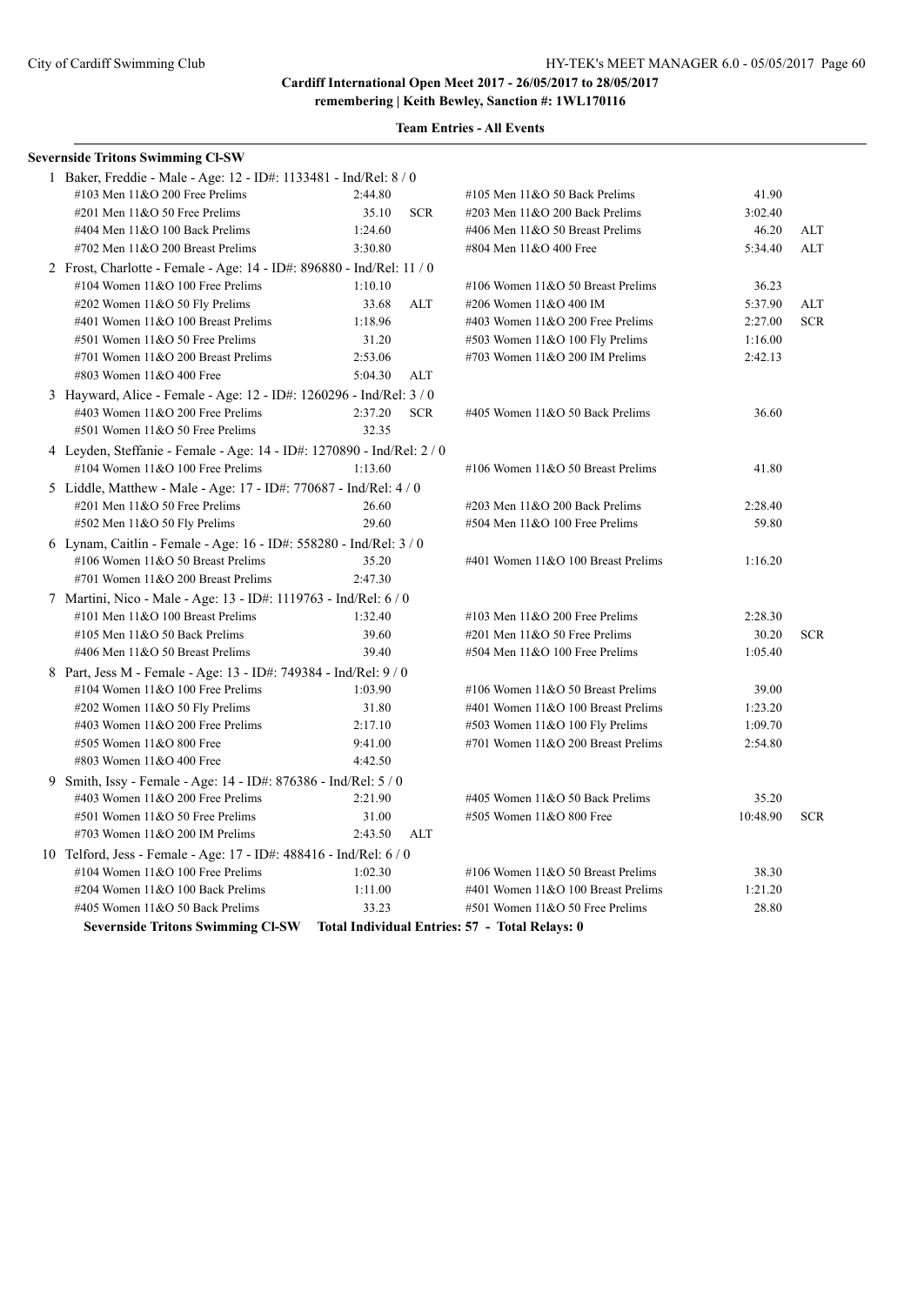**remembering | Keith Bewley, Sanction #: 1WL170116**

| <b>Severnside Tritons Swimming CI-SW</b>                                         |         |            |                                    |          |            |
|----------------------------------------------------------------------------------|---------|------------|------------------------------------|----------|------------|
| 1 Baker, Freddie - Male - Age: 12 - ID#: 1133481 - Ind/Rel: 8 / 0                |         |            |                                    |          |            |
| #103 Men 11&O 200 Free Prelims                                                   | 2:44.80 |            | #105 Men 11&O 50 Back Prelims      | 41.90    |            |
| #201 Men 11&O 50 Free Prelims                                                    | 35.10   | <b>SCR</b> | #203 Men 11&O 200 Back Prelims     | 3:02.40  |            |
| #404 Men 11&O 100 Back Prelims                                                   | 1:24.60 |            | #406 Men 11&O 50 Breast Prelims    | 46.20    | ALT        |
| #702 Men 11&O 200 Breast Prelims                                                 | 3:30.80 |            | #804 Men 11&O 400 Free             | 5:34.40  | ALT        |
| 2 Frost, Charlotte - Female - Age: 14 - ID#: 896880 - Ind/Rel: 11 / 0            |         |            |                                    |          |            |
| #104 Women 11&O 100 Free Prelims                                                 | 1:10.10 |            | #106 Women 11&O 50 Breast Prelims  | 36.23    |            |
| #202 Women 11&O 50 Fly Prelims                                                   | 33.68   | ALT        | #206 Women 11&O 400 IM             | 5:37.90  | <b>ALT</b> |
| #401 Women 11&O 100 Breast Prelims                                               | 1:18.96 |            | #403 Women 11&O 200 Free Prelims   | 2:27.00  | <b>SCR</b> |
| #501 Women 11&O 50 Free Prelims                                                  | 31.20   |            | #503 Women 11&O 100 Fly Prelims    | 1:16.00  |            |
| #701 Women 11&O 200 Breast Prelims                                               | 2:53.06 |            | #703 Women 11&O 200 IM Prelims     | 2:42.13  |            |
| #803 Women 11&O 400 Free                                                         | 5:04.30 | ALT        |                                    |          |            |
| 3 Hayward, Alice - Female - Age: 12 - ID#: 1260296 - Ind/Rel: 3 / 0              |         |            |                                    |          |            |
| #403 Women 11&O 200 Free Prelims                                                 | 2:37.20 | <b>SCR</b> | #405 Women 11&O 50 Back Prelims    | 36.60    |            |
| #501 Women 11&O 50 Free Prelims                                                  | 32.35   |            |                                    |          |            |
| 4 Leyden, Steffanie - Female - Age: 14 - ID#: 1270890 - Ind/Rel: 2/0             |         |            |                                    |          |            |
| #104 Women 11&O 100 Free Prelims                                                 | 1:13.60 |            | #106 Women 11&O 50 Breast Prelims  | 41.80    |            |
| 5 Liddle, Matthew - Male - Age: 17 - ID#: 770687 - Ind/Rel: 4 / 0                |         |            |                                    |          |            |
| #201 Men 11&O 50 Free Prelims                                                    | 26.60   |            | #203 Men 11&O 200 Back Prelims     | 2:28.40  |            |
| #502 Men 11&O 50 Fly Prelims                                                     | 29.60   |            | #504 Men 11&O 100 Free Prelims     | 59.80    |            |
| 6 Lynam, Caitlin - Female - Age: 16 - ID#: 558280 - Ind/Rel: 3 / 0               |         |            |                                    |          |            |
| #106 Women 11&O 50 Breast Prelims                                                | 35.20   |            | #401 Women 11&O 100 Breast Prelims | 1:16.20  |            |
| #701 Women 11&O 200 Breast Prelims                                               | 2:47.30 |            |                                    |          |            |
| 7 Martini, Nico - Male - Age: 13 - ID#: 1119763 - Ind/Rel: 6/0                   |         |            |                                    |          |            |
| #101 Men 11&O 100 Breast Prelims                                                 | 1:32.40 |            | #103 Men $11&O$ 200 Free Prelims   | 2:28.30  |            |
| #105 Men 11&O 50 Back Prelims                                                    | 39.60   |            | #201 Men 11&O 50 Free Prelims      | 30.20    | <b>SCR</b> |
| #406 Men 11&O 50 Breast Prelims                                                  | 39.40   |            | #504 Men 11&O 100 Free Prelims     | 1:05.40  |            |
| 8 Part, Jess M - Female - Age: 13 - ID#: 749384 - Ind/Rel: 9 / 0                 |         |            |                                    |          |            |
| #104 Women $11&O$ 100 Free Prelims                                               | 1:03.90 |            | #106 Women 11&O 50 Breast Prelims  | 39.00    |            |
| #202 Women 11&O 50 Fly Prelims                                                   | 31.80   |            | #401 Women 11&O 100 Breast Prelims | 1:23.20  |            |
| #403 Women 11&O 200 Free Prelims                                                 | 2:17.10 |            | #503 Women 11&O 100 Fly Prelims    | 1:09.70  |            |
| #505 Women 11&O 800 Free                                                         | 9:41.00 |            | #701 Women 11&O 200 Breast Prelims | 2:54.80  |            |
| #803 Women 11&O 400 Free                                                         | 4:42.50 |            |                                    |          |            |
| 9 Smith, Issy - Female - Age: 14 - ID#: 876386 - Ind/Rel: 5 / 0                  |         |            |                                    |          |            |
| #403 Women 11&O 200 Free Prelims                                                 | 2:21.90 |            | #405 Women 11&O 50 Back Prelims    | 35.20    |            |
| #501 Women 11&O 50 Free Prelims                                                  | 31.00   |            | #505 Women 11&O 800 Free           | 10:48.90 | <b>SCR</b> |
| #703 Women $11&O$ 200 IM Prelims                                                 | 2:43.50 | ALT        |                                    |          |            |
| 10 Telford, Jess - Female - Age: 17 - ID#: 488416 - Ind/Rel: 6 / 0               |         |            |                                    |          |            |
| #104 Women $11&O$ 100 Free Prelims                                               | 1:02.30 |            | #106 Women 11&O 50 Breast Prelims  | 38.30    |            |
| #204 Women 11&O 100 Back Prelims                                                 | 1:11.00 |            | #401 Women 11&O 100 Breast Prelims | 1:21.20  |            |
| #405 Women 11&O 50 Back Prelims                                                  | 33.23   |            | #501 Women 11&O 50 Free Prelims    | 28.80    |            |
| Severnside Tritons Swimming Cl-SW Total Individual Entries: 57 - Total Relays: 0 |         |            |                                    |          |            |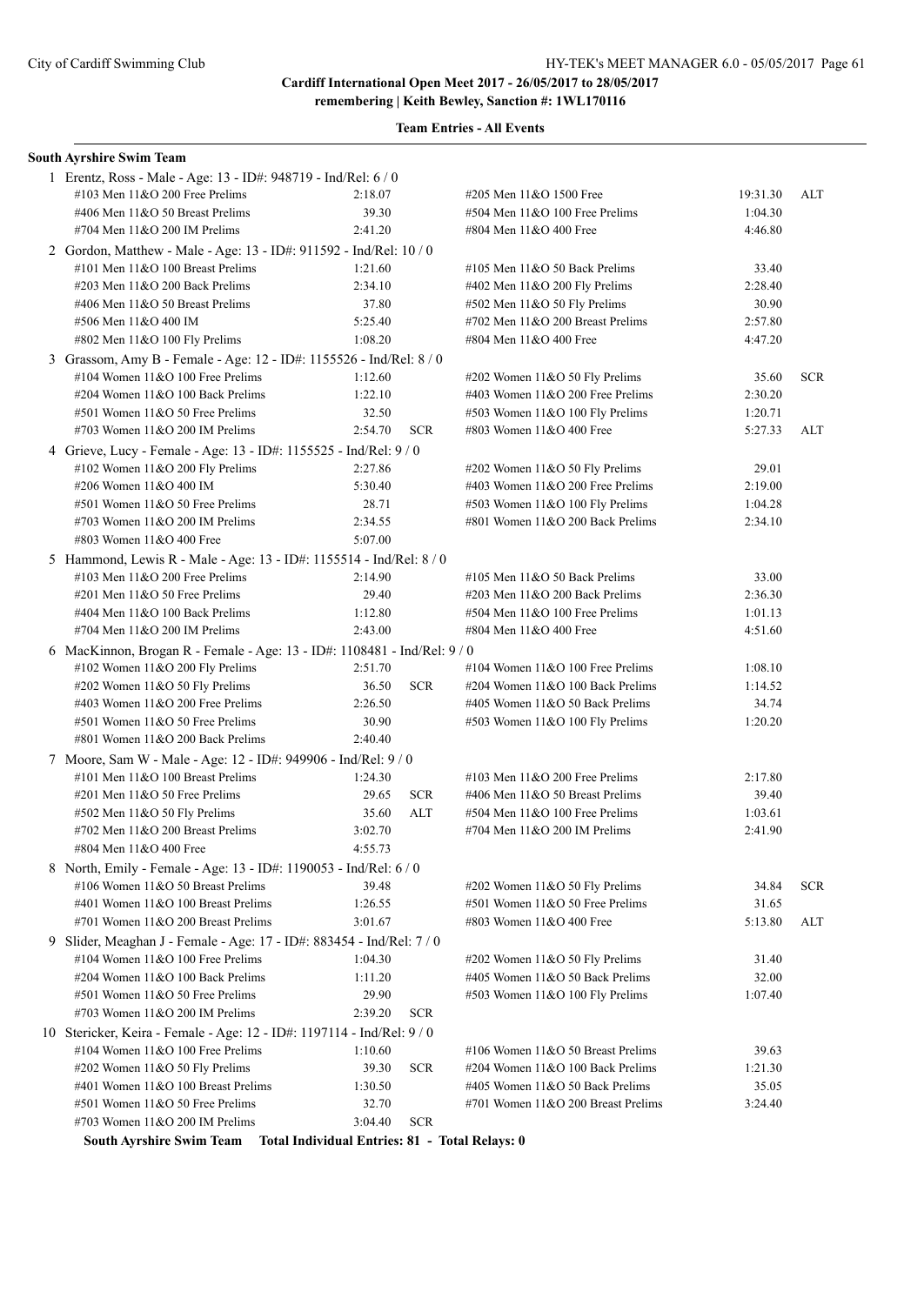#### **Team Entries - All Events**

|   | South Ayrshire Swim Team                                                 |         |            |                                      |          |            |
|---|--------------------------------------------------------------------------|---------|------------|--------------------------------------|----------|------------|
|   | 1 Erentz, Ross - Male - Age: 13 - ID#: 948719 - Ind/Rel: 6 / 0           |         |            |                                      |          |            |
|   | #103 Men 11&O 200 Free Prelims                                           | 2:18.07 |            | #205 Men 11&O 1500 Free              | 19:31.30 | ALT        |
|   | #406 Men 11&O 50 Breast Prelims                                          | 39.30   |            | $#504$ Men $11&O$ 100 Free Prelims   | 1:04.30  |            |
|   | #704 Men 11&O 200 IM Prelims                                             | 2:41.20 |            | #804 Men 11&O 400 Free               | 4:46.80  |            |
|   | 2 Gordon, Matthew - Male - Age: 13 - ID#: 911592 - Ind/Rel: 10 / 0       |         |            |                                      |          |            |
|   | #101 Men 11&O 100 Breast Prelims                                         | 1:21.60 |            | #105 Men $11&O$ 50 Back Prelims      | 33.40    |            |
|   | #203 Men 11&O 200 Back Prelims                                           | 2:34.10 |            | #402 Men 11&O 200 Fly Prelims        | 2:28.40  |            |
|   | #406 Men 11&O 50 Breast Prelims                                          | 37.80   |            | $#502$ Men $11&O 50$ Fly Prelims     | 30.90    |            |
|   | #506 Men 11&O 400 IM                                                     | 5:25.40 |            | #702 Men 11&O 200 Breast Prelims     | 2:57.80  |            |
|   | #802 Men 11&O 100 Fly Prelims                                            | 1:08.20 |            | #804 Men 11&O 400 Free               | 4:47.20  |            |
|   | 3 Grassom, Amy B - Female - Age: 12 - ID#: 1155526 - Ind/Rel: 8 / 0      |         |            |                                      |          |            |
|   | #104 Women 11&O 100 Free Prelims                                         | 1:12.60 |            | #202 Women 11&O 50 Fly Prelims       | 35.60    | <b>SCR</b> |
|   | #204 Women 11&O 100 Back Prelims                                         | 1:22.10 |            | #403 Women 11&O 200 Free Prelims     | 2:30.20  |            |
|   | #501 Women 11&O 50 Free Prelims                                          | 32.50   |            | #503 Women 11&O 100 Fly Prelims      | 1:20.71  |            |
|   | #703 Women 11&O 200 IM Prelims                                           | 2:54.70 | <b>SCR</b> | #803 Women 11&O 400 Free             | 5:27.33  | ALT        |
|   | 4 Grieve, Lucy - Female - Age: 13 - ID#: 1155525 - Ind/Rel: 9 / 0        |         |            |                                      |          |            |
|   | #102 Women 11&O 200 Fly Prelims                                          | 2:27.86 |            | #202 Women 11&O 50 Fly Prelims       | 29.01    |            |
|   | #206 Women 11&O 400 IM                                                   | 5:30.40 |            | #403 Women $11&O$ 200 Free Prelims   | 2:19.00  |            |
|   | #501 Women 11&O 50 Free Prelims                                          | 28.71   |            | #503 Women 11&O 100 Fly Prelims      | 1:04.28  |            |
|   | #703 Women $11&O$ 200 IM Prelims                                         | 2:34.55 |            | #801 Women $11&O$ 200 Back Prelims   | 2:34.10  |            |
|   | #803 Women 11&O 400 Free                                                 | 5:07.00 |            |                                      |          |            |
|   | 5 Hammond, Lewis R - Male - Age: 13 - ID#: 1155514 - Ind/Rel: 8 / 0      |         |            |                                      |          |            |
|   | #103 Men $11&O$ 200 Free Prelims                                         | 2:14.90 |            | #105 Men $11&O$ 50 Back Prelims      | 33.00    |            |
|   | #201 Men 11&O 50 Free Prelims                                            | 29.40   |            | #203 Men 11&O 200 Back Prelims       | 2:36.30  |            |
|   | #404 Men 11&O 100 Back Prelims                                           | 1:12.80 |            | $#504$ Men $11&O$ 100 Free Prelims   | 1:01.13  |            |
|   | #704 Men 11&O 200 IM Prelims                                             | 2:43.00 |            | #804 Men 11&O 400 Free               | 4:51.60  |            |
|   | 6 MacKinnon, Brogan R - Female - Age: 13 - ID#: 1108481 - Ind/Rel: 9 / 0 |         |            |                                      |          |            |
|   | #102 Women 11&O 200 Fly Prelims                                          | 2:51.70 |            | #104 Women $11&O 100$ Free Prelims   | 1:08.10  |            |
|   | #202 Women 11&O 50 Fly Prelims                                           | 36.50   | <b>SCR</b> | #204 Women 11&O 100 Back Prelims     | 1:14.52  |            |
|   | #403 Women 11&O 200 Free Prelims                                         | 2:26.50 |            | #405 Women $11&O$ 50 Back Prelims    | 34.74    |            |
|   | #501 Women 11&O 50 Free Prelims                                          | 30.90   |            | #503 Women 11&O 100 Fly Prelims      | 1:20.20  |            |
|   | #801 Women 11&O 200 Back Prelims                                         | 2:40.40 |            |                                      |          |            |
|   | 7 Moore, Sam W - Male - Age: 12 - ID#: 949906 - Ind/Rel: 9 / 0           |         |            |                                      |          |            |
|   | #101 Men 11&O 100 Breast Prelims                                         | 1:24.30 |            | $\#103$ Men $11\&O$ 200 Free Prelims | 2:17.80  |            |
|   | #201 Men 11&O 50 Free Prelims                                            | 29.65   | <b>SCR</b> | #406 Men 11&O 50 Breast Prelims      | 39.40    |            |
|   | #502 Men 11&O 50 Fly Prelims                                             | 35.60   | <b>ALT</b> | $#504$ Men $11&O 100$ Free Prelims   | 1:03.61  |            |
|   | #702 Men 11&O 200 Breast Prelims                                         | 3:02.70 |            | #704 Men 11&O 200 IM Prelims         | 2:41.90  |            |
|   | #804 Men 11&O 400 Free                                                   | 4:55.73 |            |                                      |          |            |
|   | 8 North, Emily - Female - Age: 13 - ID#: 1190053 - Ind/Rel: 6 / 0        |         |            |                                      |          |            |
|   | #106 Women 11&O 50 Breast Prelims                                        | 39.48   |            | #202 Women 11&O 50 Fly Prelims       | 34.84    | <b>SCR</b> |
|   | #401 Women 11&O 100 Breast Prelims                                       | 1:26.55 |            | #501 Women 11&O 50 Free Prelims      | 31.65    |            |
|   | #701 Women 11&O 200 Breast Prelims                                       | 3:01.67 |            | #803 Women 11&O 400 Free             | 5:13.80  | ALT        |
| 9 | Slider, Meaghan J - Female - Age: 17 - ID#: 883454 - Ind/Rel: 7 / 0      |         |            |                                      |          |            |
|   | #104 Women $11&O$ 100 Free Prelims                                       | 1:04.30 |            | #202 Women 11&O 50 Fly Prelims       | 31.40    |            |
|   | #204 Women 11&O 100 Back Prelims                                         | 1:11.20 |            | #405 Women 11&O 50 Back Prelims      | 32.00    |            |
|   | #501 Women 11&O 50 Free Prelims                                          | 29.90   |            | #503 Women 11&O 100 Fly Prelims      | 1:07.40  |            |
|   | #703 Women $11&O$ 200 IM Prelims                                         | 2:39.20 | <b>SCR</b> |                                      |          |            |
|   | 10 Stericker, Keira - Female - Age: 12 - ID#: 1197114 - Ind/Rel: 9/0     |         |            |                                      |          |            |
|   | #104 Women $11&O$ 100 Free Prelims                                       | 1:10.60 |            | #106 Women 11&O 50 Breast Prelims    | 39.63    |            |
|   | #202 Women 11&O 50 Fly Prelims                                           | 39.30   | <b>SCR</b> | #204 Women 11&O 100 Back Prelims     | 1:21.30  |            |
|   | #401 Women 11&O 100 Breast Prelims                                       | 1:30.50 |            | #405 Women 11&O 50 Back Prelims      | 35.05    |            |
|   | #501 Women 11&O 50 Free Prelims                                          | 32.70   |            | #701 Women 11&O 200 Breast Prelims   | 3:24.40  |            |
|   | #703 Women 11&O 200 IM Prelims                                           | 3:04.40 | <b>SCR</b> |                                      |          |            |

**South Ayrshire Swim Team Total Individual Entries: 81 - Total Relays: 0**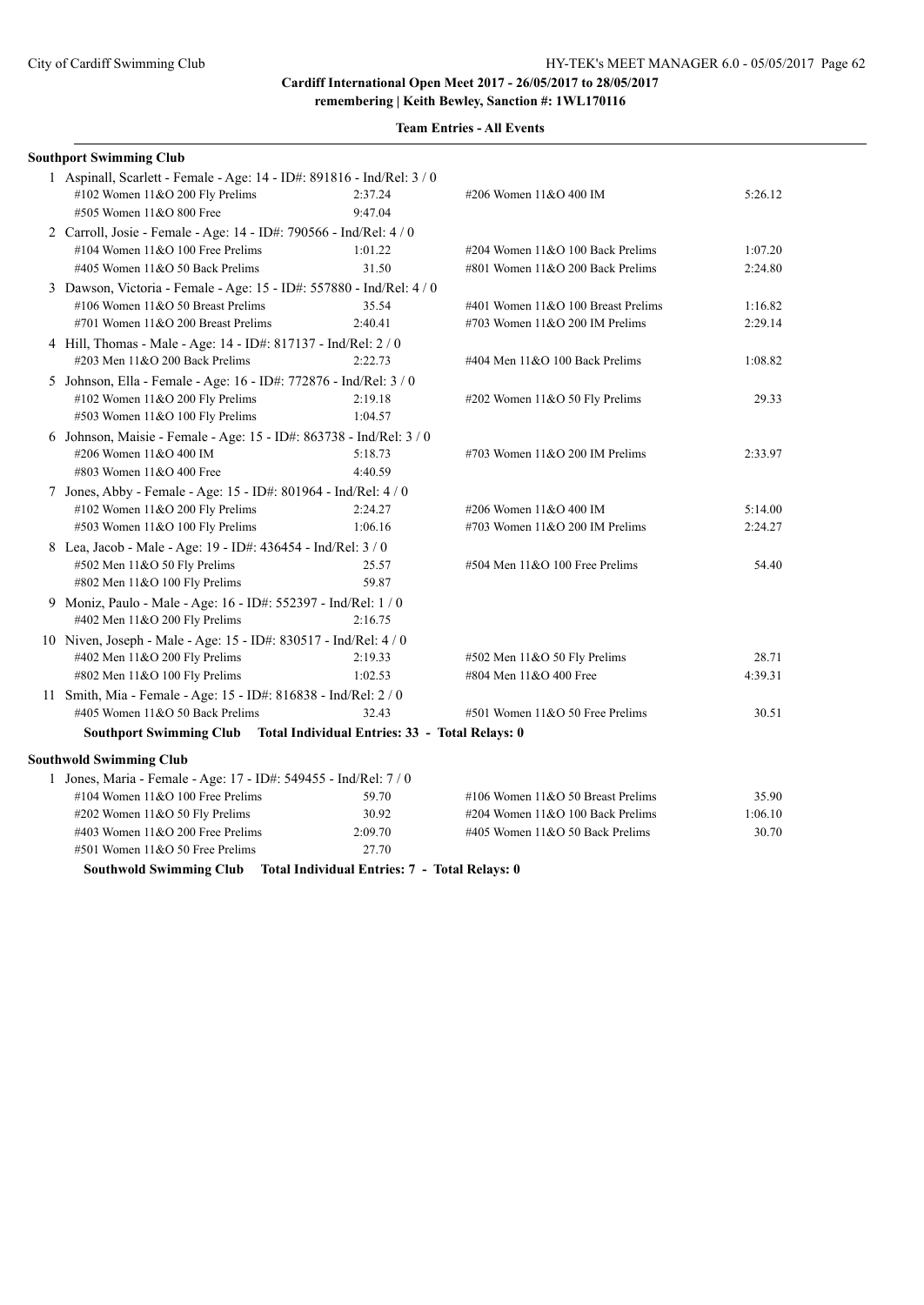**remembering | Keith Bewley, Sanction #: 1WL170116**

| <b>Southport Swimming Club</b>                                         |                                               |                                     |         |
|------------------------------------------------------------------------|-----------------------------------------------|-------------------------------------|---------|
| 1 Aspinall, Scarlett - Female - Age: 14 - ID#: 891816 - Ind/Rel: 3 / 0 |                                               |                                     |         |
| #102 Women 11&O 200 Fly Prelims                                        | 2:37.24                                       | #206 Women 11&O 400 IM              | 5:26.12 |
| #505 Women 11&O 800 Free                                               | 9:47.04                                       |                                     |         |
| 2 Carroll, Josie - Female - Age: 14 - ID#: 790566 - Ind/Rel: 4 / 0     |                                               |                                     |         |
| #104 Women $11&O 100$ Free Prelims                                     | 1:01.22                                       | #204 Women 11&O 100 Back Prelims    | 1:07.20 |
| #405 Women 11&O 50 Back Prelims                                        | 31.50                                         | #801 Women 11&O 200 Back Prelims    | 2:24.80 |
| 3 Dawson, Victoria - Female - Age: 15 - ID#: 557880 - Ind/Rel: 4 / 0   |                                               |                                     |         |
| #106 Women 11&O 50 Breast Prelims                                      | 35.54                                         | #401 Women 11&O 100 Breast Prelims  | 1:16.82 |
| #701 Women 11&O 200 Breast Prelims                                     | 2:40.41                                       | #703 Women 11&O 200 IM Prelims      | 2:29.14 |
| 4 Hill, Thomas - Male - Age: 14 - ID#: 817137 - Ind/Rel: 2 / 0         |                                               |                                     |         |
| #203 Men 11&O 200 Back Prelims                                         | 2:22.73                                       | #404 Men 11&O 100 Back Prelims      | 1:08.82 |
| 5 Johnson, Ella - Female - Age: 16 - ID#: 772876 - Ind/Rel: 3 / 0      |                                               |                                     |         |
| #102 Women 11&O 200 Fly Prelims                                        | 2:19.18                                       | #202 Women $11&050$ Fly Prelims     | 29.33   |
| #503 Women 11&O 100 Fly Prelims                                        | 1:04.57                                       |                                     |         |
| 6 Johnson, Maisie - Female - Age: 15 - ID#: 863738 - Ind/Rel: 3 / 0    |                                               |                                     |         |
| #206 Women 11&O 400 IM                                                 | 5:18.73                                       | #703 Women $11&O$ 200 IM Prelims    | 2:33.97 |
| #803 Women 11&O 400 Free                                               | 4:40.59                                       |                                     |         |
| 7 Jones, Abby - Female - Age: 15 - ID#: 801964 - Ind/Rel: 4 / 0        |                                               |                                     |         |
| #102 Women 11&O 200 Fly Prelims                                        | 2:24.27                                       | #206 Women 11&O 400 IM              | 5:14.00 |
| #503 Women 11&O 100 Fly Prelims                                        | 1:06.16                                       | #703 Women $11&O$ 200 IM Prelims    | 2:24.27 |
| 8 Lea, Jacob - Male - Age: 19 - ID#: 436454 - Ind/Rel: 3 / 0           |                                               |                                     |         |
| $#502$ Men $11&O 50$ Fly Prelims                                       | 25.57                                         | $#504$ Men $11&O$ 100 Free Prelims  | 54.40   |
| #802 Men 11&O 100 Fly Prelims                                          | 59.87                                         |                                     |         |
| 9 Moniz, Paulo - Male - Age: 16 - ID#: 552397 - Ind/Rel: 1 / 0         |                                               |                                     |         |
| #402 Men 11&O 200 Fly Prelims                                          | 2:16.75                                       |                                     |         |
| 10 Niven, Joseph - Male - Age: 15 - ID#: 830517 - Ind/Rel: 4 / 0       |                                               |                                     |         |
| #402 Men 11&O 200 Fly Prelims                                          | 2:19.33                                       | $#502$ Men $11&O 50$ Fly Prelims    | 28.71   |
| #802 Men $11&O$ 100 Fly Prelims                                        | 1:02.53                                       | #804 Men 11&O 400 Free              | 4:39.31 |
| 11 Smith, Mia - Female - Age: 15 - ID#: 816838 - Ind/Rel: 2 / 0        |                                               |                                     |         |
| #405 Women 11&O 50 Back Prelims                                        | 32.43                                         | $#501$ Women $11&O$ 50 Free Prelims | 30.51   |
| Southport Swimming Club Total Individual Entries: 33 - Total Relays: 0 |                                               |                                     |         |
| <b>Southwold Swimming Club</b>                                         |                                               |                                     |         |
| 1 Jones, Maria - Female - Age: 17 - ID#: 549455 - Ind/Rel: 7 / 0       |                                               |                                     |         |
| #104 Women 11&O 100 Free Prelims                                       | 59.70                                         | #106 Women 11&O 50 Breast Prelims   | 35.90   |
| $\#202$ Women 11&O 50 Fly Prelims                                      | 30.92                                         | #204 Women 11&O 100 Back Prelims    | 1:06.10 |
| #403 Women $11&O$ 200 Free Prelims                                     | 2:09.70                                       | #405 Women 11&O 50 Back Prelims     | 30.70   |
| #501 Women 11&O 50 Free Prelims                                        | 27.70                                         |                                     |         |
| <b>Southwold Swimming Club</b>                                         | Total Individual Entries: 7 - Total Relays: 0 |                                     |         |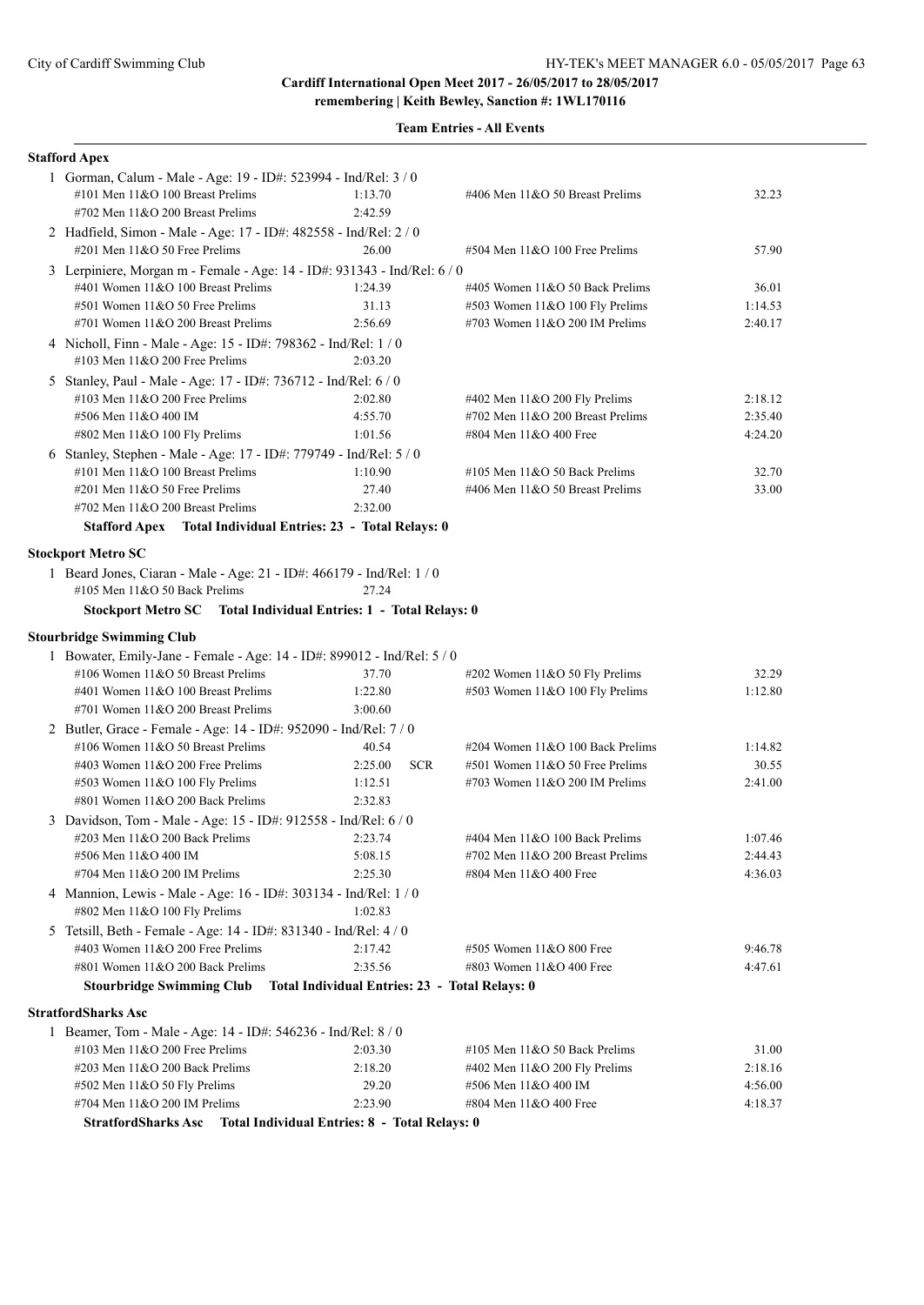| <b>Stafford Apex</b>                                                                                   |                                                |                                     |         |
|--------------------------------------------------------------------------------------------------------|------------------------------------------------|-------------------------------------|---------|
| 1 Gorman, Calum - Male - Age: 19 - ID#: 523994 - Ind/Rel: 3 / 0                                        |                                                |                                     |         |
| #101 Men 11&O 100 Breast Prelims                                                                       | 1:13.70                                        | #406 Men 11&O 50 Breast Prelims     | 32.23   |
| #702 Men 11&O 200 Breast Prelims                                                                       | 2:42.59                                        |                                     |         |
| 2 Hadfield, Simon - Male - Age: 17 - ID#: 482558 - Ind/Rel: 2 / 0                                      |                                                |                                     |         |
| #201 Men 11&O 50 Free Prelims                                                                          | 26.00                                          | #504 Men 11&O 100 Free Prelims      | 57.90   |
| 3 Lerpiniere, Morgan m - Female - Age: 14 - ID#: 931343 - Ind/Rel: 6 / 0                               |                                                |                                     |         |
| #401 Women 11&O 100 Breast Prelims                                                                     | 1:24.39                                        | #405 Women 11&O 50 Back Prelims     | 36.01   |
| #501 Women 11&O 50 Free Prelims                                                                        | 31.13                                          | #503 Women 11&O 100 Fly Prelims     | 1:14.53 |
| #701 Women 11&O 200 Breast Prelims                                                                     | 2:56.69                                        | #703 Women $11&O$ 200 IM Prelims    | 2:40.17 |
| 4 Nicholl, Finn - Male - Age: 15 - ID#: 798362 - Ind/Rel: 1 / 0                                        |                                                |                                     |         |
| #103 Men 11&O 200 Free Prelims                                                                         | 2:03.20                                        |                                     |         |
| 5 Stanley, Paul - Male - Age: 17 - ID#: 736712 - Ind/Rel: 6 / 0                                        |                                                |                                     |         |
| #103 Men $11&O$ 200 Free Prelims                                                                       | 2:02.80                                        | $\#402$ Men $11\&O$ 200 Fly Prelims | 2:18.12 |
| #506 Men 11&O 400 IM                                                                                   | 4:55.70                                        | #702 Men 11&O 200 Breast Prelims    | 2:35.40 |
| #802 Men 11&O 100 Fly Prelims                                                                          | 1:01.56                                        | #804 Men 11&O 400 Free              | 4:24.20 |
| 6 Stanley, Stephen - Male - Age: 17 - ID#: 779749 - Ind/Rel: 5 / 0                                     |                                                |                                     |         |
| #101 Men 11&O 100 Breast Prelims                                                                       | 1:10.90                                        | #105 Men $11&O$ 50 Back Prelims     | 32.70   |
| #201 Men 11&O 50 Free Prelims                                                                          | 27.40                                          | #406 Men 11&O 50 Breast Prelims     | 33.00   |
| #702 Men 11&O 200 Breast Prelims                                                                       | 2:32.00                                        |                                     |         |
| Stafford Apex Total Individual Entries: 23 - Total Relays: 0                                           |                                                |                                     |         |
|                                                                                                        |                                                |                                     |         |
| <b>Stockport Metro SC</b>                                                                              |                                                |                                     |         |
| 1 Beard Jones, Ciaran - Male - Age: 21 - ID#: 466179 - Ind/Rel: 1 / 0<br>#105 Men 11&O 50 Back Prelims | 27.24                                          |                                     |         |
|                                                                                                        |                                                |                                     |         |
| Stockport Metro SC Total Individual Entries: 1 - Total Relays: 0                                       |                                                |                                     |         |
| <b>Stourbridge Swimming Club</b>                                                                       |                                                |                                     |         |
| 1 Bowater, Emily-Jane - Female - Age: 14 - ID#: 899012 - Ind/Rel: 5 / 0                                |                                                |                                     |         |
| #106 Women 11&O 50 Breast Prelims                                                                      | 37.70                                          | #202 Women 11&O 50 Fly Prelims      | 32.29   |
| #401 Women 11&O 100 Breast Prelims                                                                     | 1:22.80                                        | #503 Women 11&O 100 Fly Prelims     | 1:12.80 |
| #701 Women 11&O 200 Breast Prelims                                                                     | 3:00.60                                        |                                     |         |
| 2 Butler, Grace - Female - Age: 14 - ID#: 952090 - Ind/Rel: 7 / 0                                      |                                                |                                     |         |
| #106 Women 11&O 50 Breast Prelims                                                                      | 40.54                                          | #204 Women 11&O 100 Back Prelims    | 1:14.82 |
| #403 Women 11&O 200 Free Prelims                                                                       | 2:25.00<br><b>SCR</b>                          | #501 Women 11&O 50 Free Prelims     | 30.55   |
| #503 Women 11&O 100 Fly Prelims                                                                        | 1:12.51                                        | #703 Women 11&O 200 IM Prelims      | 2:41.00 |
| #801 Women 11&O 200 Back Prelims                                                                       | 2:32.83                                        |                                     |         |
| 3 Davidson, Tom - Male - Age: 15 - ID#: 912558 - Ind/Rel: 6 / 0                                        |                                                |                                     |         |
| $\#203$ Men $11&O$ 200 Back Prelims                                                                    | 2:23.74                                        | #404 Men 11&O 100 Back Prelims      | 1:07.46 |
| #506 Men 11&O 400 IM                                                                                   | 5:08.15                                        | #702 Men 11&O 200 Breast Prelims    | 2:44.43 |
| #704 Men 11&O 200 IM Prelims                                                                           | 2:25.30                                        | #804 Men 11&O 400 Free              | 4:36.03 |
| 4 Mannion, Lewis - Male - Age: 16 - ID#: 303134 - Ind/Rel: 1 / 0                                       |                                                |                                     |         |
| #802 Men 11&O 100 Fly Prelims                                                                          | 1:02.83                                        |                                     |         |
| 5 Tetsill, Beth - Female - Age: 14 - ID#: 831340 - Ind/Rel: 4 / 0                                      |                                                |                                     |         |
| #403 Women 11&O 200 Free Prelims                                                                       | 2:17.42                                        | #505 Women 11&O 800 Free            | 9:46.78 |
| #801 Women 11&O 200 Back Prelims                                                                       | 2:35.56                                        | #803 Women 11&O 400 Free            | 4:47.61 |
| <b>Stourbridge Swimming Club</b>                                                                       | Total Individual Entries: 23 - Total Relays: 0 |                                     |         |
| StratfordSharks Asc                                                                                    |                                                |                                     |         |
| 1 Beamer, Tom - Male - Age: 14 - ID#: 546236 - Ind/Rel: 8 / 0                                          |                                                |                                     |         |
| #103 Men 11&O 200 Free Prelims                                                                         | 2:03.30                                        | #105 Men $11&O$ 50 Back Prelims     | 31.00   |
| #203 Men 11&O 200 Back Prelims                                                                         | 2:18.20                                        | #402 Men 11&O 200 Fly Prelims       | 2:18.16 |
| #502 Men 11&O 50 Fly Prelims                                                                           | 29.20                                          | #506 Men 11&O 400 IM                | 4:56.00 |
| #704 Men 11&O 200 IM Prelims                                                                           | 2:23.90                                        | #804 Men 11&O 400 Free              | 4:18.37 |
| StratfordSharks Asc Total Individual Entries: 8 - Total Relays: 0                                      |                                                |                                     |         |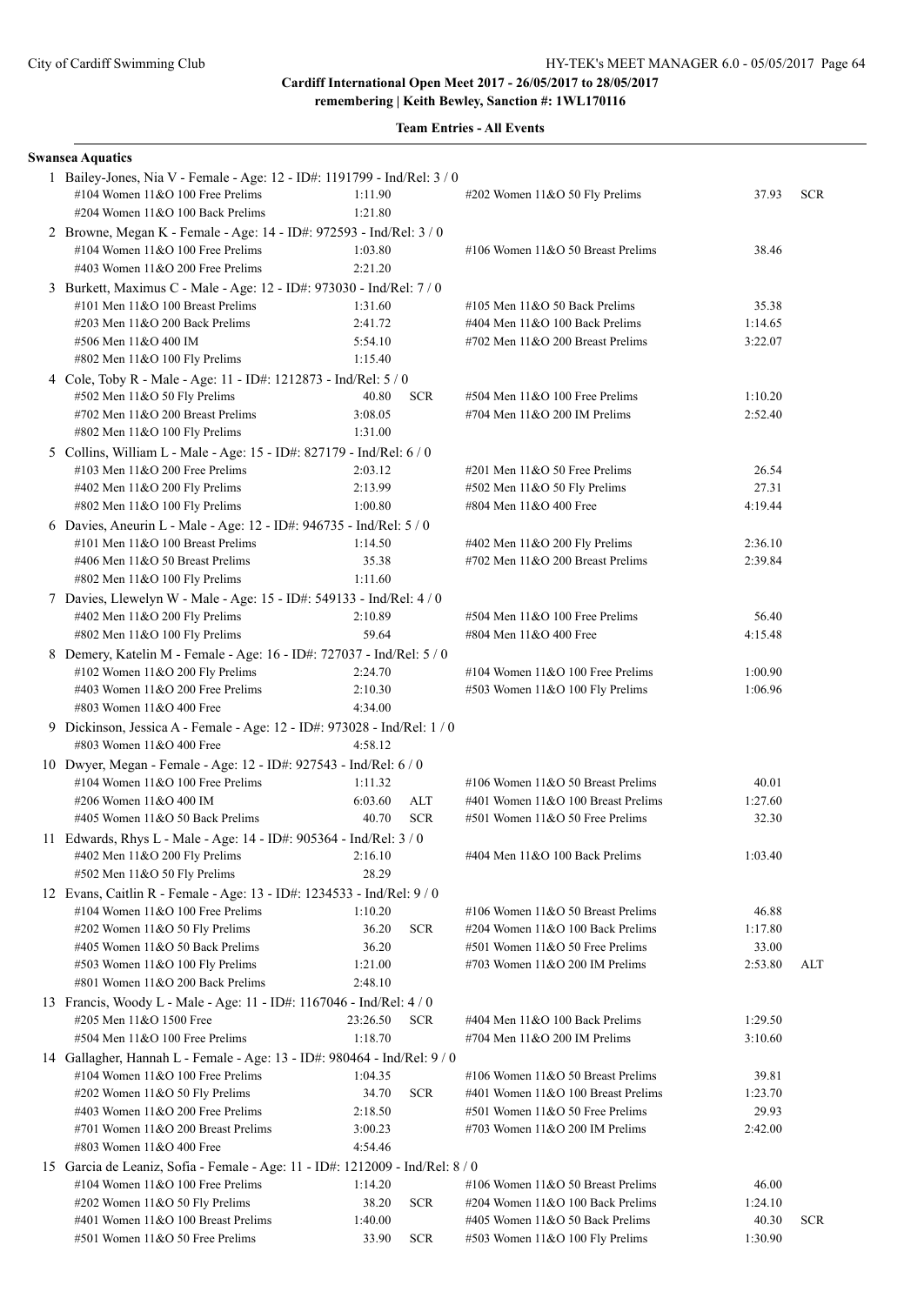**remembering | Keith Bewley, Sanction #: 1WL170116**

| <b>Swansea Aquatics</b>                                                                              |                    |            |                                                                   |                    |            |
|------------------------------------------------------------------------------------------------------|--------------------|------------|-------------------------------------------------------------------|--------------------|------------|
| 1 Bailey-Jones, Nia V - Female - Age: 12 - ID#: 1191799 - Ind/Rel: 3 / 0                             |                    |            |                                                                   |                    |            |
| #104 Women 11&O 100 Free Prelims                                                                     | 1:11.90            |            | #202 Women 11&O 50 Fly Prelims                                    | 37.93              | <b>SCR</b> |
| #204 Women $11&O 100$ Back Prelims                                                                   | 1:21.80            |            |                                                                   |                    |            |
| 2 Browne, Megan K - Female - Age: 14 - ID#: 972593 - Ind/Rel: 3 / 0                                  |                    |            |                                                                   |                    |            |
| #104 Women $11&O 100$ Free Prelims                                                                   | 1:03.80            |            | #106 Women $11&O 50$ Breast Prelims                               | 38.46              |            |
| #403 Women $11&O$ 200 Free Prelims                                                                   | 2:21.20            |            |                                                                   |                    |            |
| 3 Burkett, Maximus C - Male - Age: 12 - ID#: 973030 - Ind/Rel: 7 / 0                                 |                    |            |                                                                   |                    |            |
| #101 Men 11&O 100 Breast Prelims<br>#203 Men 11&O 200 Back Prelims                                   | 1:31.60<br>2:41.72 |            | #105 Men $11&O$ 50 Back Prelims<br>#404 Men 11&O 100 Back Prelims | 35.38              |            |
| #506 Men 11&O 400 IM                                                                                 | 5:54.10            |            | #702 Men $11&O$ 200 Breast Prelims                                | 1:14.65<br>3:22.07 |            |
| #802 Men 11&O 100 Fly Prelims                                                                        | 1:15.40            |            |                                                                   |                    |            |
| 4 Cole, Toby R - Male - Age: 11 - ID#: 1212873 - Ind/Rel: 5 / 0                                      |                    |            |                                                                   |                    |            |
| #502 Men 11&O 50 Fly Prelims                                                                         | 40.80              | <b>SCR</b> | $#504$ Men $11&O 100$ Free Prelims                                | 1:10.20            |            |
| #702 Men 11&O 200 Breast Prelims                                                                     | 3:08.05            |            | #704 Men $11&O$ 200 IM Prelims                                    | 2:52.40            |            |
| #802 Men 11&O 100 Fly Prelims                                                                        | 1:31.00            |            |                                                                   |                    |            |
| 5 Collins, William L - Male - Age: 15 - ID#: 827179 - Ind/Rel: 6 / 0                                 |                    |            |                                                                   |                    |            |
| #103 Men 11&O 200 Free Prelims                                                                       | 2:03.12            |            | $\#201$ Men $11&O$ 50 Free Prelims                                | 26.54              |            |
| #402 Men 11&O 200 Fly Prelims                                                                        | 2:13.99            |            | #502 Men 11&O 50 Fly Prelims                                      | 27.31              |            |
| #802 Men 11&O 100 Fly Prelims                                                                        | 1:00.80            |            | #804 Men 11&O 400 Free                                            | 4:19.44            |            |
| 6 Davies, Aneurin L - Male - Age: 12 - ID#: 946735 - Ind/Rel: 5 / 0                                  |                    |            |                                                                   |                    |            |
| #101 Men 11&O 100 Breast Prelims                                                                     | 1:14.50            |            | #402 Men 11&O 200 Fly Prelims                                     | 2:36.10            |            |
| #406 Men 11&O 50 Breast Prelims                                                                      | 35.38              |            | #702 Men 11&O 200 Breast Prelims                                  | 2:39.84            |            |
| #802 Men 11&O 100 Fly Prelims                                                                        | 1:11.60            |            |                                                                   |                    |            |
| 7 Davies, Llewelyn W - Male - Age: 15 - ID#: 549133 - Ind/Rel: 4 / 0                                 |                    |            |                                                                   |                    |            |
| #402 Men 11&O 200 Fly Prelims                                                                        | 2:10.89            |            | $#504$ Men $11&O 100$ Free Prelims                                | 56.40              |            |
| #802 Men 11&O 100 Fly Prelims                                                                        | 59.64              |            | #804 Men 11&O 400 Free                                            | 4:15.48            |            |
| 8 Demery, Katelin M - Female - Age: 16 - ID#: 727037 - Ind/Rel: 5 / 0                                |                    |            |                                                                   |                    |            |
| #102 Women 11&O 200 Fly Prelims                                                                      | 2:24.70            |            | #104 Women $11&O$ 100 Free Prelims                                | 1:00.90            |            |
| #403 Women $11&O$ 200 Free Prelims                                                                   | 2:10.30            |            | #503 Women 11&O 100 Fly Prelims                                   | 1:06.96            |            |
| #803 Women 11&O 400 Free                                                                             | 4:34.00            |            |                                                                   |                    |            |
| 9 Dickinson, Jessica A - Female - Age: 12 - ID#: 973028 - Ind/Rel: 1 / 0<br>#803 Women 11&O 400 Free | 4:58.12            |            |                                                                   |                    |            |
| 10 Dwyer, Megan - Female - Age: 12 - ID#: 927543 - Ind/Rel: 6 / 0                                    |                    |            |                                                                   |                    |            |
| #104 Women $11&O$ 100 Free Prelims                                                                   | 1:11.32            |            | #106 Women $11&O 50$ Breast Prelims                               | 40.01              |            |
| #206 Women 11&O 400 IM                                                                               | 6:03.60            | <b>ALT</b> | #401 Women 11&O 100 Breast Prelims                                | 1:27.60            |            |
| #405 Women 11&O 50 Back Prelims                                                                      | 40.70              | <b>SCR</b> | $#501$ Women $11&O 50$ Free Prelims                               | 32.30              |            |
| 11 Edwards, Rhys L - Male - Age: 14 - ID#: 905364 - Ind/Rel: 3 / 0                                   |                    |            |                                                                   |                    |            |
| #402 Men 11&O 200 Fly Prelims                                                                        | 2:16.10            |            | #404 Men 11&O 100 Back Prelims                                    | 1:03.40            |            |
| #502 Men 11&O 50 Fly Prelims                                                                         | 28.29              |            |                                                                   |                    |            |
| 12 Evans, Caitlin R - Female - Age: 13 - ID#: 1234533 - Ind/Rel: 9 / 0                               |                    |            |                                                                   |                    |            |
| #104 Women 11&O 100 Free Prelims                                                                     | 1:10.20            |            | #106 Women 11&O 50 Breast Prelims                                 | 46.88              |            |
| #202 Women 11&O 50 Fly Prelims                                                                       | 36.20              | <b>SCR</b> | #204 Women 11&O 100 Back Prelims                                  | 1:17.80            |            |
| #405 Women 11&O 50 Back Prelims                                                                      | 36.20              |            | #501 Women 11&O 50 Free Prelims                                   | 33.00              |            |
| #503 Women 11&O 100 Fly Prelims<br>#801 Women 11&O 200 Back Prelims                                  | 1:21.00<br>2:48.10 |            | #703 Women 11&O 200 IM Prelims                                    | 2:53.80            | ALT        |
| 13 Francis, Woody L - Male - Age: 11 - ID#: 1167046 - Ind/Rel: 4 / 0                                 |                    |            |                                                                   |                    |            |
| #205 Men 11&O 1500 Free                                                                              | 23:26.50           | <b>SCR</b> | #404 Men 11&O 100 Back Prelims                                    | 1:29.50            |            |
| #504 Men 11&O 100 Free Prelims                                                                       | 1:18.70            |            | #704 Men 11&O 200 IM Prelims                                      | 3:10.60            |            |
| 14 Gallagher, Hannah L - Female - Age: 13 - ID#: 980464 - Ind/Rel: 9 / 0                             |                    |            |                                                                   |                    |            |
| #104 Women 11&O 100 Free Prelims                                                                     | 1:04.35            |            | #106 Women 11&O 50 Breast Prelims                                 | 39.81              |            |
| #202 Women 11&O 50 Fly Prelims                                                                       | 34.70              | <b>SCR</b> | #401 Women 11&O 100 Breast Prelims                                | 1:23.70            |            |
| #403 Women 11&O 200 Free Prelims                                                                     | 2:18.50            |            | #501 Women 11&O 50 Free Prelims                                   | 29.93              |            |
| #701 Women 11&O 200 Breast Prelims                                                                   | 3:00.23            |            | #703 Women 11&O 200 IM Prelims                                    | 2:42.00            |            |
| #803 Women 11&O 400 Free                                                                             | 4:54.46            |            |                                                                   |                    |            |
| 15 Garcia de Leaniz, Sofia - Female - Age: 11 - ID#: 1212009 - Ind/Rel: 8 / 0                        |                    |            |                                                                   |                    |            |
| #104 Women $11&O$ 100 Free Prelims                                                                   | 1:14.20            |            | #106 Women 11&O 50 Breast Prelims                                 | 46.00              |            |
| #202 Women 11&O 50 Fly Prelims                                                                       | 38.20              | <b>SCR</b> | #204 Women 11&O 100 Back Prelims                                  | 1:24.10            |            |
| #401 Women 11&O 100 Breast Prelims                                                                   | 1:40.00            |            | #405 Women 11&O 50 Back Prelims                                   | 40.30              | <b>SCR</b> |
| #501 Women 11&O 50 Free Prelims                                                                      | 33.90              | <b>SCR</b> | #503 Women 11&O 100 Fly Prelims                                   | 1:30.90            |            |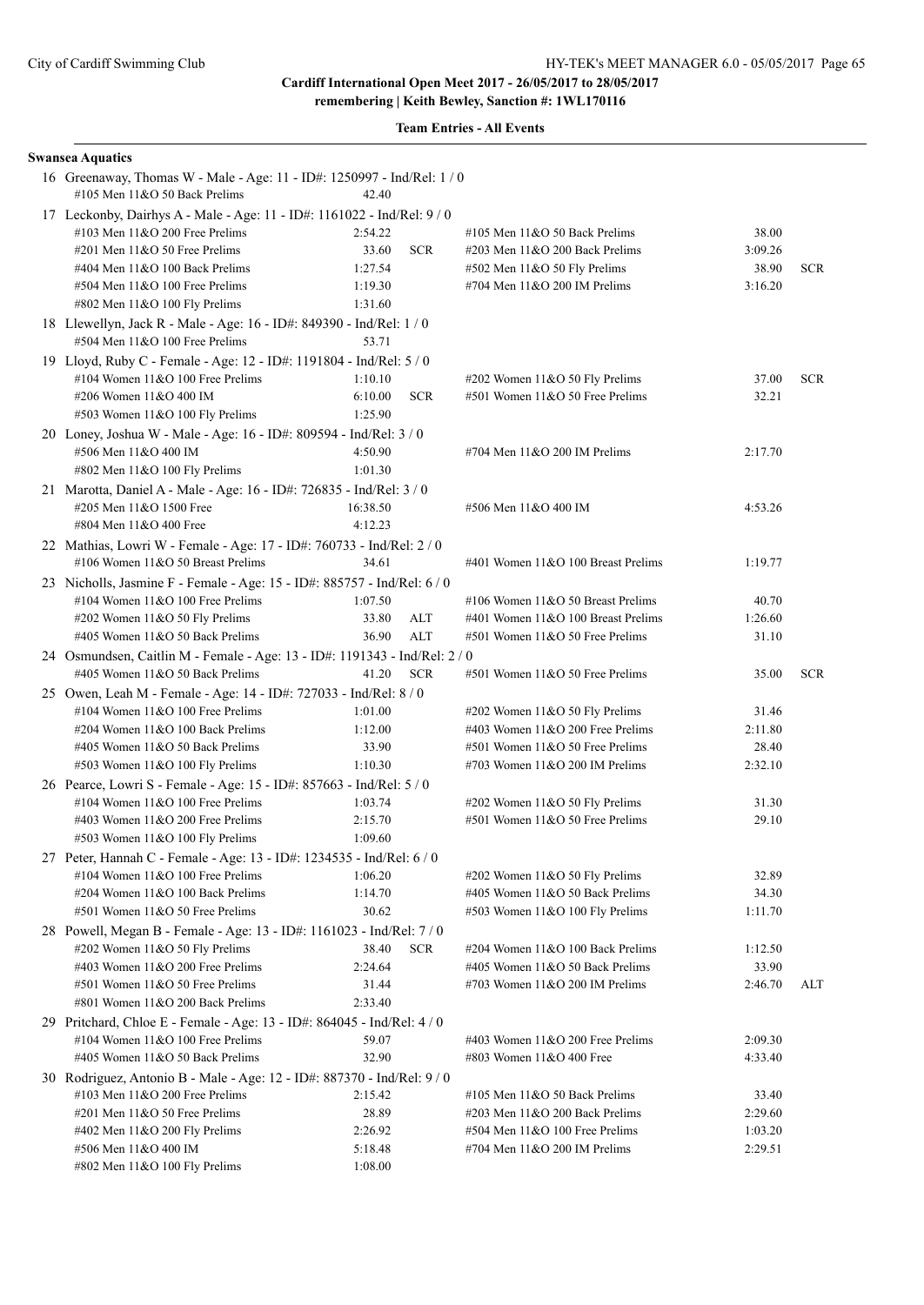| <b>Swansea Aquatics</b>                                                                                |          |            |                                    |         |            |
|--------------------------------------------------------------------------------------------------------|----------|------------|------------------------------------|---------|------------|
| 16 Greenaway, Thomas W - Male - Age: 11 - ID#: 1250997 - Ind/Rel: 1 / 0                                |          |            |                                    |         |            |
| #105 Men 11&O 50 Back Prelims                                                                          | 42.40    |            |                                    |         |            |
| 17 Leckonby, Dairhys A - Male - Age: 11 - ID#: 1161022 - Ind/Rel: 9 / 0                                |          |            |                                    |         |            |
| #103 Men 11&O 200 Free Prelims                                                                         | 2:54.22  |            | #105 Men $11&O$ 50 Back Prelims    | 38.00   |            |
| $\#201$ Men $11&O$ 50 Free Prelims                                                                     | 33.60    | <b>SCR</b> | #203 Men 11&O 200 Back Prelims     | 3:09.26 |            |
| #404 Men 11&O 100 Back Prelims                                                                         | 1:27.54  |            | #502 Men 11&O 50 Fly Prelims       | 38.90   | <b>SCR</b> |
| #504 Men 11&O 100 Free Prelims<br>#802 Men 11&O 100 Fly Prelims                                        | 1:19.30  |            | #704 Men 11&O 200 IM Prelims       | 3:16.20 |            |
|                                                                                                        | 1:31.60  |            |                                    |         |            |
| 18 Llewellyn, Jack R - Male - Age: 16 - ID#: 849390 - Ind/Rel: 1 / 0<br>#504 Men 11&O 100 Free Prelims | 53.71    |            |                                    |         |            |
| 19 Lloyd, Ruby C - Female - Age: 12 - ID#: 1191804 - Ind/Rel: 5 / 0                                    |          |            |                                    |         |            |
| #104 Women $11&O 100$ Free Prelims                                                                     | 1:10.10  |            | #202 Women 11&O 50 Fly Prelims     | 37.00   | <b>SCR</b> |
| #206 Women 11&O 400 IM                                                                                 | 6:10.00  | <b>SCR</b> | #501 Women 11&O 50 Free Prelims    | 32.21   |            |
| #503 Women 11&O 100 Fly Prelims                                                                        | 1:25.90  |            |                                    |         |            |
| 20 Loney, Joshua W - Male - Age: 16 - ID#: 809594 - Ind/Rel: 3 / 0                                     |          |            |                                    |         |            |
| #506 Men 11&O 400 IM                                                                                   | 4:50.90  |            | #704 Men 11&O 200 IM Prelims       | 2:17.70 |            |
| #802 Men 11&O 100 Fly Prelims                                                                          | 1:01.30  |            |                                    |         |            |
| 21 Marotta, Daniel A - Male - Age: 16 - ID#: 726835 - Ind/Rel: 3 / 0                                   |          |            |                                    |         |            |
| #205 Men 11&O 1500 Free                                                                                | 16:38.50 |            | #506 Men 11&O 400 IM               | 4:53.26 |            |
| #804 Men 11&O 400 Free                                                                                 | 4:12.23  |            |                                    |         |            |
| 22 Mathias, Lowri W - Female - Age: 17 - ID#: 760733 - Ind/Rel: 2 / 0                                  |          |            |                                    |         |            |
| #106 Women 11&O 50 Breast Prelims                                                                      | 34.61    |            | #401 Women 11&O 100 Breast Prelims | 1:19.77 |            |
| 23 Nicholls, Jasmine F - Female - Age: 15 - ID#: 885757 - Ind/Rel: 6 / 0                               |          |            |                                    |         |            |
| #104 Women $11&O$ 100 Free Prelims                                                                     | 1:07.50  |            | #106 Women 11&O 50 Breast Prelims  | 40.70   |            |
| #202 Women 11&O 50 Fly Prelims                                                                         | 33.80    | ALT        | #401 Women 11&O 100 Breast Prelims | 1:26.60 |            |
| #405 Women 11&O 50 Back Prelims                                                                        | 36.90    | ALT        | #501 Women 11&O 50 Free Prelims    | 31.10   |            |
| 24 Osmundsen, Caitlin M - Female - Age: 13 - ID#: 1191343 - Ind/Rel: 2 / 0                             |          |            |                                    |         |            |
| #405 Women 11&O 50 Back Prelims                                                                        | 41.20    | <b>SCR</b> | #501 Women 11&O 50 Free Prelims    | 35.00   | <b>SCR</b> |
| 25 Owen, Leah M - Female - Age: 14 - ID#: 727033 - Ind/Rel: 8 / 0                                      |          |            |                                    |         |            |
| #104 Women $11&O$ 100 Free Prelims                                                                     | 1:01.00  |            | #202 Women 11&O 50 Fly Prelims     | 31.46   |            |
| #204 Women 11&O 100 Back Prelims                                                                       | 1:12.00  |            | #403 Women $11&O$ 200 Free Prelims | 2:11.80 |            |
| #405 Women 11&O 50 Back Prelims                                                                        | 33.90    |            | #501 Women 11&O 50 Free Prelims    | 28.40   |            |
| #503 Women 11&O 100 Fly Prelims                                                                        | 1:10.30  |            | #703 Women $11&O$ 200 IM Prelims   | 2:32.10 |            |
| 26 Pearce, Lowri S - Female - Age: 15 - ID#: 857663 - Ind/Rel: 5 / 0                                   |          |            |                                    |         |            |
| #104 Women $11&O$ 100 Free Prelims                                                                     | 1:03.74  |            | #202 Women 11&O 50 Fly Prelims     | 31.30   |            |
| #403 Women 11&O 200 Free Prelims                                                                       | 2:15.70  |            | #501 Women 11&O 50 Free Prelims    | 29.10   |            |
| #503 Women 11&O 100 Fly Prelims                                                                        | 1:09.60  |            |                                    |         |            |
| 27 Peter, Hannah C - Female - Age: 13 - ID#: 1234535 - Ind/Rel: 6 / 0                                  |          |            |                                    |         |            |
| #104 Women $11&O$ 100 Free Prelims                                                                     | 1:06.20  |            | #202 Women 11&O 50 Fly Prelims     | 32.89   |            |
| #204 Women 11&O 100 Back Prelims                                                                       | 1:14.70  |            | #405 Women 11&O 50 Back Prelims    | 34.30   |            |
| #501 Women 11&O 50 Free Prelims                                                                        | 30.62    |            | #503 Women 11&O 100 Fly Prelims    | 1:11.70 |            |
| 28 Powell, Megan B - Female - Age: 13 - ID#: 1161023 - Ind/Rel: 7/0                                    |          |            |                                    |         |            |
| #202 Women 11&O 50 Fly Prelims                                                                         | 38.40    | <b>SCR</b> | #204 Women 11&O 100 Back Prelims   | 1:12.50 |            |
| #403 Women 11&O 200 Free Prelims                                                                       | 2:24.64  |            | #405 Women 11&O 50 Back Prelims    | 33.90   |            |
| #501 Women 11&O 50 Free Prelims                                                                        | 31.44    |            | #703 Women 11&O 200 IM Prelims     | 2:46.70 | ALT        |
| #801 Women 11&O 200 Back Prelims                                                                       | 2:33.40  |            |                                    |         |            |
| 29 Pritchard, Chloe E - Female - Age: 13 - ID#: 864045 - Ind/Rel: 4 / 0                                |          |            |                                    |         |            |
| #104 Women $11&O$ 100 Free Prelims                                                                     | 59.07    |            | #403 Women $11&O$ 200 Free Prelims | 2:09.30 |            |
| #405 Women 11&O 50 Back Prelims                                                                        | 32.90    |            | #803 Women 11&O 400 Free           | 4:33.40 |            |
| 30 Rodriguez, Antonio B - Male - Age: 12 - ID#: 887370 - Ind/Rel: 9 / 0                                |          |            |                                    |         |            |
| #103 Men $11&O$ 200 Free Prelims                                                                       | 2:15.42  |            | #105 Men $11&O$ 50 Back Prelims    | 33.40   |            |
| #201 Men 11&O 50 Free Prelims                                                                          | 28.89    |            | #203 Men 11&O 200 Back Prelims     | 2:29.60 |            |
| $\#402$ Men 11&O 200 Fly Prelims                                                                       | 2:26.92  |            | #504 Men 11&O 100 Free Prelims     | 1:03.20 |            |
| #506 Men 11&O 400 IM                                                                                   | 5:18.48  |            | #704 Men 11&O 200 IM Prelims       | 2:29.51 |            |
| #802 Men 11&O 100 Fly Prelims                                                                          | 1:08.00  |            |                                    |         |            |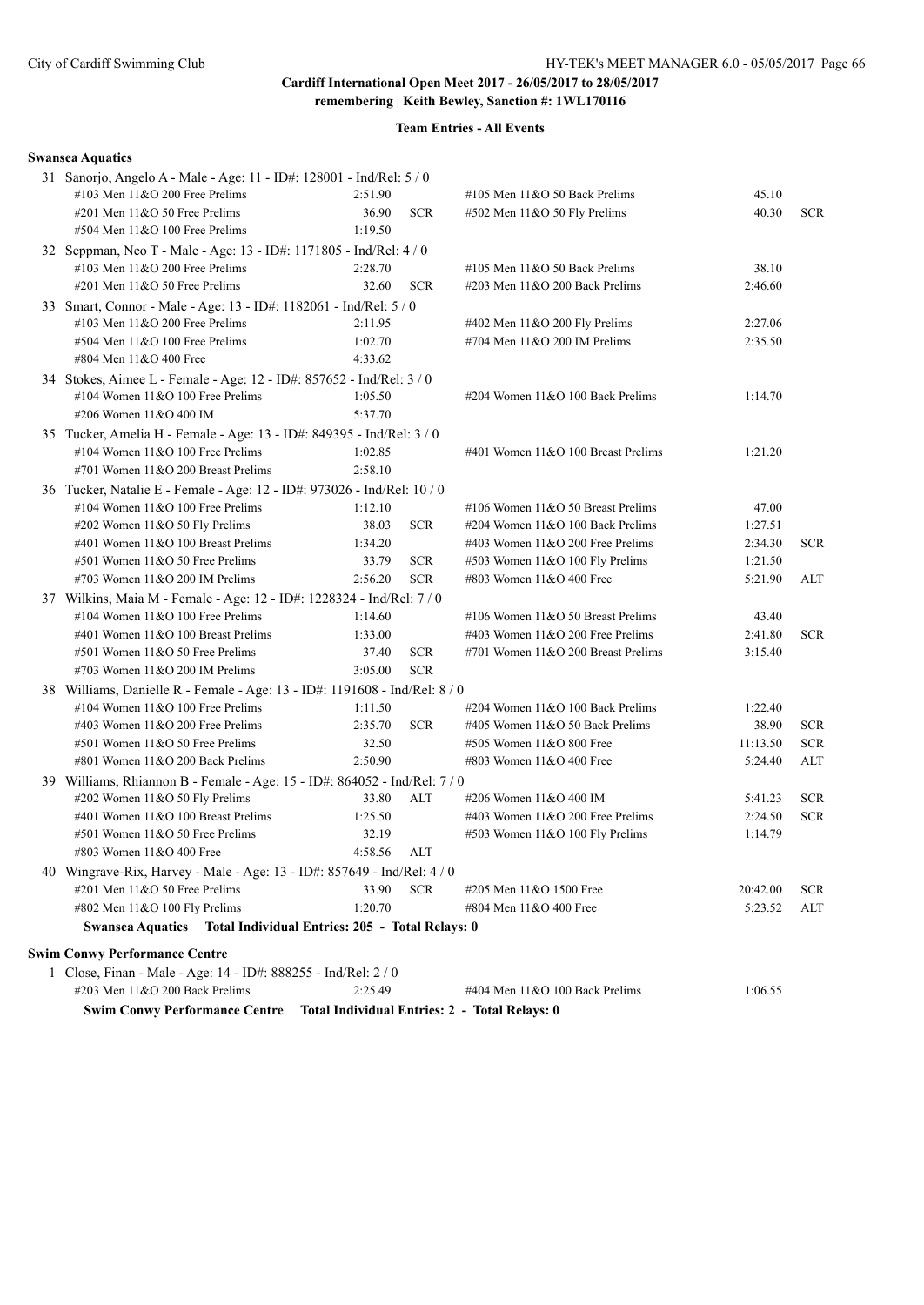**remembering | Keith Bewley, Sanction #: 1WL170116**

| <b>Swansea Aquatics</b>                                                    |         |            |                                               |          |            |
|----------------------------------------------------------------------------|---------|------------|-----------------------------------------------|----------|------------|
| 31 Sanorjo, Angelo A - Male - Age: 11 - ID#: 128001 - Ind/Rel: 5 / 0       |         |            |                                               |          |            |
| #103 Men 11&O 200 Free Prelims                                             | 2:51.90 |            | #105 Men $11&O$ 50 Back Prelims               | 45.10    |            |
| #201 Men 11&O 50 Free Prelims                                              | 36.90   | <b>SCR</b> | #502 Men 11&O 50 Fly Prelims                  | 40.30    | <b>SCR</b> |
| #504 Men 11&O 100 Free Prelims                                             | 1:19.50 |            |                                               |          |            |
| 32 Seppman, Neo T - Male - Age: 13 - ID#: 1171805 - Ind/Rel: 4 / 0         |         |            |                                               |          |            |
| #103 Men $11&O$ 200 Free Prelims                                           | 2:28.70 |            | #105 Men $11&O$ 50 Back Prelims               | 38.10    |            |
| #201 Men 11&O 50 Free Prelims                                              | 32.60   | <b>SCR</b> | $\#203$ Men $11&O$ 200 Back Prelims           | 2:46.60  |            |
| 33 Smart, Connor - Male - Age: 13 - ID#: 1182061 - Ind/Rel: 5 / 0          |         |            |                                               |          |            |
| $\#103$ Men $11\&O$ 200 Free Prelims                                       | 2:11.95 |            | #402 Men 11&O 200 Fly Prelims                 | 2:27.06  |            |
| #504 Men 11&O 100 Free Prelims                                             | 1:02.70 |            | #704 Men 11&O 200 IM Prelims                  | 2:35.50  |            |
| #804 Men 11&O 400 Free                                                     | 4:33.62 |            |                                               |          |            |
| 34 Stokes, Aimee L - Female - Age: 12 - ID#: 857652 - Ind/Rel: 3 / 0       |         |            |                                               |          |            |
| #104 Women 11&O 100 Free Prelims                                           | 1:05.50 |            | #204 Women 11&O 100 Back Prelims              | 1:14.70  |            |
| #206 Women 11&O 400 IM                                                     | 5:37.70 |            |                                               |          |            |
| 35 Tucker, Amelia H - Female - Age: 13 - ID#: 849395 - Ind/Rel: 3 / 0      |         |            |                                               |          |            |
| #104 Women $11&O$ 100 Free Prelims                                         | 1:02.85 |            | #401 Women 11&O 100 Breast Prelims            | 1:21.20  |            |
| #701 Women 11&O 200 Breast Prelims                                         | 2:58.10 |            |                                               |          |            |
| 36 Tucker, Natalie E - Female - Age: 12 - ID#: 973026 - Ind/Rel: 10 / 0    |         |            |                                               |          |            |
| #104 Women 11&O 100 Free Prelims                                           | 1:12.10 |            | #106 Women 11&O 50 Breast Prelims             | 47.00    |            |
| #202 Women 11&O 50 Fly Prelims                                             | 38.03   | <b>SCR</b> | #204 Women 11&O 100 Back Prelims              | 1:27.51  |            |
| #401 Women 11&O 100 Breast Prelims                                         | 1:34.20 |            | #403 Women $11&O$ 200 Free Prelims            | 2:34.30  | <b>SCR</b> |
| #501 Women 11&O 50 Free Prelims                                            | 33.79   | <b>SCR</b> | #503 Women 11&O 100 Fly Prelims               | 1:21.50  |            |
| #703 Women 11&O 200 IM Prelims                                             | 2:56.20 | <b>SCR</b> | #803 Women 11&O 400 Free                      | 5:21.90  | ALT        |
| 37 Wilkins, Maia M - Female - Age: 12 - ID#: 1228324 - Ind/Rel: 7/0        |         |            |                                               |          |            |
| #104 Women 11&O 100 Free Prelims                                           | 1:14.60 |            | #106 Women 11&O 50 Breast Prelims             | 43.40    |            |
| #401 Women 11&O 100 Breast Prelims                                         | 1:33.00 |            | #403 Women 11&O 200 Free Prelims              | 2:41.80  | <b>SCR</b> |
| #501 Women 11&O 50 Free Prelims                                            | 37.40   | <b>SCR</b> | #701 Women 11&O 200 Breast Prelims            | 3:15.40  |            |
| #703 Women $11&O$ 200 IM Prelims                                           | 3:05.00 | <b>SCR</b> |                                               |          |            |
| 38 Williams, Danielle R - Female - Age: 13 - ID#: 1191608 - Ind/Rel: 8 / 0 |         |            |                                               |          |            |
| #104 Women 11&O 100 Free Prelims                                           | 1:11.50 |            | #204 Women 11&O 100 Back Prelims              | 1:22.40  |            |
| #403 Women 11&O 200 Free Prelims                                           | 2:35.70 | <b>SCR</b> | #405 Women 11&O 50 Back Prelims               | 38.90    | <b>SCR</b> |
| #501 Women 11&O 50 Free Prelims                                            | 32.50   |            | #505 Women 11&O 800 Free                      | 11:13.50 | <b>SCR</b> |
| #801 Women 11&O 200 Back Prelims                                           | 2:50.90 |            | #803 Women 11&O 400 Free                      | 5:24.40  | ALT        |
| 39 Williams, Rhiannon B - Female - Age: 15 - ID#: 864052 - Ind/Rel: 7 / 0  |         |            |                                               |          |            |
| #202 Women 11&O 50 Fly Prelims                                             | 33.80   | <b>ALT</b> | #206 Women 11&O 400 IM                        | 5:41.23  | <b>SCR</b> |
| #401 Women 11&O 100 Breast Prelims                                         | 1:25.50 |            | #403 Women 11&O 200 Free Prelims              | 2:24.50  | <b>SCR</b> |
| #501 Women 11&O 50 Free Prelims                                            | 32.19   |            | #503 Women 11&O 100 Fly Prelims               | 1:14.79  |            |
| #803 Women 11&O 400 Free                                                   | 4:58.56 | ALT        |                                               |          |            |
| 40 Wingrave-Rix, Harvey - Male - Age: 13 - ID#: 857649 - Ind/Rel: 4 / 0    |         |            |                                               |          |            |
| #201 Men 11&O 50 Free Prelims                                              | 33.90   | <b>SCR</b> | #205 Men 11&O 1500 Free                       | 20:42.00 | <b>SCR</b> |
| #802 Men 11&O 100 Fly Prelims                                              | 1:20.70 |            | #804 Men 11&O 400 Free                        | 5:23.52  | ALT        |
| Swansea Aquatics Total Individual Entries: 205 - Total Relays: 0           |         |            |                                               |          |            |
| <b>Swim Conwy Performance Centre</b>                                       |         |            |                                               |          |            |
| 1 Close, Finan - Male - Age: 14 - ID#: 888255 - Ind/Rel: 2 / 0             |         |            |                                               |          |            |
| #203 Men 11&O 200 Back Prelims                                             | 2:25.49 |            | #404 Men 11&O 100 Back Prelims                | 1:06.55  |            |
| <b>Swim Conwy Performance Centre</b>                                       |         |            | Total Individual Entries: 2 - Total Relays: 0 |          |            |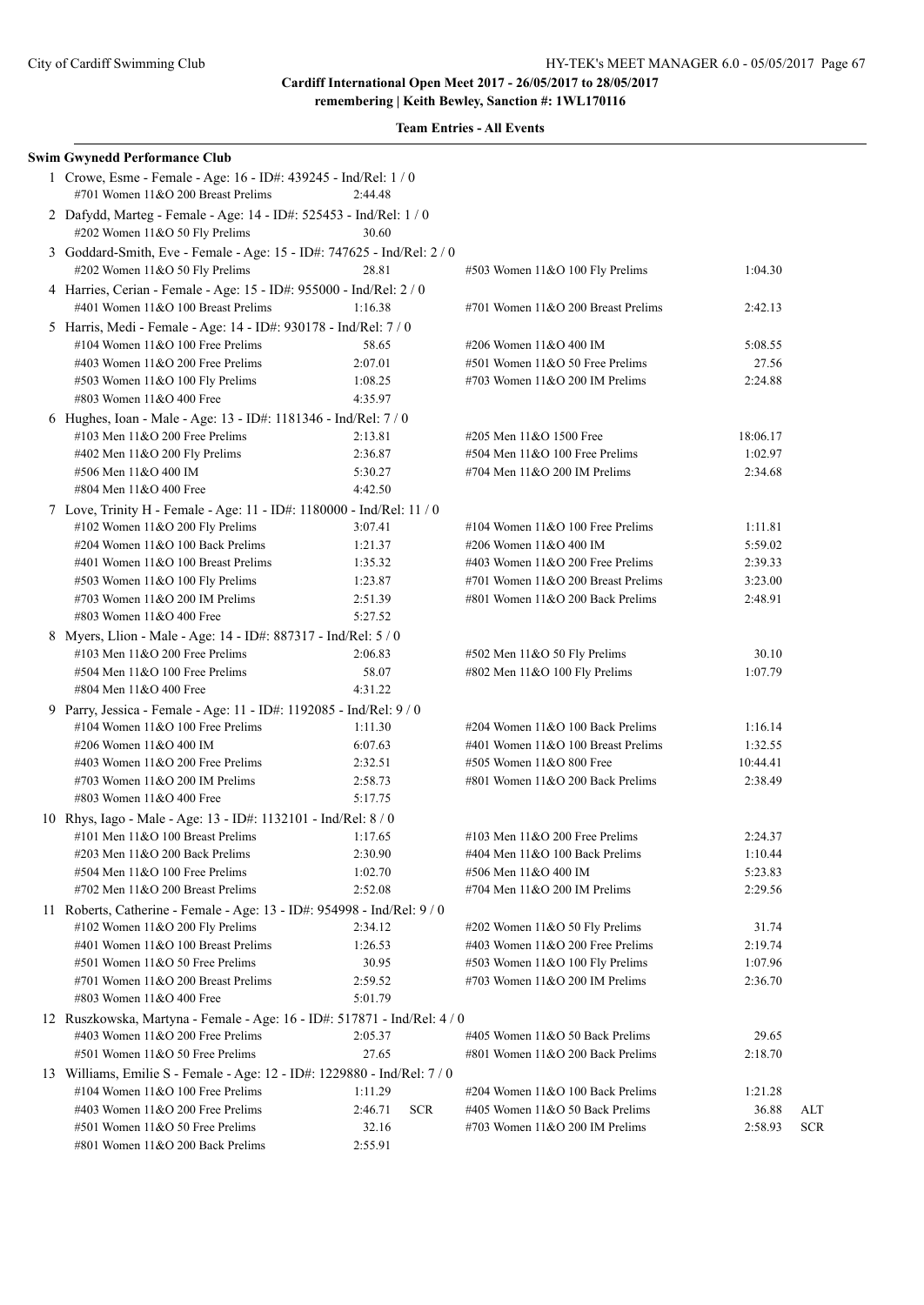| <b>Swim Gwynedd Performance Club</b>                                                                     |                       |                                    |          |            |
|----------------------------------------------------------------------------------------------------------|-----------------------|------------------------------------|----------|------------|
| 1 Crowe, Esme - Female - Age: 16 - ID#: 439245 - Ind/Rel: 1 / 0<br>#701 Women 11&O 200 Breast Prelims    | 2:44.48               |                                    |          |            |
| 2 Dafydd, Marteg - Female - Age: 14 - ID#: 525453 - Ind/Rel: 1 / 0<br>#202 Women 11&O 50 Fly Prelims     | 30.60                 |                                    |          |            |
| 3 Goddard-Smith, Eve - Female - Age: 15 - ID#: 747625 - Ind/Rel: 2 / 0<br>#202 Women 11&O 50 Fly Prelims | 28.81                 | #503 Women 11&O 100 Fly Prelims    | 1:04.30  |            |
| 4 Harries, Cerian - Female - Age: 15 - ID#: 955000 - Ind/Rel: 2 / 0                                      |                       |                                    |          |            |
| #401 Women 11&O 100 Breast Prelims                                                                       | 1:16.38               | #701 Women 11&O 200 Breast Prelims | 2:42.13  |            |
| 5 Harris, Medi - Female - Age: 14 - ID#: 930178 - Ind/Rel: 7 / 0                                         |                       |                                    |          |            |
| #104 Women 11&O 100 Free Prelims                                                                         | 58.65                 | #206 Women 11&O 400 IM             | 5:08.55  |            |
| #403 Women 11&O 200 Free Prelims                                                                         | 2:07.01               | #501 Women 11&O 50 Free Prelims    | 27.56    |            |
| #503 Women 11&O 100 Fly Prelims                                                                          | 1:08.25               | #703 Women $11&O$ 200 IM Prelims   | 2:24.88  |            |
| #803 Women 11&O 400 Free                                                                                 | 4:35.97               |                                    |          |            |
| 6 Hughes, Ioan - Male - Age: 13 - ID#: 1181346 - Ind/Rel: 7/0                                            |                       |                                    |          |            |
| #103 Men $11&O$ 200 Free Prelims                                                                         | 2:13.81               | #205 Men 11&O 1500 Free            | 18:06.17 |            |
| #402 Men 11&O 200 Fly Prelims                                                                            | 2:36.87               | #504 Men 11&O 100 Free Prelims     | 1:02.97  |            |
| #506 Men 11&O 400 IM                                                                                     | 5:30.27               | #704 Men 11&O 200 IM Prelims       | 2:34.68  |            |
| #804 Men 11&O 400 Free                                                                                   | 4:42.50               |                                    |          |            |
| 7 Love, Trinity H - Female - Age: 11 - ID#: 1180000 - Ind/Rel: 11 / 0                                    |                       |                                    |          |            |
| #102 Women 11&O 200 Fly Prelims                                                                          | 3:07.41               | #104 Women $11&O 100$ Free Prelims | 1:11.81  |            |
| #204 Women 11&O 100 Back Prelims                                                                         | 1:21.37               | #206 Women 11&O 400 IM             | 5:59.02  |            |
| #401 Women 11&O 100 Breast Prelims                                                                       | 1:35.32               | #403 Women 11&O 200 Free Prelims   | 2:39.33  |            |
| #503 Women 11&O 100 Fly Prelims                                                                          | 1:23.87               | #701 Women 11&O 200 Breast Prelims | 3:23.00  |            |
| #703 Women 11&O 200 IM Prelims                                                                           | 2:51.39               | #801 Women 11&O 200 Back Prelims   | 2:48.91  |            |
| #803 Women 11&O 400 Free                                                                                 | 5:27.52               |                                    |          |            |
| 8 Myers, Llion - Male - Age: 14 - ID#: 887317 - Ind/Rel: 5 / 0                                           |                       |                                    |          |            |
| #103 Men $11&O$ 200 Free Prelims                                                                         | 2:06.83               | #502 Men 11&O 50 Fly Prelims       | 30.10    |            |
| #504 Men 11&O 100 Free Prelims                                                                           | 58.07                 | #802 Men 11&O 100 Fly Prelims      | 1:07.79  |            |
| #804 Men 11&O 400 Free                                                                                   | 4:31.22               |                                    |          |            |
| 9 Parry, Jessica - Female - Age: 11 - ID#: 1192085 - Ind/Rel: 9 / 0                                      |                       |                                    |          |            |
| #104 Women $11&O$ 100 Free Prelims                                                                       | 1:11.30               | #204 Women 11&O 100 Back Prelims   | 1:16.14  |            |
| #206 Women 11&O 400 IM                                                                                   | 6:07.63               | #401 Women 11&O 100 Breast Prelims | 1:32.55  |            |
| #403 Women $11&O$ 200 Free Prelims                                                                       | 2:32.51               | #505 Women 11&O 800 Free           | 10:44.41 |            |
| #703 Women 11&O 200 IM Prelims                                                                           | 2:58.73               | #801 Women 11&O 200 Back Prelims   | 2:38.49  |            |
| #803 Women 11&O 400 Free                                                                                 | 5:17.75               |                                    |          |            |
| 10 Rhys, Iago - Male - Age: 13 - ID#: 1132101 - Ind/Rel: 8 / 0                                           |                       |                                    |          |            |
| #101 Men $11&O$ 100 Breast Prelims                                                                       | 1:17.65               | #103 Men $11&O$ 200 Free Prelims   | 2:24.37  |            |
| #203 Men 11&O 200 Back Prelims                                                                           | 2:30.90               | #404 Men 11&O 100 Back Prelims     | 1:10.44  |            |
| #504 Men 11&O 100 Free Prelims                                                                           | 1:02.70               | #506 Men 11&O 400 IM               | 5:23.83  |            |
| #702 Men $11&O$ 200 Breast Prelims                                                                       | 2:52.08               | #704 Men 11&O 200 IM Prelims       | 2:29.56  |            |
| 11 Roberts, Catherine - Female - Age: 13 - ID#: 954998 - Ind/Rel: 9 / 0                                  |                       |                                    |          |            |
| #102 Women 11&O 200 Fly Prelims<br>#401 Women 11&O 100 Breast Prelims                                    | 2:34.12               | #202 Women 11&O 50 Fly Prelims     | 31.74    |            |
|                                                                                                          | 1:26.53               | #403 Women $11&O$ 200 Free Prelims | 2:19.74  |            |
| #501 Women 11&O 50 Free Prelims                                                                          | 30.95                 | #503 Women 11&O 100 Fly Prelims    | 1:07.96  |            |
| #701 Women 11&O 200 Breast Prelims<br>#803 Women 11&O 400 Free                                           | 2:59.52<br>5:01.79    | #703 Women 11&O 200 IM Prelims     | 2:36.70  |            |
|                                                                                                          |                       |                                    |          |            |
| 12 Ruszkowska, Martyna - Female - Age: 16 - ID#: 517871 - Ind/Rel: 4 / 0                                 |                       |                                    |          |            |
| #403 Women 11&O 200 Free Prelims                                                                         | 2:05.37               | #405 Women 11&O 50 Back Prelims    | 29.65    |            |
| #501 Women 11&O 50 Free Prelims                                                                          | 27.65                 | #801 Women 11&O 200 Back Prelims   | 2:18.70  |            |
| 13 Williams, Emilie S - Female - Age: 12 - ID#: 1229880 - Ind/Rel: 7 / 0                                 |                       |                                    |          |            |
| #104 Women 11&O 100 Free Prelims                                                                         | 1:11.29               | #204 Women 11&O 100 Back Prelims   | 1:21.28  |            |
| #403 Women 11&O 200 Free Prelims                                                                         | 2:46.71<br><b>SCR</b> | #405 Women 11&O 50 Back Prelims    | 36.88    | ALT        |
| #501 Women 11&O 50 Free Prelims                                                                          | 32.16<br>2:55.91      | #703 Women $11&O$ 200 IM Prelims   | 2:58.93  | <b>SCR</b> |
| #801 Women 11&O 200 Back Prelims                                                                         |                       |                                    |          |            |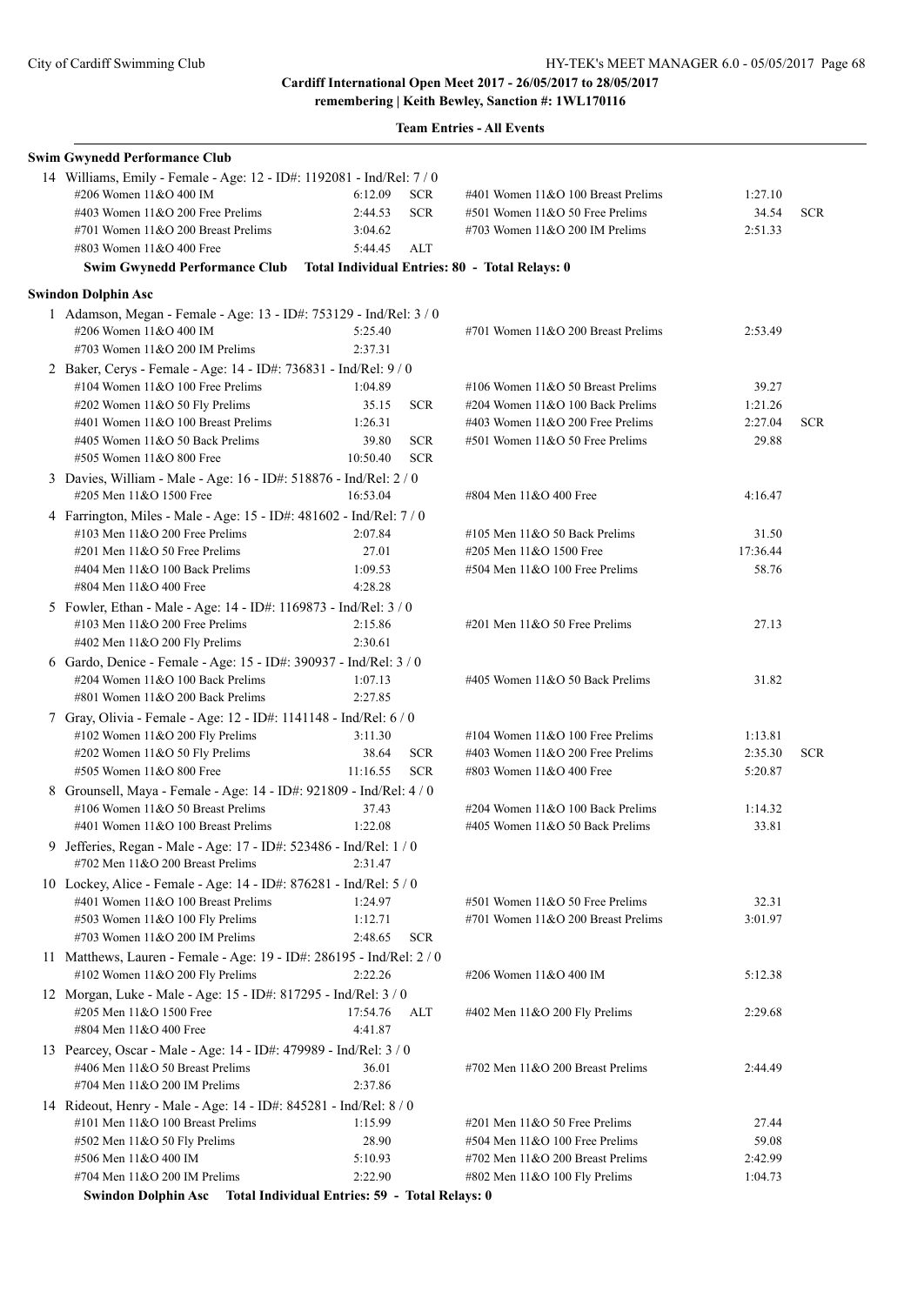**remembering | Keith Bewley, Sanction #: 1WL170116**

|  | <b>Team Entries - All Events</b> |  |  |
|--|----------------------------------|--|--|
|--|----------------------------------|--|--|

| 14 Williams, Emily - Female - Age: 12 - ID#: 1192081 - Ind/Rel: 7 / 0<br><b>SCR</b><br>#206 Women 11&O 400 IM<br>6:12.09<br>#401 Women 11&O 100 Breast Prelims<br>1:27.10<br><b>SCR</b><br>34.54<br>#403 Women $11&O$ 200 Free Prelims<br>2:44.53<br>$#501$ Women $11&O 50$ Free Prelims<br><b>SCR</b><br>#701 Women 11&O 200 Breast Prelims<br>3:04.62<br>#703 Women $11&O$ 200 IM Prelims<br>2:51.33<br>#803 Women 11&O 400 Free<br>5:44.45<br><b>ALT</b><br>Swim Gwynedd Performance Club Total Individual Entries: 80 - Total Relays: 0<br><b>Swindon Dolphin Asc</b><br>1 Adamson, Megan - Female - Age: 13 - ID#: 753129 - Ind/Rel: 3 / 0<br>#206 Women 11&O 400 IM<br>5:25.40<br>#701 Women $11&O$ 200 Breast Prelims<br>2:53.49<br>#703 Women 11&O 200 IM Prelims<br>2:37.31<br>2 Baker, Cerys - Female - Age: 14 - ID#: 736831 - Ind/Rel: 9 / 0<br>#104 Women $11&O$ 100 Free Prelims<br>1:04.89<br>#106 Women $11&O 50$ Breast Prelims<br>39.27<br>35.15<br>#202 Women 11&O 50 Fly Prelims<br><b>SCR</b><br>#204 Women $11&O 100$ Back Prelims<br>1:21.26<br>1:26.31<br>2:27.04<br>#401 Women 11&O 100 Breast Prelims<br>#403 Women $11&O$ 200 Free Prelims<br><b>SCR</b><br>29.88<br>#405 Women 11&O 50 Back Prelims<br>39.80<br><b>SCR</b><br>#501 Women 11&O 50 Free Prelims<br><b>SCR</b><br>#505 Women 11&O 800 Free<br>10:50.40<br>3 Davies, William - Male - Age: 16 - ID#: 518876 - Ind/Rel: 2 / 0<br>#205 Men 11&O 1500 Free<br>16:53.04<br>#804 Men 11&O 400 Free<br>4:16.47<br>4 Farrington, Miles - Male - Age: 15 - ID#: 481602 - Ind/Rel: 7 / 0<br>#103 Men $11&O$ 200 Free Prelims<br>2:07.84<br>#105 Men $11&O$ 50 Back Prelims<br>31.50<br>#201 Men 11&O 50 Free Prelims<br>27.01<br>#205 Men 11&O 1500 Free<br>17:36.44<br>#404 Men 11&O 100 Back Prelims<br>1:09.53<br>$#504$ Men $11&O$ 100 Free Prelims<br>58.76<br>4:28.28<br>#804 Men 11&O 400 Free<br>5 Fowler, Ethan - Male - Age: 14 - ID#: 1169873 - Ind/Rel: 3 / 0<br>#103 Men $11&O$ 200 Free Prelims<br>2:15.86<br>$\#201$ Men $11&O$ 50 Free Prelims<br>27.13<br>#402 Men 11&O 200 Fly Prelims<br>2:30.61<br>6 Gardo, Denice - Female - Age: 15 - ID#: 390937 - Ind/Rel: 3 / 0<br>#204 Women 11&O 100 Back Prelims<br>1:07.13<br>#405 Women $11&O$ 50 Back Prelims<br>31.82<br>#801 Women 11&O 200 Back Prelims<br>2:27.85<br>7 Gray, Olivia - Female - Age: 12 - ID#: 1141148 - Ind/Rel: 6 / 0<br>#102 Women 11&O 200 Fly Prelims<br>3:11.30<br>#104 Women $11&O 100$ Free Prelims<br>1:13.81<br>#202 Women 11&O 50 Fly Prelims<br>38.64<br>2:35.30<br><b>SCR</b><br>#403 Women $11&O$ 200 Free Prelims<br><b>SCR</b><br>#505 Women 11&O 800 Free<br>11:16.55<br><b>SCR</b><br>5:20.87<br>#803 Women $11&O$ 400 Free<br>8 Grounsell, Maya - Female - Age: 14 - ID#: 921809 - Ind/Rel: 4 / 0<br>#106 Women $11&O 50$ Breast Prelims<br>37.43<br>#204 Women $11&O 100$ Back Prelims<br>1:14.32<br>#401 Women 11&O 100 Breast Prelims<br>1:22.08<br>#405 Women 11&O 50 Back Prelims<br>33.81<br>9<br>Jefferies, Regan - Male - Age: 17 - ID#: 523486 - Ind/Rel: 1/0<br>#702 Men 11&O 200 Breast Prelims<br>2:31.47<br>10 Lockey, Alice - Female - Age: 14 - ID#: 876281 - Ind/Rel: 5 / 0<br>#401 Women 11&O 100 Breast Prelims<br>$#501$ Women $11&O 50$ Free Prelims<br>32.31<br>1:24.97<br>#503 Women 11&O 100 Fly Prelims<br>1:12.71<br>#701 Women 11&O 200 Breast Prelims<br>3:01.97<br>#703 Women $11&O$ 200 IM Prelims<br>2:48.65<br><b>SCR</b><br>11 Matthews, Lauren - Female - Age: 19 - ID#: 286195 - Ind/Rel: 2 / 0<br>#102 Women $11&O$ 200 Fly Prelims<br>2:22.26<br>#206 Women 11&O 400 IM<br>5:12.38<br>12 Morgan, Luke - Male - Age: 15 - ID#: 817295 - Ind/Rel: 3 / 0<br>#205 Men 11&O 1500 Free<br>17:54.76<br>ALT<br>2:29.68<br>#402 Men $11&O$ 200 Fly Prelims<br>#804 Men 11&O 400 Free<br>4:41.87<br>13 Pearcey, Oscar - Male - Age: 14 - ID#: 479989 - Ind/Rel: 3 / 0<br>#406 Men 11&O 50 Breast Prelims<br>36.01<br>#702 Men $11&O$ 200 Breast Prelims<br>2:44.49<br>$\#704$ Men $11&O$ 200 IM Prelims<br>2:37.86<br>14 Rideout, Henry - Male - Age: 14 - ID#: 845281 - Ind/Rel: 8 / 0<br>#101 Men $11&O$ 100 Breast Prelims<br>1:15.99<br>$\#201$ Men $11&O$ 50 Free Prelims<br>27.44<br>28.90<br>#504 Men 11&O 100 Free Prelims<br>59.08<br>$\#502$ Men 11&O 50 Fly Prelims<br>#506 Men 11&O 400 IM<br>5:10.93<br>#702 Men $11&O$ 200 Breast Prelims<br>2:42.99<br>#704 Men 11&O 200 IM Prelims<br>2:22.90<br>#802 Men 11&O 100 Fly Prelims<br>1:04.73<br>Swindon Dolphin Asc  Total Individual Entries: 59 - Total Relays: 0 | <b>Swim Gwynedd Performance Club</b> |  |  |  |
|------------------------------------------------------------------------------------------------------------------------------------------------------------------------------------------------------------------------------------------------------------------------------------------------------------------------------------------------------------------------------------------------------------------------------------------------------------------------------------------------------------------------------------------------------------------------------------------------------------------------------------------------------------------------------------------------------------------------------------------------------------------------------------------------------------------------------------------------------------------------------------------------------------------------------------------------------------------------------------------------------------------------------------------------------------------------------------------------------------------------------------------------------------------------------------------------------------------------------------------------------------------------------------------------------------------------------------------------------------------------------------------------------------------------------------------------------------------------------------------------------------------------------------------------------------------------------------------------------------------------------------------------------------------------------------------------------------------------------------------------------------------------------------------------------------------------------------------------------------------------------------------------------------------------------------------------------------------------------------------------------------------------------------------------------------------------------------------------------------------------------------------------------------------------------------------------------------------------------------------------------------------------------------------------------------------------------------------------------------------------------------------------------------------------------------------------------------------------------------------------------------------------------------------------------------------------------------------------------------------------------------------------------------------------------------------------------------------------------------------------------------------------------------------------------------------------------------------------------------------------------------------------------------------------------------------------------------------------------------------------------------------------------------------------------------------------------------------------------------------------------------------------------------------------------------------------------------------------------------------------------------------------------------------------------------------------------------------------------------------------------------------------------------------------------------------------------------------------------------------------------------------------------------------------------------------------------------------------------------------------------------------------------------------------------------------------------------------------------------------------------------------------------------------------------------------------------------------------------------------------------------------------------------------------------------------------------------------------------------------------------------------------------------------------------------------------------------------------------------------------------------------------------------------------------------------------------------------------------------------------------------------------------------------------------------------------------------------------------------------------------------------------------------------------------------------------------------------------------------------------------------------------------------------------|--------------------------------------|--|--|--|
|                                                                                                                                                                                                                                                                                                                                                                                                                                                                                                                                                                                                                                                                                                                                                                                                                                                                                                                                                                                                                                                                                                                                                                                                                                                                                                                                                                                                                                                                                                                                                                                                                                                                                                                                                                                                                                                                                                                                                                                                                                                                                                                                                                                                                                                                                                                                                                                                                                                                                                                                                                                                                                                                                                                                                                                                                                                                                                                                                                                                                                                                                                                                                                                                                                                                                                                                                                                                                                                                                                                                                                                                                                                                                                                                                                                                                                                                                                                                                                                                                                                                                                                                                                                                                                                                                                                                                                                                                                                                                                                                                |                                      |  |  |  |
|                                                                                                                                                                                                                                                                                                                                                                                                                                                                                                                                                                                                                                                                                                                                                                                                                                                                                                                                                                                                                                                                                                                                                                                                                                                                                                                                                                                                                                                                                                                                                                                                                                                                                                                                                                                                                                                                                                                                                                                                                                                                                                                                                                                                                                                                                                                                                                                                                                                                                                                                                                                                                                                                                                                                                                                                                                                                                                                                                                                                                                                                                                                                                                                                                                                                                                                                                                                                                                                                                                                                                                                                                                                                                                                                                                                                                                                                                                                                                                                                                                                                                                                                                                                                                                                                                                                                                                                                                                                                                                                                                |                                      |  |  |  |
|                                                                                                                                                                                                                                                                                                                                                                                                                                                                                                                                                                                                                                                                                                                                                                                                                                                                                                                                                                                                                                                                                                                                                                                                                                                                                                                                                                                                                                                                                                                                                                                                                                                                                                                                                                                                                                                                                                                                                                                                                                                                                                                                                                                                                                                                                                                                                                                                                                                                                                                                                                                                                                                                                                                                                                                                                                                                                                                                                                                                                                                                                                                                                                                                                                                                                                                                                                                                                                                                                                                                                                                                                                                                                                                                                                                                                                                                                                                                                                                                                                                                                                                                                                                                                                                                                                                                                                                                                                                                                                                                                |                                      |  |  |  |
|                                                                                                                                                                                                                                                                                                                                                                                                                                                                                                                                                                                                                                                                                                                                                                                                                                                                                                                                                                                                                                                                                                                                                                                                                                                                                                                                                                                                                                                                                                                                                                                                                                                                                                                                                                                                                                                                                                                                                                                                                                                                                                                                                                                                                                                                                                                                                                                                                                                                                                                                                                                                                                                                                                                                                                                                                                                                                                                                                                                                                                                                                                                                                                                                                                                                                                                                                                                                                                                                                                                                                                                                                                                                                                                                                                                                                                                                                                                                                                                                                                                                                                                                                                                                                                                                                                                                                                                                                                                                                                                                                |                                      |  |  |  |
|                                                                                                                                                                                                                                                                                                                                                                                                                                                                                                                                                                                                                                                                                                                                                                                                                                                                                                                                                                                                                                                                                                                                                                                                                                                                                                                                                                                                                                                                                                                                                                                                                                                                                                                                                                                                                                                                                                                                                                                                                                                                                                                                                                                                                                                                                                                                                                                                                                                                                                                                                                                                                                                                                                                                                                                                                                                                                                                                                                                                                                                                                                                                                                                                                                                                                                                                                                                                                                                                                                                                                                                                                                                                                                                                                                                                                                                                                                                                                                                                                                                                                                                                                                                                                                                                                                                                                                                                                                                                                                                                                |                                      |  |  |  |
|                                                                                                                                                                                                                                                                                                                                                                                                                                                                                                                                                                                                                                                                                                                                                                                                                                                                                                                                                                                                                                                                                                                                                                                                                                                                                                                                                                                                                                                                                                                                                                                                                                                                                                                                                                                                                                                                                                                                                                                                                                                                                                                                                                                                                                                                                                                                                                                                                                                                                                                                                                                                                                                                                                                                                                                                                                                                                                                                                                                                                                                                                                                                                                                                                                                                                                                                                                                                                                                                                                                                                                                                                                                                                                                                                                                                                                                                                                                                                                                                                                                                                                                                                                                                                                                                                                                                                                                                                                                                                                                                                |                                      |  |  |  |
|                                                                                                                                                                                                                                                                                                                                                                                                                                                                                                                                                                                                                                                                                                                                                                                                                                                                                                                                                                                                                                                                                                                                                                                                                                                                                                                                                                                                                                                                                                                                                                                                                                                                                                                                                                                                                                                                                                                                                                                                                                                                                                                                                                                                                                                                                                                                                                                                                                                                                                                                                                                                                                                                                                                                                                                                                                                                                                                                                                                                                                                                                                                                                                                                                                                                                                                                                                                                                                                                                                                                                                                                                                                                                                                                                                                                                                                                                                                                                                                                                                                                                                                                                                                                                                                                                                                                                                                                                                                                                                                                                |                                      |  |  |  |
|                                                                                                                                                                                                                                                                                                                                                                                                                                                                                                                                                                                                                                                                                                                                                                                                                                                                                                                                                                                                                                                                                                                                                                                                                                                                                                                                                                                                                                                                                                                                                                                                                                                                                                                                                                                                                                                                                                                                                                                                                                                                                                                                                                                                                                                                                                                                                                                                                                                                                                                                                                                                                                                                                                                                                                                                                                                                                                                                                                                                                                                                                                                                                                                                                                                                                                                                                                                                                                                                                                                                                                                                                                                                                                                                                                                                                                                                                                                                                                                                                                                                                                                                                                                                                                                                                                                                                                                                                                                                                                                                                |                                      |  |  |  |
|                                                                                                                                                                                                                                                                                                                                                                                                                                                                                                                                                                                                                                                                                                                                                                                                                                                                                                                                                                                                                                                                                                                                                                                                                                                                                                                                                                                                                                                                                                                                                                                                                                                                                                                                                                                                                                                                                                                                                                                                                                                                                                                                                                                                                                                                                                                                                                                                                                                                                                                                                                                                                                                                                                                                                                                                                                                                                                                                                                                                                                                                                                                                                                                                                                                                                                                                                                                                                                                                                                                                                                                                                                                                                                                                                                                                                                                                                                                                                                                                                                                                                                                                                                                                                                                                                                                                                                                                                                                                                                                                                |                                      |  |  |  |
|                                                                                                                                                                                                                                                                                                                                                                                                                                                                                                                                                                                                                                                                                                                                                                                                                                                                                                                                                                                                                                                                                                                                                                                                                                                                                                                                                                                                                                                                                                                                                                                                                                                                                                                                                                                                                                                                                                                                                                                                                                                                                                                                                                                                                                                                                                                                                                                                                                                                                                                                                                                                                                                                                                                                                                                                                                                                                                                                                                                                                                                                                                                                                                                                                                                                                                                                                                                                                                                                                                                                                                                                                                                                                                                                                                                                                                                                                                                                                                                                                                                                                                                                                                                                                                                                                                                                                                                                                                                                                                                                                |                                      |  |  |  |
|                                                                                                                                                                                                                                                                                                                                                                                                                                                                                                                                                                                                                                                                                                                                                                                                                                                                                                                                                                                                                                                                                                                                                                                                                                                                                                                                                                                                                                                                                                                                                                                                                                                                                                                                                                                                                                                                                                                                                                                                                                                                                                                                                                                                                                                                                                                                                                                                                                                                                                                                                                                                                                                                                                                                                                                                                                                                                                                                                                                                                                                                                                                                                                                                                                                                                                                                                                                                                                                                                                                                                                                                                                                                                                                                                                                                                                                                                                                                                                                                                                                                                                                                                                                                                                                                                                                                                                                                                                                                                                                                                |                                      |  |  |  |
|                                                                                                                                                                                                                                                                                                                                                                                                                                                                                                                                                                                                                                                                                                                                                                                                                                                                                                                                                                                                                                                                                                                                                                                                                                                                                                                                                                                                                                                                                                                                                                                                                                                                                                                                                                                                                                                                                                                                                                                                                                                                                                                                                                                                                                                                                                                                                                                                                                                                                                                                                                                                                                                                                                                                                                                                                                                                                                                                                                                                                                                                                                                                                                                                                                                                                                                                                                                                                                                                                                                                                                                                                                                                                                                                                                                                                                                                                                                                                                                                                                                                                                                                                                                                                                                                                                                                                                                                                                                                                                                                                |                                      |  |  |  |
|                                                                                                                                                                                                                                                                                                                                                                                                                                                                                                                                                                                                                                                                                                                                                                                                                                                                                                                                                                                                                                                                                                                                                                                                                                                                                                                                                                                                                                                                                                                                                                                                                                                                                                                                                                                                                                                                                                                                                                                                                                                                                                                                                                                                                                                                                                                                                                                                                                                                                                                                                                                                                                                                                                                                                                                                                                                                                                                                                                                                                                                                                                                                                                                                                                                                                                                                                                                                                                                                                                                                                                                                                                                                                                                                                                                                                                                                                                                                                                                                                                                                                                                                                                                                                                                                                                                                                                                                                                                                                                                                                |                                      |  |  |  |
|                                                                                                                                                                                                                                                                                                                                                                                                                                                                                                                                                                                                                                                                                                                                                                                                                                                                                                                                                                                                                                                                                                                                                                                                                                                                                                                                                                                                                                                                                                                                                                                                                                                                                                                                                                                                                                                                                                                                                                                                                                                                                                                                                                                                                                                                                                                                                                                                                                                                                                                                                                                                                                                                                                                                                                                                                                                                                                                                                                                                                                                                                                                                                                                                                                                                                                                                                                                                                                                                                                                                                                                                                                                                                                                                                                                                                                                                                                                                                                                                                                                                                                                                                                                                                                                                                                                                                                                                                                                                                                                                                |                                      |  |  |  |
|                                                                                                                                                                                                                                                                                                                                                                                                                                                                                                                                                                                                                                                                                                                                                                                                                                                                                                                                                                                                                                                                                                                                                                                                                                                                                                                                                                                                                                                                                                                                                                                                                                                                                                                                                                                                                                                                                                                                                                                                                                                                                                                                                                                                                                                                                                                                                                                                                                                                                                                                                                                                                                                                                                                                                                                                                                                                                                                                                                                                                                                                                                                                                                                                                                                                                                                                                                                                                                                                                                                                                                                                                                                                                                                                                                                                                                                                                                                                                                                                                                                                                                                                                                                                                                                                                                                                                                                                                                                                                                                                                |                                      |  |  |  |
|                                                                                                                                                                                                                                                                                                                                                                                                                                                                                                                                                                                                                                                                                                                                                                                                                                                                                                                                                                                                                                                                                                                                                                                                                                                                                                                                                                                                                                                                                                                                                                                                                                                                                                                                                                                                                                                                                                                                                                                                                                                                                                                                                                                                                                                                                                                                                                                                                                                                                                                                                                                                                                                                                                                                                                                                                                                                                                                                                                                                                                                                                                                                                                                                                                                                                                                                                                                                                                                                                                                                                                                                                                                                                                                                                                                                                                                                                                                                                                                                                                                                                                                                                                                                                                                                                                                                                                                                                                                                                                                                                |                                      |  |  |  |
|                                                                                                                                                                                                                                                                                                                                                                                                                                                                                                                                                                                                                                                                                                                                                                                                                                                                                                                                                                                                                                                                                                                                                                                                                                                                                                                                                                                                                                                                                                                                                                                                                                                                                                                                                                                                                                                                                                                                                                                                                                                                                                                                                                                                                                                                                                                                                                                                                                                                                                                                                                                                                                                                                                                                                                                                                                                                                                                                                                                                                                                                                                                                                                                                                                                                                                                                                                                                                                                                                                                                                                                                                                                                                                                                                                                                                                                                                                                                                                                                                                                                                                                                                                                                                                                                                                                                                                                                                                                                                                                                                |                                      |  |  |  |
|                                                                                                                                                                                                                                                                                                                                                                                                                                                                                                                                                                                                                                                                                                                                                                                                                                                                                                                                                                                                                                                                                                                                                                                                                                                                                                                                                                                                                                                                                                                                                                                                                                                                                                                                                                                                                                                                                                                                                                                                                                                                                                                                                                                                                                                                                                                                                                                                                                                                                                                                                                                                                                                                                                                                                                                                                                                                                                                                                                                                                                                                                                                                                                                                                                                                                                                                                                                                                                                                                                                                                                                                                                                                                                                                                                                                                                                                                                                                                                                                                                                                                                                                                                                                                                                                                                                                                                                                                                                                                                                                                |                                      |  |  |  |
|                                                                                                                                                                                                                                                                                                                                                                                                                                                                                                                                                                                                                                                                                                                                                                                                                                                                                                                                                                                                                                                                                                                                                                                                                                                                                                                                                                                                                                                                                                                                                                                                                                                                                                                                                                                                                                                                                                                                                                                                                                                                                                                                                                                                                                                                                                                                                                                                                                                                                                                                                                                                                                                                                                                                                                                                                                                                                                                                                                                                                                                                                                                                                                                                                                                                                                                                                                                                                                                                                                                                                                                                                                                                                                                                                                                                                                                                                                                                                                                                                                                                                                                                                                                                                                                                                                                                                                                                                                                                                                                                                |                                      |  |  |  |
|                                                                                                                                                                                                                                                                                                                                                                                                                                                                                                                                                                                                                                                                                                                                                                                                                                                                                                                                                                                                                                                                                                                                                                                                                                                                                                                                                                                                                                                                                                                                                                                                                                                                                                                                                                                                                                                                                                                                                                                                                                                                                                                                                                                                                                                                                                                                                                                                                                                                                                                                                                                                                                                                                                                                                                                                                                                                                                                                                                                                                                                                                                                                                                                                                                                                                                                                                                                                                                                                                                                                                                                                                                                                                                                                                                                                                                                                                                                                                                                                                                                                                                                                                                                                                                                                                                                                                                                                                                                                                                                                                |                                      |  |  |  |
|                                                                                                                                                                                                                                                                                                                                                                                                                                                                                                                                                                                                                                                                                                                                                                                                                                                                                                                                                                                                                                                                                                                                                                                                                                                                                                                                                                                                                                                                                                                                                                                                                                                                                                                                                                                                                                                                                                                                                                                                                                                                                                                                                                                                                                                                                                                                                                                                                                                                                                                                                                                                                                                                                                                                                                                                                                                                                                                                                                                                                                                                                                                                                                                                                                                                                                                                                                                                                                                                                                                                                                                                                                                                                                                                                                                                                                                                                                                                                                                                                                                                                                                                                                                                                                                                                                                                                                                                                                                                                                                                                |                                      |  |  |  |
|                                                                                                                                                                                                                                                                                                                                                                                                                                                                                                                                                                                                                                                                                                                                                                                                                                                                                                                                                                                                                                                                                                                                                                                                                                                                                                                                                                                                                                                                                                                                                                                                                                                                                                                                                                                                                                                                                                                                                                                                                                                                                                                                                                                                                                                                                                                                                                                                                                                                                                                                                                                                                                                                                                                                                                                                                                                                                                                                                                                                                                                                                                                                                                                                                                                                                                                                                                                                                                                                                                                                                                                                                                                                                                                                                                                                                                                                                                                                                                                                                                                                                                                                                                                                                                                                                                                                                                                                                                                                                                                                                |                                      |  |  |  |
|                                                                                                                                                                                                                                                                                                                                                                                                                                                                                                                                                                                                                                                                                                                                                                                                                                                                                                                                                                                                                                                                                                                                                                                                                                                                                                                                                                                                                                                                                                                                                                                                                                                                                                                                                                                                                                                                                                                                                                                                                                                                                                                                                                                                                                                                                                                                                                                                                                                                                                                                                                                                                                                                                                                                                                                                                                                                                                                                                                                                                                                                                                                                                                                                                                                                                                                                                                                                                                                                                                                                                                                                                                                                                                                                                                                                                                                                                                                                                                                                                                                                                                                                                                                                                                                                                                                                                                                                                                                                                                                                                |                                      |  |  |  |
|                                                                                                                                                                                                                                                                                                                                                                                                                                                                                                                                                                                                                                                                                                                                                                                                                                                                                                                                                                                                                                                                                                                                                                                                                                                                                                                                                                                                                                                                                                                                                                                                                                                                                                                                                                                                                                                                                                                                                                                                                                                                                                                                                                                                                                                                                                                                                                                                                                                                                                                                                                                                                                                                                                                                                                                                                                                                                                                                                                                                                                                                                                                                                                                                                                                                                                                                                                                                                                                                                                                                                                                                                                                                                                                                                                                                                                                                                                                                                                                                                                                                                                                                                                                                                                                                                                                                                                                                                                                                                                                                                |                                      |  |  |  |
|                                                                                                                                                                                                                                                                                                                                                                                                                                                                                                                                                                                                                                                                                                                                                                                                                                                                                                                                                                                                                                                                                                                                                                                                                                                                                                                                                                                                                                                                                                                                                                                                                                                                                                                                                                                                                                                                                                                                                                                                                                                                                                                                                                                                                                                                                                                                                                                                                                                                                                                                                                                                                                                                                                                                                                                                                                                                                                                                                                                                                                                                                                                                                                                                                                                                                                                                                                                                                                                                                                                                                                                                                                                                                                                                                                                                                                                                                                                                                                                                                                                                                                                                                                                                                                                                                                                                                                                                                                                                                                                                                |                                      |  |  |  |
|                                                                                                                                                                                                                                                                                                                                                                                                                                                                                                                                                                                                                                                                                                                                                                                                                                                                                                                                                                                                                                                                                                                                                                                                                                                                                                                                                                                                                                                                                                                                                                                                                                                                                                                                                                                                                                                                                                                                                                                                                                                                                                                                                                                                                                                                                                                                                                                                                                                                                                                                                                                                                                                                                                                                                                                                                                                                                                                                                                                                                                                                                                                                                                                                                                                                                                                                                                                                                                                                                                                                                                                                                                                                                                                                                                                                                                                                                                                                                                                                                                                                                                                                                                                                                                                                                                                                                                                                                                                                                                                                                |                                      |  |  |  |
|                                                                                                                                                                                                                                                                                                                                                                                                                                                                                                                                                                                                                                                                                                                                                                                                                                                                                                                                                                                                                                                                                                                                                                                                                                                                                                                                                                                                                                                                                                                                                                                                                                                                                                                                                                                                                                                                                                                                                                                                                                                                                                                                                                                                                                                                                                                                                                                                                                                                                                                                                                                                                                                                                                                                                                                                                                                                                                                                                                                                                                                                                                                                                                                                                                                                                                                                                                                                                                                                                                                                                                                                                                                                                                                                                                                                                                                                                                                                                                                                                                                                                                                                                                                                                                                                                                                                                                                                                                                                                                                                                |                                      |  |  |  |
|                                                                                                                                                                                                                                                                                                                                                                                                                                                                                                                                                                                                                                                                                                                                                                                                                                                                                                                                                                                                                                                                                                                                                                                                                                                                                                                                                                                                                                                                                                                                                                                                                                                                                                                                                                                                                                                                                                                                                                                                                                                                                                                                                                                                                                                                                                                                                                                                                                                                                                                                                                                                                                                                                                                                                                                                                                                                                                                                                                                                                                                                                                                                                                                                                                                                                                                                                                                                                                                                                                                                                                                                                                                                                                                                                                                                                                                                                                                                                                                                                                                                                                                                                                                                                                                                                                                                                                                                                                                                                                                                                |                                      |  |  |  |
|                                                                                                                                                                                                                                                                                                                                                                                                                                                                                                                                                                                                                                                                                                                                                                                                                                                                                                                                                                                                                                                                                                                                                                                                                                                                                                                                                                                                                                                                                                                                                                                                                                                                                                                                                                                                                                                                                                                                                                                                                                                                                                                                                                                                                                                                                                                                                                                                                                                                                                                                                                                                                                                                                                                                                                                                                                                                                                                                                                                                                                                                                                                                                                                                                                                                                                                                                                                                                                                                                                                                                                                                                                                                                                                                                                                                                                                                                                                                                                                                                                                                                                                                                                                                                                                                                                                                                                                                                                                                                                                                                |                                      |  |  |  |
|                                                                                                                                                                                                                                                                                                                                                                                                                                                                                                                                                                                                                                                                                                                                                                                                                                                                                                                                                                                                                                                                                                                                                                                                                                                                                                                                                                                                                                                                                                                                                                                                                                                                                                                                                                                                                                                                                                                                                                                                                                                                                                                                                                                                                                                                                                                                                                                                                                                                                                                                                                                                                                                                                                                                                                                                                                                                                                                                                                                                                                                                                                                                                                                                                                                                                                                                                                                                                                                                                                                                                                                                                                                                                                                                                                                                                                                                                                                                                                                                                                                                                                                                                                                                                                                                                                                                                                                                                                                                                                                                                |                                      |  |  |  |
|                                                                                                                                                                                                                                                                                                                                                                                                                                                                                                                                                                                                                                                                                                                                                                                                                                                                                                                                                                                                                                                                                                                                                                                                                                                                                                                                                                                                                                                                                                                                                                                                                                                                                                                                                                                                                                                                                                                                                                                                                                                                                                                                                                                                                                                                                                                                                                                                                                                                                                                                                                                                                                                                                                                                                                                                                                                                                                                                                                                                                                                                                                                                                                                                                                                                                                                                                                                                                                                                                                                                                                                                                                                                                                                                                                                                                                                                                                                                                                                                                                                                                                                                                                                                                                                                                                                                                                                                                                                                                                                                                |                                      |  |  |  |
|                                                                                                                                                                                                                                                                                                                                                                                                                                                                                                                                                                                                                                                                                                                                                                                                                                                                                                                                                                                                                                                                                                                                                                                                                                                                                                                                                                                                                                                                                                                                                                                                                                                                                                                                                                                                                                                                                                                                                                                                                                                                                                                                                                                                                                                                                                                                                                                                                                                                                                                                                                                                                                                                                                                                                                                                                                                                                                                                                                                                                                                                                                                                                                                                                                                                                                                                                                                                                                                                                                                                                                                                                                                                                                                                                                                                                                                                                                                                                                                                                                                                                                                                                                                                                                                                                                                                                                                                                                                                                                                                                |                                      |  |  |  |
|                                                                                                                                                                                                                                                                                                                                                                                                                                                                                                                                                                                                                                                                                                                                                                                                                                                                                                                                                                                                                                                                                                                                                                                                                                                                                                                                                                                                                                                                                                                                                                                                                                                                                                                                                                                                                                                                                                                                                                                                                                                                                                                                                                                                                                                                                                                                                                                                                                                                                                                                                                                                                                                                                                                                                                                                                                                                                                                                                                                                                                                                                                                                                                                                                                                                                                                                                                                                                                                                                                                                                                                                                                                                                                                                                                                                                                                                                                                                                                                                                                                                                                                                                                                                                                                                                                                                                                                                                                                                                                                                                |                                      |  |  |  |
|                                                                                                                                                                                                                                                                                                                                                                                                                                                                                                                                                                                                                                                                                                                                                                                                                                                                                                                                                                                                                                                                                                                                                                                                                                                                                                                                                                                                                                                                                                                                                                                                                                                                                                                                                                                                                                                                                                                                                                                                                                                                                                                                                                                                                                                                                                                                                                                                                                                                                                                                                                                                                                                                                                                                                                                                                                                                                                                                                                                                                                                                                                                                                                                                                                                                                                                                                                                                                                                                                                                                                                                                                                                                                                                                                                                                                                                                                                                                                                                                                                                                                                                                                                                                                                                                                                                                                                                                                                                                                                                                                |                                      |  |  |  |
|                                                                                                                                                                                                                                                                                                                                                                                                                                                                                                                                                                                                                                                                                                                                                                                                                                                                                                                                                                                                                                                                                                                                                                                                                                                                                                                                                                                                                                                                                                                                                                                                                                                                                                                                                                                                                                                                                                                                                                                                                                                                                                                                                                                                                                                                                                                                                                                                                                                                                                                                                                                                                                                                                                                                                                                                                                                                                                                                                                                                                                                                                                                                                                                                                                                                                                                                                                                                                                                                                                                                                                                                                                                                                                                                                                                                                                                                                                                                                                                                                                                                                                                                                                                                                                                                                                                                                                                                                                                                                                                                                |                                      |  |  |  |
|                                                                                                                                                                                                                                                                                                                                                                                                                                                                                                                                                                                                                                                                                                                                                                                                                                                                                                                                                                                                                                                                                                                                                                                                                                                                                                                                                                                                                                                                                                                                                                                                                                                                                                                                                                                                                                                                                                                                                                                                                                                                                                                                                                                                                                                                                                                                                                                                                                                                                                                                                                                                                                                                                                                                                                                                                                                                                                                                                                                                                                                                                                                                                                                                                                                                                                                                                                                                                                                                                                                                                                                                                                                                                                                                                                                                                                                                                                                                                                                                                                                                                                                                                                                                                                                                                                                                                                                                                                                                                                                                                |                                      |  |  |  |
|                                                                                                                                                                                                                                                                                                                                                                                                                                                                                                                                                                                                                                                                                                                                                                                                                                                                                                                                                                                                                                                                                                                                                                                                                                                                                                                                                                                                                                                                                                                                                                                                                                                                                                                                                                                                                                                                                                                                                                                                                                                                                                                                                                                                                                                                                                                                                                                                                                                                                                                                                                                                                                                                                                                                                                                                                                                                                                                                                                                                                                                                                                                                                                                                                                                                                                                                                                                                                                                                                                                                                                                                                                                                                                                                                                                                                                                                                                                                                                                                                                                                                                                                                                                                                                                                                                                                                                                                                                                                                                                                                |                                      |  |  |  |
|                                                                                                                                                                                                                                                                                                                                                                                                                                                                                                                                                                                                                                                                                                                                                                                                                                                                                                                                                                                                                                                                                                                                                                                                                                                                                                                                                                                                                                                                                                                                                                                                                                                                                                                                                                                                                                                                                                                                                                                                                                                                                                                                                                                                                                                                                                                                                                                                                                                                                                                                                                                                                                                                                                                                                                                                                                                                                                                                                                                                                                                                                                                                                                                                                                                                                                                                                                                                                                                                                                                                                                                                                                                                                                                                                                                                                                                                                                                                                                                                                                                                                                                                                                                                                                                                                                                                                                                                                                                                                                                                                |                                      |  |  |  |
|                                                                                                                                                                                                                                                                                                                                                                                                                                                                                                                                                                                                                                                                                                                                                                                                                                                                                                                                                                                                                                                                                                                                                                                                                                                                                                                                                                                                                                                                                                                                                                                                                                                                                                                                                                                                                                                                                                                                                                                                                                                                                                                                                                                                                                                                                                                                                                                                                                                                                                                                                                                                                                                                                                                                                                                                                                                                                                                                                                                                                                                                                                                                                                                                                                                                                                                                                                                                                                                                                                                                                                                                                                                                                                                                                                                                                                                                                                                                                                                                                                                                                                                                                                                                                                                                                                                                                                                                                                                                                                                                                |                                      |  |  |  |
|                                                                                                                                                                                                                                                                                                                                                                                                                                                                                                                                                                                                                                                                                                                                                                                                                                                                                                                                                                                                                                                                                                                                                                                                                                                                                                                                                                                                                                                                                                                                                                                                                                                                                                                                                                                                                                                                                                                                                                                                                                                                                                                                                                                                                                                                                                                                                                                                                                                                                                                                                                                                                                                                                                                                                                                                                                                                                                                                                                                                                                                                                                                                                                                                                                                                                                                                                                                                                                                                                                                                                                                                                                                                                                                                                                                                                                                                                                                                                                                                                                                                                                                                                                                                                                                                                                                                                                                                                                                                                                                                                |                                      |  |  |  |
|                                                                                                                                                                                                                                                                                                                                                                                                                                                                                                                                                                                                                                                                                                                                                                                                                                                                                                                                                                                                                                                                                                                                                                                                                                                                                                                                                                                                                                                                                                                                                                                                                                                                                                                                                                                                                                                                                                                                                                                                                                                                                                                                                                                                                                                                                                                                                                                                                                                                                                                                                                                                                                                                                                                                                                                                                                                                                                                                                                                                                                                                                                                                                                                                                                                                                                                                                                                                                                                                                                                                                                                                                                                                                                                                                                                                                                                                                                                                                                                                                                                                                                                                                                                                                                                                                                                                                                                                                                                                                                                                                |                                      |  |  |  |
|                                                                                                                                                                                                                                                                                                                                                                                                                                                                                                                                                                                                                                                                                                                                                                                                                                                                                                                                                                                                                                                                                                                                                                                                                                                                                                                                                                                                                                                                                                                                                                                                                                                                                                                                                                                                                                                                                                                                                                                                                                                                                                                                                                                                                                                                                                                                                                                                                                                                                                                                                                                                                                                                                                                                                                                                                                                                                                                                                                                                                                                                                                                                                                                                                                                                                                                                                                                                                                                                                                                                                                                                                                                                                                                                                                                                                                                                                                                                                                                                                                                                                                                                                                                                                                                                                                                                                                                                                                                                                                                                                |                                      |  |  |  |
|                                                                                                                                                                                                                                                                                                                                                                                                                                                                                                                                                                                                                                                                                                                                                                                                                                                                                                                                                                                                                                                                                                                                                                                                                                                                                                                                                                                                                                                                                                                                                                                                                                                                                                                                                                                                                                                                                                                                                                                                                                                                                                                                                                                                                                                                                                                                                                                                                                                                                                                                                                                                                                                                                                                                                                                                                                                                                                                                                                                                                                                                                                                                                                                                                                                                                                                                                                                                                                                                                                                                                                                                                                                                                                                                                                                                                                                                                                                                                                                                                                                                                                                                                                                                                                                                                                                                                                                                                                                                                                                                                |                                      |  |  |  |
|                                                                                                                                                                                                                                                                                                                                                                                                                                                                                                                                                                                                                                                                                                                                                                                                                                                                                                                                                                                                                                                                                                                                                                                                                                                                                                                                                                                                                                                                                                                                                                                                                                                                                                                                                                                                                                                                                                                                                                                                                                                                                                                                                                                                                                                                                                                                                                                                                                                                                                                                                                                                                                                                                                                                                                                                                                                                                                                                                                                                                                                                                                                                                                                                                                                                                                                                                                                                                                                                                                                                                                                                                                                                                                                                                                                                                                                                                                                                                                                                                                                                                                                                                                                                                                                                                                                                                                                                                                                                                                                                                |                                      |  |  |  |
|                                                                                                                                                                                                                                                                                                                                                                                                                                                                                                                                                                                                                                                                                                                                                                                                                                                                                                                                                                                                                                                                                                                                                                                                                                                                                                                                                                                                                                                                                                                                                                                                                                                                                                                                                                                                                                                                                                                                                                                                                                                                                                                                                                                                                                                                                                                                                                                                                                                                                                                                                                                                                                                                                                                                                                                                                                                                                                                                                                                                                                                                                                                                                                                                                                                                                                                                                                                                                                                                                                                                                                                                                                                                                                                                                                                                                                                                                                                                                                                                                                                                                                                                                                                                                                                                                                                                                                                                                                                                                                                                                |                                      |  |  |  |
|                                                                                                                                                                                                                                                                                                                                                                                                                                                                                                                                                                                                                                                                                                                                                                                                                                                                                                                                                                                                                                                                                                                                                                                                                                                                                                                                                                                                                                                                                                                                                                                                                                                                                                                                                                                                                                                                                                                                                                                                                                                                                                                                                                                                                                                                                                                                                                                                                                                                                                                                                                                                                                                                                                                                                                                                                                                                                                                                                                                                                                                                                                                                                                                                                                                                                                                                                                                                                                                                                                                                                                                                                                                                                                                                                                                                                                                                                                                                                                                                                                                                                                                                                                                                                                                                                                                                                                                                                                                                                                                                                |                                      |  |  |  |
|                                                                                                                                                                                                                                                                                                                                                                                                                                                                                                                                                                                                                                                                                                                                                                                                                                                                                                                                                                                                                                                                                                                                                                                                                                                                                                                                                                                                                                                                                                                                                                                                                                                                                                                                                                                                                                                                                                                                                                                                                                                                                                                                                                                                                                                                                                                                                                                                                                                                                                                                                                                                                                                                                                                                                                                                                                                                                                                                                                                                                                                                                                                                                                                                                                                                                                                                                                                                                                                                                                                                                                                                                                                                                                                                                                                                                                                                                                                                                                                                                                                                                                                                                                                                                                                                                                                                                                                                                                                                                                                                                |                                      |  |  |  |
|                                                                                                                                                                                                                                                                                                                                                                                                                                                                                                                                                                                                                                                                                                                                                                                                                                                                                                                                                                                                                                                                                                                                                                                                                                                                                                                                                                                                                                                                                                                                                                                                                                                                                                                                                                                                                                                                                                                                                                                                                                                                                                                                                                                                                                                                                                                                                                                                                                                                                                                                                                                                                                                                                                                                                                                                                                                                                                                                                                                                                                                                                                                                                                                                                                                                                                                                                                                                                                                                                                                                                                                                                                                                                                                                                                                                                                                                                                                                                                                                                                                                                                                                                                                                                                                                                                                                                                                                                                                                                                                                                |                                      |  |  |  |
|                                                                                                                                                                                                                                                                                                                                                                                                                                                                                                                                                                                                                                                                                                                                                                                                                                                                                                                                                                                                                                                                                                                                                                                                                                                                                                                                                                                                                                                                                                                                                                                                                                                                                                                                                                                                                                                                                                                                                                                                                                                                                                                                                                                                                                                                                                                                                                                                                                                                                                                                                                                                                                                                                                                                                                                                                                                                                                                                                                                                                                                                                                                                                                                                                                                                                                                                                                                                                                                                                                                                                                                                                                                                                                                                                                                                                                                                                                                                                                                                                                                                                                                                                                                                                                                                                                                                                                                                                                                                                                                                                |                                      |  |  |  |
|                                                                                                                                                                                                                                                                                                                                                                                                                                                                                                                                                                                                                                                                                                                                                                                                                                                                                                                                                                                                                                                                                                                                                                                                                                                                                                                                                                                                                                                                                                                                                                                                                                                                                                                                                                                                                                                                                                                                                                                                                                                                                                                                                                                                                                                                                                                                                                                                                                                                                                                                                                                                                                                                                                                                                                                                                                                                                                                                                                                                                                                                                                                                                                                                                                                                                                                                                                                                                                                                                                                                                                                                                                                                                                                                                                                                                                                                                                                                                                                                                                                                                                                                                                                                                                                                                                                                                                                                                                                                                                                                                |                                      |  |  |  |
|                                                                                                                                                                                                                                                                                                                                                                                                                                                                                                                                                                                                                                                                                                                                                                                                                                                                                                                                                                                                                                                                                                                                                                                                                                                                                                                                                                                                                                                                                                                                                                                                                                                                                                                                                                                                                                                                                                                                                                                                                                                                                                                                                                                                                                                                                                                                                                                                                                                                                                                                                                                                                                                                                                                                                                                                                                                                                                                                                                                                                                                                                                                                                                                                                                                                                                                                                                                                                                                                                                                                                                                                                                                                                                                                                                                                                                                                                                                                                                                                                                                                                                                                                                                                                                                                                                                                                                                                                                                                                                                                                |                                      |  |  |  |
|                                                                                                                                                                                                                                                                                                                                                                                                                                                                                                                                                                                                                                                                                                                                                                                                                                                                                                                                                                                                                                                                                                                                                                                                                                                                                                                                                                                                                                                                                                                                                                                                                                                                                                                                                                                                                                                                                                                                                                                                                                                                                                                                                                                                                                                                                                                                                                                                                                                                                                                                                                                                                                                                                                                                                                                                                                                                                                                                                                                                                                                                                                                                                                                                                                                                                                                                                                                                                                                                                                                                                                                                                                                                                                                                                                                                                                                                                                                                                                                                                                                                                                                                                                                                                                                                                                                                                                                                                                                                                                                                                |                                      |  |  |  |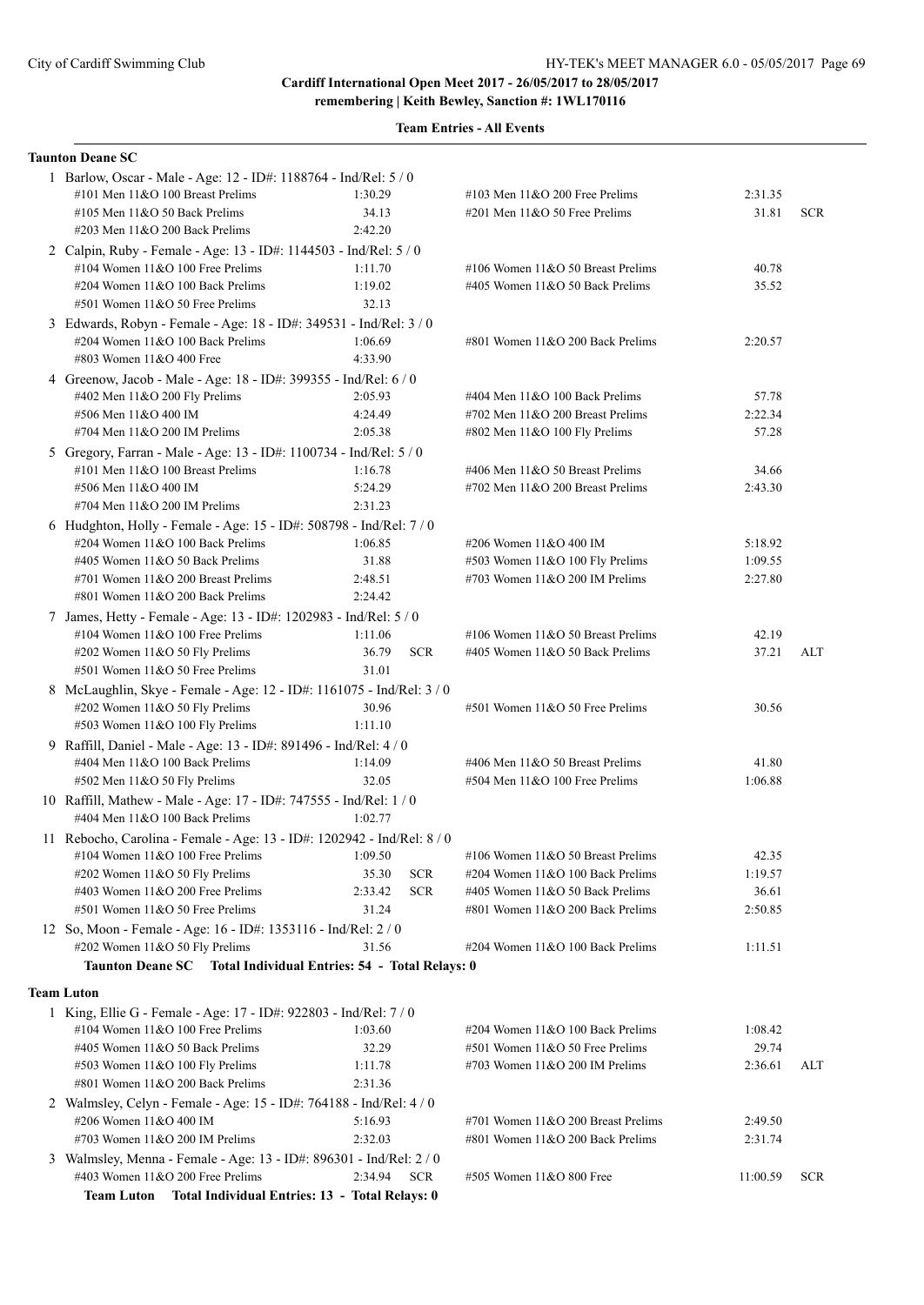|    | <b>Taunton Deane SC</b>                                                                                 |                    |            |                                                                        |                    |            |
|----|---------------------------------------------------------------------------------------------------------|--------------------|------------|------------------------------------------------------------------------|--------------------|------------|
|    | 1 Barlow, Oscar - Male - Age: 12 - ID#: 1188764 - Ind/Rel: 5 / 0                                        |                    |            |                                                                        |                    |            |
|    | #101 Men $11&O 100$ Breast Prelims                                                                      | 1:30.29            |            | #103 Men $11&O$ 200 Free Prelims                                       | 2:31.35            |            |
|    | #105 Men $11&O$ 50 Back Prelims                                                                         | 34.13              |            | $\#201$ Men $11&O$ 50 Free Prelims                                     | 31.81              | <b>SCR</b> |
|    | $\#203$ Men $11&O$ 200 Back Prelims                                                                     | 2:42.20            |            |                                                                        |                    |            |
|    | 2 Calpin, Ruby - Female - Age: 13 - ID#: 1144503 - Ind/Rel: 5 / 0                                       |                    |            |                                                                        |                    |            |
|    | #104 Women $11&O$ 100 Free Prelims                                                                      | 1:11.70            |            | #106 Women $11&050$ Breast Prelims                                     | 40.78              |            |
|    | #204 Women 11&O 100 Back Prelims                                                                        | 1:19.02            |            | #405 Women 11&O 50 Back Prelims                                        | 35.52              |            |
|    | #501 Women 11&O 50 Free Prelims                                                                         | 32.13              |            |                                                                        |                    |            |
|    | 3 Edwards, Robyn - Female - Age: 18 - ID#: 349531 - Ind/Rel: 3 / 0                                      |                    |            |                                                                        |                    |            |
|    | #204 Women 11&O 100 Back Prelims                                                                        | 1:06.69            |            | #801 Women 11&O 200 Back Prelims                                       | 2:20.57            |            |
|    | #803 Women 11&O 400 Free                                                                                | 4:33.90            |            |                                                                        |                    |            |
|    | 4 Greenow, Jacob - Male - Age: 18 - ID#: 399355 - Ind/Rel: 6 / 0                                        |                    |            |                                                                        |                    |            |
|    | #402 Men 11&O 200 Fly Prelims                                                                           | 2:05.93            |            | #404 Men 11&O 100 Back Prelims                                         | 57.78              |            |
|    | #506 Men 11&O 400 IM                                                                                    | 4:24.49            |            | #702 Men $11&O$ 200 Breast Prelims                                     | 2:22.34            |            |
|    | #704 Men $11&O$ 200 IM Prelims                                                                          | 2:05.38            |            | #802 Men 11&O 100 Fly Prelims                                          | 57.28              |            |
|    | 5 Gregory, Farran - Male - Age: 13 - ID#: 1100734 - Ind/Rel: 5 / 0                                      |                    |            |                                                                        |                    |            |
|    | #101 Men $11&O$ 100 Breast Prelims                                                                      | 1:16.78            |            | #406 Men 11&O 50 Breast Prelims                                        | 34.66              |            |
|    | #506 Men 11&O 400 IM                                                                                    | 5:24.29            |            | #702 Men 11&O 200 Breast Prelims                                       | 2:43.30            |            |
|    | #704 Men $11&O$ 200 IM Prelims                                                                          | 2:31.23            |            |                                                                        |                    |            |
|    | 6 Hudghton, Holly - Female - Age: 15 - ID#: 508798 - Ind/Rel: 7 / 0                                     |                    |            |                                                                        |                    |            |
|    | $\#204$ Women 11&O 100 Back Prelims                                                                     | 1:06.85            |            | #206 Women 11&O 400 IM                                                 | 5:18.92            |            |
|    | #405 Women $11&O$ 50 Back Prelims                                                                       | 31.88              |            | #503 Women 11&O 100 Fly Prelims                                        | 1:09.55            |            |
|    | #701 Women 11&O 200 Breast Prelims                                                                      | 2:48.51            |            | #703 Women $11&O$ 200 IM Prelims                                       | 2:27.80            |            |
|    | #801 Women 11&O 200 Back Prelims                                                                        | 2:24.42            |            |                                                                        |                    |            |
|    |                                                                                                         |                    |            |                                                                        |                    |            |
|    | 7 James, Hetty - Female - Age: 13 - ID#: 1202983 - Ind/Rel: 5 / 0<br>#104 Women $11&O$ 100 Free Prelims | 1:11.06            |            | #106 Women 11&O 50 Breast Prelims                                      | 42.19              |            |
|    |                                                                                                         | 36.79              | <b>SCR</b> | #405 Women 11&O 50 Back Prelims                                        | 37.21              | ALT        |
|    | #202 Women 11&O 50 Fly Prelims<br>#501 Women 11&O 50 Free Prelims                                       | 31.01              |            |                                                                        |                    |            |
|    |                                                                                                         |                    |            |                                                                        |                    |            |
|    | 8 McLaughlin, Skye - Female - Age: 12 - ID#: 1161075 - Ind/Rel: 3 / 0                                   |                    |            |                                                                        |                    |            |
|    | #202 Women 11&O 50 Fly Prelims                                                                          | 30.96              |            | #501 Women 11&O 50 Free Prelims                                        | 30.56              |            |
|    | #503 Women 11&O 100 Fly Prelims                                                                         | 1:11.10            |            |                                                                        |                    |            |
| 9. | Raffill, Daniel - Male - Age: 13 - ID#: 891496 - Ind/Rel: 4 / 0                                         |                    |            |                                                                        |                    |            |
|    | #404 Men 11&O 100 Back Prelims                                                                          | 1:14.09            |            | #406 Men 11&O 50 Breast Prelims                                        | 41.80              |            |
|    | #502 Men 11&O 50 Fly Prelims                                                                            | 32.05              |            | #504 Men 11&O 100 Free Prelims                                         | 1:06.88            |            |
|    | 10 Raffill, Mathew - Male - Age: 17 - ID#: 747555 - Ind/Rel: 1 / 0                                      |                    |            |                                                                        |                    |            |
|    | #404 Men $11&O$ 100 Back Prelims                                                                        | 1:02.77            |            |                                                                        |                    |            |
|    | 11 Rebocho, Carolina - Female - Age: 13 - ID#: 1202942 - Ind/Rel: 8 / 0                                 |                    |            |                                                                        |                    |            |
|    | #104 Women 11&O 100 Free Prelims                                                                        | 1:09.50            |            | #106 Women 11&O 50 Breast Prelims                                      | 42.35              |            |
|    | #202 Women 11&O 50 Fly Prelims                                                                          | 35.30              | <b>SCR</b> | #204 Women 11&O 100 Back Prelims                                       | 1:19.57            |            |
|    | #403 Women $11&O$ 200 Free Prelims                                                                      | 2:33.42            | <b>SCR</b> | #405 Women 11&O 50 Back Prelims                                        | 36.61              |            |
|    | #501 Women 11&O 50 Free Prelims                                                                         | 31.24              |            | #801 Women 11&O 200 Back Prelims                                       | 2:50.85            |            |
|    | 12 So, Moon - Female - Age: 16 - ID#: 1353116 - Ind/Rel: 2 / 0                                          |                    |            |                                                                        |                    |            |
|    | #202 Women 11&O 50 Fly Prelims                                                                          | 31.56              |            | #204 Women 11&O 100 Back Prelims                                       | 1:11.51            |            |
|    | Taunton Deane SC Total Individual Entries: 54 - Total Relays: 0                                         |                    |            |                                                                        |                    |            |
|    | <b>Team Luton</b>                                                                                       |                    |            |                                                                        |                    |            |
|    | 1 King, Ellie G - Female - Age: 17 - ID#: 922803 - Ind/Rel: 7 / 0                                       |                    |            |                                                                        |                    |            |
|    | #104 Women $11&O$ 100 Free Prelims                                                                      | 1:03.60            |            | #204 Women 11&O 100 Back Prelims                                       | 1:08.42            |            |
|    | #405 Women 11&O 50 Back Prelims                                                                         | 32.29              |            | #501 Women 11&O 50 Free Prelims                                        | 29.74              |            |
|    | #503 Women 11&O 100 Fly Prelims                                                                         | 1:11.78            |            | #703 Women $11&O$ 200 IM Prelims                                       | 2:36.61            | ALT        |
|    | #801 Women 11&O 200 Back Prelims                                                                        | 2:31.36            |            |                                                                        |                    |            |
|    |                                                                                                         |                    |            |                                                                        |                    |            |
|    | 2 Walmsley, Celyn - Female - Age: 15 - ID#: 764188 - Ind/Rel: 4 / 0                                     |                    |            |                                                                        |                    |            |
|    | #206 Women 11&O 400 IM<br>#703 Women 11&O 200 IM Prelims                                                | 5:16.93<br>2:32.03 |            | #701 Women 11&O 200 Breast Prelims<br>#801 Women 11&O 200 Back Prelims | 2:49.50<br>2:31.74 |            |
|    |                                                                                                         |                    |            |                                                                        |                    |            |
|    | 3 Walmsley, Menna - Female - Age: 13 - ID#: 896301 - Ind/Rel: 2 / 0                                     |                    |            |                                                                        |                    |            |
|    | #403 Women 11&O 200 Free Prelims                                                                        | 2:34.94            | <b>SCR</b> | #505 Women 11&O 800 Free                                               | 11:00.59           | <b>SCR</b> |
|    | <b>Team Luton</b><br>Total Individual Entries: 13 - Total Relays: 0                                     |                    |            |                                                                        |                    |            |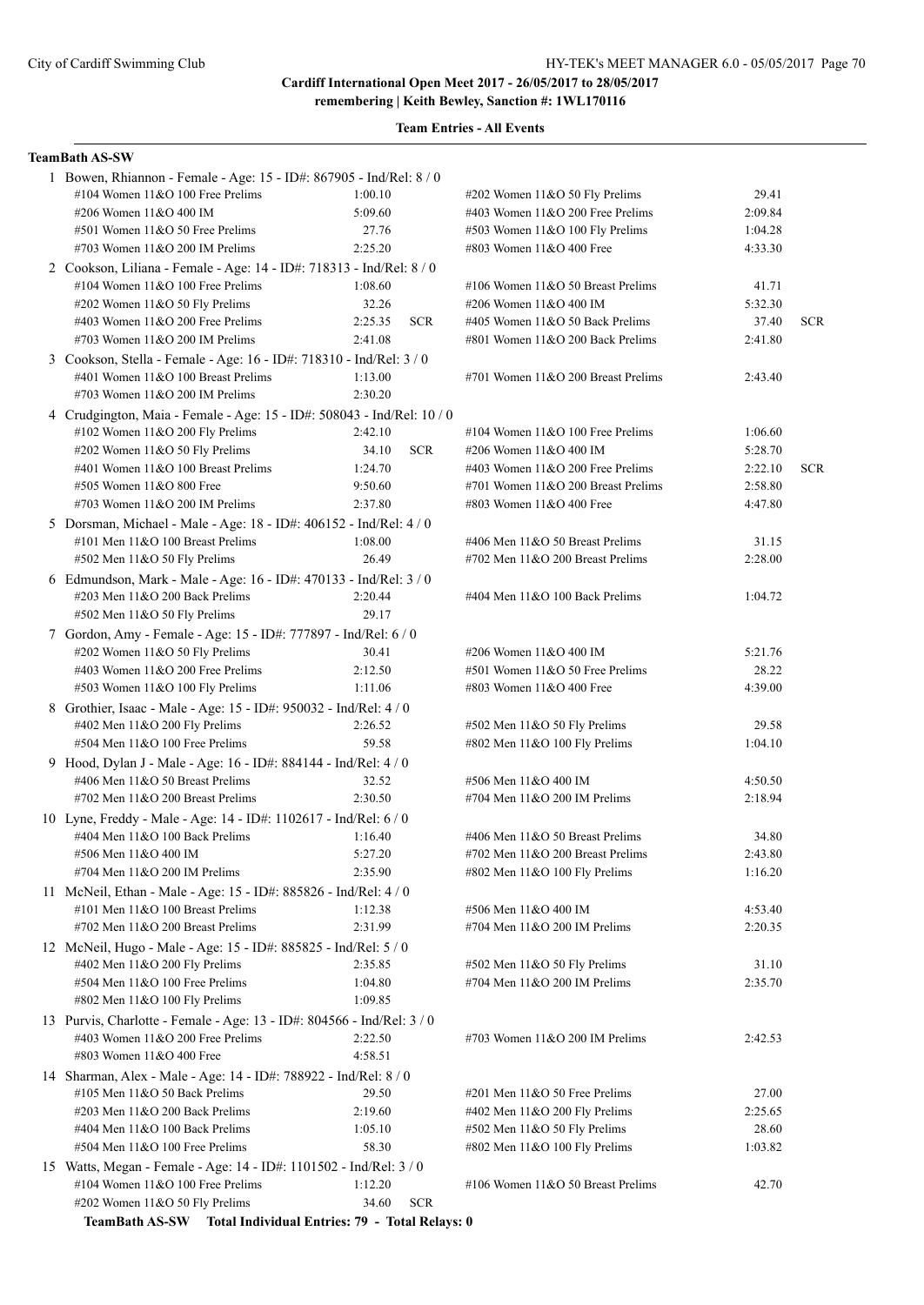**Team Entries - All Events**

### **TeamBath AS-SW**

| 1 Bowen, Rhiannon - Female - Age: 15 - ID#: 867905 - Ind/Rel: 8 / 0    |                       |                                    |         |            |  |  |
|------------------------------------------------------------------------|-----------------------|------------------------------------|---------|------------|--|--|
| #104 Women 11&O 100 Free Prelims                                       | 1:00.10               | $\#202$ Women 11&O 50 Fly Prelims  | 29.41   |            |  |  |
| #206 Women 11&O 400 IM                                                 | 5:09.60               | #403 Women 11&O 200 Free Prelims   | 2:09.84 |            |  |  |
| #501 Women 11&O 50 Free Prelims                                        | 27.76                 | #503 Women $11&O 100$ Fly Prelims  | 1:04.28 |            |  |  |
| #703 Women $11&O$ 200 IM Prelims                                       | 2:25.20               | #803 Women 11&O 400 Free           | 4:33.30 |            |  |  |
| 2 Cookson, Liliana - Female - Age: 14 - ID#: 718313 - Ind/Rel: 8 / 0   |                       |                                    |         |            |  |  |
| #104 Women 11&O 100 Free Prelims                                       | 1:08.60               | #106 Women 11&O 50 Breast Prelims  | 41.71   |            |  |  |
| #202 Women $11&050$ Fly Prelims                                        | 32.26                 | #206 Women 11&O 400 IM             | 5:32.30 |            |  |  |
| #403 Women $11&O$ 200 Free Prelims                                     | 2:25.35<br><b>SCR</b> | #405 Women 11&O 50 Back Prelims    | 37.40   | <b>SCR</b> |  |  |
| #703 Women $11&O$ 200 IM Prelims                                       | 2:41.08               | #801 Women 11&O 200 Back Prelims   | 2:41.80 |            |  |  |
| 3 Cookson, Stella - Female - Age: 16 - ID#: 718310 - Ind/Rel: 3 / 0    |                       |                                    |         |            |  |  |
| #401 Women 11&O 100 Breast Prelims                                     | 1:13.00               | #701 Women 11&O 200 Breast Prelims | 2:43.40 |            |  |  |
| #703 Women 11&O 200 IM Prelims                                         | 2:30.20               |                                    |         |            |  |  |
| 4 Crudgington, Maia - Female - Age: 15 - ID#: 508043 - Ind/Rel: 10 / 0 |                       |                                    |         |            |  |  |
| #102 Women 11&O 200 Fly Prelims                                        | 2:42.10               | #104 Women $11&O$ 100 Free Prelims | 1:06.60 |            |  |  |
| #202 Women 11&O 50 Fly Prelims                                         | 34.10<br><b>SCR</b>   | #206 Women 11&O 400 IM             | 5:28.70 |            |  |  |
| #401 Women 11&O 100 Breast Prelims                                     | 1:24.70               | #403 Women $11&O$ 200 Free Prelims | 2:22.10 | <b>SCR</b> |  |  |
| #505 Women 11&O 800 Free                                               | 9:50.60               | #701 Women 11&O 200 Breast Prelims | 2:58.80 |            |  |  |
| #703 Women 11&O 200 IM Prelims                                         | 2:37.80               | #803 Women 11&O 400 Free           | 4:47.80 |            |  |  |
| 5 Dorsman, Michael - Male - Age: 18 - ID#: 406152 - Ind/Rel: 4/0       |                       |                                    |         |            |  |  |
| #101 Men 11&O 100 Breast Prelims                                       | 1:08.00               | #406 Men 11&O 50 Breast Prelims    | 31.15   |            |  |  |
| #502 Men 11&O 50 Fly Prelims                                           | 26.49                 | #702 Men 11&O 200 Breast Prelims   | 2:28.00 |            |  |  |
| 6 Edmundson, Mark - Male - Age: 16 - ID#: 470133 - Ind/Rel: 3 / 0      |                       |                                    |         |            |  |  |
| #203 Men 11&O 200 Back Prelims                                         | 2:20.44               | #404 Men 11&O 100 Back Prelims     | 1:04.72 |            |  |  |
| #502 Men 11&O 50 Fly Prelims                                           | 29.17                 |                                    |         |            |  |  |
| 7 Gordon, Amy - Female - Age: 15 - ID#: 777897 - Ind/Rel: 6 / 0        |                       |                                    |         |            |  |  |
| #202 Women 11&O 50 Fly Prelims                                         | 30.41                 | #206 Women 11&O 400 IM             | 5:21.76 |            |  |  |
| #403 Women 11&O 200 Free Prelims                                       | 2:12.50               | #501 Women 11&O 50 Free Prelims    | 28.22   |            |  |  |
| #503 Women 11&O 100 Fly Prelims                                        | 1:11.06               | #803 Women 11&O 400 Free           | 4:39.00 |            |  |  |
| 8 Grothier, Isaac - Male - Age: 15 - ID#: 950032 - Ind/Rel: 4 / 0      |                       |                                    |         |            |  |  |
| #402 Men 11&O 200 Fly Prelims                                          | 2:26.52               | #502 Men 11&O 50 Fly Prelims       | 29.58   |            |  |  |
| #504 Men 11&O 100 Free Prelims                                         | 59.58                 | #802 Men 11&O 100 Fly Prelims      | 1:04.10 |            |  |  |
| 9 Hood, Dylan J - Male - Age: 16 - ID#: 884144 - Ind/Rel: 4 / 0        |                       |                                    |         |            |  |  |
| #406 Men 11&O 50 Breast Prelims                                        | 32.52                 | #506 Men 11&O 400 IM               | 4:50.50 |            |  |  |
| #702 Men $11&O$ 200 Breast Prelims                                     | 2:30.50               | #704 Men 11&O 200 IM Prelims       | 2:18.94 |            |  |  |
| 10 Lyne, Freddy - Male - Age: 14 - ID#: 1102617 - Ind/Rel: 6 / 0       |                       |                                    |         |            |  |  |
| #404 Men 11&O 100 Back Prelims                                         | 1:16.40               | #406 Men 11&O 50 Breast Prelims    | 34.80   |            |  |  |
| #506 Men 11&O 400 IM                                                   | 5:27.20               | #702 Men 11&O 200 Breast Prelims   | 2:43.80 |            |  |  |
| #704 Men 11&O 200 IM Prelims                                           | 2:35.90               | #802 Men 11&O 100 Fly Prelims      | 1:16.20 |            |  |  |
| 11 McNeil, Ethan - Male - Age: 15 - ID#: 885826 - Ind/Rel: 4 / 0       |                       |                                    |         |            |  |  |
| #101 Men 11&O 100 Breast Prelims                                       | 1:12.38               | #506 Men 11&O 400 IM               | 4:53.40 |            |  |  |
| #702 Men 11&O 200 Breast Prelims                                       | 2:31.99               | #704 Men 11&O 200 IM Prelims       | 2:20.35 |            |  |  |
| 12 McNeil, Hugo - Male - Age: 15 - ID#: 885825 - Ind/Rel: 5 / 0        |                       |                                    |         |            |  |  |
| #402 Men 11&O 200 Fly Prelims                                          | 2:35.85               | #502 Men 11&O 50 Fly Prelims       | 31.10   |            |  |  |
| #504 Men 11&O 100 Free Prelims                                         | 1:04.80               | #704 Men 11&O 200 IM Prelims       | 2:35.70 |            |  |  |
| #802 Men 11&O 100 Fly Prelims                                          | 1:09.85               |                                    |         |            |  |  |
| 13 Purvis, Charlotte - Female - Age: 13 - ID#: 804566 - Ind/Rel: 3 / 0 |                       |                                    |         |            |  |  |
| #403 Women $11&O$ 200 Free Prelims                                     | 2:22.50               | #703 Women $11&O$ 200 IM Prelims   | 2:42.53 |            |  |  |
| #803 Women 11&O 400 Free                                               | 4:58.51               |                                    |         |            |  |  |
| 14 Sharman, Alex - Male - Age: 14 - ID#: 788922 - Ind/Rel: 8 / 0       |                       |                                    |         |            |  |  |
| #105 Men $11&O$ 50 Back Prelims                                        | 29.50                 | #201 Men 11&O 50 Free Prelims      | 27.00   |            |  |  |
| $\#203$ Men $11&O$ 200 Back Prelims                                    | 2:19.60               | #402 Men 11&O 200 Fly Prelims      | 2:25.65 |            |  |  |
| #404 Men 11&O 100 Back Prelims                                         | 1:05.10               | #502 Men 11&O 50 Fly Prelims       | 28.60   |            |  |  |
| #504 Men 11&O 100 Free Prelims                                         | 58.30                 | #802 Men 11&O 100 Fly Prelims      | 1:03.82 |            |  |  |
| 15 Watts, Megan - Female - Age: 14 - ID#: 1101502 - Ind/Rel: 3 / 0     |                       |                                    |         |            |  |  |
| #104 Women $11&O$ 100 Free Prelims                                     | 1:12.20               | #106 Women 11&O 50 Breast Prelims  | 42.70   |            |  |  |
| #202 Women 11&O 50 Fly Prelims                                         | <b>SCR</b><br>34.60   |                                    |         |            |  |  |
| TeamBath AS-SW Total Individual Entries: 79 - Total Relays: 0          |                       |                                    |         |            |  |  |
|                                                                        |                       |                                    |         |            |  |  |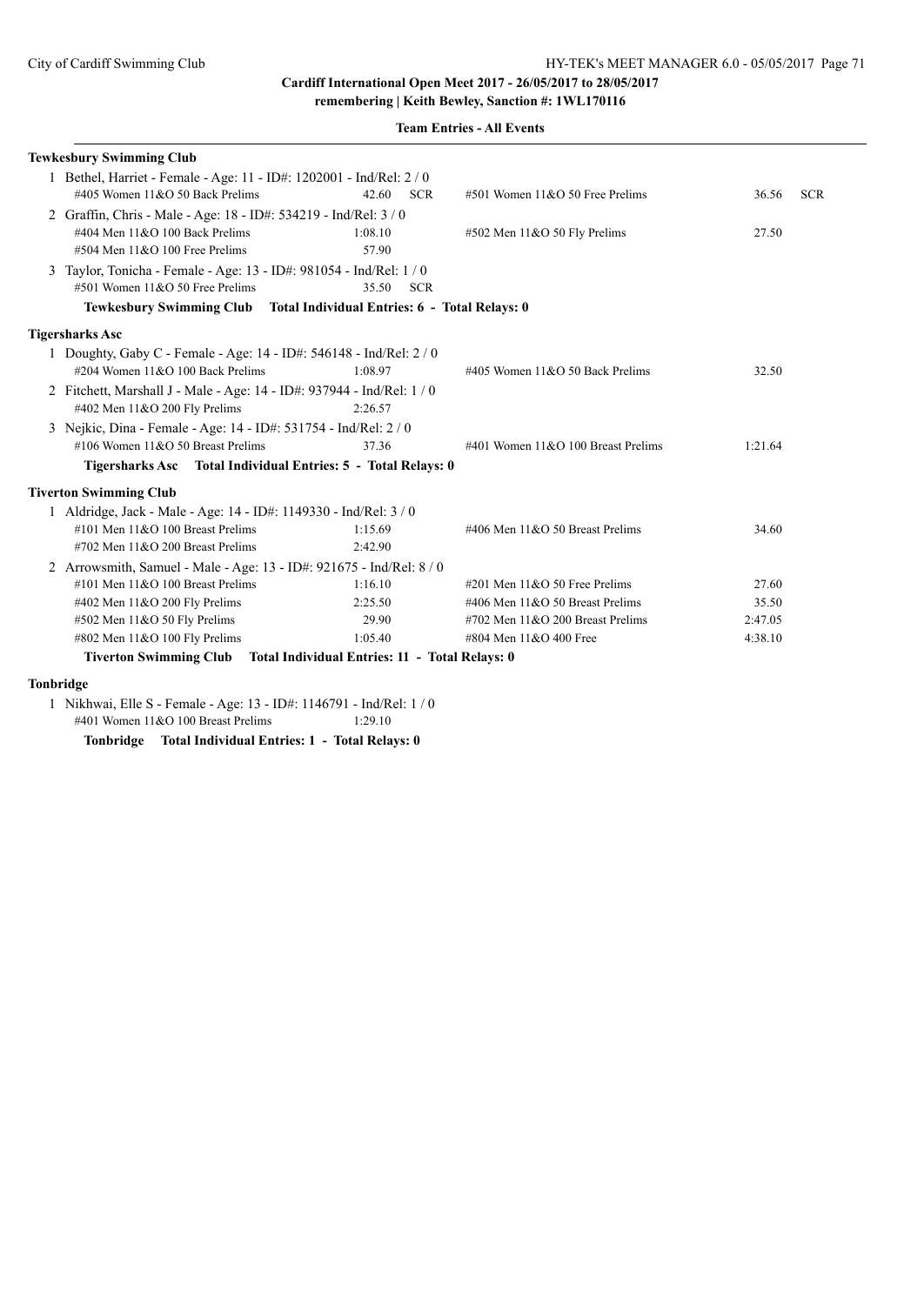#### **Team Entries - All Events**

| <b>Tewkesbury Swimming Club</b>                                        |                     |                                    |         |            |  |
|------------------------------------------------------------------------|---------------------|------------------------------------|---------|------------|--|
| 1 Bethel, Harriet - Female - Age: 11 - ID#: 1202001 - Ind/Rel: 2 / 0   |                     |                                    |         |            |  |
| #405 Women $11&O$ 50 Back Prelims                                      | 42.60<br><b>SCR</b> | #501 Women 11&O 50 Free Prelims    | 36.56   | <b>SCR</b> |  |
| 2 Graffin, Chris - Male - Age: 18 - ID#: 534219 - Ind/Rel: 3/0         |                     |                                    |         |            |  |
| #404 Men 11&O 100 Back Prelims                                         | 1:08.10             | #502 Men 11&O 50 Fly Prelims       | 27.50   |            |  |
| $#504$ Men $11&O$ 100 Free Prelims                                     | 57.90               |                                    |         |            |  |
| 3 Taylor, Tonicha - Female - Age: 13 - ID#: 981054 - Ind/Rel: 1 / 0    |                     |                                    |         |            |  |
| #501 Women 11&O 50 Free Prelims                                        | 35.50 SCR           |                                    |         |            |  |
| Tewkesbury Swimming Club Total Individual Entries: 6 - Total Relays: 0 |                     |                                    |         |            |  |
| <b>Tigersharks Asc</b>                                                 |                     |                                    |         |            |  |
| 1 Doughty, Gaby C - Female - Age: 14 - ID#: 546148 - Ind/Rel: 2 / 0    |                     |                                    |         |            |  |
| #204 Women 11&O 100 Back Prelims                                       | 1:08.97             | #405 Women 11&O 50 Back Prelims    | 32.50   |            |  |
| 2 Fitchett, Marshall J - Male - Age: 14 - ID#: 937944 - Ind/Rel: 1 / 0 |                     |                                    |         |            |  |
| #402 Men 11&O 200 Fly Prelims                                          | 2:26.57             |                                    |         |            |  |
| 3 Nejkic, Dina - Female - Age: 14 - ID#: 531754 - Ind/Rel: 2 / 0       |                     |                                    |         |            |  |
| #106 Women 11&O 50 Breast Prelims                                      | 37.36               | #401 Women 11&O 100 Breast Prelims | 1:21.64 |            |  |
| Tigersharks Asc Total Individual Entries: 5 - Total Relays: 0          |                     |                                    |         |            |  |
| <b>Tiverton Swimming Club</b>                                          |                     |                                    |         |            |  |
| 1 Aldridge, Jack - Male - Age: 14 - ID#: 1149330 - Ind/Rel: 3 / 0      |                     |                                    |         |            |  |
| #101 Men 11&O 100 Breast Prelims                                       | 1:15.69             | #406 Men 11&O 50 Breast Prelims    | 34.60   |            |  |
| $\#702$ Men $11&O$ 200 Breast Prelims                                  | 2:42.90             |                                    |         |            |  |
| 2 Arrowsmith, Samuel - Male - Age: 13 - ID#: 921675 - Ind/Rel: 8/0     |                     |                                    |         |            |  |
| #101 Men $11&O$ 100 Breast Prelims                                     | 1:16.10             | $\#201$ Men $11&O$ 50 Free Prelims | 27.60   |            |  |
| #402 Men 11&O 200 Fly Prelims                                          | 2:25.50             | #406 Men 11&O 50 Breast Prelims    | 35.50   |            |  |
| #502 Men 11&O 50 Fly Prelims                                           | 29.90               | #702 Men 11&O 200 Breast Prelims   | 2:47.05 |            |  |
| #802 Men 11&O 100 Fly Prelims                                          | 1:05.40             | #804 Men 11&O 400 Free             | 4:38.10 |            |  |
| Tiverton Swimming Club Total Individual Entries: 11 - Total Relays: 0  |                     |                                    |         |            |  |
|                                                                        |                     |                                    |         |            |  |

#### **Tonbridge**

 1 Nikhwai, Elle S - Female - Age: 13 - ID#: 1146791 - Ind/Rel: 1 / 0 #401 Women 11&O 100 Breast Prelims 1:29.10

**Tonbridge Total Individual Entries: 1 - Total Relays: 0**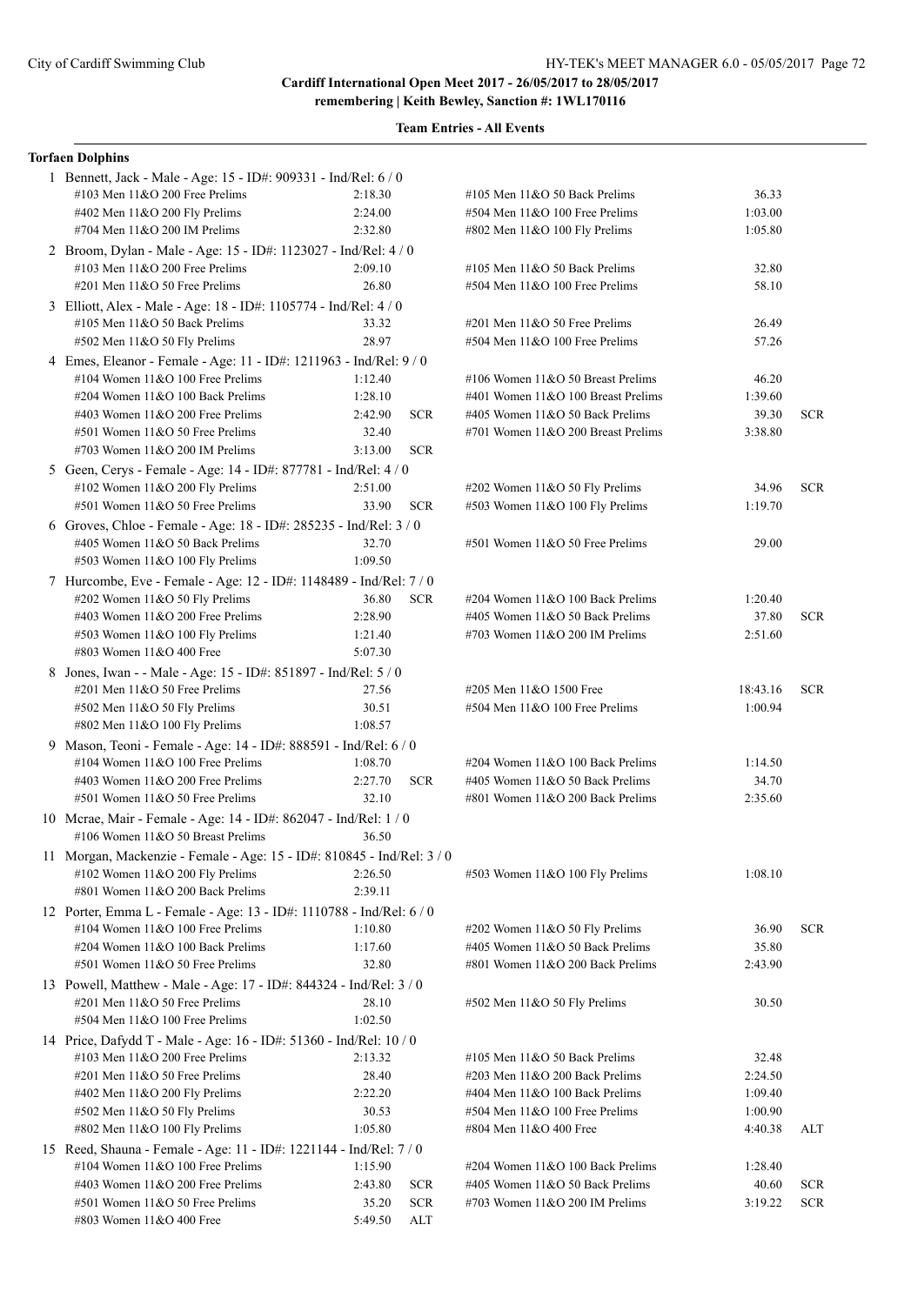### **Team Entries - All Events**

#### **Torfaen Dolphins**

| 1 Bennett, Jack - Male - Age: 15 - ID#: 909331 - Ind/Rel: 6 / 0        |         |            |                                    |          |            |
|------------------------------------------------------------------------|---------|------------|------------------------------------|----------|------------|
| #103 Men 11&O 200 Free Prelims                                         | 2:18.30 |            | #105 Men $11&O$ 50 Back Prelims    | 36.33    |            |
| #402 Men 11&O 200 Fly Prelims                                          | 2:24.00 |            | #504 Men 11&O 100 Free Prelims     | 1:03.00  |            |
| #704 Men 11&O 200 IM Prelims                                           | 2:32.80 |            | #802 Men 11&O 100 Fly Prelims      | 1:05.80  |            |
| 2 Broom, Dylan - Male - Age: 15 - ID#: 1123027 - Ind/Rel: 4 / 0        |         |            |                                    |          |            |
| #103 Men $11&O$ 200 Free Prelims                                       | 2:09.10 |            | #105 Men $11&O$ 50 Back Prelims    | 32.80    |            |
| #201 Men 11&O 50 Free Prelims                                          | 26.80   |            | #504 Men 11&O 100 Free Prelims     | 58.10    |            |
| 3 Elliott, Alex - Male - Age: 18 - ID#: 1105774 - Ind/Rel: 4 / 0       |         |            |                                    |          |            |
| #105 Men 11&O 50 Back Prelims                                          | 33.32   |            | #201 Men 11&O 50 Free Prelims      | 26.49    |            |
| #502 Men 11&O 50 Fly Prelims                                           | 28.97   |            | #504 Men 11&O 100 Free Prelims     | 57.26    |            |
| 4 Emes, Eleanor - Female - Age: 11 - ID#: 1211963 - Ind/Rel: 9 / 0     |         |            |                                    |          |            |
| #104 Women $11&O$ 100 Free Prelims                                     | 1:12.40 |            | #106 Women 11&O 50 Breast Prelims  | 46.20    |            |
| #204 Women 11&O 100 Back Prelims                                       | 1:28.10 |            | #401 Women 11&O 100 Breast Prelims | 1:39.60  |            |
| #403 Women 11&O 200 Free Prelims                                       | 2:42.90 | <b>SCR</b> | #405 Women 11&O 50 Back Prelims    | 39.30    | SCR.       |
| #501 Women 11&O 50 Free Prelims                                        | 32.40   |            | #701 Women 11&O 200 Breast Prelims | 3:38.80  |            |
| #703 Women 11&O 200 IM Prelims                                         | 3:13.00 | <b>SCR</b> |                                    |          |            |
| 5 Geen, Cerys - Female - Age: 14 - ID#: 877781 - Ind/Rel: 4 / 0        |         |            |                                    |          |            |
| #102 Women $11&O$ 200 Fly Prelims                                      | 2:51.00 |            | #202 Women 11&O 50 Fly Prelims     | 34.96    | <b>SCR</b> |
| #501 Women 11&O 50 Free Prelims                                        | 33.90   | <b>SCR</b> | #503 Women 11&O 100 Fly Prelims    | 1:19.70  |            |
| 6 Groves, Chloe - Female - Age: 18 - ID#: 285235 - Ind/Rel: 3 / 0      |         |            |                                    |          |            |
| #405 Women 11&O 50 Back Prelims                                        | 32.70   |            | #501 Women 11&O 50 Free Prelims    | 29.00    |            |
| #503 Women 11&O 100 Fly Prelims                                        | 1:09.50 |            |                                    |          |            |
| 7 Hurcombe, Eve - Female - Age: 12 - ID#: 1148489 - Ind/Rel: 7/0       |         |            |                                    |          |            |
| #202 Women 11&O 50 Fly Prelims                                         | 36.80   | $SCR$      | #204 Women $11&O 100$ Back Prelims | 1:20.40  |            |
| #403 Women 11&O 200 Free Prelims                                       | 2:28.90 |            | #405 Women 11&O 50 Back Prelims    | 37.80    | <b>SCR</b> |
| #503 Women $11&O 100$ Fly Prelims                                      | 1:21.40 |            | #703 Women $11&O$ 200 IM Prelims   | 2:51.60  |            |
| #803 Women 11&O 400 Free                                               | 5:07.30 |            |                                    |          |            |
| 8 Jones, Iwan - - Male - Age: 15 - ID#: 851897 - Ind/Rel: 5 / 0        |         |            |                                    |          |            |
| #201 Men 11&O 50 Free Prelims                                          | 27.56   |            | #205 Men 11&O 1500 Free            | 18:43.16 | <b>SCR</b> |
| #502 Men 11&O 50 Fly Prelims                                           | 30.51   |            | #504 Men 11&O 100 Free Prelims     | 1:00.94  |            |
| #802 Men 11&O 100 Fly Prelims                                          | 1:08.57 |            |                                    |          |            |
| 9 Mason, Teoni - Female - Age: 14 - ID#: 888591 - Ind/Rel: 6 / 0       |         |            |                                    |          |            |
| #104 Women 11&O 100 Free Prelims                                       | 1:08.70 |            | #204 Women 11&O 100 Back Prelims   | 1:14.50  |            |
| #403 Women $11&O$ 200 Free Prelims                                     | 2:27.70 | <b>SCR</b> | #405 Women 11&O 50 Back Prelims    | 34.70    |            |
| #501 Women 11&O 50 Free Prelims                                        | 32.10   |            | #801 Women 11&O 200 Back Prelims   | 2:35.60  |            |
| 10 Mcrae, Mair - Female - Age: 14 - ID#: 862047 - Ind/Rel: 1 / 0       |         |            |                                    |          |            |
| #106 Women 11&O 50 Breast Prelims<br>36.50                             |         |            |                                    |          |            |
| 11 Morgan, Mackenzie - Female - Age: 15 - ID#: 810845 - Ind/Rel: 3 / 0 |         |            |                                    |          |            |
| #102 Women 11&O 200 Fly Prelims                                        | 2:26.50 |            | #503 Women 11&O 100 Fly Prelims    | 1:08.10  |            |
| #801 Women 11&O 200 Back Prelims                                       | 2:39.11 |            |                                    |          |            |
| 12 Porter, Emma L - Female - Age: 13 - ID#: 1110788 - Ind/Rel: 6 / 0   |         |            |                                    |          |            |
| #104 Women 11&O 100 Free Prelims                                       | 1:10.80 |            | #202 Women 11&O 50 Fly Prelims     | 36.90    | <b>SCR</b> |
| #204 Women 11&O 100 Back Prelims                                       | 1:17.60 |            | #405 Women 11&O 50 Back Prelims    | 35.80    |            |
| #501 Women 11&O 50 Free Prelims                                        | 32.80   |            | #801 Women 11&O 200 Back Prelims   | 2:43.90  |            |
| 13 Powell, Matthew - Male - Age: 17 - ID#: 844324 - Ind/Rel: 3 / 0     |         |            |                                    |          |            |
| $\#201$ Men $11&O$ 50 Free Prelims                                     | 28.10   |            | #502 Men 11&O 50 Fly Prelims       | 30.50    |            |
| #504 Men 11&O 100 Free Prelims                                         | 1:02.50 |            |                                    |          |            |
| 14 Price, Dafydd T - Male - Age: 16 - ID#: 51360 - Ind/Rel: 10 / 0     |         |            |                                    |          |            |
| #103 Men $11&O$ 200 Free Prelims                                       | 2:13.32 |            | #105 Men 11&O 50 Back Prelims      | 32.48    |            |
| #201 Men 11&O 50 Free Prelims                                          | 28.40   |            | #203 Men 11&O 200 Back Prelims     | 2:24.50  |            |
| #402 Men 11&O 200 Fly Prelims                                          | 2:22.20 |            | #404 Men 11&O 100 Back Prelims     | 1:09.40  |            |
| #502 Men 11&O 50 Fly Prelims                                           | 30.53   |            | #504 Men 11&O 100 Free Prelims     | 1:00.90  |            |
| #802 Men 11&O 100 Fly Prelims                                          | 1:05.80 |            | #804 Men 11&O 400 Free             | 4:40.38  | ALT        |
| 15 Reed, Shauna - Female - Age: 11 - ID#: 1221144 - Ind/Rel: 7 / 0     |         |            |                                    |          |            |
| #104 Women 11&O 100 Free Prelims                                       | 1:15.90 |            | #204 Women 11&O 100 Back Prelims   | 1:28.40  |            |
| #403 Women 11&O 200 Free Prelims                                       | 2:43.80 | <b>SCR</b> | #405 Women 11&O 50 Back Prelims    | 40.60    | <b>SCR</b> |
| #501 Women 11&O 50 Free Prelims                                        | 35.20   | <b>SCR</b> | #703 Women $11&O$ 200 IM Prelims   | 3:19.22  | <b>SCR</b> |
| #803 Women 11&O 400 Free                                               | 5:49.50 | <b>ALT</b> |                                    |          |            |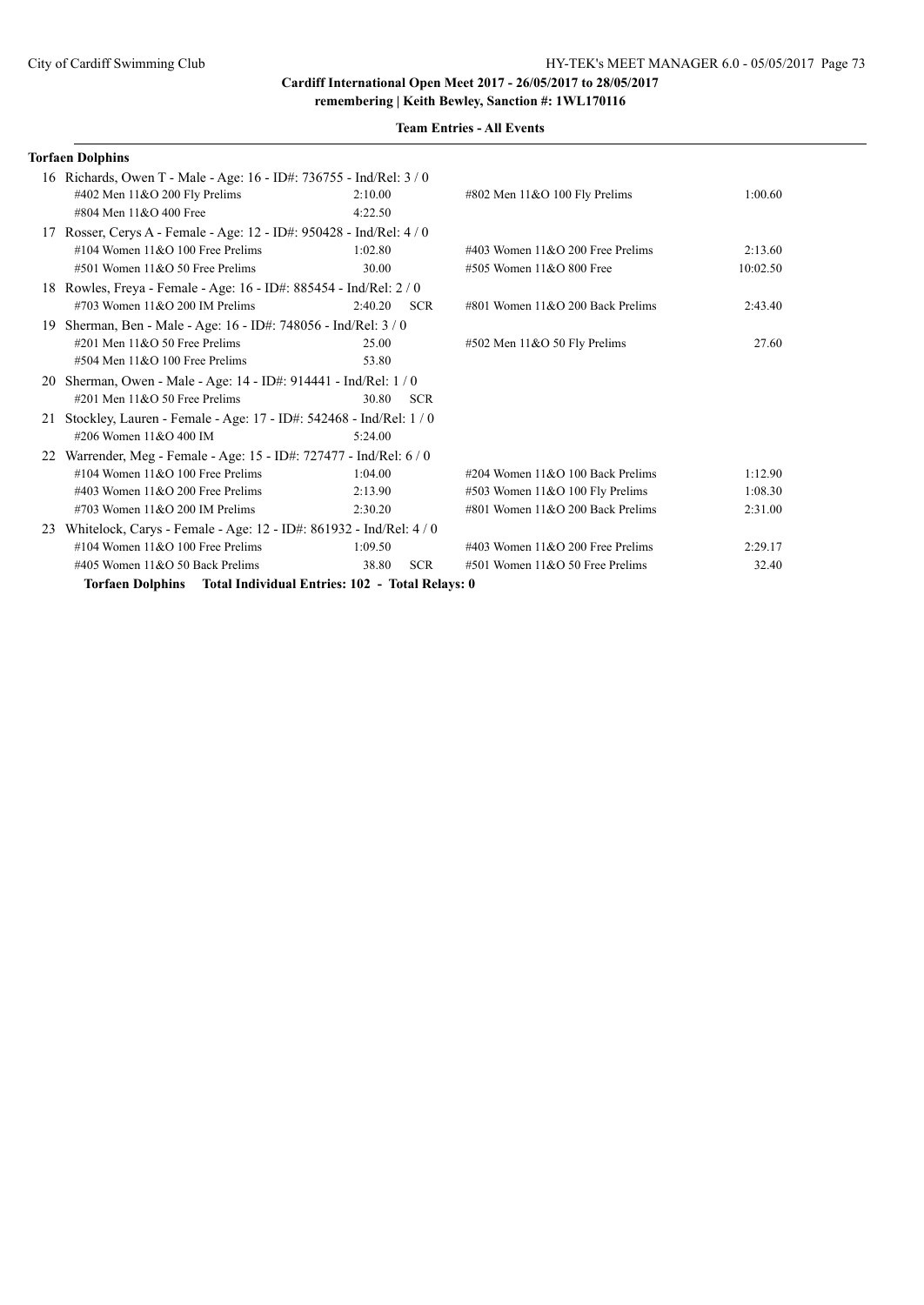| .<br>$\sim$ |  |  |  |  |
|-------------|--|--|--|--|
|             |  |  |  |  |
|             |  |  |  |  |

|           | <b>Torfaen Dolphins</b>                                               |         |            |                                     |          |
|-----------|-----------------------------------------------------------------------|---------|------------|-------------------------------------|----------|
|           | 16 Richards, Owen T - Male - Age: 16 - ID#: 736755 - Ind/Rel: 3/0     |         |            |                                     |          |
|           | #402 Men $11&O$ 200 Fly Prelims                                       | 2:10.00 |            | #802 Men 11&O 100 Fly Prelims       | 1:00.60  |
|           | #804 Men 11&O 400 Free                                                | 4:22.50 |            |                                     |          |
|           | 17 Rosser, Cerys A - Female - Age: 12 - ID#: 950428 - Ind/Rel: 4 / 0  |         |            |                                     |          |
|           | #104 Women $11&O$ 100 Free Prelims                                    | 1:02.80 |            | #403 Women $11&O$ 200 Free Prelims  | 2:13.60  |
|           | $#501$ Women $11&O 50$ Free Prelims                                   | 30.00   |            | #505 Women 11&O 800 Free            | 10:02.50 |
|           | 18 Rowles, Freya - Female - Age: 16 - ID#: 885454 - Ind/Rel: 2 / 0    |         |            |                                     |          |
|           | #703 Women $11&O$ 200 IM Prelims                                      | 2:40.20 | <b>SCR</b> | #801 Women 11&O 200 Back Prelims    | 2:43.40  |
| 19        | Sherman, Ben - Male - Age: 16 - ID#: 748056 - Ind/Rel: 3 / 0          |         |            |                                     |          |
|           | $\#201$ Men $11&O$ 50 Free Prelims                                    | 25.00   |            | #502 Men 11&O 50 Fly Prelims        | 27.60    |
|           | $#504$ Men $11&O$ 100 Free Prelims                                    | 53.80   |            |                                     |          |
| <b>20</b> | Sherman, Owen - Male - Age: 14 - ID#: 914441 - Ind/Rel: 1 / 0         |         |            |                                     |          |
|           | $\#201$ Men $11&O$ 50 Free Prelims                                    | 30.80   | <b>SCR</b> |                                     |          |
|           | 21 Stockley, Lauren - Female - Age: 17 - ID#: 542468 - Ind/Rel: 1 / 0 |         |            |                                     |          |
|           | #206 Women 11&O 400 IM                                                | 5:24.00 |            |                                     |          |
|           | 22 Warrender, Meg - Female - Age: 15 - ID#: 727477 - Ind/Rel: 6 / 0   |         |            |                                     |          |
|           | #104 Women $11&O$ 100 Free Prelims                                    | 1:04.00 |            | #204 Women $11&O$ 100 Back Prelims  | 1:12.90  |
|           | #403 Women $11&O$ 200 Free Prelims                                    | 2:13.90 |            | #503 Women 11&O 100 Fly Prelims     | 1:08.30  |
|           | #703 Women $11&O$ 200 IM Prelims                                      | 2:30.20 |            | #801 Women 11&O 200 Back Prelims    | 2:31.00  |
| 23        | Whitelock, Carys - Female - Age: 12 - ID#: 861932 - Ind/Rel: 4 / 0    |         |            |                                     |          |
|           | #104 Women $11&O$ 100 Free Prelims                                    | 1:09.50 |            | #403 Women $11&O$ 200 Free Prelims  | 2:29.17  |
|           | #405 Women 11&O 50 Back Prelims                                       | 38.80   | <b>SCR</b> | $#501$ Women $11&O$ 50 Free Prelims | 32.40    |
|           | Torfaen Dolphins Total Individual Entries: 102 - Total Relays: 0      |         |            |                                     |          |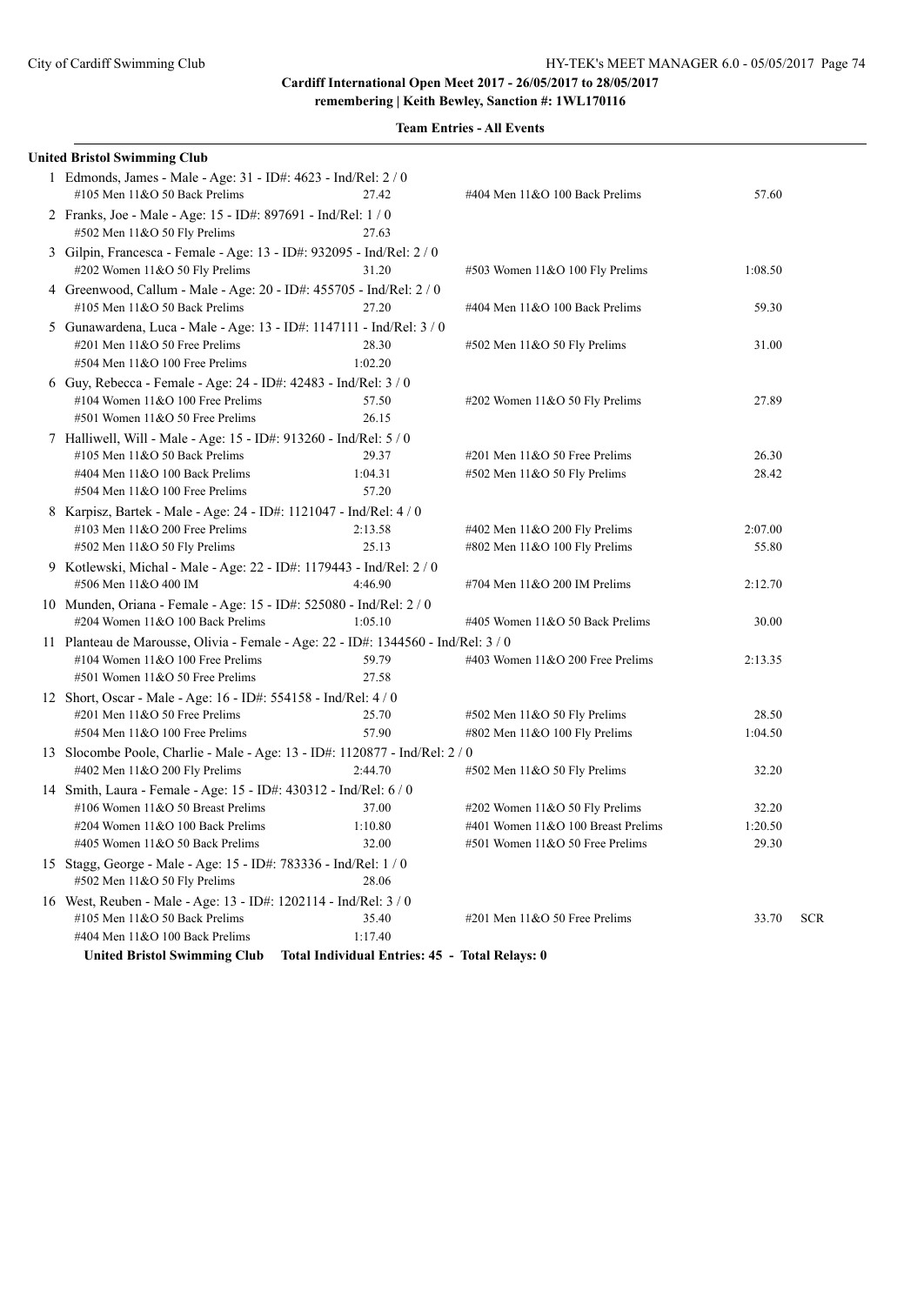| <b>United Bristol Swimming Club</b>                                              |                                                |                                     |         |            |
|----------------------------------------------------------------------------------|------------------------------------------------|-------------------------------------|---------|------------|
| 1 Edmonds, James - Male - Age: 31 - ID#: 4623 - Ind/Rel: 2/0                     |                                                |                                     |         |            |
| #105 Men $11&O$ 50 Back Prelims                                                  | 27.42                                          | #404 Men 11&O 100 Back Prelims      | 57.60   |            |
| 2 Franks, Joe - Male - Age: 15 - ID#: 897691 - Ind/Rel: 1 / 0                    |                                                |                                     |         |            |
| #502 Men 11&O 50 Fly Prelims                                                     | 27.63                                          |                                     |         |            |
| 3 Gilpin, Francesca - Female - Age: 13 - ID#: 932095 - Ind/Rel: 2 / 0            |                                                |                                     |         |            |
| #202 Women 11&O 50 Fly Prelims                                                   | 31.20                                          | #503 Women 11&O 100 Fly Prelims     | 1:08.50 |            |
| 4 Greenwood, Callum - Male - Age: 20 - ID#: 455705 - Ind/Rel: 2 / 0              |                                                |                                     |         |            |
| #105 Men 11&O 50 Back Prelims                                                    | 27.20                                          | #404 Men 11&O 100 Back Prelims      | 59.30   |            |
| 5 Gunawardena, Luca - Male - Age: 13 - ID#: 1147111 - Ind/Rel: 3 / 0             |                                                |                                     |         |            |
| #201 Men 11&O 50 Free Prelims                                                    | 28.30                                          | $#502$ Men 11&O 50 Fly Prelims      | 31.00   |            |
| #504 Men 11&O 100 Free Prelims                                                   | 1:02.20                                        |                                     |         |            |
| 6 Guy, Rebecca - Female - Age: 24 - ID#: 42483 - Ind/Rel: 3/0                    |                                                |                                     |         |            |
| #104 Women 11&O 100 Free Prelims                                                 | 57.50                                          | #202 Women 11&O 50 Fly Prelims      | 27.89   |            |
| #501 Women 11&O 50 Free Prelims                                                  | 26.15                                          |                                     |         |            |
| 7 Halliwell, Will - Male - Age: 15 - ID#: 913260 - Ind/Rel: 5 / 0                |                                                |                                     |         |            |
| #105 Men 11&O 50 Back Prelims                                                    | 29.37                                          | $\#201$ Men $11&O$ 50 Free Prelims  | 26.30   |            |
| #404 Men 11&O 100 Back Prelims                                                   | 1:04.31                                        | #502 Men 11&O 50 Fly Prelims        | 28.42   |            |
| #504 Men 11&O 100 Free Prelims                                                   | 57.20                                          |                                     |         |            |
| 8 Karpisz, Bartek - Male - Age: 24 - ID#: 1121047 - Ind/Rel: 4 / 0               |                                                |                                     |         |            |
| #103 Men 11&O 200 Free Prelims                                                   | 2:13.58                                        | #402 Men 11&O 200 Fly Prelims       | 2:07.00 |            |
| #502 Men 11&O 50 Fly Prelims                                                     | 25.13                                          | #802 Men 11&O 100 Fly Prelims       | 55.80   |            |
| 9 Kotlewski, Michal - Male - Age: 22 - ID#: 1179443 - Ind/Rel: 2 / 0             |                                                |                                     |         |            |
| #506 Men 11&O 400 IM                                                             | 4:46.90                                        | #704 Men 11&O 200 IM Prelims        | 2:12.70 |            |
| 10 Munden, Oriana - Female - Age: 15 - ID#: 525080 - Ind/Rel: 2 / 0              |                                                |                                     |         |            |
| #204 Women 11&O 100 Back Prelims                                                 | 1:05.10                                        | #405 Women 11&O 50 Back Prelims     | 30.00   |            |
| 11 Planteau de Marousse, Olivia - Female - Age: 22 - ID#: 1344560 - Ind/Rel: 3/0 |                                                |                                     |         |            |
| #104 Women $11&O 100$ Free Prelims                                               | 59.79                                          | #403 Women $11&O$ 200 Free Prelims  | 2:13.35 |            |
| #501 Women 11&O 50 Free Prelims                                                  | 27.58                                          |                                     |         |            |
| 12 Short, Oscar - Male - Age: 16 - ID#: 554158 - Ind/Rel: 4/0                    |                                                |                                     |         |            |
| #201 Men $11&0$ 50 Free Prelims                                                  | 25.70                                          | $#502$ Men 11&O 50 Fly Prelims      | 28.50   |            |
| #504 Men 11&O 100 Free Prelims                                                   | 57.90                                          | #802 Men 11&O 100 Fly Prelims       | 1:04.50 |            |
| 13 Slocombe Poole, Charlie - Male - Age: 13 - ID#: 1120877 - Ind/Rel: 2 / 0      |                                                |                                     |         |            |
| #402 Men 11&O 200 Fly Prelims                                                    | 2:44.70                                        | #502 Men 11&O 50 Fly Prelims        | 32.20   |            |
| 14 Smith, Laura - Female - Age: 15 - ID#: 430312 - Ind/Rel: 6 / 0                |                                                |                                     |         |            |
| #106 Women 11&O 50 Breast Prelims                                                | 37.00                                          | #202 Women $11&050$ Fly Prelims     | 32.20   |            |
| #204 Women 11&O 100 Back Prelims                                                 | 1:10.80                                        | #401 Women 11&O 100 Breast Prelims  | 1:20.50 |            |
| #405 Women 11&O 50 Back Prelims                                                  | 32.00                                          | $#501$ Women $11&O 50$ Free Prelims | 29.30   |            |
| 15 Stagg, George - Male - Age: 15 - ID#: 783336 - Ind/Rel: 1 / 0                 |                                                |                                     |         |            |
| #502 Men 11&O 50 Fly Prelims                                                     | 28.06                                          |                                     |         |            |
| 16 West, Reuben - Male - Age: 13 - ID#: 1202114 - Ind/Rel: 3/0                   |                                                |                                     |         |            |
| #105 Men 11&O 50 Back Prelims                                                    | 35.40                                          | #201 Men 11&O 50 Free Prelims       | 33.70   | <b>SCR</b> |
| #404 Men 11&O 100 Back Prelims                                                   | 1:17.40                                        |                                     |         |            |
| <b>United Bristol Swimming Club</b>                                              | Total Individual Entries: 45 - Total Relays: 0 |                                     |         |            |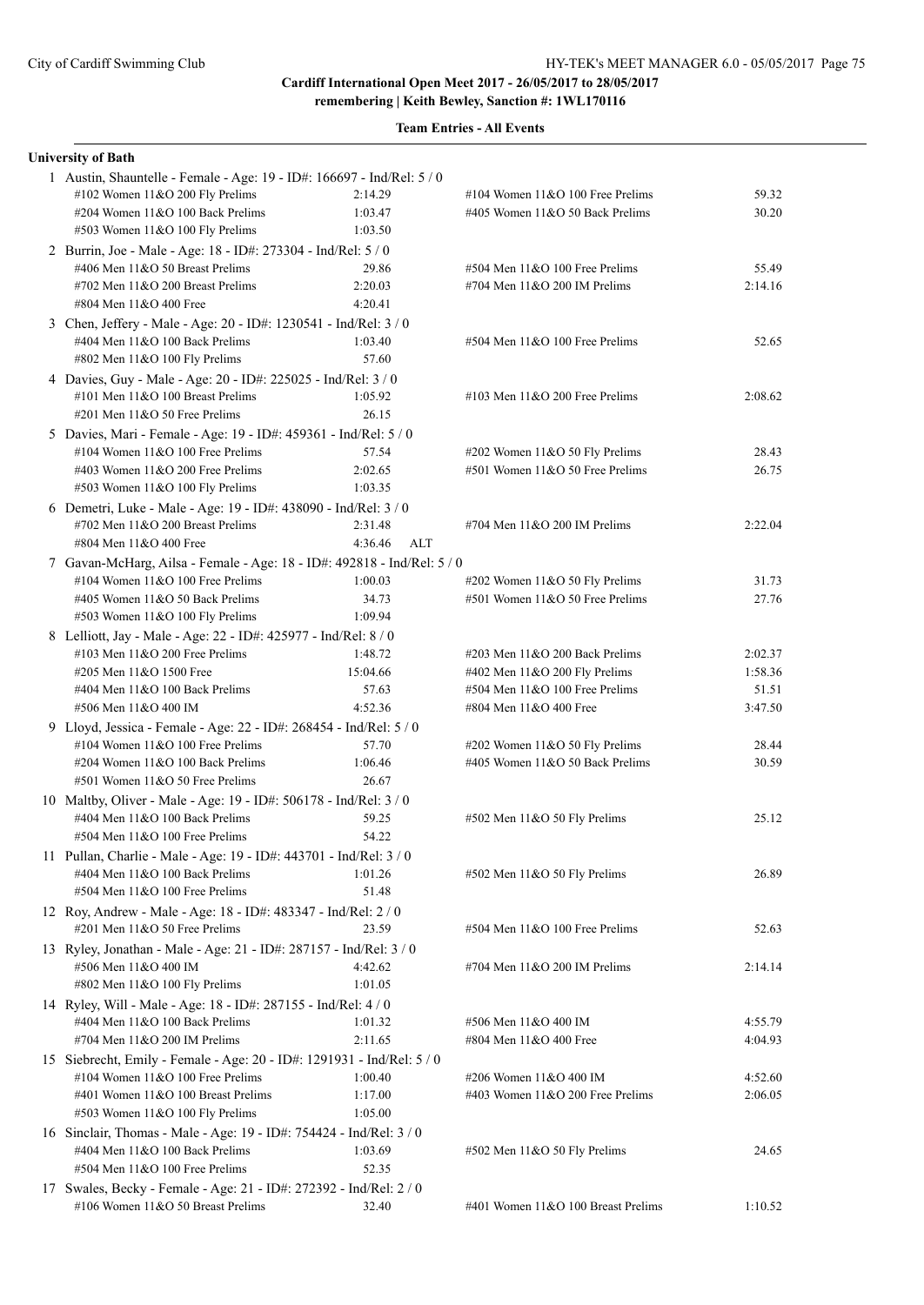| <b>University of Bath</b>                                               |                |                                     |         |
|-------------------------------------------------------------------------|----------------|-------------------------------------|---------|
| 1 Austin, Shauntelle - Female - Age: 19 - ID#: 166697 - Ind/Rel: 5 / 0  |                |                                     |         |
| #102 Women 11&O 200 Fly Prelims                                         | 2:14.29        | #104 Women $11&O$ 100 Free Prelims  | 59.32   |
| #204 Women 11&O 100 Back Prelims                                        | 1:03.47        | #405 Women $11&O$ 50 Back Prelims   | 30.20   |
| #503 Women 11&O 100 Fly Prelims                                         | 1:03.50        |                                     |         |
| 2 Burrin, Joe - Male - Age: 18 - ID#: 273304 - Ind/Rel: 5 / 0           |                |                                     |         |
| #406 Men 11&O 50 Breast Prelims                                         | 29.86          | $#504$ Men $11&O$ 100 Free Prelims  | 55.49   |
| #702 Men 11&O 200 Breast Prelims                                        | 2:20.03        | #704 Men 11&O 200 IM Prelims        | 2:14.16 |
| #804 Men 11&O 400 Free                                                  | 4:20.41        |                                     |         |
| 3 Chen, Jeffery - Male - Age: 20 - ID#: 1230541 - Ind/Rel: 3 / 0        |                |                                     |         |
| #404 Men 11&O 100 Back Prelims                                          | 1:03.40        | #504 Men 11&O 100 Free Prelims      | 52.65   |
| #802 Men 11&O 100 Fly Prelims                                           | 57.60          |                                     |         |
| 4 Davies, Guy - Male - Age: 20 - ID#: 225025 - Ind/Rel: 3 / 0           |                |                                     |         |
| #101 Men 11&O 100 Breast Prelims                                        | 1:05.92        | #103 Men $11&O$ 200 Free Prelims    | 2:08.62 |
| $\#201$ Men $11&O$ 50 Free Prelims                                      | 26.15          |                                     |         |
|                                                                         |                |                                     |         |
| 5 Davies, Mari - Female - Age: 19 - ID#: 459361 - Ind/Rel: 5 / 0        |                |                                     |         |
| #104 Women $11&O$ 100 Free Prelims                                      | 57.54          | #202 Women 11&O 50 Fly Prelims      | 28.43   |
| #403 Women 11&O 200 Free Prelims                                        | 2:02.65        | #501 Women 11&O 50 Free Prelims     | 26.75   |
| #503 Women 11&O 100 Fly Prelims                                         | 1:03.35        |                                     |         |
| 6 Demetri, Luke - Male - Age: 19 - ID#: 438090 - Ind/Rel: 3 / 0         |                |                                     |         |
| #702 Men 11&O 200 Breast Prelims                                        | 2:31.48        | #704 Men $11&O$ 200 IM Prelims      | 2:22.04 |
| #804 Men 11&O 400 Free                                                  | 4:36.46<br>ALT |                                     |         |
| 7 Gavan-McHarg, Ailsa - Female - Age: 18 - ID#: 492818 - Ind/Rel: 5 / 0 |                |                                     |         |
| #104 Women 11&O 100 Free Prelims                                        | 1:00.03        | #202 Women 11&O 50 Fly Prelims      | 31.73   |
| #405 Women 11&O 50 Back Prelims                                         | 34.73          | #501 Women 11&O 50 Free Prelims     | 27.76   |
| #503 Women 11&O 100 Fly Prelims                                         | 1:09.94        |                                     |         |
| 8 Lelliott, Jay - Male - Age: 22 - ID#: 425977 - Ind/Rel: 8 / 0         |                |                                     |         |
| #103 Men $11&O$ 200 Free Prelims                                        | 1:48.72        | $\#203$ Men $11&O$ 200 Back Prelims | 2:02.37 |
| #205 Men 11&O 1500 Free                                                 | 15:04.66       | #402 Men 11&O 200 Fly Prelims       | 1:58.36 |
| #404 Men 11&O 100 Back Prelims                                          | 57.63          | $#504$ Men $11&O$ 100 Free Prelims  | 51.51   |
| #506 Men 11&O 400 IM                                                    | 4:52.36        | #804 Men 11&O 400 Free              | 3:47.50 |
| 9 Lloyd, Jessica - Female - Age: 22 - ID#: 268454 - Ind/Rel: 5 / 0      |                |                                     |         |
| #104 Women $11&O$ 100 Free Prelims                                      | 57.70          | #202 Women 11&O 50 Fly Prelims      | 28.44   |
| #204 Women 11&O 100 Back Prelims                                        | 1:06.46        | #405 Women 11&O 50 Back Prelims     | 30.59   |
| #501 Women 11&O 50 Free Prelims                                         | 26.67          |                                     |         |
| 10 Maltby, Oliver - Male - Age: 19 - ID#: 506178 - Ind/Rel: 3 / 0       |                |                                     |         |
| #404 Men 11&O 100 Back Prelims                                          | 59.25          | #502 Men 11&O 50 Fly Prelims        | 25.12   |
| #504 Men 11&O 100 Free Prelims                                          | 54.22          |                                     |         |
|                                                                         |                |                                     |         |
| 11 Pullan, Charlie - Male - Age: 19 - ID#: 443701 - Ind/Rel: 3 / 0      |                |                                     |         |
| #404 Men 11&O 100 Back Prelims                                          | 1:01.26        | $#502$ Men 11&O 50 Fly Prelims      | 26.89   |
| #504 Men 11&O 100 Free Prelims                                          | 51.48          |                                     |         |
| 12 Roy, Andrew - Male - Age: 18 - ID#: 483347 - Ind/Rel: 2 / 0          |                |                                     |         |
| #201 Men 11&O 50 Free Prelims                                           | 23.59          | #504 Men 11&O 100 Free Prelims      | 52.63   |
| 13 Ryley, Jonathan - Male - Age: 21 - ID#: 287157 - Ind/Rel: 3 / 0      |                |                                     |         |
| #506 Men 11&O 400 IM                                                    | 4:42.62        | #704 Men 11&O 200 IM Prelims        | 2:14.14 |
| #802 Men 11&O 100 Fly Prelims                                           | 1:01.05        |                                     |         |
| 14 Ryley, Will - Male - Age: 18 - ID#: 287155 - Ind/Rel: 4 / 0          |                |                                     |         |
| #404 Men 11&O 100 Back Prelims                                          | 1:01.32        | #506 Men 11&O 400 IM                | 4:55.79 |
| #704 Men 11&O 200 IM Prelims                                            | 2:11.65        | #804 Men 11&O 400 Free              | 4:04.93 |
| 15 Siebrecht, Emily - Female - Age: 20 - ID#: 1291931 - Ind/Rel: 5 / 0  |                |                                     |         |
| #104 Women 11&O 100 Free Prelims                                        | 1:00.40        | #206 Women 11&O 400 IM              | 4:52.60 |
| #401 Women 11&O 100 Breast Prelims                                      | 1:17.00        | #403 Women $11&O$ 200 Free Prelims  | 2:06.05 |
| #503 Women 11&O 100 Fly Prelims                                         | 1:05.00        |                                     |         |
|                                                                         |                |                                     |         |
| 16 Sinclair, Thomas - Male - Age: 19 - ID#: 754424 - Ind/Rel: 3 / 0     |                |                                     |         |
| #404 Men 11&O 100 Back Prelims                                          | 1:03.69        | $\#502$ Men 11&O 50 Fly Prelims     | 24.65   |
| #504 Men 11&O 100 Free Prelims                                          | 52.35          |                                     |         |
| 17 Swales, Becky - Female - Age: 21 - ID#: 272392 - Ind/Rel: 2 / 0      |                |                                     |         |
| #106 Women 11&O 50 Breast Prelims                                       | 32.40          | #401 Women 11&O 100 Breast Prelims  | 1:10.52 |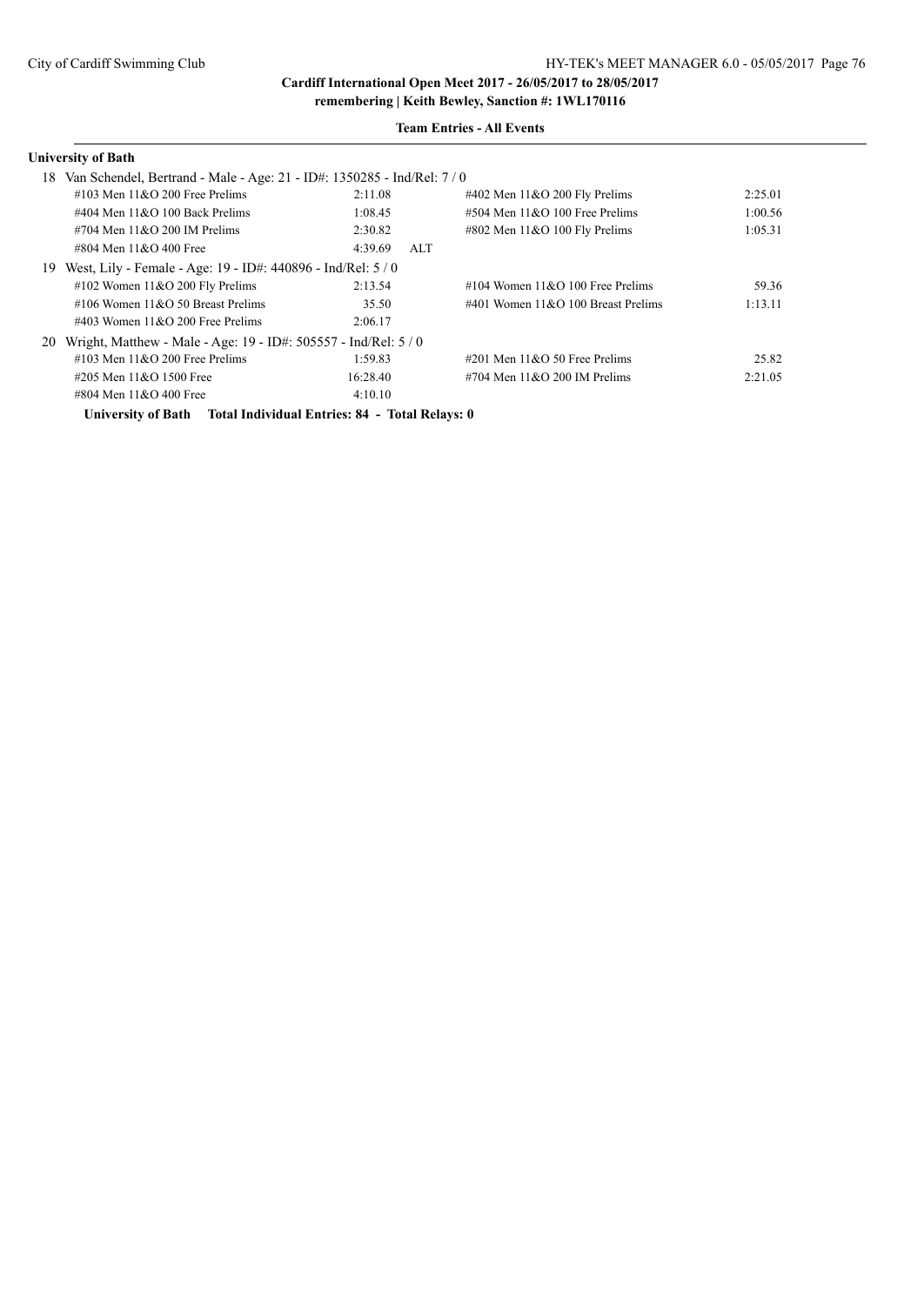**Cardiff International Open Meet 2017 - 26/05/2017 to 28/05/2017**

#### **University of Bath**

### **Team Entries - All Events**

|    | 18 Van Schendel, Bertrand - Male - Age: 21 - ID#: 1350285 - Ind/Rel: 7/0 |                |                                       |         |
|----|--------------------------------------------------------------------------|----------------|---------------------------------------|---------|
|    | $\#103$ Men $11\&O$ 200 Free Prelims                                     | 2:11.08        | $\#402$ Men $11&O$ 200 Fly Prelims    | 2:25.01 |
|    | #404 Men $11\&O$ 100 Back Prelims                                        | 1:08.45        | $\#504$ Men $11\&O$ 100 Free Prelims  | 1:00.56 |
|    | $\#704$ Men $11\&O$ 200 IM Prelims                                       | 2:30.82        | $\#802$ Men $11&O$ 100 Fly Prelims    | 1:05.31 |
|    | #804 Men $11&O$ 400 Free                                                 | 4:39.69<br>ALT |                                       |         |
| 19 | West, Lily - Female - Age: 19 - ID#: 440896 - Ind/Rel: 5 / 0             |                |                                       |         |
|    | #102 Women $11&O$ 200 Fly Prelims                                        | 2:13.54        | $\#104$ Women $11&O$ 100 Free Prelims | 59.36   |
|    | #106 Women $11&O$ 50 Breast Prelims                                      | 35.50          | #401 Women $11&O$ 100 Breast Prelims  | 1:13.11 |
|    | $\#403$ Women 11&O 200 Free Prelims                                      | 2:06.17        |                                       |         |
|    | 20 Wright, Matthew - Male - Age: 19 - ID#: 505557 - Ind/Rel: 5 / 0       |                |                                       |         |
|    | #103 Men $11&O$ 200 Free Prelims                                         | 1:59.83        | $\#201$ Men $11\&O$ 50 Free Prelims   | 25.82   |
|    | #205 Men 11&O 1500 Free                                                  | 16:28.40       | $\#704$ Men $11&O$ 200 IM Prelims     | 2:21.05 |
|    | #804 Men 11&O 400 Free                                                   | 4:10.10        |                                       |         |

**University of Bath Total Individual Entries: 84 - Total Relays: 0**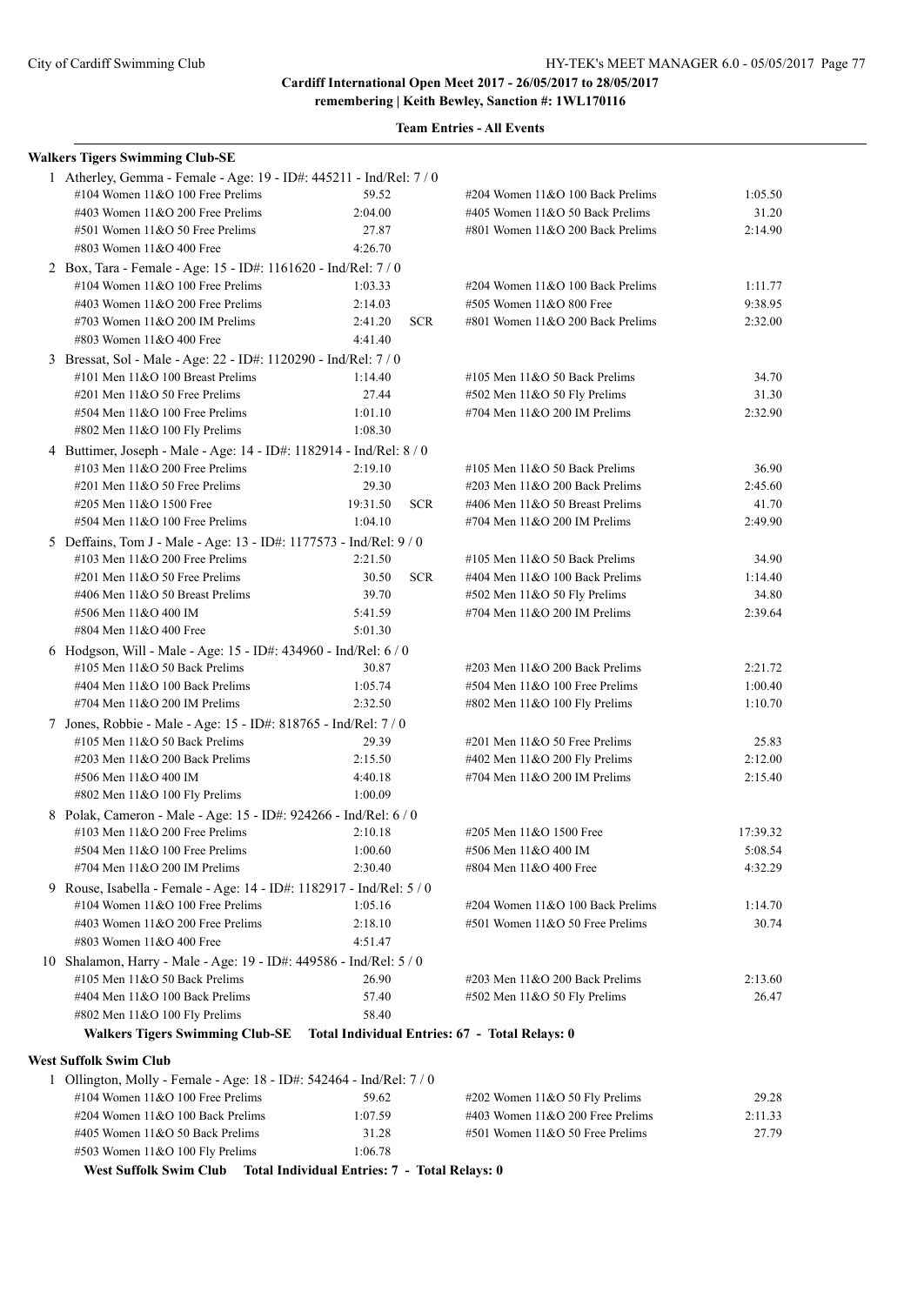**Cardiff International Open Meet 2017 - 26/05/2017 to 28/05/2017**

**remembering | Keith Bewley, Sanction #: 1WL170116**

| <b>Walkers Tigers Swimming Club-SE</b>                                                               |                                               |                                                               |                    |
|------------------------------------------------------------------------------------------------------|-----------------------------------------------|---------------------------------------------------------------|--------------------|
| 1 Atherley, Gemma - Female - Age: 19 - ID#: 445211 - Ind/Rel: 7 / 0                                  |                                               |                                                               |                    |
| #104 Women 11&O 100 Free Prelims                                                                     | 59.52                                         | #204 Women 11&O 100 Back Prelims                              | 1:05.50            |
| #403 Women $11&O$ 200 Free Prelims                                                                   | 2:04.00                                       | #405 Women 11&O 50 Back Prelims                               | 31.20              |
| #501 Women 11&O 50 Free Prelims                                                                      | 27.87                                         | #801 Women 11&O 200 Back Prelims                              | 2:14.90            |
| #803 Women 11&O 400 Free                                                                             | 4:26.70                                       |                                                               |                    |
| 2 Box, Tara - Female - Age: 15 - ID#: 1161620 - Ind/Rel: 7/0                                         |                                               |                                                               |                    |
| #104 Women 11&O 100 Free Prelims                                                                     | 1:03.33                                       | #204 Women 11&O 100 Back Prelims                              | 1:11.77            |
| #403 Women 11&O 200 Free Prelims                                                                     | 2:14.03                                       | #505 Women 11&O 800 Free                                      | 9:38.95            |
| #703 Women 11&O 200 IM Prelims                                                                       | <b>SCR</b><br>2:41.20                         | #801 Women 11&O 200 Back Prelims                              | 2:32.00            |
| #803 Women 11&O 400 Free                                                                             | 4:41.40                                       |                                                               |                    |
| 3 Bressat, Sol - Male - Age: 22 - ID#: 1120290 - Ind/Rel: 7 / 0                                      |                                               |                                                               |                    |
| #101 Men 11&O 100 Breast Prelims                                                                     | 1:14.40                                       | #105 Men $11&O$ 50 Back Prelims                               | 34.70              |
| $\#201$ Men $11&O$ 50 Free Prelims                                                                   | 27.44                                         | #502 Men 11&O 50 Fly Prelims                                  | 31.30              |
| #504 Men 11&O 100 Free Prelims                                                                       | 1:01.10                                       | #704 Men 11&O 200 IM Prelims                                  | 2:32.90            |
| #802 Men 11&O 100 Fly Prelims                                                                        | 1:08.30                                       |                                                               |                    |
| 4 Buttimer, Joseph - Male - Age: 14 - ID#: 1182914 - Ind/Rel: 8 / 0                                  |                                               |                                                               |                    |
| #103 Men $11&O$ 200 Free Prelims                                                                     | 2:19.10                                       | #105 Men $11&O$ 50 Back Prelims                               | 36.90              |
| #201 Men 11&O 50 Free Prelims                                                                        | 29.30                                         | $\#203$ Men $11&O$ 200 Back Prelims                           | 2:45.60            |
| #205 Men 11&O 1500 Free                                                                              | 19:31.50<br><b>SCR</b>                        | #406 Men 11&O 50 Breast Prelims                               | 41.70              |
| #504 Men 11&O 100 Free Prelims                                                                       | 1:04.10                                       | #704 Men 11&O 200 IM Prelims                                  | 2:49.90            |
| 5 Deffains, Tom J - Male - Age: 13 - ID#: 1177573 - Ind/Rel: 9 / 0                                   |                                               |                                                               |                    |
| #103 Men $11&O$ 200 Free Prelims                                                                     | 2:21.50                                       | #105 Men $11&O$ 50 Back Prelims                               | 34.90              |
| #201 Men 11&O 50 Free Prelims                                                                        | <b>SCR</b><br>30.50                           | #404 Men 11&O 100 Back Prelims                                | 1:14.40            |
| #406 Men 11&O 50 Breast Prelims                                                                      | 39.70                                         | #502 Men 11&O 50 Fly Prelims                                  | 34.80              |
| #506 Men 11&O 400 IM                                                                                 | 5:41.59                                       | #704 Men 11&O 200 IM Prelims                                  | 2:39.64            |
| #804 Men 11&O 400 Free                                                                               | 5:01.30                                       |                                                               |                    |
| 6 Hodgson, Will - Male - Age: 15 - ID#: 434960 - Ind/Rel: 6 / 0                                      |                                               |                                                               |                    |
| #105 Men $11&O$ 50 Back Prelims                                                                      | 30.87                                         | #203 Men 11&O 200 Back Prelims                                | 2:21.72            |
| #404 Men 11&O 100 Back Prelims                                                                       | 1:05.74                                       | #504 Men 11&O 100 Free Prelims                                | 1:00.40            |
| #704 Men 11&O 200 IM Prelims                                                                         | 2:32.50                                       | #802 Men 11&O 100 Fly Prelims                                 | 1:10.70            |
| 7 Jones, Robbie - Male - Age: 15 - ID#: 818765 - Ind/Rel: 7 / 0                                      |                                               |                                                               |                    |
| #105 Men $11&O$ 50 Back Prelims                                                                      | 29.39                                         | #201 Men 11&O 50 Free Prelims                                 | 25.83              |
| #203 Men $11&O$ 200 Back Prelims<br>#506 Men 11&O 400 IM                                             | 2:15.50<br>4:40.18                            | #402 Men 11&O 200 Fly Prelims<br>#704 Men 11&O 200 IM Prelims | 2:12.00<br>2:15.40 |
| #802 Men 11&O 100 Fly Prelims                                                                        | 1:00.09                                       |                                                               |                    |
|                                                                                                      |                                               |                                                               |                    |
| 8 Polak, Cameron - Male - Age: 15 - ID#: 924266 - Ind/Rel: 6 / 0<br>#103 Men $11&O$ 200 Free Prelims | 2:10.18                                       | #205 Men 11&O 1500 Free                                       | 17:39.32           |
| #504 Men 11&O 100 Free Prelims                                                                       | 1:00.60                                       | #506 Men 11&O 400 IM                                          | 5:08.54            |
| #704 Men 11&O 200 IM Prelims                                                                         | 2:30.40                                       | #804 Men 11&O 400 Free                                        | 4:32.29            |
| 9 Rouse, Isabella - Female - Age: 14 - ID#: 1182917 - Ind/Rel: 5 / 0                                 |                                               |                                                               |                    |
| #104 Women 11&O 100 Free Prelims                                                                     | 1:05.16                                       | #204 Women 11&O 100 Back Prelims                              | 1:14.70            |
| #403 Women 11&O 200 Free Prelims                                                                     | 2:18.10                                       | #501 Women 11&O 50 Free Prelims                               | 30.74              |
| #803 Women 11&O 400 Free                                                                             | 4:51.47                                       |                                                               |                    |
| 10 Shalamon, Harry - Male - Age: 19 - ID#: 449586 - Ind/Rel: 5 / 0                                   |                                               |                                                               |                    |
| #105 Men 11&O 50 Back Prelims                                                                        | 26.90                                         | #203 Men 11&O 200 Back Prelims                                | 2:13.60            |
| #404 Men 11&O 100 Back Prelims                                                                       | 57.40                                         | #502 Men 11&O 50 Fly Prelims                                  | 26.47              |
| #802 Men 11&O 100 Fly Prelims                                                                        | 58.40                                         |                                                               |                    |
| Walkers Tigers Swimming Club-SE Total Individual Entries: 67 - Total Relays: 0                       |                                               |                                                               |                    |
|                                                                                                      |                                               |                                                               |                    |
| West Suffolk Swim Club                                                                               |                                               |                                                               |                    |
| 1 Ollington, Molly - Female - Age: 18 - ID#: 542464 - Ind/Rel: 7 / 0                                 |                                               |                                                               |                    |
| #104 Women $11&O$ 100 Free Prelims                                                                   | 59.62                                         | #202 Women 11&O 50 Fly Prelims                                | 29.28              |
| #204 Women $11&O 100$ Back Prelims                                                                   | 1:07.59                                       | #403 Women 11&O 200 Free Prelims                              | 2:11.33            |
| #405 Women 11&O 50 Back Prelims<br>#503 Women 11&O 100 Fly Prelims                                   | 31.28<br>1:06.78                              | #501 Women 11&O 50 Free Prelims                               | 27.79              |
| <b>West Suffolk Swim Club</b>                                                                        |                                               |                                                               |                    |
|                                                                                                      | Total Individual Entries: 7 - Total Relays: 0 |                                                               |                    |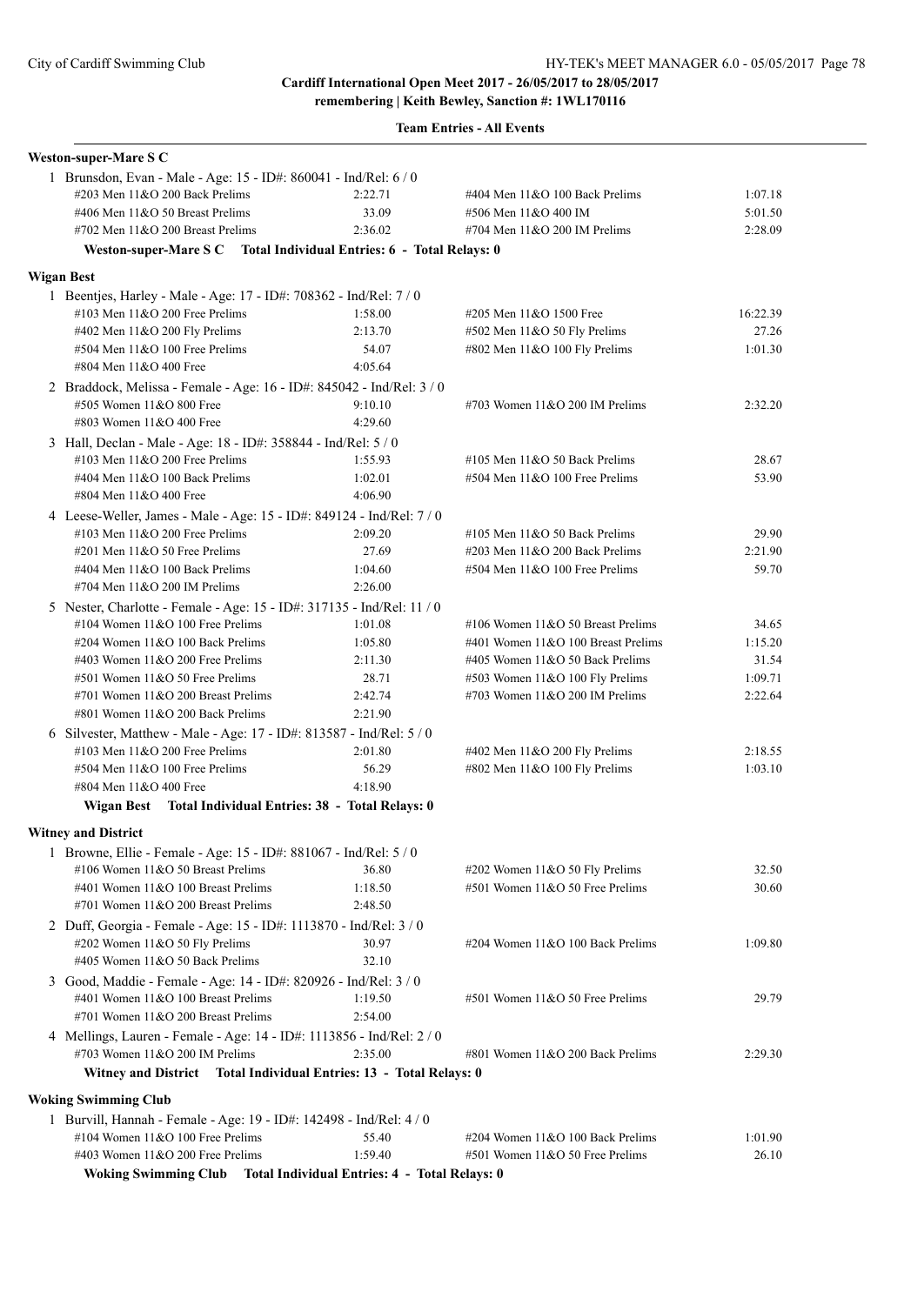| <b>Weston-super-Mare S C</b>                                                                              |                    |                                                                   |          |
|-----------------------------------------------------------------------------------------------------------|--------------------|-------------------------------------------------------------------|----------|
| 1 Brunsdon, Evan - Male - Age: 15 - ID#: 860041 - Ind/Rel: 6 / 0                                          |                    |                                                                   |          |
| #203 Men 11&O 200 Back Prelims                                                                            | 2:22.71            | #404 Men 11&O 100 Back Prelims                                    | 1:07.18  |
| #406 Men 11&O 50 Breast Prelims                                                                           | 33.09              | #506 Men 11&O 400 IM                                              | 5:01.50  |
| #702 Men 11&O 200 Breast Prelims                                                                          | 2:36.02            | #704 Men 11&O 200 IM Prelims                                      | 2:28.09  |
| Weston-super-Mare S C Total Individual Entries: 6 - Total Relays: 0                                       |                    |                                                                   |          |
| <b>Wigan Best</b>                                                                                         |                    |                                                                   |          |
| 1 Beentjes, Harley - Male - Age: 17 - ID#: 708362 - Ind/Rel: 7 / 0                                        |                    |                                                                   |          |
| #103 Men $11&O$ 200 Free Prelims                                                                          | 1:58.00            | #205 Men 11&O 1500 Free                                           | 16:22.39 |
| #402 Men 11&O 200 Fly Prelims                                                                             | 2:13.70            | #502 Men 11&O 50 Fly Prelims                                      | 27.26    |
| #504 Men 11&O 100 Free Prelims                                                                            | 54.07              | #802 Men 11&O 100 Fly Prelims                                     | 1:01.30  |
| #804 Men 11&O 400 Free                                                                                    | 4:05.64            |                                                                   |          |
| 2 Braddock, Melissa - Female - Age: 16 - ID#: 845042 - Ind/Rel: 3 / 0                                     |                    |                                                                   |          |
| #505 Women 11&O 800 Free                                                                                  | 9:10.10            | #703 Women 11&O 200 IM Prelims                                    | 2:32.20  |
| #803 Women 11&O 400 Free                                                                                  | 4:29.60            |                                                                   |          |
| 3 Hall, Declan - Male - Age: 18 - ID#: 358844 - Ind/Rel: 5 / 0                                            |                    |                                                                   |          |
| #103 Men $11&O$ 200 Free Prelims                                                                          | 1:55.93            | #105 Men 11&O 50 Back Prelims                                     | 28.67    |
| #404 Men $11&O$ 100 Back Prelims                                                                          | 1:02.01            | #504 Men 11&O 100 Free Prelims                                    | 53.90    |
| #804 Men 11&O 400 Free                                                                                    | 4:06.90            |                                                                   |          |
| 4 Leese-Weller, James - Male - Age: 15 - ID#: 849124 - Ind/Rel: 7 / 0                                     |                    |                                                                   |          |
| #103 Men 11&O 200 Free Prelims                                                                            | 2:09.20            | #105 Men 11&O 50 Back Prelims                                     | 29.90    |
| $\#201$ Men $11&O$ 50 Free Prelims                                                                        | 27.69              | #203 Men 11&O 200 Back Prelims                                    | 2:21.90  |
| #404 Men 11&O 100 Back Prelims                                                                            | 1:04.60            | #504 Men 11&O 100 Free Prelims                                    | 59.70    |
| #704 Men 11&O 200 IM Prelims                                                                              | 2:26.00            |                                                                   |          |
| 5 Nester, Charlotte - Female - Age: 15 - ID#: 317135 - Ind/Rel: 11 / 0                                    |                    |                                                                   |          |
| #104 Women $11&O$ 100 Free Prelims                                                                        | 1:01.08            | #106 Women 11&O 50 Breast Prelims                                 | 34.65    |
| #204 Women 11&O 100 Back Prelims                                                                          | 1:05.80            | #401 Women 11&O 100 Breast Prelims                                | 1:15.20  |
| #403 Women 11&O 200 Free Prelims                                                                          | 2:11.30            | #405 Women 11&O 50 Back Prelims                                   | 31.54    |
| #501 Women 11&O 50 Free Prelims                                                                           | 28.71              | #503 Women 11&O 100 Fly Prelims                                   | 1:09.71  |
| #701 Women 11&O 200 Breast Prelims<br>#801 Women 11&O 200 Back Prelims                                    | 2:42.74<br>2:21.90 | #703 Women 11&O 200 IM Prelims                                    | 2:22.64  |
|                                                                                                           |                    |                                                                   |          |
| 6 Silvester, Matthew - Male - Age: 17 - ID#: 813587 - Ind/Rel: 5 / 0                                      |                    |                                                                   |          |
| #103 Men $11&O$ 200 Free Prelims                                                                          | 2:01.80            | #402 Men 11&O 200 Fly Prelims                                     | 2:18.55  |
| #504 Men 11&O 100 Free Prelims                                                                            | 56.29              | #802 Men 11&O 100 Fly Prelims                                     | 1:03.10  |
| #804 Men 11&O 400 Free                                                                                    | 4:18.90            |                                                                   |          |
| Wigan Best Total Individual Entries: 38 - Total Relays: 0                                                 |                    |                                                                   |          |
| <b>Witney and District</b>                                                                                |                    |                                                                   |          |
| 1 Browne, Ellie - Female - Age: 15 - ID#: 881067 - Ind/Rel: 5 / 0                                         |                    |                                                                   |          |
| #106 Women 11&O 50 Breast Prelims                                                                         | 36.80              | #202 Women 11&O 50 Fly Prelims<br>#501 Women 11&O 50 Free Prelims | 32.50    |
| #401 Women 11&O 100 Breast Prelims<br>#701 Women 11&O 200 Breast Prelims                                  | 1:18.50            |                                                                   | 30.60    |
|                                                                                                           | 2:48.50            |                                                                   |          |
| 2 Duff, Georgia - Female - Age: 15 - ID#: 1113870 - Ind/Rel: 3 / 0                                        |                    |                                                                   |          |
| #202 Women 11&O 50 Fly Prelims                                                                            | 30.97              | #204 Women 11&O 100 Back Prelims                                  | 1:09.80  |
| #405 Women 11&O 50 Back Prelims                                                                           | 32.10              |                                                                   |          |
| 3 Good, Maddie - Female - Age: 14 - ID#: 820926 - Ind/Rel: 3 / 0                                          |                    |                                                                   |          |
| #401 Women 11&O 100 Breast Prelims                                                                        | 1:19.50            | #501 Women 11&O 50 Free Prelims                                   | 29.79    |
| #701 Women 11&O 200 Breast Prelims                                                                        | 2:54.00            |                                                                   |          |
| 4 Mellings, Lauren - Female - Age: 14 - ID#: 1113856 - Ind/Rel: 2 / 0<br>#703 Women $11&O$ 200 IM Prelims | 2:35.00            | #801 Women 11&O 200 Back Prelims                                  | 2:29.30  |
| Witney and District Total Individual Entries: 13 - Total Relays: 0                                        |                    |                                                                   |          |
| <b>Woking Swimming Club</b>                                                                               |                    |                                                                   |          |
| 1 Burvill, Hannah - Female - Age: 19 - ID#: 142498 - Ind/Rel: 4 / 0                                       |                    |                                                                   |          |
| #104 Women 11&O 100 Free Prelims                                                                          | 55.40              | #204 Women 11&O 100 Back Prelims                                  | 1:01.90  |
| #403 Women 11&O 200 Free Prelims                                                                          | 1:59.40            | #501 Women 11&O 50 Free Prelims                                   | 26.10    |
| Woking Swimming Club Total Individual Entries: 4 - Total Relays: 0                                        |                    |                                                                   |          |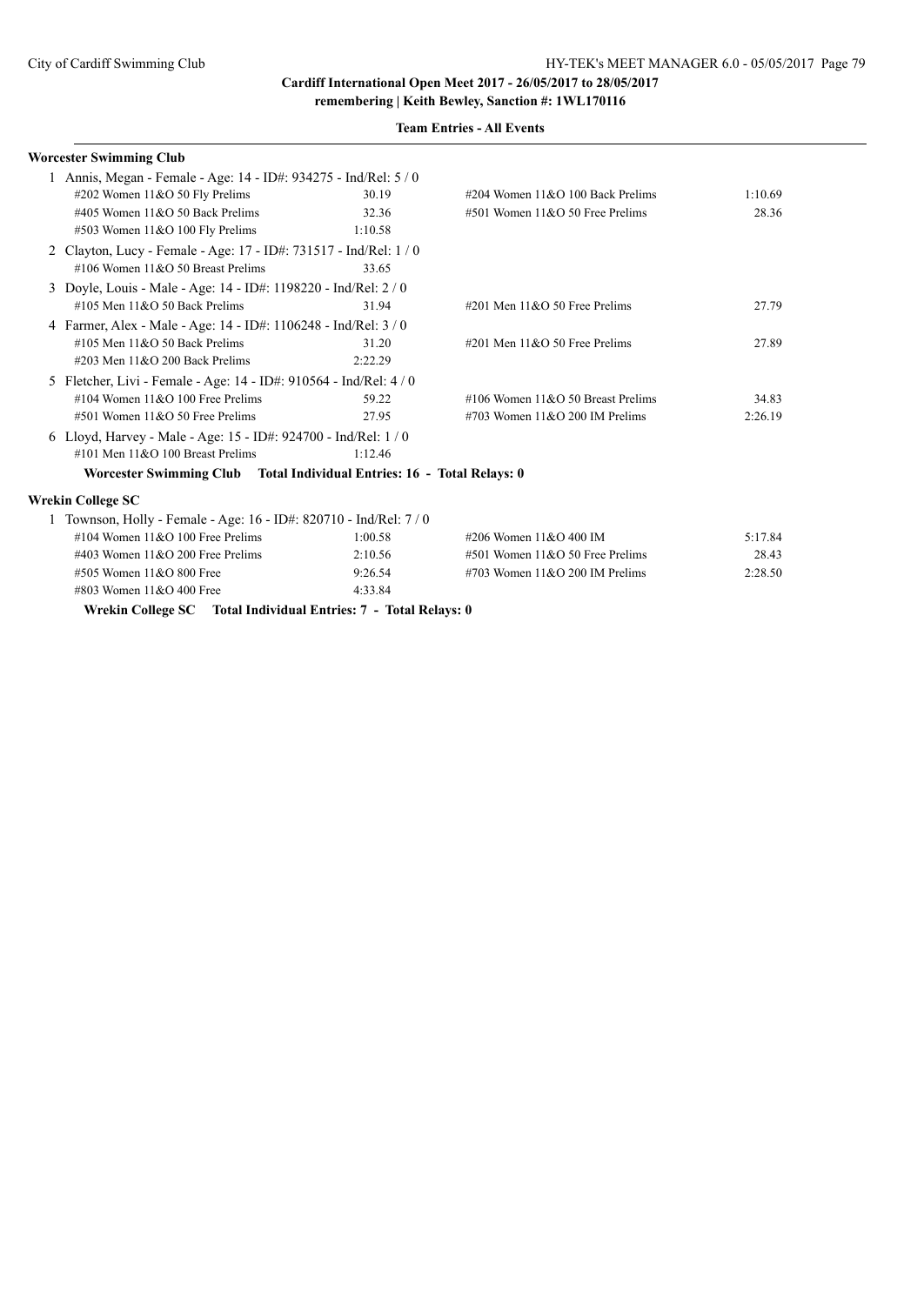| <b>Team Entries - All Events</b> |
|----------------------------------|
|----------------------------------|

|    | <b>Worcester Swimming Club</b>                                         |         |                                     |         |
|----|------------------------------------------------------------------------|---------|-------------------------------------|---------|
|    | 1 Annis, Megan - Female - Age: 14 - ID#: 934275 - Ind/Rel: 5 / 0       |         |                                     |         |
|    | #202 Women $11&O 50$ Fly Prelims                                       | 30.19   | $\#204$ Women 11&O 100 Back Prelims | 1:10.69 |
|    | #405 Women $11&O$ 50 Back Prelims                                      | 32.36   | #501 Women 11&O 50 Free Prelims     | 28.36   |
|    | $#503$ Women $11&O$ 100 Fly Prelims                                    | 1:10.58 |                                     |         |
|    | 2 Clayton, Lucy - Female - Age: 17 - ID#: 731517 - Ind/Rel: 1/0        |         |                                     |         |
|    | #106 Women $11&O$ 50 Breast Prelims                                    | 33.65   |                                     |         |
| 3  | Doyle, Louis - Male - Age: 14 - ID#: 1198220 - Ind/Rel: 2 / 0          |         |                                     |         |
|    | #105 Men $11&O$ 50 Back Prelims                                        | 31.94   | #201 Men $11&0$ 50 Free Prelims     | 27.79   |
|    | 4 Farmer, Alex - Male - Age: 14 - ID#: 1106248 - Ind/Rel: 3 / 0        |         |                                     |         |
|    | #105 Men $11&O$ 50 Back Prelims                                        | 31.20   | #201 Men $11&0$ 50 Free Prelims     | 27.89   |
|    | $\#203$ Men $11&O$ 200 Back Prelims                                    | 2:22.29 |                                     |         |
| 5. | Fletcher, Livi - Female - Age: 14 - ID#: 910564 - Ind/Rel: 4 / 0       |         |                                     |         |
|    | #104 Women $11&O$ 100 Free Prelims                                     | 59.22   | #106 Women $11&O$ 50 Breast Prelims | 34.83   |
|    | $#501$ Women $11&O$ 50 Free Prelims                                    | 27.95   | #703 Women $11&O$ 200 IM Prelims    | 2:26.19 |
|    | 6 Lloyd, Harvey - Male - Age: 15 - ID#: 924700 - Ind/Rel: 1 / 0        |         |                                     |         |
|    | $\#101$ Men $11\&O$ 100 Breast Prelims                                 | 1:12.46 |                                     |         |
|    | Worcester Swimming Club Total Individual Entries: 16 - Total Relays: 0 |         |                                     |         |
|    | Wrekin College SC                                                      |         |                                     |         |
|    | 1 Townson, Holly - Female - Age: 16 - ID#: 820710 - Ind/Rel: 7 / 0     |         |                                     |         |
|    | #104 Women $11&O$ 100 Free Prelims                                     | 1:00.58 | #206 Women 11&O 400 IM              | 5:17.84 |
|    | #403 Women $11&O$ 200 Free Prelims                                     | 2:10.56 | $#501$ Women $11&O$ 50 Free Prelims | 28.43   |
|    | #505 Women 11&O 800 Free                                               | 9:26.54 | #703 Women $11&O$ 200 IM Prelims    | 2:28.50 |
|    | #803 Women 11&O 400 Free                                               | 4:33.84 |                                     |         |

**Wrekin College SC Total Individual Entries: 7 - Total Relays: 0**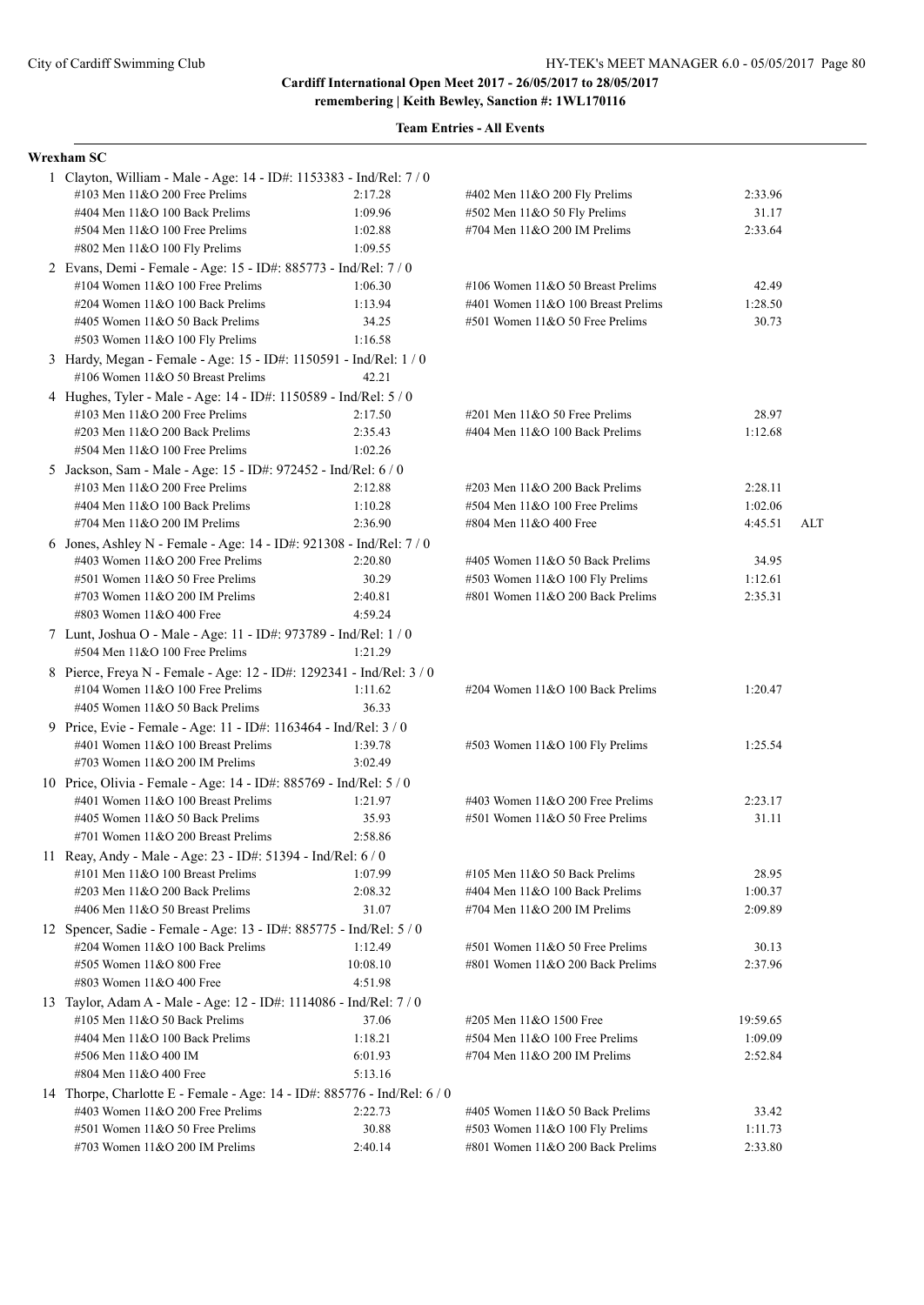**Cardiff International Open Meet 2017 - 26/05/2017 to 28/05/2017**

**remembering | Keith Bewley, Sanction #: 1WL170116**

| Wrexham SC                                                                                             |          |                                                                 |                  |     |  |  |  |
|--------------------------------------------------------------------------------------------------------|----------|-----------------------------------------------------------------|------------------|-----|--|--|--|
| 1 Clayton, William - Male - Age: 14 - ID#: 1153383 - Ind/Rel: 7 / 0                                    |          |                                                                 |                  |     |  |  |  |
| #103 Men 11&O 200 Free Prelims                                                                         | 2:17.28  | #402 Men 11&O 200 Fly Prelims                                   | 2:33.96          |     |  |  |  |
| #404 Men 11&O 100 Back Prelims                                                                         | 1:09.96  | #502 Men 11&O 50 Fly Prelims                                    | 31.17            |     |  |  |  |
| #504 Men 11&O 100 Free Prelims                                                                         | 1:02.88  | #704 Men 11&O 200 IM Prelims                                    | 2:33.64          |     |  |  |  |
| #802 Men 11&O 100 Fly Prelims                                                                          | 1:09.55  |                                                                 |                  |     |  |  |  |
| 2 Evans, Demi - Female - Age: 15 - ID#: 885773 - Ind/Rel: 7 / 0                                        |          |                                                                 |                  |     |  |  |  |
| #104 Women $11&O 100$ Free Prelims                                                                     | 1:06.30  | #106 Women 11&O 50 Breast Prelims                               | 42.49            |     |  |  |  |
| #204 Women 11&O 100 Back Prelims                                                                       | 1:13.94  | #401 Women 11&O 100 Breast Prelims                              | 1:28.50          |     |  |  |  |
| #405 Women 11&O 50 Back Prelims                                                                        | 34.25    | #501 Women 11&O 50 Free Prelims                                 | 30.73            |     |  |  |  |
| #503 Women 11&O 100 Fly Prelims                                                                        | 1:16.58  |                                                                 |                  |     |  |  |  |
| 3 Hardy, Megan - Female - Age: 15 - ID#: 1150591 - Ind/Rel: 1 / 0<br>#106 Women 11&O 50 Breast Prelims | 42.21    |                                                                 |                  |     |  |  |  |
| 4 Hughes, Tyler - Male - Age: 14 - ID#: 1150589 - Ind/Rel: 5 / 0                                       |          |                                                                 |                  |     |  |  |  |
| #103 Men $11&O$ 200 Free Prelims                                                                       | 2:17.50  | $\#201$ Men $11&O$ 50 Free Prelims                              | 28.97            |     |  |  |  |
| #203 Men 11&O 200 Back Prelims                                                                         | 2:35.43  | #404 Men 11&O 100 Back Prelims                                  | 1:12.68          |     |  |  |  |
| #504 Men 11&O 100 Free Prelims                                                                         | 1:02.26  |                                                                 |                  |     |  |  |  |
| 5 Jackson, Sam - Male - Age: 15 - ID#: 972452 - Ind/Rel: 6 / 0                                         |          |                                                                 |                  |     |  |  |  |
| #103 Men $11&O$ 200 Free Prelims                                                                       | 2:12.88  | #203 Men 11&O 200 Back Prelims                                  | 2:28.11          |     |  |  |  |
| #404 Men 11&O 100 Back Prelims                                                                         | 1:10.28  | #504 Men 11&O 100 Free Prelims                                  | 1:02.06          |     |  |  |  |
| #704 Men 11&O 200 IM Prelims                                                                           | 2:36.90  | #804 Men 11&O 400 Free                                          | 4:45.51          | ALT |  |  |  |
| 6 Jones, Ashley N - Female - Age: 14 - ID#: 921308 - Ind/Rel: 7 / 0                                    |          |                                                                 |                  |     |  |  |  |
| #403 Women 11&O 200 Free Prelims                                                                       | 2:20.80  | #405 Women 11&O 50 Back Prelims                                 | 34.95            |     |  |  |  |
| #501 Women 11&O 50 Free Prelims                                                                        | 30.29    | #503 Women 11&O 100 Fly Prelims                                 | 1:12.61          |     |  |  |  |
| #703 Women $11&O$ 200 IM Prelims                                                                       | 2:40.81  | #801 Women 11&O 200 Back Prelims                                | 2:35.31          |     |  |  |  |
| #803 Women 11&O 400 Free                                                                               | 4:59.24  |                                                                 |                  |     |  |  |  |
| 7 Lunt, Joshua O - Male - Age: 11 - ID#: 973789 - Ind/Rel: 1 / 0<br>#504 Men 11&O 100 Free Prelims     | 1:21.29  |                                                                 |                  |     |  |  |  |
| 8 Pierce, Freya N - Female - Age: 12 - ID#: 1292341 - Ind/Rel: 3 / 0                                   |          |                                                                 |                  |     |  |  |  |
| #104 Women $11&O 100$ Free Prelims                                                                     | 1:11.62  | #204 Women 11&O 100 Back Prelims                                | 1:20.47          |     |  |  |  |
| #405 Women 11&O 50 Back Prelims                                                                        | 36.33    |                                                                 |                  |     |  |  |  |
| 9 Price, Evie - Female - Age: 11 - ID#: 1163464 - Ind/Rel: 3 / 0                                       |          |                                                                 |                  |     |  |  |  |
| #401 Women 11&O 100 Breast Prelims                                                                     | 1:39.78  | #503 Women 11&O 100 Fly Prelims                                 | 1:25.54          |     |  |  |  |
| #703 Women $11&O$ 200 IM Prelims                                                                       | 3:02.49  |                                                                 |                  |     |  |  |  |
| 10 Price, Olivia - Female - Age: 14 - ID#: 885769 - Ind/Rel: 5 / 0                                     |          |                                                                 |                  |     |  |  |  |
| #401 Women 11&O 100 Breast Prelims                                                                     | 1:21.97  | #403 Women 11&O 200 Free Prelims                                | 2:23.17          |     |  |  |  |
| #405 Women 11&O 50 Back Prelims                                                                        | 35.93    | #501 Women 11&O 50 Free Prelims                                 | 31.11            |     |  |  |  |
| #701 Women 11&O 200 Breast Prelims                                                                     | 2:58.86  |                                                                 |                  |     |  |  |  |
| 11 Reay, Andy - Male - Age: 23 - ID#: 51394 - Ind/Rel: 6 / 0                                           | 1:07.99  |                                                                 |                  |     |  |  |  |
| #101 Men $11&O$ 100 Breast Prelims<br>#203 Men 11&O 200 Back Prelims                                   | 2:08.32  | #105 Men 11&O 50 Back Prelims<br>#404 Men 11&O 100 Back Prelims | 28.95<br>1:00.37 |     |  |  |  |
| #406 Men 11&O 50 Breast Prelims                                                                        | 31.07    | #704 Men 11&O 200 IM Prelims                                    | 2:09.89          |     |  |  |  |
| 12 Spencer, Sadie - Female - Age: 13 - ID#: 885775 - Ind/Rel: 5 / 0                                    |          |                                                                 |                  |     |  |  |  |
| #204 Women 11&O 100 Back Prelims                                                                       | 1:12.49  | #501 Women 11&O 50 Free Prelims                                 | 30.13            |     |  |  |  |
| #505 Women 11&O 800 Free                                                                               | 10:08.10 | #801 Women 11&O 200 Back Prelims                                | 2:37.96          |     |  |  |  |
| #803 Women 11&O 400 Free                                                                               | 4:51.98  |                                                                 |                  |     |  |  |  |
| 13 Taylor, Adam A - Male - Age: 12 - ID#: 1114086 - Ind/Rel: 7 / 0                                     |          |                                                                 |                  |     |  |  |  |
| $\#105$ Men $11&O 50$ Back Prelims                                                                     | 37.06    | #205 Men 11&O 1500 Free                                         | 19:59.65         |     |  |  |  |
| #404 Men 11&O 100 Back Prelims                                                                         | 1:18.21  | #504 Men 11&O 100 Free Prelims                                  | 1:09.09          |     |  |  |  |
| #506 Men 11&O 400 IM                                                                                   | 6:01.93  | #704 Men 11&O 200 IM Prelims                                    | 2:52.84          |     |  |  |  |
| #804 Men 11&O 400 Free                                                                                 | 5:13.16  |                                                                 |                  |     |  |  |  |
| 14 Thorpe, Charlotte E - Female - Age: 14 - ID#: 885776 - Ind/Rel: 6 / 0                               |          |                                                                 |                  |     |  |  |  |
| #403 Women 11&O 200 Free Prelims                                                                       | 2:22.73  | #405 Women 11&O 50 Back Prelims                                 | 33.42            |     |  |  |  |
| #501 Women 11&O 50 Free Prelims                                                                        | 30.88    | #503 Women 11&O 100 Fly Prelims                                 | 1:11.73          |     |  |  |  |
| #703 Women 11&O 200 IM Prelims                                                                         | 2:40.14  | #801 Women 11&O 200 Back Prelims                                | 2:33.80          |     |  |  |  |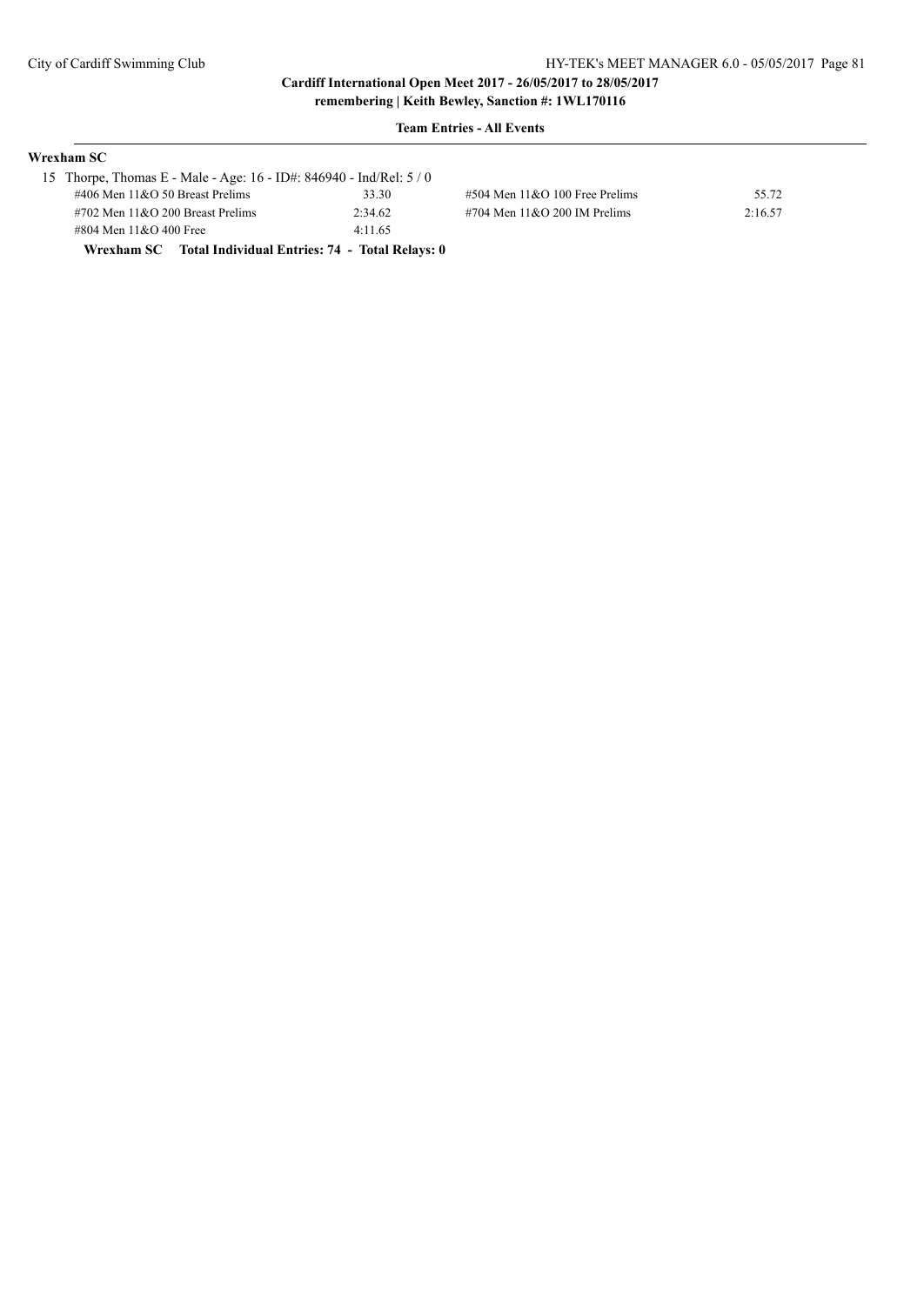#### **Team Entries - All Events**

| Wrexham SC -                                                        |         |                                     |         |
|---------------------------------------------------------------------|---------|-------------------------------------|---------|
| 15 Thorpe, Thomas E - Male - Age: 16 - ID#: 846940 - Ind/Rel: $5/0$ |         |                                     |         |
| #406 Men $11&O$ 50 Breast Prelims                                   | 33.30   | $\#504$ Men $11&O$ 100 Free Prelims | 55.72   |
| $\#702$ Men $11\&O$ 200 Breast Prelims                              | 2:34.62 | $\#704$ Men $11&O$ 200 IM Prelims   | 2:16.57 |
| #804 Men 11&O 400 Free                                              | 4:11.65 |                                     |         |
|                                                                     |         |                                     |         |

**Wrexham SC Total Individual Entries: 74 - Total Relays: 0**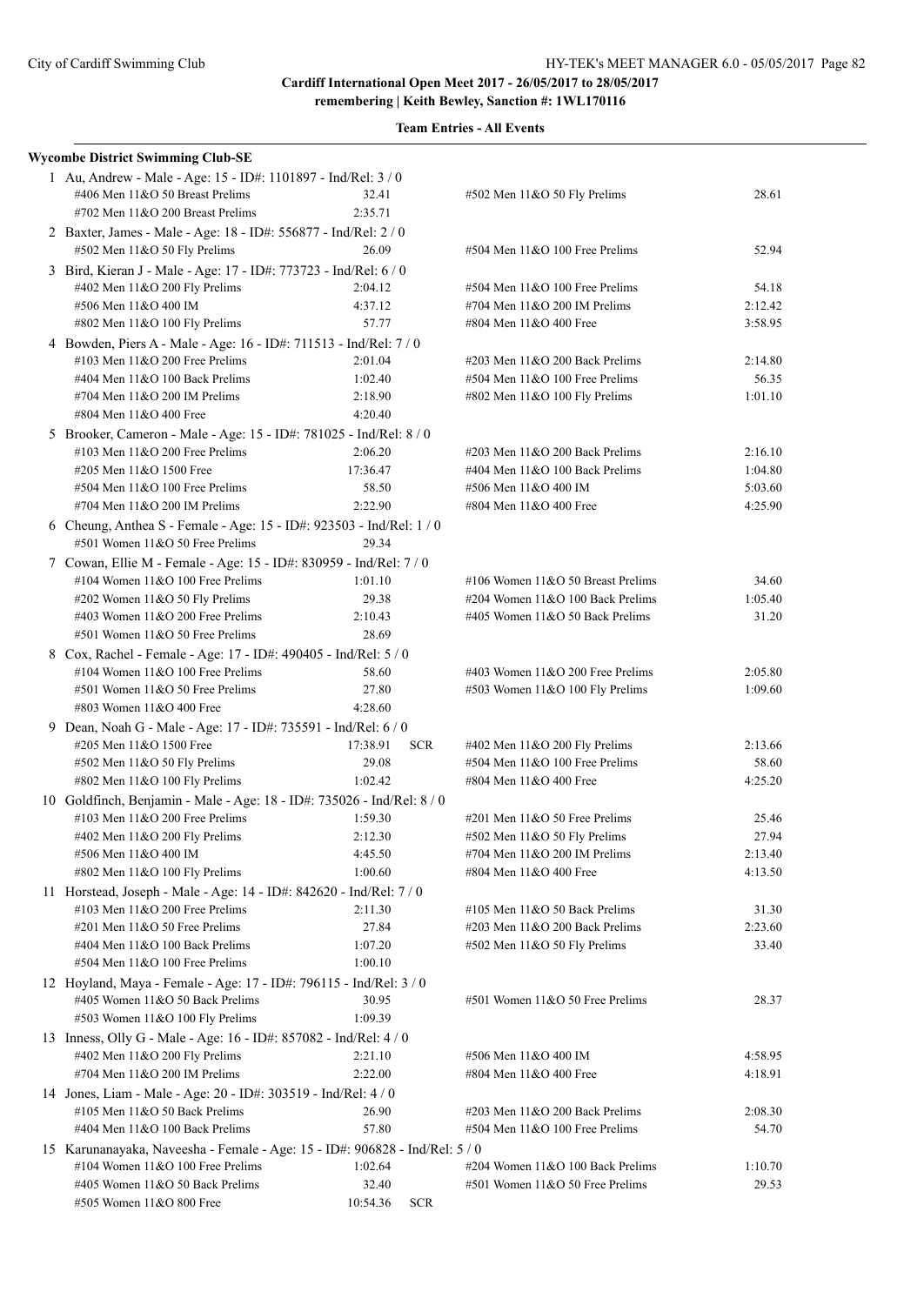|  | <b>Wycombe District Swimming Club-SE</b>                                                           |                        |                                                                     |                    |  |  |  |  |
|--|----------------------------------------------------------------------------------------------------|------------------------|---------------------------------------------------------------------|--------------------|--|--|--|--|
|  | 1 Au, Andrew - Male - Age: 15 - ID#: 1101897 - Ind/Rel: 3 / 0                                      |                        |                                                                     |                    |  |  |  |  |
|  | #406 Men 11&O 50 Breast Prelims                                                                    | 32.41                  | #502 Men 11&O 50 Fly Prelims                                        | 28.61              |  |  |  |  |
|  | #702 Men 11&O 200 Breast Prelims                                                                   | 2:35.71                |                                                                     |                    |  |  |  |  |
|  | 2 Baxter, James - Male - Age: 18 - ID#: 556877 - Ind/Rel: 2 / 0                                    |                        |                                                                     | 52.94              |  |  |  |  |
|  | 26.09<br>#504 Men 11&O 100 Free Prelims<br>#502 Men 11&O 50 Fly Prelims                            |                        |                                                                     |                    |  |  |  |  |
|  | 3 Bird, Kieran J - Male - Age: 17 - ID#: 773723 - Ind/Rel: 6 / 0                                   |                        |                                                                     |                    |  |  |  |  |
|  | #402 Men 11&O 200 Fly Prelims                                                                      | 2:04.12                | #504 Men 11&O 100 Free Prelims                                      | 54.18              |  |  |  |  |
|  | #506 Men 11&O 400 IM                                                                               | 4:37.12<br>57.77       | #704 Men 11&O 200 IM Prelims<br>#804 Men 11&O 400 Free              | 2:12.42<br>3:58.95 |  |  |  |  |
|  | #802 Men 11&O 100 Fly Prelims<br>4 Bowden, Piers A - Male - Age: 16 - ID#: 711513 - Ind/Rel: 7 / 0 |                        |                                                                     |                    |  |  |  |  |
|  | #103 Men 11&O 200 Free Prelims                                                                     | 2:01.04                | #203 Men 11&O 200 Back Prelims                                      | 2:14.80            |  |  |  |  |
|  | #404 Men 11&O 100 Back Prelims                                                                     | 1:02.40                | #504 Men 11&O 100 Free Prelims                                      | 56.35              |  |  |  |  |
|  | #704 Men 11&O 200 IM Prelims                                                                       | 2:18.90                | #802 Men 11&O 100 Fly Prelims                                       | 1:01.10            |  |  |  |  |
|  | #804 Men 11&O 400 Free                                                                             | 4:20.40                |                                                                     |                    |  |  |  |  |
|  | 5 Brooker, Cameron - Male - Age: 15 - ID#: 781025 - Ind/Rel: 8 / 0                                 |                        |                                                                     |                    |  |  |  |  |
|  | #103 Men 11&O 200 Free Prelims                                                                     | 2:06.20                | #203 Men 11&O 200 Back Prelims                                      | 2:16.10            |  |  |  |  |
|  | #205 Men 11&O 1500 Free                                                                            | 17:36.47               | #404 Men 11&O 100 Back Prelims                                      | 1:04.80            |  |  |  |  |
|  | #504 Men 11&O 100 Free Prelims                                                                     | 58.50                  | #506 Men 11&O 400 IM                                                | 5:03.60            |  |  |  |  |
|  | #704 Men 11&O 200 IM Prelims                                                                       | 2:22.90                | #804 Men 11&O 400 Free                                              | 4:25.90            |  |  |  |  |
|  | 6 Cheung, Anthea S - Female - Age: 15 - ID#: 923503 - Ind/Rel: 1 / 0                               |                        |                                                                     |                    |  |  |  |  |
|  | #501 Women 11&O 50 Free Prelims                                                                    | 29.34                  |                                                                     |                    |  |  |  |  |
|  | 7 Cowan, Ellie M - Female - Age: 15 - ID#: 830959 - Ind/Rel: 7 / 0                                 |                        |                                                                     |                    |  |  |  |  |
|  | #104 Women 11&O 100 Free Prelims                                                                   | 1:01.10                | #106 Women $11&O 50$ Breast Prelims                                 | 34.60              |  |  |  |  |
|  | #202 Women 11&O 50 Fly Prelims                                                                     | 29.38                  | #204 Women 11&O 100 Back Prelims                                    | 1:05.40            |  |  |  |  |
|  | #403 Women 11&O 200 Free Prelims                                                                   | 2:10.43                | #405 Women 11&O 50 Back Prelims                                     | 31.20              |  |  |  |  |
|  | #501 Women 11&O 50 Free Prelims                                                                    | 28.69                  |                                                                     |                    |  |  |  |  |
|  | 8 Cox, Rachel - Female - Age: 17 - ID#: 490405 - Ind/Rel: 5 / 0                                    |                        |                                                                     |                    |  |  |  |  |
|  | #104 Women 11&O 100 Free Prelims                                                                   | 58.60                  | #403 Women $11&O$ 200 Free Prelims                                  | 2:05.80            |  |  |  |  |
|  | #501 Women 11&O 50 Free Prelims                                                                    | 27.80                  | #503 Women 11&O 100 Fly Prelims                                     | 1:09.60            |  |  |  |  |
|  | #803 Women 11&O 400 Free                                                                           | 4:28.60                |                                                                     |                    |  |  |  |  |
|  | 9 Dean, Noah G - Male - Age: 17 - ID#: 735591 - Ind/Rel: 6 / 0                                     |                        |                                                                     |                    |  |  |  |  |
|  | #205 Men 11&O 1500 Free                                                                            | 17:38.91<br><b>SCR</b> | #402 Men 11&O 200 Fly Prelims                                       | 2:13.66            |  |  |  |  |
|  | #502 Men 11&O 50 Fly Prelims                                                                       | 29.08                  | $#504$ Men $11&O$ 100 Free Prelims                                  | 58.60              |  |  |  |  |
|  | #802 Men 11&O 100 Fly Prelims                                                                      | 1:02.42                | #804 Men 11&O 400 Free                                              | 4:25.20            |  |  |  |  |
|  | 10 Goldfinch, Benjamin - Male - Age: 18 - ID#: 735026 - Ind/Rel: 8 / 0                             |                        |                                                                     |                    |  |  |  |  |
|  | #103 Men 11&O 200 Free Prelims                                                                     | 1:59.30                | #201 Men 11&O 50 Free Prelims                                       | 25.46              |  |  |  |  |
|  | #402 Men 11&O 200 Fly Prelims                                                                      | 2:12.30                | #502 Men 11&O 50 Fly Prelims                                        | 27.94              |  |  |  |  |
|  | #506 Men 11&O 400 IM                                                                               | 4:45.50                | #704 Men 11&O 200 IM Prelims                                        | 2:13.40            |  |  |  |  |
|  | #802 Men 11&O 100 Fly Prelims                                                                      | 1:00.60                | #804 Men 11&O 400 Free                                              | 4:13.50            |  |  |  |  |
|  | 11 Horstead, Joseph - Male - Age: 14 - ID#: 842620 - Ind/Rel: 7 / 0                                |                        |                                                                     |                    |  |  |  |  |
|  | #103 Men 11&O 200 Free Prelims                                                                     | 2:11.30                | #105 Men 11&O 50 Back Prelims                                       | 31.30              |  |  |  |  |
|  | #201 Men 11&O 50 Free Prelims                                                                      | 27.84                  | #203 Men 11&O 200 Back Prelims                                      | 2:23.60            |  |  |  |  |
|  | #404 Men 11&O 100 Back Prelims                                                                     | 1:07.20                | $#502$ Men $11&O 50$ Fly Prelims                                    | 33.40              |  |  |  |  |
|  | #504 Men 11&O 100 Free Prelims                                                                     | 1:00.10                |                                                                     |                    |  |  |  |  |
|  | 12 Hoyland, Maya - Female - Age: 17 - ID#: 796115 - Ind/Rel: 3 / 0                                 |                        |                                                                     |                    |  |  |  |  |
|  | #405 Women 11&O 50 Back Prelims                                                                    | 30.95                  | #501 Women 11&O 50 Free Prelims                                     | 28.37              |  |  |  |  |
|  | #503 Women 11&O 100 Fly Prelims                                                                    | 1:09.39                |                                                                     |                    |  |  |  |  |
|  | 13 Inness, Olly G - Male - Age: 16 - ID#: 857082 - Ind/Rel: 4 / 0                                  |                        |                                                                     |                    |  |  |  |  |
|  | #402 Men 11&O 200 Fly Prelims                                                                      | 2:21.10                | #506 Men 11&O 400 IM                                                | 4:58.95            |  |  |  |  |
|  | #704 Men 11&O 200 IM Prelims                                                                       | 2:22.00                | #804 Men 11&O 400 Free                                              | 4:18.91            |  |  |  |  |
|  | 14 Jones, Liam - Male - Age: 20 - ID#: 303519 - Ind/Rel: 4 / 0                                     |                        |                                                                     |                    |  |  |  |  |
|  | #105 Men 11&O 50 Back Prelims                                                                      | 26.90                  | #203 Men 11&O 200 Back Prelims                                      | 2:08.30            |  |  |  |  |
|  | #404 Men 11&O 100 Back Prelims                                                                     | 57.80                  | #504 Men 11&O 100 Free Prelims                                      | 54.70              |  |  |  |  |
|  | 15 Karunanayaka, Naveesha - Female - Age: 15 - ID#: 906828 - Ind/Rel: 5 / 0                        |                        |                                                                     |                    |  |  |  |  |
|  | #104 Women 11&O 100 Free Prelims<br>#405 Women 11&O 50 Back Prelims                                | 1:02.64                | #204 Women 11&O 100 Back Prelims<br>#501 Women 11&O 50 Free Prelims | 1:10.70<br>29.53   |  |  |  |  |
|  | #505 Women 11&O 800 Free                                                                           | 32.40<br>10:54.36      |                                                                     |                    |  |  |  |  |
|  |                                                                                                    | <b>SCR</b>             |                                                                     |                    |  |  |  |  |